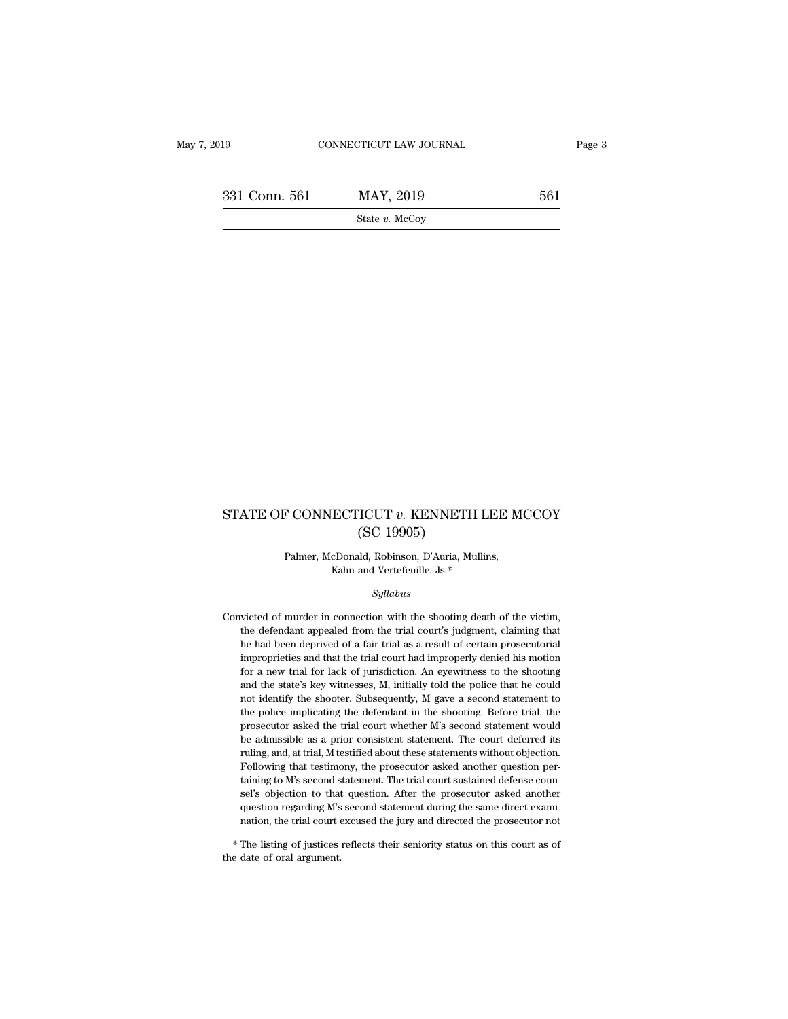EXECUTE THE SUBSECTION OF THE SERIES OF THE SERIES OF THE SERIES OF THE SERIES OF THE SERIES OF THE SERIES OF THE SERIES OF THE SERIES OF THE SERIES OF THE SERIES OF THE SERIES OF THE SERIES OF THE SERIES OF THE SERIES OF State *v.* McCoy

# STATE OF CONNECTICUT  $v$ . KENNETH LEE MCCOY (SC 19905) TCUT v. KENNETH<br>(SC 19905)<br>ud, Robinson, D'Auria, Mu P CONNECTICUT  $v$ . KENNETH LEE M<br>(SC 19905)<br>Palmer, McDonald, Robinson, D'Auria, Mullins,<br>Kahn and Vertefeuille, Js.\* ECTICUT v. KENNETH LE<br>
(SC 19905)<br>
cDonald, Robinson, D'Auria, Mullins<br>
Kahn and Vertefeuille, Js.\*<br>
Sullabus

### *Syllabus*

Palmer, McDonald, Robinson, D'Auria, Mullins,<br>Kahn and Vertefeuille, Js.\*<br>Syllabus<br>Convicted of murder in connection with the shooting death of the victim,<br>the defendant appealed from the trial court's judgment, claiming Palmer, McDonald, Robinson, D'Auria, Mullins,<br>Kahn and Vertefeuille, Js.\*<br>Syllabus<br>victed of murder in connection with the shooting death of the victim,<br>the defendant appealed from the trial court's judgment, claiming that Kahn and Vertefeuille, Js.\*<br>Syllabus<br>victed of murder in connection with the shooting death of the victim,<br>the defendant appealed from the trial court's judgment, claiming that<br>he had been deprived of a fair trial as a res *Syllabus*<br>victed of murder in connection with the shooting death of the victim,<br>the defendant appealed from the trial court's judgment, claiming that<br>he had been deprived of a fair trial as a result of certain prosecutori syutions<br>wicted of murder in connection with the shooting death of the victim,<br>the defendant appealed from the trial court's judgment, claiming that<br>he had been deprived of a fair trial as a result of certain prosecutorial victed of murder in connection with the shooting death of the victim,<br>the defendant appealed from the trial court's judgment, claiming that<br>he had been deprived of a fair trial as a result of certain prosecutorial<br>impropri the defendant appealed from the trial court's judgment, claiming that he had been deprived of a fair trial as a result of certain prosecutorial improprieties and that the trial court had improperly denied his motion for a he had been deprived of a fair trial as a result of certain prosecutorial improprieties and that the trial court had improperly denied his motion for a new trial for lack of jurisdiction. An eyewitness to the shooting and improprieties and that the trial court had improperly denied his motion<br>for a new trial for lack of jurisdiction. An eyewitness to the shooting<br>and the state's key witnesses, M, initially told the police that he could<br>not for a new trial for lack of jurisdiction. An eyewitness to the shooting and the state's key witnesses, M, initially told the police that he could not identify the shooter. Subsequently, M gave a second statement to the po and the state's key witnesses, M, initially told the police that he could not identify the shooter. Subsequently, M gave a second statement to the police implicating the defendant in the shooting. Before trial, the prosecu not identify the shooter. Subsequently, M gave a second statement to the police implicating the defendant in the shooting. Before trial, the prosecutor asked the trial court whether M's second statement would be admissible the police implicating the defendant in the shooting. Before trial, the prosecutor asked the trial court whether  $M$ 's second statement would be admissible as a prior consistent statement. The court deferred its ruling, a question regarding M's second statement during the same direct examination, the trial court excused the jury and directed the prosecutor not ruling, and, at trial, M testified about these statements without objection.<br>Following that testimony, the prosecutor asked another question pertaining to M's second statement. The trial court sustained defense counsel's

 $^\ast$  The listing of justices reflects their seniority status on this court as of the date of oral argument.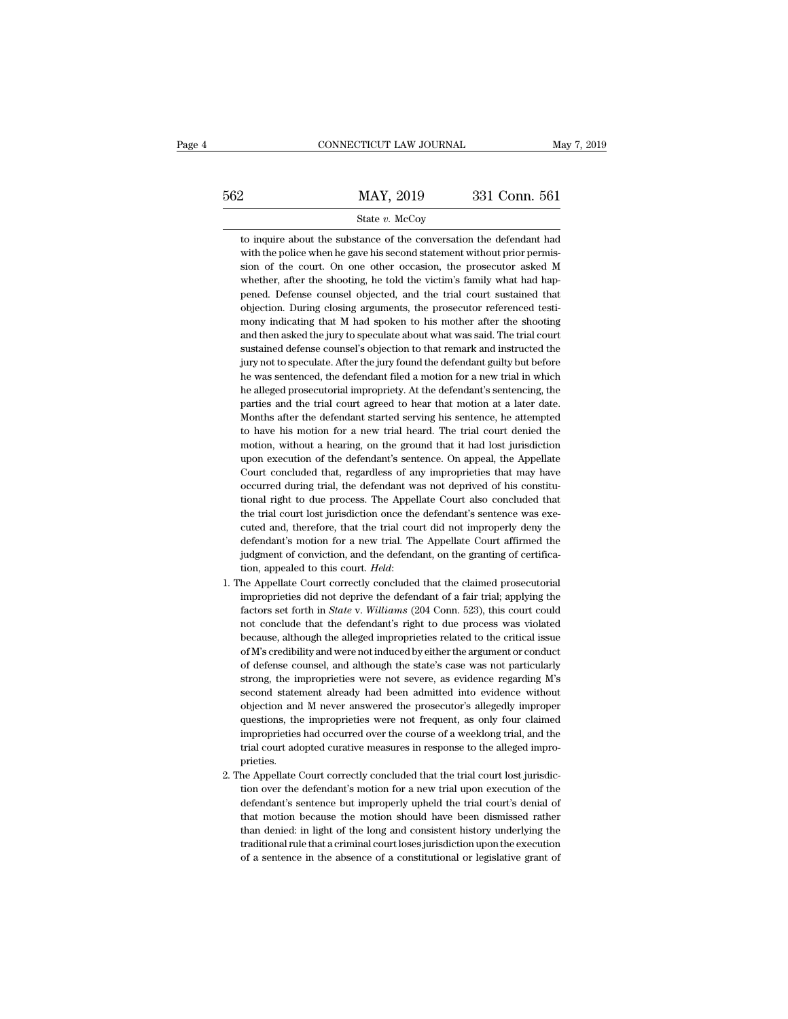|     | CONNECTICUT LAW JOURNAL                                                                                                                                                                                                  | May 7, 2019   |
|-----|--------------------------------------------------------------------------------------------------------------------------------------------------------------------------------------------------------------------------|---------------|
| 562 | MAY, 2019                                                                                                                                                                                                                | 331 Conn. 561 |
|     | State $v$ . McCoy                                                                                                                                                                                                        |               |
|     | to inquire about the substance of the conversation the defendant had<br>with the police when he gave his second statement without prior permis-<br>sion of the court. On one other occasion, the prosecutor asked M<br>. |               |

State v. McCoy<br>
State v. McCoy<br>
to inquire about the substance of the conversation the defendant had<br>
with the police when he gave his second statement without prior permis-<br>
sion of the court. On one other occasion, the p State  $v$ . McCoy<br>to inquire about the substance of the conversation the defendant had<br>with the police when he gave his second statement without prior permis-<br>sion of the court. On one other occasion, the prosecutor asked State  $v$ . McCoy<br>to inquire about the substance of the conversation the defendant had<br>with the police when he gave his second statement without prior permis-<br>sion of the court. On one other occasion, the prosecutor asked to inquire about the substance of the conversation the defendant had<br>with the police when he gave his second statement without prior permis-<br>sion of the court. On one other occasion, the prosecutor asked M<br>whether, after t with the police when he gave his second statement without prior permission of the court. On one other occasion, the prosecutor asked M whether, after the shooting, he told the victim's family what had happened. Defense cou sion of the court. On one other occasion, the prosecutor asked M whether, after the shooting, he told the victim's family what had happened. Defense counsel objected, and the trial court sustained that objection. During cl whether, after the shooting, he told the victim's family what had happened. Defense counsel objectiol, and the trial court sustained that objection. During closing arguments, the prosecutor referenced testimony indicating pened. Defense counsel objected, and the trial court sustained that objection. During closing arguments, the prosecutor referenced testimony indicating that M had spoken to his mother after the shooting and then asked the objection. During closing arguments, the prosecutor referenced testi-<br>mony indicating that M had spoken to his mother after the shooting<br>and then asked the jury to speculate about what was said. The trial court<br>sustained d mony indicating that M had spoken to his mother after the shooting<br>and then asked the jury to speculate about what was said. The trial court<br>sustained defense counsel's objection to that remark and instructed the<br>jury not mony indicating that M had spoken to his mother after the shooting<br>and then asked the jury to speculate about what was said. The trial court<br>sustained defense counsel's objection to that remark and instructed the<br>jury not sustained defense counsel's objection to that remark and instructed the jury not to speculate. After the jury found the defendant guilty but before he was sentenced, the defendant filed a motion for a new trial in which he jury not to speculate. After the jury found the defendant guilty but before<br>he was sentenced, the defendant filed a motion for a new trial in which<br>he alleged prosecutorial impropriety. At the defendant's sentencing, the<br>p he was sentenced, the defendant filed a motion for a new trial in which<br>he alleged prosecutorial impropriety. At the defendant's sentencing, the<br>parties and the trial court agreed to hear that motion at a later date.<br>Month he alleged prosecutorial impropriety. At the defendant's sentencing, the parties and the trial court agreed to hear that motion at a later date. Months after the defendant started serving his sentence, he attempted to have parties and the trial court agreed to hear that motion at a later date.<br>Months after the defendant started serving his sentence, he attempted<br>to have his motion for a new trial heard. The trial court denied the<br>motion, wit Months after the defendant started serving his sentence, he attempted<br>to have his motion for a new trial heard. The trial court denied the<br>motion, without a hearing, on the ground that it had lost jurisdiction<br>upon executi to have his motion for a new trial heard. The trial court denied the motion, without a hearing, on the ground that it had lost jurisdiction upon execution of the defendant's sentence. On appeal, the Appellate Court conclud motion, without a hearing, on the ground that it had lost jurisdiction upon execution of the defendant's sentence. On appeal, the Appellate Court concluded that, regardless of any improprieties that may have occurred durin upon execution of the defendant's sentence. On appeal, the Appellate<br>Court concluded that, regardless of any improprieties that may have<br>occurred during trial, the defendant was not deprived of his constitu-<br>tional right t Court concluded that, regardless of any improprieties that may have occurred during trial, the defendant was not deprived of his constitutional right to due process. The Appellate Court also concluded that the trial court % occurred during trial, the defendant was not deprived of his constitutional right to due process. The Appellate Court also concluded that the trial court lost jurisdiction once the defendant's sentence was executed and, tional right to due process. The Appellate Court also concluded that the trial court lost jurisdiction once the defendant's sentence was executed and, therefore, that the trial court did not improperly deny the defendant' cuted and, therefore, that the trial court did not improperly deny the defendant's motion for a new trial. The Appellate Court affirmed the judgment of conviction, and the defendant, on the granting of certification, appea

- defendant's motion for a new trial. The Appellate Court affirmed the<br>judgment of conviction, and the defendant, on the granting of certifica-<br>tion, appealed to this court. *Held*:<br>he Appellate Court correctly concluded tha judgment of conviction, and the defendant, on the granting of certification, appealed to this court. *Held*:<br>he Appellate Court correctly concluded that the claimed prosecutorial<br>improprieties did not deprive the defendant tion, appealed to this court. *Held*:<br>he Appellate Court correctly concluded that the claimed prosecutorial<br>improprieties did not deprive the defendant of a fair trial; applying the<br>factors set forth in *State* v. *William* he Appellate Court correctly concluded that the claimed prosecutorial improprieties did not deprive the defendant of a fair trial; applying the factors set forth in *State* v. *Williams* (204 Conn. 523), this court could n improprieties did not deprive the defendant of a fair trial; applying the factors set forth in *State* v. *Williams* (204 Conn. 523), this court could not conclude that the defendant's right to due process was violated bec factors set forth in *State* v. Williams (204 Conn. 523), this court could not conclude that the defendant's right to due process was violated because, although the alleged improprieties related to the critical issue of M' not conclude that the defendant's right to due process was violated<br>because, although the alleged improprieties related to the critical issue<br>of M's credibility and were not induced by either the argument or conduct<br>of def because, although the alleged improprieties related to the critical issue<br>of M's credibility and were not induced by either the argument or conduct<br>of defense counsel, and although the state's case was not particularly<br>str of M's credibility and were not induced by either the argument or conduct<br>of defense counsel, and although the state's case was not particularly<br>strong, the improprieties were not severe, as evidence regarding M's<br>second s of defense counsel, and although the state's case was not particularly strong, the improprieties were not severe, as evidence regarding M's second statement already had been admitted into evidence without objection and M n of defense counsel, and although the state's case was not particularly strong, the improprieties were not severe, as evidence regarding M's second statement already had been admitted into evidence without objection and M n prieties. % objection and M never answered the prosecutor's allegedly improper questions, the improprieties were not frequent, as only four claimed improprieties had occurred over the course of a weeklong trial, and the trial court questions, the improprieties were not frequent, as only four claimed<br>improprieties had occurred over the course of a weeklong trial, and the<br>trial court adopted curative measures in response to the alleged impro-<br>prieties.
- improprieties had occurred over the course of a weeklong trial, and the trial court adopted curative measures in response to the alleged improprieties.<br>He Appellate Court correctly concluded that the trial court lost juris trial court adopted curative measures in response to the alleged improprieties.<br>he Appellate Court correctly concluded that the trial court lost jurisdic-<br>tion over the defendant's motion for a new trial upon execution of prieties.<br>
he Appellate Court correctly concluded that the trial court lost jurisdic-<br>
tion over the defendant's motion for a new trial upon execution of the<br>
defendant's sentence but improperly upheld the trial court's de he Appellate Court correctly concluded that the trial court lost jurisdiction over the defendant's motion for a new trial upon execution of the defendant's sentence but improperly upheld the trial court's denial of that mo tion over the defendant's motion for a new trial upon execution of the defendant's sentence but improperly upheld the trial court's denial of that motion because the motion should have been dismissed rather than denied: in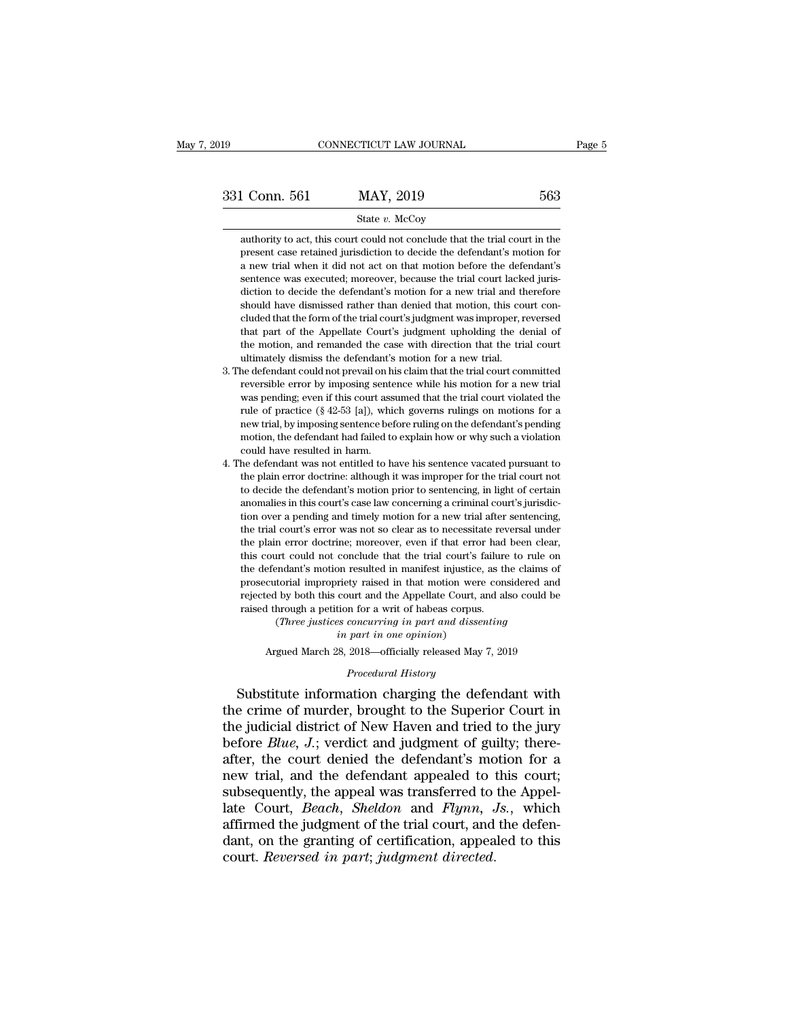# State *v.* McCoy

1 Conn. 561 MAY, 2019 563<br>
State v. McCoy<br>
authority to act, this court could not conclude that the trial court in the<br>
present case retained jurisdiction to decide the defendant's motion for present case retained jurisdiction to decide that the trial court in the present case retained jurisdiction to decide the defendant's motion for a new trial when it did not act on that motion before the defendant's  $\frac{\text{563}}{\text{563}}$ <br>  $\frac{\text{563}}{\text{563}}$ <br>  $\frac{\text{563}}{\text{563}}$ <br>  $\frac{\text{563}}{\text{563}}$ <br>  $\frac{\text{563}}{\text{563}}$ <br>  $\frac{\text{563}}{\text{563}}$ <br>  $\frac{\text{563}}{\text{563}}$ <br>  $\frac{\text{563}}{\text{563}}$ <br>  $\frac{\text{563}}{\text{563}}$ <br>  $\frac{\text{563}}{\text{563}}$ <br>  $\frac{\text{563}}{\text{563}}$ <br> 331 Conn. 561 MAY, 2019 563<br>
State v. McCoy<br>
authority to act, this court could not conclude that the trial court in the<br>
present case retained jurisdiction to decide the defendant's motion for<br>
a new trial when it did no State v. McCoy<br>
authority to act, this court could not conclude that the trial court in the<br>
present case retained jurisdiction to decide the defendant's motion for<br>
a new trial when it did not act on that motion before th authority to act, this court could not conclude that the trial court in the present case retained jurisdiction to decide the defendant's motion for a new trial when it did not act on that motion before the defendant's sent cluded that is the form of the trial court's judgment was improper, reversed that part of the defendant's motion for a new trial when it did not act on that motion before the defendant's sentence was executed; moreover, be In that we related a particular of decide are determined in a new trial when it did not act on that motion before the defendant's sentence was executed; moreover, because the trial court lacked jurisdiction to decide the d a hew that when it all not act on that motion before the determinant s<br>sentence was executed; moreover, because the trial court lacked juris-<br>diction to decide the defendant's motion for a new trial and therefore<br>should ha sentence was executed, moreover, oceaase and radio directed diction to decide the defendant's motion for a new trial and the should have dismissed rather than denied that motion, this colluded that the form of the trial co should have dismissed rather than denied that motion, this court concluded that the form of the trial court's judgment was improper, reversed that part of the Appellate Court's judgment upholding the denial of the motion,

- cluded that the form of the trial court's judgment was improper, reversed<br>that part of the Appellate Court's judgment upholding the denial of<br>the motion, and remanded the case with direction that the trial court<br>ultimatel elated that the form of the trial court sjudgment was improper, reversed<br>that part of the Appellate Court's judgment upholding the denial of<br>the motion, and remanded the case with direction that the trial court<br>dimately di rular part of the Appenate Court's judgment upholding the definal of<br>the motion, and remanded the case with direction that the trial court<br>ultimately dismiss the defendant's motion for a new trial.<br>was pending; even if thi net modon, and remanded are case with uncedon that the trial court<br>ultimately dismiss the defendant's motion for a new trial.<br>he defendant could not prevail on his claim that the trial court committed<br>reversible error by i mancity usings are detendant s modon for a new trial.<br>
he defendant could not prevail on his claim that the trial court committed<br>
reversible error by imposing sentence while his motion for a new trial<br>
was pending; even i reversible error by imposing sente<br>was pending; even if this court ass<br>rule of practice (§ 42-53 [a]), whi<br>new trial, by imposing sentence bet<br>motion, the defendant had failed to<br>could have resulted in harm.<br>he defendant w was pending; even if this court assumed that the trial court violated the rule of practice (§ 42-53 [a]), which governs rulings on motions for a new trial, by imposing sentence before ruling on the defendant's pending moti was pending, even it also court assumed that the trial court violated the<br>rule of practice  $(8\ 42-53\ [a])$ , which governs rulings on motions for a<br>new trial, by imposing sentence before ruling on the defendant's pending<br>m
- The defendant of  $\{y, 42-55\}$  [a]), which governs rulings on motions for a<br>new trial, by imposing sentence before ruling on the defendant's pending<br>motion, the defendant had failed to explain how or why such a violation motion, the defendant had failed to explain how or why such a violation<br>could have resulted in harm.<br>4. The defendant was not entitled to have his sentence vacated pursuant to<br>the plain error doctrine: although it was impr the defendant manuated to explain flow of wity stach a violation<br>could have resulted in harm.<br>the defendant was not entitled to have his sentence vacated pursuant to<br>the plain error doctrine: although it was improper for t the defendant was not entitled to have his sentence vacated pursuant to the plain error doctrine: although it was improper for the trial court not to decide the defendant's motion prior to sentencing, in light of certain a the plain error doctrine; although it was improper for the trial court not to decide the defendant's motion prior to sentencing, in light of certain anomalies in this court's case law concerning a criminal court's jurisdic the plain criot docume: alalodgin it was imploped for the trial court flot to decide the defendant's motion prior to sentencing, in light of certain anomalies in this court's case law concerning a criminal court's jurisdic the defendant's motion prior to scientific, in figure of ecritaria anomalies in this court's case law concerning a criminal court's jurisdiction over a pending and timely motion for a new trial after sentencing, the trial anoniancs in this court's case aw concerning a criminal court's junisanc-<br>tion over a pending and timely motion for a new trial after sentencing,<br>the trial court's error was not so clear as to necessitate reversal under<br>th referred by the trial court's error was not so clear as to necessitate reversal under the plain error doctrine; moreover, even if that error had been clear, this court could not conclude that the trial court's failure to r the plain error doctrine; moreover, even if that error had<br>this court could not conclude that the trial court's failure<br>the defendant's motion resulted in manifest injustice, as the<br>prosecutorial impropriety raised in that It error docume, moreover, even in that error had been clear<br>art could not conclude that the trial court's failure to rule of<br>endant's motion resulted in manifest injustice, as the claims of<br>torial impropriety raised in th Figure 11 and the trial courts is<br>in resulted in manifest injustice<br>riety raised in that motion were<br>court and the Appellate Court, a<br>function for a writ of habeas corpus<br>is concurring in part and disse<br>in part in one opin cutorial impropriety raised in that motion were considered and<br>ed by both this court and the Appellate Court, and also could be<br>1 through a petition for a writ of habeas corpus.<br>(Three justices concurring in part and disse rejected by both this court and the Appellate Court, and also could be<br>raised through a petition for a writ of habeas corpus.<br>(*Three justices concurring in part and dissenting*<br>*in part in one opinion*)<br>Argued March 28, 2

rejected by both this court and the Appellate Court, and also could be<br>raised through a petition for a writ of habeas corpus.<br>(*Three justices concurring in part and dissenting*<br>*in part in one opinion*)<br>Argued March 28, 2 raised through a petition for a writ of habeas corpus.<br>
(*Three justices concurring in part and dissenting*<br> *in part in one opinion*)<br>
Argued March 28, 2018—officially released May 7, 2019<br> *Procedural History*<br>
Substitu (Three justices concurring in part and dissenting<br>
in part in one opinion)<br>
Argued March 28, 2018—officially released May 7, 2019<br>  $Procedural History$ <br>
Substitute information charging the defendant with<br>
the crime of murder, brought before *Blue and the openion*)<br>*Procedural History*<br>*Procedural History*<br>Substitute information charging the defendant with<br>the crime of murder, brought to the Superior Court in<br>the judicial district of New Haven and tried *Procedural History*<br>*Procedural History*<br>Substitute information charging the defendant with<br>the crime of murder, brought to the Superior Court in<br>the judicial district of New Haven and tried to the jury<br>before *Blue*, *J Procedural History*<br>
Substitute information charging the defendant with<br>
the crime of murder, brought to the Superior Court in<br>
the judicial district of New Haven and tried to the jury<br>
before *Blue*, *J*.; verdict and ju Substitute information charging the defendant with<br>the crime of murder, brought to the Superior Court in<br>the judicial district of New Haven and tried to the jury<br>before *Blue*, *J*.; verdict and judgment of guilty; therethe crime of murder, brought to the Superior Court in<br>the judicial district of New Haven and tried to the jury<br>before *Blue*, *J*.; verdict and judgment of guilty; there-<br>after, the court denied the defendant's motion for the judicial district of New Haven and tried to the jury<br>before *Blue*, *J*.; verdict and judgment of guilty; there-<br>after, the court denied the defendant's motion for a<br>new trial, and the defendant appealed to this court before *Blue*, *J*.; verdict and judgment of guilty; there-<br>after, the court denied the defendant's motion for a<br>new trial, and the defendant appealed to this court;<br>subsequently, the appeal was transferred to the Appel-<br>l after, the court denied the defendant's monew trial, and the defendant appealed to the subsequently, the appeal was transferred to late Court, *Beach*, *Sheldon* and *Flynn*, affirmed the judgment of the trial court, and d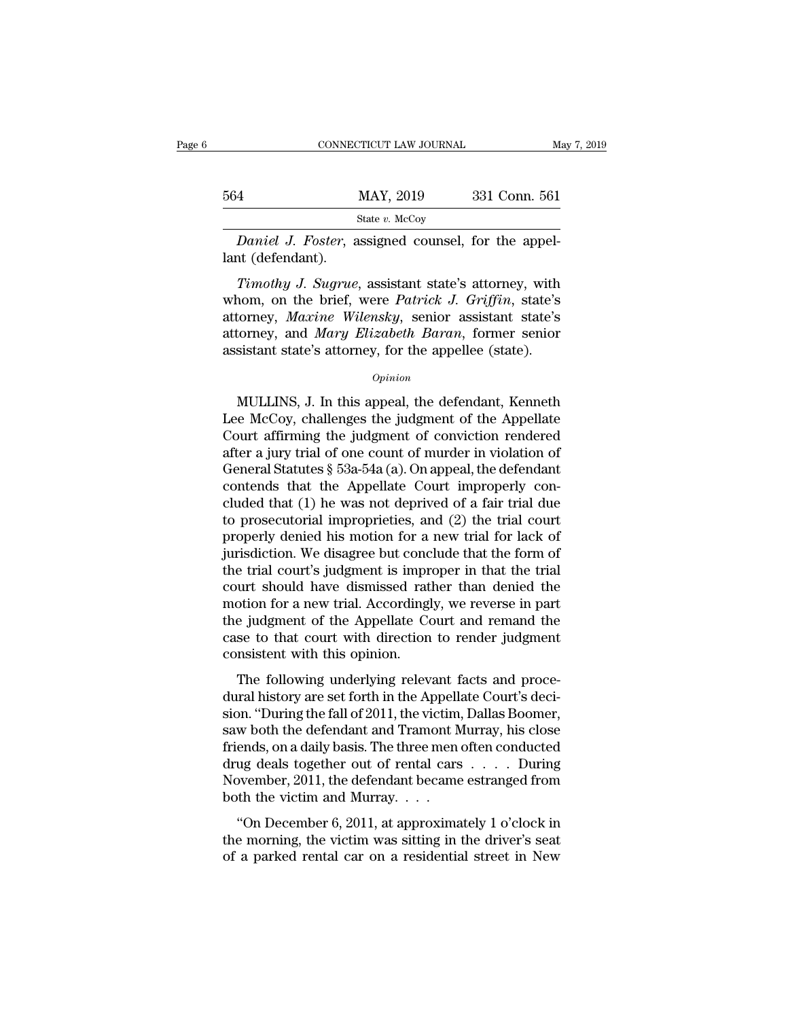|                   | CONNECTICUT LAW JOURNAL                                                                                                                                                         | May 7, 2019   |
|-------------------|---------------------------------------------------------------------------------------------------------------------------------------------------------------------------------|---------------|
| 564               | MAY, 2019                                                                                                                                                                       | 331 Conn. 561 |
|                   | State $v$ . McCoy                                                                                                                                                               |               |
| lant (defendant). | <i>Daniel J. Foster,</i> assigned counsel, for the appel-                                                                                                                       |               |
|                   | Timothy J. Sugrue, assistant state's attorney, with<br>whom, on the brief, were <i>Patrick J. Griffin</i> , state's<br>attornou <i>Maxine</i> Wilangku sonior assistant stato's |               |

MAY, 2019 331 Conn. 561<br>
State *v.* McCoy<br>
Daniel J. Foster, assigned counsel, for the appel-<br>
lant (defendant).<br>
Timothy J. Sugrue, assistant state's attorney, with<br>
whom, on the brief, were *Patrick J. Griffin*, state's<br> State v. McCoy<br> **Baniel J. Foster, assigned counsel, for the appellant (defendant).**<br> **Timothy J. Sugrue, assistant state's attorney, with whom, on the brief, were Patrick J. Griffin, state's attorney, Maxine Wilensky, sen** Daniel J. Foster, assigned counsel, for the appel-<br>lant (defendant).<br>Timothy J. Sugrue, assistant state's attorney, with<br>whom, on the brief, were *Patrick J. Griffin*, state's<br>attorney, *Maxine Wilensky*, senior assistant Bantet 9. 19ster, assigned counser, for the apper-<br>lant (defendant).<br>Timothy J. Sugrue, assistant state's attorney, with<br>whom, on the brief, were Patrick J. Griffin, state's<br>attorney, Maxine Wilensky, senior assistant stat nom, on the brief, were *Patrick J. Griffin*, state's<br>torney, *Maxine Wilensky*, senior assistant state's<br>torney, and *Mary Elizabeth Baran*, former senior<br>sistant state's attorney, for the appellee (state).<br> $o_{pinion}$ <br>MULLIN

## *Opinion*

attorney, *Maxine Wilensky*, senior assistant state's<br>attorney, and *Mary Elizabeth Baran*, former senior<br>assistant state's attorney, for the appellee (state).<br> $o_{pinion}$ <br>MULLINS, J. In this appeal, the defendant, Kenneth<br>Lee attorney, and *Mary Elizabeth Baran*, former senior<br>assistant state's attorney, for the appellee (state).<br> $opinion$ <br>MULLINS, J. In this appeal, the defendant, Kenneth<br>Lee McCoy, challenges the judgment of the Appellate<br>Court a assistant state's attorney, for the appellee (state).<br>
opinion<br>
MULLINS, J. In this appeal, the defendant, Kenneth<br>
Lee McCoy, challenges the judgment of the Appellate<br>
Court affirming the judgment of conviction rendered<br> *Opinion*<br>
MULLINS, J. In this appeal, the defendant, Kenneth<br>
Lee McCoy, challenges the judgment of the Appellate<br>
Court affirming the judgment of conviction rendered<br>
after a jury trial of one count of murder in violati MULLINS, J. In this appeal, the defendant, Kenneth<br>Lee McCoy, challenges the judgment of the Appellate<br>Court affirming the judgment of conviction rendered<br>after a jury trial of one count of murder in violation of<br>General MULLINS, J. In this appeal, the defendant, Kenneth<br>Lee McCoy, challenges the judgment of the Appellate<br>Court affirming the judgment of conviction rendered<br>after a jury trial of one count of murder in violation of<br>General S Lee McCoy, challenges the judgment of the Appellate<br>Court affirming the judgment of conviction rendered<br>after a jury trial of one count of murder in violation of<br>General Statutes § 53a-54a (a). On appeal, the defendant<br>co Court affirming the judgment of conviction rendered<br>after a jury trial of one count of murder in violation of<br>General Statutes  $\S$  53a-54a (a). On appeal, the defendant<br>contends that the Appellate Court improperly con-<br>cl after a jury trial of one count of murder in violation of<br>General Statutes § 53a-54a (a). On appeal, the defendant<br>contends that the Appellate Court improperly con-<br>cluded that (1) he was not deprived of a fair trial due<br>t General Statutes § 53a-54a (a). On appeal, the defendant<br>contends that the Appellate Court improperly con-<br>cluded that (1) he was not deprived of a fair trial due<br>to prosecutorial improprieties, and (2) the trial court<br>pr contends that the Appellate Court improperly con-<br>cluded that (1) he was not deprived of a fair trial due<br>to prosecutorial improprieties, and (2) the trial court<br>properly denied his motion for a new trial for lack of<br>juris cluded that (1) he was not deprived of a fair trial due<br>to prosecutorial improprieties, and (2) the trial court<br>properly denied his motion for a new trial for lack of<br>jurisdiction. We disagree but conclude that the form of to prosecutorial improprieties, and (2) the trial court<br>properly denied his motion for a new trial for lack of<br>jurisdiction. We disagree but conclude that the form of<br>the trial court's judgment is improper in that the tria properly denied his motion for a new trial for lack of<br>jurisdiction. We disagree but conclude that the form of<br>the trial court's judgment is improper in that the trial<br>court should have dismissed rather than denied the<br>mot jurisdiction. We disagree but conception the trial court's judgment is imprecent should have dismissed rate motion for a new trial. According the judgment of the Appellate Cose to that court with direction consistent with Final courts judgment is improper in that the that<br>urt should have dismissed rather than denied the<br>otion for a new trial. Accordingly, we reverse in part<br>e judgment of the Appellate Court and remand the<br>se to that court w dural historical historical relation for a new trial. Accordingly, we reverse in part<br>the judgment of the Appellate Court and remand the<br>case to that court with direction to render judgment<br>consistent with this opinion.<br>Th

should be judgment of the Appellate Court and remand the case to that court with direction to render judgment consistent with this opinion.<br>The following underlying relevant facts and procedural history are set forth in th are judgment of the Experiment count and Temana the case to that court with direction to render judgment<br>consistent with this opinion.<br>The following underlying relevant facts and proce-<br>dural history are set forth in the A Friends and touring underlying relevant facts and procedural history are set forth in the Appellate Court's decision. "During the fall of 2011, the victim, Dallas Boomer, saw both the defendant and Tramont Murray, his clo The following underlying relevant facts and proce-<br>dural history are set forth in the Appellate Court's deci-<br>sion. "During the fall of 2011, the victim, Dallas Boomer,<br>saw both the defendant and Tramont Murray, his close The following underlying relevant facts and proce-<br>dural history are set forth in the Appellate Court's deci-<br>sion. "During the fall of 2011, the victim, Dallas Boomer,<br>saw both the defendant and Tramont Murray, his close dural history are set forth in the Appellsion. "During the fall of 2011, the victim<br>saw both the defendant and Tramont Murrell friends, on a daily basis. The three mendrug deals together out of rental cars<br>November, 2011, At Example fail of 2011, are victim, Editate Booker,<br>
w both the defendant and Tramont Murray, his close<br>
ends, on a daily basis. The three men often conducted<br>
ug deals together out of rental cars  $\dots$ . During<br>
ovember, Baw both the detendant and Trainont Marray, this close<br>friends, on a daily basis. The three men often conducted<br>drug deals together out of rental cars  $\dots$ . During<br>November, 2011, the defendant became estranged from<br>both friends, on a dary basis. The affect increased drug deals together out of rental cars  $\dots$  During November, 2011, the defendant became estranged from both the victim and Murray.  $\dots$  "On December 6, 2011, at approximately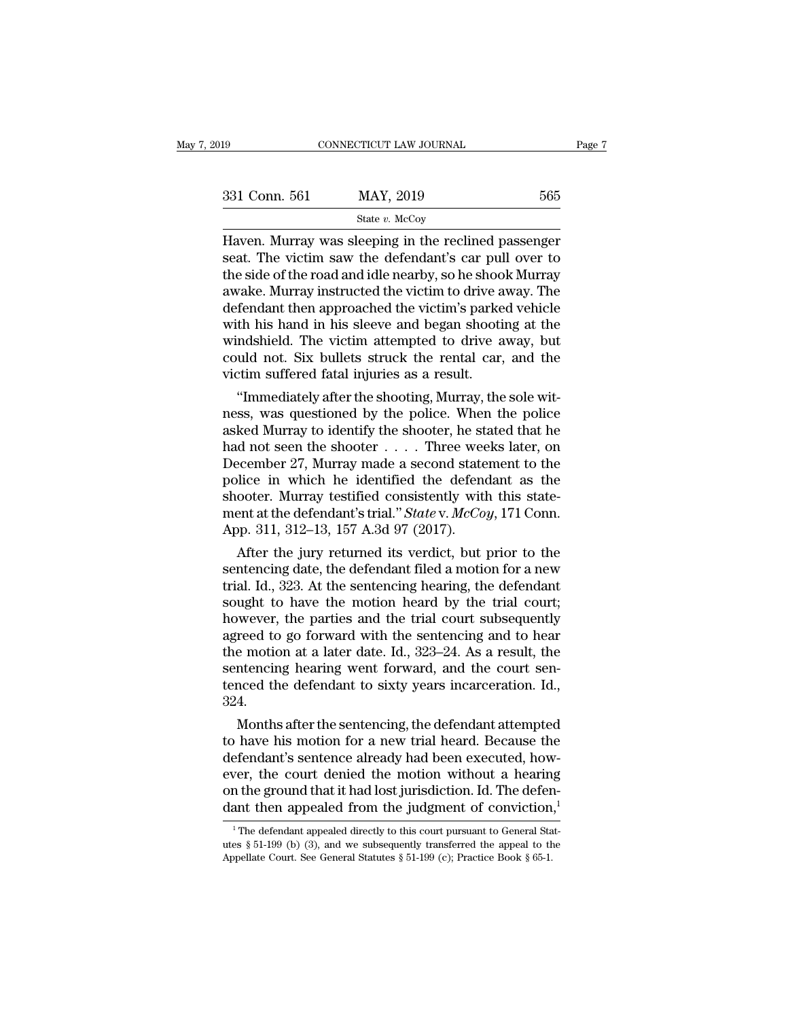| 019           | CONNECTICUT LAW JOURNAL                                                                                       | Page 7 |
|---------------|---------------------------------------------------------------------------------------------------------------|--------|
|               |                                                                                                               |        |
| 331 Conn. 561 | MAY, 2019                                                                                                     | 565    |
|               | State $v$ . McCoy                                                                                             |        |
|               | Haven. Murray was sleeping in the reclined passenger<br>seat. The victim saw the defendant's car pull over to |        |

 $\begin{array}{lll} \text{331 Conn. 561} & \text{MAX, } 2019 & \text{565} \ \text{State } v. \text{McCoy} \end{array}$ <br>
Haven. Murray was sleeping in the reclined passenger seat. The victim saw the defendant's car pull over to the side of the road and idle nearby, so he shook 331 Conn. 561 MAY, 2019 565<br>
State v. McCoy<br>
Haven. Murray was sleeping in the reclined passenger<br>
seat. The victim saw the defendant's car pull over to<br>
the side of the road and idle nearby, so he shook Murray<br>
awake. Mu 331 Conn. 561 MAY, 2019 565<br>  $\frac{\text{State } v. \text{ McCoy}}{\text{Haveen}}$ <br>
Haven. Murray was sleeping in the reclined passenger<br>
seat. The victim saw the defendant's car pull over to<br>
the side of the road and idle nearby, so he shook Murray<br>  $\begin{array}{c}\n\hline\n\text{State } v. \text{ MCOy} \\
\hline\n\text{Haven. Murray was sleeping in the reclined passenger seat. The victim saw the defendant's car pull over to the side of the road and idle nearby, so he shoots Murray awake. Murray instructed the victim to drive away. The defendant then approached the victim's parked vehicle with his hand in his sleeve and began shooting at the windshield. The victim attended to drive away, but\n$ state v. McCoy<br>Haven. Murray was sleeping in the reclined passenger<br>seat. The victim saw the defendant's car pull over to<br>the side of the road and idle nearby, so he shook Murray<br>awake. Murray instructed the victim to driv Haven. Murray was sleeping in the reclined passenger<br>seat. The victim saw the defendant's car pull over to<br>the side of the road and idle nearby, so he shook Murray<br>awake. Murray instructed the victim to drive away. The<br>def seat. The victim saw the defendant's car pull over to<br>the side of the road and idle nearby, so he shook Murray<br>awake. Murray instructed the victim to drive away. The<br>defendant then approached the victim's parked vehicle<br>wi the side of the road and idle nearby, so he shoo awake. Murray instructed the victim to drive a defendant then approached the victim's parke with his hand in his sleeve and began shooti windshield. The victim attempted to vake. Murray instructed the victim to drive away. The<br>fendant then approached the victim's parked vehicle<br>th his hand in his sleeve and began shooting at the<br>ndshield. The victim attempted to drive away, but<br>uld not. Six b defendant then approached the victim's parked venicle<br>with his hand in his sleeve and began shooting at the<br>windshield. The victim attempted to drive away, but<br>could not. Six bullets struck the rental car, and the<br>victim s

with his hand in his sleeve and began shooting at the<br>windshield. The victim attempted to drive away, but<br>could not. Six bullets struck the rental car, and the<br>victim suffered fatal injuries as a result.<br>"Immediately afte windshield. The victim attempted to drive away, but<br>could not. Six bullets struck the rental car, and the<br>victim suffered fatal injuries as a result.<br>"Immediately after the shooting, Murray, the sole wit-<br>ness, was questio could not. Six bullets struck the rental car, and the<br>victim suffered fatal injuries as a result.<br>"Immediately after the shooting, Murray, the sole wit-<br>ness, was questioned by the police. When the police<br>asked Murray to i Furthermonductured view the shooting, Murray, the sole witness, was questioned by the police. When the police asked Murray to identify the shooter, he stated that he had not seen the shooter  $\dots$ . Three weeks later, on De "Immediately after the shooting, Murray, the sole witness, was questioned by the police. When the police asked Murray to identify the shooter, he stated that he had not seen the shooter  $\ldots$ . Three weeks later, on Decemb ness, was questioned by the police. When the police<br>asked Murray to identify the shooter, he stated that he<br>had not seen the shooter . . . . Three weeks later, on<br>December 27, Murray made a second statement to the<br>police i asked Murray to identify the shooter, he st<br>had not seen the shooter . . . . Three wee<br>December 27, Murray made a second state<br>police in which he identified the defend<br>shooter. Murray testified consistently with<br>ment at t a not seen the shooter  $\ldots$  in three weeks later, on<br>ecember 27, Murray made a second statement to the<br>blice in which he identified the defendant as the<br>ooter. Murray testified consistently with this state-<br>ent at the de December 27, Murray made a second statement to the<br>police in which he identified the defendant as the<br>shooter. Murray testified consistently with this state-<br>ment at the defendant's trial." State v. McCoy, 171 Conn.<br>App.

ponce in which he identified consistently with this statement at the defendant's trial." *State v. McCoy*, 171 Conn.<br>App. 311, 312–13, 157 A.3d 97 (2017).<br>After the jury returned its verdict, but prior to the<br>sentencing d snooter. Murray testined consistently with this statement at the defendant's trial." *Statev. McCoy*, 171 Conn.<br>App. 311, 312–13, 157 A.3d 97 (2017).<br>After the jury returned its verdict, but prior to the<br>sentencing date, ment at the detendant s trial. State v. McCoy, 171 Conn.<br>App. 311, 312–13, 157 A.3d 97 (2017).<br>After the jury returned its verdict, but prior to the<br>sentencing date, the defendant filed a motion for a new<br>trial. Id., 323. App. 311, 312–13, 157 A.3d 97 (2017).<br>
After the jury returned its verdict, but prior to the<br>
sentencing date, the defendant filed a motion for a new<br>
trial. Id., 323. At the sentencing hearing, the defendant<br>
sought to h After the jury returned its verdict, but prior to the sentencing date, the defendant filed a motion for a new trial. Id., 323. At the sentencing hearing, the defendant sought to have the motion heard by the trial court; ho sentencing date, the defendant filed a motion for a new<br>trial. Id., 323. At the sentencing hearing, the defendant<br>sought to have the motion heard by the trial court;<br>however, the parties and the trial court subsequently<br>ag trial. Id., 323. At the sentencing hearing, the defendant sought to have the motion heard by the trial court; however, the parties and the trial court subsequently agreed to go forward with the sentencing and to hear the m 324. wever, the parties and the trial court subsequently<br>reed to go forward with the sentencing and to hear<br>e motion at a later date. Id., 323–24. As a result, the<br>intencing hearing went forward, and the court sen-<br>nced the def agreed to go forward with the sentencing and to hear<br>the motion at a later date. Id., 323–24. As a result, the<br>sentencing hearing went forward, and the court sen-<br>tenced the defendant to sixty years incarceration. Id.,<br>324

the motion at a later date. Id.,  $323-24$ . As a result, the<br>sentencing hearing went forward, and the court sen-<br>tenced the defendant to sixty years incarceration. Id.,<br> $324$ .<br>Months after the sentencing, the defendant att sentencing nearing went forward, and the court sentenced the defendant to sixty years incarceration. Id.,<br>324.<br>Months after the sentencing, the defendant attempted<br>to have his motion for a new trial heard. Because the<br>defe denced the detendant to sixty years incarceration. Id.,<br>324.<br>Months after the sentencing, the defendant attempted<br>to have his motion for a new trial heard. Because the<br>defendant's sentence already had been executed, how-<br>e  $324$ .<br>Months after the sentencing, the defendant attempted<br>to have his motion for a new trial heard. Because the<br>defendant's sentence already had been executed, how-<br>ever, the court denied the motion without a hearing<br>on efendant's sentence already had been executed, how-<br>ver, the court denied the motion without a hearing<br>n the ground that it had lost jurisdiction. Id. The defen-<br>ant then appealed from the judgment of conviction,<sup>1</sup><br><sup>1</sup>The ever, the court denied the motion without a hearing<br>on the ground that it had lost jurisdiction. Id. The defen-<br>dant then appealed from the judgment of conviction,<sup>1</sup><br><sup>1</sup>The defendant appealed directly to this court pursu

on the ground that it had lost jurisdiction. Id. The deferment then appealed from the judgment of conviction  $\frac{1}{1}$ . The defendant appealed directly to this court pursuant to General Statutes § 51-199 (b) (3), and we s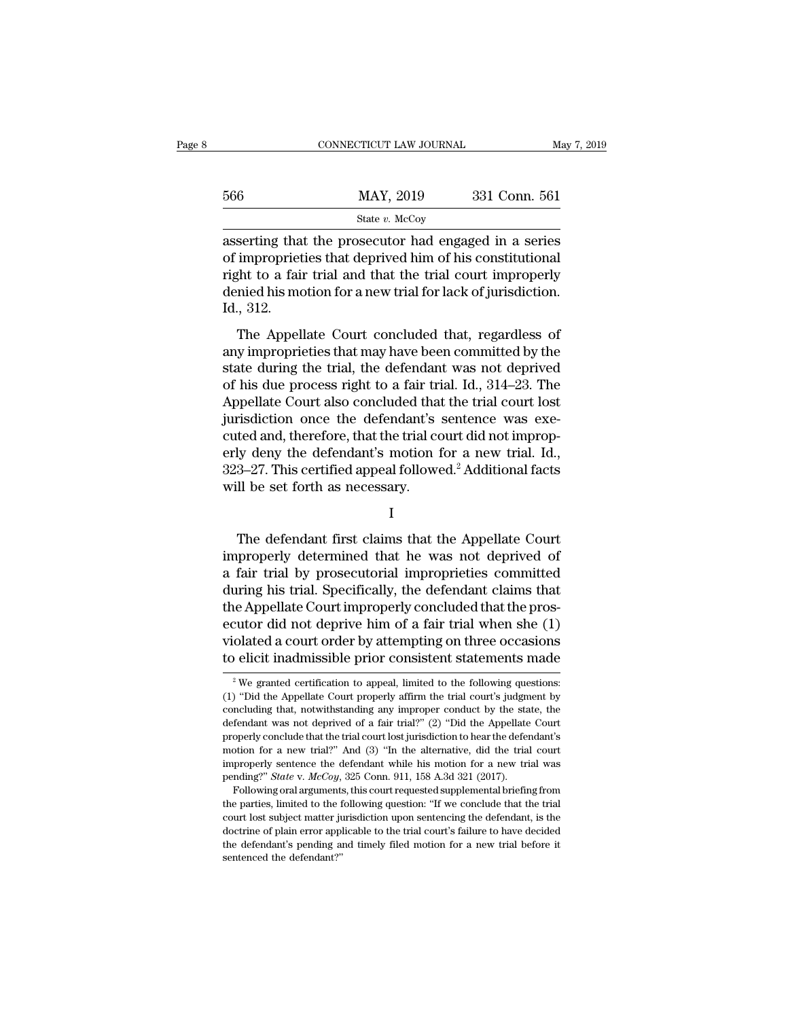|     | CONNECTICUT LAW JOURNAL                                                                                                                                                        | May 7, 2019   |
|-----|--------------------------------------------------------------------------------------------------------------------------------------------------------------------------------|---------------|
| 566 | MAY, 2019                                                                                                                                                                      | 331 Conn. 561 |
|     | State $v$ . McCoy                                                                                                                                                              |               |
|     | asserting that the prosecutor had engaged in a series<br>of improprieties that deprived him of his constitutional<br>right to a fair trial and that the trial court improperly |               |

 $\frac{\text{MAY, 2019}}{\text{State } v. \text{ McCoy}}$ <br>
asserting that the prosecutor had engaged in a series<br>
of improprieties that deprived him of his constitutional<br>
right to a fair trial and that the trial court improperly<br>
dopied his motio  $\frac{\text{MAX, 2019}}{\text{State } v. \text{ MCOy}}$ <br>asserting that the prosecutor had engaged in a series<br>of improprieties that deprived him of his constitutional<br>right to a fair trial and that the trial court improperly<br>denied his motion for  $\frac{\text{MAX}}{\text{State } v. \text{ MeCoy}}$ <br>  $\frac{\text{State } v. \text{ MeCoy}}{\text{asserting that the processor had engaged in a series}}$ <br>
of improprieties that deprived him of his constitutional<br>
right to a fair trial and that the trial court improperly<br>
denied his motion for a new trial for lack of Example 18<br>
asserting that<br>
of impropriet<br>
right to a fail<br>
denied his mo<br>
Id., 312.<br>
The Appel Serting that the prosecutor had engaged in a series<br>improprieties that deprived him of his constitutional<br>ght to a fair trial and that the trial court improperly<br>nied his motion for a new trial for lack of jurisdiction.<br>, asserting that the prosecutor had engaged in a series<br>of improprieties that deprived him of his constitutional<br>right to a fair trial and that the trial court improperly<br>denied his motion for a new trial for lack of jurisd

state during the trial, and that the trial court improperly<br>denied his motion for a new trial for lack of jurisdiction.<br>Id., 312.<br>The Appellate Court concluded that, regardless of<br>any improprieties that may have been commi Fight to a fair and and and the final coal improperty<br>denied his motion for a new trial for lack of jurisdiction.<br>Id., 312.<br>The Appellate Court concluded that, regardless of<br>any improprieties that may have been committed b Id., 312.<br>
The Appellate Court concluded that, regardless of<br>
any improprieties that may have been committed by the<br>
state during the trial, the defendant was not deprived<br>
of his due process right to a fair trial. Id., 31 radio state of the Appellate Court concluded that, regardless of any improprieties that may have been committed by the state during the trial, the defendant was not deprived of his due process right to a fair trial. Id., 3 The Appellate Court concluded that, regardless of<br>any improprieties that may have been committed by the<br>state during the trial, the defendant was not deprived<br>of his due process right to a fair trial. Id., 314–23. The<br>App any improprieties that may have been committed by the<br>state during the trial, the defendant was not deprived<br>of his due process right to a fair trial. Id., 314–23. The<br>Appellate Court also concluded that the trial court lo state during the trial, the defendant was not deprived<br>of his due process right to a fair trial. Id., 314–23. The<br>Appellate Court also concluded that the trial court lost<br>jurisdiction once the defendant's sentence was exeof his due process right to a fair tri<br>Appellate Court also concluded that<br>jurisdiction once the defendant's<br>cuted and, therefore, that the trial co<br>erly deny the defendant's motion 1<br>323–27. This certified appeal followe<br> ted and, therefore, that the trial court did not improp-<br>ly deny the defendant's motion for a new trial. Id.,<br>3–27. This certified appeal followed.<sup>2</sup> Additional facts<br>II be set forth as necessary.<br>I<br>The defendant first cl

I

erly deny the defendant's motion for a new trial. Id.,<br>323–27. This certified appeal followed.<sup>2</sup> Additional facts<br>will be set forth as necessary.<br>I<br>The defendant first claims that the Appellate Court<br>improperly determined 323–27. This certified appeal followed.<sup>2</sup> Additional facts<br>will be set forth as necessary.<br>I<br>The defendant first claims that the Appellate Court<br>improperly determined that he was not deprived of<br>a fair trial by prosecutor Will be set forth as necessary.<br>
I<br>
The defendant first claims that the Appellate Court<br>
improperly determined that he was not deprived of<br>
a fair trial by prosecutorial improprieties committed<br>
during his trial. Specifica I<br>
The defendant first claims that the Appellate Court<br>
improperly determined that he was not deprived of<br>
a fair trial by prosecutorial improprieties committed<br>
during his trial. Specifically, the defendant claims that<br>
t The defendant first claims that the Appellate Court<br>improperly determined that he was not deprived of<br>a fair trial by prosecutorial improprieties committed<br>during his trial. Specifically, the defendant claims that<br>the Appe The defendant first claims that the Appellate Court<br>improperly determined that he was not deprived of<br>a fair trial by prosecutorial improprieties committed<br>during his trial. Specifically, the defendant claims that<br>the Appe improperly determined that he was not deprived of<br>a fair trial by prosecutorial improprieties committed<br>during his trial. Specifically, the defendant claims that<br>the Appellate Court improperly concluded that the pros-<br>ecu e Appellate Court improperly concluded that the pros-<br>cutor did not deprive him of a fair trial when she (1)<br>olated a court order by attempting on three occasions<br>elicit inadmissible prior consistent statements made<br><sup>2</sup> We ecutor did not deprive him of a fair trial when she  $(1)$ <br>violated a court order by attempting on three occasions<br>to elicit inadmissible prior consistent statements made<br> $\frac{1}{2}$  We granted certification to appeal, limit

violated a court order by attempting on three occasions<br>to elicit inadmissible prior consistent statements made<br> $e^{i\theta}$  we granted certification to appeal, limited to the following questions:<br>(1) "Did the Appellate Court to elicit inadmissible prior consistent statements made<br>
<sup>2</sup> We granted certification to appeal, limited to the following questions:<br>
(1) "Did the Appellate Court properly affirm the trial court's judgment by<br>
concluding <sup>2</sup> We granted certification to appeal, limited to the following questions:<br>
<sup>2</sup> We granted certification to appeal, limited to the following questions:<br>
(1) "Did the Appellate Court properly affirm the trial court's judg <sup>2</sup> We granted certification to appeal, limited to the following questions:<br>
(1) "Did the Appellate Court properly affirm the trial court's judgment by<br>
concluding that, notwithstanding any improper conduct by the state, (1) "Did the Appellate Court properly affirm the trial court's judgment by concluding that, notwithstanding any improper conduct by the state, the defendant was not deprived of a fair trial?" (2) "Did the Appellate Court concluding that, notwithstanding any improper conduct by the state defendant was not deprived of a fair trial?" (2) "Did the Appellate properly conclude that the trial court lost jurisdiction to hear the deferemotion for a Frendant was not deprived of a fair trial?" (2) "Did the Appellate Court<br>fendant was not deprived of a fair trial?" (2) "Did the Appellate Court<br>operly conclude that the trial court lost jurisdiction to hear the defendant

properly conclude that the trial court lost jurisdiction to hear the defendant's motion for a new trial?" And (3) "In the alternative, did the trial court improperly sentence the defendant while his motion for a new trial property contains are writed?" And (3) "In the alternative, did the trial court improperly sentence the defendant while his motion for a new trial was pending?" *State v. McCoy*, 325 Conn. 911, 158 A.3d 321 (2017). Follow improperly sentence the defendant while his motion for a new trial was<br>pending?" *State* v. *McCoy*, 325 Conn. 911, 158 A.3d 321 (2017).<br>Following oral arguments, this court requested supplemental briefing from<br>the partie the defendant's pending and timely filed motion for a new trial before its pending?" *State v. McCoy*, 325 Conn. 911, 158 A.3d 321 (2017). Following oral arguments, this court requested supplemental briefing from the part Following oral arguments<br>The parties, limited to the f<br>court lost subject matter ju<br>doctrine of plain error apple<br>the defendant's pending a<br>sentenced the defendant?"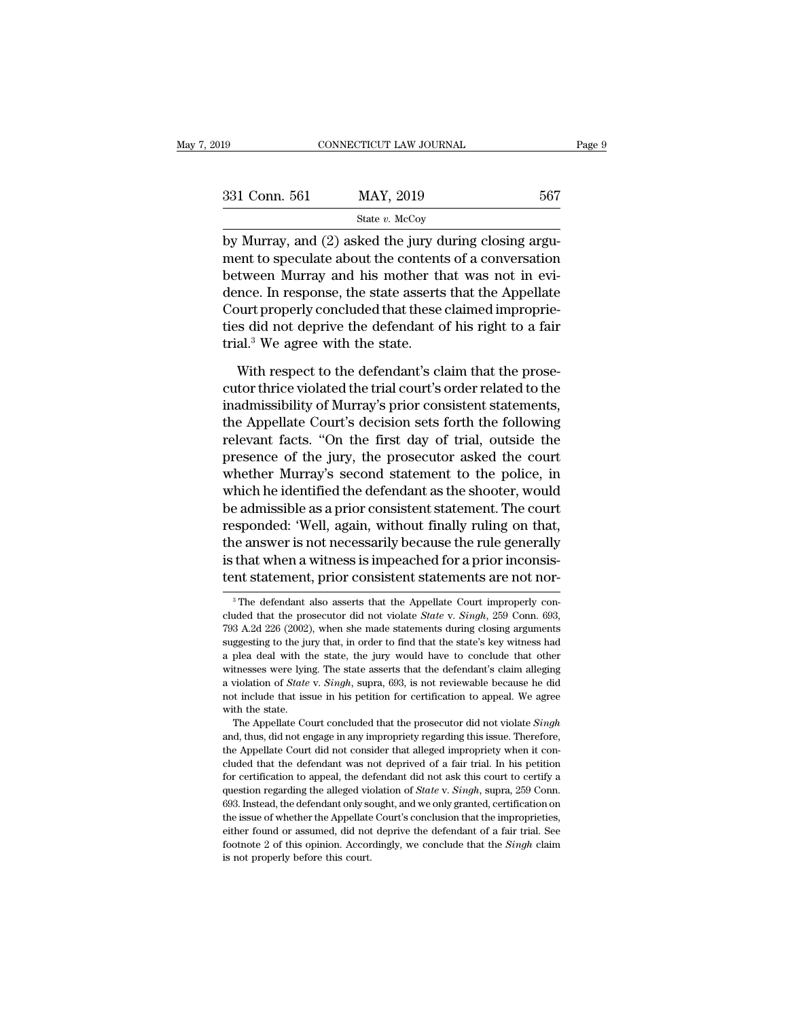| )19           | CONNECTICUT LAW JOURNAL                                                                                                                                                 | Page 9 |
|---------------|-------------------------------------------------------------------------------------------------------------------------------------------------------------------------|--------|
| 331 Conn. 561 | MAY, 2019                                                                                                                                                               | 567    |
|               | State $v$ . McCoy                                                                                                                                                       |        |
|               | by Murray, and (2) asked the jury during closing argu-<br>ment to speculate about the contents of a conversation<br>botyzoon Murrey and big mother that was not in evi- |        |

331 Conn. 561 MAY, 2019 567<br>
State  $v$ . McCoy<br>
by Murray, and (2) asked the jury during closing argument to speculate about the contents of a conversation<br>
between Murray and his mother that was not in evidence. In recono  $\begin{array}{ll}\n 331 \text{ Conn. } 561 \quad \text{MAX, } 2019 \quad \text{567} \\
 \text{State } v. \text{ MeCoy} \\
 \hline\n \text{by Murray, and (2) asked the jury during closing argument to speculate about the contents of a conversation between Murray and his mother that was not in evidence. In response, the state asserts that the Appellate Court properly concluded that these claimed immonric.\n$  $\frac{\text{331} \text{ Conn. } 561}{\text{State } v. \text{ McCoy}}$ <br>by Murray, and (2) asked the jury during closing argument to speculate about the contents of a conversation<br>between Murray and his mother that was not in evidence. In response, the stat State v. McCoy<br>by Murray, and (2) asked the jury during closing argu-<br>ment to speculate about the contents of a conversation<br>between Murray and his mother that was not in evi-<br>dence. In response, the state asserts that th state *b*. McCoy<br>by Murray, and (2) asked the jury during closing argu-<br>ment to speculate about the contents of a conversation<br>between Murray and his mother that was not in evi-<br>dence. In response, the state asserts that by Murray, and (2) asked the jury d<br>ment to speculate about the content<br>between Murray and his mother th<br>dence. In response, the state asserts<br>Court properly concluded that these<br>ties did not deprive the defendant c<br>trial. tween Murray and his mother that was not in evi-<br>nce. In response, the state asserts that the Appellate<br>ourt properly concluded that these claimed improprie-<br>s did not deprive the defendant of his right to a fair<br>al.<sup>3</sup> We dence. In response, the state asserts that the Appellate<br>Court properly concluded that these claimed improprie-<br>ties did not deprive the defendant of his right to a fair<br>trial.<sup>3</sup> We agree with the state.<br>With respect to t

Court properly concluded that these claimed improprie-<br>ties did not deprive the defendant of his right to a fair<br>trial.<sup>3</sup> We agree with the state.<br>With respect to the defendant's claim that the prose-<br>cutor thrice violat ties did not deprive the defendant of his right to a fair<br>trial.<sup>3</sup> We agree with the state.<br>With respect to the defendant's claim that the prose-<br>cutor thrice violated the trial court's order related to the<br>inadmissibilit trial.<sup>3</sup> We agree with the state.<br>
With respect to the defendant's claim that the prose-<br>
cutor thrice violated the trial court's order related to the<br>
inadmissibility of Murray's prior consistent statements,<br>
the Appella With respect to the defendant's claim that the prose-<br>cutor thrice violated the trial court's order related to the<br>inadmissibility of Murray's prior consistent statements,<br>the Appellate Court's decision sets forth the foll With respect to the defendant's claim that the prose-<br>cutor thrice violated the trial court's order related to the<br>inadmissibility of Murray's prior consistent statements,<br>the Appellate Court's decision sets forth the foll cutor thrice violated the trial court's order related to the<br>inadmissibility of Murray's prior consistent statements,<br>the Appellate Court's decision sets forth the following<br>relevant facts. "On the first day of trial, outs inadmissibility of Murray's prior consistent statements,<br>the Appellate Court's decision sets forth the following<br>relevant facts. "On the first day of trial, outside the<br>presence of the jury, the prosecutor asked the court<br> the Appellate Court's decision sets forth the following<br>relevant facts. "On the first day of trial, outside the<br>presence of the jury, the prosecutor asked the court<br>whether Murray's second statement to the police, in<br>which relevant facts. "On the first day of trial, outside the<br>presence of the jury, the prosecutor asked the court<br>whether Murray's second statement to the police, in<br>which he identified the defendant as the shooter, would<br>be ad presence of the jury, the prosecutor asked the court<br>whether Murray's second statement to the police, in<br>which he identified the defendant as the shooter, would<br>be admissible as a prior consistent statement. The court<br>resp whether Murray's second statement to the police, in<br>which he identified the defendant as the shooter, would<br>be admissible as a prior consistent statement. The court<br>responded: 'Well, again, without finally ruling on that,<br> is assert is not necessarily because the rule generally<br>that when a witness is impeached for a prior inconsis-<br>int statement, prior consistent statements are not nor-<br><sup>3</sup>The defendant also asserts that the Appellate Court the answer is not necessarily because the rule generally<br>is that when a witness is impeached for a prior inconsis-<br>tent statement, prior consistent statements are not nor-<br><sup>3</sup>The defendant also asserts that the Appellate C

is that when a witness is impeached for a prior inconsistent statement, prior consistent statements are not nor-<br><sup>3</sup>The defendant also asserts that the Appellate Court improperly concluded that the prosecutor did not viol tent statement, prior consistent statements are not nor-<br><sup>3</sup> The defendant also asserts that the Appellate Court improperly concluded that the prosecutor did not violate *State* v. *Singh*, 259 Com. 693, 793 A.2d 226 (200 <sup>3</sup> The defendant also asserts that the Appellate Court improperly concluded that the prosecutor did not violate *State* v. *Singh*, 259 Conn. 693, 793 A.2d 226 (2002), when she made statements during closing arguments su <sup>3</sup> The defendant also asserts that the Appellate Court improperly concluded that the prosecutor did not violate *State* v. *Singh*, 259 Conn. 693, 793 A.2d 226 (2002), when she made statements during closing arguments su cluded that the prosecutor did not violate *State* v. *Singh*, 259 Conn. 693, 793 A.2d 226 (2002), when she made statements during closing arguments suggesting to the jury that, in order to find that the state's key witnes 793 A.2d 226 (2002), when she made statements during closing arguments suggesting to the jury that, in order to find that the state's key witness had a plea deal with the state, the jury would have to conclude that other 793 A.2d 226 (2002), when she made statements during closing arguments suggesting to the jury that, in order to find that the state's key witness had a plea deal with the state, the jury would have to conclude that other goed and with the state, the jury would have to conclude that other thesses were lying. The state asserts that the defendant's claim alleging violation of *State* v. *Singh*, supra, 693, is not reviewable because he did t a produce with the state, and and the state asserts that the defendant's claim alleging a violation of *State* v. *Singh*, supra, 693, is not reviewable because he did not include that issue in his petition for certificat

a violation of *State* v. *Singh*, supra, 693, is not reviewable because he did not include that issue in his petition for certification to appeal. We agree with the state.<br>The Appellate Court concluded that the prosecuto not include that issue in his petition for certification to appeal. We agree with the state.<br>The Appellate Court concluded that the prosecutor did not violate *Singh* and, thus, did not engage in any impropriety regarding with the state.<br>The Appellate Court concluded that the prosecutor did not violate *Singh* and, thus, did not engage in any impropriety regarding this issue. Therefore, the Appellate Court did not consider that alleged imp The Appellate Court concluded that the prosecutor did not violate *Singh*, and, thus, did not engage in any impropriety regarding this issue. Therefore, the Appellate Court did not consider that alleged impropriety when it and, thus, did not engage in any impropriety regarding this issue. Therefore, the Appellate Court did not consider that alleged impropriety when it concluded that the defendant was not deprived of a fair trial. In his pet the Appellate Court did not consider that alleged impropriety when it concluded that the defendant was not deprived of a fair trial. In his petition for certification to appeal, the defendant did not ask this court to cer either found that the defendant was not deprived of a fair trial. In his petition for certification to appeal, the defendant did not ask this court to certify a question regarding the alleged violation of *State* v. *Sing* for certification to appeal, the defendant did not ask this court to certify a question regarding the alleged violation of *State* v. *Singh*, supra, 259 Conn. 693. Instead, the defendant only sought, and we only granted, question regarding the alleged violation of *State* v. *Singh*, supra, 259 Conn. 693. Instead, the defendant only sought, and we only granted, certification on the issue of whether the Appellate Court's conclusion that th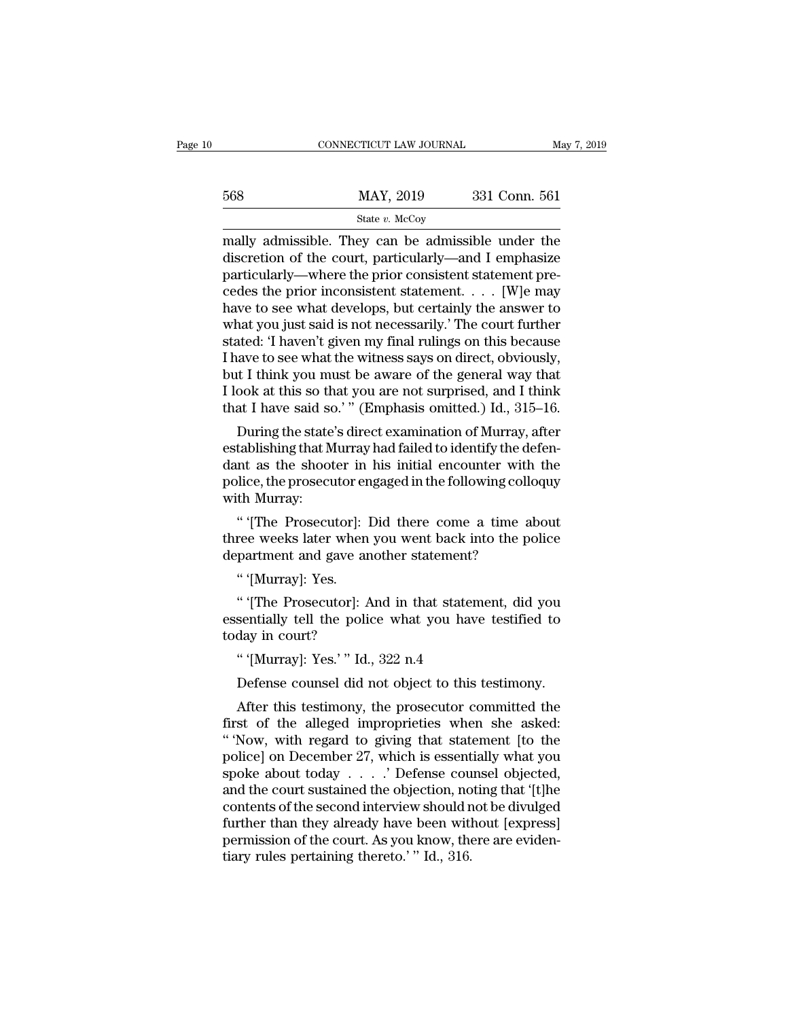|     | CONNECTICUT LAW JOURNAL | May 7, 2019   |  |
|-----|-------------------------|---------------|--|
|     |                         |               |  |
| 568 | MAY, 2019               | 331 Conn. 561 |  |
|     | State $v$ . McCoy       |               |  |

 $\begin{array}{r|l}\n\text{COMNETICUT LAW JOURNAL} & \text{May 7, 2019} \\
\hline\n & \text{State } v. \text{ McCoy} \\
\hline\n\text{mally admissible. They can be admissible under the}\n\text{discretion of the court, particularly—and I emphasize}\n\end{array}$ MAY, 2019 331 Conn. 561<br>
State v. McCoy<br>
Mally admissible. They can be admissible under the<br>
discretion of the court, particularly—and I emphasize<br>
particularly—where the prior consistent statement pre-<br>
codes the prior in  $\frac{\text{MAX, 2019}}{\text{State } v. \text{ MeCoy}}$ <br>
mally admissible. They can be admissible under the discretion of the court, particularly—and I emphasize particularly—where the prior consistent statement pre-<br>
cedes the prior inconsistent 568 MAY, 2019 331 Conn. 561<br>
State v. McCoy<br>
mally admissible. They can be admissible under the<br>
discretion of the court, particularly—and I emphasize<br>
particularly—where the prior consistent statement pre-<br>
cedes the pri State v. McCoy<br>
mally admissible. They can be admissible under the<br>
discretion of the court, particularly—and I emphasize<br>
particularly—where the prior consistent statement pre-<br>
cedes the prior inconsistent statement.... state v. McCoy<br>
mally admissible. They can be admissible under the<br>
discretion of the court, particularly—and I emphasize<br>
particularly—where the prior consistent statement pre-<br>
cedes the prior inconsistent statement.... mally admissible. They can be admissible under the<br>discretion of the court, particularly—and I emphasize<br>particularly—where the prior consistent statement pre-<br>cedes the prior inconsistent statement. . . . [W]e may<br>have to discretion of the court, particularly—and I emphasize<br>particularly—where the prior consistent statement pre-<br>cedes the prior inconsistent statement. . . . . [W]e may<br>have to see what develops, but certainly the answer to<br>w particularly—where the prior consistent statement precedes the prior inconsistent statement. . . . [W]e may<br>have to see what develops, but certainly the answer to<br>what you just said is not necessarily.' The court further<br> cedes the prior inconsistent statement. . . . [W]e may<br>have to see what develops, but certainly the answer to<br>what you just said is not necessarily.' The court further<br>stated: 'I haven't given my final rulings on this beca have to see what develops, but certainly the answer to<br>what you just said is not necessarily.' The court further<br>stated: 'I haven't given my final rulings on this because<br>I have to see what the witness says on direct, obvi rat you just said is not necessarily. The coult further<br>ated: 'I haven't given my final rulings on this because<br>ave to see what the witness says on direct, obviously,<br>it I think you must be aware of the general way that<br>oo stated: I haven t given hiy linal rulings on this because<br>I have to see what the witness says on direct, obviously,<br>but I think you must be aware of the general way that<br>I look at this so that you are not surprised, and I

Thave to see what the witness says on direct, obviously,<br>but I think you must be aware of the general way that<br>I look at this so that you are not surprised, and I think<br>that I have said so.'" (Emphasis omitted.) Id., 315–1 but I think you must be aware of the general way that I look at this so that you are not surprised, and I think that I have said so.'" (Emphasis omitted.) Id., 315–16.<br>During the state's direct examination of Murray, after Thook at this so the<br>that I have said so<br>During the state<br>establishing that M<br>dant as the shoot<br>police, the prosecu<br>with Murray:<br>"The Prosecu During the state's direct examination of Murray, after tablishing that Murray had failed to identify the defen-<br>nt as the shooter in his initial encounter with the lice, the prosecutor engaged in the following colloquy<br>th but ingule state s unect examination of murray, after establishing that Murray had failed to identify the defendant as the shooter in his initial encounter with the police, the prosecutor engaged in the following colloquy establishing that murray had failed to dentify the defant as the shooter in his initial encounter with police, the prosecutor engaged in the following collowith Murray:<br>" (The Prosecutor]: Did there come a time althree wee

police, the prosecutor engaged in the following colloquy<br>with Murray:<br>"' [The Prosecutor]: Did there come a time about<br>three weeks later when you went back into the police<br>department and gave another statement?<br>"' [Murray] <sup>"</sup> '[The Prosecutor]: Did there come a time about<br>ree weeks later when you went back into the police<br>partment and gave another statement?<br>" '[Murray]: Yes.<br>" '[The Prosecutor]: And in that statement, did you<br>sentially tel

" (The Prosecutor): Did there come a time about<br>three weeks later when you went back into the police<br>department and gave another statement?<br>" (Murray): Yes.<br>" (The Prosecutor): And in that statement, did you<br>essentially te today in court?<br>"'[Murray]: Yes.'" Id., 322 n.4 partment and gave another statement?<br>"'(Murray]: Yes.<br>"'(The Prosecutor]: And in that stateme<br>sentially tell the police what you have<br>day in court?<br>"'(Murray]: Yes.'" Id., 322 n.4<br>Defense counsel did not object to this t " '[Murray]: Yes.<br>" '[The Prosecutor]: And in that statement, did you<br>sentially tell the police what you have testified to<br>day in court?<br>" '[Murray]: Yes.' " Id., 322 n.4<br>Defense counsel did not object to this testimony.<br>A " [The Prosecutor]: And in that statement, did you<br>sentially tell the police what you have testified to<br>day in court?<br>" (Murray]: Yes.' " Id., 322 n.4<br>Defense counsel did not object to this testimony.<br>After this testimony,

essentially tell the police what you have testified to<br>today in court?<br>" "[Murray]: Yes.'" Id., 322 n.4<br>Defense counsel did not object to this testimony.<br>After this testimony, the prosecutor committed the<br>first of the alle today in court?<br>
"'(Murray]: Yes.'" Id., 322 n.4<br>
Defense counsel did not object to this testimony.<br>
After this testimony, the prosecutor committed the<br>
first of the alleged improprieties when she asked:<br>
"Now, with regard " (Murray]: Yes.' " Id., 322 n.4<br>
Defense counsel did not object to this testimony.<br>
After this testimony, the prosecutor committed the<br>
first of the alleged improprieties when she asked:<br>
"Now, with regard to giving that Defense counsel did not object to this testimony.<br>After this testimony, the prosecutor committed the<br>first of the alleged improprieties when she asked:<br>"Now, with regard to giving that statement [to the<br>police] on Decembe Detense courset and not object to this testimony.<br>
After this testimony, the prosecutor committed the<br>
first of the alleged improprieties when she asked:<br>
"Now, with regard to giving that statement [to the<br>
police] on Dec After this testimony, the prosecutor committed the<br>first of the alleged improprieties when she asked:<br>"Now, with regard to giving that statement [to the<br>police] on December 27, which is essentially what you<br>spoke about to first of the alleged improprieties when she asked:<br>
"Yow, with regard to giving that statement [to the<br>
police] on December 27, which is essentially what you<br>
spoke about today  $\ldots$ .' Defense counsel objected,<br>
and the c " Now, with regard to giving that statement [to the police] on December 27, which is essentially what you spoke about today  $\ldots$  .  $\cdot$  Defense counsel objected, and the court sustained the objection, noting that '[t]he police] on December 27, which is essentially what you spoke about today  $\ldots$ . ' Defense counsel objected, and the court sustained the objection, noting that '[t]he contents of the second interview should not be divulged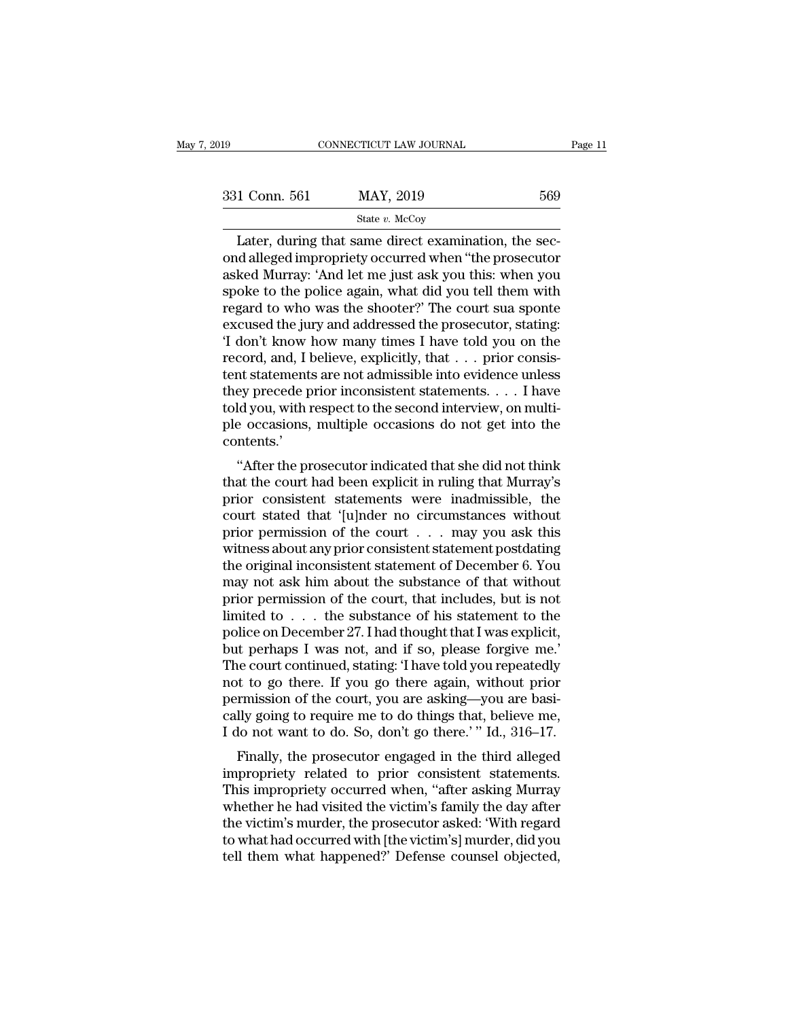| :019          | CONNECTICUT LAW JOURNAL                                                                                                                                                | Page 11 |
|---------------|------------------------------------------------------------------------------------------------------------------------------------------------------------------------|---------|
|               |                                                                                                                                                                        |         |
| 331 Conn. 561 | MAY, 2019                                                                                                                                                              | 569     |
|               | State $v$ . McCoy                                                                                                                                                      |         |
|               | Later, during that same direct examination, the sec-<br>ond alleged impropriety occurred when "the prosecutor<br>asked Murray: 'And let me just ask you this, when you |         |

331 Conn. 561 MAY, 2019 569<br>
State v. McCoy<br>
Later, during that same direct examination, the second alleged impropriety occurred when "the prosecutor<br>
asked Murray: 'And let me just ask you this: when you<br>
spoke to the po 331 Conn. 561 MAY, 2019 569<br>
State v. McCoy<br>
Later, during that same direct examination, the sec-<br>
ond alleged impropriety occurred when "the prosecutor<br>
asked Murray: 'And let me just ask you this: when you<br>
spoke to the  $\frac{\text{331} \text{ Conn. } 561}{\text{State } v. \text{ McCoy}}$ <br>
Later, during that same direct examination, the second alleged impropriety occurred when "the prosecutor asked Murray: 'And let me just ask you this: when you spoke to the police again Extra for the state v. McCoy<br>
Later, during that same direct examination, the sec-<br>
ond alleged impropriety occurred when "the prosecutor<br>
asked Murray: 'And let me just ask you this: when you<br>
spoke to the police again, Example 19 State v. McCoy<br>
Later, during that same direct examination, the sec-<br>
ond alleged impropriety occurred when "the prosecutor<br>
asked Murray: 'And let me just ask you this: when you<br>
spoke to the police again, wha Later, during that same direct examination, the sec-<br>ond alleged impropriety occurred when "the prosecutor<br>asked Murray: 'And let me just ask you this: when you<br>spoke to the police again, what did you tell them with<br>regar ond alleged impropriety occurred when "the prosecutor<br>asked Murray: 'And let me just ask you this: when you<br>spoke to the police again, what did you tell them with<br>regard to who was the shooter?' The court sua sponte<br>excuse asked Murray: 'And let me just ask you this: when you<br>spoke to the police again, what did you tell them with<br>regard to who was the shooter?' The court sua sponte<br>excused the jury and addressed the prosecutor, stating:<br>'I d spoke to the police again, what did you tell them with<br>regard to who was the shooter?' The court sua sponte<br>excused the jury and addressed the prosecutor, stating:<br>'I don't know how many times I have told you on the<br>record regard to who was the shooter?' The court sua sponte excused the jury and addressed the prosecutor, stating: 'I don't know how many times I have told you on the record, and, I believe, explicitly, that . . . prior consiste excused the jury and addressed the prosecutor, stating:<br>'I don't know how many times I have told you on the<br>record, and, I believe, explicitly, that . . . prior consis-<br>tent statements are not admissible into evidence unle contents.' ''After the prosecutor indicated that she did not think tent statements are not autussible into evidence unless<br>they precede prior inconsistent statements. . . . I have<br>told you, with respect to the second interview, on multi-<br>ple occasions, multiple occasions do not get into t

precede prior inconsistent statements.  $\ldots$  in flave told you, with respect to the second interview, on multiple occasions, multiple occasions do not get into the contents.<br>
"After the prosecutor indicated that she did n cold you, while respect to the second interview, on humi-<br>ple occasions, multiple occasions do not get into the<br>contents.'<br>"After the prosecutor indicated that she did not think<br>that the court had been explicit in ruling t prior occasions, including occasions do not get into the<br>contents.'<br>"After the prosecutor indicated that she did not think<br>that the court had been explicit in ruling that Murray's<br>prior consistent statements were inadmissi "After the prosecutor indicated that she did not think<br>that the court had been explicit in ruling that Murray's<br>prior consistent statements were inadmissible, the<br>court stated that '[u]nder no circumstances without<br>prior "After the prosecutor indicated that she did not think<br>that the court had been explicit in ruling that Murray's<br>prior consistent statements were inadmissible, the<br>court stated that '[u]nder no circumstances without<br>prior that the court had been explicit in ruling that Murray's<br>prior consistent statements were inadmissible, the<br>court stated that '[u]nder no circumstances without<br>prior permission of the court . . . may you ask this<br>witness a prior consistent statements were inadmissible, the<br>court stated that '[u]nder no circumstances without<br>prior permission of the court . . . may you ask this<br>witness about any prior consistent statement postdating<br>the origi court stated that '[u]nder no circumstances without<br>prior permission of the court . . . may you ask this<br>witness about any prior consistent statement postdating<br>the original inconsistent statement of December 6. You<br>may n prior permission of the court . . . may you ask this<br>witness about any prior consistent statement postdating<br>the original inconsistent statement of December 6. You<br>may not ask him about the substance of that without<br>prior witness about any prior consistent statement postdating<br>the original inconsistent statement of December 6. You<br>may not ask him about the substance of that without<br>prior permission of the court, that includes, but is not<br>li the original inconsistent statement of December 6. You<br>may not ask him about the substance of that without<br>prior permission of the court, that includes, but is not<br>limited to . . . the substance of his statement to the<br>pol may not ask him about the substance of that without<br>prior permission of the court, that includes, but is not<br>limited to . . . the substance of his statement to the<br>police on December 27. I had thought that I was explicit,<br> prior permission of the court, that includes, but is not limited to . . . the substance of his statement to the police on December 27. I had thought that I was explicit, but perhaps I was not, and if so, please forgive me limited to . . . the substance of his statement to the police on December 27. I had thought that I was explicit, but perhaps I was not, and if so, please forgive me.'<br>The court continued, stating: 'I have told you repeated police on December 27. I had thought that I was explicit,<br>but perhaps I was not, and if so, please forgive me.'<br>The court continued, stating: 'I have told you repeatedly<br>not to go there. If you go there again, without prio It was not, and it so, please forgive me.<br>The court continued, stating: Thave told you repeatedly<br>t to go there. If you go there again, without prior<br>rmission of the court, you are asking—you are basi-<br>lly going to require The court continued, stating. Thave told you repeatedly<br>not to go there. If you go there again, without prior<br>permission of the court, you are asking—you are basi-<br>cally going to require me to do things that, believe me,<br>I

not to go there. If you go there again, whilout prior<br>permission of the court, you are asking—you are basi-<br>cally going to require me to do things that, believe me,<br>I do not want to do. So, don't go there.' " Id., 316–17.<br> permission of the court, you are asking—you are basi-<br>cally going to require me to do things that, believe me,<br>I do not want to do. So, don't go there.' " Id., 316–17.<br>Finally, the prosecutor engaged in the third alleged<br>i Learly going to require the to do things that, beneve the,<br>
I do not want to do. So, don't go there.' "Id., 316–17.<br>
Finally, the prosecutor engaged in the third alleged<br>
impropriety related to prior consistent statements. Finally, the prosecutor engaged in the third alleged<br>impropriety related to prior consistent statements.<br>This impropriety occurred when, "after asking Murray<br>whether he had visited the victim's family the day after<br>the vi Finally, the prosecutor engaged in the third alleged<br>impropriety related to prior consistent statements.<br>This impropriety occurred when, "after asking Murray<br>whether he had visited the victim's family the day after<br>the vic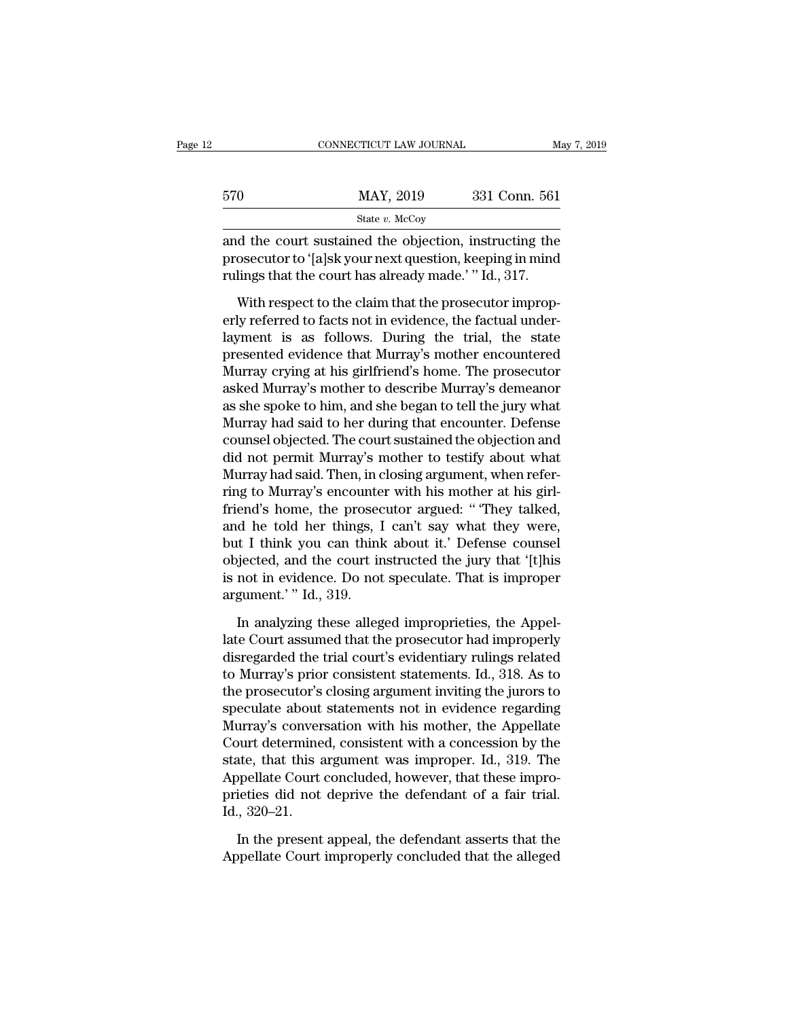|     | CONNECTICUT LAW JOURNAL                                                                                                                                                     | May 7, 2019   |
|-----|-----------------------------------------------------------------------------------------------------------------------------------------------------------------------------|---------------|
| 570 | MAY, 2019                                                                                                                                                                   | 331 Conn. 561 |
|     | State $v$ . McCoy                                                                                                                                                           |               |
|     | and the court sustained the objection, instructing the<br>prosecutor to '[a]sk your next question, keeping in mind<br>miling that the court has already made $''$ Ld $-917$ |               |

570 MAY, 2019 331 Conn. 561<br>
State v. McCoy<br>
and the court sustained the objection, instructing the<br>
prosecutor to '[a]sk your next question, keeping in mind<br>
rulings that the court has already made.' " Id., 317.  $\begin{array}{r} \text{570} & \text{MAX, } 2019 & 331 \text{ Conn. } 561 \\ \text{State } v. \text{ MeCoy} \end{array}$ <br>and the court sustained the objection, instructing the prosecutor to '[a]sk your next question, keeping in mind rulings that the court has already made.' " I WHT, 2019 331 COND. 301<br>
State v. McCoy<br>
d the court sustained the objection, instructing the<br>
osecutor to '[a]sk your next question, keeping in mind<br>
lings that the court has already made.' " Id., 317.<br>
With respect to t

State v. McCoy<br>
and the court sustained the objection, instructing the<br>
prosecutor to '[a]sk your next question, keeping in mind<br>
rulings that the court has already made.' " Id., 317.<br>
With respect to the claim that the p and the court sustained the objection, instructing the<br>prosecutor to '[a]sk your next question, keeping in mind<br>rulings that the court has already made.' " Id., 317.<br>With respect to the claim that the prosecutor improp-<br>er prosecutor to '[a]sk your next question, keeping in mind<br>rulings that the court has already made.' " Id., 317.<br>With respect to the claim that the prosecutor improp-<br>erly referred to facts not in evidence, the factual under rulings that the court has already made.' " Id., 317.<br>With respect to the claim that the prosecutor improperly referred to facts not in evidence, the factual under-<br>layment is as follows. During the trial, the state<br>presen With respect to the claim that the prosecutor improperly referred to facts not in evidence, the factual under-<br>layment is as follows. During the trial, the state<br>presented evidence that Murray's mother encountered<br>Murray c With respect to the claim that the prosecutor improperly referred to facts not in evidence, the factual under-<br>layment is as follows. During the trial, the state<br>presented evidence that Murray's mother encountered<br>Murray c erly referred to facts not in evidence, the factual under-<br>layment is as follows. During the trial, the state<br>presented evidence that Murray's mother encountered<br>Murray crying at his girlfriend's home. The prosecutor<br>asked layment is as follows. During the trial, the state<br>presented evidence that Murray's mother encountered<br>Murray crying at his girlfriend's home. The prosecutor<br>asked Murray's mother to describe Murray's demeanor<br>as she spoke presented evidence that Murray's mother encountered<br>Murray crying at his girlfriend's home. The prosecutor<br>asked Murray's mother to describe Murray's demeanor<br>as she spoke to him, and she began to tell the jury what<br>Murray Murray crying at his girlfriend's home. The prosecutor<br>asked Murray's mother to describe Murray's demeanor<br>as she spoke to him, and she began to tell the jury what<br>Murray had said to her during that encounter. Defense<br>coun asked Murray's mother to describe Murray's demeanor<br>as she spoke to him, and she began to tell the jury what<br>Murray had said to her during that encounter. Defense<br>counsel objected. The court sustained the objection and<br>did as she spoke to him, and she began to tell the jury what<br>Murray had said to her during that encounter. Defense<br>counsel objected. The court sustained the objection and<br>did not permit Murray's mother to testify about what<br>Mu Murray had said to her during that encounter. Defense<br>counsel objected. The court sustained the objection and<br>did not permit Murray's mother to testify about what<br>Murray had said. Then, in closing argument, when refer-<br>rin counsel objected. The court sustained the objection and<br>did not permit Murray's mother to testify about what<br>Murray had said. Then, in closing argument, when refer-<br>ring to Murray's encounter with his mother at his girl-<br>f did not permit Murray's mother to testify about what<br>Murray had said. Then, in closing argument, when refer-<br>ring to Murray's encounter with his mother at his girl-<br>friend's home, the prosecutor argued: " They talked,<br>and Murray had said. Then, in closing argument, when refer-<br>ring to Murray's encounter with his mother at his girl-<br>friend's home, the prosecutor argued: "They talked,<br>and he told her things, I can't say what they were,<br>but I ring to Murray's encounte<br>friend's home, the prosec<br>and he told her things, l<br>but I think you can thinl<br>objected, and the court ir<br>is not in evidence. Do not<br>argument.' " Id., 319.<br>In analyzing these alleg In a to total her things, I can't say what they were,<br>It I think you can think about it.' Defense counsel<br>giected, and the court instructed the jury that '[t]his<br>not in evidence. Do not speculate. That is improper<br>gument.' but I think you can think about it.' Defense counsel<br>objected, and the court instructed the jury that '[t]his<br>is not in evidence. Do not speculate. That is improper<br>argument.' " Id., 319.<br>In analyzing these alleged impropr

objected, and the court instructed the jury that '[t]his<br>is not in evidence. Do not speculate. That is improper<br>argument.' " Id., 319.<br>In analyzing these alleged improprieties, the Appel-<br>late Court assumed that the prosec is not in evidence. Do not speculate. That is improper<br>argument.' " Id., 319.<br>In analyzing these alleged improprieties, the Appel-<br>late Court assumed that the prosecutor had improperly<br>disregarded the trial court's evident argument.' " Id., 319.<br>
In analyzing these alleged improprieties, the Appel-<br>
late Court assumed that the prosecutor had improperly<br>
disregarded the trial court's evidentiary rulings related<br>
to Murray's prior consistent s In analyzing these alleged improprieties, the Appellate Court assumed that the prosecutor had improperly disregarded the trial court's evidentiary rulings related to Murray's prior consistent statements. Id., 318. As to th In analyzing these alleged improprieties, the Appellate Court assumed that the prosecutor had improperly disregarded the trial court's evidentiary rulings related to Murray's prior consistent statements. Id., 318. As to th late Court assumed that the prosecutor had improperly<br>disregarded the trial court's evidentiary rulings related<br>to Murray's prior consistent statements. Id., 318. As to<br>the prosecutor's closing argument inviting the jurors disregarded the trial court's evidentiary rulings related<br>to Murray's prior consistent statements. Id., 318. As to<br>the prosecutor's closing argument inviting the jurors to<br>speculate about statements not in evidence regardi to Murray's prior consistent statements. Id., 318. As to<br>the prosecutor's closing argument inviting the jurors to<br>speculate about statements not in evidence regarding<br>Murray's conversation with his mother, the Appellate<br>Co the prosecutor's closing argument inviting the jurors to<br>speculate about statements not in evidence regarding<br>Murray's conversation with his mother, the Appellate<br>Court determined, consistent with a concession by the<br>state speculate about<br>Murray's conver<br>Court determine<br>state, that this a<br>Appellate Court<br>prieties did not<br>Id., 320–21.<br>In the present bourt determined, consistent with a concession by the<br>atte, that this argument was improper. Id., 319. The<br>ppellate Court concluded, however, that these impro-<br>ieties did not deprive the defendant of a fair trial.<br>,, 320–2 state, that this argument was improper. Id., 319. The<br>Appellate Court concluded, however, that these impro-<br>pricities did not deprive the defendant of a fair trial.<br>Id., 320–21.<br>In the present appeal, the defendant asserts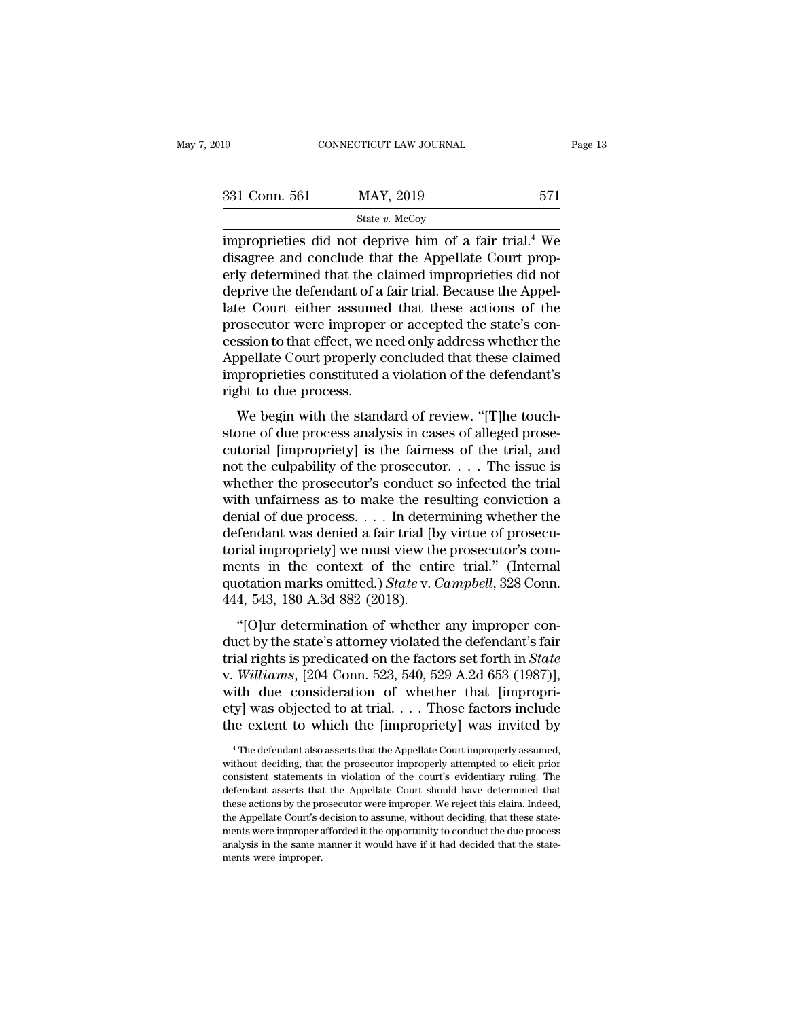| )19           | CONNECTICUT LAW JOURNAL                                                                                                                                                              |         |
|---------------|--------------------------------------------------------------------------------------------------------------------------------------------------------------------------------------|---------|
|               |                                                                                                                                                                                      | Page 13 |
| 331 Conn. 561 | MAY, 2019                                                                                                                                                                            | 571     |
|               | State $v$ . McCoy                                                                                                                                                                    |         |
|               | improprieties did not deprive him of a fair trial. <sup>4</sup> We<br>disagree and conclude that the Appellate Court prop-<br>orly determined that the claimed impropriation did not |         |

 $\begin{array}{ll}\n 331 \text{ Conn. } 561 \text{ } & \text{MAX, } 2019 \text{ } & \text{571}\n \end{array}$   $\begin{array}{ll}\n 571 \text{ State } v. \text{ McCoy} \\
 \text{improprieties did not derive him of a fair trial.<sup>4</sup> We disagree and conclude that the Appellate Court properly determined that the claimed improprieties did not derive the deformation process.} \n\end{array}$ 331 Conn. 561 MAY, 2019 571<br>
State v. McCoy<br>
improprieties did not deprive him of a fair trial.<sup>4</sup> We<br>
disagree and conclude that the Appellate Court prop-<br>
erly determined that the claimed improprieties did not<br>
deprive 331 Conn. 561 MAY, 2019 571<br>
State v. McCoy<br>
improprieties did not deprive him of a fair trial.<sup>4</sup> We<br>
disagree and conclude that the Appellate Court prop-<br>
erly determined that the claimed improprieties did not<br>
deprive State v. McCoy<br>
improprieties did not deprive him of a fair trial.<sup>4</sup> We<br>
disagree and conclude that the Appellate Court prop-<br>
erly determined that the claimed improprieties did not<br>
deprive the defendant of a fair trial  $\begin{array}{l} \text{state } v \text{ } \text{McCoy} \\ \text{improprieties did not derive him of a fair trial.<sup>4</sup> We disagree and conclude that the Appellate Court properly determined that the claimed improprieties did not derive the defendant of a fair trial. Because the Appellate Court either assumed that these actions of the prosecutor were improper or accepted the state's co-cession to that effect, we need only address whether the Amellato Court properly concluded that those claimed. \end{array}$ improprieties did not deprive him of a fair trial.<sup>4</sup> We<br>disagree and conclude that the Appellate Court prop-<br>erly determined that the claimed improprieties did not<br>deprive the defendant of a fair trial. Because the Appeldisagree and conclude that the Appellate Court properly determined that the claimed improprieties did not<br>deprive the defendant of a fair trial. Because the Appel-<br>late Court either assumed that these actions of the<br>prosec erly determined that the claimed improprieties did not<br>deprive the defendant of a fair trial. Because the Appel-<br>late Court either assumed that these actions of the<br>prosecutor were improper or accepted the state's con-<br>ces deprive the defendant of a<br>late Court either assume<br>prosecutor were improper<br>cession to that effect, we n<br>Appellate Court properly of<br>improprieties constituted :<br>right to due process.<br>We begin with the stand be Court entier assumed that these actions of the<br>osecutor were improper or accepted the state's con-<br>ssion to that effect, we need only address whether the<br>ppellate Court properly concluded that these claimed<br>proprieties prosecutor were improper or accepted the state's con-<br>cession to that effect, we need only address whether the<br>Appellate Court properly concluded that these claimed<br>improprieties constituted a violation of the defendant's<br>

currely concluded that these claimed<br>improprieties constituted a violation of the defendant's<br>right to due process.<br>We begin with the standard of review. "[T]he touch-<br>stone of due process analysis in cases of alleged pros mproprieties constituted a violation of the defendant's<br>right to due process.<br>We begin with the standard of review. "[T]he touch-<br>stone of due process analysis in cases of alleged prose-<br>cutorial [impropriety] is the fairn mipropricies constructed a violation of the detendant s<br>right to due process.<br>We begin with the standard of review. "[T]he touch-<br>stone of due process analysis in cases of alleged prose-<br>cutorial [impropriety] is the fair We begin with the standard of review. "[T]he touch-<br>stone of due process analysis in cases of alleged prose-<br>cutorial [impropriety] is the fairness of the trial, and<br>not the culpability of the prosecutor. . . . The issue We begin with the standard of review. "[T]he touch-<br>stone of due process analysis in cases of alleged prose-<br>cutorial [impropriety] is the fairness of the trial, and<br>not the culpability of the prosecutor.... The issue is<br> stone of due process analysis in cases of alleged prose-<br>cutorial [impropriety] is the fairness of the trial, and<br>not the culpability of the prosecutor. . . . The issue is<br>whether the prosecutor's conduct so infected the cutorial [impropriety] is the fairness of the trial, and<br>not the culpability of the prosecutor. . . . The issue is<br>whether the prosecutor's conduct so infected the trial<br>with unfairness as to make the resulting conviction not the culpability of the prosecutor. . . . . The issue is<br>whether the prosecutor's conduct so infected the trial<br>with unfairness as to make the resulting conviction a<br>denial of due process. . . . In determining whether whether the prosecutor's conduct so infected the trial<br>with unfairness as to make the resulting conviction a<br>denial of due process. . . . In determining whether the<br>defendant was denied a fair trial [by virtue of prosecu-<br> with unfairness as to make the res<br>denial of due process. . . . In deter<br>defendant was denied a fair trial [b<br>torial impropriety] we must view th<br>ments in the context of the ent<br>quotation marks omitted.) *State* v. (<br>444, fendant was denied a fair trial [by virtue of prosecu-<br>
rial impropriety] we must view the prosecutor's com-<br>
ents in the context of the entire trial." (Internal<br>
otation marks omitted.) *State* v. *Campbell*, 328 Conn.<br> determinative was defined a rain trial [by virtue of prosecutor]<br>torial impropriety] we must view the prosecutor's com-<br>ments in the context of the entire trial." (Internal<br>quotation marks omitted.) *State* v. *Campbell*,

torial impropriety] we must view the prosecutor's com-<br>ments in the context of the entire trial." (Internal<br>quotation marks omitted.) *State* v. *Campbell*, 328 Conn.<br>444, 543, 180 A.3d 882 (2018).<br>"[O]ur determination of ments in the context of the entire trial. (internation quotation marks omitted.) *State v. Campbell*, 328 Conn.<br>444, 543, 180 A.3d 882 (2018).<br>"[O]ur determination of whether any improper conduct by the state's attorney vi quotation hat its officear. Joute v. Campbeat, 528 Conn.<br>444, 543, 180 A.3d 882 (2018).<br>"[O]ur determination of whether any improper con-<br>duct by the state's attorney violated the defendant's fair<br>trial rights is predicat First, 540, 160 A.5d 662 (2016).<br>
"[O]ur determination of whether any improper conduct by the state's attorney violated the defendant's fair<br>
trial rights is predicated on the factors set forth in *State*<br>
v. Williams, [2 "[O]ur determination of whether any improper conduct by the state's attorney violated the defendant's fair trial rights is predicated on the factors set forth in *State* v. *Williams*, [204 Conn. 523, 540, 529 A.2d 653 (1 Williams, [204 Conn. 523, 540, 529 A.2d 653 (1987)],<br>ith due consideration of whether that [impropri-<br>y] was objected to at trial. . . . Those factors include<br>e extent to which the [impropriety] was invited by<br><sup>4</sup>The defe with due consideration of whether that [impropri-<br>ety] was objected to at trial. . . . Those factors include<br>the extent to which the [impropriety] was invited by<br> $\frac{4}{1}$  The defendant also asserts that the Appellate Cou

ety] was objected to at trial. . . . Those factors include<br>the extent to which the [impropriety] was invited by<br><sup>4</sup>The defendant also asserts that the Appellate Court improperly assumed,<br>without deciding, that the prosecut the extent to which the [impropriety] was invited by<br> $\overline{\phantom{a}}$   $\overline{\phantom{a}}$  The defendant also asserts that the Appellate Court improperly assumed,<br>without deciding, that the prosecutor improperly attempted to elicit pri The externt to written the propertiefy was invited by<br>
<sup>4</sup> The defendant also asserts that the Appellate Court improperly assumed,<br>
without deciding, that the prosecutor improperly attempted to elicit prior<br>
consistent sta <sup>4</sup> The defendant also asserts that the Appellate Court improperly assumed, without deciding, that the prosecutor improperly attempted to elicit prior consistent statements in violation of the court's evidentiary ruling. without deciding, that the prosecutor improperly attempted to elicit prior consistent statements in violation of the court's evidentiary ruling. The defendant asserts that the Appellate Court should have determined that th consistent statements in violation of the court's evidentiary ruling. The defendant asserts that the Appellate Court should have determined that these actions by the prosecutor were improper. We reject this claim. Indeed, defendant asserts that the Appellate Court should have determined that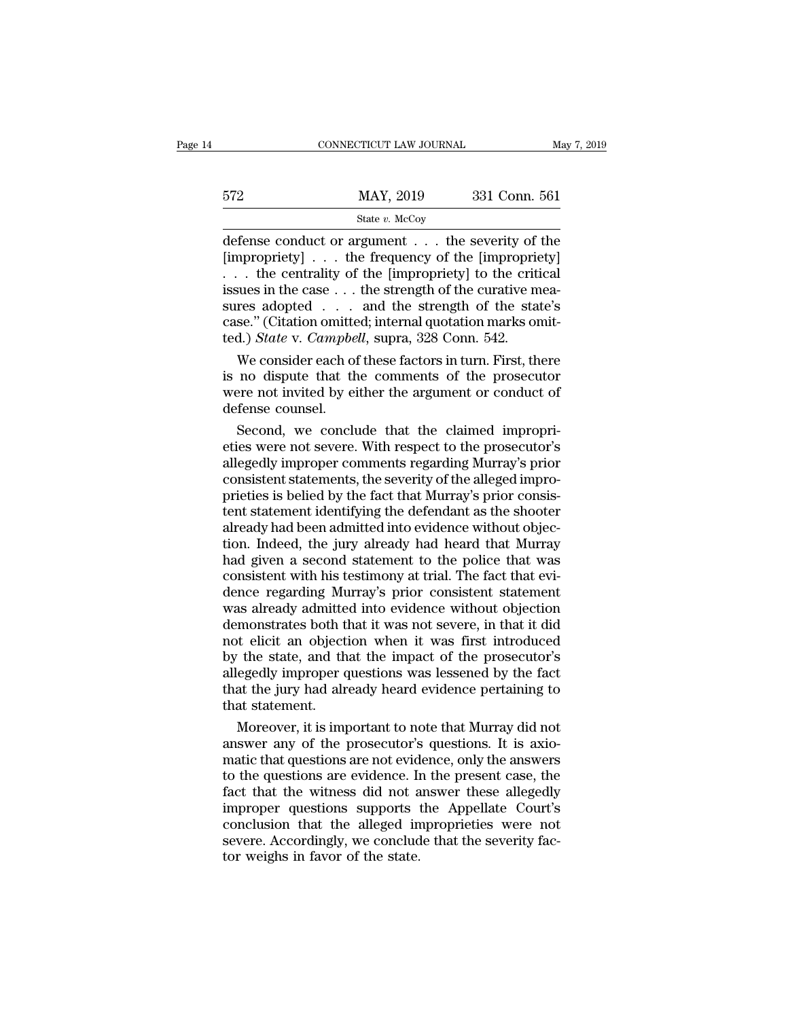|     | CONNECTICUT LAW JOURNAL | May 7, 2019   |  |
|-----|-------------------------|---------------|--|
|     |                         |               |  |
| 572 | MAY, 2019               | 331 Conn. 561 |  |
|     | State $v$ . McCoy       |               |  |

 $\begin{array}{lll}\n & \text{COMRECTICUT LAW JOURNAL} & \text{May 7, 2019} \\
 \hline\n & \text{MAY, 2019} & \text{331 Conn. } 561 \\
 \hline\n & \text{State $v$. } \text{McCoy} \\
 \hline\n \end{array}$ <br>
defense conduct or argument . . . the severity of the [impropriety]<br>
the centrality of the [impropriety] to the cri [572 MAY, 2019 331 Conn. 561<br>
State v. McCoy<br>
defense conduct or argument . . . the severity of the [impropriety]<br>
. . . the centrality of the [impropriety] to the critical<br>
issues in the case the strength of the curative 572 MAY, 2019 331 Conn. 561<br>
State v. McCoy<br>
defense conduct or argument . . . the severity of the<br>
[impropriety] . . . the frequency of the [impropriety]<br>
. . . the centrality of the [impropriety] to the critical<br>
issues 572 MAY, 2019 331 Conn. 561<br>
State v. McCoy<br>
defense conduct or argument . . . the severity of the<br>
[impropriety] . . . the frequency of the [impropriety]<br>
. . . the centrality of the [impropriety] to the critical<br>
issues state v. McCoy<br>
defense conduct or argument . . . the severity of the<br>
[impropriety] . . . the frequency of the [impropriety]<br>
. . . the centrality of the [impropriety] to the critical<br>
issues in the case . . . the streng State v. McCoy<br>
defense conduct or argument . . . the severity of the<br>
[impropriety] . . . the frequency of the [impropriety]<br>
. . . the centrality of the [impropriety] to the critical<br>
issues in the case . . . the streng defense conduct or argument . . . the severity of [impropriety] . . . the frequency of the [impropricity] to the criticsus in the case . . . the strength of the curative m sures adopted . . . and the strength of the state mpropriety]  $\ldots$  the frequency of the [impropriety]<br>  $\ldots$  the centrality of the [impropriety] to the critical<br>
sues in the case  $\ldots$  the strength of the curative mea-<br>
res adopted  $\ldots$  and the strength of the state's<br> ... the centrality of the [impropriety] to the critical<br>issues in the case ... the strength of the curative mea-<br>sures adopted ... and the strength of the state's<br>case." (Citation omitted; internal quotation marks omit-<br>t

issues in the case  $\dots$  the strength of the curative measures adopted  $\dots$  and the strength of the state's case." (Citation omitted; internal quotation marks omitted.) State v. Campbell, supra, 328 Conn. 542. We consider sures adopted . . . .<br>case." (Citation omitte<br>ted.) *State* v. *Campbe*<br>We consider each of<br>is no dispute that there not invited by ei<br>defense counsel.<br>Second, we conclu Sec. (Criation onlined, internal quotation manks onlined.) State v. Campbell, supra, 328 Conn. 542.<br>We consider each of these factors in turn. First, there no dispute that the comments of the prosecutor<br>preserved in the cl etical points of these factors in turn. First, there<br>is no dispute that the comments of the prosecutor<br>were not invited by either the argument or conduct of<br>defense counsel.<br>Second, we conclude that the claimed impropri-<br>e

We consider each of these factors in turn. First, there<br>is no dispute that the comments of the prosecutor<br>were not invited by either the argument or conduct of<br>defense counsel.<br>Second, we conclude that the claimed impropri is no dispute that the comments of the prosecutor<br>were not invited by either the argument or conduct of<br>defense counsel.<br>Second, we conclude that the claimed impropri-<br>eties were not severe. With respect to the prosecutor' were not invited by either the argument or conduct of<br>defense counsel.<br>Second, we conclude that the claimed impropri-<br>eties were not severe. With respect to the prosecutor's<br>allegedly improper comments regarding Murray's p defense counsel.<br>Second, we conclude that the claimed impropri-<br>eties were not severe. With respect to the prosecutor's<br>allegedly improper comments regarding Murray's prior<br>consistent statements, the severity of the allege Second, we conclude that the claimed impropri-<br>eties were not severe. With respect to the prosecutor's<br>allegedly improper comments regarding Murray's prior<br>consistent statements, the severity of the alleged impro-<br>prieties eties were not severe. With respect to the prosecutor's<br>allegedly improper comments regarding Murray's prior<br>consistent statements, the severity of the alleged impro-<br>prieties is belied by the fact that Murray's prior cons allegedly improper comments regarding Murray's prior<br>consistent statements, the severity of the alleged impro-<br>prieties is belied by the fact that Murray's prior consis-<br>tent statement identifying the defendant as the shoo consistent statements, the severity of the alleged improprieties is belied by the fact that Murray's prior consistent statement identifying the defendant as the shooter already had been admitted into evidence without objec prieties is belied by the fact that Murray's prior consistent statement identifying the defendant as the shooter already had been admitted into evidence without objection. Indeed, the jury already had heard that Murray had tent statement identifying the defendant as the shooter<br>already had been admitted into evidence without objec-<br>tion. Indeed, the jury already had heard that Murray<br>had given a second statement to the police that was<br>consis already had been admitted into evidence without objection. Indeed, the jury already had heard that Murray<br>had given a second statement to the police that was<br>consistent with his testimony at trial. The fact that evi-<br>dence tion. Indeed, the jury already had heard that Murray<br>had given a second statement to the police that was<br>consistent with his testimony at trial. The fact that evi-<br>dence regarding Murray's prior consistent statement<br>was al had given a second statement to the police that was<br>consistent with his testimony at trial. The fact that evi-<br>dence regarding Murray's prior consistent statement<br>was already admitted into evidence without objection<br>demons consistent with his testimony at trial. The fact that evidence regarding Murray's prior consistent statement<br>was already admitted into evidence without objection<br>demonstrates both that it was not severe, in that it did<br>not dence regarding Murray's prior consistent statement<br>was already admitted into evidence without objection<br>demonstrates both that it was not severe, in that it did<br>not elicit an objection when it was first introduced<br>by the was already admittedemonstrates both t<br>not elicit an object<br>by the state, and th<br>allegedly improper q<br>that the jury had alr<br>that statement.<br>Moreover, it is imp monstrates both that it was not severe, in that it did<br>t elicit an objection when it was first introduced<br>the state, and that the impact of the prosecutor's<br>egedly improper questions was lessened by the fact<br>at the jury ha not elicit an objection when it was first introduced<br>by the state, and that the impact of the prosecutor's<br>allegedly improper questions was lessened by the fact<br>that the jury had already heard evidence pertaining to<br>that s

by the state, and that the impact of the prosecutor's<br>allegedly improper questions was lessened by the fact<br>that the jury had already heard evidence pertaining to<br>that statement.<br>Moreover, it is important to note that Murr allegedly improper questions was lessened by the fact<br>that the jury had already heard evidence pertaining to<br>that statement.<br>Moreover, it is important to note that Murray did not<br>answer any of the prosecutor's questions. I that the jury had already heard evidence pertaining to<br>that statement.<br>Moreover, it is important to note that Murray did not<br>answer any of the prosecutor's questions. It is axio-<br>matic that questions are not evidence, only that statement.<br>
Moreover, it is important to note that Murray did not<br>
answer any of the prosecutor's questions. It is axio-<br>
matic that questions are not evidence, only the answers<br>
to the questions are evidence. In the Moreover, it is important to note that Murray did not<br>answer any of the prosecutor's questions. It is axio-<br>matic that questions are not evidence, only the answers<br>to the questions are evidence. In the present case, the<br>fa answer any of the prosecutor's questions. It is axiomatic that questions are not evidence, only the answers<br>to the questions are evidence. In the present case, the<br>fact that the witness did not answer these allegedly<br>impro matic that questions are not evid<br>to the questions are evidence. In<br>fact that the witness did not a<br>improper questions supports<br>conclusion that the alleged in<br>severe. Accordingly, we conclud<br>tor weighs in favor of the stat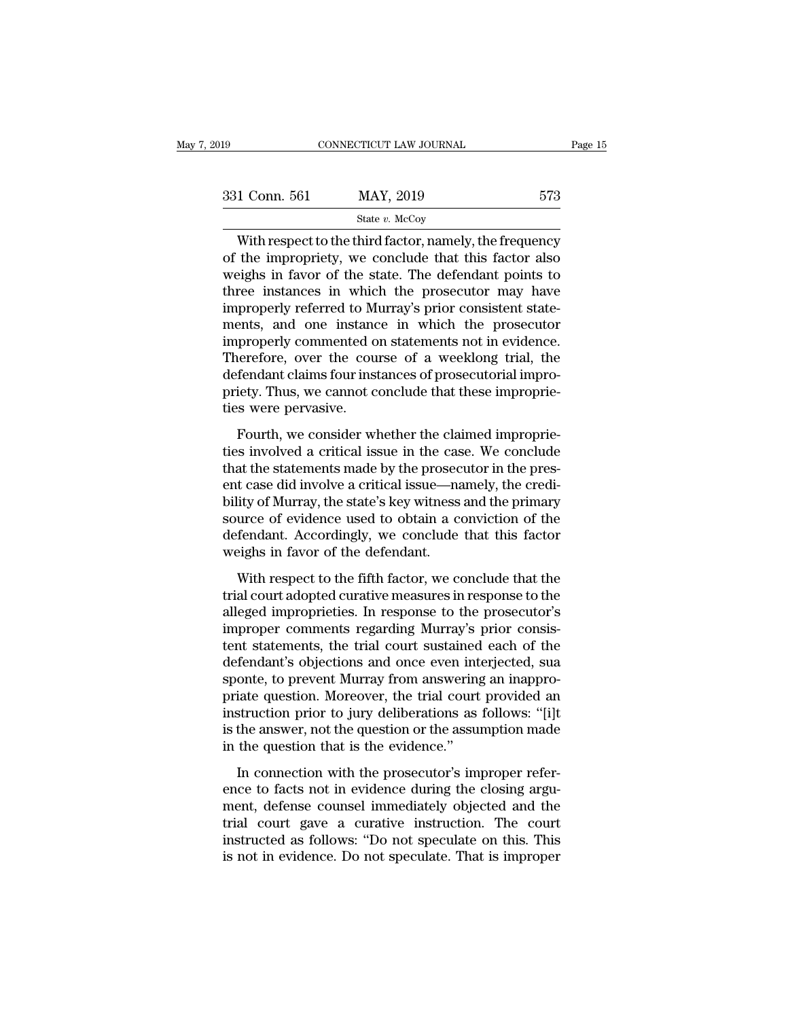| l9            | CONNECTICUT LAW JOURNAL | Page 15 |  |
|---------------|-------------------------|---------|--|
|               |                         |         |  |
| 331 Conn. 561 | MAY, 2019               | 573     |  |
|               | State $v$ . McCoy       |         |  |

CONNECTICUT LAW JOURNAL Page 15<br>
1 Conn. 561 MAY, 2019 573<br>
State v. McCoy<br>
With respect to the third factor, namely, the frequency<br>
the impropriety, we conclude that this factor also<br>
sighs in favor of the state. The defe 331 Conn. 561 MAY, 2019 573<br>
State v. McCoy<br>
With respect to the third factor, namely, the frequency<br>
of the impropriety, we conclude that this factor also<br>
weighs in favor of the state. The defendant points to<br>
throe ins  $\frac{\text{331 Conn. 561}}{\text{State } v. \text{ MeCoy}}$ <br>With respect to the third factor, namely, the frequency<br>of the impropriety, we conclude that this factor also<br>weighs in favor of the state. The defendant points to<br>three instances in which 331 Conn. 561 MAY, 2019 573<br>
State v. McCoy<br>
With respect to the third factor, namely, the frequency<br>
of the impropriety, we conclude that this factor also<br>
weighs in favor of the state. The defendant points to<br>
three ins State v. McCoy<br>State v. McCoy<br>With respect to the third factor, namely, the frequency<br>of the impropriety, we conclude that this factor also<br>weighs in favor of the state. The defendant points to<br>three instances in which th State v. McCoy<br>
With respect to the third factor, namely, the frequency<br>
of the impropriety, we conclude that this factor also<br>
weighs in favor of the state. The defendant points to<br>
three instances in which the prosecuto With respect to the third factor, namely, the frequency<br>of the impropriety, we conclude that this factor also<br>weighs in favor of the state. The defendant points to<br>three instances in which the prosecutor may have<br>improperl of the impropriety, we conclude that this factor also<br>weighs in favor of the state. The defendant points to<br>three instances in which the prosecutor may have<br>improperly referred to Murray's prior consistent state-<br>ments, an weighs in favor of the state. The defendant points to<br>three instances in which the prosecutor may have<br>improperly referred to Murray's prior consistent state-<br>ments, and one instance in which the prosecutor<br>improperly comm three instances in which the prosecutor may have<br>improperly referred to Murray's prior consistent state-<br>ments, and one instance in which the prosecutor<br>improperly commented on statements not in evidence.<br>Therefore, over t improperly referred to M<br>ments, and one instand<br>improperly commented of<br>Therefore, over the cou<br>defendant claims four inst<br>priety. Thus, we cannot c<br>ties were pervasive.<br>Fourth, we consider wl From the mixture of a weeklong trial, the proceedion<br>properly commented on statements not in evidence.<br>eerefore, over the course of a weeklong trial, the<br>fendant claims four instances of prosecutorial improprie-<br>is were pe Therefore, over the course of a weeklong trial, the<br>defendant claims four instances of prosecutorial impro-<br>priety. Thus, we cannot conclude that these improprie-<br>ties were pervasive.<br>Fourth, we consider whether the claime

Therefore, over the states of a methods and defendant claims four instances of prosecutorial improprieties were pervasive.<br>Fourth, we consider whether the claimed improprieties involved a critical issue in the case. We con priety. Thus, we cannot conclude that these improprie-<br>priety. Thus, we cannot conclude that these improprie-<br>ties were pervasive.<br>Fourth, we consider whether the claimed improprie-<br>ties involved a critical issue in the ca phety. Thus, we cannot conclude that these improprie-<br>ties were pervasive.<br>Fourth, we consider whether the claimed improprie-<br>ties involved a critical issue in the case. We conclude<br>that the statements made by the prosecut Fourth, we consider whether the claimed improprie-<br>ties involved a critical issue in the case. We conclude<br>that the statements made by the prosecutor in the pres-<br>ent case did involve a critical issue—namely, the credi-<br>bi Fourth, we consider whether the claimed improprie-<br>ties involved a critical issue in the case. We conclude<br>that the statements made by the prosecutor in the pres-<br>ent case did involve a critical issue—namely, the credi-<br>bi ties involved a critical issue in the case<br>that the statements made by the prosec<br>ent case did involve a critical issue—na<br>bility of Murray, the state's key witness<br>source of evidence used to obtain a co<br>defendant. Accordi t case did involve a critical issue—namely, the credi-<br>ity of Murray, the state's key witness and the primary<br>urce of evidence used to obtain a conviction of the<br>fendant. Accordingly, we conclude that this factor<br>eighs in the case and invoive a critical issue. Thatter, we creat<br>bility of Murray, the state's key witness and the primary<br>source of evidence used to obtain a conviction of the<br>defendant. Accordingly, we conclude that this factor<br>

bing of marray, are state 5 key makess and are primary<br>source of evidence used to obtain a conviction of the<br>defendant. Accordingly, we conclude that this factor<br>weighs in favor of the defendant.<br>With respect to the fifth isolated of evidence alsed to obtain a conviction of the<br>defendant. Accordingly, we conclude that this factor<br>weighs in favor of the defendant.<br>With respect to the fifth factor, we conclude that the<br>trial court adopted cur weighs in favor of the defendant.<br>
With respect to the fifth factor, we conclude that the<br>
trial court adopted curative measures in response to the<br>
alleged improprieties. In response to the prosecutor's<br>
improper comments With respect to the fifth factor, we conclude that the<br>trial court adopted curative measures in response to the<br>alleged improprieties. In response to the prosecutor's<br>improper comments regarding Murray's prior consis-<br>tent With respect to the fifth factor, we conclude that the<br>trial court adopted curative measures in response to the<br>alleged improprieties. In response to the prosecutor's<br>improper comments regarding Murray's prior consis-<br>tent trial court adopted curative measures in response to the<br>alleged improprieties. In response to the prosecutor's<br>improper comments regarding Murray's prior consis-<br>tent statements, the trial court sustained each of the<br>defe alleged improprieties. In response to the prosecutor's<br>improper comments regarding Murray's prior consis-<br>tent statements, the trial court sustained each of the<br>defendant's objections and once even interjected, sua<br>sponte, improper comments regarding Murray's prior consistent statements, the trial court sustained each of the defendant's objections and once even interjected, sua sponte, to prevent Murray from answering an inappropriate questi tent statements, the trial court sustained<br>defendant's objections and once even int<br>sponte, to prevent Murray from answering<br>priate question. Moreover, the trial court<br>instruction prior to jury deliberations as<br>is the answ In the prevent Murray from answering an inappro-<br>iate question. Moreover, the trial court provided an<br>struction prior to jury deliberations as follows: "[i]t<br>the answer, not the question or the assumption made<br>the question ence, to prevent management and weinig an imappropriate question. Moreover, the trial court provided an instruction prior to jury deliberations as follows: "[i]t is the answer, not the question or the assumption made in th

menture different interesting and the differential instruction prior to jury deliberations as follows: "[i]t<br>is the answer, not the question or the assumption made<br>in the question that is the evidence."<br>In connection with the answer, not the question or the assumption made<br>in the question that is the evidence."<br>In connection with the prosecutor's improper refer-<br>ence to facts not in evidence during the closing argu-<br>ment, defense counsel i is are answer, not are question of the assumption made<br>in the question that is the evidence."<br>In connection with the prosecutor's improper refer-<br>ence to facts not in evidence during the closing argu-<br>ment, defense counsel In connection with the prosecutor's improper reference to facts not in evidence during the closing argument, defense counsel immediately objected and the trial court gave a curative instruction. The court instructed as fol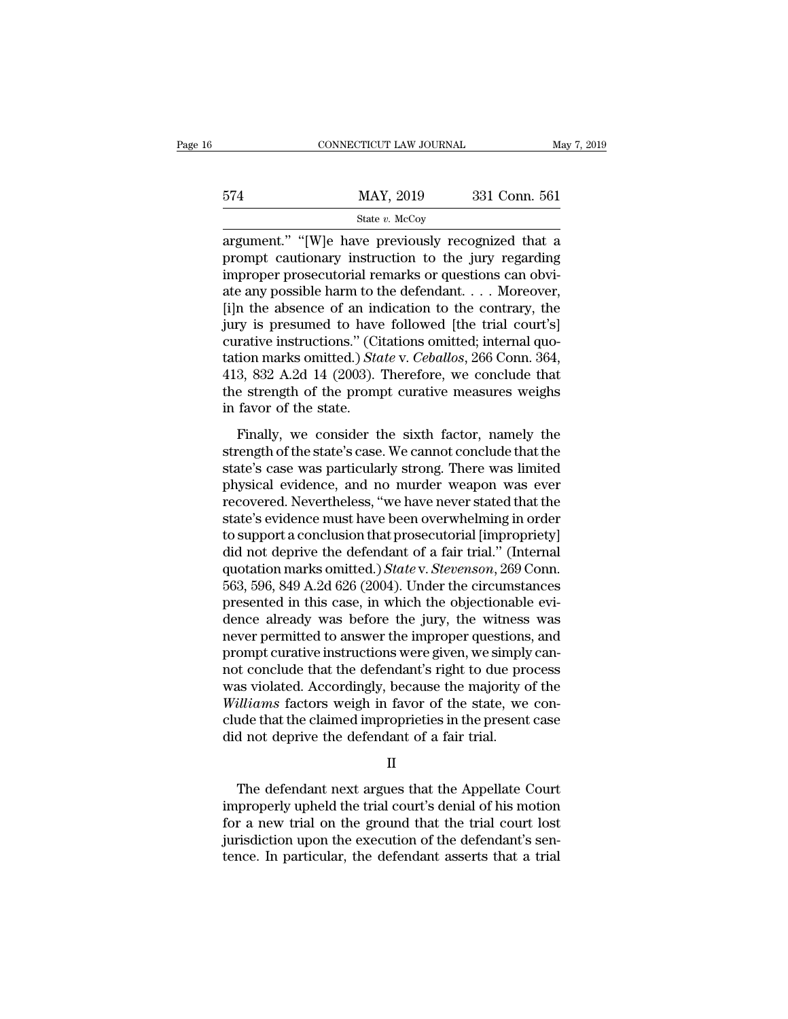|     | CONNECTICUT LAW JOURNAL | May 7, 2019   |  |
|-----|-------------------------|---------------|--|
|     |                         |               |  |
| 574 | MAY, 2019               | 331 Conn. 561 |  |
|     | State $v$ . McCoy       |               |  |

 $\begin{array}{ccc}\n & \text{COMNETICUT LAW JOURNAL} & \text{May 7, 2019} \\
 \hline\n 574 & \text{MAX, 2019} & \text{331 Conn. } 561 \\
 \hline\n & \text{State } v. \text{ McCoy}\n \end{array}$ between the discovery of the discovery of the state with the state with the state with the state of the state in the state in the state of the state of the state in the state of the state of the state of the discovery of t  $\frac{\text{MAX, 2019}}{\text{State } v. \text{ MeCoy}}$ <br>
argument." "[W]e have previously recognized that a<br>
prompt cautionary instruction to the jury regarding<br>
improper prosecutorial remarks or questions can obvi-<br>
ate any possible harm to the d  $\frac{\text{MAX, 2019}}{\text{State } v. \text{ MeCoy}}$ <br>
argument." "[W]e have previously recognized that a<br>
prompt cautionary instruction to the jury regarding<br>
improper prosecutorial remarks or questions can obvi-<br>
ate any possible harm to the d Finally  $\frac{\text{State } v. \text{ MeCoy}}{\text{Argument."}}$ <br>
State  $v. \text{ MeCoy}$ <br>
argument." "[W]e have previously recognized that a<br>
prompt cautionary instruction to the jury regarding<br>
improper prosecutorial remarks or questions can obvi-<br>
ate any state v. McCoy<br>argument." "[W]e have previously recognized that a<br>prompt cautionary instruction to the jury regarding<br>improper prosecutorial remarks or questions can obvi-<br>ate any possible harm to the defendant.... Moreov argument." "[W]e have previously recognized that a<br>prompt cautionary instruction to the jury regarding<br>improper prosecutorial remarks or questions can obvi-<br>ate any possible harm to the defendant.... Moreover,<br>[i]n the ab prompt cautionary instruction to the jury regarding<br>improper prosecutorial remarks or questions can obvi-<br>ate any possible harm to the defendant. . . . Moreover,<br>[i]n the absence of an indication to the contrary, the<br>jury improper prosecutorial remarks or questions can obviate any possible harm to the defendant. . . . Moreover, [i]n the absence of an indication to the contrary, the jury is presumed to have followed [the trial court's] cura ate any possible harm to the defendant. . . . Moreover,<br>[i]n the absence of an indication to the contrary, the<br>jury is presumed to have followed [the trial court's]<br>curative instructions." (Citations omitted; internal quo [i]n the absence of an indiury is presumed to have<br>curative instructions." (Circlation marks omitted.) *Sta*<br>413, 832 A.2d 14 (2003). '<br>the strength of the promp<br>in favor of the state.<br>Finally, we consider the Fig. 23 Expression of the sixth factor, internal quotion marks omitted.) State v. Ceballos, 266 Conn. 364, 3, 832 A.2d 14 (2003). Therefore, we conclude that e strength of the prompt curative measures weighs favor of the station marks omitted.) *State* v. *Ceballos*, 266 Conn. 364, 413, 832 A.2d 14 (2003). Therefore, we conclude that the strength of the prompt curative measures weighs in favor of the state.<br>Finally, we consider the sixth f

and that is called as a contributed of the prompt curative measures weighs<br>in favor of the state.<br>Finally, we consider the sixth factor, namely the<br>strength of the state's case. We cannot conclude that the<br>state's case wa physical evidence, we conclude that<br>the strength of the prompt curative measures weighs<br>in favor of the state.<br>Finally, we consider the sixth factor, namely the<br>strength of the state's case. We cannot conclude that the<br>sta in favor of the state.<br>
Finally, we consider the sixth factor, namely the<br>
strength of the state's case. We cannot conclude that the<br>
state's case was particularly strong. There was limited<br>
physical evidence, and no murde Finally, we consider the sixth factor, namely the<br>strength of the state's case. We cannot conclude that the<br>state's case was particularly strong. There was limited<br>physical evidence, and no murder weapon was ever<br>recovered Finally, we consider the sixth factor, namely the<br>strength of the state's case. We cannot conclude that the<br>state's case was particularly strong. There was limited<br>physical evidence, and no murder weapon was ever<br>recovered strength of the state's case. We cannot conclude that the<br>state's case was particularly strong. There was limited<br>physical evidence, and no murder weapon was ever<br>recovered. Nevertheless, "we have never stated that the<br>sta state's case was particularly strong. There was limited<br>physical evidence, and no murder weapon was ever<br>recovered. Nevertheless, "we have never stated that the<br>state's evidence must have been overwhelming in order<br>to supp physical evidence, and no murder weapon was ever<br>recovered. Nevertheless, "we have never stated that the<br>state's evidence must have been overwhelming in order<br>to support a conclusion that prosecutorial [impropriety]<br>did no recovered. Nevertheless, "we have never stated that the state's evidence must have been overwhelming in order<br>to support a conclusion that prosecutorial [impropriety]<br>did not deprive the defendant of a fair trial." (Intern state's evidence must have been overwhelming in order<br>to support a conclusion that prosecutorial [impropriety]<br>did not deprive the defendant of a fair trial." (Internal<br>quotation marks omitted.) State v. Stevenson, 269 Con to support a conclusion that prosecutorial [impropriety]<br>did not deprive the defendant of a fair trial." (Internal<br>quotation marks omitted.)  $State$  v.  $Stevenson$ , 269 Conn.<br>563, 596, 849 A.2d 626 (2004). Under the circumstances<br>p did not deprive the defendant of a fair trial." (Internal quotation marks omitted.) *State* v. *Stevenson*, 269 Conn. 563, 596, 849 A.2d 626 (2004). Under the circumstances presented in this case, in which the objectionabl quotation marks omitted.) *State* v. *Stevenson*, 269 Conn.<br>563, 596, 849 A.2d 626 (2004). Under the circumstances<br>presented in this case, in which the objectionable evi-<br>dence already was before the jury, the witness was<br> 563, 596, 849 A.2d 626 (2004). Under the circumstances<br>presented in this case, in which the objectionable evi-<br>dence already was before the jury, the witness was<br>never permitted to answer the improper questions, and<br>prompt presented in this case, in which the objectionable evidence already was before the jury, the witness was never permitted to answer the improper questions, and prompt curative instructions were given, we simply cannot concl dence already was before the jury, the witness was<br>never permitted to answer the improper questions, and<br>prompt curative instructions were given, we simply can-<br>not conclude that the defendant's right to due process<br>was vi mever permitted to answer the improper questions<br>prompt curative instructions were given, we simply<br>not conclude that the defendant's right to due pro<br>was violated. Accordingly, because the majority of<br>*Williams* factors w Accordingly, because the majority of the<br>
illiams factors weigh in favor of the state, we con-<br>
ide that the claimed improprieties in the present case<br>
d not deprive the defendant of a fair trial.<br>
II<br>
The defendant next a

II

Williams factors weigh in favor of the state, we conclude that the claimed improprieties in the present case<br>did not deprive the defendant of a fair trial.<br>II<br>The defendant next argues that the Appellate Court<br>improperly u clude that the claimed improprieties in the present case<br>did not deprive the defendant of a fair trial.<br>II<br>The defendant next argues that the Appellate Court<br>improperly upheld the trial court's denial of his motion<br>for a n did not deprive the defendant of a fair trial.<br>
II<br>
The defendant next argues that the Appellate Court<br>
improperly upheld the trial court's denial of his motion<br>
for a new trial on the ground that the trial court lost<br>
jur II<br>The defendant next argues that the Appellate Court<br>improperly upheld the trial court's denial of his motion<br>for a new trial on the ground that the trial court lost<br>jurisdiction upon the execution of the defendant's sen-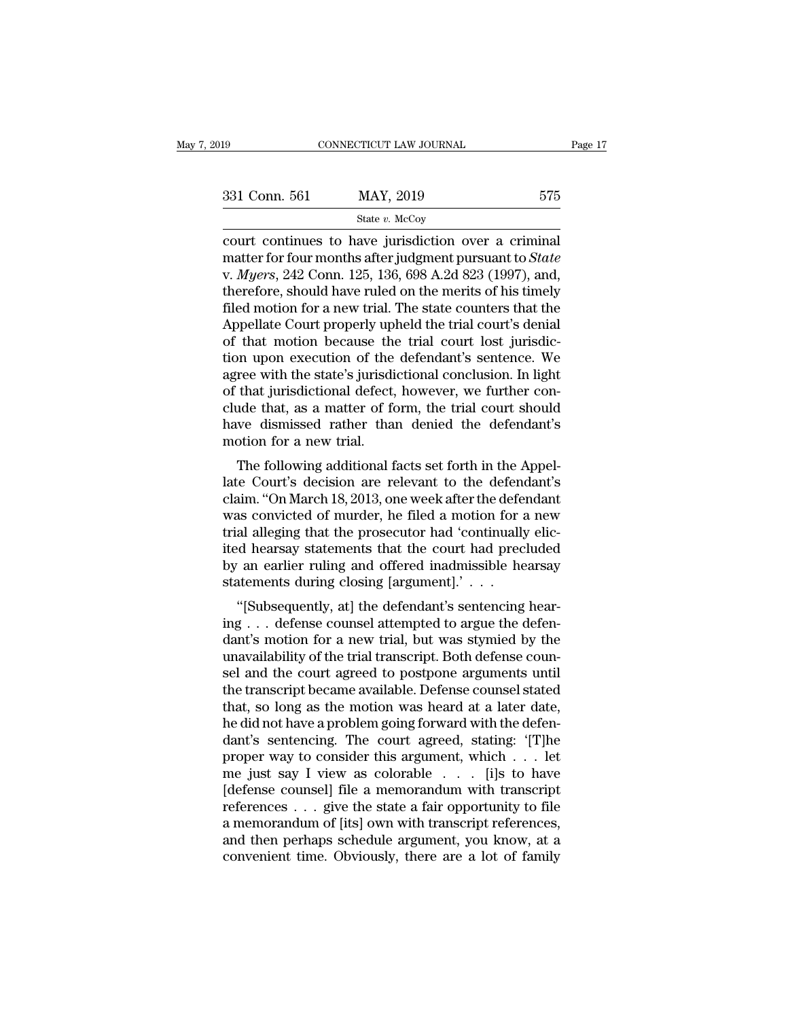| 019           | CONNECTICUT LAW JOURNAL                                                                                                                                             | Page 17 |
|---------------|---------------------------------------------------------------------------------------------------------------------------------------------------------------------|---------|
| 331 Conn. 561 | MAY, 2019                                                                                                                                                           | 575     |
|               | State $v$ . McCoy                                                                                                                                                   |         |
|               | court continues to have jurisdiction over a criminal<br>matter for four months after judgment pursuant to State<br>y Magys 949 Conn 195 196 608 A 9d 893 (1007) and |         |

331 Conn. 561 MAY, 2019 575<br>
state *v*. McCoy<br>
court continues to have jurisdiction over a criminal<br>
matter for four months after judgment pursuant to *State*<br>
v. *Myers*, 242 Conn. 125, 136, 698 A.2d 823 (1997), and,<br>
th 331 Conn. 561 MAY, 2019 575<br>
State *v.* McCoy<br>
court continues to have jurisdiction over a criminal<br>
matter for four months after judgment pursuant to *State*<br>
v. *Myers*, 242 Conn. 125, 136, 698 A.2d 823 (1997), and,<br>
th 331 Conn. 561 MAY, 2019 575<br>
State v. McCoy<br>
court continues to have jurisdiction over a criminal<br>
matter for four months after judgment pursuant to *State*<br>
v. *Myers*, 242 Conn. 125, 136, 698 A.2d 823 (1997), and,<br>
ther State v. McCoy<br>
State v. McCoy<br>
court continues to have jurisdiction over a criminal<br>
matter for four months after judgment pursuant to *State*<br>
v. *Myers*, 242 Conn. 125, 136, 698 A.2d 823 (1997), and,<br>
therefore, should State v. McCoy<br>
State v. McCoy<br>
court continues to have jurisdiction over a criminal<br>
matter for four months after judgment pursuant to *State*<br>
v. *Myers*, 242 Conn. 125, 136, 698 A.2d 823 (1997), and,<br>
therefore, should court continues to have jurisdiction over a criminal<br>matter for four months after judgment pursuant to *State*<br>v. *Myers*, 242 Conn. 125, 136, 698 A.2d 823 (1997), and,<br>therefore, should have ruled on the merits of his tim matter for four months after judgment pursuant to *State*<br>v. *Myers*, 242 Conn. 125, 136, 698 A.2d 823 (1997), and,<br>therefore, should have ruled on the merits of his timely<br>filed motion for a new trial. The state counters v. *Myers*, 242 Conn. 125, 136, 698 A.2d 823 (1997), and, therefore, should have ruled on the merits of his timely filed motion for a new trial. The state counters that the Appellate Court properly upheld the trial court's therefore, should have ruled on the merits of his timely<br>filed motion for a new trial. The state counters that the<br>Appellate Court properly upheld the trial court's denial<br>of that motion because the trial court lost jurisd filed motion for a new trial. The state counters that the<br>Appellate Court properly upheld the trial court's denial<br>of that motion because the trial court lost jurisdic-<br>tion upon execution of the defendant's sentence. We<br>a Appellate Court properly upheld the trial court's denial<br>of that motion because the trial court lost jurisdic-<br>tion upon execution of the defendant's sentence. We<br>agree with the state's jurisdictional conclusion. In light<br> of that motion because the<br>tion upon execution of the<br>agree with the state's jurisdi<br>of that jurisdictional defect,<br>clude that, as a matter of fo<br>have dismissed rather than<br>motion for a new trial.<br>The following additional In upon execution of the defendant's sentence. We<br>ree with the state's jurisdictional conclusion. In light<br>that jurisdictional defect, however, we further con-<br>ide that, as a matter of form, the trial court should<br>we dismi agree with the state's jurisdictional conclusion. In fight<br>of that jurisdictional defect, however, we further con-<br>clude that, as a matter of form, the trial court should<br>have dismissed rather than denied the defendant's<br>m

of that jurisdictional defect, nowever, we further conclude that, as a matter of form, the trial court should<br>have dismissed rather than denied the defendant's<br>motion for a new trial.<br>The following additional facts set for Educe that, as a hiatter of form, the that court should<br>have dismissed rather than denied the defendant's<br>motion for a new trial.<br>The following additional facts set forth in the Appel-<br>late Court's decision are relevant to trial alleging that the prosecutor had 'continually charged by an original alleging that the prosecutor had 'continually elic-<br>idea that the prosecutor had 'continually elic-<br>ited hearsay statements that the court had prec The following additional facts set forth in the Appellate Court's decision are relevant to the defendant's claim. "On March 18, 2013, one week after the defendant was convicted of murder, he filed a motion for a new trial The following additional facts set forth in the Appellate Court's decision are relevant to the defendant's claim. "On March 18, 2013, one week after the defendant was convicted of murder, he filed a motion for a new trial late Court's decision are relevant to the defencelaim. "On March 18, 2013, one week after the defe<br>was convicted of murder, he filed a motion for a<br>trial alleging that the prosecutor had 'continually<br>ited hearsay statement and Solvid Conservative week after the defendant<br>as convicted of murder, he filed a motion for a new<br>al alleging that the prosecutor had 'continually elic-<br>d hearsay statements that the court had precluded<br>an earlier ruli was convicted of indicer, he filed a motion for a new<br>trial alleging that the prosecutor had 'continually elic-<br>ited hearsay statements that the court had precluded<br>by an earlier ruling and offered inadmissible hearsay<br>st

The decrease in the prosecutor and continually encircled hearsay statements that the court had precluded by an earlier ruling and offered inadmissible hearsay statements during closing [argument].'  $\ldots$  "[Subsequently, a ned hearsay statements that the Court had precided<br>by an earlier ruling and offered inadmissible hearsay<br>statements during closing [argument].' . . .<br>"[Subsequently, at] the defendant's sentencing hear-<br>ing . . . defense c by an earlier ruling and offered madilisable heatsay<br>statements during closing [argument].'  $\ldots$ <br>"[Subsequently, at] the defendant's sentencing hear-<br>ing  $\ldots$  defense counsel attempted to argue the defen-<br>dant's motion "[Subsequently, at] the defendant's sentencing hear-<br>ing  $\ldots$  defense counsel attempted to argue the defendant's motion for a new trial, but was stymied by the<br>unavailability of the trial transcript. Both defense counsel "[Subsequently, at] the defendant's sentencing hearing . . . defense counsel attempted to argue the defendant's motion for a new trial, but was stymied by the unavailability of the trial transcript. Both defense counsel a ing . . . defense counsel attempted to argue the defendant's motion for a new trial, but was stymied by the unavailability of the trial transcript. Both defense counsel and the court agreed to postpone arguments until the dant's motion for a new trial, but was stymied by the<br>unavailability of the trial transcript. Both defense coun-<br>sel and the court agreed to postpone arguments until<br>the transcript became available. Defense counsel stated<br> unavailability of the trial transcript. Both defense counsel and the court agreed to postpone arguments until<br>the transcript became available. Defense counsel stated<br>that, so long as the motion was heard at a later date,<br>h sel and the court agreed to postpone arguments until<br>the transcript became available. Defense counsel stated<br>that, so long as the motion was heard at a later date,<br>he did not have a problem going forward with the defen-<br>da the transcript became available. Defense counsel stated<br>that, so long as the motion was heard at a later date,<br>he did not have a problem going forward with the defen-<br>dant's sentencing. The court agreed, stating: '[T]he<br>p that, so long as the motion was heard at a later date,<br>he did not have a problem going forward with the defen-<br>dant's sentencing. The court agreed, stating: '[T]he<br>proper way to consider this argument, which  $\ldots$  let<br>me he did not have a problem going forward with the defendant's sentencing. The court agreed, stating: '[T]he proper way to consider this argument, which  $\ldots$  let me just say I view as colorable  $\ldots$  [i]s to have [defense dant's sentencing. The court agreed, stating: '[T]he<br>proper way to consider this argument, which . . . let<br>me just say I view as colorable . . . [i]s to have<br>[defense counsel] file a memorandum with transcript<br>references proper way to consider this argument, which  $\ldots$  let<br>me just say I view as colorable  $\ldots$  [i]s to have<br>[defense counsel] file a memorandum with transcript<br>references  $\ldots$  give the state a fair opportunity to file<br>a mem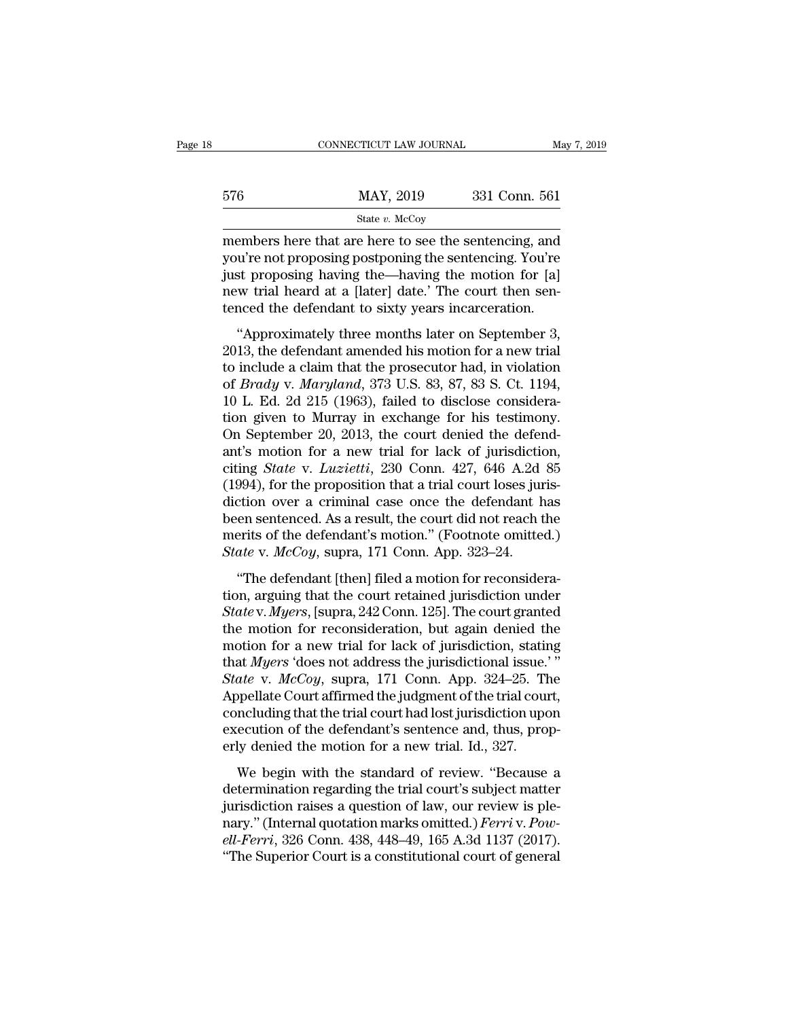|     | CONNECTICUT LAW JOURNAL                                                                                         | May 7, 2019   |
|-----|-----------------------------------------------------------------------------------------------------------------|---------------|
|     |                                                                                                                 |               |
| 576 | MAY, 2019                                                                                                       | 331 Conn. 561 |
|     | State $v$ . McCoy                                                                                               |               |
|     | members here that are here to see the sentencing, and<br>you're not proposing postponing the sentencing. You're |               |

MAY, 2019 331 Conn. 561<br>
State v. McCoy<br>
members here that are here to see the sentencing, and<br>
you're not proposing postponing the sentencing. You're<br>
just proposing having the—having the motion for [a]<br>
now trial board a  $\begin{array}{r} \text{576} & \text{MAX, } 2019 & 331 \text{ Conn. } 561 \\ \text{State } v. \text{ McCoy} \\ \text{members here that are here to see the sentence, and} \\ \text{you're not proposing postponing the sentence. You're just proposing having the—having the motion for [a] new trial heard at a [later] date. The court then sentenced the defendant to sixty years in expectation.} \end{array}$  $MAY, 2019$  331 Conn. 561<br>  $S$ <br>  $S$ <br>
State v. McCoy<br>
members here that are here to see the sentencing, and<br>
you're not proposing postponing the sentencing. You're<br>
just proposing having the—having the motion for [a]<br>
new t State v. McCoy<br>
State v. McCoy<br>
members here that are here to see the sentencing, and<br>
you're not proposing postponing the sentencing. You're<br>
just proposing having the—having the motion for [a]<br>
new trial heard at a [lat embers here that are here to see the sentencing, and<br>u're not proposing postponing the sentencing. You're<br>st proposing having the—having the motion for [a]<br>w trial heard at a [later] date.' The court then sen-<br>nced the def members nere that are nere to see the semencing, and<br>you're not proposing postponing the sentencing. You're<br>just proposing having the—having the motion for [a]<br>new trial heard at a [later] date.' The court then sen-<br>tence

just proposing postponing are sentencing. For the just proposing having the—having the motion for [a] new trial heard at a [later] date.' The court then sentenced the defendant to sixty years incarceration.<br>
"Approximatel new trial heard at a [later] date.' The court then sentenced the defendant to sixty years incarceration.<br>
"Approximately three months later on September 3,<br>
2013, the defendant amended his motion for a new trial<br>
to includ tenced the defendant to sixty years incarceration.<br>
"Approximately three months later on September 3,<br>
2013, the defendant amended his motion for a new trial<br>
to include a claim that the prosecutor had, in violation<br>
of "Approximately three months later on September 3, 2013, the defendant amended his motion for a new trial to include a claim that the prosecutor had, in violation of *Brady* v. *Maryland*, 373 U.S. 83, 87, 83 S. Ct. 1194, "Approximately three months later on September 3, 2013, the defendant amended his motion for a new trial to include a claim that the prosecutor had, in violation of *Brady* v. *Maryland*, 373 U.S. 83, 87, 83 S. Ct. 1194, 2013, the defendant amended his motion for a new trial<br>to include a claim that the prosecutor had, in violation<br>of *Brady* v. *Maryland*, 373 U.S. 83, 87, 83 S. Ct. 1194,<br>10 L. Ed. 2d 215 (1963), failed to disclose consid to include a claim that the prosecutor had, in violation<br>of *Brady* v. *Maryland*, 373 U.S. 83, 87, 83 S. Ct. 1194,<br>10 L. Ed. 2d 215 (1963), failed to disclose considera-<br>tion given to Murray in exchange for his testimony. of *Brady* v. *Maryland*, 373 U.S. 83, 87, 83 S. Ct. 1194, 10 L. Ed. 2d 215 (1963), failed to disclose consideration given to Murray in exchange for his testimony. On September 20, 2013, the court denied the defendant's m 10 L. Ed. 2d 215 (1963), failed to disclose consideration given to Murray in exchange for his testimony.<br>On September 20, 2013, the court denied the defendant's motion for a new trial for lack of jurisdiction, citing *Sta* tion given to Murray in exchange for his testimony.<br>On September 20, 2013, the court denied the defendant's motion for a new trial for lack of jurisdiction,<br>citing *State* v. *Luzietti*, 230 Conn. 427, 646 A.2d 85<br>(1994), On September 20, 2013, the court denied the defendant's motion for a new trial for lack of jurisdiction, citing *State* v. *Luzietti*, 230 Conn. 427, 646 A.2d 85 (1994), for the proposition that a trial court loses jurisd ant's motion for a new trial for lack of jurisdictic<br>citing *State* v. *Luzietti*, 230 Conn. 427, 646 A.2d<br>(1994), for the proposition that a trial court loses jure<br>diction over a criminal case once the defendant h<br>been se  $(994)$ , for the proposition that a trial court loses juris-<br>  $(994)$ , for the proposition that a trial court loses juris-<br>
tion over a criminal case once the defendant has<br>
en sentenced. As a result, the court did not re (1694), for all proposition that a trial court resets jurisdiction over a criminal case once the defendant has<br>been sentenced. As a result, the court did not reach the<br>merits of the defendant's motion." (Footnote omitted.

*State* v. *McCoy*, supra, 171 Conn. App. 323–24.<br> *State* v. *McCoy*, supra, 171 Conn. App. 323–24.<br> **The defendant [then] filed a motion for reconsideration**, arguing that the court retained jurisdiction under *State* v. the motion for the defendant's motion." (Footnote omitted.)<br>State v.  $McCoy$ , supra, 171 Conn. App. 323–24.<br>"The defendant [then] filed a motion for reconsideration, arguing that the court retained jurisdiction under<br>State State v. McCoy, supra, 171 Conn. App. 323–24.<br>
"The defendant [then] filed a motion for reconsideration, arguing that the court retained jurisdiction under<br>
State v. Myers, [supra, 242 Conn. 125]. The court granted<br>
the m "The defendant [then] filed a motion for reconsideration, arguing that the court retained jurisdiction under  $State$  v. Myers, [supra, 242 Conn. 125]. The court granted the motion for reconsideration, but again denied the mot "The defendant [then] filed a motion for reconsideration, arguing that the court retained jurisdiction under<br>*State* v. *Myers*, [supra, 242 Conn. 125]. The court granted<br>the motion for reconsideration, but again denied th tion, arguing that the court retained jurisdiction under<br> *State* v. *Myers*, [supra, 242 Conn. 125]. The court granted<br>
the motion for reconsideration, but again denied the<br>
motion for a new trial for lack of jurisdictio State v. Myers, [supra, 242 Conn. 125]. The court granted<br>the motion for reconsideration, but again denied the<br>motion for a new trial for lack of jurisdiction, stating<br>that Myers 'does not address the jurisdictional issue the motion for reconsideration, but again denied the motion for a new trial for lack of jurisdiction, stating that  $Myers$  'does not address the jurisdictional issue.'"<br>State v.  $McCoy$ , supra, 171 Conn. App. 324–25. The Appel motion for a new trial for lack of jurisdiction, stating that *Myers* 'does not address the jurisdictional issue.'<br>State v. *McCoy*, supra, 171 Conn. App. 324–25. The Appellate Court affirmed the judgment of the trial cou ate v.  $McCoy$ , supra, 171 Conn. App. 324–25. The<br>ppellate Court affirmed the judgment of the trial court,<br>ncluding that the trial court had lost jurisdiction upon<br>ecution of the defendant's sentence and, thus, prop-<br>ly de Appellate Court affirmed the judgment of the trial court,<br>concluding that the trial court had lost jurisdiction upon<br>execution of the defendant's sentence and, thus, prop-<br>erly denied the motion for a new trial. Id., 327.

rappendate confident<br>matrix are judgment of the trial court,<br>concluding that the trial court had lost jurisdiction upon<br>execution of the defendant's sentence and, thus, prop-<br>erly denied the motion for a new trial. Id., 3 execution of the defendant's sentence and, thus, properly denied the motion for a new trial. Id., 327.<br>We begin with the standard of review. "Because a determination regarding the trial court's subject matter jurisdiction erly denied the motion for a new trial. Id., 327.<br>We begin with the standard of review. "Because a<br>determination regarding the trial court's subject matter<br>jurisdiction raises a question of law, our review is ple-<br>nary." ( We begin with the standard of review. "Because a determination regarding the trial court's subject matter jurisdiction raises a question of law, our review is plenary." (Internal quotation marks omitted.) Ferri v. Powell-F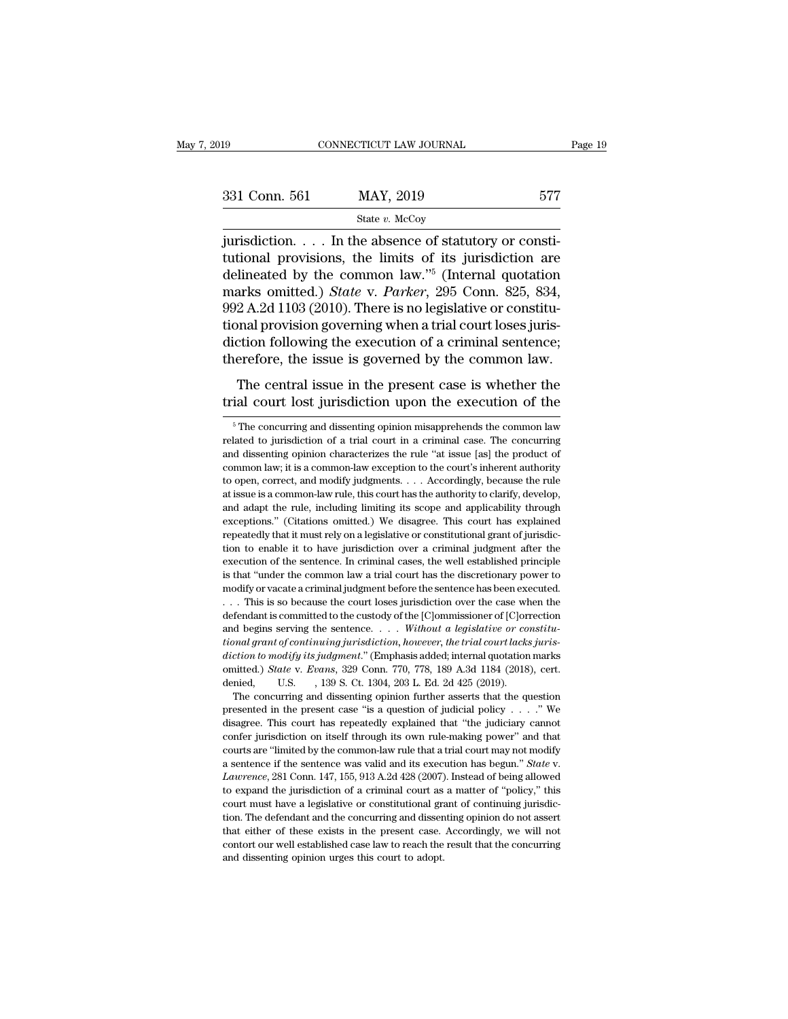| )19           | CONNECTICUT LAW JOURNAL                                                                                                                                              | Page 19 |
|---------------|----------------------------------------------------------------------------------------------------------------------------------------------------------------------|---------|
| 331 Conn. 561 | MAY, 2019                                                                                                                                                            | 577     |
|               | State $v$ . McCoy                                                                                                                                                    |         |
|               | jurisdiction In the absence of statutory or consti-<br>tutional provisions, the limits of its jurisdiction are<br>dolineated by the common law " (Internal quotation |         |

331 Conn. 561 MAY, 2019 577<br>
State v. McCoy<br>
iurisdiction.... In the absence of statutory or constitutional provisions, the limits of its jurisdiction are<br>
delineated by the common law."<sup>5</sup> (Internal quotation<br>
marks emit 331 Conn. 561 MAY, 2019 577<br>
State v. McCoy<br>
jurisdiction.... In the absence of statutory or constitutional provisions, the limits of its jurisdiction are<br>
delineated by the common law."<sup>5</sup> (Internal quotation<br>
marks omit 331 Conn. 561 MAY, 2019 577<br>  $\frac{1}{2}$  State *v*. McCoy<br>
jurisdiction. . . . In the absence of statutory or constitutional provisions, the limits of its jurisdiction are<br>
delineated by the common law."<sup>5</sup> (Internal quotat State v. McCoy<br>
jurisdiction. . . . In the absence of statutory or constitutional provisions, the limits of its jurisdiction are<br>
delineated by the common law."<sup>5</sup> (Internal quotation<br>
marks omitted.) *State* v. *Parker*, state v. McCoy<br>
jurisdiction. . . . In the absence of statutory or consti-<br>
tutional provisions, the limits of its jurisdiction are<br>
delineated by the common law."<sup>5</sup> (Internal quotation<br>
marks omitted.) *State* v. *Parke* jurisdiction. . . . In the absence of statutory or constitutional provisions, the limits of its jurisdiction are delineated by the common law."<sup>5</sup> (Internal quotation marks omitted.) *State* v. *Parker*, 295 Conn. 825, 83 tutional provisions, the limits of its jurisdiction are<br>delineated by the common law."<sup>5</sup> (Internal quotation<br>marks omitted.) *State* v. *Parker*, 295 Conn. 825, 834,<br>992 A.2d 1103 (2010). There is no legislative or const missued by the common name (internal quotinal provision<br>arks omitted.) *State* v. *Parker*, 295 Conn. 825, 834,<br>2 A.2d 1103 (2010). There is no legislative or constitu-<br>nal provision governing when a trial court loses juri trial court lost jurisdiction and trial court loses jurisdiction following the execution of a criminal sentence;<br>therefore, the issue is governed by the common law.<br>The central issue in the present case is whether the<br>tri

Frame the issue is governed by the common law.<br>The central issue in the present case is whether the ial court lost jurisdiction upon the execution of the  $\frac{5}{n}$ The concurring and dissenting opinion misapprehends the co

execution of the sentence. In criminal cases, the well established principle<br>execution of the sentence. In criminal cases, the well established principle<br>is that "under the common law a trial court has the discretionary po is that "under the common law a trial court has the discretionary power to modify or vacate a criminal judgment before the sentence has been executed.<br>
. . . This is so because the court loses jurisdiction over the case wh *diction to modify its judgment* before the sentence has been executed.<br>
... This is so because the court loses jurisdiction over the case when the<br>
defendant is committed to the custody of the [C]ommissioner of [C]orrecti **Consumer State of the Connect Connect Connect Connect Connect Connect Connect defendant is committed to the custody of the [C]ommissioner of [C]orrection and begins serving the sentence. . . . Without a legislative or con** defendant is committed to the custody of the [C]ommissioner of [C]orrection<br>and begins serving the sentence. . . . Without a legislative or constitu-<br>tional grant of continuing jurisdiction, however, the trial court lacks d begins serving the sentence. . . . Without a legislative or constitu-<br>and grant of continuing jurisdiction, however, the trial court lacks juris-<br>ction to modify its judgment." (Emphasis added; internal quotation marks<br> itional grant of continuing jurisdiction, however, the trial court lacks jurisdiction to modify its judgment." (Emphasis added; internal quotation marks omitted.) *State v. Evans*, 329 Conn. 770, 778, 189 A.3d 1184 (2018)

diction to modify its judgment." (Emphasis added; internal quotation marks omitted.) *State v. Evans*, 329 Conn. 770, 778, 189 A.3d 1184 (2018), cert. denied, U.S. , 139 S. Ct. 1304, 203 L. Ed. 2d 425 (2019). The concurri confer jurisdiction on itself through its own rule-making power'' and the concurring and dissenting opinion further asserts that the question presented in the present case "is a question of judicial policy  $\ldots$ ." We disa denied, U.S. 139 S. Ct. 1304, 203 L. Ed. 2d 425 (2019).<br>The concurring and dissenting opinion further asserts that the question<br>presented in the present case "is a question of judicial policy . . . ." We<br>disagree. This co The concurring and dissenting opinion further asserts that the question presented in the present case "is a question of judicial policy  $\ldots$ ." We disagree. This court has repeatedly explained that "the judiciary cannot c disagree. This court has repeatedly explained that "the judiciary cannot confer jurisdiction on itself through its own rule-making power" and that courts are "limited by the common-law rule that a trial court may not modif confer jurisdiction on itself through its own rule-making power" and that courts are "limited by the common-law rule that a trial court may not modify a sentence if the sentence was valid and its execution has begun." *St* courts are "limited by the common-law rule that a trial court may not modify a sentence if the sentence was valid and its execution has begun." *State* v. *Lawrence*, 281 Conn. 147, 155, 913 A.2d 428 (2007). Instead of be a sentence if the sentence was valid and its execution has begun." *State* v. *Laurence*, 281 Conn. 147, 155, 913 A.2d 428 (2007). Instead of being allowed to expand the jurisdiction of a criminal court as a matter of "po *Lawrence*, 281 Conn. 147, 155, 913 A.2d 428 (2007). Instead of being allowed to expand the jurisdiction of a criminal court as a matter of "policy," this court must have a legislative or constitutional grant of continuing to expand the jurisdiction of a criminal court as a matter of "policy," this

The central issue in the present case is whether the trial court lost jurisdiction upon the execution of the  $\frac{1}{100}$   $\frac{1}{100}$   $\frac{1}{100}$   $\frac{1}{100}$   $\frac{1}{100}$  and dissenting opinion misapprehends the common law The central issue in the present case is whether the trial court lost jurisdiction upon the execution of the  $\frac{1}{\pi}$  The concurring and dissenting opinion misapprehends the common law related to jurisdiction of a trial trial court lost jurisdiction upon the execution of the  $\frac{1}{100}$   $\frac{1}{100}$   $\frac{1}{100}$   $\frac{1}{100}$   $\frac{1}{100}$   $\frac{1}{100}$   $\frac{1}{100}$   $\frac{1}{100}$   $\frac{1}{100}$   $\frac{1}{100}$   $\frac{1}{100}$   $\frac{1}{100}$   $\frac{1}{100}$   $\frac{1}{100$ The contraction of the execution of the discrete of  $\overline{\phantom{a}}$  in Fernandicum of the common law related to jurisdiction of a trial court in a criminal case. The concurring and dissenting opinion characterizes the rule "a <sup>5</sup> The concurring and dissenting opinion misapprehends the common law related to jurisdiction of a trial court in a criminal case. The concurring and dissenting opinion characterizes the rule "at issue [as] the product o related to jurisdiction of a trial court in a criminal case. The concurring<br>and dissenting opinion characterizes the rule "at issue [as] the product of<br>common law; it is a common-law exception to the court's inherent autho and dissenting opinion characterizes the rule "at issue [as] the product of common law; it is a common-law exception to the court's inherent authority to open, correct, and modify judgments. . . . Accordingly, because the and dissenting opinion characterizes the rule "at issue [as] the product of common law; it is a common-law exception to the court's inherent authority to open, correct, and modify judgments.  $\ldots$  Accordingly, because the to open, correct, and modify judgments.... Accordingly, because the rule at issue is a common-law rule, this court has the authority to clarify, develop, and adapt the rule, including limiting its scope and applicability t execution of the sentence. In criminal cases, the well established principle is a common-law rule, this court has the authority to clarify, develop, and adapt the rule, including limiting its scope and applicability throug and adapt the rule, including limiting its scope and applicability through exceptions." (Citations omitted.) We disagree. This court has explained repeatedly that it must rely on a legislative or constitutional grant of ju exceptions." (Citations omitted.) We disagree. This court has explained repeatedly that it must rely on a legislative or constitutional grant of jurisdiction to enable it to have jurisdiction over a criminal judgment afte repeatedly that it must rely on a legislative or constitutional grant of jurisdiction to enable it to have jurisdiction over a criminal judgment after the execution of the sentence. In criminal cases, the well established From the function of the sentence. In criminal judgment after the execution of the sentence. In criminal cases, the well established principle is that "under the common law a trial court has the discretionary power to mod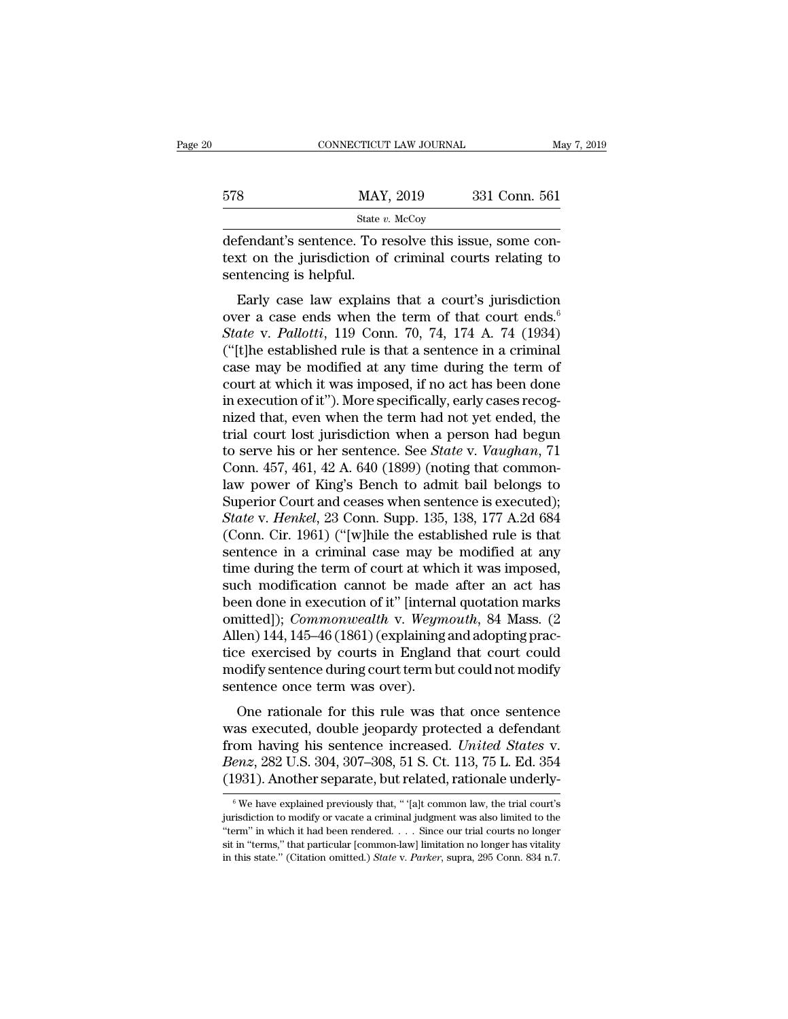| 331 Conn. 561                                                                                                     |
|-------------------------------------------------------------------------------------------------------------------|
|                                                                                                                   |
| defendant's sentence. To resolve this issue, some con-<br>text on the jurisdiction of criminal courts relating to |

text on the jurisdiction of criminal courts relating to sentencing is helpful.  $\begin{array}{c|l} \text{578} & \text{MAP} \end{array}$ <br>
defendant's sentence. To r<br>
text on the jurisdiction of<br>
sentencing is helpful.<br>
Early case law explains Early case ends when the term of that court's  $\frac{\text{Sat}e v. \text{ MeCoy}}{\text{Eerlant's sentence. To resolve this issue, some con-} \text{with } \text{Est}e \text{ with } \text{Sone} \text{ with } \text{Sone} \text{ with } \text{Sone} \text{ with } \text{Sone} \text{ with } \text{Sone} \text{ with } \text{Sone} \text{ with } \text{Sone} \text{ with } \text{Sone} \text{ with } \text{Sone} \text{ with } \text{Sone} \text{ with } \text{Sone} \text{ with } \$ 

State v. McCoy<br>
defendant's sentence. To resolve this issue, some con-<br>
text on the jurisdiction of criminal courts relating to<br>
sentencing is helpful.<br>
Early case law explains that a court's jurisdiction<br>
over a case ends *State* v. *Pallottician State context* on the jurisdiction of criminal courts relating to sentencing is helpful.<br>
Farly case law explains that a court's jurisdiction over a case ends when the term of that court ends.<sup>6</sup> determinant is sentence. To resolve this issue, some con-<br>text on the jurisdiction of criminal courts relating to<br>sentencing is helpful.<br>Early case law explains that a court's jurisdiction<br>over a case ends when the term o sentencing is helpful.<br>
Early case law explains that a court's jurisdiction<br>
over a case ends when the term of that court ends.<sup>6</sup><br> *State* v. Pallotti, 119 Conn. 70, 74, 174 A. 74 (1934)<br>
("[t]he established rule is that Early case law explains that a court's jurisdiction<br>over a case ends when the term of that court ends.<sup>6</sup><br>State v. Pallotti, 119 Conn. 70, 74, 174 A. 74 (1934)<br>("[t]he established rule is that a sentence in a criminal<br>cas Early case law explains that a court's jurisdiction<br>over a case ends when the term of that court ends.<sup>6</sup><br>State v. Pallotti, 119 Conn. 70, 74, 174 A. 74 (1934)<br>("[t]he established rule is that a sentence in a criminal<br>cas over a case ends when the term of that court ends.<sup>6</sup><br>State v. Pallotti, 119 Conn. 70, 74, 174 A. 74 (1934)<br>("[t]he established rule is that a sentence in a criminal<br>case may be modified at any time during the term of<br>cou State v. Pallotti, 119 Conn. 70, 74, 174 A. 74 (1934)<br>("[t]he established rule is that a sentence in a criminal<br>case may be modified at any time during the term of<br>court at which it was imposed, if no act has been done<br>in ("[t]he established rule is that a sentence in a criminal<br>case may be modified at any time during the term of<br>court at which it was imposed, if no act has been done<br>in execution of it"). More specifically, early cases reco case may be modified at any time during the term of<br>court at which it was imposed, if no act has been done<br>in execution of it"). More specifically, early cases recog-<br>nized that, even when the term had not yet ended, the<br>t court at which it was imposed, if no act has been done<br>in execution of it"). More specifically, early cases recog-<br>nized that, even when the term had not yet ended, the<br>trial court lost jurisdiction when a person had begun in execution of it"). More specifically, early cases recog-<br>nized that, even when the term had not yet ended, the<br>trial court lost jurisdiction when a person had begun<br>to serve his or her sentence. See *State* v. *Vaughan* nized that, even when the term had not yet ended, the<br>trial court lost jurisdiction when a person had begun<br>to serve his or her sentence. See *State* v. *Vaughan*, 71<br>Conn. 457, 461, 42 A. 640 (1899) (noting that common-<br>l trial court lost jurisdiction when a person had begun<br>to serve his or her sentence. See *State* v. *Vaughan*, 71<br>Conn. 457, 461, 42 A. 640 (1899) (noting that common-<br>law power of King's Bench to admit bail belongs to<br>Supe to serve his or her sentence. See *State* v. *Vaughan*, 71<br>Conn. 457, 461, 42 A. 640 (1899) (noting that common-<br>law power of King's Bench to admit bail belongs to<br>Superior Court and ceases when sentence is executed);<br>*St* Conn. 457, 461, 42 A. 640 (1899) (noting that common-<br>law power of King's Bench to admit bail belongs to<br>Superior Court and ceases when sentence is executed);<br>*State* v. *Henkel*, 23 Conn. Supp. 135, 138, 177 A.2d 684<br>(Co law power of King's Bench to admit bail belongs to<br>Superior Court and ceases when sentence is executed);<br>*State v. Henkel*, 23 Conn. Supp. 135, 138, 177 A.2d 684<br>(Conn. Cir. 1961) ("[w]hile the established rule is that<br>sen Superior Court and ceases when sentence is executed);<br> *State* v. *Henkel*, 23 Conn. Supp. 135, 138, 177 A.2d 684<br>
(Conn. Cir. 1961) ("[w]hile the established rule is that<br>
sentence in a criminal case may be modified at an State v. *Henkel*, 23 Conn. Supp. 135, 138, 177 A.2d 684<br>(Conn. Cir. 1961) ("[w]hile the established rule is that<br>sentence in a criminal case may be modified at any<br>time during the term of court at which it was imposed,<br>su (Conn. Cir. 1961) ("[w]hile the established rule is that sentence in a criminal case may be modified at any time during the term of court at which it was imposed, such modification cannot be made after an act has been don sentence in a criminal case may be modified at any<br>time during the term of court at which it was imposed,<br>such modification cannot be made after an act has<br>been done in execution of it" [internal quotation marks<br>omitted]); time during the term of court at which it was imposed,<br>such modification cannot be made after an act has<br>been done in execution of it" [internal quotation marks<br>omitted]); *Commonwealth* v. *Weymouth*, 84 Mass. (2<br>Allen) 1 such modification cannot be made<br>been done in execution of it" [interna<br>omitted]); *Commonwealth* v. Weym<br>Allen) 144, 145–46 (1861) (explaining<br>tice exercised by courts in England<br>modify sentence during court term bu<br>sente inted]); *Commonwealth* v. *Weymouth*, 84 Mass. (2<br>len) 144, 145–46 (1861) (explaining and adopting prac-<br>ce exercised by courts in England that court could<br>odify sentence during court term but could not modify<br>ntence once Allen) 144, 145–46 (1861) (explaining and adopting practice exercised by courts in England that court could<br>modify sentence during court term but could not modify<br>sentence once term was over).<br>One rationale for this rule

Fricti) 144, 145–46 (1661) (explaining and adopting practice exercised by courts in England that court could<br>modify sentence during court term but could not modify<br>sentence once term was over).<br>One rationale for this rule rece exercised by coals in England and coal coald<br>
modify sentence during court term but could not modify<br>
sentence once term was over).<br>
One rationale for this rule was that once sentence<br>
was executed, double jeopardy pr Summary Schecket daring court term out could not houng<br>sentence once term was over).<br>One rationale for this rule was that once sentence<br>was executed, double jeopardy protected a defendant<br>from having his sentence increased as executed, double jeopardy protected a detendant<br>com having his sentence increased. United States v.<br>enz, 282 U.S. 304, 307–308, 51 S. Ct. 113, 75 L. Ed. 354<br>931). Another separate, but related, rationale underly-<br><sup>6</sup>We from having his sentence increased. United States v.<br>Benz, 282 U.S. 304, 307–308, 51 S. Ct. 113, 75 L. Ed. 354<br>(1931). Another separate, but related, rationale underly-<br><sup>6</sup>We have explained previously that, "falt common l

Benz, 282 U.S. 304, 307–308, 51 S. Ct. 113, 75 L. Ed. 354 (1931). Another separate, but related, rationale underly-<br>
<sup>®</sup>We have explained previously that, "'[a]t common law, the trial court's jurisdiction to modify or vaca (1931). Another separate, but related, rationale underly-<br>
We have explained previously that, " [a]t common law, the trial court's<br>
jurisdiction to modify or vacate a criminal judgment was also limited to the<br>
"term" in w <sup>6</sup> We have explained previously that, "'[a]t common law, the trial court's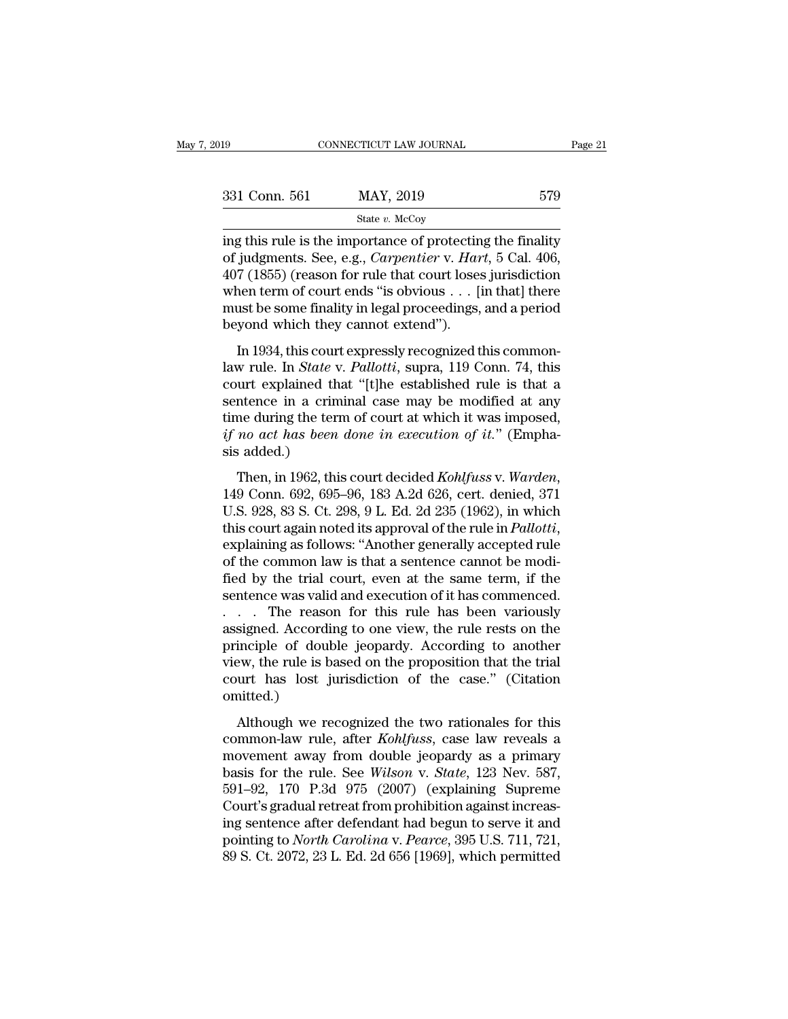| 019           | CONNECTICUT LAW JOURNAL                                                                                                                                                               | Page 21 |
|---------------|---------------------------------------------------------------------------------------------------------------------------------------------------------------------------------------|---------|
|               |                                                                                                                                                                                       |         |
| 331 Conn. 561 | MAY, 2019                                                                                                                                                                             | 579     |
|               | State $v$ . McCoy                                                                                                                                                                     |         |
|               | ing this rule is the importance of protecting the finality<br>of judgments. See, e.g., Carpentier v. Hart, 5 Cal. 406,<br>$107(1955)$ (reason for rule that court lesse invistigation |         |

<sup>579</sup><br>
<sup>State *v.* MAY, 2019<br>
<sup>State *v.* McCoy<br>
ing this rule is the importance of protecting the finality<br>
of judgments. See, e.g., *Carpentier v. Hart*, 5 Cal. 406,<br>
407 (1855) (reason for rule that court loses jurisd</sup></sup> 331 Conn. 561 MAY, 2019 579<br>
State v. McCoy<br>
ing this rule is the importance of protecting the finality<br>
of judgments. See, e.g., *Carpentier* v. *Hart*, 5 Cal. 406,<br>
407 (1855) (reason for rule that court loses jurisdict 331 Conn. 561 MAY, 2019 579<br>
State v. McCoy<br>
ing this rule is the importance of protecting the finality<br>
of judgments. See, e.g., *Carpentier* v. *Hart*, 5 Cal. 406,<br>
407 (1855) (reason for rule that court loses jurisdict Since finally  $\frac{1}{2}$  state v. McCoy<br>
ing this rule is the importance of protecting the finality<br>
of judgments. See, e.g., *Carpentier* v. *Hart*, 5 Cal. 406,<br>
407 (1855) (reason for rule that court loses jurisdiction<br>  $\begin{array}{l} \text{state }v\text{ }{\tt{McCoy}}\\ \text{ing this rule is the importance of protection}\\ \text{of judgments. See, e.g.,} *Carpentier* v. Har\\ \text{407 (1855) (reason for rule that court loses when term of court ends "is obvious . . . [i must be some finally in legal proceedings, beyond which they cannot extend").\\ \text{In 1934, this court expressly recognized to the same context of the text.} \end{array}$ judgments. See, e.g., *Carpentier* v. *Hart*, 5 Cal. 406, 7 (1855) (reason for rule that court loses jurisdiction are term of court ends "is obvious  $\ldots$  [in that] there ust be some finality in legal proceedings, and a p dellary (1855) (reason for rule that court loses jurisdiction<br>when term of court ends "is obvious . . . [in that] there<br>must be some finality in legal proceedings, and a period<br>beyond which they cannot extend").<br>In 1934, t

For (1666) (reason for rule that court foses jarisdiction<br>when term of court ends "is obvious . . . [in that] there<br>must be some finality in legal proceedings, and a period<br>beyond which they cannot extend").<br>In 1934, this must be some finality in legal proceedings, and a period<br>beyond which they cannot extend").<br>In 1934, this court expressly recognized this common-<br>law rule. In *State* v. *Pallotti*, supra, 119 Conn. 74, this<br>court explain the term of extend.<br>
In 1934, this court expressly recognized this common-<br>
law rule. In *State v. Pallotti*, supra, 119 Conn. 74, this<br>
court explained that "[t]he established rule is that a<br>
sentence in a criminal case In 1934, this court expressly recognized this common-<br>law rule. In *State v. Pallotti*, supra, 119 Conn. 74, this<br>court explained that "[t]he established rule is that a<br>sentence in a criminal case may be modified at any<br>ti In 1934, this cour<br>law rule. In *State* v<br>court explained th<br>sentence in a crim<br>time during the ter:<br>if no act has been<br>sis added.)<br>Then, in 1962, thi Then, in 1962, this court decided *Kohlfuss* v. *Warden,* 149 Conn. 14, and sentence in a criminal case may be modified at any time during the term of court at which it was imposed, if no act has been done in execution of

time during the term of court at which it was imposed,<br> *if no act has been done in execution of it.*" (Empha-<br>
sis added.)<br>
Then, in 1962, this court decided *Kohlfuss v. Warden*,<br>
149 Conn. 692, 695–96, 183 A.2d 626, ce if no act has been done in execution of it." (Emphasis added.)<br>Then, in 1962, this court decided *Kohlfuss* v. *Warden*,<br>149 Conn. 692, 695–96, 183 A.2d 626, cert. denied, 371<br>U.S. 928, 83 S. Ct. 298, 9 L. Ed. 2d 235 (1962 Then, in 1962, this court decided *Kohlfuss v. Warden*, 149 Conn. 692, 695–96, 183 A.2d 626, cert. denied, 371 U.S. 928, 83 S. Ct. 298, 9 L. Ed. 2d 235 (1962), in which this court again noted its approval of the rule in *P* Then, in 1962, this court decided *Kohlfuss* v. Warden,<br>149 Conn. 692, 695–96, 183 A.2d 626, cert. denied, 371<br>U.S. 928, 83 S. Ct. 298, 9 L. Ed. 2d 235 (1962), in which<br>this court again noted its approval of the rule in *P* 149 Conn. 692, 695–96, 183 A.2d 626, cert. denied, 371<br>U.S. 928, 83 S. Ct. 298, 9 L. Ed. 2d 235 (1962), in which<br>this court again noted its approval of the rule in *Pallotti*,<br>explaining as follows: "Another generally acc U.S. 928, 83 S. Ct. 298, 9 L. Ed. 2d 235 (1962), in which<br>this court again noted its approval of the rule in *Pallotti*,<br>explaining as follows: "Another generally accepted rule<br>of the common law is that a sentence cannot this court again noted its approval of the rule in *Pallotti*,<br>explaining as follows: "Another generally accepted rule<br>of the common law is that a sentence cannot be modi-<br>fied by the trial court, even at the same term, if explaining as follows: "Another generally accepted rule<br>of the common law is that a sentence cannot be modi-<br>fied by the trial court, even at the same term, if the<br>sentence was valid and execution of it has commenced.<br>. . of the common law is that a sentence cannot be modified by the trial court, even at the same term, if the sentence was valid and execution of it has commenced.<br>
. . . The reason for this rule has been variously assigned. A fied by the trial court, even at the same term, if the sentence was valid and execution of it has commenced.<br>
. . . The reason for this rule has been variously assigned. According to one view, the rule rests on the princip omitted.) Signed. According to one view, the rule rests on the inciple of double jeopardy. According to another ew, the rule is based on the proposition that the trial urt has lost jurisdiction of the case." (Citation anitted.)<br>Alt designed: recording to one view, the rule rests on the<br>principle of double jeopardy. According to another<br>view, the rule is based on the proposition that the trial<br>court has lost jurisdiction of the case." (Citation<br>omitte

movement are is based on the proposition that the trial<br>court has lost jurisdiction of the case." (Citation<br>omitted.)<br>Although we recognized the two rationales for this<br>common-law rule, after *Kohlfuss*, case law reveals basis for the rule is basis of the proposition that the that<br>court has lost jurisdiction of the case." (Citation<br>omitted.)<br>Although we recognized the two rationales for this<br>common-law rule, after *Kohlfuss*, case law reve omitted.)<br>
Although we recognized the two rationales for this<br>
common-law rule, after *Kohlfuss*, case law reveals a<br>
movement away from double jeopardy as a primary<br>
basis for the rule. See *Wilson v. State*, 123 Nev. 587 Although we recognized the two rationales for this<br>common-law rule, after *Kohlfuss*, case law reveals a<br>movement away from double jeopardy as a primary<br>basis for the rule. See *Wilson v. State*, 123 Nev. 587,<br>591–92, 170 Although we recognized the two rationales for this<br>common-law rule, after *Kohlfuss*, case law reveals a<br>movement away from double jeopardy as a primary<br>basis for the rule. See *Wilson v. State*, 123 Nev. 587,<br>591–92, 170 common-law rule, after *Kohlfuss*, case law reveals a<br>movement away from double jeopardy as a primary<br>basis for the rule. See *Wilson v. State*, 123 Nev. 587,<br>591–92, 170 P.3d 975 (2007) (explaining Supreme<br>Court's gradual movement away from double jeopardy as a primary<br>basis for the rule. See *Wilson v. State*, 123 Nev. 587,<br>591–92, 170 P.3d 975 (2007) (explaining Supreme<br>Court's gradual retreat from prohibition against increas-<br>ing sentenc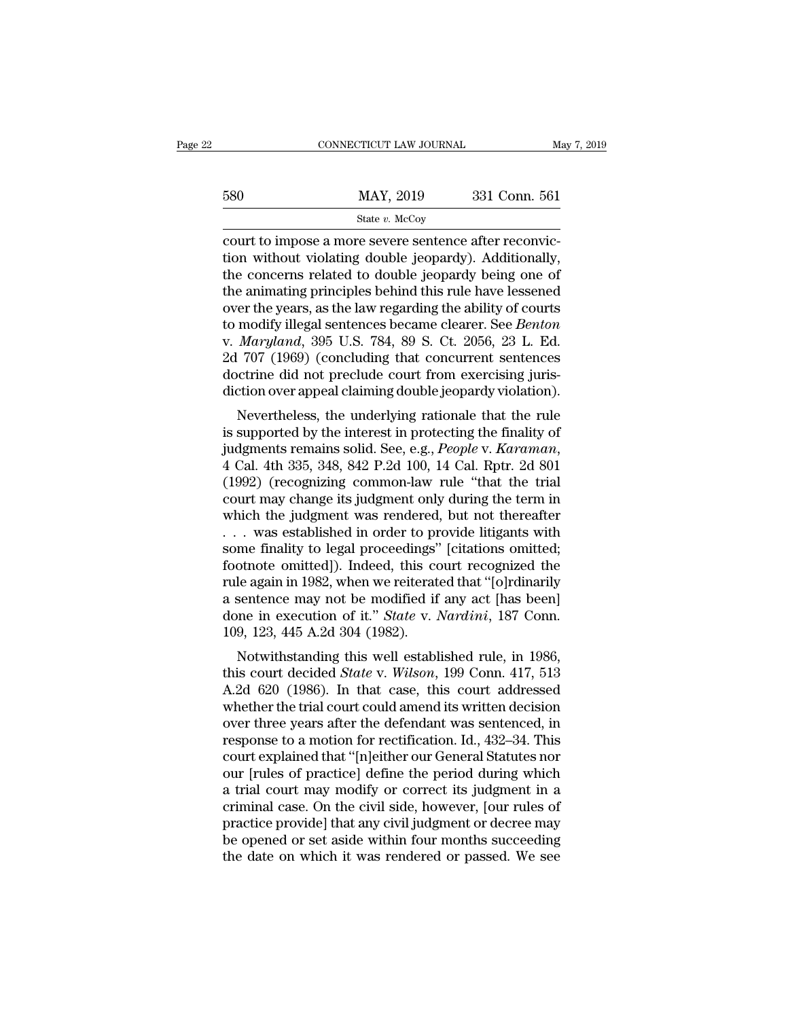## State *v.* McCoy

 $\begin{array}{ccc}\n & \text{COMRECTICUT LAW JOURNAL} & \text{MAY} & \text{AAY} & \text{AAY} & \text{AAY} & \text{BAY} & \text{BAY} & \text{BAY} & \text{BAY} & \text{BAY} & \text{BAY} & \text{BAY} & \text{BAY} & \text{BAY} & \text{BAY} & \text{BAY} & \text{BAY} & \text{BAY} & \text{BAY} & \text{BAY} & \text{BAY} & \text{BAY} & \text{BAY} & \text{BAY} & \text{BAY} & \text{BAY} & \text{BAY} & \text{BAY} & \text{BAY} &$ 580 MAY, 2019 331 Conn. 561<br>
State v. McCoy<br>
Court to impose a more severe sentence after reconviction<br>
without violating double jeopardy). Additionally,<br>
the concerns related to double jeopardy being one of<br>
the animatin 580 MAY, 2019 331 Conn. 561<br>
State v. McCoy<br>
court to impose a more severe sentence after reconviction<br>
without violating double jeopardy). Additionally,<br>
the concerns related to double jeopardy being one of<br>
the animatin 580 MAY, 2019 331 Conn. 561<br>
State *v*. McCoy<br>
court to impose a more severe sentence after reconviction<br>
without violating double jeopardy). Additionally,<br>
the concerns related to double jeopardy being one of<br>
the animat State v. McCoy<br>
over the impose a more severe sentence after reconviction<br>
without violating double jeopardy). Additionally,<br>
the concerns related to double jeopardy being one of<br>
the animating principles behind this rule state *v.* McCoy<br>
court to impose a more severe sentence after reconvic-<br>
tion without violating double jeopardy). Additionally,<br>
the concerns related to double jeopardy being one of<br>
the animating principles behind this r court to impose a more severe sentence after reconviction without violating double jeopardy). Additionally, the concerns related to double jeopardy being one of the animating principles behind this rule have lessened over tion without violating double jeopardy). Additionally,<br>the concerns related to double jeopardy being one of<br>the animating principles behind this rule have lessened<br>over the years, as the law regarding the ability of courts the concerns related to double jeopardy being one of<br>the animating principles behind this rule have lessened<br>over the years, as the law regarding the ability of courts<br>to modify illegal sentences became clearer. See *Bento* the animating principles behind this rule have lessened<br>over the years, as the law regarding the ability of courts<br>to modify illegal sentences became clearer. See *Benton*<br>v. *Maryland*, 395 U.S. 784, 89 S. Ct. 2056, 23 L. er the years, as the law regarding the ability of courts<br>modify illegal sentences became clearer. See *Benton*<br>Maryland, 395 U.S. 784, 89 S. Ct. 2056, 23 L. Ed.<br>707 (1969) (concluding that concurrent sentences<br>octrine did is mounty megal sentences became clearer. See *Behton*<br>v. *Maryland*, 395 U.S. 784, 89 S. Ct. 2056, 23 L. Ed.<br>2d 707 (1969) (concluding that concurrent sentences<br>doctrine did not preclude court from exercising juris-<br>dicti

v. *margiana*, 353 U.S. 764, 65 S. U. 2050, 25 L. Ed.<br>2d 707 (1969) (concluding that concurrent sentences<br>doctrine did not preclude court from exercising juris-<br>diction over appeal claiming double jeopardy violation).<br>Neve diction over appeal claiming double jeopardy violation).<br>
Nevertheless, the underlying rationale that the rule<br>
is supported by the interest in protecting the finality of<br>
judgments remains solid. See, e.g., *People* v. *K* diction over appear claiming dodine jeopardy violation).<br>
Nevertheless, the underlying rationale that the rule<br>
is supported by the interest in protecting the finality of<br>
judgments remains solid. See, e.g., *People* v. *K* Nevertheless, the underlying rationale that the rule<br>is supported by the interest in protecting the finality of<br>judgments remains solid. See, e.g., *People* v. *Karaman*,<br>4 Cal. 4th 335, 348, 842 P.2d 100, 14 Cal. Rptr. 2 is supported by the interest in protecting the finality of<br>judgments remains solid. See, e.g., *People* v. *Karaman*,<br>4 Cal. 4th 335, 348, 842 P.2d 100, 14 Cal. Rptr. 2d 801<br>(1992) (recognizing common-law rule "that the tr judgments remains solid. See, e.g., *People v. Karaman*,<br>4 Cal. 4th 335, 348, 842 P.2d 100, 14 Cal. Rptr. 2d 801<br>(1992) (recognizing common-law rule "that the trial<br>court may change its judgment only during the term in<br>whi 4 Cal. 4th 335, 348, 842 P.2d 100, 14 Cal. Rptr. 2d 801<br>(1992) (recognizing common-law rule "that the trial<br>court may change its judgment only during the term in<br>which the judgment was rendered, but not thereafter<br>... was (1992) (recognizing common-law rule "that the trial<br>court may change its judgment only during the term in<br>which the judgment was rendered, but not thereafter<br> $\ldots$  was established in order to provide litigants with<br>some f court may change its judgment only during the term in<br>which the judgment was rendered, but not thereafter<br>... was established in order to provide litigants with<br>some finality to legal proceedings" [citations omitted;<br>foot which the judgment was rendered, but not thereafter . . . was established in order to provide litigants with some finality to legal proceedings" [citations omitted; footnote omitted]). Indeed, this court recognized the rul ... was established in order to provide litigants with some finality to legal proceedings" [citations omitted; footnote omitted]). Indeed, this court recognized the rule again in 1982, when we reiterated that "[o]rdinarily Internatively to legal proceedings [chations officient]<br>othote omitted]). Indeed, this court recognized the<br>le again in 1982, when we reiterated that "[o]rdinarily<br>sentence may not be modified if any act [has been]<br>me in e Fractional and the modified *State* v. *Nardini*, 187 Conn.<br>
1992, when we reiterated that "[o]rdinarily<br>
199, 123, 445 A.2d 304 (1982).<br>
Notwithstanding this well established rule, in 1986,<br>
this court decided *State* v.

The again in 1962, when we renerated that [Offdinarity]<br>a sentence may not be modified if any act [has been]<br>done in execution of it." *State* v. *Nardini*, 187 Conn.<br>109, 123, 445 A.2d 304 (1982).<br>Notwithstanding this wel a sentence may not be modified if any act [nas been]<br>done in execution of it." *State* v. *Nardini*, 187 Conn.<br>109, 123, 445 A.2d 304 (1982).<br>Notwithstanding this well established rule, in 1986,<br>this court decided *State* done in execution of it. *State v. Nartumi*, 187 Collit.<br>109, 123, 445 A.2d 304 (1982).<br>Notwithstanding this well established rule, in 1986,<br>this court decided *State v. Wilson*, 199 Conn. 417, 513<br>A.2d 620 (1986). In that ros, 125, 445 A.2d 304 (1362).<br>
Notwithstanding this well established rule, in 1986,<br>
this court decided *State v. Wilson*, 199 Conn. 417, 513<br>
A.2d 620 (1986). In that case, this court addressed<br>
whether the trial court c Notwithstanding this well established rule, in 1986,<br>this court decided *State* v. *Wilson*, 199 Conn. 417, 513<br>A.2d 620 (1986). In that case, this court addressed<br>whether the trial court could amend its written decision<br>o this court decided *State* v. *Wilson*, 199 Conn. 417, 513<br>A.2d 620 (1986). In that case, this court addressed<br>whether the trial court could amend its written decision<br>over three years after the defendant was sentenced, in A.2d 620 (1986). In that case, this court addressed<br>whether the trial court could amend its written decision<br>over three years after the defendant was sentenced, in<br>response to a motion for rectification. Id., 432–34. This<br> whether the trial court could amend its written decision<br>over three years after the defendant was sentenced, in<br>response to a motion for rectification. Id., 432–34. This<br>court explained that "[n]either our General Statutes over three years after the defendant was sentenced, in<br>response to a motion for rectification. Id., 432–34. This<br>court explained that "[n]either our General Statutes nor<br>our [rules of practice] define the period during whi response to a motion for rectification. Id., 432–34. This<br>court explained that "[n]either our General Statutes nor<br>our [rules of practice] define the period during which<br>a trial court may modify or correct its judgment in court explained that "[n]either our General Statutes nor<br>our [rules of practice] define the period during which<br>a trial court may modify or correct its judgment in a<br>criminal case. On the civil side, however, [our rules of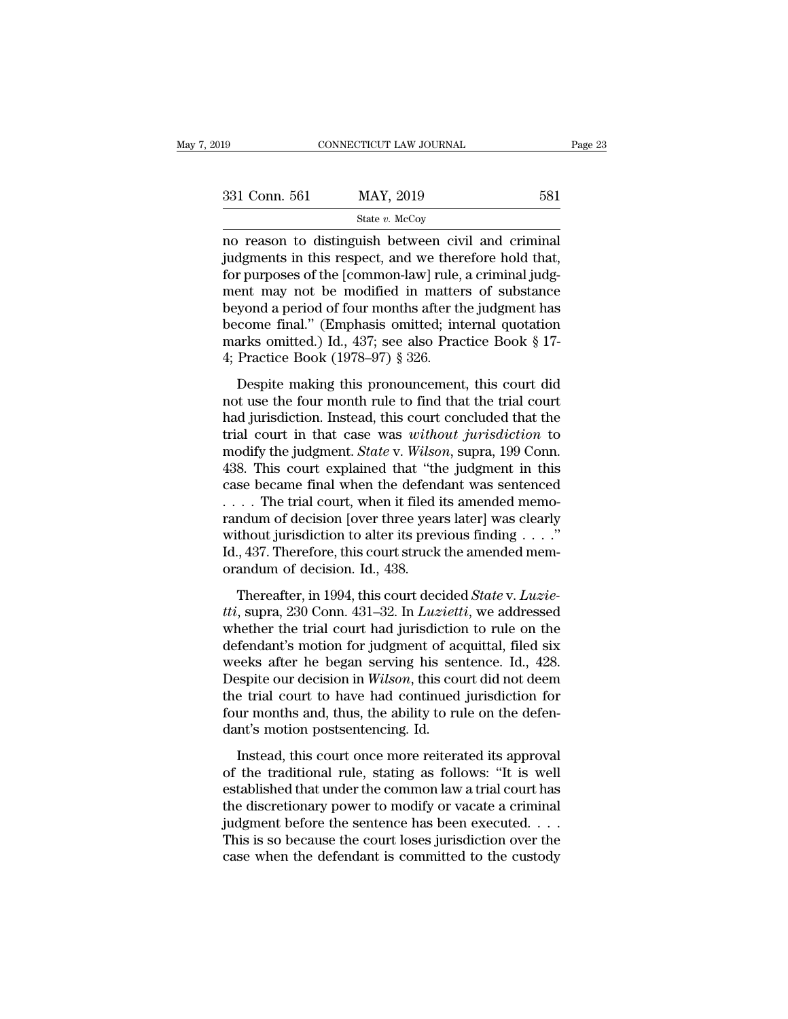| 2019          | CONNECTICUT LAW JOURNAL                                                                                                                                                | Page 23 |
|---------------|------------------------------------------------------------------------------------------------------------------------------------------------------------------------|---------|
|               |                                                                                                                                                                        |         |
| 331 Conn. 561 | MAY, 2019                                                                                                                                                              | 581     |
|               | State v. McCoy                                                                                                                                                         |         |
|               | no reason to distinguish between civil and criminal<br>judgments in this respect, and we therefore hold that,<br>for numosos of the Leommon Jewl rule, a eriminal judg |         |

 $\begin{array}{ccc}\n 331 \text{ Conn. } 561 & \text{MAX, } 2019 & \text{581} \\
 \hline\n \text{State } v. \text{McCoy} & \text{no reason to distinguish between civil and criminal judgments in this respect, and we therefore hold that, for purposes of the [common-law] rule, a criminal judgment may not be modified in matters of substance.\n$  $\begin{array}{c|c} \text{331 Conn.} \text{ } 561 \text{ } & \text{MAX, } 2019 \text{ } & \text{581} \\ \hline \text{state } v. \text{ MeCoy} \end{array}$  and criminal judgments in this respect, and we therefore hold that, for purposes of the [common-law] rule, a criminal judg-<br>ment may not be m 331 Conn. 561 MAY, 2019 581<br>
State v. McCoy<br>
no reason to distinguish between civil and criminal<br>
judgments in this respect, and we therefore hold that,<br>
for purposes of the [common-law] rule, a criminal judg-<br>
ment may n  $\frac{\text{State } v. \text{ McCoy}}{\text{State } v. \text{ McCoy}}$ <br>
no reason to distinguish between civil and criminal<br>
judgments in this respect, and we therefore hold that,<br>
for purposes of the [common-law] rule, a criminal judg-<br>
ment may not be modifie state *v.* McCoy<br>
no reason to distinguish between civil and criminal<br>
judgments in this respect, and we therefore hold that,<br>
for purposes of the [common-law] rule, a criminal judg-<br>
ment may not be modified in matters o no reason to distinguish between civil and criminal<br>judgments in this respect, and we therefore hold that,<br>for purposes of the [common-law] rule, a criminal judg-<br>ment may not be modified in matters of substance<br>beyond a p judgments in this respect, and we ther<br>for purposes of the [common-law] rule,<br>ment may not be modified in matter<br>beyond a period of four months after th<br>become final." (Emphasis omitted; int<br>marks omitted.) Id., 437; see a purposes of the condition raw) rate, a critical judgent<br>ent may not be modified in matters of substance<br>yond a period of four months after the judgment has<br>come final." (Emphasis omitted; internal quotation<br>arks omitted.) not may not be modified in matters or substance<br>beyond a period of four months after the judgment has<br>become final." (Emphasis omitted; internal quotation<br>marks omitted.) Id., 437; see also Practice Book § 17-<br>4; Practice

become final." (Emphasis omitted; internal quotation<br>marks omitted.) Id., 437; see also Practice Book § 17-<br>4; Practice Book (1978–97) § 326.<br>Despite making this pronouncement, this court did<br>not use the four month rule t trial court in the court of the same of the set of the set of the set of the predict of the prediction.<br>
Despite making this pronouncement, this court did not use the four month rule to find that the trial court<br>
had juris marks of the digment. J. 10, 500 also Tractice Book 3 1.<br>4; Practice Book (1978–97) § 326.<br>Despite making this pronouncement, this court did<br>not use the four month rule to find that the trial court<br>had jurisdiction. Instea 1, 1 ractice Book (1646–64) 3, 825.<br>
Despite making this pronouncement, this court did<br>
not use the four month rule to find that the trial court<br>
had jurisdiction. Instead, this court concluded that the<br>
trial court in th Despite making this pronouncement, this court did<br>not use the four month rule to find that the trial court<br>had jurisdiction. Instead, this court concluded that the<br>trial court in that case was *without jurisdiction* to<br>mo not use the four month rule to find that the trial court<br>had jurisdiction. Instead, this court concluded that the<br>trial court in that case was *without jurisdiction* to<br>modify the judgment. *State* v. *Wilson*, supra, 199 had jurisdiction. Instead, this court concluded that the<br>trial court in that case was *without jurisdiction* to<br>modify the judgment. *State* v. *Wilson*, supra, 199 Conn.<br>438. This court explained that "the judgment in th trial court in that case was *without jurisdiction* to modify the judgment. *State* v. *Wilson*, supra, 199 Conn. 438. This court explained that "the judgment in this case became final when the defendant was sentenced ... modify the judgment. *State* v. *Wilson*, supra, 199 Conn.<br>438. This court explained that "the judgment in this<br>case became final when the defendant was sentenced<br> $\dots$  The trial court, when it filed its amended memo-<br>rand 438. This court explained that "th case became final when the defenced .... The trial court, when it filed is randum of decision [over three year without jurisdiction to alter its previded, 437. Therefore, this court stru The trial court, when it filed its amended memo-<br>
Indum of decision [over three years later] was clearly<br>
thout jurisdiction to alter its previous finding . . . ."<br>
., 437. Therefore, this court struck the amended memo-<br> *tti*, suppressed without jurisdiction to alter its previous finding . . . ."<br>
Id., 437. Therefore, this court struck the amended memorandum of decision. Id., 438.<br> **Thereafter**, in 1994, this court decided *State v. Luzie* 

without jurisdiction to alter its previous finding  $\dots$ ."<br>Id., 437. Therefore, this court struck the amended memorandum of decision. Id., 438.<br>Thereafter, in 1994, this court decided *State* v. *Luzie-*<br>*tti*, supra, 230 d., 437. Therefore, this court struck the amended memorandum of decision. Id., 438.<br>Thereafter, in 1994, this court decided *State v. Luzie-*<br>tti, supra, 230 Conn. 431–32. In *Luzietti*, we addressed<br>whether the trial cou For the began serving his sentence and the began service.<br>Thereafter, in 1994, this court decided *State* v. *Luzietti*, supra, 230 Conn. 431–32. In *Luzietti*, we addressed<br>whether the trial court had jurisdiction to rul Thereafter, in 1994, this court decided *State* v. *Luzie-tti*, supra, 230 Conn. 431–32. In *Luzietti*, we addressed<br>whether the trial court had jurisdiction to rule on the<br>defendant's motion for judgment of acquittal, fil Thereafter, in 1994, this court decided *State* v. *Luzie-*<br>tti, supra, 230 Conn. 431–32. In *Luzietti*, we addressed<br>whether the trial court had jurisdiction to rule on the<br>defendant's motion for judgment of acquittal, fi *tti*, supra, 230 Conn. 431–32. In *Luzietti*, we addressed whether the trial court had jurisdiction to rule on the defendant's motion for judgment of acquittal, filed six weeks after he began serving his sentence. Id., 4 whether the trial court had jurisdiction<br>defendant's motion for judgment of accreeds after he began serving his sen<br>Despite our decision in *Wilson*, this court<br>the trial court to have had continued<br>four months and, thus, Fernand S modern for Jacquierin or acquisital, med since<br>
Feks after he began serving his sentence. Id., 428.<br>
Sepite our decision in *Wilson*, this court did not deem<br>
e trial court to have had continued jurisdiction for<br> of the traditional rule, stating as follows: ''It', the traditional rule traditional rule, the ability to rule on the defendant's motion postsentencing. Id.<br>Instead, this court once more reiterated its approval of the trad

Europes our decision in *Whose*, and contract an increasing the trial court to have had continued jurisdiction for four months and, thus, the ability to rule on the defendant's motion postsentencing. Id.<br>Instead, this cour four months and, thus, the ability to rule on the defen-<br>dant's motion postsentencing. Id.<br>Instead, this court once more reiterated its approval<br>of the traditional rule, stating as follows: "It is well<br>established that und from the sentence has been executed. This is so because the court loss in the series of the traditional rule, stating as follows: "It is well established that under the common law a trial court has the discretionary power Instead, this court once more reiterated its approval<br>of the traditional rule, stating as follows: "It is well<br>established that under the common law a trial court has<br>the discretionary power to modify or vacate a criminal Instead, this court once more reiterated its approval<br>of the traditional rule, stating as follows: "It is well<br>established that under the common law a trial court has<br>the discretionary power to modify or vacate a criminal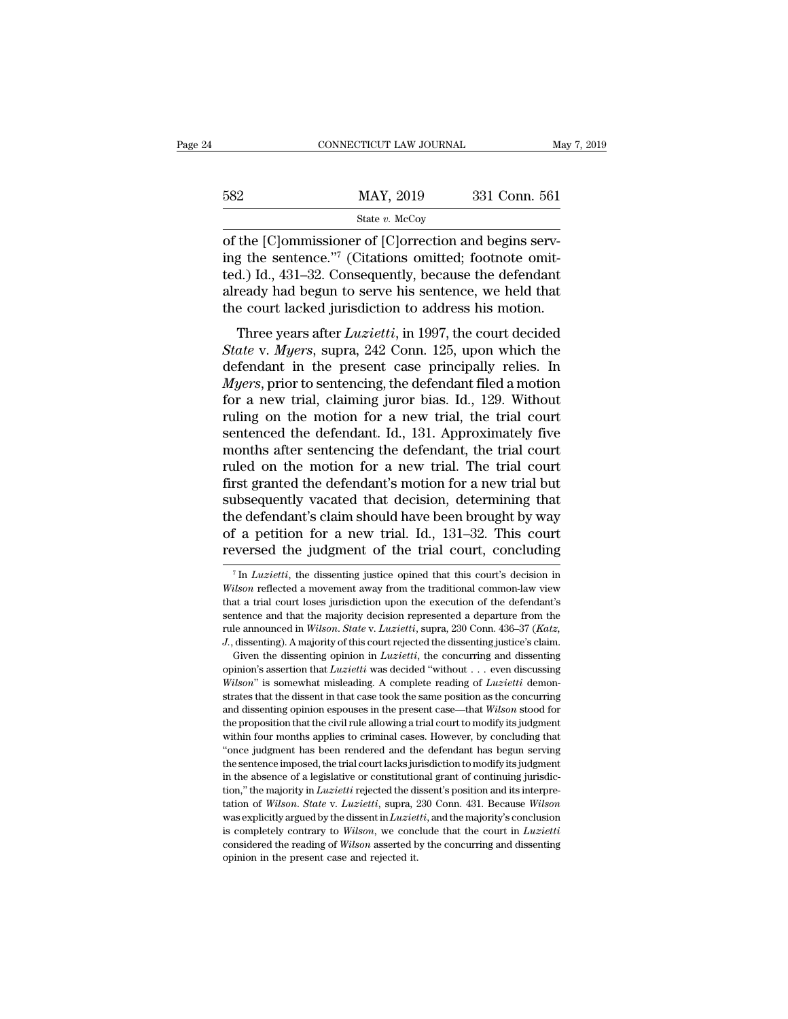|     | CONNECTICUT LAW JOURNAL | May 7, 2019   |
|-----|-------------------------|---------------|
| 582 | MAY, 2019               | 331 Conn. 561 |
|     | State $v$ . McCoy       |               |

CONNECTICUT LAW JOURNAL<br>
S82 MAY, 2019 331 Conn. 561<br>
State v. McCoy<br>
of the [C]ommissioner of [C]orrection and begins serv-<br>
ing the sentence."<sup>7</sup> (Citations omitted; footnote omitted.) Id. 431.32. Consequently, because 582 MAY, 2019 331 Conn. 561<br>
State v. McCoy<br>
of the [C]ommissioner of [C]orrection and begins serv-<br>
ing the sentence.''<sup>7</sup> (Citations omitted; footnote omit-<br>
ted.) Id., 431–32. Consequently, because the defendant<br>
alread 582 MAY, 2019 331 Conn. 561<br>
State v. McCoy<br>
of the [C]ommissioner of [C]orrection and begins serv-<br>
ing the sentence."<sup>7</sup> (Citations omitted; footnote omit-<br>
ted.) Id., 431–32. Consequently, because the defendant<br>
alread  $\frac{\text{MAX, 2019}}{\text{State } v. \text{ McCoy}}$ <br>
of the [C]ommissioner of [C]orrection and begins serving the sentence."<sup>7</sup> (Citations omitted; footnote omitted.) Id., 431–32. Consequently, because the defendant already had begun to serve h State v. McCoy<br>
of the [C]ommissioner of [C]orrection and begins serv-<br>
ing the sentence."<sup>7</sup> (Citations omitted; footnote omit-<br>
ted.) Id., 431–32. Consequently, because the defendant<br>
already had begun to serve his sent the [C]ommissioner of [C]orrection and begins serv-<br>g the sentence."<sup>7</sup> (Citations omitted; footnote omit-<br>d.) Id., 431–32. Consequently, because the defendant<br>ready had begun to serve his sentence, we held that<br>e court la *State* v. *Myers*, may also served in the sentence.<sup>"7</sup> (Citations omitted; footnote omitted.) Id., 431–32. Consequently, because the defendant already had begun to serve his sentence, we held that the court lacked jurisd

deferred and begun to serve his sentence, we held that<br>already had begun to serve his sentence, we held that<br>the court lacked jurisdiction to address his motion.<br>Three years after *Luzietti*, in 1997, the court decided<br>*S Myers*, and the priority, because the defendant<br>already had begun to serve his sentence, we held that<br>the court lacked jurisdiction to address his motion.<br>Three years after *Luzietti*, in 1997, the court decided<br>*State* v for a new trial, claiming into the series is motion.<br>Three years after *Luzietti*, in 1997, the court decided<br>*State* v. *Myers*, supra, 242 Conn. 125, upon which the<br>defendant in the present case principally relies. In<br> Three years after *Luzietti*, in 1997, the court decided<br>State v. Myers, supra, 242 Conn. 125, upon which the<br>defendant in the present case principally relies. In<br>Myers, prior to sentencing, the defendant filed a motion<br>fo Three years after *Luzietti*, in 1997, the court decided<br>State v. Myers, supra, 242 Conn. 125, upon which the<br>defendant in the present case principally relies. In<br>Myers, prior to sentencing, the defendant filed a motion<br>fo State v. Myers, supra, 242 Conn. 125, upon which the<br>defendant in the present case principally relies. In<br>Myers, prior to sentencing, the defendant filed a motion<br>for a new trial, claiming juror bias. Id., 129. Without<br>rul defendant in the present case principally relies. In *Myers*, prior to sentencing, the defendant filed a motion for a new trial, claiming juror bias. Id., 129. Without ruling on the motion for a new trial, the trial court *Myers*, prior to sentencing, the defendant filed a motion<br>for a new trial, claiming juror bias. Id., 129. Without<br>ruling on the motion for a new trial, the trial court<br>sentenced the defendant. Id., 131. Approximately five for a new trial, claiming juror bias. Id., 129. Without<br>ruling on the motion for a new trial, the trial court<br>sentenced the defendant. Id., 131. Approximately five<br>months after sentencing the defendant, the trial court<br>ru ruling on the motion for a new trial, the trial court<br>sentenced the defendant. Id., 131. Approximately five<br>months after sentencing the defendant, the trial court<br>ruled on the motion for a new trial. The trial court<br>first sentenced the defendant. Id., 131. Approximately five<br>months after sentencing the defendant, the trial court<br>ruled on the motion for a new trial. The trial court<br>first granted the defendant's motion for a new trial but<br>sub months after sentencing the defendant, the trial court<br>ruled on the motion for a new trial. The trial court<br>first granted the defendant's motion for a new trial but<br>subsequently vacated that decision, determining that<br>the ibsequently vacated that decision, determining that<br>is defendant's claim should have been brought by way<br>if a petition for a new trial. Id., 131–32. This court<br>versed the judgment of the trial court, concluding<br><sup>7</sup>In *Luzi* the defendant's claim should have been brought by way<br>of a petition for a new trial. Id., 131–32. This court<br>reversed the judgment of the trial court, concluding<br><sup>7</sup>In *Luzietti*, the dissenting justice opined that this co

of a petition for a new trial. Id., 131–32. This court<br>reversed the judgment of the trial court, concluding<br> $\frac{7 \text{ In } Luzietti}$ , the dissenting justice opined that this court's decision in<br>*Wilson* reflected a movement away reversed the judgment of the trial court, concluding<br>
<sup>7</sup> In *Luzietti*, the dissenting justice opined that this court's decision in<br> *Wilson* reflected a movement away from the traditional common-law view<br>
that a trial c The *Luce Cased Life* Judgment Of the trial COULt, Concluding<br>
The *Luzietti*, the dissenting justice opined that this court's decision in<br> *Wilson* reflected a movement away from the traditional common-law view<br>
that a tr <sup>7</sup> In *Luzietti*, the dissenting justice opined that this court's decision in *Wilson* reflected a movement away from the traditional common-law view that a trial court loses jurisdiction upon the execution of the defend ilson reflected a movement away from the traditional common-law view<br>itson reflected a movement away from the execution of the defendant's<br>ntence and that the majority decision represented a departure from the<br>le announced *hat a trial court loses jurisdiction upon the execution of the defendant's* sentence and that the majority decision represented a departure from the rule announced in *Wilson. State* v. *Luzietti*, supra, 230 Conn. 436-37

*A* that a trial court loses jurisdiction upon the execution of the defendant's sentence and that the majority decision represented a departure from the rule announced in *Wilson. State v. Luzietti*, supra, 230 Conn. 436 strates that the dissention of the present representing in the dissenting). A majority of this court rejected the dissenting justice's claim.<br>
Given the dissenting opinion in *Luzietti*, the concurring and dissenting<br>
opi and dissenting). A majority of this court rejected the dissenting justice's claim.<br>Given the dissenting opinion in *Luzietti*, the concurring and dissenting opinion's assertion that *Luzietti* was decided "without . . . ev Given the dissenting opinion in *Luzietti*, the concurring and dissenting opinion's assertion that *Luzietti* was decided "without . . . even discussing *Wilson*" is somewhat misleading. A complete reading of *Luzietti* d opinion's assertion that *Luzietti* was decided "without ... even discussing *Wilson*" is somewhat misleading. A complete reading of *Luzietti* demonstrates that the dissent in that case took the same position as the conc Wilson" is somewhat misleading. A complete reading of *Luzietti* demonstrates that the dissent in that case took the same position as the concurring and dissenting opinion espouses in the present case—that Wilson stood for strates that the dissent in that case took the same position as the concurring<br>and dissenting opinion espouses in the present case—that *Wilson* stood for<br>the proposition that the civil rule allowing a trial court to modif and dissenting opinion espouses in the present case—that *Wilson* stood for the proposition that the civil rule allowing a trial court to modify its judgment within four months applies to criminal cases. However, by concl the proposition that the civil rule allowing a trial court to modify its judgment<br>within four months applies to criminal cases. However, by concluding that<br>"once judgment has been rendered and the defendant has begun servi within four months applies to criminal cases. However, by colcluding that<br>
"once judgment has been rendered and the defendant has begun serving<br>
the sentence imposed, the trial court lacks jurisdiction to modify its judgme where judgment has been rendered and the defendant has begun serving<br>the sentence imposed, the trial court lacks jurisdiction to modify its judgment<br>in the absence of a legislative or constitutional grant of continuing ju "once judgment has been rendered and the defendant has begun serving the sentence imposed, the trial court lacks jurisdiction to modify its judgment in the absence of a legislative or constitutional grant of continuing ju in the absence of a legislative or constitutional grant of continuing jurisdiction," the majority in *Luzietti* rejected the dissent's position and its interpretation of *Wilson. State v. Luzietti*, supra, 230 Conn. 431. B tion," the majority in  $Luzietti$  rejected the dissent's position and its interpre-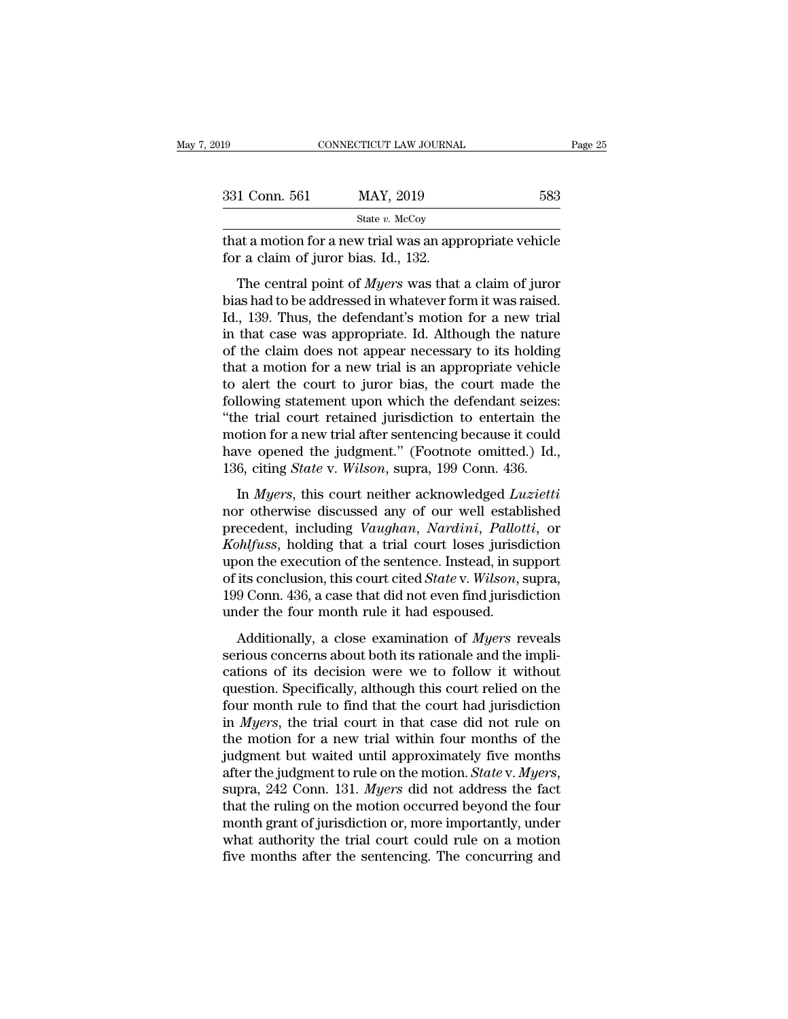| )19                                  | CONNECTICUT LAW JOURNAL                                                                                                                                                       | Page 25 |
|--------------------------------------|-------------------------------------------------------------------------------------------------------------------------------------------------------------------------------|---------|
|                                      |                                                                                                                                                                               |         |
| 331 Conn. 561                        | MAY, 2019                                                                                                                                                                     | 583     |
|                                      | State $v$ . McCoy                                                                                                                                                             |         |
| for a claim of juror bias. Id., 132. | that a motion for a new trial was an appropriate vehicle                                                                                                                      |         |
|                                      | The central point of <i>Myers</i> was that a claim of juror<br>bias had to be addressed in whatever form it was raised.<br>Id 130 Thus the defendant's motion for a new trial |         |

 $\frac{\text{B31 Conn. 561}}{\text{State } v. \text{ McCoy}}$ <br>
that a motion for a new trial was an appropriate vehicle<br>
for a claim of juror bias. Id., 132.<br>
The central point of *Myers* was that a claim of juror<br>
bias had to be addressed in whatever State v. McCoy<br>
Ithat a motion for a new trial was an appropriate vehicle<br>
for a claim of juror bias. Id., 132.<br>
The central point of *Myers* was that a claim of juror<br>
bias had to be addressed in whatever form it was rai that a motion for a new trial was an appropriate vehicle<br>for a claim of juror bias. Id., 132.<br>The central point of *Myers* was that a claim of juror<br>bias had to be addressed in whatever form it was raised.<br>Id., 139. Thus, of the claim of juror bias. Id., 132.<br>The central point of *Myers* was that a claim of juror<br>bias had to be addressed in whatever form it was raised.<br>Id., 139. Thus, the defendant's motion for a new trial<br>in that case was The central point of *Myers* was that a claim of juror<br>bias had to be addressed in whatever form it was raised.<br>Id., 139. Thus, the defendant's motion for a new trial<br>in that case was appropriate. Id. Although the nature<br> The central point of *Myers* was that a claim of juror<br>bias had to be addressed in whatever form it was raised.<br>Id., 139. Thus, the defendant's motion for a new trial<br>in that case was appropriate. Id. Although the nature<br> bias had to be addressed in whatever form it was raised.<br>Id., 139. Thus, the defendant's motion for a new trial<br>in that case was appropriate. Id. Although the nature<br>of the claim does not appear necessary to its holding<br>th Id., 139. Thus, the defendant's motion for a new trial<br>in that case was appropriate. Id. Although the nature<br>of the claim does not appear necessary to its holding<br>that a motion for a new trial is an appropriate vehicle<br>to in that case was appropriate. Id. Although the nature<br>of the claim does not appear necessary to its holding<br>that a motion for a new trial is an appropriate vehicle<br>to alert the court to juror bias, the court made the<br>follo of the claim does not appear necessary to its holding<br>that a motion for a new trial is an appropriate vehicle<br>to alert the court to juror bias, the court made the<br>following statement upon which the defendant seizes:<br>"the t that a motion for a new trial is an appropriate vehicle<br>to alert the court to juror bias, the court made the<br>following statement upon which the defendant seizes:<br>"the trial court retained jurisdiction to entertain the<br>moti Ilowing statement upon which the defendant seizes:<br>
ne trial court retained jurisdiction to entertain the<br>
otion for a new trial after sentencing because it could<br>
we opened the judgment." (Footnote omitted.) Id.,<br>
6, citi The trial court retained jurisdiction to entertaint senses.<br>
"the trial court retained jurisdiction to entertain the<br>
motion for a new trial after sentencing because it could<br>
have opened the judgment." (Footnote omitted.

motion for a new trial after sentencing because it could<br>have opened the judgment." (Footnote omitted.) Id.,<br>136, citing *State* v. *Wilson*, supra, 199 Conn. 436.<br>In *Myers*, this court neither acknowledged *Luzietti*<br>nor *Kohlfussier and the sendenting secalise is court*<br> *Kohalfording State v. Wilson, supra, 199 Conn. 436.*<br> *Kohlfuss, this court neither acknowledged Luzietti*<br> *Kohlfuss, holding Vaughan, Nardini, Pallotti, or*<br> *Kohlfuss* mate opened are jaughten. (1 ostrote sinated.) 1a.,<br>136, citing *State* v. *Wilson*, supra, 199 Conn. 436.<br>In *Myers*, this court neither acknowledged *Luzietti*<br>nor otherwise discussed any of our well established<br>precede In *Myers*, this court neither acknowledged *Luzietti* nor otherwise discussed any of our well established precedent, including *Vaughan, Nardini*, *Pallotti*, or *Kohlfuss*, holding that a trial court loses jurisdiction u In *Myers*, this court neither acknowledged *Luzietti*<br>nor otherwise discussed any of our well established<br>precedent, including *Vaughan*, *Nardini*, *Pallotti*, or<br>*Kohlfuss*, holding that a trial court loses jurisdiction nor otherwise discussed any of our well estable<br>precedent, including *Vaughan*, *Nardini*, *Pallot*<br>*Kohlfuss*, holding that a trial court loses jurisd<br>upon the execution of the sentence. Instead, in su<br>of its conclusion, Additionally Valuet, 1 and 1.1, 1 and 1.5, 1 and 1.6, 1 and 1.6, 1 and 1.6, 1 and 1.6, 1 and 1.6, 1 and 1.6, 1<br>
a conclusion, this court cited *State v. Wilson*, supra, 9 Conn. 436, a case that did not even find jurisdicti shown the execution of the sentence. Instead, in support of its conclusion, this court cited *State v. Wilson*, supra, 199 Conn. 436, a case that did not even find jurisdiction under the four month rule it had espoused.<br>A

por are executed of are sensence. moseta, in support of its conclusion, this court cited *State* v. *Wilson*, supra, 199 Conn. 436, a case that did not even find jurisdiction under the four month rule it had espoused.<br>Add 199 Conn. 436, a case that did not even find jurisdiction<br>under the four month rule it had espoused.<br>Additionally, a close examination of *Myers* reveals<br>serious concerns about both its rationale and the impli-<br>cations of Fourth root, a case and that for even find jurisdiction<br>under the four month rule it had espoused.<br>Additionally, a close examination of *Myers* reveals<br>serious concerns about both its rationale and the impli-<br>cations of it Additionally, a close examination of *Myers* reveals<br>serious concerns about both its rationale and the impli-<br>cations of its decision were we to follow it without<br>question. Specifically, although this court relied on the<br>f Additionally, a close examination of *Myers* reveals<br>serious concerns about both its rationale and the impli-<br>cations of its decision were we to follow it without<br>question. Specifically, although this court relied on the<br> serious concerns about both its rationale and the implications of its decision were we to follow it without question. Specifically, although this court relied on the four month rule to find that the court had jurisdiction cations of its decision were we to follow it without question. Specifically, although this court relied on the four month rule to find that the court had jurisdiction in *Myers*, the trial court in that case did not rule o four month rule to find that the court had jurisdiction<br>in *Myers*, the trial court in that case did not rule on<br>the motion for a new trial within four months of the<br>judgment but waited until approximately five months<br>aft in *Myers*, the trial court in that case did not rule on<br>the motion for a new trial within four months of the<br>judgment but waited until approximately five months<br>after the judgment to rule on the motion. *State* v. *Myers* the motion for a new trial within four months of the judgment but waited until approximately five months after the judgment to rule on the motion. *State v. Myers*, supra, 242 Conn. 131. *Myers* did not address the fact t judgment but waited until approximately five months after the judgment to rule on the motion. *State* v. *Myers*, supra, 242 Conn. 131. *Myers* did not address the fact that the ruling on the motion occurred beyond the fo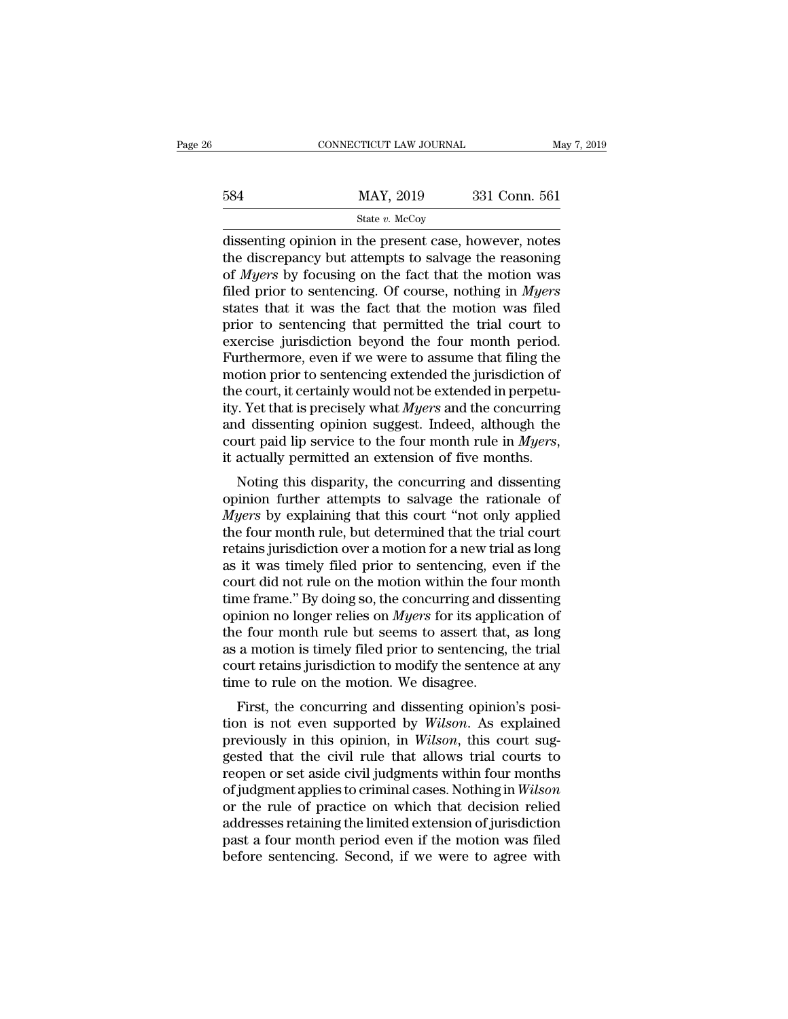|     | CONNECTICUT LAW JOURNAL                                                                                                                                                        | May 7, 2019   |
|-----|--------------------------------------------------------------------------------------------------------------------------------------------------------------------------------|---------------|
| 584 | MAY, 2019                                                                                                                                                                      | 331 Conn. 561 |
|     | State v. McCoy                                                                                                                                                                 |               |
|     | dissenting opinion in the present case, however, notes<br>the discrepancy but attempts to salvage the reasoning<br>of <i>Myore</i> by focusing on the fact that the metion was |               |

584 MAY, 2019 331 Conn. 561<br>
State v. McCoy<br>
dissenting opinion in the present case, however, notes<br>
the discrepancy but attempts to salvage the reasoning<br>
of *Myers* by focusing on the fact that the motion was<br>
filed pri  $MAY, 2019$   $331$  Conn. 561<br>  $Sate v. McCoy$ <br>
dissenting opinion in the present case, however, notes<br>
the discrepancy but attempts to salvage the reasoning<br>
of *Myers* by focusing on the fact that the motion was<br>
filed prior to  $\frac{\text{MAX, 2019}}{\text{State } v. \text{ McCoy}}$ <br>
dissenting opinion in the present case, however, notes<br>
the discrepancy but attempts to salvage the reasoning<br>
of *Myers* by focusing on the fact that the motion was<br>
filed prior to sentencin State v. McCoy<br>
State v. McCoy<br>
dissenting opinion in the present case, however, notes<br>
the discrepancy but attempts to salvage the reasoning<br>
of *Myers* by focusing on the fact that the motion was<br>
filed prior to sentenc state v. McCoy<br>dissenting opinion in the present case, however, notes<br>the discrepancy but attempts to salvage the reasoning<br>of *Myers* by focusing on the fact that the motion was<br>filed prior to sentencing. Of course, noth dissenting opinion in the present case, however, notes<br>the discrepancy but attempts to salvage the reasoning<br>of *Myers* by focusing on the fact that the motion was<br>filed prior to sentencing. Of course, nothing in *Myers*<br>s the discrepancy but attempts to salvage the reasoning<br>of *Myers* by focusing on the fact that the motion was<br>filed prior to sentencing. Of course, nothing in *Myers*<br>states that it was the fact that the motion was filed<br>pr of *Myers* by focusing on the fact that the motion was<br>filed prior to sentencing. Of course, nothing in *Myers*<br>states that it was the fact that the motion was filed<br>prior to sentencing that permitted the trial court to<br>e filed prior to sentencing. Of course, nothing in *Myers* states that it was the fact that the motion was filed prior to sentencing that permitted the trial court to exercise jurisdiction beyond the four month period. Furth states that it was the fact that the motion was filed<br>prior to sentencing that permitted the trial court to<br>exercise jurisdiction beyond the four month period.<br>Furthermore, even if we were to assume that filing the<br>motion prior to sentencing that permitted the trial court to exercise jurisdiction beyond the four month period.<br>Furthermore, even if we were to assume that filing the motion prior to sentencing extended the jurisdiction of the exercise jurisdiction beyond the four month period.<br>Furthermore, even if we were to assume that filing the<br>motion prior to sentencing extended the jurisdiction of<br>the court, it certainly would not be extended in perpetu-<br>i But the court, it certainly would not be extended in perpetu-<br>  $\alpha$ . Yet that is precisely what *Myers* and the concurring<br>  $\alpha$  dissenting opinion suggest. Indeed, although the<br>
urt paid lip service to the four month rul the court, it certainly would not be extended in perpetity. Yet that is precisely what *Myers* and the concurring<br>and dissenting opinion suggest. Indeed, although the<br>court paid lip service to the four month rule in *Myer* 

*My.* Fet that is precisely what *Myers* and the concurring<br>and dissenting opinion suggest. Indeed, although the<br>court paid lip service to the four month rule in *Myers*,<br>it actually permitted an extension of five months.<br> and ussenting opinion suggest. Indeed, attributed court paid lip service to the four month rule in *Myers*, it actually permitted an extension of five months.<br>Noting this disparity, the concurring and dissenting opinion f Followit paid in service to the four month fule in *myers*,<br>it actually permitted an extension of five months.<br>Noting this disparity, the concurring and dissenting<br>opinion further attempts to salvage the rationale of<br>*Mye* as it was timely all extension of the months.<br>
Noting this disparity, the concurring and dissenting<br>
opinion further attempts to salvage the rationale of<br> *Myers* by explaining that this court "not only applied<br>
the four m Noting this disparity, the concurring and dissenting<br>opinion further attempts to salvage the rationale of<br> $Myers$  by explaining that this court "not only applied<br>the four month rule, but determined that the trial court<br>reta opinion further attempts to salvage the rationale of  $Myers$  by explaining that this court "not only applied the four month rule, but determined that the trial court retains jurisdiction over a motion for a new trial as lon *Myers* by explaining that this court "not only applied<br>the four month rule, but determined that the trial court<br>retains jurisdiction over a motion for a new trial as long<br>as it was timely filed prior to sentencing, even i the four month rule, but determined that the trial court<br>retains jurisdiction over a motion for a new trial as long<br>as it was timely filed prior to sentencing, even if the<br>court did not rule on the motion within the four m retains jurisdiction over a motion for a new trial as long<br>as it was timely filed prior to sentencing, even if the<br>court did not rule on the motion within the four month<br>time frame." By doing so, the concurring and dissen as it was timely filed prior to sentencing, even if the court did not rule on the motion within the four month time frame." By doing so, the concurring and dissenting opinion no longer relies on *Myers* for its application court did not rule on the motion within the foutime frame." By doing so, the concurring and di opinion no longer relies on *Myers* for its appliciate four month rule but seems to assert that, as a motion is timely filed pr First, the concurring and dissenting<br>and dissenting<br>a motion no longer relies on *Myers* for its application of<br>e four month rule but seems to assert that, as long<br>a motion is timely filed prior to sentencing, the trial<br>ur opinion no longer renes on *myers* for its application of<br>the four month rule but seems to assert that, as long<br>as a motion is timely filed prior to sentencing, the trial<br>court retains jurisdiction to modify the sentence a

previously in this opinion, in *Wilson*, the court superviously in this opinion, in *Wilson*, the explained previously in this opinion, in *Wilson*, this court sug-<br>gested that the civil rule that allows trial courts to re as a motion is timely fied prior to sentencing, the trial<br>court retains jurisdiction to modify the sentence at any<br>time to rule on the motion. We disagree.<br>First, the concurring and dissenting opinion's posi-<br>tion is not revent retains jurisdiction to modify the sentence at any<br>time to rule on the motion. We disagree.<br>First, the concurring and dissenting opinion's posi-<br>tion is not even supported by *Wilson*. As explained<br>previously in thi First, the concurring and dissenting opinion's position is not even supported by *Wilson*. As explained previously in this opinion, in *Wilson*. As explained previously in this opinion, in *Wilson*, this court suggested th First, the concurring and dissenting opinion's position is not even supported by *Wilson*. As explained previously in this opinion, in *Wilson*, this court suggested that the civil rule that allows trial courts to reopen o tion is not even supported by *Wilson*. As explained<br>previously in this opinion, in *Wilson*, this court sug-<br>gested that the civil rule that allows trial courts to<br>reopen or set aside civil judgments within four months<br>of previously in this opinion, in *Wilson*, this court suggested that the civil rule that allows trial courts to reopen or set aside civil judgments within four months of judgment applies to criminal cases. Nothing in *Wilson* gested that the civil rule that allows trial courts to<br>reopen or set aside civil judgments within four months<br>of judgment applies to criminal cases. Nothing in *Wilson*<br>or the rule of practice on which that decision relied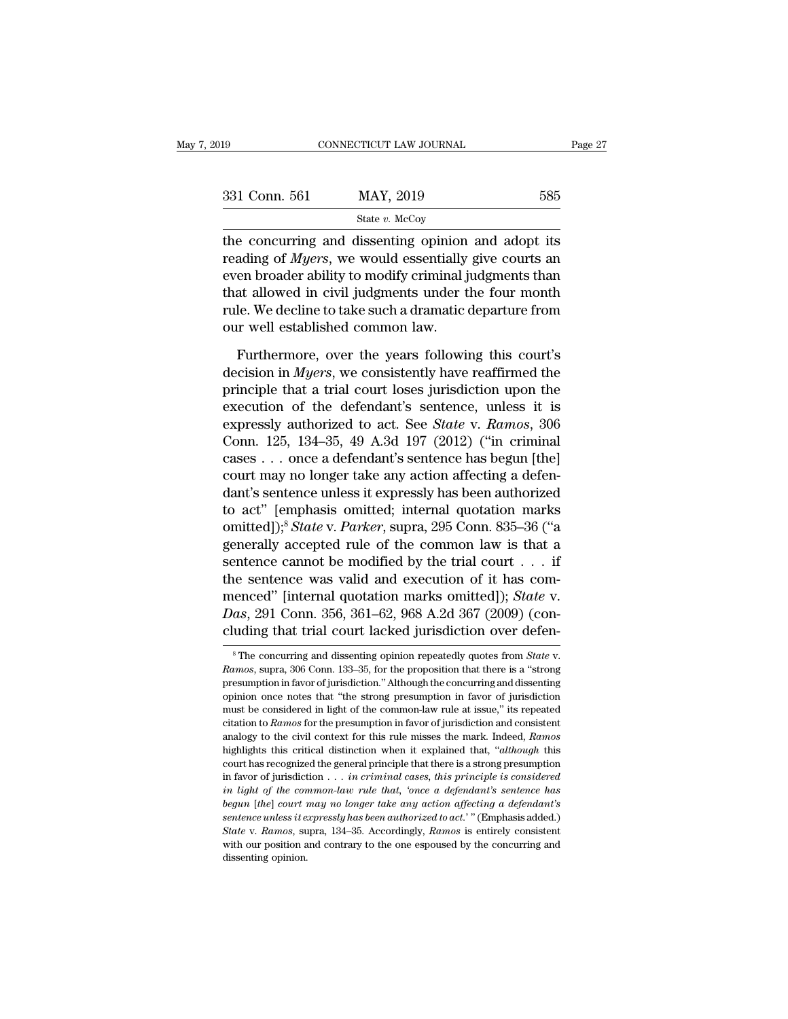| 019           | CONNECTICUT LAW JOURNAL                                                                                                                                                         | Page 27 |
|---------------|---------------------------------------------------------------------------------------------------------------------------------------------------------------------------------|---------|
| 331 Conn. 561 | MAY, 2019                                                                                                                                                                       | 585     |
|               | State $v$ . McCoy                                                                                                                                                               |         |
|               | the concurring and dissenting opinion and adopt its<br>reading of <i>Myers</i> , we would essentially give courts an<br>errep broader ability to modify eviningly udaments then |         |

331 Conn. 561 MAY, 2019 585<br>
State *v*. McCoy<br>
the concurring and dissenting opinion and adopt its<br>
reading of *Myers*, we would essentially give courts an<br>
even broader ability to modify criminal judgments than<br>
that allo 331 Conn. 561 MAY, 2019 585<br>
State v. McCoy<br>
the concurring and dissenting opinion and adopt its<br>
reading of *Myers*, we would essentially give courts an<br>
even broader ability to modify criminal judgments than<br>
that allow 331 Conn. 561 MAY, 2019 585<br>  $\frac{\text{State } v. \text{ McCoy}}{\text{the concerning and dissenting opinion and adopt its reading of *Myers*, we would essentially give courts an even broader ability to modify criminal judgments than that allowed in civil judgments under the four month rule. We decline to take such a dramatic departure from  $_{\text{cur}} = \frac{1}{2} \left( \frac{1}{2} \right)^{1/2}$ .$ State v. McCoy<br>the concurring and dissenting opinion and adopt its<br>reading of *Myers*, we would essentially give courts an<br>even broader ability to modify criminal judgments than<br>that allowed in civil judgments under the fo  $\frac{1}{\text{state } b}$  and dissenting opinion<br>reading of *Myers*, we would essentially<br>even broader ability to modify criminal j<br>that allowed in civil judgments under t<br>rule. We decline to take such a dramatic our well establishe ading of *Myers*, we would essentially give courts an<br>en broader ability to modify criminal judgments than<br>at allowed in civil judgments under the four month<br>le. We decline to take such a dramatic departure from<br>r well est even broader ability to modify criminal judgments than<br>that allowed in civil judgments under the four month<br>rule. We decline to take such a dramatic departure from<br>our well established common law.<br>Furthermore, over the yea

that allowed in civil judgments under the four month<br>rule. We decline to take such a dramatic departure from<br>our well established common law.<br>Furthermore, over the years following this court's<br>decision in *Myers*, we cons rule. We decline to take such a dramatic departure from<br>our well established common law.<br>Furthermore, over the years following this court's<br>decision in *Myers*, we consistently have reaffirmed the<br>principle that a trial c our well established common law.<br>
Furthermore, over the years following this court's<br>
decision in *Myers*, we consistently have reaffirmed the<br>
principle that a trial court loses jurisdiction upon the<br>
execution of the def Furthermore, over the years following this court's<br>decision in *Myers*, we consistently have reaffirmed the<br>principle that a trial court loses jurisdiction upon the<br>execution of the defendant's sentence, unless it is<br>expr Furthermore, over the years following this court's<br>decision in *Myers*, we consistently have reaffirmed the<br>principle that a trial court loses jurisdiction upon the<br>execution of the defendant's sentence, unless it is<br>expr decision in *Myers*, we consistently have reaffirmed the principle that a trial court loses jurisdiction upon the execution of the defendant's sentence, unless it is expressly authorized to act. See *State* v. Ramos, 306 principle that a trial court loses jurisdiction upon the<br>execution of the defendant's sentence, unless it is<br>expressly authorized to act. See *State* v. Ramos, 306<br>Conn. 125, 134–35, 49 A.3d 197 (2012) ("in criminal<br>cases execution of the defendant's sentence, unless it is<br>expressly authorized to act. See *State* v. Ramos, 306<br>Conn. 125, 134–35, 49 A.3d 197 (2012) ("in criminal<br>cases ... once a defendant's sentence has begun [the]<br>court ma expressly authorized to act. See *State* v. *Ramos*, 306<br>Conn. 125, 134–35, 49 A.3d 197 (2012) ("in criminal<br>cases . . . once a defendant's sentence has begun [the]<br>court may no longer take any action affecting a defen-<br>da Conn. 125, 134–35, 49 A.3d 197 (2012) ("in criminal<br>cases ... once a defendant's sentence has begun [the]<br>court may no longer take any action affecting a defen-<br>dant's sentence unless it expressly has been authorized<br>to a cases . . . once a defendant's sentence has begun [the]<br>court may no longer take any action affecting a defen-<br>dant's sentence unless it expressly has been authorized<br>to act" [emphasis omitted]; internal quotation marks<br>o court may no longer take any action affecting a defendant's sentence unless it expressly has been authorized<br>to act" [emphasis omitted; internal quotation marks<br>omitted]);<sup>8</sup> *State* v. *Parker*, supra, 295 Conn. 835–36 ( dant's sentence unless it expressly has been authorized<br>to act" [emphasis omitted; internal quotation marks<br>omitted]);<sup>8</sup> *State* v. *Parker*, supra, 295 Conn. 835–36 ("a<br>generally accepted rule of the common law is that a to act" [emphasis omitted; internal quotation marks omitted]);<sup>8</sup> *State* v. *Parker*, supra, 295 Conn. 835–36 ("a generally accepted rule of the common law is that a sentence cannot be modified by the trial court . . . if omitted]);<sup>8</sup> *State* v. *Parker*, supra, 295 Conn. 835–36 ("a generally accepted rule of the common law is that a sentence cannot be modified by the trial court  $\ldots$  if the sentence was valid and execution of it has com the sentence was valid and execution of it has commenced" [internal quotation marks omitted]); *State* v. *Das*, 291 Conn. 356, 361–62, 968 A.2d 367 (2009) (concluding that trial court lacked jurisdiction over defen-<br><sup>8</sup> T

Das, 291 Conn. 356, 361–62, 968 A.2d 367 (2009) (concluding that trial court lacked jurisdiction over defen-<br><sup>8</sup>The concurring and dissenting opinion repeatedly quotes from *State* v.<br>*Ramos*, supra, 306 Conn. 133–35, for cluding that trial court lacked jurisdiction over defen-<br>
<sup>8</sup> The concurring and dissenting opinion repeatedly quotes from *State* v.<br> *Ramos*, supra, 306 Conn. 133–35, for the proposition that there is a "strong<br>
presumpt <sup>8</sup> The concurring and dissenting opinion repeatedly quotes from *State* v.<br><sup>8</sup> The concurring and dissenting opinion repeatedly quotes from *State* v.<br>*Ramos*, supra, 306 Conn. 133–35, for the proposition that there is a <sup>8</sup> The concurring and dissenting opinion repeatedly quotes from *State* v. *Ramos*, supra, 306 Conn. 133–35, for the proposition that there is a "strong presumption in favor of jurisdiction." Although the concurring and *Paranos*, supra, 306 Conn. 133–35, for the proposition that there is a "strong presumption in favor of jurisdiction." Although the concurring and dissenting opinion once notes that "the strong presumption in favor of juri presumption in favor of jurisdiction." Although the concurring and dissenting opinion once notes that "the strong presumption in favor of jurisdiction must be considered in light of the common-law rule at issue," its repea opinion once notes that "the strong presumption in favor of jurisdiction<br>must be considered in light of the common-law rule at issue," its repeated<br>citation to *Ramos* for the presumption in favor of jurisdiction and cons in favor of jurisdiction . . . *in criminal cases, this principle is considered* in light of the common-law rule at issue," its repeated citation to *Ramos* for the presumption in favor of jurisdiction and consistent analo ritation to *Ramos* for the presumption in favor of jurisdiction and consistent analogy to the civil context for this rule misses the mark. Indeed, *Ramos* highlights this critical distinction when it explained that, "*alt* analogy to the civil context for this rule misses the mark. Indeed, *Ramos* highlights this critical distinction when it explained that, "*although* this court has recognized the general principle that there is a strong p *highlights this critical distinction when it explained that, "although this court has recognized the general principle that there is a strong presumption in favor of jurisdiction . . . <i>in criminal cases, this principle i* court has recognized the general principle that there is a strong presumption<br>in favor of jurisdiction  $\ldots$  *in criminal cases, this principle is considered<br>in light of the common-law rule that, 'once a defendant's sente* in favor of jurisdiction  $\dots$  *in criminal cases, this principle is considered* in light of the common-law rule that, 'once a defendant's sentence has begun [the] court may no longer take any action affecting a defendant' in light of the common-law rule that, 'once a defendant's sentence has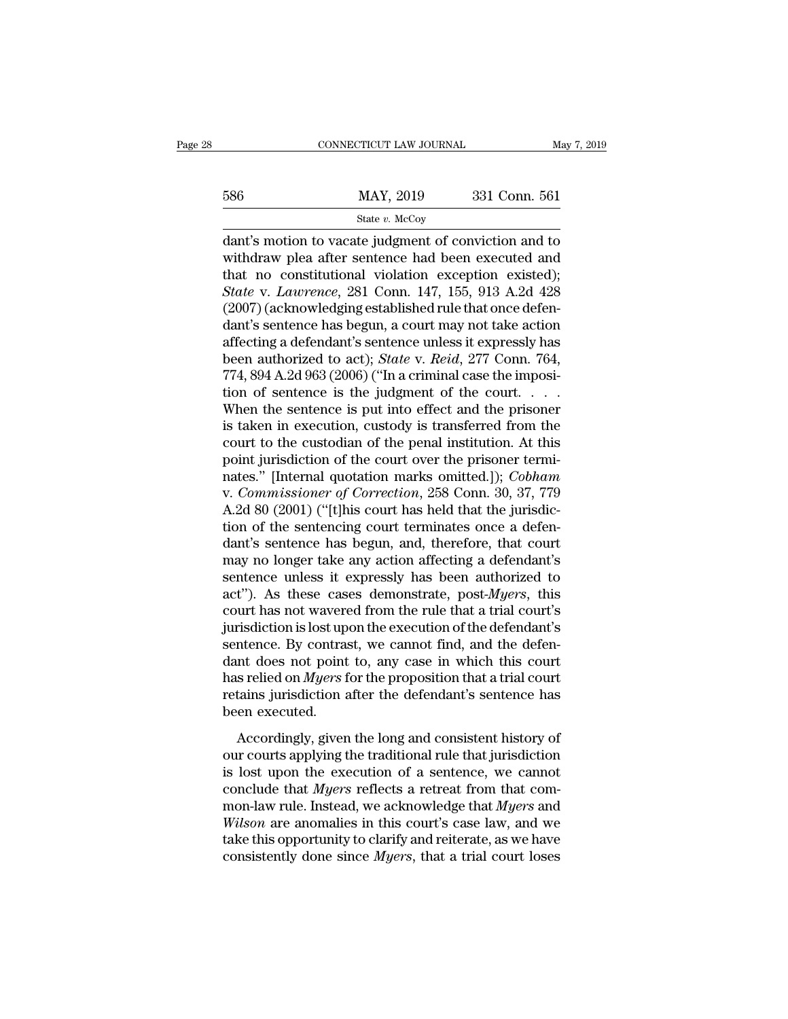|     | CONNECTICUT LAW JOURNAL | May 7, 2019   |
|-----|-------------------------|---------------|
|     |                         |               |
| 586 | MAY, 2019               | 331 Conn. 561 |
|     | State $v$ . McCoy       |               |

 $\begin{array}{r|l}\n\text{COMRECTICUT LAW JOURNAL} & \text{May 7, 2019} \\
\hline\n & \text{SAWAY, 2019} & \text{331 Conn. 561} \\
 \hline\n & \text{State } v. \text{ McCoy} \\
 \hline\n \text{dant's motion to vacate judgment of, and to}\\ \text{withdraw,} \text{plea after sentence had been executed and}\\ \text{that no, contribution,} \text{evaction, } \text{oviated}.\n\end{array}$ 586 MAY, 2019 331 Conn. 561<br>
State v. McCoy<br>
dant's motion to vacate judgment of conviction and to<br>
withdraw plea after sentence had been executed and<br>
that no constitutional violation exception existed);<br>
State v. Lauren 586 MAY, 2019 331 Conn. 561<br>
State v. McCoy<br>
dant's motion to vacate judgment of conviction and to<br>
withdraw plea after sentence had been executed and<br>
that no constitutional violation exception existed);<br> *State* v. *Law* **S86** MAY, 2019 331 Conn. 561<br> **State** *v.* McCoy<br> **Connectant's motion to vacate judgment of conviction and to<br>
withdraw plea after sentence had been executed and<br>
that no constitutional violation exception existed);<br>** *St* (2007) (acknowledging established rule that once defendant's sentence had been executed and that no constitutional violation exception existed);<br>State v. Lawrence, 281 Conn. 147, 155, 913 A.2d 428 (2007) (acknowledging es state *v.* McCoy<br>
dant's motion to vacate judgment of conviction and to<br>
withdraw plea after sentence had been executed and<br>
that no constitutional violation exception existed);<br> *State* v. *Lawrence*, 281 Conn. 147, 155, dant's motion to vacate judgment of conviction and to<br>withdraw plea after sentence had been executed and<br>that no constitutional violation exception existed);<br>State v. Lawrence, 281 Conn. 147, 155, 913 A.2d 428<br>(2007) (ackn withdraw plea after sentence had been executed and<br>that no constitutional violation exception existed);<br>*State* v. *Lawrence*, 281 Conn. 147, 155, 913 A.2d 428<br>(2007) (acknowledging established rule that once defen-<br>dant's that no constitutional violation exception existed);<br> *State* v. *Lawrence*, 281 Conn. 147, 155, 913 A.2d 428<br>
(2007) (acknowledging established rule that once defen-<br>
dant's sentence has begun, a court may not take actio State v. Lawrence, 281 Conn. 147, 155, 913 A.2d 428 (2007) (acknowledging established rule that once defendant's sentence has begun, a court may not take action affecting a defendant's sentence unless it expressly has bee (2007) (acknowledging established rule that once defendant's sentence has begun, a court may not take action affecting a defendant's sentence unless it expressly has been authorized to act); *State* v. *Reid*, 277 Conn. 7 dant's sentence has begun, a court may not take action<br>affecting a defendant's sentence unless it expressly has<br>been authorized to act); *State* v. *Reid*, 277 Conn. 764,<br>774, 894 A.2d 963 (2006) ("In a criminal case the i affecting a defendant's sentence unless it expressly has<br>been authorized to act); *State* v. *Reid*, 277 Conn. 764,<br>774, 894 A.2d 963 (2006) ("In a criminal case the imposi-<br>tion of sentence is the judgment of the court... been authorized to act); *State v. Reid*, 277 Conn. 764, 774, 894 A.2d 963 (2006) ("In a criminal case the imposition of sentence is the judgment of the court..... When the sentence is put into effect and the prisoner is 774, 894 A.2d 963 (2006) ("In a criminal case the imposition of sentence is the judgment of the court....<br>When the sentence is put into effect and the prisoner<br>is taken in execution, custody is transferred from the<br>court tion of sentence is the judgment of the court. . . . . When the sentence is put into effect and the prisoner is taken in execution, custody is transferred from the court to the custodian of the penal institution. At this p When the sentence is put into effect and the prisoner<br>is taken in execution, custody is transferred from the<br>court to the custodian of the penal institution. At this<br>point jurisdiction of the court over the prisoner termiis taken in execution, custody is transferred from the<br>court to the custodian of the penal institution. At this<br>point jurisdiction of the court over the prisoner termi-<br>nates." [Internal quotation marks omitted.]); *Cobham* court to the custodian of the penal institution. At this<br>point jurisdiction of the court over the prisoner termi-<br>nates." [Internal quotation marks omitted.]); *Cobham*<br>v. *Commissioner of Correction*, 258 Conn. 30, 37, 77 point jurisdiction of the court over the prisoner termi-<br>nates." [Internal quotation marks omitted.]); *Cobham*<br>v. *Commissioner of Correction*, 258 Conn. 30, 37, 779<br>A.2d 80 (2001) ("[t]his court has held that the jurisdi nates." [Internal quotation marks omitted.]); *Cobham* v. *Commissioner of Correction*, 258 Conn. 30, 37, 779 A.2d 80 (2001) ("[t]his court has held that the jurisdiction of the sentencing court terminates once a defendan v. *Commissioner of Correction*, 258 Conn. 30, 37, 779<br>A.2d 80 (2001) ("[t]his court has held that the jurisdic-<br>tion of the sentencing court terminates once a defen-<br>dant's sentence has begun, and, therefore, that court<br>m A.2d 80 (2001) ("[t]his court has held that the jurisdiction of the sentencing court terminates once a defendant's sentence has begun, and, therefore, that court may no longer take any action affecting a defendant's sente tion of the sentencing court terminates once a defendant's sentence has begun, and, therefore, that court may no longer take any action affecting a defendant's sentence unless it expressly has been authorized to act"). As dant's sentence has begun, and, therefore, that court<br>may no longer take any action affecting a defendant's<br>sentence unless it expressly has been authorized to<br>act''). As these cases demonstrate, post-*Myers*, this<br>court h may no longer take any action affecting a defendant's<br>sentence unless it expressly has been authorized to<br>act"). As these cases demonstrate, post-*Myers*, this<br>court has not wavered from the rule that a trial court's<br>juri sentence unless it expressly has been authorized to<br>act"). As these cases demonstrate, post-*Myers*, this<br>court has not wavered from the rule that a trial court's<br>jurisdiction is lost upon the execution of the defendant's<br> act"). As these cases demonstrate, post-*Myers*, this court has not wavered from the rule that a trial court's jurisdiction is lost upon the execution of the defendant's sentence. By contrast, we cannot find, and the defen court has not wavere<br>jurisdiction is lost up<br>sentence. By contra:<br>dant does not point<br>has relied on *Myers* f<br>retains jurisdiction a<br>been executed.<br>Accordingly, given The distribution of the distribution of the defensation of the defension of the defension does not point to, any case in which this court s relied on *Myers* for the proposition that a trial court tains jurisdiction after dant does not point to, any case in which this court<br>dant does not point to, any case in which this court<br>has relied on *Myers* for the proposition that a trial court<br>retains jurisdiction after the defendant's sentence ha

has relied on *Myers* for the proposition that a trial court<br>retains jurisdiction after the defendant's sentence has<br>been executed.<br>Accordingly, given the long and consistent history of<br>our courts applying the traditional retains jurisdiction after the defendant's sentence has<br>been executed.<br>Accordingly, given the long and consistent history of<br>our courts applying the traditional rule that jurisdiction<br>is lost upon the execution of a senten monetage that *is sensemed that*<br>decordingly, given the long and consistent history of<br>our courts applying the traditional rule that jurisdiction<br>is lost upon the execution of a sentence, we cannot<br>conclude that *Myers* re Accordingly, given the long and consistent history of<br>our courts applying the traditional rule that jurisdiction<br>is lost upon the execution of a sentence, we cannot<br>conclude that *Myers* reflects a retreat from that com-<br>m Accordingly, given the long and consistent history of<br>our courts applying the traditional rule that jurisdiction<br>is lost upon the execution of a sentence, we cannot<br>conclude that *Myers* reflects a retreat from that com-<br> our courts applying the traditional rule that jurisdiction<br>is lost upon the execution of a sentence, we cannot<br>conclude that *Myers* reflects a retreat from that com-<br>mon-law rule. Instead, we acknowledge that *Myers* and<br>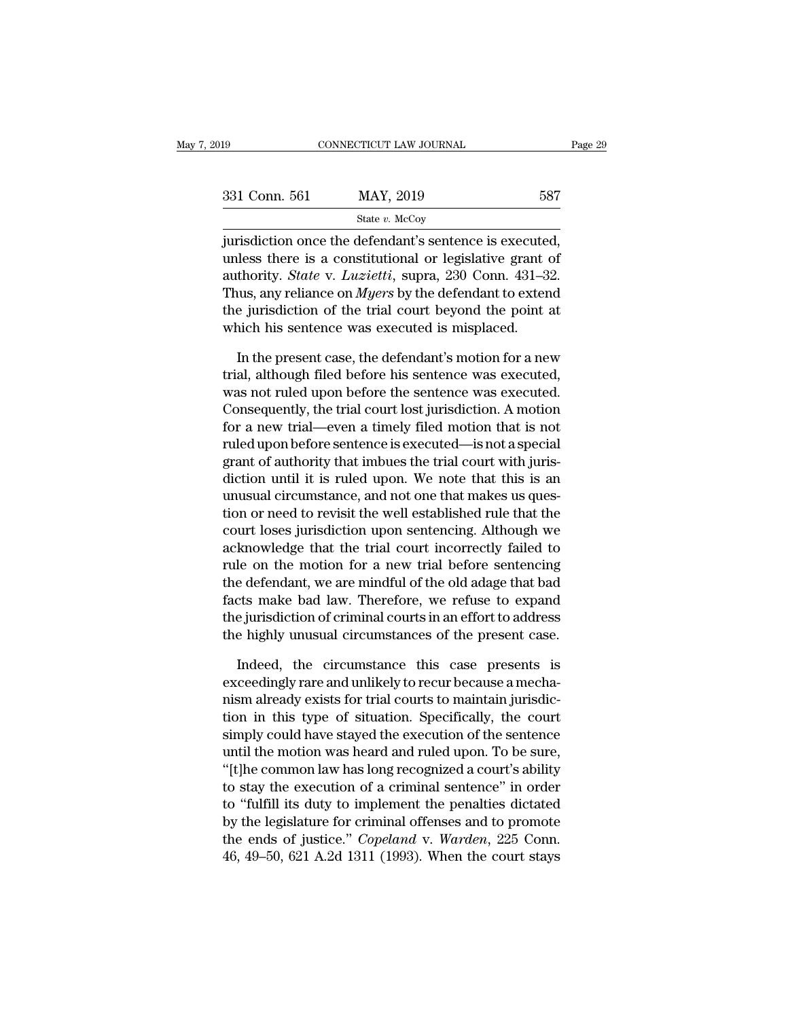| :019          | CONNECTICUT LAW JOURNAL                                                                                                                                                            | Page 29 |
|---------------|------------------------------------------------------------------------------------------------------------------------------------------------------------------------------------|---------|
|               |                                                                                                                                                                                    |         |
| 331 Conn. 561 | MAY, 2019                                                                                                                                                                          | 587     |
|               | State $v$ . McCoy                                                                                                                                                                  |         |
|               | jurisdiction once the defendant's sentence is executed,<br>unless there is a constitutional or legislative grant of<br>outhority $C_{tate}$ y Lugistic suppo $990$ Coppe $491, 99$ |         |

331 Conn. 561 MAY, 2019 587<br>
State v. McCoy<br>
jurisdiction once the defendant's sentence is executed,<br>
unless there is a constitutional or legislative grant of<br>
authority. *State* v. *Luzietti*, supra, 230 Conn. 431–32.<br>
T 331 Conn. 561 MAY, 2019 587<br>
State v. McCoy<br>
jurisdiction once the defendant's sentence is executed,<br>
unless there is a constitutional or legislative grant of<br>
authority. *State* v. *Luzietti*, supra, 230 Conn. 431–32.<br>
T 331 Conn. 561 MAY, 2019 587<br>
State v. McCoy<br>
jurisdiction once the defendant's sentence is executed,<br>
unless there is a constitutional or legislative grant of<br>
authority. *State* v. *Luzietti*, supra, 230 Conn. 431–32.<br>
T State v. McCoy<br>
jurisdiction once the defendant's sentence is executed,<br>
unless there is a constitutional or legislative grant of<br>
authority. *State* v. *Luzietti*, supra, 230 Conn. 431–32.<br>
Thus, any reliance on *Myers* state *l.* Meety<br>jurisdiction once the defendant's sentence is execute<br>unless there is a constitutional or legislative grant of<br>authority. *State* v. *Luzietti*, supra, 230 Conn. 431–3<br>Thus, any reliance on *Myers* by the less there is a constitutional or legislative grant of<br>thority. *State* v. *Luzietti*, supra, 230 Conn. 431–32.<br>uus, any reliance on *Myers* by the defendant to extend<br>e jurisdiction of the trial court beyond the point at<br> authority. *State* v. *Luzietti*, supra, 230 Conn. 431–32.<br>Thus, any reliance on *Myers* by the defendant to extend<br>the jurisdiction of the trial court beyond the point at<br>which his sentence was executed is misplaced.<br>In t

Thus, any reliance on *Myers* by the defendant to extend<br>the jurisdiction of the trial court beyond the point at<br>which his sentence was executed is misplaced.<br>In the present case, the defendant's motion for a new<br>trial, a the jurisdiction of the trial court beyond the point at<br>which his sentence was executed is misplaced.<br>In the present case, the defendant's motion for a new<br>trial, although filed before his sentence was executed,<br>was not ru which his sentence was executed is misplaced.<br>
In the present case, the defendant's motion for a new<br>
trial, although filed before his sentence was executed,<br>
was not ruled upon before the sentence was executed.<br>
Consequen In the present case, the defendant's motion for a new<br>trial, although filed before his sentence was executed,<br>was not ruled upon before the sentence was executed.<br>Consequently, the trial court lost jurisdiction. A motion<br>f In the present case, the defendant's motion for a new<br>trial, although filed before his sentence was executed,<br>was not ruled upon before the sentence was executed.<br>Consequently, the trial court lost jurisdiction. A motion<br>f trial, although filed before his sentence was executed,<br>was not ruled upon before the sentence was executed.<br>Consequently, the trial court lost jurisdiction. A motion<br>for a new trial—even a timely filed motion that is not<br> was not ruled upon before the sentence was executed.<br>Consequently, the trial court lost jurisdiction. A motion<br>for a new trial—even a timely filed motion that is not<br>ruled upon before sentence is executed—is not a special<br> Consequently, the trial court lost jurisdiction. A motion<br>for a new trial—even a timely filed motion that is not<br>ruled upon before sentence is executed—is not a special<br>grant of authority that imbues the trial court with j for a new trial—even a timely filed motion that is not<br>ruled upon before sentence is executed—is not a special<br>grant of authority that imbues the trial court with juris-<br>diction until it is ruled upon. We note that this is ruled upon before sentence is executed—is not a special<br>grant of authority that imbues the trial court with juris-<br>diction until it is ruled upon. We note that this is an<br>unusual circumstance, and not one that makes us que grant of authority that imbues the trial court with juris-<br>diction until it is ruled upon. We note that this is an<br>unusual circumstance, and not one that makes us ques-<br>tion or need to revisit the well established rule tha diction until it is ruled upon. We note that this is an<br>unusual circumstance, and not one that makes us ques-<br>tion or need to revisit the well established rule that the<br>court loses jurisdiction upon sentencing. Although we unusual circumstance, and not one that makes us question or need to revisit the well established rule that the<br>court loses jurisdiction upon sentencing. Although we<br>acknowledge that the trial court incorrectly failed to<br>ru tion or need to revisit the well established rule that the<br>court loses jurisdiction upon sentencing. Although we<br>acknowledge that the trial court incorrectly failed to<br>rule on the motion for a new trial before sentencing<br>t court loses jurnsdiction upon sentencing. Although we<br>acknowledge that the trial court incorrectly failed to<br>rule on the motion for a new trial before sentencing<br>the defendant, we are mindful of the old adage that bad<br>fact le on the motion for a new trial before sentencing<br>e defendant, we are mindful of the old adage that bad<br>cts make bad law. Therefore, we refuse to expand<br>e jurisdiction of criminal courts in an effort to address<br>e highly u the defendant, we are mindful of the old adage that bad facts make bad law. Therefore, we refuse to expand the jurisdiction of criminal courts in an effort to address the highly unusual circumstances of the present case. I

facts make bad law. Therefore, we refuse to expand<br>the jurisdiction of criminal courts in an effort to address<br>the highly unusual circumstances of the present case.<br>Indeed, the circumstance this case presents is<br>exceedingl the jurisdiction of criminal courts in an effort to address<br>the highly unusual circumstances of the present case.<br>Indeed, the circumstance this case presents is<br>exceedingly rare and unlikely to recur because a mecha-<br>nism the highly unusual circumstances of the present case.<br>Indeed, the circumstance this case presents is<br>exceedingly rare and unlikely to recur because a mecha-<br>nism already exists for trial courts to maintain jurisdic-<br>tion i Indeed, the circumstance this case presents is<br>exceedingly rare and unlikely to recur because a mecha-<br>nism already exists for trial courts to maintain jurisdic-<br>tion in this type of situation. Specifically, the court<br>simp Indeed, the circumstance this case presents is<br>exceedingly rare and unlikely to recur because a mecha-<br>nism already exists for trial courts to maintain jurisdic-<br>tion in this type of situation. Specifically, the court<br>simp exceedingly rare and unlikely to recur because a mechanism already exists for trial courts to maintain jurisdiction in this type of situation. Specifically, the court simply could have stayed the execution of the sentence nism already exists for trial courts to maintain jurisdiction in this type of situation. Specifically, the court<br>simply could have stayed the execution of the sentence<br>until the motion was heard and ruled upon. To be sure, tion in this type of situation. Specifically, the court<br>simply could have stayed the execution of the sentence<br>until the motion was heard and ruled upon. To be sure,<br>"[t]he common law has long recognized a court's ability simply could have stayed the execution of the sentence<br>until the motion was heard and ruled upon. To be sure,<br>"[t]he common law has long recognized a court's ability<br>to stay the execution of a criminal sentence" in order<br>t until the motion was heard and ruled upon. To be sure,<br>"[t]he common law has long recognized a court's ability<br>to stay the execution of a criminal sentence" in order<br>to "fulfill its duty to implement the penalties dictate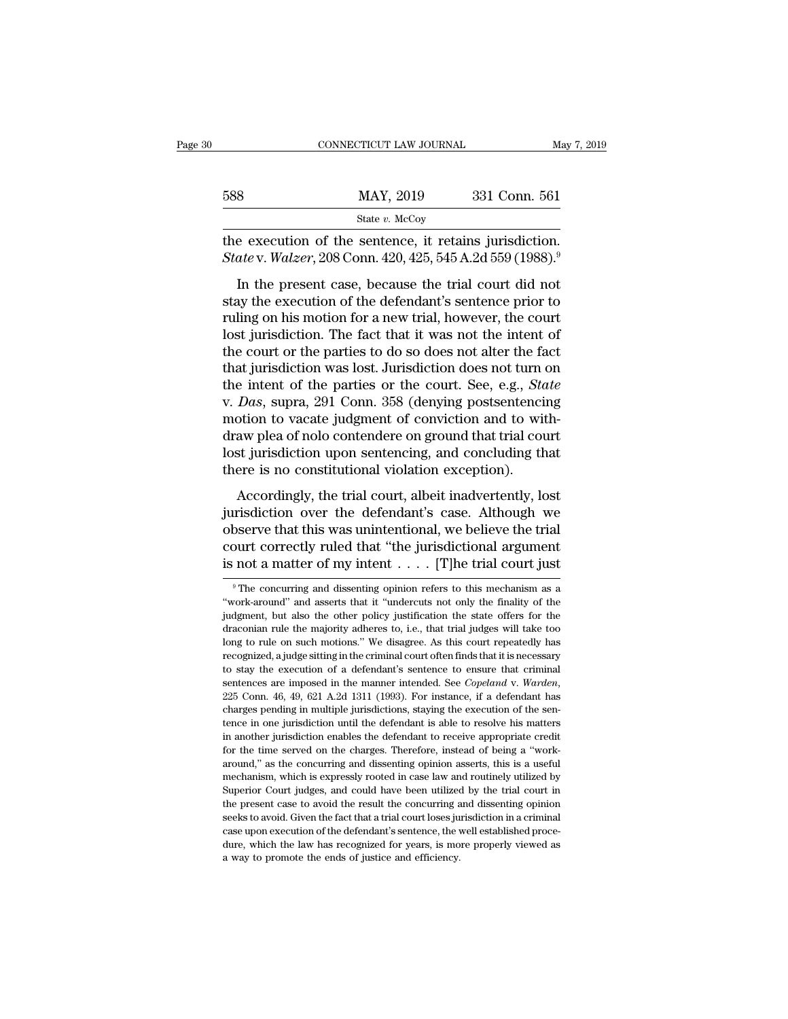|     | CONNECTICUT LAW JOURNAL                                                                                                                                                   | May 7, 2019   |
|-----|---------------------------------------------------------------------------------------------------------------------------------------------------------------------------|---------------|
| 588 | MAY, 2019                                                                                                                                                                 | 331 Conn. 561 |
|     | State $v$ . McCoy                                                                                                                                                         |               |
|     | the execution of the sentence, it retains jurisdiction.<br><i>State v. Walzer</i> , 208 Conn. 420, 425, 545 A.2d 559 (1988). <sup>9</sup>                                 |               |
|     | In the present case, because the trial court did not<br>stay the execution of the defendant's sentence prior to<br>wiling on his motion for a new trial however the court |               |

b88 MAY, 2019 331 Conn. 561<br>
State v. McCoy<br>
the execution of the sentence, it retains jurisdiction.<br>
State v. Walzer, 208 Conn. 420, 425, 545 A.2d 559 (1988).<sup>9</sup><br>
In the present case, because the trial court did not<br>
sta State v. McCoy<br>the execution of the sentence, it retains jurisdiction.<br>State v. Walzer, 208 Conn. 420, 425, 545 A.2d 559 (1988).<sup>9</sup><br>In the present case, because the trial court did not<br>stay the execution of the defendant' the execution of the sentence, it retains jurisdiction.<br>
State v. Walzer, 208 Conn. 420, 425, 545 A.2d 559 (1988).<sup>9</sup><br>
In the present case, because the trial court did not<br>
stay the execution of the defendant's sentence p State v. Walzer, 208 Conn. 420, 425, 545 A.2d 559 (1988).<sup>9</sup><br>In the present case, because the trial court did not<br>stay the execution of the defendant's sentence prior to<br>ruling on his motion for a new trial, however, the In the present case, because the trial court did not<br>stay the execution of the defendant's sentence prior to<br>ruling on his motion for a new trial, however, the court<br>lost jurisdiction. The fact that it was not the intent In the present case, because the trial court did not<br>stay the execution of the defendant's sentence prior to<br>ruling on his motion for a new trial, however, the court<br>lost jurisdiction. The fact that it was not the intent o stay the execution of the defendant's sentence prior to<br>ruling on his motion for a new trial, however, the court<br>lost jurisdiction. The fact that it was not the intent of<br>the court or the parties to do so does not alter th ruling on his motion for a new trial, however, the court<br>lost jurisdiction. The fact that it was not the intent of<br>the court or the parties to do so does not alter the fact<br>that jurisdiction was lost. Jurisdiction does not lost jurisdiction. The fact that it was not the intent of<br>the court or the parties to do so does not alter the fact<br>that jurisdiction was lost. Jurisdiction does not turn on<br>the intent of the parties or the court. See, e.g the court or the parties to do so does not alter the fact<br>that jurisdiction was lost. Jurisdiction does not turn on<br>the intent of the parties or the court. See, e.g., *State*<br>v. *Das*, supra, 291 Conn. 358 (denying postsen that jurisdiction was lost. Jurisdiction does not turn<br>the intent of the parties or the court. See, e.g., *Sta*<br>v. *Das*, supra, 291 Conn. 358 (denying postsentenci<br>motion to vacate judgment of conviction and to wii<br>draw p Das, supra, 291 Conn. 358 (denying postsentencing<br>Das, supra, 291 Conn. 358 (denying postsentencing<br>otion to vacate judgment of conviction and to with-<br>aw plea of nolo contendere on ground that trial court<br>st jurisdiction  $\alpha$  is a contributed by the defendant of conviction and to with-<br>draw plea of nolo contendere on ground that trial court<br>lost jurisdiction upon sentencing, and concluding that<br>there is no constitutional violation excepti

modern to vacate jacquines of conviction and to what<br>draw plea of nolo contendere on ground that trial court<br>lost jurisdiction upon sentencing, and concluding that<br>there is no constitutional violation exception).<br>According lost jurisdiction upon sentencing, and concluding that<br>there is no constitutional violation exception).<br>Accordingly, the trial court, albeit inadvertently, lost<br>jurisdiction over the defendant's case. Although we<br>observe there is no constitutional violation exception).<br>
Accordingly, the trial court, albeit inadvertently, lost<br>
jurisdiction over the defendant's case. Although we<br>
observe that this was unintentional, we believe the trial<br>
c jurisdiction over the defendant's case. Although we observe that this was unintentional, we believe the trial court correctly ruled that "the jurisdictional argument is not a matter of my intent  $\dots$ . [T]he trial court ju observe that this was unintentional, we believe the trial<br>court correctly ruled that "the jurisdictional argument<br>is not a matter of my intent . . . . . [T]he trial court just<br> $^{\circ}$ The concurring and dissenting opinion r

court correctly ruled that "the jurisdictional argument<br>is not a matter of my intent . . . . . [T]he trial court just<br> $\frac{1}{2}$  The concurring and dissenting opinion refers to this mechanism as a<br>"work-around" and asserts is not a matter of my intent  $\dots$ . [T]he trial court just  $\overline{\phantom{a}}$  <sup>9</sup>The concurring and dissenting opinion refers to this mechanism as a "work-around" and asserts that it "undercuts not only the finality of the judgme The control of repeated on the motions.<br>
The concurring and dissenting opinion refers to this mechanism as a<br>
"work-around" and asserts that it "undercuts not only the finality of the<br>
judgment, but also the other policy <sup>9</sup> The concurring and dissenting opinion refers to this mechanism as a "work-around" and asserts that it "undercuts not only the finality of the judgment, but also the other policy justification the state offers for the "work-around" and asserts that it "undercuts not only the finality of the judgment, but also the other policy justification the state offers for the draconian rule the majority adheres to, i.e., that trial judges will tak inded. The sentences are imposed in the manner intended. See *Copeland* v. *We disagree.* As this court repeatedly has recognized, a judge sitting in the criminal court often finds that it is necessary to stay the executio draconian rule the majority adheres to, i.e., that trial judges will take too long to rule on such motions." We disagree. As this court repeatedly has recognized, a judge sitting in the criminal court often finds that it recognized, a judge sitting in the criminal court often finds that it is necessary<br>recognized, a judge sitting in the criminal court often finds that it is necessary<br>to stay the execution of a defendant's sentence to ensu in another galaxies are imposed in the manner intended. See *Copeland v. Warden*, alternates are imposed in the manner intended. See *Copeland v. Warden*, 225 Conn. 46, 49, 621 A.2d 1311 (1993). For instance, if a defendan sentences are imposed in the manner intended. See *Copeland* v. Warden, 225 Conn. 46, 49, 621 A.2d 1311 (1993). For instance, if a defendant has charges pending in multiple jurisdictions, staying the execution of the sent  $225$  Conn. 46, 49, 621 A.2d 1311 (1993). For instance, if a defendant has charges pending in multiple jurisdictions, staying the execution of the sentence in one jurisdiction until the defendant is able to resolve his ma charges pending in multiple jurisdictions, staying the execution of the sentence in one jurisdiction until the defendant is able to resolve his matters in another jurisdiction enables the defendant to receive appropriate c states per and purisdiction until the defendant is able to resolve his matters in another jurisdiction until the defendant is able to resolve his matters in another jurisdiction enables the defendant to receive appropriate in another jurisdiction enables the defendant to receive appropriate credit<br>for the time served on the charges. Therefore, instead of being a "work-<br>around," as the concurring and dissenting opinion asserts, this is a usef for the time served on the charges. Therefore, instead of being a "work-<br>around," as the concurring and dissenting opinion asserts, this is a useful<br>mechanism, which is expressly rooted in case law and routinely utilized b around," as the concurring and dissenting opinion asserts, this is a useful mechanism, which is expressly rooted in case law and routinely utilized by Superior Court judges, and could have been utilized by the trial court mechanism, which is expressly rooted in case law and routinely utilized by Superior Court judges, and could have been utilized by the trial court in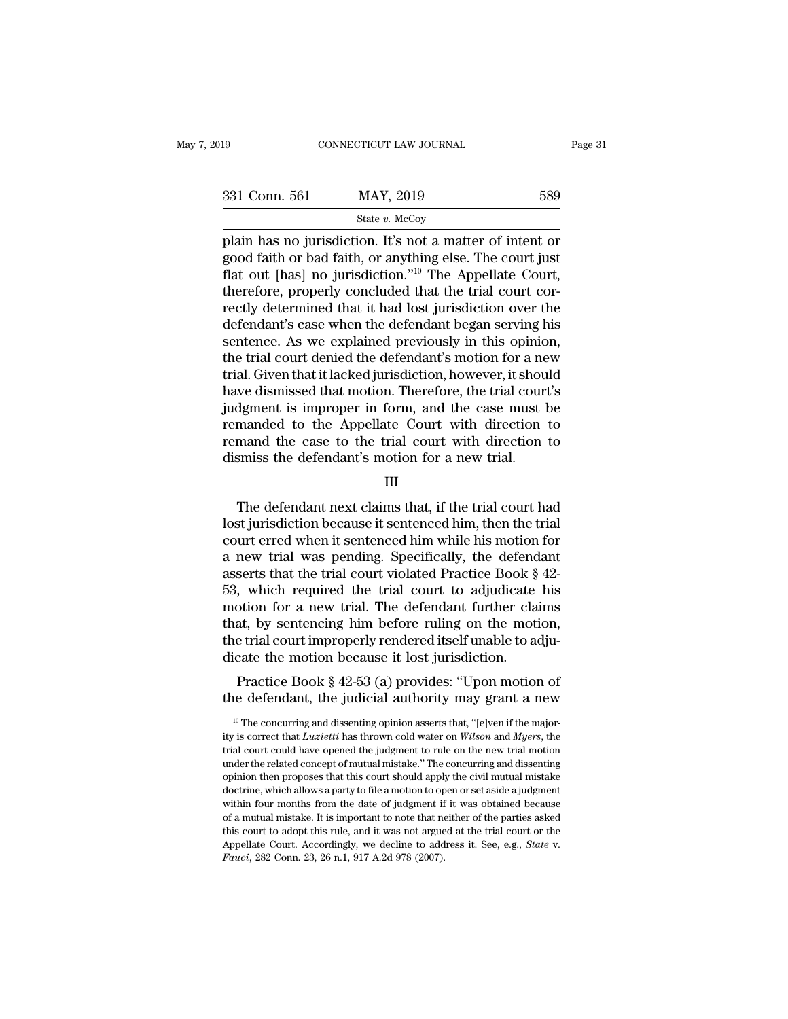| )19           | CONNECTICUT LAW JOURNAL                                                                                                                                                                        | Page 31 |
|---------------|------------------------------------------------------------------------------------------------------------------------------------------------------------------------------------------------|---------|
| 331 Conn. 561 | MAY, 2019                                                                                                                                                                                      | 589     |
|               | State $v$ . McCoy                                                                                                                                                                              |         |
|               | plain has no jurisdiction. It's not a matter of intent or<br>good faith or bad faith, or anything else. The court just<br>flat out [has] no invisibilition " <sup>10</sup> The Appellate Court |         |

331 Conn. 561 MAY, 2019 589<br>
State v. McCoy<br>
plain has no jurisdiction. It's not a matter of intent or<br>
good faith or bad faith, or anything else. The court just<br>
flat out [has] no jurisdiction."<sup>10</sup> The Appellate Court,<br>  $f_{\text{data}} = \frac{561}{100}$  MAY, 2019 589<br>  $f_{\text{data } v. \text{ MeCoy}}$ <br>
plain has no jurisdiction. It's not a matter of intent or<br>
good faith or bad faith, or anything else. The court just<br>
flat out [has] no jurisdiction."<sup>10</sup> The Appel 331 Conn. 561 MAY, 2019 589<br>
State v. McCoy<br>
plain has no jurisdiction. It's not a matter of intent or<br>
good faith or bad faith, or anything else. The court just<br>
flat out [has] no jurisdiction."<sup>10</sup> The Appellate Court,<br> State v. McCoy<br>
plain has no jurisdiction. It's not a matter of intent or<br>
good faith or bad faith, or anything else. The court just<br>
flat out [has] no jurisdiction."<sup>10</sup> The Appellate Court,<br>
therefore, properly conclude state v. McCoy<br>plain has no jurisdiction. It's not a matter of intent or<br>good faith or bad faith, or anything else. The court just<br>flat out [has] no jurisdiction."<sup>10</sup> The Appellate Court,<br>therefore, properly concluded th plain has no jurisdiction. It's not a matter of intent or<br>good faith or bad faith, or anything else. The court just<br>flat out [has] no jurisdiction."<sup>10</sup> The Appellate Court,<br>therefore, properly concluded that the trial cou good faith or bad faith, or anything else. The court just<br>flat out [has] no jurisdiction."<sup>10</sup> The Appellate Court,<br>therefore, properly concluded that the trial court cor-<br>rectly determined that it had lost jurisdiction ov flat out [has] no jurisdiction."<sup>10</sup> The Appellate Court,<br>therefore, properly concluded that the trial court cor-<br>rectly determined that it had lost jurisdiction over the<br>defendant's case when the defendant began serving h therefore, properly concluded that the trial court correctly determined that it had lost jurisdiction over the defendant's case when the defendant began serving his sentence. As we explained previously in this opinion, the rectly determined that it had lost jurisdiction over the defendant's case when the defendant began serving his sentence. As we explained previously in this opinion, the trial court denied the defendant's motion for a new t defendant's case when the defendant began serving his<br>sentence. As we explained previously in this opinion,<br>the trial court denied the defendant's motion for a new<br>trial. Given that it lacked jurisdiction, however, it shou sentence. As we explained previously in this opinion,<br>the trial court denied the defendant's motion for a new<br>trial. Given that it lacked jurisdiction, however, it should<br>have dismissed that motion. Therefore, the trial co the trial court denied the defendant's motion for a netrial. Given that it lacked jurisdiction, however, it shoust have dismissed that motion. Therefore, the trial court judgment is improper in form, and the case must lema dgment is improper in form, and the case must be<br>manded to the Appellate Court with direction to<br>mand the case to the trial court with direction to<br>smiss the defendant's motion for a new trial.<br>III<br>The defendant next claim

III

remanded to the Appellate Court with direction to<br>remand the case to the trial court with direction to<br>dismiss the defendant's motion for a new trial.<br>III<br>The defendant next claims that, if the trial court had<br>lost jurisdi remand the case to the trial court with direction to<br>dismiss the defendant's motion for a new trial.<br>III<br>The defendant next claims that, if the trial court had<br>lost jurisdiction because it sentenced him, then the trial<br>cou dismiss the defendant's motion for a new trial.<br>III<br>III<br>The defendant next claims that, if the trial court had<br>lost jurisdiction because it sentenced him, then the trial<br>court erred when it sentenced him while his motion f III<br>The defendant next claims that, if the trial court had<br>lost jurisdiction because it sentenced him, then the trial<br>court erred when it sentenced him while his motion for<br>a new trial was pending. Specifically, the defend The defendant next claims that, if the trial court had<br>lost jurisdiction because it sentenced him, then the trial<br>court erred when it sentenced him while his motion for<br>a new trial was pending. Specifically, the defendant<br> The defendant next claims that, if the trial court had<br>lost jurisdiction because it sentenced him, then the trial<br>court erred when it sentenced him while his motion for<br>a new trial was pending. Specifically, the defendant lost jurisdiction because it sentenced him, then the trial<br>court erred when it sentenced him while his motion for<br>a new trial was pending. Specifically, the defendant<br>asserts that the trial court violated Practice Book § 4 court erred when it sentenced him while his motion for<br>a new trial was pending. Specifically, the defendant<br>asserts that the trial court violated Practice Book § 42-<br>53, which required the trial court to adjudicate his<br>mot a new trial was pending. Specifically, the defend<br>asserts that the trial court violated Practice Book  $\S$ <br>53, which required the trial court to adjudicate<br>motion for a new trial. The defendant further cla<br>that, by sentenc serts that the that court violated I ractice Book § 42-<br>
, which required the trial court to adjudicate his<br>
otion for a new trial. The defendant further claims<br>
at, by sentencing him before ruling on the motion,<br>
e trial 35, which required the that could to adjudicate his<br>motion for a new trial. The defendant further claims<br>that, by sentencing him before ruling on the motion,<br>the trial court improperly rendered itself unable to adju-<br>dica

<sup>10</sup> Icate the motion because it lost jurisdiction.<br>
Practice Book § 42-53 (a) provides: "Upon motion of<br>
the defendant, the judicial authority may grant a new<br>
<sup>10</sup> The concurring and dissenting opinion asserts that, "[e]v Practice Book § 42-53 (a) provides: "Upon motion of<br>the defendant, the judicial authority may grant a new<br><sup>10</sup> The concurring and dissenting opinion asserts that, "[e]ven if the major-<br>ity is correct that *Luzietti* has th Practice Book § 42-53 (a) provides: "Upon motion of<br>the defendant, the judicial authority may grant a new<br><sup>10</sup> The concurring and dissenting opinion asserts that, "[e]ven if the major-<br>ity is correct that *Luzietti* has t the defendant, the judicial authority may grant a new<br>
<sup>10</sup> The concurring and dissenting opinion asserts that, "[e]ven if the major-<br>
ity is correct that *Luzietti* has thrown cold water on *Wilson* and *Myers*, the<br>
tri <sup>10</sup> The concurring and dissenting opinion asserts that, "[e]ven if the majority is correct that *Luzietti* has thrown cold water on *Wilson* and *Myers*, the trial court could have opened the judgment to rule on the new <sup>10</sup> The concurring and dissenting opinion asserts that, "[e]ven if the majority is correct that *Luzietti* has thrown cold water on *Wilson* and *Myers*, the trial court could have opened the judgment to rule on the new ity is correct that *Luzietti* has thrown cold water on *Wilson* and *Myers*, the trial court could have opened the judgment to rule on the new trial motion under the related concept of mutual mistake." The concurring and by a mutual mistake opened the judgment to rule on the new trial motion under the related concept of mutual mistake." The concurring and dissenting opinion then proposes that this court should apply the civil mutual mistak under the related concept of mutual mistake." The concurring and dissenting opinion then proposes that this court should apply the civil mutual mistake doctrine, which allows a party to file a motion to open or set aside approvide Court. Accordingly, we decline to address it. See, e.g., *State* v. *Fauci*, 282 Conn. 23, 26 n.1, 917 A.2d 978 (2007).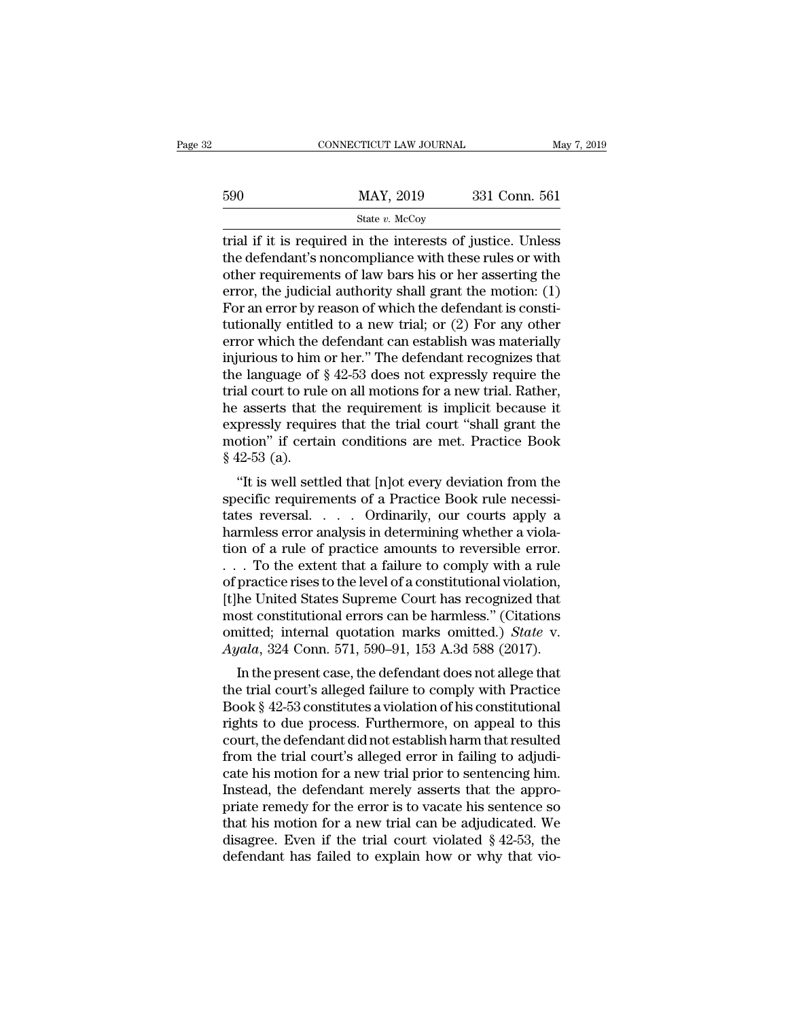|     | CONNECTICUT LAW JOURNAL                                                                                                                                                          | May 7, 2019   |
|-----|----------------------------------------------------------------------------------------------------------------------------------------------------------------------------------|---------------|
| 590 | MAY, 2019                                                                                                                                                                        | 331 Conn. 561 |
|     | State v. McCoy                                                                                                                                                                   |               |
|     | trial if it is required in the interests of justice. Unless<br>the defendant's noncompliance with these rules or with<br>other requirements of law have his or her asserting the |               |

590 MAY, 2019 331 Conn. 561<br>
State v. McCoy<br>
The defendant's noncompliance with these rules or with<br>
the defendant's noncompliance with these rules or with<br>
there requirements of law bars his or her asserting the<br>
orror t 590 MAY, 2019 331 Conn. 561<br>
State v. McCoy<br>
Trial if it is required in the interests of justice. Unless<br>
the defendant's noncompliance with these rules or with<br>
other requirements of law bars his or her asserting the<br>
er Example 1908 MAY, 2019 331 Conn. 561<br>
State v. McCoy<br>
Final if it is required in the interests of justice. Unless<br>
the defendant's noncompliance with these rules or with<br>
other requirements of law bars his or her assertin State v. McCoy<br>
For a state v. McCoy<br>
The defendant's noncompliance with these rules or with<br>
other requirements of law bars his or her asserting the<br>
error, the judicial authority shall grant the motion: (1)<br>
For an erro state v. McCoy<br>
trial if it is required in the interests of justice. Unless<br>
the defendant's noncompliance with these rules or with<br>
other requirements of law bars his or her asserting the<br>
error, the judicial authority s trial if it is required in the interests of justice. Unless<br>the defendant's noncompliance with these rules or with<br>other requirements of law bars his or her asserting the<br>error, the judicial authority shall grant the moti the defendant's noncompliance with these rules or with<br>other requirements of law bars his or her asserting the<br>error, the judicial authority shall grant the motion: (1)<br>For an error by reason of which the defendant is con other requirements of law bars his or her asserting the<br>error, the judicial authority shall grant the motion: (1)<br>For an error by reason of which the defendant is consti-<br>tutionally entitled to a new trial; or (2) For any error, the judicial authority shall grant the motion: (1)<br>For an error by reason of which the defendant is consti-<br>tutionally entitled to a new trial; or (2) For any other<br>error which the defendant can establish was materi For an error by reason of which the defendant is constitutionally entitled to a new trial; or  $(2)$  For any other error which the defendant can establish was materially injurious to him or her." The defendant recognizes t tutionally entitled to a new trial; or  $(2)$  For any other<br>error which the defendant can establish was materially<br>injurious to him or her." The defendant recognizes that<br>the language of  $\S 42{\text -}53$  does not expressly req error which the defendant can establish was materially<br>injurious to him or her." The defendant recognizes that<br>the language of  $\S 42{\text -}53$  does not expressly require the<br>trial court to rule on all motions for a new trial injurious to him<br>the language of<br>trial court to rule<br>he asserts that<br>expressly requir<br>motion" if certa<br>§ 42-53 (a).<br>"It is well sett E language of  $\S$  42-55 does not expressly require the<br>al court to rule on all motions for a new trial. Rather,<br>exserts that the requirement is implicit because it<br>pressly requires that the trial court "shall grant the<br>bo Final court to rule on an motions for a new trial. Kather,<br>he asserts that the requirement is implicit because it<br>expressly requires that the trial court "shall grant the<br>motion" if certain conditions are met. Practice Boo

the asserts that the requirement is implicit because it<br>expressly requires that the trial court "shall grant the<br>motion" if certain conditions are met. Practice Book<br> $$ 42-53$  (a).<br>"It is well settled that [n]ot every devi expressly requires that the that court shall grant the<br>motion" if certain conditions are met. Practice Book<br>\$42-53 (a).<br>"It is well settled that [n]ot every deviation from the<br>specific requirements of a Practice Book rule  $\frac{1}{2}$  and  $\frac{1}{2}$  and  $\frac{1}{2}$  and  $\frac{1}{2}$  and  $\frac{1}{2}$  and  $\frac{1}{2}$  are the specific requirements of a Practice Book rule necessitates reversal. . . . Ordinarily, our courts apply a harmless error analysis in s 42-55 (a).<br>
"It is well settled that [n]ot every deviation from the specific requirements of a Practice Book rule necessitates reversal. . . . . Ordinarily, our courts apply a harmless error analysis in determining whet "It is well settled that [n]ot every deviation from the specific requirements of a Practice Book rule necessitates reversal. . . . Ordinarily, our courts apply a harmless error analysis in determining whether a violation specific requirements of a Practice Book rule necessitates reversal. . . . Ordinarily, our courts apply a harmless error analysis in determining whether a violation of a rule of practice amounts to reversible error. . . . tates reversal. . . . Ordinarily, our courts apply a<br>harmless error analysis in determining whether a viola-<br>tion of a rule of practice amounts to reversible error.<br>. . . To the extent that a failure to comply with a rule harmless error analysis in determining whether a violation of a rule of practice amounts to reversible error.<br>
. . . To the extent that a failure to comply with a rule<br>
of practice rises to the level of a constitutional vi tion of a rule of practice amounts to reversible error.<br> *A* To the extent that a failure to comply with a rule<br>
of practice rises to the level of a constitutional violation,<br>
[t]he United States Supreme Court has recogniz To the extent that a failure to comply what a fulle<br>practice rises to the level of a constitutional violation,<br>he United States Supreme Court has recognized that<br>ost constitutional errors can be harmless." (Citations<br>init If the United States Supreme Court has recognized that<br>most constitutional errors can be harmless." (Citations<br>omitted; internal quotation marks omitted.) *State* v.<br>Ayala, 324 Conn. 571, 590–91, 153 A.3d 588 (2017).<br>In t

First constitutional errors can be harmless." (Citations<br>
omitted; internal quotation marks omitted.) *State* v.<br>
Ayala, 324 Conn. 571, 590–91, 153 A.3d 588 (2017).<br>
In the present case, the defendant does not allege that<br> rights to due process. Furthermore, on appeal to this court, the defendant does not allege that the trial court's alleged failure to comply with Practice Book § 42-53 constitutes a violation of his constitutional rights t *Ayala*, 324 Conn. 571, 590–91, 153 A.3d 588 (2017).<br>
In the present case, the defendant does not allege that<br>
the trial court's alleged failure to comply with Practice<br>
Book § 42-53 constitutes a violation of his constit *Agata, 524 Colut. 571, 590–91, 155 A.5d 566 (2017).*<br>In the present case, the defendant does not allege that<br>the trial court's alleged failure to comply with Practice<br>Book § 42-53 constitutes a violation of his constitut In the present case, the defendant does not allege that<br>the trial court's alleged failure to comply with Practice<br>Book § 42-53 constitutes a violation of his constitutional<br>rights to due process. Furthermore, on appeal to the trial court's alleged failure to comply with Practice<br>Book § 42-53 constitutes a violation of his constitutional<br>rights to due process. Furthermore, on appeal to this<br>court, the defendant did not establish harm that re Book § 42-53 constitutes a violation of his constitutional<br>rights to due process. Furthermore, on appeal to this<br>court, the defendant did not establish harm that resulted<br>from the trial court's alleged error in failing to rights to due process. Furthermore, on appeal to this<br>court, the defendant did not establish harm that resulted<br>from the trial court's alleged error in failing to adjudi-<br>cate his motion for a new trial prior to sentencing court, the defendant did not establish harm that resulted<br>from the trial court's alleged error in failing to adjudi-<br>cate his motion for a new trial prior to sentencing him.<br>Instead, the defendant merely asserts that the a from the trial court's alleged error in failing to adjudicate his motion for a new trial prior to sentencing him.<br>Instead, the defendant merely asserts that the appropriate remedy for the error is to vacate his sentence s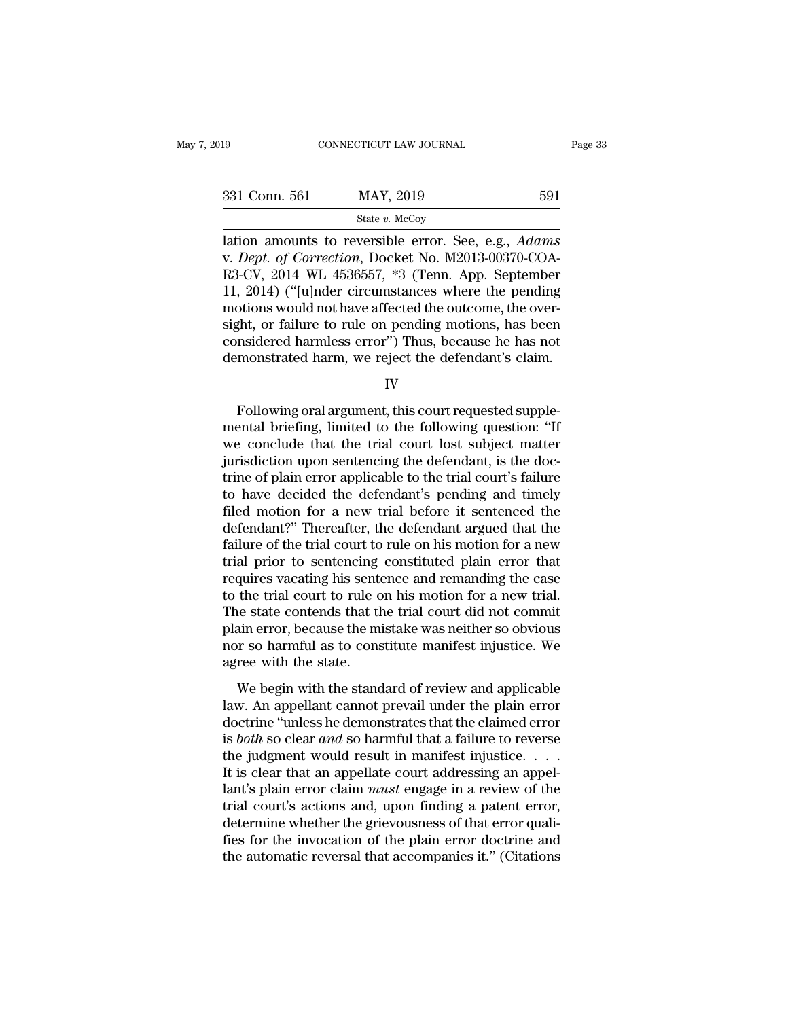| 331 Conn. 561 |           | 591 |
|---------------|-----------|-----|
|               | MAY, 2019 |     |

331 Conn. 561 MAY, 2019 591<br>
state v. McCoy<br>
lation amounts to reversible error. See, e.g., *Adams*<br>
v. *Dept. of Correction*, Docket No. M2013-00370-COA-<br>
R3-CV, 2014 WL 4536557, \*3 (Tenn. App. September<br>
11 2014) ("Julnd 331 Conn. 561 MAY, 2019 591<br>
State v. McCoy<br>
lation amounts to reversible error. See, e.g., *Adams*<br>
v. *Dept. of Correction*, Docket No. M2013-00370-COA-<br>
R3-CV, 2014 WL 4536557, \*3 (Tenn. App. September<br>
11, 2014) ("[u] 331 Conn. 561 MAY, 2019 591<br>
State v. McCoy<br>
lation amounts to reversible error. See, e.g., *Adams*<br>
v. *Dept. of Correction*, Docket No. M2013-00370-COA-<br>
R3-CV, 2014 WL 4536557, \*3 (Tenn. App. September<br>
11, 2014) ("[u] SET COME SOFT WILL SET STREET STREET STREET STREET STREET STREET ON THE ONE OF CONTREST CONTROLLAR SCHOOLS And SCHED And SCHED And SCHED And SCHED And SCHED And SCHED And SCHED And SCHED And SCHED And SCHED And SCHED SCHE state v. McCoy<br>
state v. McCoy<br>
state v. McCoy<br>
state are not correction, Docket No. M2013-00370-COA-<br>
R3-CV, 2014 WL 4536557, \*3 (Tenn. App. September<br>
11, 2014) ("[u]nder circumstances where the pending<br>
motions would n lation amounts to reversible error. See, e.g., *Adams*<br>v. *Dept. of Correction*, Docket No. M2013-00370-COA-<br>R3-CV, 2014 WL 4536557, \*3 (Tenn. App. September<br>11, 2014) ("[u]nder circumstances where the pending<br>motions woul v. *Dept. of Correction*, Docket No. M2013-00370-COA-R3-CV, 2014 WL 4536557, \*3 (Tenn. App. September 11, 2014) ("[u]nder circumstances where the pending motions would not have affected the outcome, the oversight, or failu motions would not have affected the outcome, the over-<br>sight, or failure to rule on pending motions, has been<br>considered harmless error") Thus, because he has not<br>demonstrated harm, we reject the defendant's claim.<br>IV<br>Foll

IV

sight, or failure to rule on pending motions, has been<br>considered harmless error") Thus, because he has not<br>demonstrated harm, we reject the defendant's claim.<br>IV<br>Following oral argument, this court requested supple-<br>menta considered harmless error") Thus, because he has not<br>demonstrated harm, we reject the defendant's claim.<br>IV<br>Following oral argument, this court requested supple-<br>mental briefing, limited to the following question: "If<br>we c demonstrated harm, we reject the defendant's claim.<br>IV<br>Following oral argument, this court requested supple-<br>mental briefing, limited to the following question: "If<br>we conclude that the trial court lost subject matter<br>juri IV<br>Following oral argument, this court requested supple-<br>mental briefing, limited to the following question: "If<br>we conclude that the trial court lost subject matter<br>jurisdiction upon sentencing the defendant, is the doc-<br> Following oral argument, this court requested supple-<br>mental briefing, limited to the following question: "If<br>we conclude that the trial court lost subject matter<br>jurisdiction upon sentencing the defendant, is the doc-<br>tri Following oral argument, this court requested supplemental briefing, limited to the following question: "If we conclude that the trial court lost subject matter jurisdiction upon sentencing the defendant, is the doctrine o mental briefing, limited to the following question: "If<br>we conclude that the trial court lost subject matter<br>jurisdiction upon sentencing the defendant, is the doc-<br>trine of plain error applicable to the trial court's fail we conclude that the trial court lost subject matter<br>jurisdiction upon sentencing the defendant, is the doc-<br>trine of plain error applicable to the trial court's failure<br>to have decided the defendant's pending and timely<br>f jurisdiction upon sentencing the defendant, is the doctrine of plain error applicable to the trial court's failure to have decided the defendant's pending and timely filed motion for a new trial before it sentenced the def trine of plain error applicable to the trial court's failure<br>to have decided the defendant's pending and timely<br>filed motion for a new trial before it sentenced the<br>defendant?" Thereafter, the defendant argued that the<br>fai to have decided the defendant's pending and timely<br>filed motion for a new trial before it sentenced the<br>defendant?" Thereafter, the defendant argued that the<br>failure of the trial court to rule on his motion for a new<br>trial filed motion for a new trial before it sentenced the<br>defendant?" Thereafter, the defendant argued that the<br>failure of the trial court to rule on his motion for a new<br>trial prior to sentencing constituted plain error that<br>r defendant?" Thereafter, the defendant argued that the failure of the trial court to rule on his motion for a new trial prior to sentencing constituted plain error that requires vacating his sentence and remanding the case failure of the trial court to rule on his motion for a new<br>trial prior to sentencing constituted plain error that<br>requires vacating his sentence and remanding the case<br>to the trial court to rule on his motion for a new tri trial prior to sentencing<br>requires vacating his sent<br>to the trial court to rule c<br>The state contends that th<br>plain error, because the m<br>nor so harmful as to cons<br>agree with the state.<br>We begin with the stand the trial court to rule on his motion for a new trial.<br>the trial court to rule on his motion for a new trial.<br>ain error, because the mistake was neither so obvious<br>or so harmful as to constitute manifest injustice. We<br>ree law. The state contends that the trial court did not commit<br>plain error, because the mistake was neither so obvious<br>nor so harmful as to constitute manifest injustice. We<br>agree with the state.<br>We begin with the standard of

The state contents and the dial coard and not commit<br>plain error, because the mistake was neither so obvious<br>nor so harmful as to constitute manifest injustice. We<br>agree with the state.<br>We begin with the standard of review plant error, because are missake was recalled by obvious<br>nor so harmful as to constitute manifest injustice. We<br>agree with the stane and a failure to reverse law. An appellant cannot prevail under the plain error<br>doctrine the judgment would result in manifest injustice. We agree with the standard of review and applicable law. An appellant cannot prevail under the plain error doctrine "unless he demonstrates that the claimed error is *both* We begin with the standard of review and applicable<br>law. An appellant cannot prevail under the plain error<br>doctrine "unless he demonstrates that the claimed error<br>is *both* so clear *and* so harmful that a failure to reve We begin with the standard of review and applicable<br>law. An appellant cannot prevail under the plain error<br>doctrine "unless he demonstrates that the claimed error<br>is *both* so clear *and* so harmful that a failure to rever law. An appellant cannot prevail under the plain error<br>doctrine "unless he demonstrates that the claimed error<br>is *both* so clear *and* so harmful that a failure to reverse<br>the judgment would result in manifest injustice. doctrine "unless he demonstrates that the claimed error<br>is *both* so clear *and* so harmful that a failure to reverse<br>the judgment would result in manifest injustice.  $\dots$ <br>It is clear that an appellate court addressing an is *both* so clear *and* so harmful that a failure to reverse<br>the judgment would result in manifest injustice.  $\dots$ <br>It is clear that an appellate court addressing an appel-<br>lant's plain error claim *must* engage in a revi the judgment would result in manifest injustice.  $\dots$  It is clear that an appellate court addressing an appellant's plain error claim *must* engage in a review of the trial court's actions and, upon finding a patent error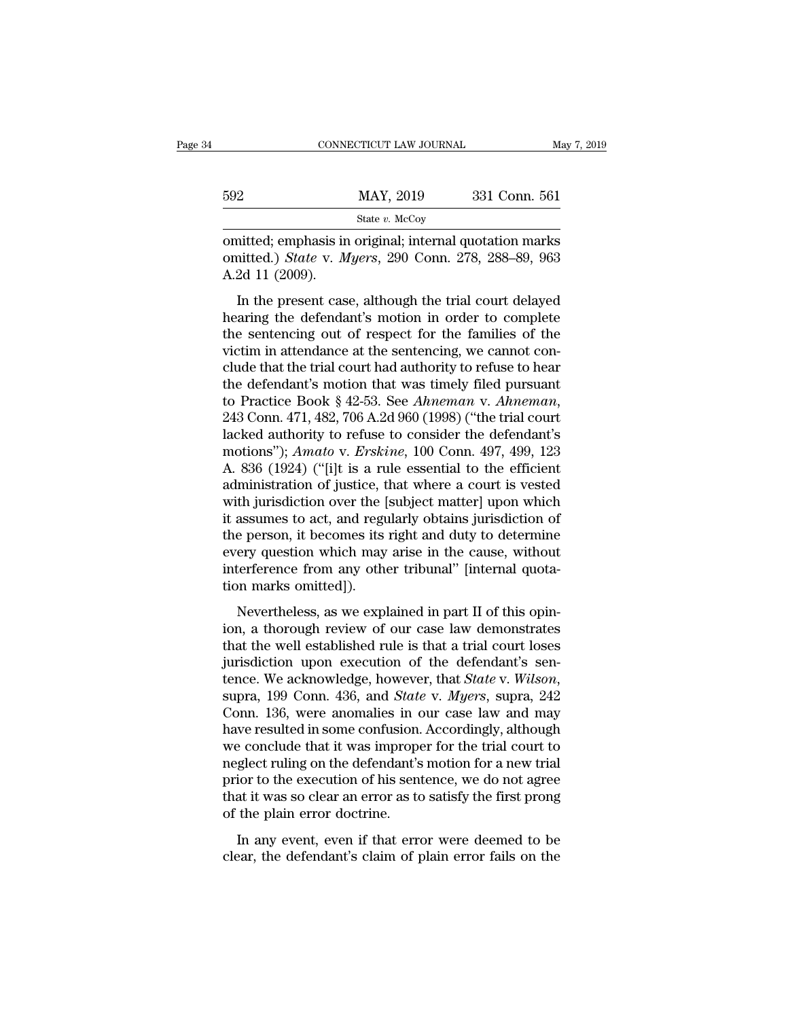| 331 Conn. 561                                                                                                   |
|-----------------------------------------------------------------------------------------------------------------|
|                                                                                                                 |
| omitted; emphasis in original; internal quotation marks<br>omitted.) State v. Myers, 290 Conn. 278, 288-89, 963 |

MAY, 2019 331 Conn. 561<br>
State v. McCoy<br>
omitted; emphasis in original; internal quotation marks<br>
omitted.) *State* v. *Myers*, 290 Conn. 278, 288–89, 963<br>
A.2d 11 (2009). 592<br>
Initted; emphasis in<br>
initted.) *State* v. *M*<br>
A.2d 11 (2009).<br>
In the present cas  $\frac{\text{MAX, 2019}}{\text{State } v. \text{ McCoy}}$ <br>
aitted; emphasis in original; internal quotation marks<br>
aitted.) *State v. Myers*, 290 Conn. 278, 288–89, 963<br>
2d 11 (2009).<br>
In the present case, although the trial court delayed<br>
aring the

State v. McCoy<br>
State v. McCoy<br>
State v. Myers, 290 Conn. 278, 288–89, 963<br>
A.2d 11 (2009).<br>
In the present case, although the trial court delayed<br>
hearing the defendant's motion in order to complete<br>
the sentencing out o omitted; emphasis in original; internal quotation marks<br>omitted.) *State v. Myers*, 290 Conn. 278, 288–89, 963<br>A.2d 11 (2009).<br>In the present case, although the trial court delayed<br>hearing the defendant's motion in order t omitted.) *State v. Myers*, 290 Conn. 278, 288–89, 963<br>A.2d 11 (2009).<br>In the present case, although the trial court delayed<br>hearing the defendant's motion in order to complete<br>the sentencing out of respect for the familie A.2d 11 (2009).<br>
In the present case, although the trial court delayed<br>
hearing the defendant's motion in order to complete<br>
the sentencing out of respect for the families of the<br>
victim in attendance at the sentencing, w In the present case, although the trial court delayed<br>hearing the defendant's motion in order to complete<br>the sentencing out of respect for the families of the<br>victim in attendance at the sentencing, we cannot con-<br>clude In the present case, although the trial court delayed<br>hearing the defendant's motion in order to complete<br>the sentencing out of respect for the families of the<br>victim in attendance at the sentencing, we cannot con-<br>clude t the sentencing out of respect for the families of the victim in attendance at the sentencing, we cannot conclude that the trial court had authority to refuse to hear the defendant's motion that was timely filed pursuant t victim in attendance at the sentencing, we cannot conclude that the trial court had authority to refuse to hear<br>the defendant's motion that was timely filed pursuant<br>to Practice Book § 42-53. See *Ahneman* v. *Ahneman*,<br>24 clude that the trial court had authority to refuse to hear<br>the defendant's motion that was timely filed pursuant<br>to Practice Book § 42-53. See *Ahneman* v. *Ahneman*,<br>243 Conn. 471, 482, 706 A.2d 960 (1998) ("the trial cou the defendant's motion that was timely filed pursuant<br>to Practice Book § 42-53. See *Ahneman* v. *Ahneman*,<br>243 Conn. 471, 482, 706 A.2d 960 (1998) ("the trial court<br>lacked authority to refuse to consider the defendant's<br> to Practice Book § 42-53. See *Ahneman* v. *Ahneman*,<br>243 Conn. 471, 482, 706 A.2d 960 (1998) ("the trial court<br>lacked authority to refuse to consider the defendant's<br>motions"); *Amato* v. *Erskine*, 100 Conn. 497, 499, 1 243 Conn. 471, 482, 706 A.2d 960 (1998) ("the trial court<br>lacked authority to refuse to consider the defendant's<br>motions"); Amato v. Erskine, 100 Conn. 497, 499, 123<br>A. 836 (1924) ("[i]t is a rule essential to the efficie lacked authority to refuse to consider the defendant's<br>motions"); Amato v. Erskine, 100 Conn. 497, 499, 123<br>A. 836 (1924) ("[i]t is a rule essential to the efficient<br>administration of justice, that where a court is vested<br> motions"); Amato v. Erskine, 100 Conn. 497, 499, 123<br>A. 836 (1924) ("[i]t is a rule essential to the efficient<br>administration of justice, that where a court is vested<br>with jurisdiction over the [subject matter] upon which<br> A. 836 (1924) ("[i]t is a rule essential to the efficient administration of justice, that where a court is vested with jurisdiction over the [subject matter] upon which it assumes to act, and regularly obtains jurisdiction administration of justice, t<br>with jurisdiction over the [<br>it assumes to act, and regu<br>the person, it becomes its<br>every question which may<br>interference from any other<br>tion marks omitted]).<br>Nevertheless, as we expl In Januaries of over the patyce matter paper which<br>assumes to act, and regularly obtains jurisdiction of<br>e person, it becomes its right and duty to determine<br>ery question which may arise in the cause, without<br>terference fr In assumes to act, and regularly botans jarisdiction of<br>the person, it becomes its right and duty to determine<br>every question which may arise in the cause, without<br>interference from any other tribunal" [internal quota-<br>tio

the person, a second as right and day to determine<br>every question which may arise in the cause, without<br>interference from any other tribunal" [internal quota-<br>tion marks omitted]).<br>Nevertheless, as we explained in part II interference from any other tribunal" [internal quotation marks omitted]).<br>Nevertheless, as we explained in part II of this opin-<br>ion, a thorough review of our case law demonstrates<br>that the well established rule is that tion marks omitted]).<br>
Nevertheless, as we explained in part II of this opin-<br>
ion, a thorough review of our case law demonstrates<br>
that the well established rule is that a trial court loses<br>
jurisdiction upon execution of Nevertheless, as we explained in part II of this opin-<br>ion, a thorough review of our case law demonstrates<br>that the well established rule is that a trial court loses<br>jurisdiction upon execution of the defendant's sen-<br>ten ion, a thorough review of our case law demonstrates<br>that the well established rule is that a trial court loses<br>jurisdiction upon execution of the defendant's sen-<br>tence. We acknowledge, however, that *State* v. *Wilson*,<br>s that the well established rule is that a trial court loses<br>jurisdiction upon execution of the defendant's sen-<br>tence. We acknowledge, however, that *State* v. *Wilson*,<br>supra, 199 Conn. 436, and *State* v. *Myers*, supra, jurisdiction upon execution of the defendant's sentence. We acknowledge, however, that *State* v. *Wilson*, supra, 199 Conn. 436, and *State* v. *Myers*, supra, 242 Conn. 136, were anomalies in our case law and may have re tence. We acknowledge, however, that *State* v. *Wilson*, supra, 199 Conn. 436, and *State* v. *Myers*, supra, 242 Conn. 136, were anomalies in our case law and may have resulted in some confusion. Accordingly, although we supra, 199 Conn. 436, and *State* v. *Myers*, supra, 242<br>Conn. 136, were anomalies in our case law and may<br>have resulted in some confusion. Accordingly, although<br>we conclude that it was improper for the trial court to<br>negl Conn. 136, were anomalies in comparation.<br>
we conclude that it was improped<br>
meglect ruling on the defendant's<br>
prior to the execution of his sent<br>
that it was so clear an error as to<br>
of the plain error doctrine.<br>
In any Figure 2.1 and the contrastor. The cordingly, analog and conclude that it was improper for the trial court to glect ruling on the defendant's motion for a new trial ior to the execution of his sentence, we do not agree at reflect ruling on the defendant's motion for a new trial<br>prior to the execution of his sentence, we do not agree<br>that it was so clear an error as to satisfy the first prong<br>of the plain error doctrine.<br>In any event, even i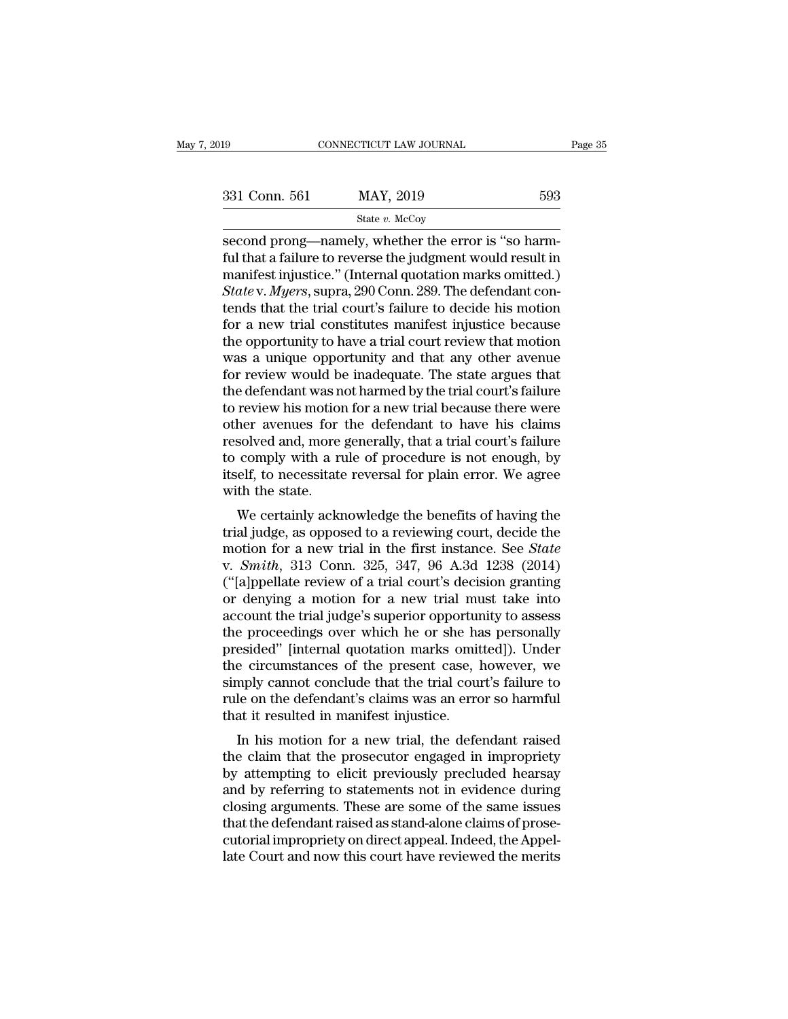| :019          | CONNECTICUT LAW JOURNAL                                                                                               | Page 35 |
|---------------|-----------------------------------------------------------------------------------------------------------------------|---------|
|               |                                                                                                                       |         |
| 331 Conn. 561 | MAY, 2019                                                                                                             | 593     |
|               | State $v$ . McCoy                                                                                                     |         |
|               | second prong—namely, whether the error is "so harm-                                                                   |         |
|               | ful that a failure to reverse the judgment would result in<br>manifost injustice," (Internal quotation marks omitted) |         |

 $f_{\text{stack 0}} = 331 \text{ Conn. } 561$  MAY, 2019  $593$ <br>  $f_{\text{state } v. \text{McCoy}} = 593$ <br>  $f_{\text{vector}} = 593$ <br>  $f_{\text{begin}} = 593$ <br>  $f_{\text{begin}} = 593$ <br>  $f_{\text{begin}} = 593 \text{ N}^{-1} \text{ N}^{-1} \text{ N}^{-1} \text{ N}^{-1} \text{ N}^{-1} \text{ N}^{-1} \text{ N}^{-1} \text{ N}^{-1} \text{ N}^{-1} \text{ N}^{-1} \text{ N}^{-1} \text{ N$ 331 Conn. 561 MAY, 2019 593<br>
State v. McCoy<br>
Second prong—namely, whether the error is "so harm-<br>
ful that a failure to reverse the judgment would result in<br>
manifest injustice.'' (Internal quotation marks omitted.)<br>
Stat <sup>593</sup><br> *State v. McCoy*<br> *State v. McCoy*<br>
Second prong—namely, whether the error is "so harm-<br>
ful that a failure to reverse the judgment would result in<br>
manifest injustice." (Internal quotation marks omitted.)<br> *State* State v. McCoy<br>
State v. McCoy<br>
Second prong—namely, whether the error is "so harm-<br>
ful that a failure to reverse the judgment would result in<br>
manifest injustice." (Internal quotation marks omitted.)<br> *State v. Myers*, state v. McCoy<br>second prong—namely, whether the error is "so harm-<br>ful that a failure to reverse the judgment would result in<br>manifest injustice." (Internal quotation marks omitted.)<br> $State$  v. Myers, supra, 290 Conn. 289. Th second prong—namely, whether the error is "so harm-<br>ful that a failure to reverse the judgment would result in<br>manifest injustice." (Internal quotation marks omitted.)<br>State v. Myers, supra, 290 Conn. 289. The defendant co ful that a failure to reverse the judgment would result in<br>manifest injustice." (Internal quotation marks omitted.)<br>State v. Myers, supra, 290 Conn. 289. The defendant con-<br>tends that the trial court's failure to decide hi manifest injustice." (Internal quotation marks omitted.)<br> *State* v. *Myers*, supra, 290 Conn. 289. The defendant contends that the trial court's failure to decide his motion<br>
for a new trial constitutes manifest injustic State v. Myers, supra, 290 Conn. 289. The defendant contends that the trial court's failure to decide his motion<br>for a new trial constitutes manifest injustice because<br>the opportunity to have a trial court review that moti tends that the trial court's failure to decide his motion<br>for a new trial constitutes manifest injustice because<br>the opportunity to have a trial court review that motion<br>was a unique opportunity and that any other avenue<br>f for a new trial constitutes manifest injustice because<br>the opportunity to have a trial court review that motion<br>was a unique opportunity and that any other avenue<br>for review would be inadequate. The state argues that<br>the d the opportunity to have a trial court review that motion<br>was a unique opportunity and that any other avenue<br>for review would be inadequate. The state argues that<br>the defendant was not harmed by the trial court's failure<br>to was a unique opportunity and that any other avenue<br>for review would be inadequate. The state argues that<br>the defendant was not harmed by the trial court's failure<br>to review his motion for a new trial because there were<br>oth for review would be inadequate. The state argues that<br>the defendant was not harmed by the trial court's failure<br>to review his motion for a new trial because there were<br>other avenues for the defendant to have his claims<br>res the defendant was n<br>to review his motion<br>other avenues for<br>resolved and, more<br>to comply with a ru<br>itself, to necessitate<br>with the state.<br>We certainly ackr Feview his motion for a new that because there were<br>her avenues for the defendant to have his claims<br>solved and, more generally, that a trial court's failure<br>comply with a rule of procedure is not enough, by<br>elf, to necess outer avenues for the defendant to flave fils claims<br>resolved and, more generally, that a trial court's failure<br>to comply with a rule of procedure is not enough, by<br>itself, to necessitate reversal for plain error. We agree

resolved and, note generally, that a that court's failure<br>to comply with a rule of procedure is not enough, by<br>itself, to necessitate reversal for plain error. We agree<br>with the state.<br>We certainly acknowledge the benefits to comply with a rule of procedure is not enough, by<br>itself, to necessitate reversal for plain error. We agree<br>with the state.<br>We certainly acknowledge the benefits of having the<br>trial judge, as opposed to a reviewing cour the state.<br>
We certainly acknowledge the benefits of having the<br>
trial judge, as opposed to a reviewing court, decide the<br>
motion for a new trial in the first instance. See *State*<br>
v. *Smith*, 313 Conn. 325, 347, 96 A.3d We certainly acknowledge the benefits of having the<br>trial judge, as opposed to a reviewing court, decide the<br>motion for a new trial in the first instance. See *State*<br>v. *Smith*, 313 Conn. 325, 347, 96 A.3d 1238 (2014)<br>(" We certainly acknowledge the benefits of having the<br>trial judge, as opposed to a reviewing court, decide the<br>motion for a new trial in the first instance. See *State*<br>v. *Smith*, 313 Conn. 325, 347, 96 A.3d 1238 (2014)<br>(" trial judge, as opposed to a reviewing court, decide the<br>motion for a new trial in the first instance. See *State*<br>v. *Smith*, 313 Conn. 325, 347, 96 A.3d 1238 (2014)<br>("[a]ppellate review of a trial court's decision granti motion for a new trial in the first instance. See *State*<br>v. *Smith*, 313 Conn. 325, 347, 96 A.3d 1238 (2014)<br>("[a]ppellate review of a trial court's decision granting<br>or denying a motion for a new trial must take into<br>ac v. *Smith*, 313 Conn. 325, 347, 96 A.3d 1238 (2014)<br>("[a]ppellate review of a trial court's decision granting<br>or denying a motion for a new trial must take into<br>account the trial judge's superior opportunity to assess<br>the ("[a]ppellate review of a trial court's decision granting<br>or denying a motion for a new trial must take into<br>account the trial judge's superior opportunity to assess<br>the proceedings over which he or she has personally<br>pres or denying a motion for a new trial must take into<br>account the trial judge's superior opportunity to assess<br>the proceedings over which he or she has personally<br>presided" [internal quotation marks omitted]). Under<br>the circu account the trial judge's superior opporture<br>the proceedings over which he or she has<br>presided" [internal quotation marks omit<br>the circumstances of the present case, l<br>simply cannot conclude that the trial cour<br>rule on the e proceedings over which he of site has personally<br>esided" [internal quotation marks omitted]). Under<br>e circumstances of the present case, however, we<br>mply cannot conclude that the trial court's failure to<br>le on the defend presided [Internal quotation marks onlitted]). Onder<br>the circumstances of the present case, however, we<br>simply cannot conclude that the trial court's failure to<br>rule on the defendant's claims was an error so harmful<br>that i

the chromistances of the present case, however, we<br>simply cannot conclude that the trial court's failure to<br>rule on the defendant's claims was an error so harmful<br>that it resulted in manifest injustice.<br>In his motion for a simply cannot conclude that the that court's failure to<br>rule on the defendant's claims was an error so harmful<br>that it resulted in manifest injustice.<br>In his motion for a new trial, the defendant raised<br>the claim that the The off the defendant sciality was an error so harmular<br>that it resulted in manifest injustice.<br>In his motion for a new trial, the defendant raised<br>the claim that the prosecutor engaged in impropriety<br>by attempting to elic In his motion for a new trial, the defendant raised<br>the claim that the prosecutor engaged in impropriety<br>by attempting to elicit previously precluded hearsay<br>and by referring to statements not in evidence during<br>closing ar In his motion for a new trial, the defendant raised<br>the claim that the prosecutor engaged in impropriety<br>by attempting to elicit previously precluded hearsay<br>and by referring to statements not in evidence during<br>closing ar the claim that the prosecutor engaged in impropriety<br>by attempting to elicit previously precluded hearsay<br>and by referring to statements not in evidence during<br>closing arguments. These are some of the same issues<br>that the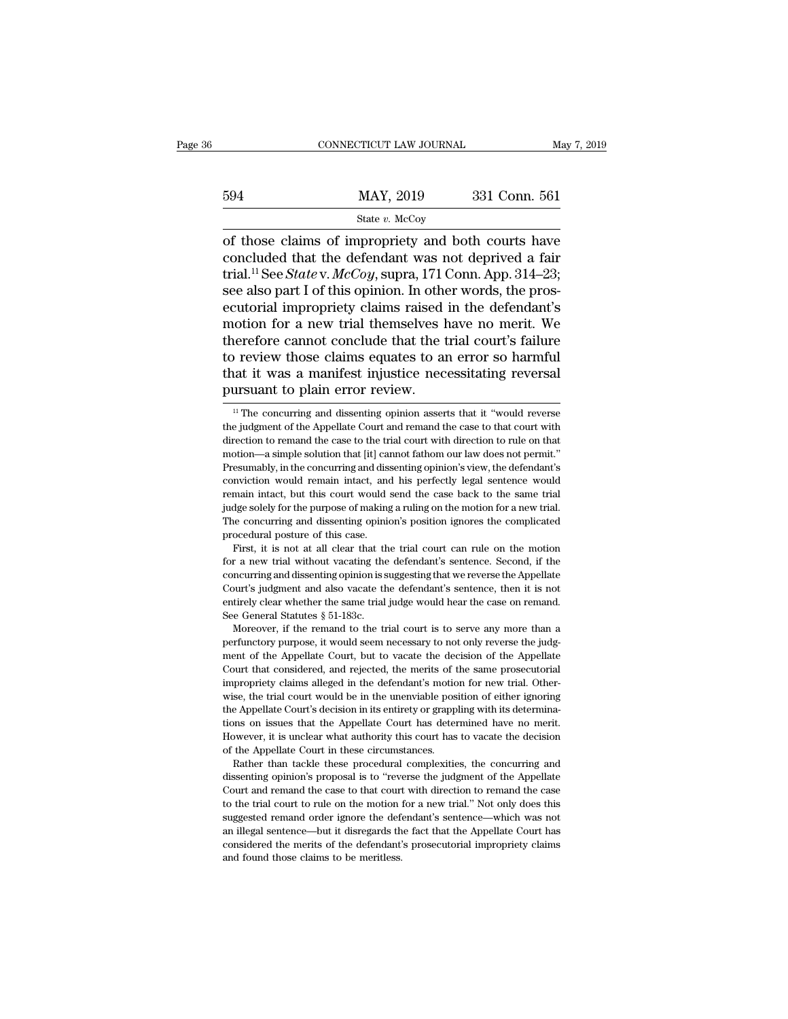|     | CONNECTICUT LAW JOURNAL | May 7, 2019   |  |
|-----|-------------------------|---------------|--|
|     |                         |               |  |
| 594 | MAY, 2019               | 331 Conn. 561 |  |
|     | State $v$ . McCoy       |               |  |

CONNECTICUT LAW JOURNAL May 7, 2019<br>  $\begin{array}{r}\n 594 \text{ MAY, } 2019 \text{ 331 Conn. } 561 \\
 \hline\n \text{State } v. \text{ McCoy} \\
 \text{of those claims of improving and both courts have concluded that the defendant was not deprived a fair trial  $^{11}$  So *State V. McGou* sums  $171$  Conn. Ann  $314$  23.\n\end{array}$ 594 MAY, 2019 331 Conn. 561<br>
State v. McCoy<br>
of those claims of impropriety and both courts have<br>
concluded that the defendant was not deprived a fair<br>
trial.<sup>11</sup> See *State* v. *McCoy*, supra, 171 Conn. App. 314–23;<br>
see  $\frac{\text{MAX, 2019}}{\text{State } v. \text{ MeCoy}}$ <br>
of those claims of impropriety and both courts have<br>
concluded that the defendant was not deprived a fair<br>
trial.<sup>11</sup> See *State* v. *McCoy*, supra, 171 Conn. App. 314–23;<br>
see also part I o  $\frac{\text{MAX}}{\text{State } v. \text{McCoy}}$ <br>
State *v.* McCoy<br>
of those claims of impropriety and both courts have<br>
concluded that the defendant was not deprived a fair<br>
trial.<sup>11</sup> See *State* v. *McCoy*, supra, 171 Conn. App. 314–23;<br>
see al State v. McCoy<br>
of those claims of impropriety and both courts have<br>
concluded that the defendant was not deprived a fair<br>
trial.<sup>11</sup> See *State* v. McCoy, supra, 171 Conn. App. 314–23;<br>
see also part I of this opinion. I state v. McCoy<br>
of those claims of impropriety and both courts have<br>
concluded that the defendant was not deprived a fair<br>
trial.<sup>11</sup> See *State* v. McCoy, supra, 171 Conn. App. 314–23;<br>
see also part I of this opinion. I of those claims of impropriety and both courts have<br>concluded that the defendant was not deprived a fair<br>trial.<sup>11</sup> See *State* v. *McCoy*, supra, 171 Conn. App. 314–23;<br>see also part I of this opinion. In other words, the concluded that the defendant was not deprived a fair<br>trial.<sup>11</sup> See *State* v. *McCoy*, supra, 171 Conn. App. 314–23;<br>see also part I of this opinion. In other words, the pros-<br>ecutorial impropriety claims raised in the de trial.<sup>11</sup> See *State* v. *McCoy*, supra, 171 Conn. App. 314–23;<br>see also part I of this opinion. In other words, the pros-<br>ecutorial impropriety claims raised in the defendant's<br>motion for a new trial themselves have no m see also part I of this opinion. In other<br>ecutorial impropriety claims raised<br>motion for a new trial themselves h<br>therefore cannot conclude that the t<br>to review those claims equates to a<br>that it was a manifest injustice ne nerefore cannot conclude that the trial court's failure<br>o review those claims equates to an error so harmful<br>at it was a manifest injustice necessitating reversal<br>ursuant to plain error review.<br> $\frac{1}{1}$  The concurring an to review those claims equates to an error so harmful<br>that it was a manifest injustice necessitating reversal<br>pursuant to plain error review.<br> $\frac{1}{1}$  The concurring and dissenting opinion asserts that it "would reverse<br>

that it was a manifest injustice necessitating reversal<br>pursuant to plain error review.<br> $\frac{1}{1}$  The concurring and dissenting opinion asserts that it "would reverse<br>the judgment of the Appellate Court and remand the cas pursuant to plain error review.<br>
<sup>11</sup> The concurring and dissenting opinion asserts that it "would reverse<br>
the judgment of the Appellate Court and remand the case to that court with<br>
direction to remand the case to the tr pursuant to plaint error review.<br>
<sup>11</sup> The concurring and dissenting opinion asserts that it "would reverse<br>
the judgment of the Appellate Court and remand the case to that court with<br>
direction to remand the case to the t <sup>11</sup> The concurring and dissenting opinion asserts that it "would reverse the judgment of the Appellate Court and remand the case to that court with direction to remand the case to the trial court with direction to rule o the judgment of the Appellate Court and remand the case to that court with direction to remand the case to the trial court with direction to rule on that motion—a simple solution that [it] cannot fathom our law does not pe direction to remand the case to the trial court with direction to rule on that motion—a simple solution that [it] cannot fathom our law does not permit."<br>Presumably, in the concurring and dissenting opinion's view, the def motion—a simple solution that [it] cannot fathom our law does not permit."<br>Presumably, in the concurring and dissenting opinion's view, the defendant's<br>conviction would remain intact, and his perfectly legal sentence would motion—a simple solution that [it] cannot fathom our law does not permit."<br>Presumably, in the concurring and dissenting opinion's view, the defendant's<br>conviction would remain intact, and his perfectly legal sentence would First, it is not at all clear that the trial court can rule on the motion would remain intact, and his perfectly legal sentence would main intact, but this court would send the case back to the same trial dige solely for t For a new trial with solutional and the case back to the same trial judge solely for the purpose of making a ruling on the motion for a new trial.<br>The concurring and dissenting opinion's position ignores the complicated pr

concurring and dissenting opinion is suggesting that we reverse that is not all the concurring and dissenting opinion's position ignores the complicated procedural posture of this case.<br>First, it is not at all clear that t The concurring and dissenting opinion's position ignores the complicated procedural posture of this case.<br>First, it is not at all clear that the trial court can rule on the motion<br>for a new trial without vacating the defen entirely clear whether the same trial judge would hear the case.<br>
First, it is not at all clear that the trial court can rule on the motion<br>
for a new trial without vacating the defendant's sentence. Second, if the<br>
concur for a new trial without vacating the defendant's sentence. Second, if the concurring and dissenting opinion is suggesting that we reverse the Appellate Court's judgment and also vacate the defendant's sentence, then it is r a new trial without vacating the defendant's sentence. Second, if the noncurring and dissenting opinion is suggesting that we reverse the Appellate ourt's judgment and also vacate the defendant's sentence, then it is no concurring and dissenting opinion is suggesting that we reverse the Appellate Court's judgment and also vacate the defendant's sentence, then it is not entirely clear whether the same trial judge would hear the case on re

Court's judgment and also vacate the defendant's sentence, then it is not entirely clear whether the same trial judge would hear the case on remand.<br>See General Statutes  $\S 51-183c$ .<br>Moreover, if the remand to the trial c Example 1.1 The same trial judge would hear the case on remand.<br>See General Statutes § 51-183c.<br>Moreover, if the remand to the trial court is to serve any more than a<br>perfunctory purpose, it would seem necessary to not on See General Statutes § 51-183c.<br>
Moreover, if the remand to the trial court is to serve any more than a<br>
perfunctory purpose, it would seem necessary to not only reverse the judg-<br>
ment of the Appellate Court, but to vacat Moreover, if the remand to the trial court is to serve any more than a perfunctory purpose, it would seem necessary to not only reverse the judgment of the Appellate Court, but to vacate the decision of the Appellate Court The Appellate Court's decision in the defendant of the Appellate Court that considered, and rejected, the merits of the same prosecutorial impropriety claims alleged in the defendant's motion for new trial. Otherwise, the performations per performations on the Appellate Court, but to vacate the decision of the Appellate Court that considered, and rejected, the merits of the same prosecutorial impropriety claims alleged in the defendant's mo Court that considered, and rejected, the merits of the same prosecutorial impropriety claims alleged in the defendant's motion for new trial. Otherwise, the trial court would be in the unenviable position of either ignorin of the Appellate Court in the defendant's motion<br>impropriety claims alleged in the defendant's motion<br>wise, the trial court would be in the unenviable pose<br>the Appellate Court's decision in its entirety or grapp<br>tions on i se, the trial court would be in the unenviable position of either ignoring e Appellate Court's decision in its entirety or grappling with its determina-<br>ms on issues that the Appellate Court has determined have no merit.<br>w the Appellate Court's decision in its entirety or grappling with its determinations on issues that the Appellate Court has determined have no merit. However, it is unclear what authority this court has to vacate the decisi

Extra remains on issues that the Appellate Court has determined have no merit.<br>However, it is unclear what authority this court has to vacate the decision<br>of the Appellate Court in these circumstances.<br>Rather than tackle t However, it is unclear what authority this court has to vacate the decision of the Appellate Court in these circumstances.<br>
Rather than tackle these procedural complexities, the concurring and dissenting opinion's proposal of the Appellate Court in these circumstances.<br>
Rather than tackle these procedural complexities, the concurring and<br>
dissenting opinion's proposal is to "reverse the judgment of the Appellate<br>
Court and remand the case to Rather than tackle these procedural complexities, the concurring and dissenting opinion's proposal is to "reverse the judgment of the Appellate Court and remand the case to that court with direction to remand the case to t dissenting opinion's proposal is to "reverse the judgment of the Appellate Court and remand the case to that court with direction to remand the case to the trial court to rule on the motion for a new trial." Not only does Court and remand the case to that court with direction to remand the case<br>to the trial court to rule on the motion for a new trial." Not only does this<br>suggested remand order ignore the defendant's sentence—which was not<br>a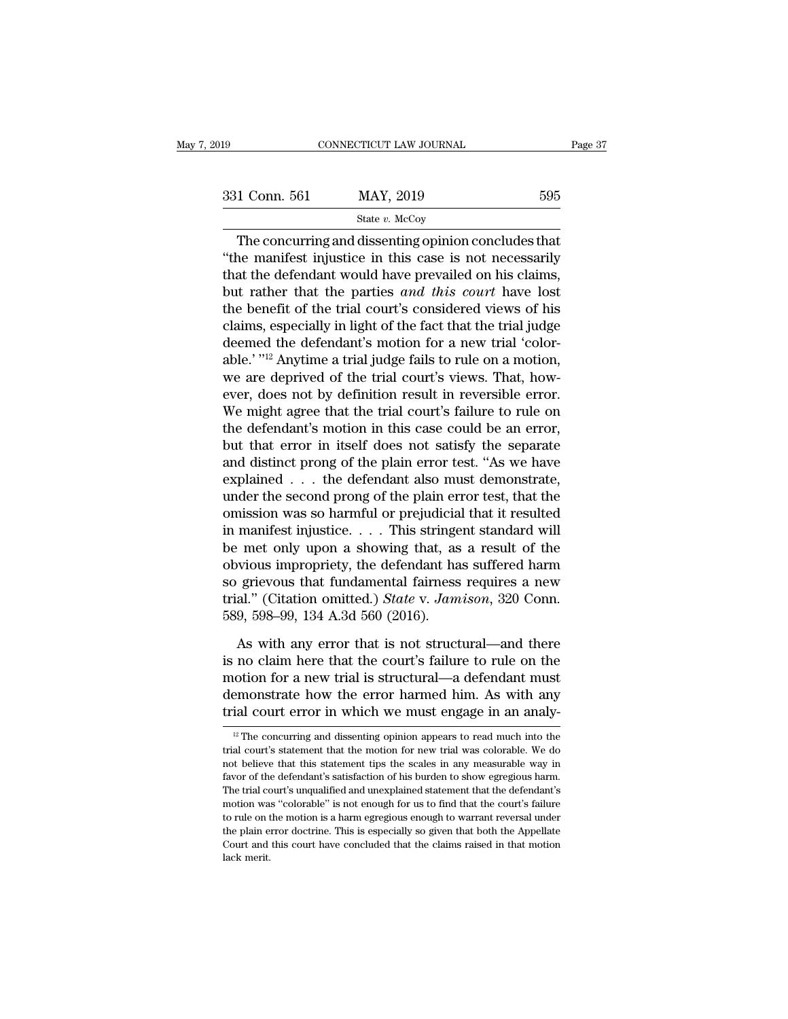| 2019          | CONNECTICUT LAW JOURNAL                                                                                                                                                  | Page 37 |
|---------------|--------------------------------------------------------------------------------------------------------------------------------------------------------------------------|---------|
|               |                                                                                                                                                                          |         |
| 331 Conn. 561 | MAY, 2019                                                                                                                                                                | 595     |
|               | State $v$ . McCoy                                                                                                                                                        |         |
|               | The concurring and dissenting opinion concludes that<br>"the manifest injustice in this case is not necessarily<br>that the defendant would have prevailed on his eleima |         |

<sup>331</sup> Conn. 561 MAY, 2019 595<br>
<sup>State v. McCoy</sup><br>
The concurring and dissenting opinion concludes that<br>
"the manifest injustice in this case is not necessarily<br>
that the defendant would have prevailed on his claims,<br>
but ra 331 Conn. 561 MAY, 2019 595<br>
State v. McCoy<br>
The concurring and dissenting opinion concludes that<br>
"the manifest injustice in this case is not necessarily<br>
that the defendant would have prevailed on his claims,<br>
but rathe  $\begin{array}{ccc}\n & \text{max, 2019} & \text{595} \\
 \hline\n & \text{State } v. \text{ MeCoy}\n \end{array}$ The concurring and dissenting opinion concludes that<br>
"the manifest injustice in this case is not necessarily<br>
that the defendant would have prevailed on his claims State v. McCoy<br>
The concurring and dissenting opinion concludes that<br>
"the manifest injustice in this case is not necessarily<br>
that the defendant would have prevailed on his claims,<br>
but rather that the parties *and this* Slate v. McCoy<br>
The concurring and dissenting opinion concludes that<br>
"the manifest injustice in this case is not necessarily<br>
that the defendant would have prevailed on his claims,<br>
but rather that the parties *and this* The concurring and dissenting opinion concludes that<br>
"the manifest injustice in this case is not necessarily<br>
that the defendant would have prevailed on his claims,<br>
but rather that the parties *and this court* have lost "the manifest injustice in this case is not necessarily<br>that the defendant would have prevailed on his claims,<br>but rather that the parties *and this court* have lost<br>the benefit of the trial court's considered views of hi that the defendant would have prevailed on his claims,<br>but rather that the parties *and this court* have lost<br>the benefit of the trial court's considered views of his<br>claims, especially in light of the fact that the trial but rather that the parties *and this court* have lost<br>the benefit of the trial court's considered views of his<br>claims, especially in light of the fact that the trial judge<br>deemed the defendant's motion for a new trial 'co the benefit of the trial court's considered views of his<br>claims, especially in light of the fact that the trial judge<br>deemed the defendant's motion for a new trial 'color-<br>able.' "<sup>12</sup> Anytime a trial judge fails to rule o claims, especially in light of the fact that the trial judge<br>deemed the defendant's motion for a new trial 'color-<br>able.' "<sup>12</sup> Anytime a trial judge fails to rule on a motion,<br>we are deprived of the trial court's views. T deemed the defendant's motion for a new trial 'color-<br>able.' "<sup>12</sup> Anytime a trial judge fails to rule on a motion,<br>we are deprived of the trial court's views. That, how-<br>ever, does not by definition result in reversible e able.' "<sup>12</sup> Anytime a trial judge fails to rule on a motion,<br>we are deprived of the trial court's views. That, how-<br>ever, does not by definition result in reversible error.<br>We might agree that the trial court's failure t we are deprived of the trial court's views. That, how-<br>ever, does not by definition result in reversible error.<br>We might agree that the trial court's failure to rule on<br>the defendant's motion in this case could be an error ever, does not by definition result in reversible error.<br>We might agree that the trial court's failure to rule on<br>the defendant's motion in this case could be an error,<br>but that error in itself does not satisfy the separat We might agree that the trial court's failure to rule on<br>the defendant's motion in this case could be an error,<br>but that error in itself does not satisfy the separate<br>and distinct prong of the plain error test. "As we hav the defendant's motion in this case could be an error,<br>but that error in itself does not satisfy the separate<br>and distinct prong of the plain error test. "As we have<br>explained . . . the defendant also must demonstrate,<br>und but that error in itself does not satisfy the separate<br>and distinct prong of the plain error test. "As we have<br>explained . . . the defendant also must demonstrate,<br>under the second prong of the plain error test, that the<br>o and distinct prong of the plain error test. "As we have<br>explained . . . the defendant also must demonstrate,<br>under the second prong of the plain error test, that the<br>omission was so harmful or prejudicial that it resulted explained . . . the defendant also must demonstrate,<br>under the second prong of the plain error test, that the<br>omission was so harmful or prejudicial that it resulted<br>in manifest injustice. . . . This stringent standard wi under the second prong of the plain error test, that the omission was so harmful or prejudicial that it resulted<br>in manifest injustice. . . . This stringent standard will<br>be met only upon a showing that, as a result of the omission was so harmful or prejudicia<br>in manifest injustice. . . . This stringe<br>be met only upon a showing that, as<br>obvious impropriety, the defendant ha<br>so grievous that fundamental fairness<br>trial." (Citation omitted.) *S* met only upon a showing that, as a result of the<br>vious impropriety, the defendant has suffered harm<br>grievous that fundamental fairness requires a new<br>al." (Citation omitted.) *State* v. *Jamison*, 320 Conn.<br>9, 598–99, 134 obvious impropriety, the defendant has suffered harm<br>so grievous that fundamental fairness requires a new<br>trial." (Citation omitted.) *State* v. Jamison, 320 Conn.<br>589, 598–99, 134 A.3d 560 (2016).<br>As with any error that i

so grievous that fundamental fairness requires a new<br>trial." (Citation omitted.) *State* v. Jamison, 320 Conn.<br>589, 598–99, 134 A.3d 560 (2016).<br>As with any error that is not structural—and there<br>is no claim here that the trial." (Citation omitted.) *State* v. *Jamison*, 320 Conn.<br>589, 598–99, 134 A.3d 560 (2016).<br>As with any error that is not structural—and there<br>is no claim here that the court's failure to rule on the<br>motion for a new tri 589, 598–99, 134 A.3d 560 (2016).<br>As with any error that is not structural—and there<br>is no claim here that the court's failure to rule on the<br>motion for a new trial is structural—a defendant must<br>demonstrate how the error 12 The concurring and dissenting opinion appears to read much into the al court's statement that the motion of rew trial was colorable. We do al court's statement that the motion for new trial was colorable. We do motion for a new trial is structural—a defendant must<br>demonstrate how the error harmed him. As with any<br>trial court error in which we must engage in an analy-<br> $\frac{12}{12}$  The concurring and dissenting opinion appears to r

demonstrate how the error harmed him. As with any trial court error in which we must engage in an analy-<br> $\frac{12}{10}$  The concurring and dissenting opinion appears to read much into the trial court's statement that the mot **EXECUTE THE COUTE CONCRETE THE COUT CONCRETE THE CONCRETE THE CONCRETE THE CONCRETE CONCRETE THE CONCRETE CONCRETE AND AND THE defendant's satisfaction of his burden to show egregious harm.**<br>The trial court's unqualified <sup>12</sup> The concurring and dissenting opinion appears to read much into the trial court's statement that the motion for new trial was colorable. We do not believe that this statement tips the scales in any measurable way in  $^{\text{12}}$  The concurring and dissenting opinion appears to read much into the trial court's statement that the motion for new trial was colorable. We do not believe that this statement tips the scales in any measurable wa trial court's statement that the motion for new trial was colorable. We do not believe that this statement tips the scales in any measurable way in favor of the defendant's satisfaction of his burden to show egregious harm not believe that this statement tips the scales in any measurable way in favor of the defendant's satisfaction of his burden to show egregious harm. The trial court's unqualified and unexplained statement that the defendan Favor of the defendant's satisfaction of his burden to show egregious harm.<br>The trial court's unqualified and unexplained statement that the defendant's<br>motion was "colorable" is not enough for us to find that the court's The trial court's unqualified and unexplained statement that the defendant's motion was "colorable" is not enough for us to find that the court's failure to rule on the motion is a harm egregious enough to warrant reversal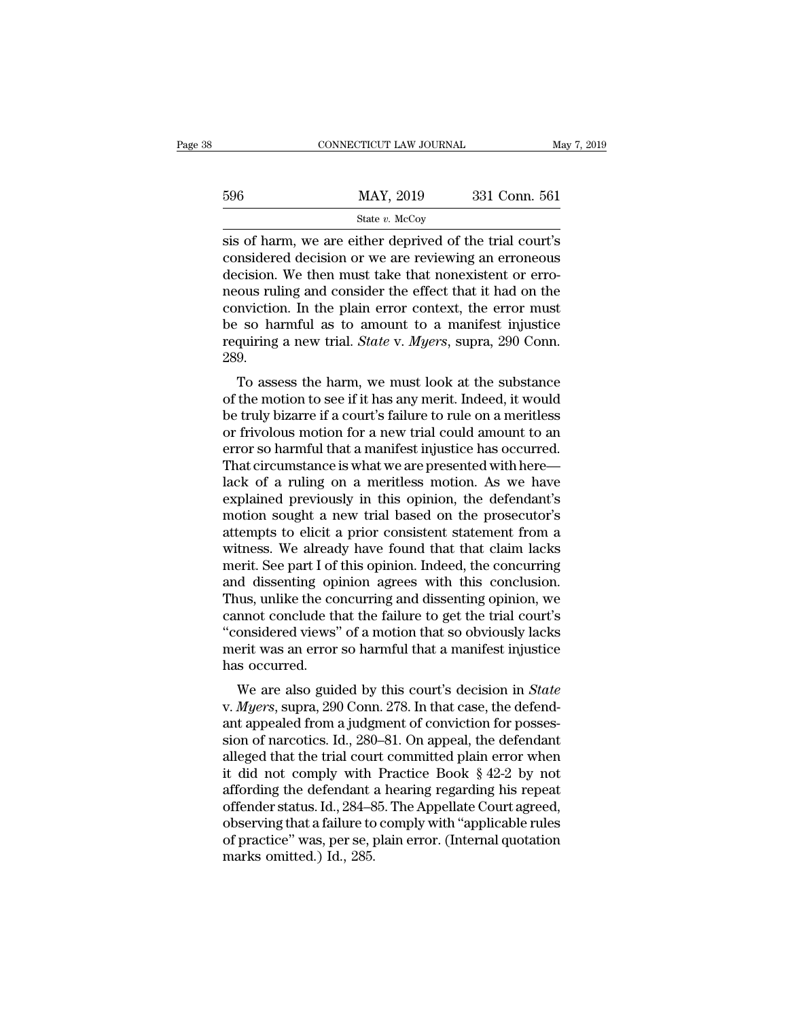|     | CONNECTICUT LAW JOURNAL                                                                                                                                                  | May 7, 2019   |
|-----|--------------------------------------------------------------------------------------------------------------------------------------------------------------------------|---------------|
| 596 | MAY, 2019                                                                                                                                                                | 331 Conn. 561 |
|     | State $v$ . McCoy                                                                                                                                                        |               |
|     | sis of harm, we are either deprived of the trial court's<br>considered decision or we are reviewing an erroneous<br>dogicion. We then must take that permission or error |               |

596 MAY, 2019 331 Conn. 561<br>
State v. McCoy<br>
sis of harm, we are either deprived of the trial court's<br>
considered decision or we are reviewing an erroneous<br>
decision. We then must take that nonexistent or erro-<br>
poous rul  $\frac{\text{MAY, 2019}}{\text{State } v. \text{ MeCoy}}$ <br>
sis of harm, we are either deprived of the trial court's<br>
considered decision or we are reviewing an erroneous<br>
decision. We then must take that nonexistent or erro-<br>
neous ruling and consi  $\frac{\text{MAX}}{\text{State } v. \text{ McCoy}}$ <br>
sis of harm, we are either deprived of the trial court's<br>
considered decision or we are reviewing an erroneous<br>
decision. We then must take that nonexistent or erro-<br>
neous ruling and consider the State v. McCoy<br>sis of harm, we are either deprived of the trial court's<br>considered decision or we are reviewing an erroneous<br>decision. We then must take that nonexistent or erro-<br>neous ruling and consider the effect that state v. McCoy<br>sis of harm, we are either deprived of the trial court's<br>considered decision or we are reviewing an erroneous<br>decision. We then must take that nonexistent or erro-<br>neous ruling and consider the effect that sis of harm, we are either deprived of the trial court's considered decision or we are reviewing an erroneous decision. We then must take that nonexistent or erroneous ruling and consider the effect that it had on the conv 289. Figure 1. We then must take that honexistent of ero-<br>
ous ruling and consider the effect that it had on the<br>
nviction. In the plain error context, the error must<br>
so harmful as to amount to a manifest injustice<br>
quiring a recus rumg and consider the enect that it had on the<br>conviction. In the plain error context, the error must<br>be so harmful as to amount to a manifest injustice<br>requiring a new trial. *State* v. *Myers*, supra, 290 Conn.<br>289

be so harmful as to amount to a manifest injustice<br>requiring a new trial. *State* v. *Myers*, supra, 290 Conn.<br>289.<br>To assess the harm, we must look at the substance<br>of the motion to see if it has any merit. Indeed, it wou be so hammul as to amount to a mannest injustice<br>requiring a new trial. *State* v. *Myers*, supra, 290 Conn.<br>289.<br>To assess the harm, we must look at the substance<br>of the motion to see if it has any merit. Indeed, it would requiring a new that. *State v. myers*, supra, 250 Conn.<br>289.<br>To assess the harm, we must look at the substance<br>of the motion to see if it has any merit. Indeed, it would<br>be truly bizarre if a court's failure to rule on a To assess the harm, we must look at the substance<br>of the motion to see if it has any merit. Indeed, it would<br>be truly bizarre if a court's failure to rule on a meritless<br>or frivolous motion for a new trial could amount to To assess the harm, we must look at the substance<br>of the motion to see if it has any merit. Indeed, it would<br>be truly bizarre if a court's failure to rule on a meritless<br>or frivolous motion for a new trial could amount to of the motion to see if it has any merit. Indeed, it would<br>be truly bizarre if a court's failure to rule on a meritless<br>or frivolous motion for a new trial could amount to an<br>error so harmful that a manifest injustice has be truly bizarre if a court's failure to rule on a meritless<br>or frivolous motion for a new trial could amount to an<br>error so harmful that a manifest injustice has occurred.<br>That circumstance is what we are presented with h or frivolous motion for a new trial could amount to an<br>error so harmful that a manifest injustice has occurred.<br>That circumstance is what we are presented with here—<br>lack of a ruling on a meritless motion. As we have<br>expla error so harmful that a manifest injustice has occurred.<br>That circumstance is what we are presented with here—<br>lack of a ruling on a meritless motion. As we have<br>explained previously in this opinion, the defendant's<br>motion That circumstance is what we are presented with here—<br>lack of a ruling on a meritless motion. As we have<br>explained previously in this opinion, the defendant's<br>motion sought a new trial based on the prosecutor's<br>attempts to lack of a ruling on a meritless motion. As we have<br>explained previously in this opinion, the defendant's<br>motion sought a new trial based on the prosecutor's<br>attempts to elicit a prior consistent statement from a<br>witness. W explained previously in this opinion, the defendant's<br>motion sought a new trial based on the prosecutor's<br>attempts to elicit a prior consistent statement from a<br>witness. We already have found that that claim lacks<br>merit. S motion sought a new trial based on the prosecutor's<br>attempts to elicit a prior consistent statement from a<br>witness. We already have found that that claim lacks<br>merit. See part I of this opinion. Indeed, the concurring<br>and attempts to elicit a prior consistent statement from a<br>witness. We already have found that that claim lacks<br>merit. See part I of this opinion. Indeed, the concurring<br>and dissenting opinion agrees with this conclusion.<br>Thus witness. We already have found that that claim lacks<br>merit. See part I of this opinion. Indeed, the concurring<br>and dissenting opinion agrees with this conclusion.<br>Thus, unlike the concurring and dissenting opinion, we<br>cann merit. See part I of<br>and dissenting op<br>Thus, unlike the co<br>cannot conclude th<br>"considered views"<br>merit was an error<br>has occurred.<br>We are also guid It also guided by this conclusion.<br>
We mot conclude that the failure to get the trial court's<br>
onsidered views" of a motion that so obviously lacks<br>
erit was an error so harmful that a manifest injustice<br>
s occurred.<br>
We a Filus, unike the concurring and ussenting opinion, we<br>cannot conclude that the failure to get the trial court's<br>"considered views" of a motion that so obviously lacks<br>merit was an error so harmful that a manifest injustice

cannot conclude that the failure to get the that court's<br>
"considered views" of a motion that so obviously lacks<br>
merit was an error so harmful that a manifest injustice<br>
has occurred.<br>
We are also guided by this court's d considered views of a motion that so obviously facts<br>merit was an error so harmful that a manifest injustice<br>has occurred.<br>We are also guided by this court's decision in *State*<br>v. *Myers*, supra, 290 Conn. 278. In that c ment was an error so harmula that a mannest injustice<br>has occurred.<br>We are also guided by this court's decision in *State*<br>v. *Myers*, supra, 290 Conn. 278. In that case, the defend-<br>ant appealed from a judgment of convict We are also guided by this court's decision in *State* v. *Myers*, supra, 290 Conn. 278. In that case, the defendant appealed from a judgment of conviction for possession of narcotics. Id., 280–81. On appeal, the defendan We are also guided by this court's decision in *State* v. *Myers*, supra, 290 Conn. 278. In that case, the defendant appealed from a judgment of conviction for possession of narcotics. Id., 280–81. On appeal, the defendan v. *Myers*, supra, 290 Conn. 278. In that case, the defend-<br>ant appealed from a judgment of conviction for posses-<br>sion of narcotics. Id., 280–81. On appeal, the defendant<br>alleged that the trial court committed plain error ant appealed from a judgment of conviction for posses-<br>sion of narcotics. Id., 280–81. On appeal, the defendant<br>alleged that the trial court committed plain error when<br>it did not comply with Practice Book § 42-2 by not<br>aff sion of narcotics. Id., 280–81. On appeal, the defendant<br>alleged that the trial court committed plain error when<br>it did not comply with Practice Book § 42-2 by not<br>affording the defendant a hearing regarding his repeat<br>off alleged that the trial councit did not comply with<br>affording the defendant :<br>offender status. Id., 284–8<br>observing that a failure to<br>of practice'' was, per se, <sub>I</sub><br>marks omitted.) Id., 285.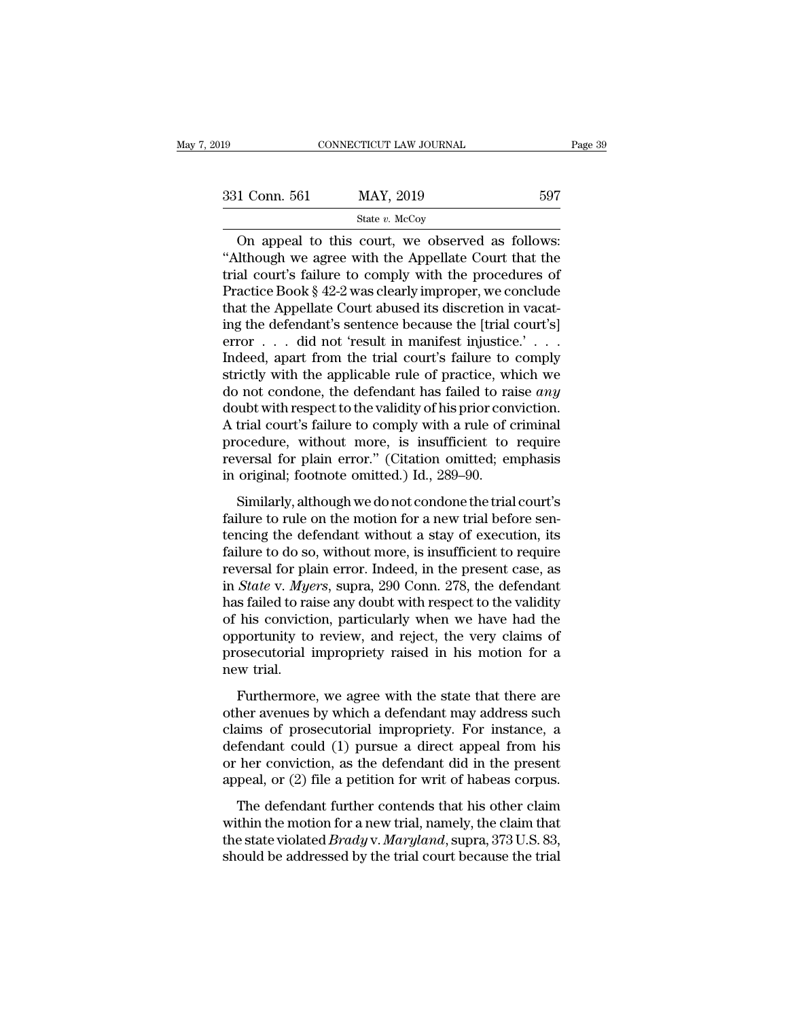| 2019          | CONNECTICUT LAW JOURNAL                                                                                  | Page 39 |
|---------------|----------------------------------------------------------------------------------------------------------|---------|
|               |                                                                                                          |         |
| 331 Conn. 561 | MAY, 2019                                                                                                | 597     |
|               | State $v$ . McCoy                                                                                        |         |
|               | On appeal to this court, we observed as follows:<br>"Although we agree with the Appellate Court that the |         |

<sup>331</sup> Conn. 561 MAY, 2019 597<br>
<sup>State v. McCoy</sup><br>
On appeal to this court, we observed as follows:<br>
"Although we agree with the Appellate Court that the<br>
trial court's failure to comply with the procedures of<br>
Practice Boo 331 Conn. 561 MAY, 2019 597<br>
State v. McCoy<br>
On appeal to this court, we observed as follows:<br>
"Although we agree with the Appellate Court that the<br>
trial court's failure to comply with the procedures of<br>
Practice Book § 331 Conn. 561 MAY, 2019 597<br>
State v. McCoy<br>
On appeal to this court, we observed as follows:<br>
"Although we agree with the Appellate Court that the<br>
trial court's failure to comply with the procedures of<br>
Practice Book § SET COME OF THE APPLE THE APPLE THE APPLE THE STATE OF THE Appellate Court that the trial court's failure to comply with the procedures of Practice Book § 42-2 was clearly improper, we conclude that the Appellate Court ab State v. McCoy<br>
On appeal to this court, we observed as follows:<br>
"Although we agree with the Appellate Court that the<br>
trial court's failure to comply with the procedures of<br>
Practice Book § 42-2 was clearly improper, we On appeal to this court, we observed as follows:<br>
"Although we agree with the Appellate Court that the<br>
trial court's failure to comply with the procedures of<br>
Practice Book § 42-2 was clearly improper, we conclude<br>
that "Although we agree with the Appellate Court that the<br>trial court's failure to comply with the procedures of<br>Practice Book § 42-2 was clearly improper, we conclude<br>that the Appellate Court abused its discretion in vacat-<br>i trial court's failure to comply with the procedures of<br>Practice Book § 42-2 was clearly improper, we conclude<br>that the Appellate Court abused its discretion in vacat-<br>ing the defendant's sentence because the [trial court' Practice Book § 42-2 was clearly improper, we conclude<br>that the Appellate Court abused its discretion in vacat-<br>ing the defendant's sentence because the [trial court's]<br>error  $\dots$  did not 'result in manifest injustice.' that the Appellate Court abused its discretion in vacating the defendant's sentence because the [trial court's]<br>error  $\ldots$  did not 'result in manifest injustice.'  $\ldots$ .<br>Indeed, apart from the trial court's failure to co ing the defendant's sentence because the [trial court's]<br>error  $\ldots$  did not 'result in manifest injustice.'  $\ldots$ .<br>Indeed, apart from the trial court's failure to comply<br>strictly with the applicable rule of practice, whi error . . . did not 'result in manifest injustice.' . . .<br>Indeed, apart from the trial court's failure to comply<br>strictly with the applicable rule of practice, which we<br>do not condone, the defendant has failed to raise *a* Indeed, apart from the trial court's failure to comply<br>strictly with the applicable rule of practice, which we<br>do not condone, the defendant has failed to raise *any*<br>doubt with respect to the validity of his prior convict strictly with the applicable rule of practice, wh<br>do not condone, the defendant has failed to ra<br>doubt with respect to the validity of his prior con<br>A trial court's failure to comply with a rule of c<br>procedure, without mor intervalue that the validity of his prior conviction.<br>
Intial court's failure to comply with a rule of criminal<br>
ocedure, without more, is insufficient to require<br>
versal for plain error." (Citation omitted; emphasis<br>
orig A trial court's failure to comply with a rule of criminal<br>procedure, without more, is insufficient to require<br>reversal for plain error." (Citation omitted; emphasis<br>in original; footnote omitted.) Id., 289–90.<br>Similarly, a

The duality standard to compay what a rate of errificial<br>procedure, without more, is insufficient to require<br>reversal for plain error." (Citation omitted; emphasis<br>in original; footnote omitted.) Id., 289–90.<br>Similarly, al reversal for plain error." (Citation omitted; emphasis<br>in original; footnote omitted.) Id., 289–90.<br>Similarly, although we do not condone the trial court's<br>failure to rule on the motion for a new trial before sen-<br>tencing in original; footnote omitted.) Id., 289–90.<br>
Similarly, although we do not condone the trial court's<br>
failure to rule on the motion for a new trial before sen-<br>
tencing the defendant without a stay of execution, its<br>
fai Similarly, although we do not condone the trial court's<br>failure to rule on the motion for a new trial before sen-<br>tencing the defendant without a stay of execution, its<br>failure to do so, without more, is insufficient to re Similarly, although we do not condone the trial court's<br>failure to rule on the motion for a new trial before sen-<br>tencing the defendant without a stay of execution, its<br>failure to do so, without more, is insufficient to re failure to rule on the motion for a new trial before sentencing the defendant without a stay of execution, its failure to do so, without more, is insufficient to require reversal for plain error. Indeed, in the present cas tencing the defendant without a stay of execution, its<br>failure to do so, without more, is insufficient to require<br>reversal for plain error. Indeed, in the present case, as<br>in *State* v. *Myers*, supra, 290 Conn. 278, the d failure to do so, without more, is insufficient to require<br>reversal for plain error. Indeed, in the present case, as<br>in *State* v. *Myers*, supra, 290 Conn. 278, the defendant<br>has failed to raise any doubt with respect to reversal for plain *State v. Mye*<br>has failed to rain of his conviction<br>proportunity to<br>prosecutorial in the trial.<br>Furthermore State V. Hydre, sapira, 250 Collin. 210, are determined<br>s failed to raise any doubt with respect to the validity<br>his conviction, particularly when we have had the<br>portunity to review, and reject, the very claims of<br>osecuto nas rance to raise any dealt mannerspect to the rankly<br>of his conviction, particularly when we have had the<br>opportunity to review, and reject, the very claims of<br>prosecutorial impropriety raised in his motion for a<br>new tri

claims conviction, particularly when we have had alled opportunity to review, and reject, the very claims of prosecutorial impropriety raised in his motion for a new trial.<br>Furthermore, we agree with the state that there a prosecutorial impropriety raised in his motion for a<br>new trial.<br>Furthermore, we agree with the state that there are<br>other avenues by which a defendant may address such<br>claims of prosecutorial impropriety. For instance, a<br> new trial.<br>
Furthermore, we agree with the state that there are<br>
other avenues by which a defendant may address such<br>
claims of prosecutorial impropriety. For instance, a<br>
defendant could (1) pursue a direct appeal from hi Furthermore, we agree with the state that there are<br>other avenues by which a defendant may address such<br>claims of prosecutorial impropriety. For instance, a<br>defendant could (1) pursue a direct appeal from his<br>or her convic The defendant may address such<br>the avenues by which a defendant may address such<br>aims of prosecutorial impropriety. For instance, a<br>fendant could (1) pursue a direct appeal from his<br>her conviction, as the defendant did in claims of prosecutorial impropriety. For instance, a<br>defendant could (1) pursue a direct appeal from his<br>or her conviction, as the defendant did in the present<br>appeal, or (2) file a petition for writ of habeas corpus.<br>The

defendant could (1) pursue a direct appeal from his<br>or her conviction, as the defendant did in the present<br>appeal, or (2) file a petition for writ of habeas corpus.<br>The defendant further contends that his other claim<br>withi or her conviction, as the defendant did in the present<br>appeal, or (2) file a petition for writ of habeas corpus.<br>The defendant further contends that his other claim<br>within the motion for a new trial, namely, the claim tha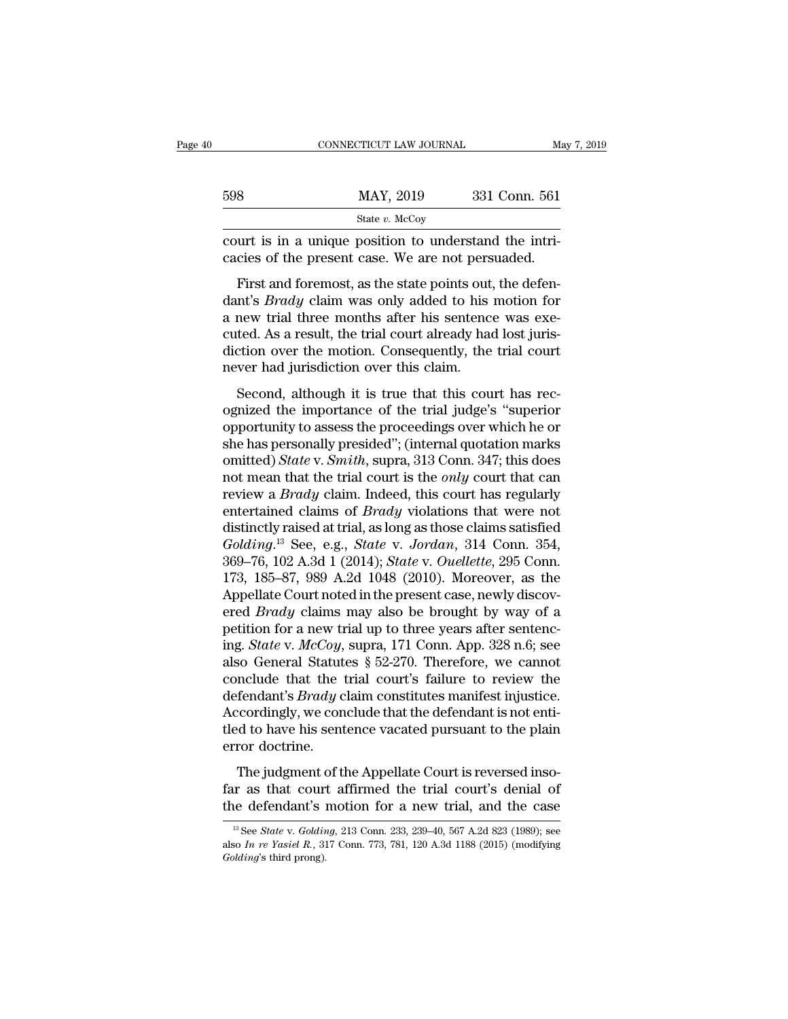|     | CONNECTICUT LAW JOURNAL                                                                                                                                                      | May 7, 2019   |
|-----|------------------------------------------------------------------------------------------------------------------------------------------------------------------------------|---------------|
| 598 | MAY, 2019                                                                                                                                                                    | 331 Conn. 561 |
|     | State $v$ . McCoy                                                                                                                                                            |               |
|     | court is in a unique position to understand the intri-<br>cacies of the present case. We are not persuaded.                                                                  |               |
|     | First and foremost, as the state points out, the defen-<br>dant's <i>Brady</i> claim was only added to his motion for<br>a now trial throe monthe after his sontonce was exe |               |

 $\frac{\text{MAX, } 2019}{\text{State } v. \text{ } \text{McCoy}}$ <br>
court is in a unique position to understand the intri-<br>
cacies of the present case. We are not persuaded.<br>
First and foremost, as the state points out, the defen-<br>
dant's *Brady* claim State v. McCoy<br>
court is in a unique position to understand the intri-<br>
cacies of the present case. We are not persuaded.<br>
First and foremost, as the state points out, the defen-<br>
dant's *Brady* claim was only added to hi court is in a unique position to understand the intri-<br>cacies of the present case. We are not persuaded.<br>First and foremost, as the state points out, the defen-<br>dant's *Brady* claim was only added to his motion for<br>a new t cacies of the present case. We are not persuaded.<br>First and foremost, as the state points out, the defendant's *Brady* claim was only added to his motion for a new trial three months after his sentence was executed. As a r First and foremost, as the state points out<br>dant's *Brady* claim was only added to his<br>a new trial three months after his sentenc<br>cuted. As a result, the trial court already had<br>diction over the motion. Consequently, the<br>n The and foremost, as the state points out, the determent's *Brady* claim was only added to his motion for new trial three months after his sentence was exeted. As a result, the trial court already had lost juristicion over a new trial three months after his sentence was executed. As a result, the trial court already had lost jurisdiction over the motion. Consequently, the trial court<br>never had jurisdiction over this claim.<br>Second, although i

a new that thee months are ins sendere was excepted. As a result, the trial court already had lost jurisdiction over the motion. Consequently, the trial court never had jurisdiction over this claim.<br>Second, although it is she has personally presided.<br>
Second, although it is true that this court has recognized the importance of the trial judge's "superior<br>
opportunity to assess the proceedings over which he or<br>
she has personally presided"; mever had jurisdiction over this claim.<br>
Second, although it is true that this court has rec-<br>
ognized the importance of the trial judge's "superior<br>
opportunity to assess the proceedings over which he or<br>
she has personal Second, although it is true that this court has rec-<br>ognized the importance of the trial judge's "superior<br>opportunity to assess the proceedings over which he or<br>she has personally presided"; (internal quotation marks<br>omit Second, although it is true that this court has rec-<br>ognized the importance of the trial judge's "superior<br>opportunity to assess the proceedings over which he or<br>she has personally presided"; (internal quotation marks<br>omit ognized the importance of the trial judge's "superior<br>opportunity to assess the proceedings over which he or<br>she has personally presided"; (internal quotation marks<br>omitted) *State* v. *Smith*, supra, 313 Conn. 347; this d opportunity to assess the proceedings over which he or<br>she has personally presided"; (internal quotation marks<br>omitted) *State* v. *Smith*, supra, 313 Conn. 347; this does<br>not mean that the trial court is the *only* court she has personally presided"; (internal quotation marks<br>omitted) *State* v. *Smith*, supra, 313 Conn. 347; this does<br>not mean that the trial court is the *only* court that can<br>review a *Brady* claim. Indeed, this court has omitted) *State* v. *Smith*, supra, 313 Conn. 347; this does<br>not mean that the trial court is the *only* court that can<br>review a *Brady* claim. Indeed, this court has regularly<br>entertained claims of *Brady* violations that not mean that the trial court is the *only* court that can<br>review a *Brady* claim. Indeed, this court has regularly<br>entertained claims of *Brady* violations that were not<br>distinctly raised at trial, as long as those claims review a *Brady* claim. Indeed, this court has regularly entertained claims of *Brady* violations that were not distinctly raised at trial, as long as those claims satisfied *Golding*.<sup>13</sup> See, e.g., *State v. Jordan*, 31 entertained claims of *Brady* violations that were not<br>distinctly raised at trial, as long as those claims satisfied<br>*Golding*.<sup>13</sup> See, e.g., *State* v. *Jordan*, 314 Conn. 354,<br>369–76, 102 A.3d 1 (2014); *State* v. *Ouel* distinctly raised at trial, as long as those claims satisfied  $Golding$ .<sup>13</sup> See, e.g., *State v. Jordan*, 314 Conn. 354, 369–76, 102 A.3d 1 (2014); *State v. Ouellette*, 295 Conn. 173, 185–87, 989 A.2d 1048 (2010). Moreover, Golding.<sup>13</sup> See, e.g., *State* v. *Jordan*, 314 Conn. 354, 369–76, 102 A.3d 1 (2014); *State* v. *Ouellette*, 295 Conn. 173, 185–87, 989 A.2d 1048 (2010). Moreover, as the Appellate Court noted in the present case, newly 369–76, 102 A.3d 1 (2014); *State v. Ouellette*, 295 Conn.<br>173, 185–87, 989 A.2d 1048 (2010). Moreover, as the<br>Appellate Court noted in the present case, newly discov-<br>ered *Brady* claims may also be brought by way of a<br>p 173, 185–87, 989 A.2d 1048 (2010). Moreover, as the Appellate Court noted in the present case, newly discovered *Brady* claims may also be brought by way of a petition for a new trial up to three years after sentencing. Appellate Court noted in the present case, newly discovered *Brady* claims may also be brought by way of a petition for a new trial up to three years after sentencing. *State* v. *McCoy*, supra, 171 Conn. App. 328 n.6; see ered *Brady* claims may also be brought by way of a petition for a new trial up to three years after sentencing. *State v. McCoy*, supra, 171 Conn. App. 328 n.6; see also General Statutes  $\S$  52-270. Therefore, we cannot petition for a new trial up to three years after sentencing. *State* v.  $McCoy$ , supra, 171 Conn. App. 328 n.6; see also General Statutes § 52-270. Therefore, we cannot conclude that the trial court's failure to review the ing. *State* v. *McCoy*,<br>also General Statut<br>conclude that the<br>defendant's *Brady* c<br>Accordingly, we con<br>tled to have his sent<br>error doctrine.<br>The judgment of tl The judgment of the Appellate Court is reversed inso-<br>The judgment's *Brady* claim constitutes manifest injustice.<br>Coordingly, we conclude that the defendant is not enti-<br>d to have his sentence vacated pursuant to the plai defendant's *Brady* claim constitutes manifest injustice.<br>Accordingly, we conclude that the defendant is not enti-<br>tled to have his sentence vacated pursuant to the plain<br>error doctrine.<br>The judgment of the Appellate Court Accordingly, we conclude that the defendant is not enti-<br>tled to have his sentence vacated pursuant to the plain<br>error doctrine.<br>The judgment of the Appellate Court is reversed inso-<br>far as that court affirmed the trial c

The judgment of the Appellate Court is reversed inso-<br>ir as that court affirmed the trial court's denial of<br>le defendant's motion for a new trial, and the case<br><sup>13</sup> See *State* v. *Golding*, 213 Conn. 233, 239–40, 567 A.2d The judgment of the Appellate Court is reversed inso-<br>far as that court affirmed the trial court's denial of<br>the defendant's motion for a new trial, and the case<br><sup>13</sup> See *State* v. *Golding*, 213 Conn. 233, 239–40, 567 A.

**far as that court<br>the defendant's** is<br> $\frac{18}{12}$  See *State v. Goldin*<br>also *In re Yasiel R.*, 31<br>*Golding*'s third prong).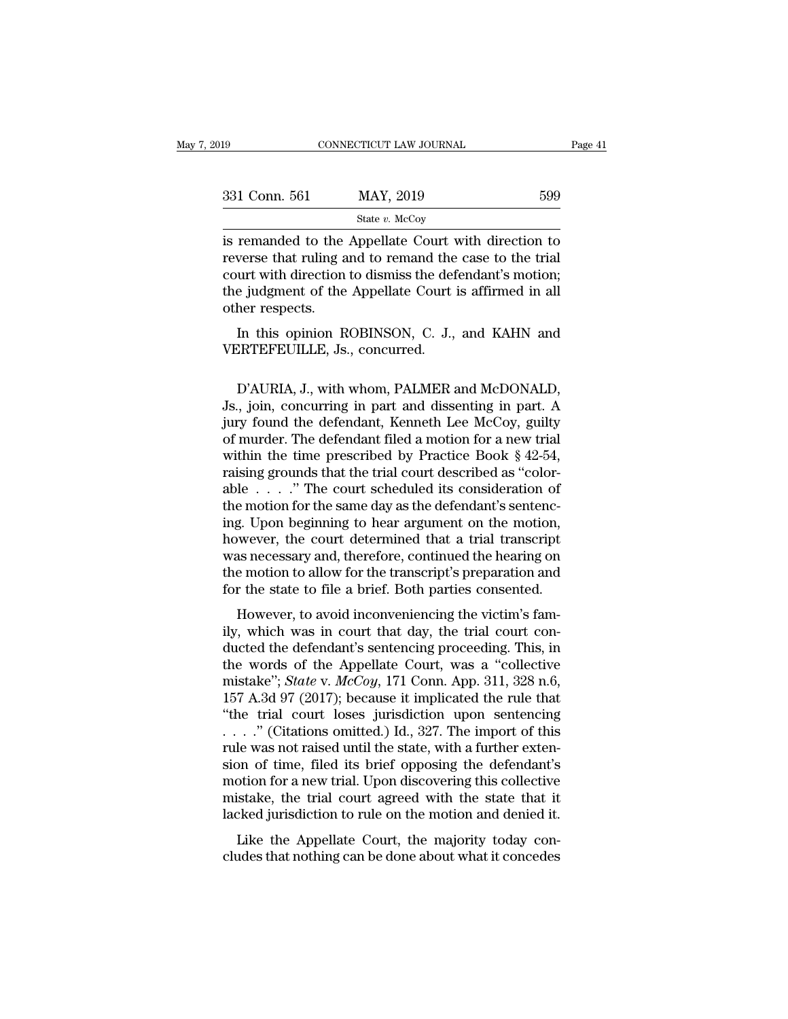| 019           | CONNECTICUT LAW JOURNAL                                                                                                                                                    | Page 41 |
|---------------|----------------------------------------------------------------------------------------------------------------------------------------------------------------------------|---------|
| 331 Conn. 561 | MAY, 2019                                                                                                                                                                  | 599     |
|               | State $v$ . McCoy                                                                                                                                                          |         |
|               | is remanded to the Appellate Court with direction to<br>reverse that ruling and to remand the case to the trial<br>court with direction to dismiss the defendant's motion. |         |

331 Conn. 561 MAY, 2019 599<br>
State v. McCoy<br>
is remanded to the Appellate Court with direction to<br>
reverse that ruling and to remand the case to the trial<br>
court with direction to dismiss the defendant's motion;<br>
the judg 331 Conn. 561 MAY, 2019 599<br>
State v. McCoy<br>
is remanded to the Appellate Court with direction to<br>
reverse that ruling and to remand the case to the trial<br>
court with direction to dismiss the defendant's motion;<br>
the judg 331 Conn. 561 MAY, 2019 599<br>
State v. McCoy<br>
is remanded to the Appellate Court with direction to<br>
reverse that ruling and to remand the case to the trial<br>
court with direction to dismiss the defendant's motion;<br>
the judg Fig. 2011, 2011<br>Interverse that ruling a<br>court with direction<br>the judgment of the<br>other respects.<br>In this opinion R remanded to the Appellate Court with direction to<br>verse that ruling and to remand the case to the trial<br>urt with direction to dismiss the defendant's motion;<br>e judgment of the Appellate Court is affirmed in all<br>her respect Solution of the Appendication reverse that ruling and to remand the court with direction to dismiss the define indigenent of the Appellate Court other respects.<br>
In this opinion ROBINSON, C. J., VERTEFEUILLE, Js., concurre

e judgment of the Appellate Court is affirmed in all<br>her respects.<br>In this opinion ROBINSON, C. J., and KAHN and<br>ERTEFEUILLE, Js., concurred.<br>D'AURIA, J., with whom, PALMER and McDONALD,<br>., join, concurring in part and dis other respects.<br>
In this opinion ROBINSON, C. J., and KAHN and<br>
VERTEFEUILLE, Js., concurred.<br>
D'AURIA, J., with whom, PALMER and McDONALD,<br>
Js., join, concurring in part and dissenting in part. A<br>
jury found the defendant In this opinion ROBINSON, C. J., and KAHN and<br>VERTEFEUILLE, Js., concurred.<br>D'AURIA, J., with whom, PALMER and McDONALD,<br>Js., join, concurring in part and dissenting in part. A<br>jury found the defendant, Kenneth Lee McCoy, In this opinion ROBINSON, C. J., and KAHN and<br>VERTEFEUILLE, Js., concurred.<br>D'AURIA, J., with whom, PALMER and McDONALD,<br>Js., join, concurring in part and dissenting in part. A<br>jury found the defendant, Kenneth Lee McCoy, VERTEFEUILLE, J.S., Concurred.<br>D'AURIA, J., with whom, PALMER and McDONALD,<br>J.S., join, concurring in part and dissenting in part. A<br>jury found the defendant, Kenneth Lee McCoy, guilty<br>of murder. The defendant filed a moti D'AURIA, J., with whom, PALMER and McDONALD,<br>Js., join, concurring in part and dissenting in part. A<br>jury found the defendant, Kenneth Lee McCoy, guilty<br>of murder. The defendant filed a motion for a new trial<br>within the ti D'AURIA, J., with whom, PALMER and McDONALD,<br>Js., join, concurring in part and dissenting in part. A<br>jury found the defendant, Kenneth Lee McCoy, guilty<br>of murder. The defendant filed a motion for a new trial<br>within the ti Js., join, concurring in part and dissenting in part. A<br>jury found the defendant, Kenneth Lee McCoy, guilty<br>of murder. The defendant filed a motion for a new trial<br>within the time prescribed by Practice Book § 42-54,<br>rais jury found the defendant, Kenneth Lee McCoy, guilty<br>of murder. The defendant filed a motion for a new trial<br>within the time prescribed by Practice Book § 42-54,<br>raising grounds that the trial court described as "color-<br>ab of murder. The defendant filed a motion for a new trial<br>within the time prescribed by Practice Book § 42-54,<br>raising grounds that the trial court described as "color-<br>able  $\ldots$ ." The court scheduled its consideration of<br> within the time prescribed by Practice Book § 42-54,<br>raising grounds that the trial court described as "color-<br>able  $\ldots$ ." The court scheduled its consideration of<br>the motion for the same day as the defendant's sentenc-<br> raising grounds that the trial court described as "color-<br>able  $\ldots$ ." The court scheduled its consideration of<br>the motion for the same day as the defendant's sentenc-<br>ing. Upon beginning to hear argument on the motion,<br>h able . . . . ." The court scheduled its consideration of<br>the motion for the same day as the defendant's sentenc-<br>ing. Upon beginning to hear argument on the motion,<br>however, the court determined that a trial transcript<br>was g. Upon beginning to hear argument on the motion,<br>wever, the court determined that a trial transcript<br>as necessary and, therefore, continued the hearing on<br>e motion to allow for the transcript's preparation and<br>r the state ily, the court determined that a trial transcript<br>was necessary and, therefore, continued the hearing on<br>the motion to allow for the transcript's preparation and<br>for the state to file a brief. Both parties consented.<br>Howev

mowever, the court determined that a that transcript<br>was necessary and, therefore, continued the hearing on<br>the motion to allow for the transcript's preparation and<br>for the state to file a brief. Both parties consented.<br>H was necessary and, dieterore, continued the irelaing on<br>the motion to allow for the transcript's preparation and<br>for the state to file a brief. Both parties consented.<br>However, to avoid inconveniencing the victim's fam-<br>i motion to allow for the transcript s preparation and<br>for the state to file a brief. Both parties consented.<br>However, to avoid inconveniencing the victim's fam-<br>ily, which was in court that day, the trial court con-<br>ducted 157 A.3d 97 (2017); because it implicated the rule that the trial court conducted the defendant's sentencing proceeding. This, in the words of the Appellate Court, was a "collective mistake"; *State v. McCoy*, 171 Conn. A However, to avoid inconveniencing the victim's family, which was in court that day, the trial court conducted the defendant's sentencing proceeding. This, in the words of the Appellate Court, was a "collective mistake"; ily, which was in court that day, the trial court con-<br>ducted the defendant's sentencing proceeding. This, in<br>the words of the Appellate Court, was a "collective<br>mistake"; *State* v. *McCoy*, 171 Conn. App. 311, 328 n.6,<br> ducted the defendant's sentencing proceeding. This, in<br>the words of the Appellate Court, was a "collective<br>mistake"; *State* v. *McCoy*, 171 Conn. App. 311, 328 n.6,<br>157 A.3d 97 (2017); because it implicated the rule that the words of the Appellate Court, was a "collective<br>mistake"; *State* v. *McCoy*, 171 Conn. App. 311, 328 n.6,<br>157 A.3d 97 (2017); because it implicated the rule that<br>"the trial court loses jurisdiction upon sentencing<br> $\$ mistake"; *State* v. *McCoy*, 171 Conn. App. 311, 328 n.6, 157 A.3d 97 (2017); because it implicated the rule that "the trial court loses jurisdiction upon sentencing  $\ldots$ " (Citations omitted.) Id., 327. The import of th 157 A.3d 97 (2017); because it implicated the rule that "the trial court loses jurisdiction upon sentencing  $\ldots$ ." (Citations omitted.) Id., 327. The import of this rule was not raised until the state, with a further ext "the trial court loses jurisdiction upon sentencing<br>  $\ldots$ ." (Citations omitted.) Id., 327. The import of this<br>
rule was not raised until the state, with a further exten-<br>
sion of time, filed its brief opposing the defend Let was not raised until the state, with a further exten-<br>alle was not raised until the state, with a further exten-<br>on of time, filed its brief opposing the defendant's<br>otion for a new trial. Upon discovering this collec Find was not raised until the state, what a further exter-<br>sion of time, filed its brief opposing the defendant's<br>motion for a new trial. Upon discovering this collective<br>mistake, the trial court agreed with the state that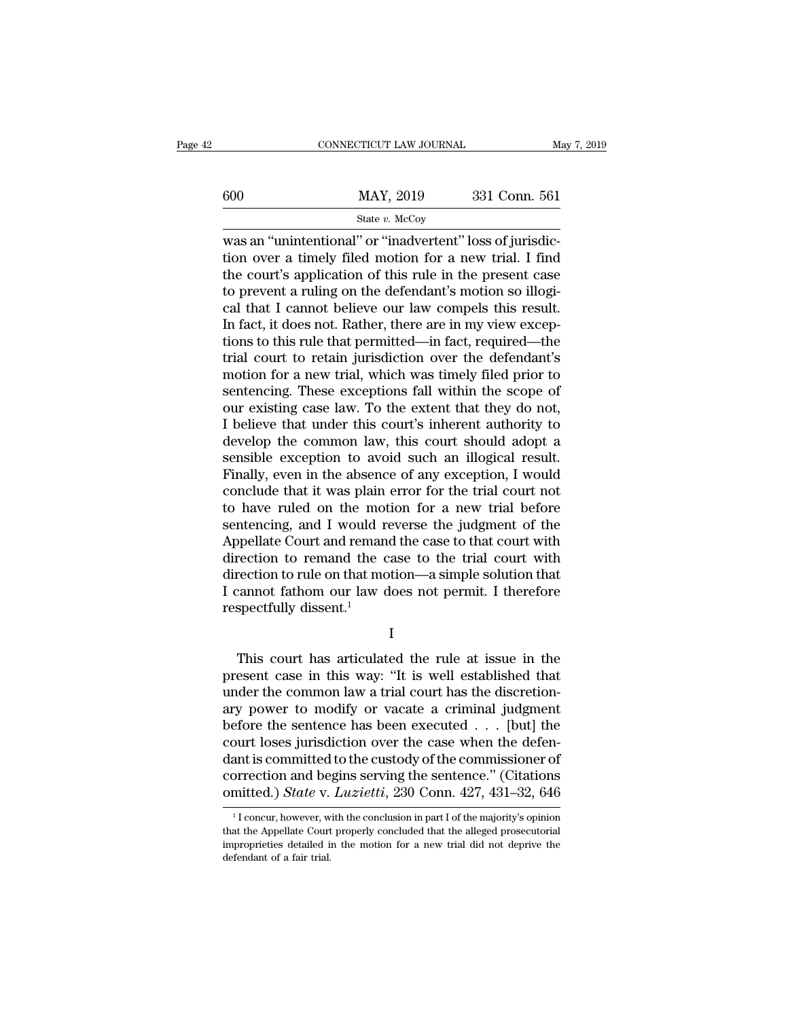|     | CONNECTICUT LAW JOURNAL                                                                                                                                                          | May 7, 2019   |
|-----|----------------------------------------------------------------------------------------------------------------------------------------------------------------------------------|---------------|
| 600 | MAY, 2019                                                                                                                                                                        | 331 Conn. 561 |
|     | State $v$ . McCoy                                                                                                                                                                |               |
|     | was an "unintentional" or "inadvertent" loss of jurisdic-<br>tion over a timely filed motion for a new trial. I find<br>the court's application of this rule in the present case |               |

 $t = \frac{1}{100}$  MAY, 2019 331 Conn. 561<br>  $t = \frac{1}{200}$  State v. McCoy<br>
Mas an "unintentional" or "inadvertent" loss of jurisdic-<br>
tion over a timely filed motion for a new trial. I find<br>
the court's application of this rule  $\frac{\text{MAX, 2019}}{\text{State } v. \text{ MeCoy}}$ <br>was an "unintentional" or "inadvertent" loss of jurisdiction over a timely filed motion for a new trial. I find<br>the court's application of this rule in the present case<br>to prevent a ruling on  $\frac{\text{MAY, 2019}}{\text{State } v. \text{ MeCoy}}$ <br>was an "unintentional" or "inadvertent" loss of jurisdiction over a timely filed motion for a new trial. I find<br>the court's application of this rule in the present case<br>to prevent a ruling o State v. McCoy<br>
was an "unintentional" or "inadvertent" loss of jurisdic-<br>
tion over a timely filed motion for a new trial. I find<br>
the court's application of this rule in the present case<br>
to prevent a ruling on the defe State v. McCoy<br>
Was an "unintentional" or "inadvertent" loss of jurisdic-<br>
tion over a timely filed motion for a new trial. I find<br>
the court's application of this rule in the present case<br>
to prevent a ruling on the defen was an "unintentional" or "inadvertent" loss of jurisdiction over a timely filed motion for a new trial. I find<br>the court's application of this rule in the present case<br>to prevent a ruling on the defendant's motion so illo tion over a timely filed motion for a new trial. I find<br>the court's application of this rule in the present case<br>to prevent a ruling on the defendant's motion so illogi-<br>cal that I cannot believe our law compels this resul the court's application of this rule in the present case<br>to prevent a ruling on the defendant's motion so illogi-<br>cal that I cannot believe our law compels this result.<br>In fact, it does not. Rather, there are in my view ex to prevent a ruling on the defendant's motion so illogical that I cannot believe our law compels this result.<br>In fact, it does not. Rather, there are in my view exceptions to this rule that permitted—in fact, required—the<br> cal that I cannot believe our law compels this result.<br>In fact, it does not. Rather, there are in my view exceptions to this rule that permitted—in fact, required—the<br>trial court to retain jurisdiction over the defendant's In fact, it does not. Rather, there are in my view exceptions to this rule that permitted—in fact, required—the trial court to retain jurisdiction over the defendant's motion for a new trial, which was timely filed prior t tions to this rule that permitted—in fact, required—the<br>trial court to retain jurisdiction over the defendant's<br>motion for a new trial, which was timely filed prior to<br>sentencing. These exceptions fall within the scope of<br> trial court to retain jurisdiction over the defendant's<br>motion for a new trial, which was timely filed prior to<br>sentencing. These exceptions fall within the scope of<br>our existing case law. To the extent that they do not,<br>I motion for a new trial, which was timely filed prior to<br>sentencing. These exceptions fall within the scope of<br>our existing case law. To the extent that they do not,<br>I believe that under this court's inherent authority to<br>d sentencing. These exceptions fall within the scope of<br>our existing case law. To the extent that they do not,<br>I believe that under this court's inherent authority to<br>develop the common law, this court should adopt a<br>sensibl our existing case law. To the extent that they do not,<br>I believe that under this court's inherent authority to<br>develop the common law, this court should adopt a<br>sensible exception to avoid such an illogical result.<br>Finally I believe that under this court's inherent authority to<br>develop the common law, this court should adopt a<br>sensible exception to avoid such an illogical result.<br>Finally, even in the absence of any exception, I would<br>conclud develop the common law, this court should adopt a<br>sensible exception to avoid such an illogical result.<br>Finally, even in the absence of any exception, I would<br>conclude that it was plain error for the trial court not<br>to hav sensible exception to avoid such an illogical result.<br>Finally, even in the absence of any exception, I would<br>conclude that it was plain error for the trial court not<br>to have ruled on the motion for a new trial before<br>sente Finally, even in the absence of any exception, I would<br>conclude that it was plain error for the trial court not<br>to have ruled on the motion for a new trial before<br>sentencing, and I would reverse the judgment of the<br>Appell conclude that it was plain error for the trial court not<br>to have ruled on the motion for a new trial before<br>sentencing, and I would reverse the judgment of the<br>Appellate Court and remand the case to that court with<br>directi to have ruled on the mot<br>sentencing, and I would re<br>Appellate Court and remane<br>direction to remand the c<br>direction to rule on that mo<br>I cannot fathom our law d<br>respectfully dissent.<sup>1</sup> rection to remand the case to the trial court with<br>rection to rule on that motion—a simple solution that<br>cannot fathom our law does not permit. I therefore<br>spectfully dissent.<sup>1</sup><br>I<br>This court has articulated the rule at is

I

direction to rule on that motion—a simple solution that<br>
I cannot fathom our law does not permit. I therefore<br>
respectfully dissent.<sup>1</sup><br>
I<br>
This court has articulated the rule at issue in the<br>
present case in this way: "It I cannot fathom our law does not permit. I therefore<br>respectfully dissent.<sup>1</sup><br>I<br>This court has articulated the rule at issue in the<br>present case in this way: "It is well established that<br>under the common law a trial court respectfully dissent.<sup>1</sup><br>
I<br>
This court has articulated the rule at issue in the<br>
present case in this way: "It is well established that<br>
under the common law a trial court has the discretion-<br>
ary power to modify or vaca I<br>
I<br>
This court has articulated the rule at issue in the<br>
present case in this way: "It is well established that<br>
under the common law a trial court has the discretion-<br>
ary power to modify or vacate a criminal judgment<br> This court has articulated the rule at issue in the present case in this way: "It is well established that under the common law a trial court has the discretionary power to modify or vacate a criminal judgment before the This court has articulated the rule at issue in the present case in this way: "It is well established that under the common law a trial court has the discretionary power to modify or vacate a criminal judgment before the present case in this way: "It is well established that<br>under the common law a trial court has the discretion-<br>ary power to modify or vacate a criminal judgment<br>before the sentence has been executed . . . [but] the<br>court l under the common law a trial court has the discretion-<br>ary power to modify or vacate a criminal judgment<br>before the sentence has been executed . . . [but] the<br>court loses jurisdiction over the case when the defen-<br>dant is burt loses jurisdiction over the case when the deten-<br>ant is committed to the custody of the commissioner of<br>orrection and begins serving the sentence." (Citations<br>mitted.) *State* v. *Luzietti*, 230 Conn. 427, 431–32, 646 dant is committed to the custody of the commissioner of<br>correction and begins serving the sentence." (Citations<br>omitted.) *State* v. *Luzietti*, 230 Conn. 427, 431–32, 646<br><sup>1</sup>I concur, however, with the conclusion in part

correction and begins serving the sentence." (Citations omitted.) *State* v. *Luzietti*, 230 Conn. 427, 431–32, 646<br> $\frac{1}{1}$  concur, however, with the conclusion in part I of the majority's opinion that the Appellate Cou omitted.) *State* v.<br>
<sup>1</sup>I concur, however, what the Appellate Court<br>
improprieties detailed if<br>
defendant of a fair trial.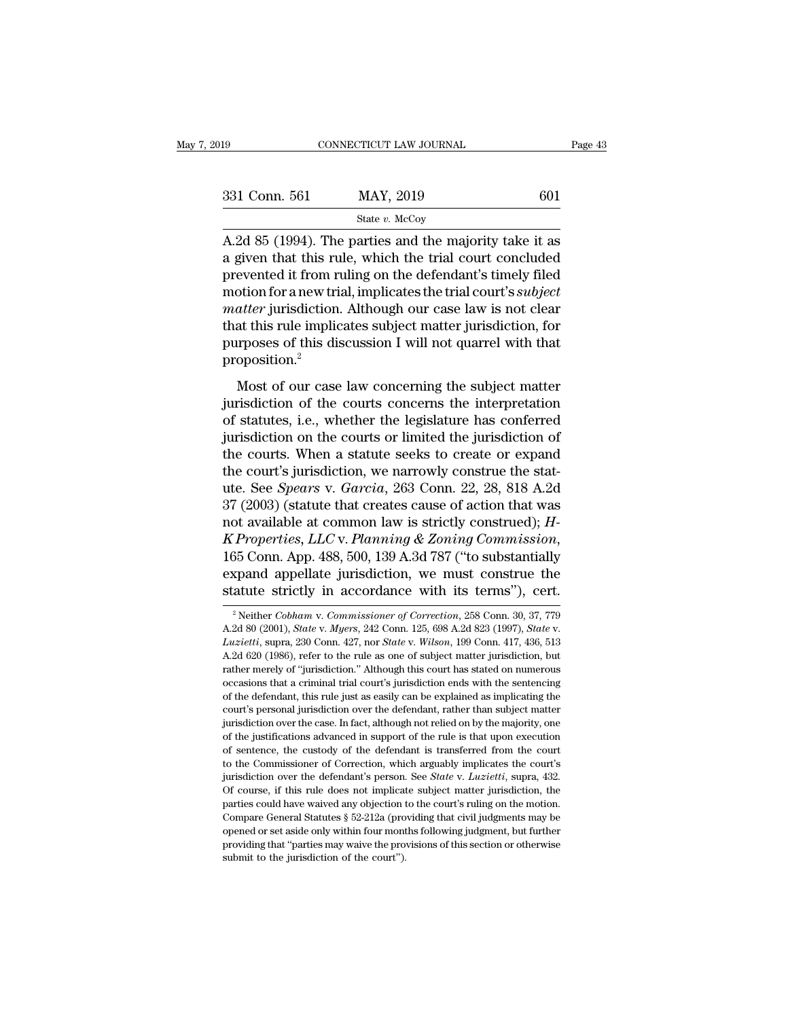| 019           | CONNECTICUT LAW JOURNAL                                                                                                                                                        | Page 43 |
|---------------|--------------------------------------------------------------------------------------------------------------------------------------------------------------------------------|---------|
| 331 Conn. 561 | MAY, 2019                                                                                                                                                                      | 601     |
|               | State $v$ . McCoy                                                                                                                                                              |         |
|               | A.2d 85 (1994). The parties and the majority take it as<br>a given that this rule, which the trial court concluded<br>provented it from miling on the defendant's timely filed |         |

331 Conn. 561 MAY, 2019 601<br>
State v. McCoy<br>
A.2d 85 (1994). The parties and the majority take it as<br>
a given that this rule, which the trial court concluded<br>
prevented it from ruling on the defendant's timely filed<br>
moti 331 Conn. 561 MAY, 2019 601<br>
State v. McCoy<br>
A.2d 85 (1994). The parties and the majority take it as<br>
a given that this rule, which the trial court concluded<br>
prevented it from ruling on the defendant's timely filed<br>
moti 331 Conn. 561 MAY, 2019 601<br>  $\frac{\text{State } v. \text{ MeCoy}}{\text{Rate } v. \text{ MeCoy}}$ <br>
A.2d 85 (1994). The parties and the majority take it as<br>
a given that this rule, which the trial court concluded<br>
prevented it from ruling on the defendant's <sup>State v. McCoy</sup><br> **A.2d 85 (1994). The parties and the majority take it as**<br> **a** given that this rule, which the trial court concluded<br>
prevented it from ruling on the defendant's timely filed<br>
motion for a new trial, impl State v. McCoy<br>A.2d 85 (1994). The parties and the majority take it as<br>a given that this rule, which the trial court concluded<br>prevented it from ruling on the defendant's timely filed<br>motion for a new trial, implicates th A.2d 85 (1994). The parties and the majority take it as<br>a given that this rule, which the trial court concluded<br>prevented it from ruling on the defendant's timely filed<br>motion for a new trial, implicates the trial court's proposition.<sup>2</sup> Most of our case law concerning the subject<br>atter jurisdiction. Although our case law is not clear<br>at this rule implicates subject matter jurisdiction, for<br>proses of this discussion I will not quarrel with that<br>oposition.<sup></sup> matter jurisdiction. Although our case law is not clear<br>that this rule implicates subject matter jurisdiction, for<br>purposes of this discussion I will not quarrel with that<br>proposition.<sup>2</sup><br>Most of our case law concerning th

matter junisdiction. Through our case faint is not clear<br>that this rule implicates subject matter jurisdiction, for<br>purposes of this discussion I will not quarrel with that<br>proposition.<sup>2</sup><br>Most of our case law concerning t may any the in-predicts say, our handlend year purposes of this discussion I will not quarrel with that<br>proposition.<sup>2</sup><br>Most of our case law concerning the subject matter<br>jurisdiction of the courts concerns the interpretat proposition.<sup>2</sup><br>Most of our case law concerning the subject matter<br>jurisdiction of the courts concerns the interpretation<br>of statutes, i.e., whether the legislature has conferred<br>jurisdiction on the courts or limited the Most of our case law concerning the subject matter<br>jurisdiction of the courts concerns the interpretation<br>of statutes, i.e., whether the legislature has conferred<br>jurisdiction on the courts or limited the jurisdiction of<br> Most of our case law concerning the subject matter<br>jurisdiction of the courts concerns the interpretation<br>of statutes, i.e., whether the legislature has conferred<br>jurisdiction on the courts or limited the jurisdiction of<br>t jurisdiction of the courts concerns the interpretation<br>of statutes, i.e., whether the legislature has conferred<br>jurisdiction on the courts or limited the jurisdiction of<br>the court's jurisdiction, we narrowly construe the of statutes, i.e., whether the legislature has conferred<br>jurisdiction on the courts or limited the jurisdiction of<br>the courts. When a statute seeks to create or expand<br>the court's jurisdiction, we narrowly construe the sta *K Properties, LLC* v. *Planning & Zoning Commission*, 165 Connective Seeks to create or expand the court's jurisdiction, we narrowly construe the statute. See *Spears* v. *Garcia*, 263 Conn. 22, 28, 818 A.2d 37 (2003) (st the court's jurisdiction, we narrowly construe the stat-<br>ute. See *Spears* v. *Garcia*, 263 Conn. 22, 28, 818 A.2d<br>37 (2003) (statute that creates cause of action that was<br>not available at common law is strictly construed) ute. See *Spears* v. *Garcia*, 263 Conn. 22, 28, 818 A.2d<br>37 (2003) (statute that creates cause of action that was<br>not available at common law is strictly construed); *H-*<br>*K Properties, LLC* v. *Planning & Zoning Commissi K* Properties, *LLC* v. *Planning & Zoning Commission*, 165 Conn. App. 488, 500, 139 A.3d 787 ("to substantially expand appellate jurisdiction, we must construe the statute strictly in accordance with its terms"), cert.<br><sup></sup>

<sup>165</sup> Conn. App. 488, 500, 139 A.3d 787 ("to substantially expand appellate jurisdiction, we must construe the statute strictly in accordance with its terms"), cert.<br><sup>2</sup> Neither *Cobham v. Commissioner of Correction*, 258 Co **Statute Strictly in accordance with its terms"), cert.**<br>
<sup>2</sup> Neither *Cobham v. Commissioner of Correction*, 258 Conn. 30, 37, 779<br>
A.2d 80 (2001), *State v. Myers*, 242 Conn. 125, 698 A.2d 823 (1997), *State v. Luzietti* Exactive Strictly III accordance with its terms f, Cert.<br>
<sup>2</sup> Neither Cobham v. Commissioner of Correction, 258 Conn. 30, 37, 779<br>
A.2d 80 (2001), *State v. Myers*, 242 Conn. 125, 698 A.2d 823 (1997), *State v.*<br> *Luziett* <sup>2</sup> Neither *Cobham v. Commissioner of Correction*, 258 Conn. 30, 37, 779 A.2d 80 (2001), *State v. Myers*, 242 Conn. 125, 698 A.2d 823 (1997), *State v. Luzietti*, supra, 230 Conn. 427, nor *State v. Wilson*, 199 Conn. 4 A. 2d 80 (2001), *State v. Myers*, 242 Conn. 125, 698 A. 2d 823 (1997), *State v. Luzietti*, supra, 230 Conn. 427, nor *State v. Wilson*, 199 Conn. 417, 436, 513 A. 2d 620 (1986), refer to the rule as one of subject matte *Luzietti*, supra, 230 Conn. 427, nor *State* v. *Wilson*, 199 Conn. 417, 436, 513 A.2d 620 (1986), refer to the rule as one of subject matter jurisdiction, but rather merely of "jurisdiction." Although this court has sta  $\Delta$ .2d 620 (1986), refer to the rule as one of subject matter jurisdiction, but rather merely of "jurisdiction." Although this court has stated on numerous occasions that a criminal trial court's jurisdiction ends with t Frather merely of "jurisdiction." Although this court has stated on numerous occasions that a criminal trial court's jurisdiction ends with the sentencing of the defendant, this rule just as easily can be explained as imp occasions that a criminal trial court's jurisdiction ends with the sentencing<br>occasions that a criminal trial court's jurisdiction ends with the sentencing<br>of the defendant, this rule just as easily can be explained as imp of the defendant, this rule just as easily can be explained as implicating the court's personal jurisdiction over the defendant, rather than subject matter jurisdiction over the case. In fact, although not relied on by th court's personal jurisdiction over the defendant, rather than subject matter jurisdiction over the case. In fact, although not relied on by the majority, one of the justifications advanced in support of the rule is that up but in the case. In fact, although not relied on by the majority, one of the justifications advanced in support of the rule is that upon execution of sentence, the custody of the defendant is transferred from the court to for the justifications advanced in support of the rule is that upon execution of sentence, the custody of the defendant is transferred from the court to the Commissioner of Correction, which arguably implicates the court' of sentence, the custody of the defendant is transferred from the court<br>of sentence, the custody of the defendant is transferred from the court's<br>jurisdiction over the defendant's person. See *State* v. *Luzietti*, supra, to the Commissioner of Correction, which arguably implicates the court's jurisdiction over the defendant's person. See *State* v. *Luzietti*, supra, 432. Of course, if this rule does not implicate subject matter jurisdict providing that ''parties may waive the counterparties curve that is person. See *State v. Luzietti*, supra, 432. Of course, if this rule does not implicate subject matter jurisdiction, the parties could have waived any ob Of course, if this rule does not implicate subject matter jurisdiction, the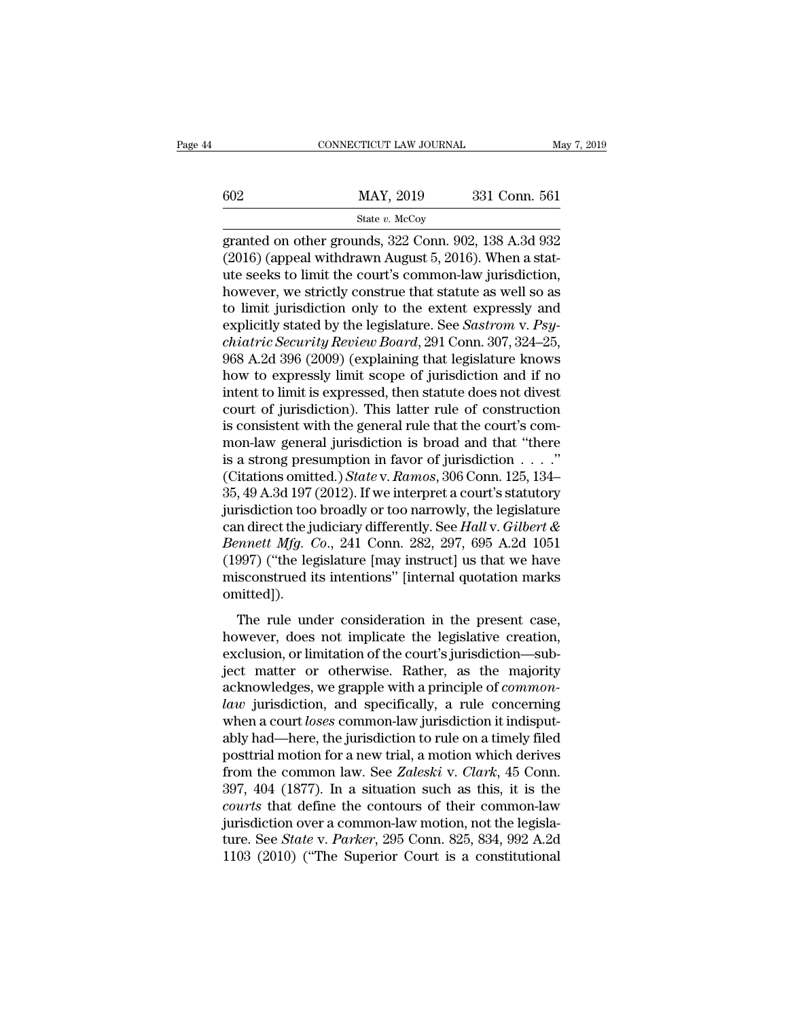|     | CONNECTICUT LAW JOURNAL | May 7, 2019   |
|-----|-------------------------|---------------|
|     |                         |               |
| 602 | MAY, 2019               | 331 Conn. 561 |
|     | State $v$ . McCoy       |               |

### State *v.* McCoy

 $\begin{array}{r} \text{CONPECTICUT LAW JOURNAL} \qquad \text{May 7, 2019} \ \end{array}$ <br>  $\begin{array}{r} \text{MAX, 2019} \\ \text{State } v. \text{ McCoy} \end{array}$ <br>  $\begin{array}{r} \text{State } v. \text{ McCoy} \ \text{granded on other grounds, 322 Conn. 902, 138 A.3d 932} \ \end{array}$ <br>  $\begin{array}{r} \text{(2016) (append without August 5, 2016). When a stat-} \ \end{array}$ (2016) (appeal with the court's common-law jurisdiction,<br>the value of the seeks to limit the court's common-law jurisdiction,<br>the seeks to limit the court's common-law jurisdiction,<br>the very we strictly construe that statu  $\frac{\text{MAX, 2019}}{\text{State } v. \text{ MeCoy}}$ <br>  $\frac{\text{State } v. \text{ MeCoy}}{\text{granted on other grounds, 322 Conn. 902, 138 A.3d 932}}$ <br>
(2016) (appeal withdrawn August 5, 2016). When a stature seeks to limit the court's common-law jurisdiction,<br>
however, we strictly constr  $\frac{\text{MAX, 2019}}{\text{State } v. \text{ MeCoy}}$ <br>  $\frac{\text{State } v. \text{ MeCoy}}{\text{granded on other grounds, 322 Conn. 902, 138 A.3d 932}}$ <br>
(2016) (appeal withdrawn August 5, 2016). When a stature seeks to limit the court's common-law jurisdiction,<br>
however, we strictly constr State v. McCoy<br>
granted on other grounds, 322 Conn. 902, 138 A.3d 932<br>
(2016) (appeal withdrawn August 5, 2016). When a stat-<br>
ute seeks to limit the court's common-law jurisdiction,<br>
however, we strictly construe that st state *v.* McCoy<br>granted on other grounds, 322 Conn. 902, 138 A.3d 932<br>(2016) (appeal withdrawn August 5, 2016). When a stat-<br>ute seeks to limit the court's common-law jurisdiction,<br>however, we strictly construe that statu granted on other grounds, 322 Conn. 902, 138 A.3d 932 (2016) (appeal withdrawn August 5, 2016). When a stat-<br>*chiatric seeks to limit the court's common-law jurisdiction*,<br>*however, we strictly construe that statute as wel* (2016) (appeal withdrawn August 5, 2016). When a stat-<br>ute seeks to limit the court's common-law jurisdiction,<br>however, we strictly construe that statute as well so as<br>to limit jurisdiction only to the extent expressly an ute seeks to limit the court's common-law jurisdiction,<br>however, we strictly construe that statute as well so as<br>to limit jurisdiction only to the extent expressly and<br>explicitly stated by the legislature. See *Sastrom v.* however, we strictly construe that statute as well so as<br>to limit jurisdiction only to the extent expressly and<br>explicitly stated by the legislature. See *Sastrom v. Psy-*<br>*chiatric Security Review Board*, 291 Conn. 307, 3 to limit jurisdiction only to the extent expressly and<br>explicitly stated by the legislature. See *Sastrom* v. *Psy-*<br>*chiatric Security Review Board*, 291 Conn. 307, 324–25,<br>968 A.2d 396 (2009) (explaining that legislature explicitly stated by the legislature. See *Sastrom v. Psy-chiatric Security Review Board*, 291 Conn. 307, 324–25, 968 A.2d 396 (2009) (explaining that legislature knows how to expressly limit scope of jurisdiction and if n *chiatric Security Review Board*, 291 Conn. 307, 324–25, 968 A.2d 396 (2009) (explaining that legislature knows<br>how to expressly limit scope of jurisdiction and if no<br>intent to limit is expressed, then statute does not di 968 A.2d 396 (2009) (explaining that legislature knows<br>how to expressly limit scope of jurisdiction and if no<br>intent to limit is expressed, then statute does not divest<br>court of jurisdiction). This latter rule of construc how to expressly limit scope of jurisdiction and if no<br>intent to limit is expressed, then statute does not divest<br>court of jurisdiction). This latter rule of construction<br>is consistent with the general rule that the court' intent to limit is expressed, then statute does not divest<br>court of jurisdiction). This latter rule of construction<br>is consistent with the general rule that the court's com-<br>mon-law general jurisdiction is broad and that court of jurisdiction). This latter rule of construction<br>is consistent with the general rule that the court's com-<br>mon-law general jurisdiction is broad and that "there<br>is a strong presumption in favor of jurisdiction . . is consistent with the general rule that the court's com-<br>mon-law general jurisdiction is broad and that "there<br>is a strong presumption in favor of jurisdiction . . . ."<br>(Citations omitted.) *State* v. *Ramos*, 306 Conn. mon-law general jurisdiction is broad and that "there<br>is a strong presumption in favor of jurisdiction . . . ."<br>(Citations omitted.) *State* v. Ramos, 306 Conn. 125, 134–<br>35, 49 A.3d 197 (2012). If we interpret a court's s is a strong presumption in favor of jurisdiction . . . ."<br>(Citations omitted.) *State* v. Ramos, 306 Conn. 125, 134–<br>35, 49 A.3d 197 (2012). If we interpret a court's statutory<br>jurisdiction too broadly or too narrowly, th (Citations omitted.) *State* v. Ramos, 306 Conn. 125, 134–35, 49 A.3d 197 (2012). If we interpret a court's statutory jurisdiction too broadly or too narrowly, the legislature can direct the judiciary differently. See *Ha* omitted]). Instanction is stochard of the rationary, are registed in direct the judiciary differently. See Hall v. Gilbert & mnett Mfg. Co., 241 Conn. 282, 297, 695 A.2d 1051<br>997) ("the legislature [may instruct] us that we have is<br> Bennett Mfg. Co., 241 Conn. 282, 297, 695 A.2d 1051<br>(1997) ("the legislature [may instruct] us that we have<br>misconstrued its intentions" [internal quotation marks<br>omitted]).<br>The rule under consideration in the present cas

(1997) ("the legislature [may instruct] us that we have misconstrued its intentions" [internal quotation marks omitted]).<br>The rule under consideration in the present case, however, does not implicate the legislative creat misconstrued its intentions" [internal quotation marks<br>misconstrued its intentions" [internal quotation marks<br>omitted]).<br>The rule under consideration in the present case,<br>however, does not implicate the legislative creati acknowledges.<br>The rule under consideration in the present case,<br>however, does not implicate the legislative creation,<br>exclusion, or limitation of the court's jurisdiction—sub-<br>ject matter or otherwise. Rather, as the major The rule under consideration in the present case,<br> *however*, does not implicate the legislative creation,<br>
exclusion, or limitation of the court's jurisdiction—sub-<br>
ject matter or otherwise. Rather, as the majority<br>
ackn The rule under consideration in the present case,<br>however, does not implicate the legislative creation,<br>exclusion, or limitation of the court's jurisdiction—sub-<br>ject matter or otherwise. Rather, as the majority<br>acknowledg however, does not implicate the legislative creation,<br>exclusion, or limitation of the court's jurisdiction—sub-<br>ject matter or otherwise. Rather, as the majority<br>acknowledges, we grapple with a principle of *common-<br>law* j exclusion, or limitation of the court's jurisdiction—sub-<br>ject matter or otherwise. Rather, as the majority<br>acknowledges, we grapple with a principle of *common-<br>law* jurisdiction, and specifically, a rule concerning<br>when ject matter or otherwise. Rather, as the majority<br>acknowledges, we grapple with a principle of *common-*<br>*law* jurisdiction, and specifically, a rule concerning<br>when a court *loses* common-law jurisdiction it indisput-<br>abl acknowledges, we grapple with a principle of *common-*<br>*law* jurisdiction, and specifically, a rule concerning<br>when a court *loses* common-law jurisdiction it indisput-<br>ably had—here, the jurisdiction to rule on a timely f *chaus* jurisdiction, and specifically, a rule concerning<br>when a court *loses* common-law jurisdiction it indisput-<br>ably had—here, the jurisdiction to rule on a timely filed<br>posttrial motion for a new trial, a motion which when a court *loses* common-law jurisdiction it indisputably had—here, the jurisdiction to rule on a timely filed posttrial motion for a new trial, a motion which derives from the common law. See *Zaleski* v. *Clark*, 45 ably had—here, the jurisdiction to rule on a timely filed<br>posttrial motion for a new trial, a motion which derives<br>from the common law. See *Zaleski* v. *Clark*, 45 Conn.<br>397, 404 (1877). In a situation such as this, it is posttrial motion for a new trial, a motion which derives<br>from the common law. See Zaleski v. Clark, 45 Conn.<br>397, 404 (1877). In a situation such as this, it is the<br>courts that define the contours of their common-law<br>juris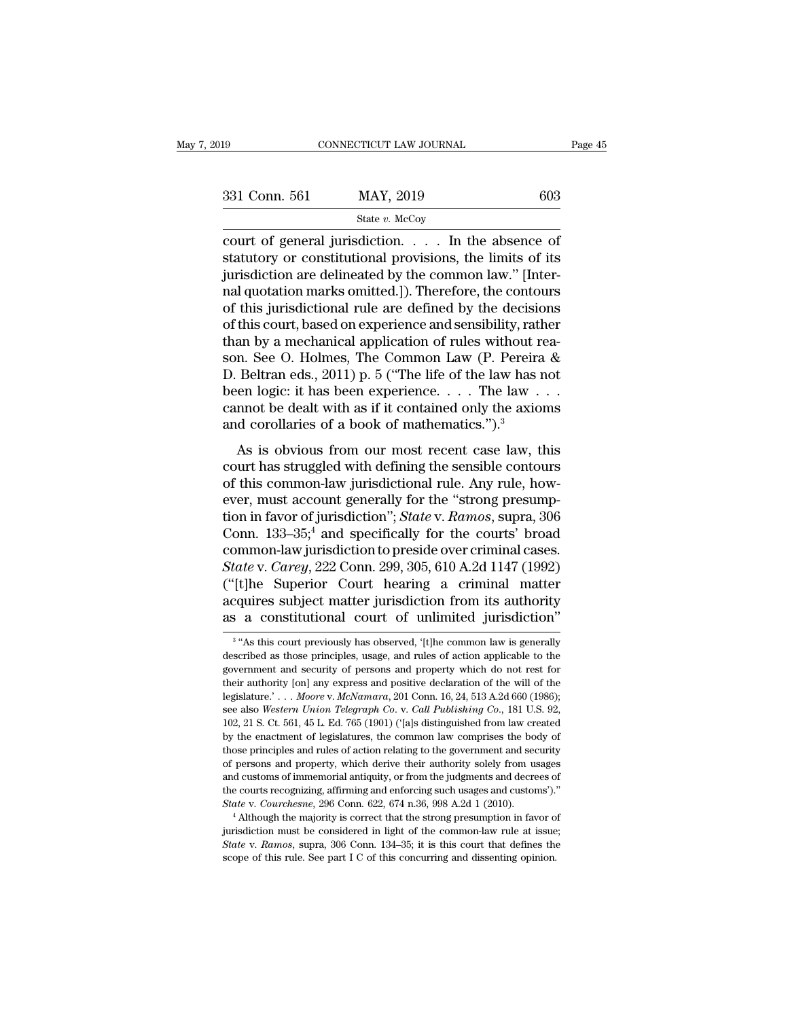| 019           | CONNECTICUT LAW JOURNAL                                                                                                                                               | Page 45 |
|---------------|-----------------------------------------------------------------------------------------------------------------------------------------------------------------------|---------|
|               |                                                                                                                                                                       |         |
| 331 Conn. 561 | MAY, 2019                                                                                                                                                             | 603     |
|               | State $v$ . McCoy                                                                                                                                                     |         |
|               | court of general jurisdiction In the absence of<br>statutory or constitutional provisions, the limits of its<br>iurisdiction are delineated by the common law." Unter |         |

331 Conn. 561 MAY, 2019 603<br>
State v. McCoy<br>
court of general jurisdiction. . . . . In the absence of statutory or constitutional provisions, the limits of its<br>
jurisdiction are delineated by the common law." [Inter-<br>
rea 331 Conn. 561 MAY, 2019 603<br>
State v. McCoy<br>
court of general jurisdiction. . . . . In the absence of<br>
statutory or constitutional provisions, the limits of its<br>
jurisdiction are delineated by the common law.'' [Inter-<br>
n 331 Conn. 561 MAY, 2019 603<br>
State v. McCoy<br>
court of general jurisdiction. . . . . In the absence of<br>
statutory or constitutional provisions, the limits of its<br>
jurisdiction are delineated by the common law." [Inter-<br>
na State v. McCoy<br>
ourt of general jurisdiction.  $\ldots$  In the absence of<br>
statutory or constitutional provisions, the limits of its<br>
jurisdiction are delineated by the common law." [Inter-<br>
nal quotation marks omitted.]). Th state *v.* McCoy<br>
court of general jurisdiction. . . . . In the absence of<br>
statutory or constitutional provisions, the limits of its<br>
jurisdiction are delineated by the common law." [Inter-<br>
nal quotation marks omitted.] court of general jurisdiction. . . . . In the absence of<br>statutory or constitutional provisions, the limits of its<br>jurisdiction are delineated by the common law." [Inter-<br>nal quotation marks omitted.]). Therefore, the con statutory or constitutional provisions, the limits of its<br>jurisdiction are delineated by the common law." [Inter-<br>nal quotation marks omitted.]). Therefore, the contours<br>of this jurisdictional rule are defined by the decis jurisdiction are delineated by the common law." [Internal quotation marks omitted.]). Therefore, the contours<br>of this jurisdictional rule are defined by the decisions<br>of this court, based on experience and sensibility, rat nal quotation marks omitted.]). Therefore, the contours<br>of this jurisdictional rule are defined by the decisions<br>of this court, based on experience and sensibility, rather<br>than by a mechanical application of rules without of this jurisdictional rule are defined by the decisions<br>of this court, based on experience and sensibility, rather<br>than by a mechanical application of rules without rea-<br>son. See O. Holmes, The Common Law (P. Pereira &<br>D of this court, based on experience and sensibility, ration by a mechanical application of rules without r son. See O. Holmes, The Common Law (P. Pereira D. Beltran eds., 2011) p. 5 ("The life of the law has n been logic: an by a incentrated application of rutes whilout rea-<br>n. See O. Holmes, The Common Law (P. Pereira &<br>Beltran eds., 2011) p. 5 ("The life of the law has not<br>en logic: it has been experience.... The law ...<br>mnot be dealt wi D. Beltran eds., 2011) p. 5 ("The life of the law has not<br>been logic: it has been experience.... The law ...<br>cannot be dealt with as if it contained only the axioms<br>and corollaries of a book of mathematics.").<sup>3</sup><br>As is ob

been logic: it has been experience. . . . The law i.e.<br>been logic: it has been experience. . . . The law . . .<br>cannot be dealt with as if it contained only the axioms<br>and corollaries of a book of mathematics.").<sup>3</sup><br>As is been logic. It has been experience.  $\ldots$  in the law  $\ldots$  cannot be dealt with as if it contained only the axioms<br>and corollaries of a book of mathematics.").<sup>3</sup><br>As is obvious from our most recent case law, this<br>court ha annot be dealt with as it it contained only the axioms<br>and corollaries of a book of mathematics.").<sup>3</sup><br>As is obvious from our most recent case law, this<br>court has struggled with defining the sensible contours<br>of this commo As is obvious from our most recent case law, this<br>court has struggled with defining the sensible contours<br>of this common-law jurisdictional rule. Any rule, how-<br>ever, must account generally for the "strong presump-<br>tion i As is obvious from our most recent case law, this<br>court has struggled with defining the sensible contours<br>of this common-law jurisdictional rule. Any rule, how-<br>ever, must account generally for the "strong presump-<br>tion i court has struggled with defining the sensible contours<br>of this common-law jurisdictional rule. Any rule, how-<br>ever, must account generally for the "strong presump-<br>tion in favor of jurisdiction"; *State* v. *Ramos*, supra % of this common-law jurisdictional rule. Any rule, how-<br>ever, must account generally for the "strong presump-<br>tion in favor of jurisdiction"; *State* v. Ramos, supra, 306<br>Conn. 133–35;<sup>4</sup> and specifically for the courts' ever, must account generally for the "strong presumption in favor of jurisdiction"; *State* v. Ramos, supra, 306<br>Conn. 133–35;<sup>4</sup> and specifically for the courts' broad<br>common-law jurisdiction to preside over criminal case tion in favor of jurisdiction"; *State* v. Ramos, supra, 306<br>Conn. 133–35;<sup>4</sup> and specifically for the courts' broad<br>common-law jurisdiction to preside over criminal cases.<br>*State* v. *Carey*, 222 Conn. 299, 305, 610 A.2d the V. Carey, 222 Conn. 299, 305, 610 A.2d 1147 (1992)<br>
the Superior Court hearing a criminal matter<br>
quires subject matter jurisdiction from its authority<br>
a constitutional court of unlimited jurisdiction"<br>
"As this court ("[t]he Superior Court hearing a criminal matter acquires subject matter jurisdiction from its authority as a constitutional court of unlimited jurisdiction"<br> $\frac{3}{100}$  "As this court previously has observed, '[t]he comm

<sup>&</sup>lt;sup>3</sup> "As this court previously has observed, '[t] the common law is generally acquires subject matter jurisdiction from its authority<br>as a constitutional court of unlimited jurisdiction"<br><sup>3</sup> "As this court previously has observed, '[t]he common law is generally<br>described as those principles, usage, as a constitutional court of unlimited jurisdiction"<br>
<sup>3</sup> "As this court previously has observed, '[t]he common law is generally<br>
described as those principles, usage, and rules of action applicable to the<br>
government and <sup>3</sup> "As this court previously has observed, '[t]he common law is generally described as those principles, usage, and rules of action applicable to the government and security of persons and property which do not rest for t <sup>3</sup> "As this court previously has observed, '(t) the common law is generally described as those principles, usage, and rules of action applicable to the government and security of persons and property which do not rest for described as those principles, usage, and rules of action applicable to the government and security of persons and property which do not rest for their authority [on] any express and positive declaration of the will of th government and security of persons and property which do not rest for<br>their authority [on] any express and positive declaration of the will of the<br>legislature.'... *Moore v. McNamara*, 201 Conn. 16, 24, 513 A.2d 660 (1986) their authority [on] any express and positive declaration of the will of the legislature.'... *Moore v. McNamara*, 201 Conn. 16, 24, 513 A.2d 660 (1986); see also *Western Union Telegraph Co. v. Call Publishing Co.*, 181 legislature.'... Moore v. McNamara, 201 Conn. 16, 24, 513 A.2d 660 (1986);<br>see also Western Union Telegraph Co. v. Call Publishing Co., 181 U.S. 92,<br>102, 21 S. Ct. 561, 45 L. Ed. 765 (1901) ('[a]s distinguished from law cr and customs of immemorial antiquity, or from the judgments and customs of those principles and relating to the space and by the enactment of legislatures, the common law comprises the body of those principles and rules of 102, 21 S. Ct. 561, 45 L. Ed. 765 (1901) ('[a]s distinguished from law created<br>by the enactment of legislatures, the common law comprises the body of<br>those principles and rules of action relating to the government and sec **State** v. *Courchesne, 296 Conn. 622, 674 n.36, 998 A.2d 1 (2010).* <sup>4</sup> Although the majority of persons and property, which derive their authority solely from usages and customs of immemorial antiquity, or from the judgm those principles and rules of action relating to the government and security of persons and property, which derive their authority solely from usages and customs of immemorial antiquity, or from the judgments and decrees the courts recognizing, affirming and enforcing such usages and customs')."

*State* v. *Ramos*, supra, 306 Conn. 622, 674 n.36, 998 A.2d 1 (2010).<br>*State* v. *Courchesne*, 296 Conn. 622, 674 n.36, 998 A.2d 1 (2010).<br><sup>4</sup> Although the majority is correct that the strong presumption in favor of juris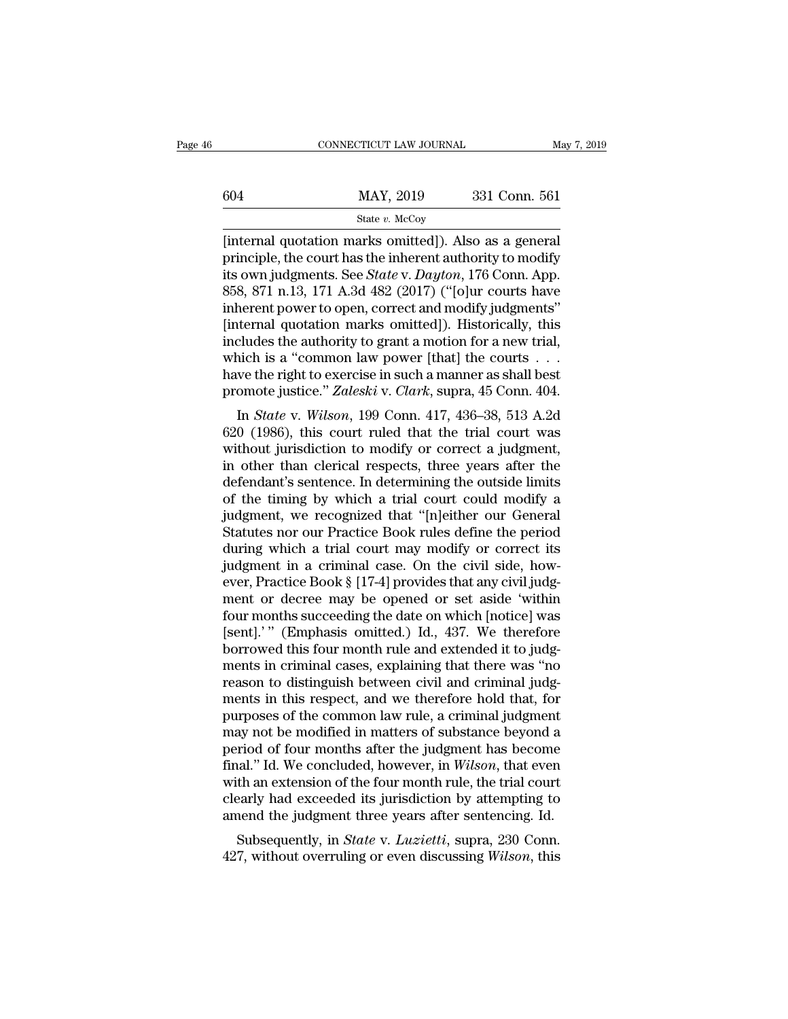### State *v.* McCoy

CONNECTICUT LAW JOURNAL May 7, 20<br>
604 MAY, 2019 331 Conn. 561<br>
State v. McCoy<br>
[internal quotation marks omitted]). Also as a general<br>
principle, the court has the inherent authority to modify<br>
its own judgments. See Stat 604 MAY, 2019 331 Conn. 561<br>
state v. McCoy<br>
[internal quotation marks omitted]). Also as a general<br>
principle, the court has the inherent authority to modify<br>
its own judgments. See *State* v. *Dayton*, 176 Conn. App.<br>
8 mental method of the state v. McCoy<br>
State v. McCoy<br>
[internal quotation marks omitted]). Also as a general<br>
principle, the court has the inherent authority to modify<br>
its own judgments. See *State* v. *Dayton*, 176 Conn.  $\frac{\text{MAX, 2019}}{\text{State } v. \text{ McCoy}}$ <br>
[internal quotation marks omitted]). Also as a general<br>
principle, the court has the inherent authority to modify<br>
its own judgments. See *State* v. *Dayton*, 176 Conn. App.<br>
858, 871 n.13, 1 State v. McCoy<br>
[internal quotation marks omitted]). Also as a general<br>
principle, the court has the inherent authority to modify<br>
its own judgments. See *State* v. *Dayton*, 176 Conn. App.<br>
858, 871 n.13, 171 A.3d 482 (2 state v. McCoy<br>
[internal quotation marks omitted]). Also as a general<br>
principle, the court has the inherent authority to modify<br>
its own judgments. See *State* v. *Dayton*, 176 Conn. App.<br>
858, 871 n.13, 171 A.3d 482 (2 [internal quotation marks omitted]). Also as a general principle, the court has the inherent authority to modify its own judgments. See *State* v. *Dayton*, 176 Conn. App. 858, 871 n.13, 171 A.3d 482 (2017) ("[o]ur courts principle, the court has the inherent authority to modify<br>its own judgments. See *State* v. *Dayton*, 176 Conn. App.<br>858, 871 n.13, 171 A.3d 482 (2017) ("[o]ur courts have<br>inherent power to open, correct and modify judgme its own judgments. See *State* v. *Dayton*, 176 Conn. App.<br>858, 871 n.13, 171 A.3d 482 (2017) ("[o]ur courts have<br>inherent power to open, correct and modify judgments"<br>[internal quotation marks omitted]). Historically, th 858, 871 n.13, 171 A.3d 482 (2017) ("[o]ur courts have<br>inherent power to open, correct and modify judgments"<br>[internal quotation marks omitted]). Historically, this<br>includes the authority to grant a motion for a new trial, In *State* v. *Wilson*, 199 Connect and modify judgments<br>
Internal quotation marks omitted]). Historically, this<br>
cludes the authority to grant a motion for a new trial,<br>
inch is a "common law power [that] the courts . . . includes the authority to grant a motion for a new trial,<br>which is a "common law power [that] the courts  $\dots$ <br>have the right to exercise in such a manner as shall best<br>promote justice." Zaleski v. Clark, supra, 45 Conn. 4

metades the authority to grant a filotion for a flew trial,<br>which is a "common law power [that] the courts . . .<br>have the right to exercise in such a manner as shall best<br>promote justice." Zaleski v. Clark, supra, 45 Conn which is a common law power [that] the courts  $\therefore$  have the right to exercise in such a manner as shall best promote justice." Zaleski v. Clark, supra, 45 Conn. 404.<br>In *State* v. Wilson, 199 Conn. 417, 436–38, 513 A.2d<br> have the right to exercise in such a manner as shan best<br>promote justice." Zaleski v. Clark, supra, 45 Conn. 404.<br>In *State* v. Wilson, 199 Conn. 417, 436–38, 513 A.2d<br>620 (1986), this court ruled that the trial court was<br> promote justice. Zateski v. Ctark, supra, 45 Comit. 404.<br>
In *State* v. *Wilson*, 199 Conn. 417, 436–38, 513 A.2d<br>
620 (1986), this court ruled that the trial court was<br>
without jurisdiction to modify or correct a judgmen In *State* v. *Wilson*, 199 Conn. 417, 436–38, 513 A.2d<br>620 (1986), this court ruled that the trial court was<br>without jurisdiction to modify or correct a judgment,<br>in other than clerical respects, three years after the<br>def 620 (1986), this court ruled that the trial court was<br>without jurisdiction to modify or correct a judgment,<br>in other than clerical respects, three years after the<br>defendant's sentence. In determining the outside limits<br>of without jurisdiction to modify or correct a judgment,<br>in other than clerical respects, three years after the<br>defendant's sentence. In determining the outside limits<br>of the timing by which a trial court could modify a<br>judgm in other than clerical respects, three years after the defendant's sentence. In determining the outside limits of the timing by which a trial court could modify a judgment, we recognized that "[n]either our General Statute defendant's sentence. In determining the outside limits<br>of the timing by which a trial court could modify a<br>judgment, we recognized that "[n]either our General<br>Statutes nor our Practice Book rules define the period<br>during of the timing by which a trial court could modify a<br>judgment, we recognized that "[n]either our General<br>Statutes nor our Practice Book rules define the period<br>during which a trial court may modify or correct its<br>judgment i judgment, we recognized that "[n]either our General<br>Statutes nor our Practice Book rules define the period<br>during which a trial court may modify or correct its<br>judgment in a criminal case. On the civil side, how-<br>ever, Pra Statutes nor our Practice Book rules define the period<br>during which a trial court may modify or correct its<br>judgment in a criminal case. On the civil side, how-<br>ever, Practice Book § [17-4] provides that any civil judg-<br>me during which a trial court may modify or correct its<br>judgment in a criminal case. On the civil side, how-<br>ever, Practice Book § [17-4] provides that any civil judg-<br>ment or decree may be opened or set aside 'within<br>four mo judgment in a criminal case. On the civil side, how-<br>ever, Practice Book § [17-4] provides that any civil judg-<br>ment or decree may be opened or set aside 'within<br>four months succeeding the date on which [notice] was<br>[sent] ever, Practice Book § [17-4] provides that any civil judgment or decree may be opened or set aside 'within<br>four months succeeding the date on which [notice] was<br>[sent].'" (Emphasis omitted.) Id., 437. We therefore<br>borrowed ment or decree may be opened or set aside 'within<br>four months succeeding the date on which [notice] was<br>[sent].'" (Emphasis omitted.) Id., 437. We therefore<br>borrowed this four month rule and extended it to judg-<br>ments in c four months succeeding the date on which [notice] was<br>[sent].'" (Emphasis omitted.) Id., 437. We therefore<br>borrowed this four month rule and extended it to judg-<br>ments in criminal cases, explaining that there was "no<br>reaso [sent].'" (Emphasis omitted.) Id., 437. We therefore<br>borrowed this four month rule and extended it to judg-<br>ments in criminal cases, explaining that there was "no<br>reason to distinguish between civil and criminal judg-<br>men borrowed this four month rule and extended it to judgments in criminal cases, explaining that there was "no<br>reason to distinguish between civil and criminal judgments in this respect, and we therefore hold that, for<br>purpos ments in criminal cases, explaining that there was "no<br>reason to distinguish between civil and criminal judg-<br>ments in this respect, and we therefore hold that, for<br>purposes of the common law rule, a criminal judgment<br>may reason to distinguish between civil and criminal judgments in this respect, and we therefore hold that, for purposes of the common law rule, a criminal judgment may not be modified in matters of substance beyond a period o ments in this respect, and we therefore hold that, for<br>purposes of the common law rule, a criminal judgment<br>may not be modified in matters of substance beyond a<br>period of four months after the judgment has become<br>final." I purposes of the common law rule, a criminal judgment<br>may not be modified in matters of substance beyond a<br>period of four months after the judgment has become<br>final." Id. We concluded, however, in *Wilson*, that even<br>with a ay not be mounted in matters of substance beyond a<br>riod of four months after the judgment has become<br>tal." Id. We concluded, however, in *Wilson*, that even<br>th an extension of the four month rule, the trial court<br>early had final." Id. We concluded, however, in *Wilson*, that even with an extension of the four month rule, the trial court clearly had exceeded its jurisdiction by attempting to amend the judgment three years after sentencing. Id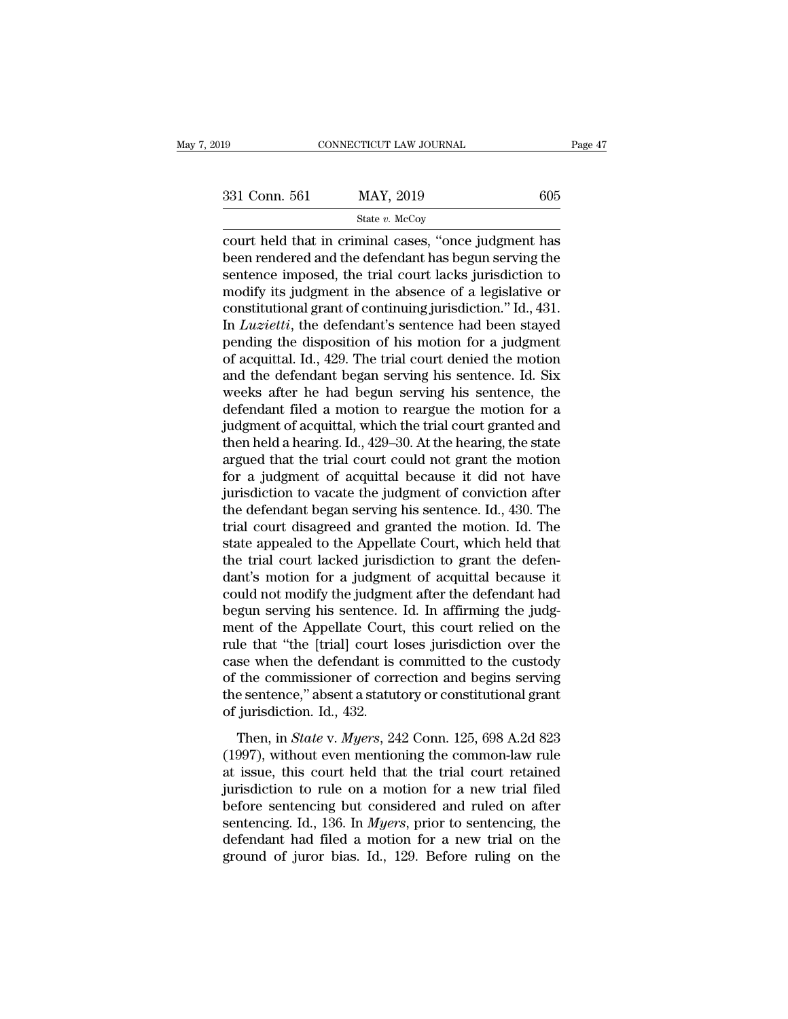State *v.* McCoy

connectricut LAW JOURNAL Page 47<br>
331 Conn. 561 MAY, 2019 605<br>  $\frac{\text{State } v. \text{ McCoy}}{\text{court held that in criminal cases, "once judgment has been rendered and the defendant has begun serving the<br/>contence imposed, the trial court labels,$ **uricidiation** $to$  $\begin{array}{ccc}\n 331 \text{ Conn. } 561 & \text{MAX, } 2019 & 605 \\
 \text{State } v. \text{McCoy} \\
 \text{court held that in criminal cases, "once judgment has been rendered and the defendant has begun serving the sentence imposed, the trial court lacks jurisdiction to modify its judgment in the absence of a localization or a significant performance.} \end{array}$ 331 Conn. 561 MAY, 2019 605<br>
State v. McCoy<br>
court held that in criminal cases, "once judgment has<br>
been rendered and the defendant has begun serving the<br>
sentence imposed, the trial court lacks jurisdiction to<br>
modify it 331 Conn. 561 MAY, 2019 605<br>
State v. McCoy<br>
court held that in criminal cases, "once judgment has<br>
been rendered and the defendant has begun serving the<br>
sentence imposed, the trial court lacks jurisdiction to<br>
modify it State v. McCoy<br>
court held that in criminal cases, "once judgment has<br>
been rendered and the defendant has begun serving the<br>
sentence imposed, the trial court lacks jurisdiction to<br>
modify its judgment in the absence of state *v.* McCoy<br>
court held that in criminal cases, "once judgment has<br>
been rendered and the defendant has begun serving the<br>
sentence imposed, the trial court lacks jurisdiction to<br>
modify its judgment in the absence of court held that in criminal cases, "once judgment has<br>been rendered and the defendant has begun serving the<br>sentence imposed, the trial court lacks jurisdiction to<br>modify its judgment in the absence of a legislative or<br>con been rendered and the defendant has begun serving the<br>sentence imposed, the trial court lacks jurisdiction to<br>modify its judgment in the absence of a legislative or<br>constitutional grant of continuing jurisdiction." Id., 43 sentence imposed, the trial court lacks jurisdiction to<br>modify its judgment in the absence of a legislative or<br>constitutional grant of continuing jurisdiction." Id., 431.<br>In *Luzietti*, the defendant's sentence had been st modify its judgment in the absence of a legislative or constitutional grant of continuing jurisdiction." Id., 431.<br>In *Luzietti*, the defendant's sentence had been stayed pending the disposition of his motion for a judgme constitutional grant of continuing jurisdiction." Id., 431.<br>In *Luzietti*, the defendant's sentence had been stayed<br>pending the disposition of his motion for a judgment<br>of acquittal. Id., 429. The trial court denied the m In *Luzietti*, the defendant's sentence had been stayed<br>pending the disposition of his motion for a judgment<br>of acquittal. Id., 429. The trial court denied the motion<br>and the defendant began serving his sentence. Id. Six<br> pending the disposition of his motion for a judgment<br>of acquittal. Id., 429. The trial court denied the motion<br>and the defendant began serving his sentence. Id. Six<br>weeks after he had begun serving his sentence, the<br>defend of acquittal. Id., 429. The trial court denied the motion<br>and the defendant began serving his sentence. Id. Six<br>weeks after he had begun serving his sentence, the<br>defendant filed a motion to reargue the motion for a<br>judgme and the defendant began serving his sentence. Id. Six<br>weeks after he had begun serving his sentence, the<br>defendant filed a motion to reargue the motion for a<br>judgment of acquittal, which the trial court granted and<br>then he weeks after he had begun serving his sentence, the<br>defendant filed a motion to reargue the motion for a<br>judgment of acquittal, which the trial court granted and<br>then held a hearing. Id., 429–30. At the hearing, the state<br>a defendant filed a motion to reargue the motion for a<br>judgment of acquittal, which the trial court granted and<br>then held a hearing. Id., 429–30. At the hearing, the state<br>argued that the trial court could not grant the moti judgment of acquittal, which the trial court granted and<br>then held a hearing. Id., 429–30. At the hearing, the state<br>argued that the trial court could not grant the motion<br>for a judgment of acquittal because it did not hav then held a hearing. Id., 429–30. At the hearing, the state<br>argued that the trial court could not grant the motion<br>for a judgment of acquittal because it did not have<br>jurisdiction to vacate the judgment of conviction after argued that the trial court could not grant the motion<br>for a judgment of acquittal because it did not have<br>jurisdiction to vacate the judgment of conviction after<br>the defendant began serving his sentence. Id., 430. The<br>tri for a judgment of acquittal because it did not have<br>jurisdiction to vacate the judgment of conviction after<br>the defendant began serving his sentence. Id., 430. The<br>trial court disagreed and granted the motion. Id. The<br>stat jurisdiction to vacate the judgment of conviction after<br>the defendant began serving his sentence. Id., 430. The<br>trial court disagreed and granted the motion. Id. The<br>state appealed to the Appellate Court, which held that<br>t the defendant began serving his sentence. Id., 430. The<br>trial court disagreed and granted the motion. Id. The<br>state appealed to the Appellate Court, which held that<br>the trial court lacked jurisdiction to grant the defen-<br>d trial court disagreed and granted the motion. Id. The<br>state appealed to the Appellate Court, which held that<br>the trial court lacked jurisdiction to grant the defen-<br>dant's motion for a judgment of acquittal because it<br>coul state appealed to the Appellate Court, which held that<br>the trial court lacked jurisdiction to grant the defen-<br>dant's motion for a judgment of acquittal because it<br>could not modify the judgment after the defendant had<br>begu the trial court lacked jurisdiction to grant the defendant's motion for a judgment of acquittal because it could not modify the judgment after the defendant had begun serving his sentence. Id. In affirming the judgment of dant's motion for a judgment of acquittal because it<br>could not modify the judgment after the defendant had<br>begun serving his sentence. Id. In affirming the judg-<br>ment of the Appellate Court, this court relied on the<br>rule t could not modify the judgment after the defendant had<br>begun serving his sentence. Id. In affirming the judg-<br>ment of the Appellate Court, this court relied on the<br>rule that "the [trial] court loses jurisdiction over the<br>ca begun serving his sentence.<br>ment of the Appellate Courrule that "the [trial] court lend<br>case when the defendant is<br>of the commissioner of corrule sentence," absent a statut<br>of jurisdiction. Id., 432.<br>Then, in *State v. Mye* Ie that "the [trial] court loses jurisdiction over the<br>se when the defendant is committed to the custody<br>the commissioner of correction and begins serving<br>e sentence," absent a statutory or constitutional grant<br>jurisdictio rate that the [char] coal fisses jarlsatedn't over the<br>case when the defendant is committed to the custody<br>of the commissioner of correction and begins serving<br>the sentence," absent a statutory or constitutional grant<br>of j

For the commissioner of correction and begins serving<br>the sentence," absent a statutory or constitutional grant<br>of jurisdiction. Id., 432.<br>Then, in *State* v. *Myers*, 242 Conn. 125, 698 A.2d 823<br>(1997), without even ment the sentence," absent a statutory or constitutional grant<br>of jurisdiction. Id., 432.<br>Then, in *State* v. *Myers*, 242 Conn. 125, 698 A.2d 823<br>(1997), without even mentioning the common-law rule<br>at issue, this court held t of jurisdiction. Id., 432.<br>
Then, in *State* v. *Myers*, 242 Conn. 125, 698 A.2d 823<br>
(1997), without even mentioning the common-law rule<br>
at issue, this court held that the trial court retained<br>
jurisdiction to rule on a Then, in *State* v. *Myers*, 242 Conn. 125, 698 A.2d 823 (1997), without even mentioning the common-law rule at issue, this court held that the trial court retained jurisdiction to rule on a motion for a new trial filed b Then, in *State* v. *Myers*, 242 Conn. 125, 698 A.2d 823 (1997), without even mentioning the common-law rule at issue, this court held that the trial court retained jurisdiction to rule on a motion for a new trial filed b (1997), without even mentioning the common-law rule<br>at issue, this court held that the trial court retained<br>jurisdiction to rule on a motion for a new trial filed<br>before sentencing but considered and ruled on after<br>senten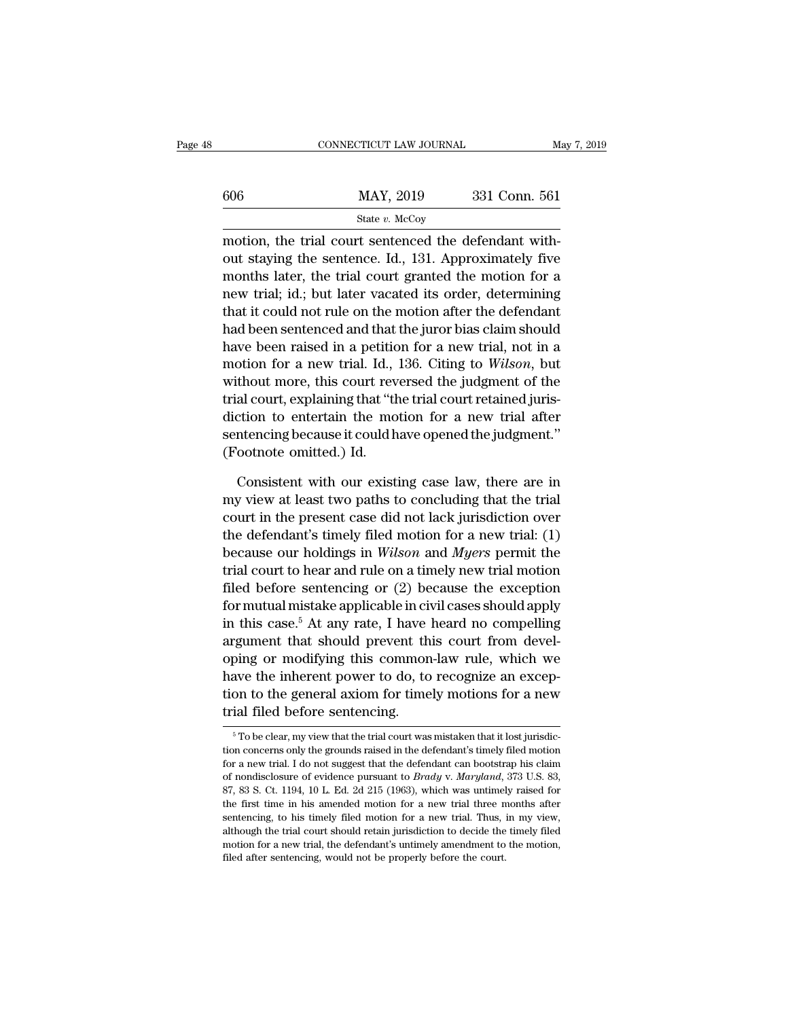|     | CONNECTICUT LAW JOURNAL                                                                                                                                                  | May 7, 2019   |
|-----|--------------------------------------------------------------------------------------------------------------------------------------------------------------------------|---------------|
| 606 | MAY, 2019                                                                                                                                                                | 331 Conn. 561 |
|     | State v. McCoy                                                                                                                                                           |               |
|     | motion, the trial court sentenced the defendant with-<br>out staying the sentence. Id., 131. Approximately five<br>menths loten the twist count drepted the metion for a |               |

 $\frac{\text{MAY, 2019}}{\text{State } v. \text{ McCoy}}$ <br>
motion, the trial court sentenced the defendant with-<br>
out staying the sentence. Id., 131. Approximately five<br>
months later, the trial court granted the motion for a  $\frac{\text{MAX, 2019}}{\text{State } v. \text{ MCOy}}$ <br>
State v. McCoy<br>
motion, the trial court sentenced the defendant with-<br>
out staying the sentence. Id., 131. Approximately five<br>
months later, the trial court granted the motion for a<br>
new tri  $\frac{\text{MAX, 2019}}{\text{State } v. \text{ MeCoy}}$ <br>
motion, the trial court sentenced the defendant with-<br>
out staying the sentence. Id., 131. Approximately five<br>
months later, the trial court granted the motion for a<br>
new trial; id.; but lat State v. McCoy<br>
motion, the trial court sentenced the defendant with-<br>
out staying the sentence. Id., 131. Approximately five<br>
months later, the trial court granted the motion for a<br>
new trial; id.; but later vacated its motion, the trial court sentenced the defendant with-<br>out staying the sentence. Id., 131. Approximately five<br>months later, the trial court granted the motion for a<br>new trial; id.; but later vacated its order, determining<br>t motion, the trial court sentenced the derendant with-<br>out staying the sentence. Id., 131. Approximately five<br>months later, the trial court granted the motion for a<br>new trial; id.; but later vacated its order, determining<br>t out staying the sentence. Id., 131. Approximately five<br>months later, the trial court granted the motion for a<br>new trial; id.; but later vacated its order, determining<br>that it could not rule on the motion after the defendan months later, the trial court granted the motion for a<br>new trial; id.; but later vacated its order, determining<br>that it could not rule on the motion after the defendant<br>had been sentenced and that the juror bias claim shou new trial; id.; but later vacated its order, determining<br>that it could not rule on the motion after the defendant<br>had been sentenced and that the juror bias claim should<br>have been raised in a petition for a new trial, not that it could not rule on the motion after the defendant<br>had been sentenced and that the juror bias claim should<br>have been raised in a petition for a new trial, not in a<br>motion for a new trial. Id., 136. Citing to *Wilson* have been sentenced and that the juror blas claim should<br>have been raised in a petition for a new trial, not in a<br>motion for a new trial. Id., 136. Citing to *Wilson*, but<br>without more, this court reversed the judgment of mave been raised in a petitic<br>motion for a new trial. Id.,<br>without more, this court rev<br>trial court, explaining that "th<br>diction to entertain the mo<br>sentencing because it could h<br>(Footnote omitted.) Id.<br>Consistent with our thout more, this court reversed the judgment of the<br>al court, explaining that "the trial court retained juris-<br>ction to entertain the motion for a new trial after<br>mtencing because it could have opened the judgment."<br>ootnot trial court, explaining that "the trial court retained jurisdiction to entertain the motion for a new trial after<br>sentencing because it could have opened the judgment."<br>(Footnote omitted.) Id.<br>Consistent with our existing

diction to entertain the motion for a new trial after<br>sentencing because it could have opened the judgment."<br>(Footnote omitted.) Id.<br>Consistent with our existing case law, there are in<br>my view at least two paths to conclud sentencing because it could have opened the judgment."<br>
(Footnote omitted.) Id.<br>
Consistent with our existing case law, there are in<br>
my view at least two paths to concluding that the trial<br>
court in the present case did n (Footnote omitted.) Id.<br>
Consistent with our existing case law, there are in<br>
my view at least two paths to concluding that the trial<br>
court in the present case did not lack jurisdiction over<br>
the defendant's timely filed Consistent with our existing case law, there are in<br>my view at least two paths to concluding that the trial<br>court in the present case did not lack jurisdiction over<br>the defendant's timely filed motion for a new trial: (1) Consistent with our existing case law, there are in<br>my view at least two paths to concluding that the trial<br>court in the present case did not lack jurisdiction over<br>the defendant's timely filed motion for a new trial: (1) my view at least two paths to concluding that the trial<br>court in the present case did not lack jurisdiction over<br>the defendant's timely filed motion for a new trial: (1)<br>because our holdings in *Wilson* and *Myers* permit court in the present case did not fack jurisdiction over<br>the defendant's timely filed motion for a new trial: (1)<br>because our holdings in *Wilson* and *Myers* permit the<br>trial court to hear and rule on a timely new trial the detendant s timely filed motion for a new trial: (1)<br>because our holdings in *Wilson* and *Myers* permit the<br>trial court to hear and rule on a timely new trial motion<br>filed before sentencing or (2) because the exceptio because our notaings in *Wuson* and *Myers* permit the<br>trial court to hear and rule on a timely new trial motion<br>filed before sentencing or (2) because the exception<br>for mutual mistake applicable in civil cases should appl trial court to near and rule on a timely new trial motion<br>filed before sentencing or (2) because the exception<br>for mutual mistake applicable in civil cases should apply<br>in this case.<sup>5</sup> At any rate, I have heard no compell the before sentencing or  $(2)$  because the exception<br>for mutual mistake applicable in civil cases should apply<br>in this case.<sup>5</sup> At any rate, I have heard no compelling<br>argument that should prevent this court from devel-<br>o for mutual mistake applicable in cr<br>in this case.<sup>5</sup> At any rate, I have<br>argument that should prevent th<br>oping or modifying this common<br>have the inherent power to do, to<br>tion to the general axiom for time<br>trial filed befor Figure 1 To be clear, my view that the trial court was mistaken that it lost jurisdic-<br><sup>5</sup> To be clear, my view that the trial court was mistaken that it lost jurisdic-<br><sup>5</sup> To be clear, my view that the trial court was mis have the inherent power to do, to recognize an exception to the general axiom for timely motions for a new trial filed before sentencing.<br>
<sup>5</sup> To be clear, my view that the trial court was mistaken that it lost jurisdictio

tion to the general axiom for timely motions for a new<br>trial filed before sentencing.<br> $\frac{1}{100}$ <br> $\frac{1}{100}$  for the clear, my view that the trial court was mistaken that it lost jurisdic-<br>tion concerns only the grounds Trial filed before sentencing.<br>
<sup>5</sup> To be clear, my view that the trial court was mistaken that it lost jurisdiction concerns only the grounds raised in the defendant's timely filed motion for a new trial. I do not suggest <sup>5</sup> To be clear, my view that the trial court was mistaken that it lost jurisdiction concerns only the grounds raised in the defendant's timely filed motion for a new trial. I do not suggest that the defendant can bootstr <sup>5</sup> To be clear, my view that the trial court was mistaken that it lost jurisdiction concerns only the grounds raised in the defendant's timely filed motion for a new trial. I do not suggest that the defendant can bootstr tion concerns only the grounds raised in the defendant's timely filed motion for a new trial. I do not suggest that the defendant can bootstrap his claim of nondisclosure of evidence pursuant to *Brady* v. *Maryland*, 373 for a new trial. I do not suggest that the defendant can bootstrap his claim of nondisclosure of evidence pursuant to *Brady* v. *Maryland*, 373 U.S. 83, 87, 83 S. Ct. 1194, 10 L. Ed. 2d 215 (1963), which was untimely rai of nondisclosure of evidence pursuant to *Brady* v. *Maryland*, 373 U.S. 83, 87, 83 S. Ct. 1194, 10 L. Ed. 2d 215 (1963), which was untimely raised for the first time in his amended motion for a new trial three months aft 87, 83 S. Ct. 1194, 10 L. Ed. 2d 215 (1963), which was untimely raised for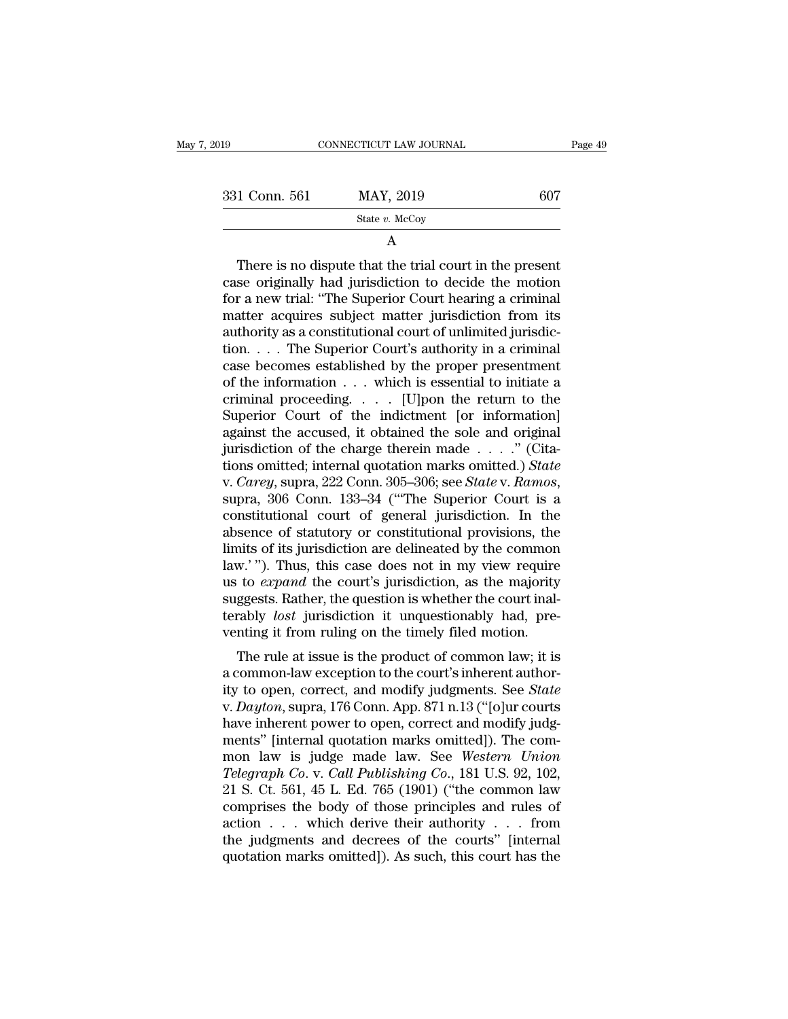| 2019          | CONNECTICUT LAW JOURNAL | Page 49 |
|---------------|-------------------------|---------|
| 331 Conn. 561 | MAY, 2019               | 607     |
|               | State $v$ . McCoy       |         |

A

1 Conn. 561 MAY, 2019 607<br>
State v. McCoy<br>
A<br>
There is no dispute that the trial court in the present<br>
se originally had jurisdiction to decide the motion<br>
r. a now trial: "The Superior Court begring a criminal 331 Conn. 561 MAY, 2019 607<br>
State v. McCoy<br>
A<br>
There is no dispute that the trial court in the present<br>
case originally had jurisdiction to decide the motion<br>
for a new trial: "The Superior Court hearing a criminal<br>
matt 331 Conn. 561 MAY, 2019 607<br>
State v. McCoy<br>
A<br>
There is no dispute that the trial court in the present<br>
case originally had jurisdiction to decide the motion<br>
for a new trial: "The Superior Court hearing a criminal<br>
matt State  $v$ . McCoy<br>
A<br>
There is no dispute that the trial court in the present<br>
case originally had jurisdiction to decide the motion<br>
for a new trial: "The Superior Court hearing a criminal<br>
matter acquires subject matter A<br>
There is no dispute that the trial court in the present<br>
case originally had jurisdiction to decide the motion<br>
for a new trial: "The Superior Court hearing a criminal<br>
matter acquires subject matter jurisdiction from i There is no dispute that the trial court in the present<br>case originally had jurisdiction to decide the motion<br>for a new trial: "The Superior Court hearing a criminal<br>matter acquires subject matter jurisdiction from its<br>aut There is no dispute that the trial court in the present<br>case originally had jurisdiction to decide the motion<br>for a new trial: "The Superior Court hearing a criminal<br>matter acquires subject matter jurisdiction from its<br>au case originally had jurisdiction to decide the motion<br>for a new trial: "The Superior Court hearing a criminal<br>matter acquires subject matter jurisdiction from its<br>authority as a constitutional court of unlimited jurisdic-<br> for a new trial: "The Superior Court hearing a criminal<br>matter acquires subject matter jurisdiction from its<br>authority as a constitutional court of unlimited jurisdic-<br>tion. . . . The Superior Court's authority in a crimi matter acquires subject matter jurisdiction from its<br>authority as a constitutional court of unlimited jurisdic-<br>tion.... The Superior Court's authority in a criminal<br>case becomes established by the proper presentment<br>of t authority as a constitutional court of unlimited jurisdiction. . . . The Superior Court's authority in a criminal case becomes established by the proper presentment of the information . . . which is essential to initiate tion. . . . The Superior Court's authority in a criminal case becomes established by the proper presentment<br>of the information . . . which is essential to initiate a<br>criminal proceeding. . . . [U]pon the return to the<br>Sup case becomes established by the proper presentment<br>of the information  $\dots$  which is essential to initiate a<br>criminal proceeding.  $\dots$  [U]pon the return to the<br>Superior Court of the indictment [or information]<br>against the of the information . . . which is essential to initiate a<br>criminal proceeding. . . . [U]pon the return to the<br>Superior Court of the indictment [or information]<br>against the accused, it obtained the sole and original<br>jurisdi Superior Court of the indictment [or information]<br>against the accused, it obtained the sole and original<br>jurisdiction of the charge therein made . . . ." (Cita-<br>tions omitted; internal quotation marks omitted.) *State*<br>v. against the accused, it obtained the sole and original<br>jurisdiction of the charge therein made . . . ." (Cita-<br>tions omitted; internal quotation marks omitted.) *State*<br>v. *Carey*, supra, 222 Conn. 305–306; see *State* v. jurisdiction of the charge therein made . . . ." (Citations omitted; internal quotation marks omitted.) *State* v. *Carey*, supra, 222 Conn. 305–306; see *State* v. *Ramos*, supra, 306 Conn. 133–34 ("The Superior Court is tions omitted; internal quotation marks omitted.) State<br>v. Carey, supra, 222 Conn. 305–306; see State v. Ramos,<br>supra, 306 Conn. 133–34 ("The Superior Court is a<br>constitutional court of general jurisdiction. In the<br>absence v. *Carey*, supra, 222 Conn. 305–306; see *State* v. *Ramos*, supra, 306 Conn. 133–34 ("The Superior Court is a constitutional court of general jurisdiction. In the absence of statutory or constitutional provisions, the li supra, 306 Conn. 133–34 ("The Superior Court is a constitutional court of general jurisdiction. In the absence of statutory or constitutional provisions, the limits of its jurisdiction are delineated by the common law.'"). constitutional court of general jurisdiction. In the absence of statutory or constitutional provisions, the limits of its jurisdiction are delineated by the common law.'"). Thus, this case does not in my view require us to absence of statutory or constitutional provisions, the<br>limits of its jurisdiction are delineated by the common<br>law.'"). Thus, this case does not in my view require<br>us to *expand* the court's jurisdiction, as the majority<br>s w.'"). Thus, this case does not in my view require<br>to *expand* the court's jurisdiction, as the majority<br>ggests. Rather, the question is whether the court inal-<br>rably *lost* jurisdiction it unquestionably had, pre-<br>nting

a common-law exception to the court's interesting to expand the court's jurisdiction, as the majority suggests. Rather, the question is whether the court inalterably *lost* jurisdiction it unquestionably had, preventing i is to *expand* the court's jurisdiction, as the majority<br>suggests. Rather, the question is whether the court inal-<br>terably *lost* jurisdiction it unquestionably had, pre-<br>venting it from ruling on the timely filed motion.<br> suggests. *Rather*, the question is whether the court mai-<br>terably *lost* jurisdiction it unquestionably had, pre-<br>venting it from ruling on the timely filed motion.<br>The rule at issue is the product of common law; it is<br>a terably *iost* jurisdiction it unquestionably had, preventing it from ruling on the timely filed motion.<br>The rule at issue is the product of common law; it is<br>a common-law exception to the court's inherent author-<br>ity to The rule at issue is the product of common law; it is<br>a common-law exception to the court's inherent author-<br>ity to open, correct, and modify judgments. See *State*<br>v. Dayton, supra, 176 Conn. App. 871 n.13 ("[o]ur courts The rule at issue is the product of common law; it is<br>a common-law exception to the court's inherent author-<br>ity to open, correct, and modify judgments. See *State*<br>v. Dayton, supra, 176 Conn. App. 871 n.13 ("[o]ur courts<br> a common-law exception to the court's inherent authority to open, correct, and modify judgments. See *State* v. *Dayton*, supra, 176 Conn. App. 871 n.13 ("[o]ur courts have inherent power to open, correct and modify judgme ity to open, correct, and modify judgments. See *State*<br>v. *Dayton*, supra, 176 Conn. App. 871 n.13 ("[o]ur courts<br>have inherent power to open, correct and modify judg-<br>ments" [internal quotation marks omitted]). The com-<br> v. *Dayton*, supra, 176 Conn. App. 871 n.13 ("[o]ur courts<br>have inherent power to open, correct and modify judg-<br>ments" [internal quotation marks omitted]). The com-<br>mon law is judge made law. See *Western Union<br>Telegraph* have inherent power to open, correct and modify judg-<br>ments" [internal quotation marks omitted]). The com-<br>mon law is judge made law. See *Western Union<br>Telegraph Co.* v. *Call Publishing Co.*, 181 U.S. 92, 102,<br>21 S. Ct. ments" [internal quotation marks omitted]). The com-<br>mon law is judge made law. See *Western Union<br>Telegraph Co.* v. *Call Publishing Co.*, 181 U.S. 92, 102,<br>21 S. Ct. 561, 45 L. Ed. 765 (1901) ("the common law<br>comprises mon law is judge made law. See Western Union<br>Telegraph Co. v. Call Publishing Co., 181 U.S. 92, 102,<br>21 S. Ct. 561, 45 L. Ed. 765 (1901) ("the common law<br>comprises the body of those principles and rules of<br>action . . . wh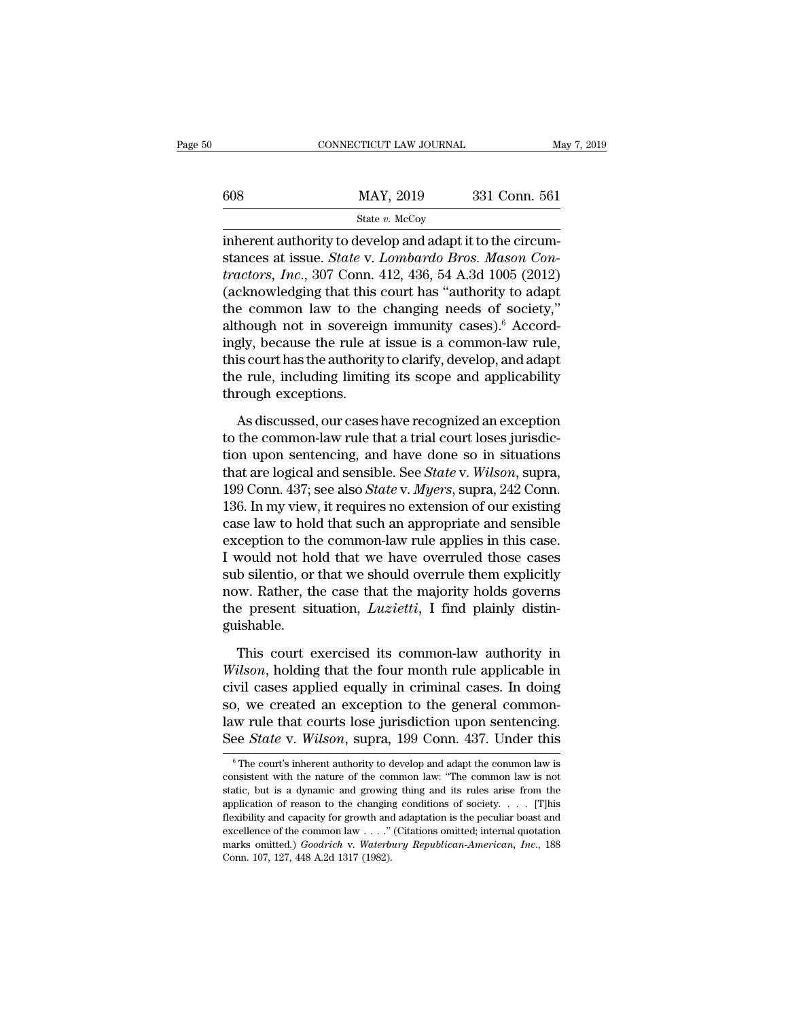|     | CONNECTICUT LAW JOURNAL | May 7, 2019   |  |
|-----|-------------------------|---------------|--|
|     |                         |               |  |
| 608 | MAY, 2019               | 331 Conn. 561 |  |
|     | State $v$ . McCoy       |               |  |

CONNECTICUT LAW JOURNAL<br>
SHALE MAY, 2019 331 Conn. 561<br>
State v. McCoy<br>
inherent authority to develop and adapt it to the circum-<br>
stances at issue. *State v. Lombardo Bros. Mason Con-*<br>
tractors. *Jag.* 207 Conn. 412, 426 State *v.* MAY, 2019 331 Conn. 561<br>
State *v.* McCoy<br>
inherent authority to develop and adapt it to the circum-<br>
stances at issue. *State* v. *Lombardo Bros. Mason Con-*<br> *stractors, Inc.*, 307 Conn. 412, 436, 54 A.3d 1005 *tractors, Inc.*, 307 Connection 2019<br> *tractors, Inc.*, 307 Connection 2018 (2012)<br> *tractors, Inc.*, 307 Connection 312, 436, 54 A.3d 1005 (2012)<br>
(acknowledging that this court has "authority to adapt")<br>
the common law  $\frac{\text{MAX, 2019}}{\text{State } v. \text{ MeCoy}}$ <br>
inherent authority to develop and adapt it to the circumstances at issue. *State v. Lombardo Bros. Mason Contractors, Inc.*, 307 Conn. 412, 436, 54 A.3d 1005 (2012) (acknowledging that this State v. McCoy<br>
inherent authority to develop and adapt it to the circum-<br>
stances at issue. *State* v. *Lombardo Bros. Mason Con-*<br>
tractors, *Inc.*, 307 Conn. 412, 436, 54 A.3d 1005 (2012)<br>
(acknowledging that this cour state v. McCoy<br>
inherent authority to develop and adapt it to the circum-<br>
stances at issue. *State v. Lombardo Bros. Mason Con-*<br> *tractors, Inc.*, 307 Conn. 412, 436, 54 A.3d 1005 (2012)<br>
(acknowledging that this court inherent authority to develop and adapt it to the circum-<br>stances at issue. *State v. Lombardo Bros. Mason Con-*<br>*tractors, Inc.*, 307 Conn. 412, 436, 54 A.3d 1005 (2012)<br>(acknowledging that this court has "authority to a stances at issue. *State* v. *Lombardo Bros. Mason Contractors, Inc.*, 307 Conn. 412, 436, 54 A.3d 1005 (2012) (acknowledging that this court has "authority to adapt the common law to the changing needs of society," althou tractors, *Inc.*, 307 Conn. 412, 436, 54 A.3d 1005 (2012) (acknowledging that this court has "authority to adapt the common law to the changing needs of society," although not in sovereign immunity cases).<sup>6</sup> Accordingly, (acknowledging that this<br>the common law to the<br>although not in sovereig<br>ingly, because the rule at<br>this court has the authorit<br>the rule, including limitir<br>through exceptions.<br>As discussed, our cases As discussed, our cases have recognized an exception<br>the common-law rule, is court has the authority to clarify, develop, and adapt<br>e rule, including limiting its scope and applicability<br>rough exceptions.<br>As discussed, ou ingly, because the rule at issue is a common-law rule,<br>this court has the authority to clarify, develop, and adapt<br>the rule, including limiting its scope and applicability<br>through exceptions.<br>As discussed, our cases have r

this court has the authority to clarify, develop, and adapt<br>the rule, including limiting its scope and applicability<br>through exceptions.<br>As discussed, our cases have recognized an exception<br>to the common-law rule that a t the rule, including limiting its scope and applicability<br>through exceptions.<br>As discussed, our cases have recognized an exception<br>to the common-law rule that a trial court loses jurisdic-<br>tion upon sentencing, and have don 11<br>
11<br>
11<br>
11<br>
11<br>
11<br>
11<br>
11<br>
11<br>
13<br>
As discussed, our cases have recognized an exception<br>
to the common-law rule that a trial court loses jurisdic-<br>
tion upon sentencing, and have done so in situations<br>
that are logica As discussed, our cases have recognized an exception<br>to the common-law rule that a trial court loses jurisdic-<br>tion upon sentencing, and have done so in situations<br>that are logical and sensible. See *State* v. Wilson, sup As discussed, our cases have recognized an exception<br>to the common-law rule that a trial court loses jurisdic-<br>tion upon sentencing, and have done so in situations<br>that are logical and sensible. See *State* v. *Wilson*, s to the common-law rule that a trial court loses jurisdiction upon sentencing, and have done so in situations that are logical and sensible. See *State* v. *Wilson*, supra, 199 Conn. 437; see also *State* v. *Myers*, supra tion upon sentencing, and have done so in situations<br>that are logical and sensible. See *State* v. *Wilson*, supra,<br>199 Conn. 437; see also *State* v. *Myers*, supra, 242 Conn.<br>136. In my view, it requires no extension of that are logical and sensible. See *State* v. *Wilson*, supra, 199 Conn. 437; see also *State* v. *Myers*, supra, 242 Conn. 136. In my view, it requires no extension of our existing case law to hold that such an appropria 199 Conn. 437; see also *State* v. *Myers*, supra, 242 Conn.<br>136. In my view, it requires no extension of our existing<br>case law to hold that such an appropriate and sensible<br>exception to the common-law rule applies in thi 136. In my view, it requires no extension of our existing case law to hold that such an appropriate and sensible exception to the common-law rule applies in this case. I would not hold that we have overruled those cases su guishable. would not hold that we have overruled those cases<br>b silentio, or that we should overrule them explicitly<br>w. Rather, the case that the majority holds governs<br>e present situation, *Luzietti*, I find plainly distin-<br>ishable.<br> sub silentio, or that we should overrule them explicitly<br>
now. Rather, the case that the majority holds governs<br>
the present situation, *Luzietti*, I find plainly distin-<br>
guishable.<br>
This court exercised its common-law au

now. Rather, the case that the majority holds governs<br>the present situation, *Luzietti*, I find plainly distinguishable.<br>This court exercised its common-law authority in<br>Wilson, holding that the four month rule applicable the present situation, *Luzietti*, I find plainly distinguishable.<br>This court exercised its common-law authority in *Wilson*, holding that the four month rule applicable in civil cases applied equally in criminal cases. I guishable.<br>
This court exercised its common-law authority in<br> *Wilson*, holding that the four month rule applicable in<br>
civil cases applied equally in criminal cases. In doing<br>
so, we created an exception to the general co This court exercised its common-law authority in *Wilson*, holding that the four month rule applicable in civil cases applied equally in criminal cases. In doing so, we created an exception to the general common-law rule t For control of the general common-<br>o, we created an exception to the general common-<br>w rule that courts lose jurisdiction upon sentencing.<br>ee *State* v. *Wilson*, supra, 199 Conn. 437. Under this<br> $\frac{6}{10}$  The court's in so, we created an exception to the general common-<br>law rule that courts lose jurisdiction upon sentencing.<br>See *State* v. *Wilson*, supra, 199 Conn. 437. Under this<br><sup>6</sup> The court's inherent authority to develop and adapt

law rule that courts lose jurisdiction upon sentencing.<br>See *State* v. *Wilson*, supra, 199 Conn. 437. Under this<br><sup>6</sup>The court's inherent authority to develop and adapt the common law is<br>consistent with the nature of the See *State* v. *Wilson*, supra, 199 Conn. 437. Under this<br>  $\circ$  The court's inherent authority to develop and adapt the common law is<br>
consistent with the nature of the common law: "The common law is not<br>
static, but is a Figure 1. We also the studies of the control and adapt the common law is consistent with the nature of the common law: "The common law is not static, but is a dynamic and growing thing and its rules arise from the applica <sup>6</sup> The court's inherent authority to develop and adapt the common law is consistent with the nature of the common law: "The common law is not static, but is a dynamic and growing thing and its rules arise from the applic consistent with the nature of the common law: "The common law is not static, but is a dynamic and growing thing and its rules arise from the application of reason to the changing conditions of society. . . . [T]his flexibi consistent with the nature of the common law: "The common law is not static, but is a dynamic and growing thing and its rules arise from the application of reason to the changing conditions of society. . . . [T]his flexib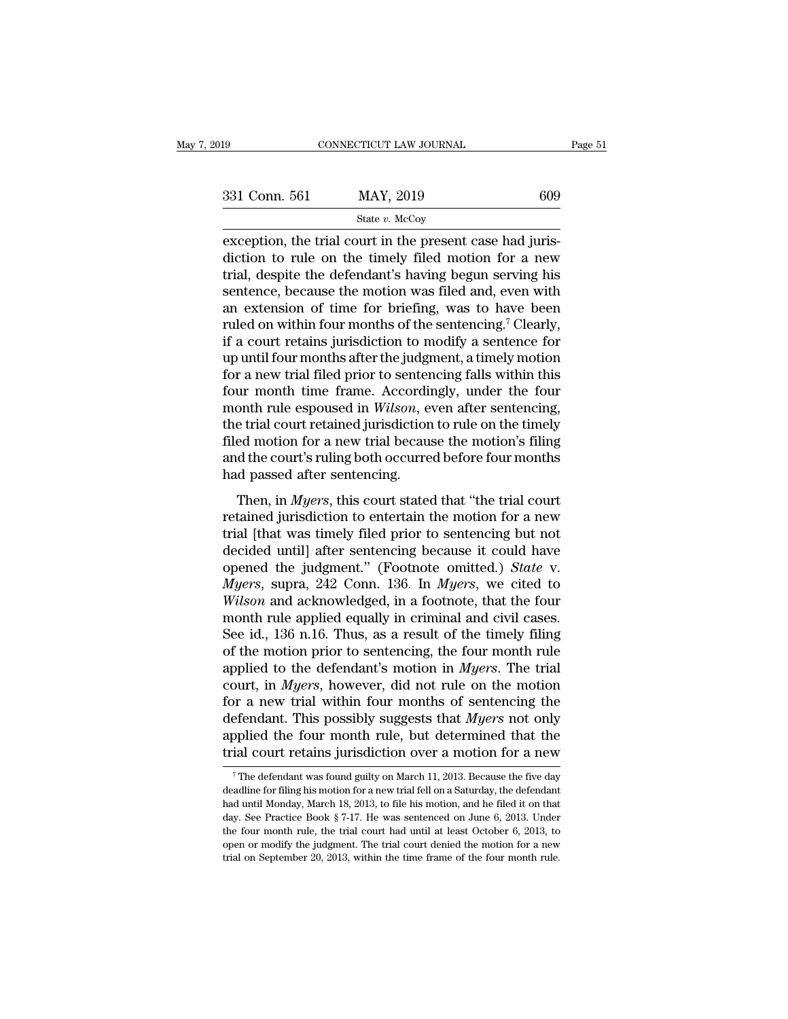| 2019          | CONNECTICUT LAW JOURNAL                                                                                           | Page 51 |
|---------------|-------------------------------------------------------------------------------------------------------------------|---------|
|               |                                                                                                                   |         |
| 331 Conn. 561 | MAY, 2019                                                                                                         | 609     |
|               | State $v$ . McCoy                                                                                                 |         |
|               | exception, the trial court in the present case had juris-<br>diction to rule on the timely filed motion for a new |         |

 $\begin{array}{ccc}\n 331 \text{ Conn. } 561 \quad \text{MAT, } 2019 \quad \text{609}\n \end{array}$ <br>  $\begin{array}{ccc}\n \text{State } v. \text{ McCoy} \\
 \hline\n \text{Exception, the trial court in the present case had juris-  
\ndiction to rule on the timely filed motion for a new  
\ntrial, despite the defendant's having begun serving his  
\nsentance because the motion was filed and even with\n\end{array}$ 331 Conn. 561 MAY, 2019 609<br>
State v. McCoy<br>
exception, the trial court in the present case had juris-<br>
diction to rule on the timely filed motion for a new<br>
trial, despite the defendant's having begun serving his<br>
senten 331 Conn. 561 MAY, 2019 609<br>
State v. McCoy<br>
exception, the trial court in the present case had juris-<br>
diction to rule on the timely filed motion for a new<br>
trial, despite the defendant's having begun serving his<br>
senten State v. McCoy<br>
State v. McCoy<br>
exception, the trial court in the present case had juris-<br>
diction to rule on the timely filed motion for a new<br>
trial, despite the defendant's having begun serving his<br>
sentence, because t state v. McCoy<br>exception, the trial court in the present case had juris-<br>diction to rule on the timely filed motion for a new<br>trial, despite the defendant's having begun serving his<br>sentence, because the motion was filed exception, the trial court in the present case had juris-<br>diction to rule on the timely filed motion for a new<br>trial, despite the defendant's having begun serving his<br>sentence, because the motion was filed and, even with<br>a diction to rule on the timely filed motion for a new<br>trial, despite the defendant's having begun serving his<br>sentence, because the motion was filed and, even with<br>an extension of time for briefing, was to have been<br>ruled o trial, despite the defendant's having begun serving his<br>sentence, because the motion was filed and, even with<br>an extension of time for briefing, was to have been<br>ruled on within four months of the sentencing.<sup>7</sup> Clearly,<br>i sentence, because the motion was filed and, even with<br>an extension of time for briefing, was to have been<br>ruled on within four months of the sentencing.<sup>7</sup> Clearly,<br>if a court retains jurisdiction to modify a sentence for<br> an extension of time for briefing, was to have been<br>ruled on within four months of the sentencing.<sup>7</sup> Clearly,<br>if a court retains jurisdiction to modify a sentence for<br>up until four months after the judgment, a timely moti ruled on within four months of the sentencing.<sup>7</sup> Clearly,<br>if a court retains jurisdiction to modify a sentence for<br>up until four months after the judgment, a timely motion<br>for a new trial filed prior to sentencing falls w if a court retains jurisdiction to modify a sentence for<br>up until four months after the judgment, a timely motion<br>for a new trial filed prior to sentencing falls within this<br>four month time frame. Accordingly, under the fo up until four months after the judgment, a timely motion<br>for a new trial filed prior to sentencing falls within this<br>four month time frame. Accordingly, under the four<br>month rule espoused in *Wilson*, even after sentencing for a new trial filed prior to senter<br>four month time frame. Accordin<br>month rule espoused in *Wilson*, e<br>the trial court retained jurisdiction<br>filed motion for a new trial becaus<br>and the court's ruling both occurre<br>had pas In the mail of *Milson*, even after sentencing,<br>e trial court retained jurisdiction to rule on the timely<br>ed motion for a new trial because the motion's filing<br>d the court's ruling both occurred before four months<br>d passed retained jurisdiction to rule on the timely<br>filed motion for a new trial because the motion's filing<br>and the court's ruling both occurred before four months<br>had passed after sentencing.<br>Then, in *Myers*, this court stated

the that court retained jurisdiction to rule of the thilery<br>filed motion for a new trial because the motion's filing<br>and the court's ruling both occurred before four months<br>had passed after sentencing.<br>Then, in *Myers*, th and the court's ruling both occurred before four months<br>had passed after sentencing.<br>Then, in *Myers*, this court stated that "the trial court<br>retained jurisdiction to entertain the motion for a new<br>trial [that was timely and the coart's raing both occarred before four months<br>had passed after sentencing.<br>Then, in *Myers*, this court stated that "the trial court<br>retained jurisdiction to entertain the motion for a new<br>trial [that was timely f Then, in *Myers*, this court stated that "the trial court<br>retained jurisdiction to entertain the motion for a new<br>trial [that was timely filed prior to sentencing but not<br>decided until] after sentencing because it could ha Then, in *Myers*, this court stated that "the trial court<br>retained jurisdiction to entertain the motion for a new<br>trial [that was timely filed prior to sentencing but not<br>decided until] after sentencing because it could ha retained jurisdiction to entertain the motion for a new<br>trial [that was timely filed prior to sentencing but not<br>decided until] after sentencing because it could have<br>opened the judgment." (Footnote omitted.) *State* v.<br>*M* trial [that was timely filed prior to sentencing but not<br>decided until] after sentencing because it could have<br>opened the judgment." (Footnote omitted.) *State* v.<br>*Myers*, supra, 242 Conn. 136. In *Myers*, we cited to<br>*Wi* decided until] after sentencing because it could have<br>opened the judgment." (Footnote omitted.) *State* v.<br>*Myers*, supra, 242 Conn. 136. In *Myers*, we cited to<br>*Wilson* and acknowledged, in a footnote, that the four<br>mon opened the judgment." (Footnote omitted.) *State* v.<br> *Myers*, supra, 242 Conn. 136. In *Myers*, we cited to<br> *Wilson* and acknowledged, in a footnote, that the four<br>
month rule applied equally in criminal and civil cases. *Myers*, supra, 242 Conn. 136. In *Myers*, we cited to *Wilson* and acknowledged, in a footnote, that the four month rule applied equally in criminal and civil cases. See id., 136 n.16. Thus, as a result of the timely fil *Wilson* and acknowledged, in a footnote, that the four<br>month rule applied equally in criminal and civil cases.<br>See id., 136 n.16. Thus, as a result of the timely filing<br>of the motion prior to sentencing, the four month r month rule applied equally in criminal and civil cases.<br>See id., 136 n.16. Thus, as a result of the timely filing<br>of the motion prior to sentencing, the four month rule<br>applied to the defendant's motion in *Myers*. The tri See id., 136 n.16. Thus, as a result of the timely filing<br>of the motion prior to sentencing, the four month rule<br>applied to the defendant's motion in *Myers*. The trial<br>court, in *Myers*, however, did not rule on the moti of the motion prior to sentencing, the four month rule<br>applied to the defendant's motion in *Myers*. The trial<br>court, in *Myers*, however, did not rule on the motion<br>for a new trial within four months of sentencing the<br>de or a new trial within four months of sentencing the efendant. This possibly suggests that *Myers* not only opplied the four month rule, but determined that the fial court retains jurisdiction over a motion for a new  $\frac{1$ defendant. This possibly suggests that *Myers* not only applied the four month rule, but determined that the trial court retains jurisdiction over a motion for a new  $\frac{1}{7}$  The defendant was found guilty on March 11, 2

applied the four month rule, but determined that the trial court retains jurisdiction over a motion for a new  $\frac{1}{\sqrt{2}}$ . The defendant was found guilty on March 11, 2013. Because the five day deadline for filing his mo denote the Book is the March 11, 2013. Because the five day<br>The defendant was found guilty on March 11, 2013. Because the five day<br>deadline for filing his motion for a new trial fell on a Saturday, the defendant<br>had until The defendant was found guilty on March 11, 2013. Because the five day<br>
The defendant was found guilty on March 11, 2013. Because the five day<br>
deadline for filing his motion for a new trial fell on a Saturday, the defend <sup>7</sup> The defendant was found guilty on March 11, 2013. Because the five day deadline for filing his motion for a new trial fell on a Saturday, the defendant had until Monday, March 18, 2013, to file his motion, and he file deadline for filing his motion for a new trial fell on a Saturday, the defendant had until Monday, March 18, 2013, to file his motion, and he filed it on that day. See Practice Book § 7-17. He was sentenced on June 6, 201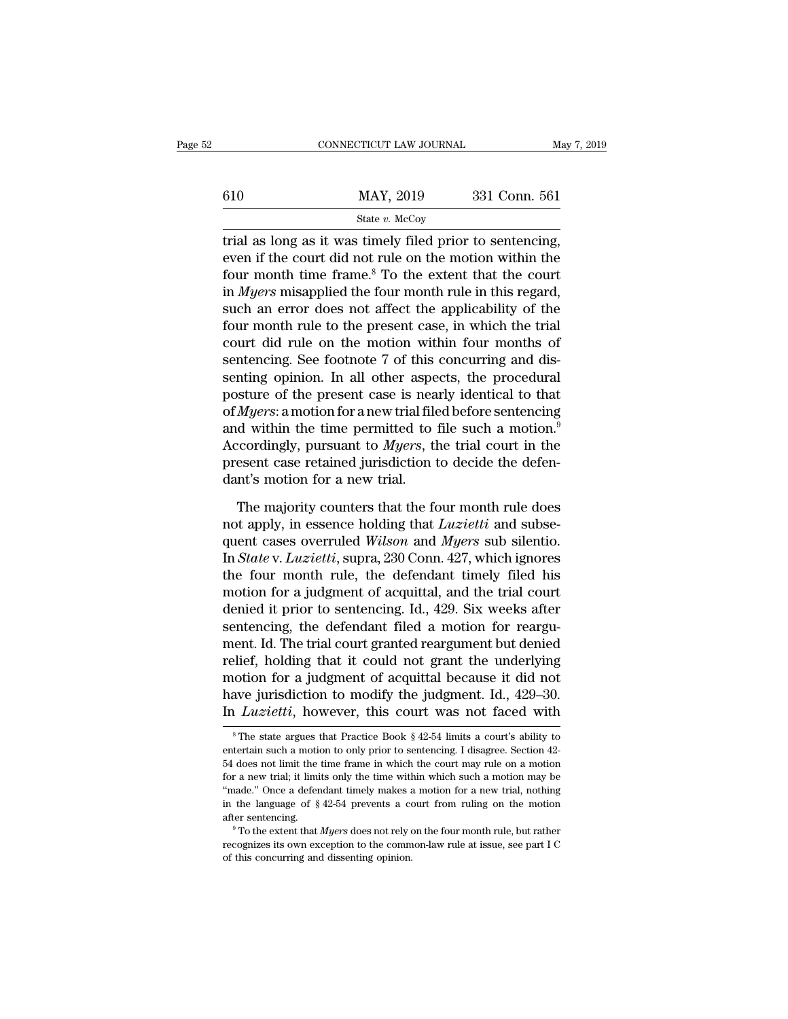|         | CONNECTICUT LAW JOURNAL | May 7, 2019   |  |
|---------|-------------------------|---------------|--|
|         |                         |               |  |
| $610\,$ | MAY, 2019               | 331 Conn. 561 |  |
|         | State $v$ . McCoy       |               |  |

CONNECTICUT LAW JOURNAL May 7, 2<br>  $\frac{1}{2}$ <br>  $\frac{1}{2}$ <br>  $\frac{1}{2}$ <br>  $\frac{1}{2}$ <br>  $\frac{1}{2}$ <br>  $\frac{1}{2}$ <br>  $\frac{1}{2}$ <br>  $\frac{1}{2}$ <br>  $\frac{1}{2}$ <br>  $\frac{1}{2}$ <br>  $\frac{1}{2}$ <br>  $\frac{1}{2}$ <br>  $\frac{1}{2}$ <br>  $\frac{1}{2}$ <br>  $\frac{1}{2}$ <br>  $\frac{1}{2}$ <br>  $\frac{1}{2}$ <br> even if the court did not rule on the motion within the four month time frame.<sup>8</sup> To the extent that the court in *Mucre* misonplied the four month rule in this regard 610 MAY, 2019 331 Conn. 561<br>
State v. McCoy<br>
trial as long as it was timely filed prior to sentencing,<br>
even if the court did not rule on the motion within the<br>
four month time frame.<sup>8</sup> To the extent that the court<br>
in  $\frac{\text{MAX}}{\text{State } v. \text{ MeCoy}}$ <br>
state *v.* McCoy<br>
trial as long as it was timely filed prior to sentencing,<br>
even if the court did not rule on the motion within the<br>
four month time frame.<sup>8</sup> To the extent that the court<br>
in *My* State *v*. McCoy<br>
state *v*. McCoy<br>
trial as long as it was timely filed prior to sentencing,<br>
even if the court did not rule on the motion within the<br>
four month time frame.<sup>8</sup> To the extent that the court<br>
in *Myers* mi state v. McCoy<br>
trial as long as it was timely filed prior to sentencing,<br>
even if the court did not rule on the motion within the<br>
four month time frame.<sup>8</sup> To the extent that the court<br>
in *Myers* misapplied the four mo trial as long as it was timely filed prior to sentencing,<br>even if the court did not rule on the motion within the<br>four month time frame.<sup>8</sup> To the extent that the court<br>in *Myers* misapplied the four month rule in this re even if the court did not rule on the motion within the<br>four month time frame.<sup>8</sup> To the extent that the court<br>in *Myers* misapplied the four month rule in this regard,<br>such an error does not affect the applicability of th four month time frame.<sup>8</sup> To the extent that the court<br>in *Myers* misapplied the four month rule in this regard,<br>such an error does not affect the applicability of the<br>four month rule to the present case, in which the tri in *Myers* misapplied the four month rule in this regard,<br>such an error does not affect the applicability of the<br>four month rule to the present case, in which the trial<br>court did rule on the motion within four months of<br>s such an error does not affect the applicability of the<br>four month rule to the present case, in which the trial<br>court did rule on the motion within four months of<br>sentencing. See footnote 7 of this concurring and dis-<br>senti four month rule to the present case, in which the trial<br>court did rule on the motion within four months of<br>sentencing. See footnote 7 of this concurring and dis-<br>senting opinion. In all other aspects, the procedural<br>postu court did rule on the motion within four months of<br>sentencing. See footnote 7 of this concurring and dis-<br>senting opinion. In all other aspects, the procedural<br>posture of the present case is nearly identical to that<br>of *My* sentencing. See footnote 7 of this concurring and dissenting opinion. In all other aspects, the procedural posture of the present case is nearly identical to that of  $Myers$ : a motion for a new trial filed before sentencing senting opinion. In all other aspe<br>posture of the present case is nea<br>of *Myers*: a motion for a new trial file<br>and within the time permitted to<br>Accordingly, pursuant to *Myers*, th<br>present case retained jurisdiction t<br>da *Myers*: a motion for a new trial filed before sentencing<br>d within the time permitted to file such a motion.<sup>9</sup><br>coordingly, pursuant to *Myers*, the trial court in the<br>esent case retained jurisdiction to decide the defenand within the time permitted to file such a motion.<sup>9</sup><br>Accordingly, pursuant to *Myers*, the trial court in the<br>present case retained jurisdiction to decide the defen-<br>dant's motion for a new trial.<br>The majority counters

Accordingly, pursuant to *Myers*, the trial court in the present case retained jurisdiction to decide the defendant's motion for a new trial.<br>The majority counters that the four month rule does not apply, in essence holdin present case retained jurisdiction to decide the defen-<br>dant's motion for a new trial.<br>The majority counters that the four month rule does<br>not apply, in essence holding that *Luzietti* and subse-<br>quent cases overruled *Wil* dant's motion for a new trial.<br>The majority counters that the four month rule does<br>not apply, in essence holding that *Luzietti* and subse-<br>quent cases overruled *Wilson* and *Myers* sub silentio.<br>In *State* v. *Luzietti* The majority counters that the four month rule does<br>not apply, in essence holding that *Luzietti* and subse-<br>quent cases overruled *Wilson* and *Myers* sub silentio.<br>In *State* v. *Luzietti*, supra, 230 Conn. 427, which ig The majority counters that the four month rule does<br>not apply, in essence holding that *Luzietti* and subse-<br>quent cases overruled *Wilson* and *Myers* sub silentio.<br>In *State* v. *Luzietti*, supra, 230 Conn. 427, which ig not apply, in essence holding that *Luzietti* and subsequent cases overruled *Wilson* and *Myers* sub silentio.<br>In *State* v. *Luzietti*, supra, 230 Conn. 427, which ignores<br>the four month rule, the defendant timely filed quent cases overruled *Wilson* and *Myers* sub silentio.<br>In *State* v. *Luzietti*, supra, 230 Conn. 427, which ignores<br>the four month rule, the defendant timely filed his<br>motion for a judgment of acquittal, and the trial c In *State* v. *Luzietti*, supra, 230 Conn. 427, which ignores<br>the four month rule, the defendant timely filed his<br>motion for a judgment of acquittal, and the trial court<br>denied it prior to sentencing. Id., 429. Six weeks the four month rule, the defendant timely filed his<br>motion for a judgment of acquittal, and the trial court<br>denied it prior to sentencing. Id., 429. Six weeks after<br>sentencing, the defendant filed a motion for reargu-<br>ment motion for a judgment of acquittal, and the trial court<br>denied it prior to sentencing. Id., 429. Six weeks after<br>sentencing, the defendant filed a motion for reargu-<br>ment. Id. The trial court granted reargument but denied<br> denied it prior to sentencing. Id., 429. Six weeks after<br>sentencing, the defendant filed a motion for reargu-<br>ment. Id. The trial court granted reargument but denied<br>relief, holding that it could not grant the underlying<br>m relief, holding that it could not grant the underlying<br>motion for a judgment of acquittal because it did not<br>have jurisdiction to modify the judgment. Id., 429–30.<br>In *Luzietti*, however, this court was not faced with<br> $\frac$ motion for a judgment of acquittal because it did not<br>have jurisdiction to modify the judgment. Id., 429–30.<br>In *Luzietti*, however, this court was not faced with<br><sup>8</sup>The state argues that Practice Book § 42-54 limits a co

have jurisdiction to modify the judgment. Id., 429–30.<br>In *Luzietti*, however, this court was not faced with<br><sup>8</sup>The state argues that Practice Book § 42-54 limits a court's ability to<br>entertain such a motion to only prior In *Luzietti*, however, this court was not faced with<br>
<sup>8</sup> The state argues that Practice Book § 42-54 limits a court's ability to<br>
entertain such a motion to only prior to sentencing. I disagree. Section 42-<br>
54 does not The *Luttette*, HOWEVET, this COULT Was HOT lated With<br>
<sup>8</sup>The state argues that Practice Book § 42-54 limits a court's ability to<br>
entertain such a motion to only prior to sentencing. I disagree. Section 42-<br>
54 does not <sup>8</sup> The state argues that Practice Book § 42-54 limits a court's ability to entertain such a motion to only prior to sentencing. I disagree. Section 42-54 does not limit the time frame in which the court may rule on a mot entertain such a motion to only prior to sentencing. I disagree. Section 42-<br>54 does not limit the time frame in which the court may rule on a motion<br>for a new trial; it limits only the time within which such a motion may For a new trial; it limits only the time within which such a motion may be "made." Once a defendant timely makes a motion for a new trial, nothing in the language of  $\S 42-54$  prevents a court from ruling on the motion af for a new trial; it limits only the time within which such a motion may be "made." Once a defendant timely makes a motion for a new trial, nothing in the language of  $\S$  42-54 prevents a court from ruling on the motion af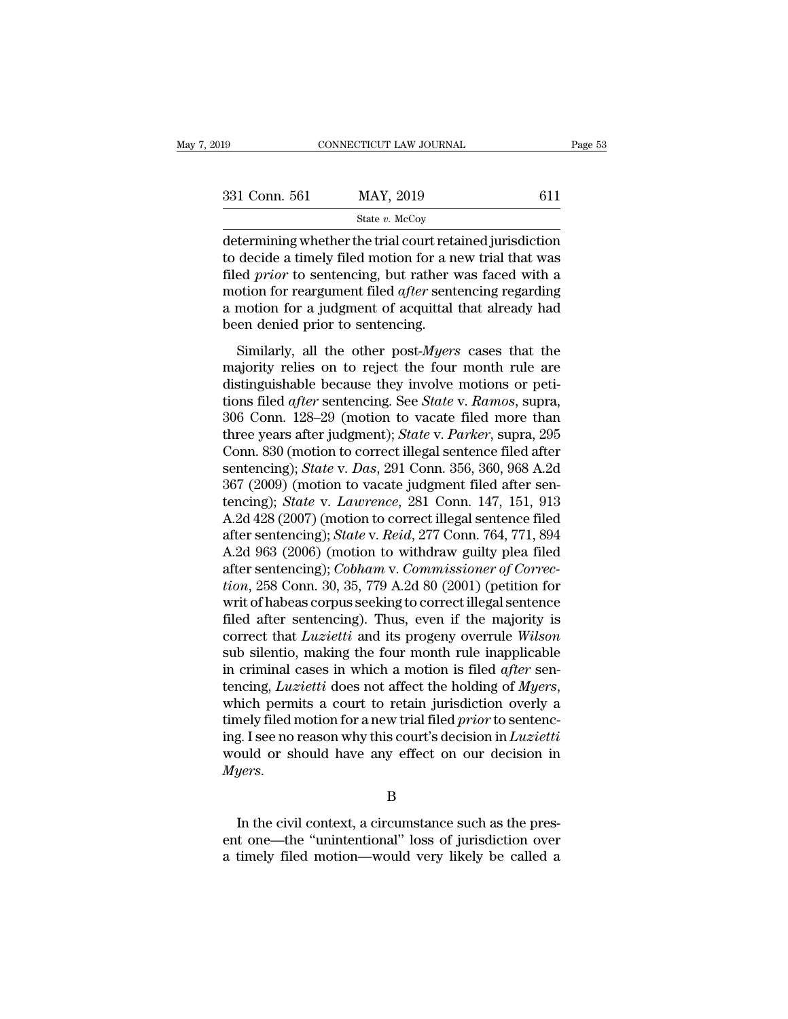| 019           | CONNECTICUT LAW JOURNAL                                                                                                                                                        | Page 53 |
|---------------|--------------------------------------------------------------------------------------------------------------------------------------------------------------------------------|---------|
| 331 Conn. 561 | MAY, 2019                                                                                                                                                                      | 611     |
|               | State $v$ . McCoy                                                                                                                                                              |         |
|               | determining whether the trial court retained jurisdiction<br>to decide a timely filed motion for a new trial that was<br>filed wright a contenging but rather was foced with a |         |

331 Conn. 561 MAY, 2019 611<br>
State v. McCoy<br>
determining whether the trial court retained jurisdiction<br>
to decide a timely filed motion for a new trial that was<br>
filed *prior* to sentencing, but rather was faced with a<br>
m  $f(331 \text{ Conn. } 561$  MAY, 2019 611<br>  $f(41 \text{ determining whether the trial court retained jurisdiction})$ <br>
determining whether the trial court retained jurisdiction<br>
to decide a timely filed motion for a new trial that was<br>
filed *prior* to sentencing, but rather was faced w 331 Conn. 561 MAY, 2019 611<br>  $\frac{\text{State } v. \text{ McCoy}}{\text{determining whether the trial court retained jurisdiction}}$   $\text{to decide a timely filed motion for a new trial that was}\n\text{field } prior\text{ to sentence, but rather was faced with a}\n\text{motion for reargument filed *after* sentering regarding\na motion for a judgment of acquired that already had\nhoon denied prior to shortoring.$ State v. McCoy<br>
determining whether the trial court retained jurisdiction<br>
to decide a timely filed motion for a new trial that was<br>
filed *prior* to sentencing, but rather was faced with a<br>
motion for reargument filed *a*  $\begin{array}{l} \text{state }v\text{.} \text{ McCoy} \\ \text{determining whether the trial court rett to decide a timely filed motion for a n filed prior to sentencing, but rather v motion for reargument filed *after* sent a motion for a judgment of acquittal been denied prior to sentencing. Similarly, all the other post-Myers. \end{array}$ decide a timely filed motion for a new trial that was<br>ed *prior* to sentencing, but rather was faced with a<br>otion for reargument filed *after* sentencing regarding<br>motion for a judgment of acquittal that already had<br>en den majority relieves the four motion of the four matter was filed *prior* to sentencing, but rather was faced with a motion for a judgment of acquittal that already had been denied prior to sentencing.<br>Similarly, all the oth

med *pror* to sentencing, but rather was raced with a<br>motion for reargument filed *after* sentencing regarding<br>a motion for a judgment of acquittal that already had<br>been denied prior to sentencing.<br>Similarly, all the othe a motion for reargament incurative *sentencing* regarding<br>a motion for a judgment of acquittal that already had<br>been denied prior to sentencing.<br>Similarly, all the other post-*Myers* cases that the<br>majority relies on to re 306 Conn. 820 (motion to correct illogel sortones filed after<br>  $\alpha$  and  $\alpha$  and  $\alpha$  areas in the majority relies on to reject the four month rule are<br>
distinguishable because they involve motions or petitions filed *aft* Similarly, all the other post-*Myers* cases that the<br>majority relies on to reject the four month rule are<br>distinguishable because they involve motions or peti-<br>tions filed *after* sentencing. See *State* v. *Ramos*, supra, Similarly, all the other post-*Myers* cases that the majority relies on to reject the four month rule are distinguishable because they involve motions or petitions filed *after* sentencing. See *State* v. Ramos, supra, 30 majority relies on to reject the four month rule are<br>distinguishable because they involve motions or peti-<br>tions filed *after* sentencing. See *State* v. *Ramos*, supra,<br>306 Conn. 128–29 (motion to vacate filed more than<br>t distinguishable because they involve motions or petitions filed *after* sentencing. See *State* v. Ramos, supra, 306 Conn. 128–29 (motion to vacate filed more than three years after judgment); *State* v. *Parker*, supra, 2 tions filed *after* sentencing. See *State* v. *Ramos*, supra,<br>306 Conn. 128–29 (motion to vacate filed more than<br>three years after judgment); *State* v. *Parker*, supra, 295<br>Conn. 830 (motion to correct illegal sentence f 306 Conn. 128–29 (motion to vacate filed more than<br>three years after judgment); *State* v. *Parker*, supra, 295<br>Conn. 830 (motion to correct illegal sentence filed after<br>sentencing); *State* v. *Das*, 291 Conn. 356, 360, 9 three years after judgment); *State* v. *Parker*, supra, 295<br>Conn. 830 (motion to correct illegal sentence filed after<br>sentencing); *State* v. *Das*, 291 Conn. 356, 360, 968 A.2d<br>367 (2009) (motion to vacate judgment filed Conn. 830 (motion to correct illegal sentence filed after<br>sentencing); *State* v. *Das*, 291 Conn. 356, 360, 968 A.2d<br>367 (2009) (motion to vacate judgment filed after sen-<br>tencing); *State* v. *Lawrence*, 281 Conn. 147, 1 sentencing); *State v. Das*, 291 Conn. 356, 360, 968 A.2d<br>367 (2009) (motion to vacate judgment filed after sen-<br>tencing); *State v. Lawrence*, 281 Conn. 147, 151, 913<br>A.2d 428 (2007) (motion to correct illegal sentence fi 367 (2009) (motion to vacate judgment filed after sentencing); *State v. Lawrence*, 281 Conn. 147, 151, 913<br>A.2d 428 (2007) (motion to correct illegal sentence filed<br>after sentencing); *State v. Reid*, 277 Conn. 764, 771, tencing); *State v. Lawrence*, 281 Conn. 147, 151, 913<br>A.2d 428 (2007) (motion to correct illegal sentence filed<br>after sentencing); *State v. Reid*, 277 Conn. 764, 771, 894<br>A.2d 963 (2006) (motion to withdraw guilty plea A.2d 428 (2007) (motion to correct illegal sentence filed<br>after sentencing); *State* v. *Reid*, 277 Conn. 764, 771, 894<br>A.2d 963 (2006) (motion to withdraw guilty plea filed<br>after sentencing); *Cobham* v. *Commissioner of* after sentencing); *State* v. *Reid*, 277 Conn. 764, 771, 894<br>A.2d 963 (2006) (motion to withdraw guilty plea filed<br>after sentencing); *Cobham* v. *Commissioner of Correc-<br>tion*, 258 Conn. 30, 35, 779 A.2d 80 (2001) (petit A.2d 963 (2006) (motion to withdraw guilty plea filed<br>after sentencing); *Cobham v. Commissioner of Correc-*<br>*tion*, 258 Conn. 30, 35, 779 A.2d 80 (2001) (petition for<br>writ of habeas corpus seeking to correct illegal sente after sentencing); *Cobham v. Commissioner of Correction*, 258 Conn. 30, 35, 779 A.2d 80 (2001) (petition for writ of habeas corpus seeking to correct illegal sentence filed after sentencing). Thus, even if the majority is tion, 258 Conn. 30, 35, 779 A.2d 80 (2001) (petition for<br>writ of habeas corpus seeking to correct illegal sentence<br>filed after sentencing). Thus, even if the majority is<br>correct that *Luzietti* and its progeny overrule *Wi* filed after sentencing). Thus, even if the majority is<br>correct that *Luzietti* and its progeny overrule *Wilson*<br>sub silentio, making the four month rule inapplicable<br>in criminal cases in which a motion is filed *after* se correct that *Luzietti* and its progeny overrule *Wilson*<br>sub silentio, making the four month rule inapplicable<br>in criminal cases in which a motion is filed *after* sen-<br>tencing, *Luzietti* does not affect the holding of sub silentio, making the four month rule inapplicable<br>in criminal cases in which a motion is filed *after* sen-<br>tencing, *Luzietti* does not affect the holding of *Myers*,<br>which permits a court to retain jurisdiction over *Myers*. mely filed motion for a new trial filed *prior* to sentenc-<br>g. I see no reason why this court's decision in *Luzietti*<br>buld or should have any effect on our decision in<br>yers.<br>B<br>In the civil context, a circumstance such as

B

ing. I see no reason why this court's decision in *Luzietti*<br>would or should have any effect on our decision in<br> $Myers$ .<br>B<br>In the civil context, a circumstance such as the pres-<br>ent one—the "unintentional" loss of jurisdictio would or should have any effect on our decision in<br> *Myers*.<br>
B<br>
In the civil context, a circumstance such as the pres-<br>
ent one—the "unintentional" loss of jurisdiction over<br>
a timely filed motion—would very likely be cal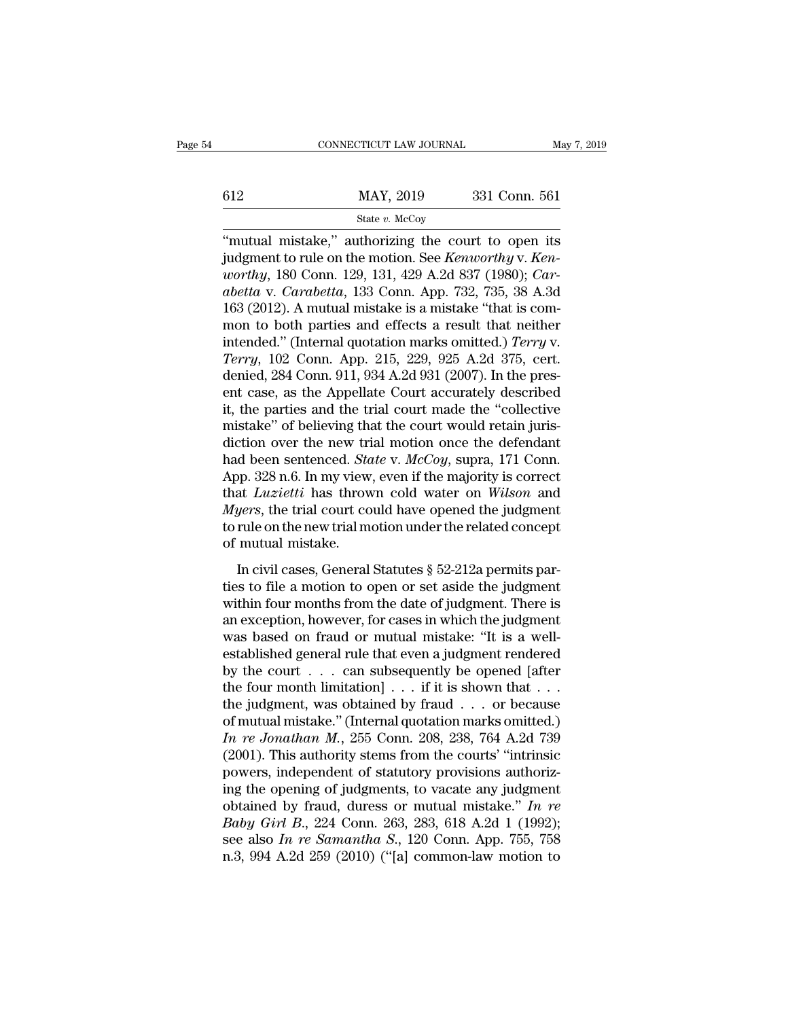# EXECUTE CONNECTICUT LAW JOURNAL May 7, 2019<br>
MAY, 2019 331 Conn. 561<br>
State v. McCoy

### State *v.* McCoy

CONNECTICUT LAW JOURNAL May 7, 2019<br>  $\begin{array}{r}\n 612 \text{ MAY, } 2019 \text{ 331 Conn. } 561 \\
 \hline\n \text{State } v. \text{ MeCoy}\n \end{array}$ <br>
"mutual mistake," authorizing the court to open its<br>
judgment to rule on the motion. See *Kenworthy* v. *Ken-*<br>
averth 612 MAY, 2019 331 Conn. 561<br>
512 MAY, 2019 331 Conn. 561<br>
51 State v. McCoy<br>
62 Thutual mistake," authorizing the court to open its<br>
52 Judgment to rule on the motion. See *Kenworthy* v. *Ken-*<br>
53 Wester w. *Carebotta*, 1 *worthy, 2019* 331 Conn. 561<br> *worthy, 180 Conn. 129, 131, 429 A.2d 837 (1980); <i>Car-*<br> *abetta v. Carabetta, 133 Conn. App. 732, 735, 38 A.3d*<br> *worthy, 180 Conn. 129, 131, 429 A.2d 837 (1980); <i>Car-*<br> *abetta v. Carabett abetta* v. *MAY*, 2019 331 Conn. 561<br> *State v. McCoy*<br> *abetta* v. *Carabetta*, 133 Conn. App. 732, 735, 38 A.3d 163 (2012). A mutual mistake is a mistake "that is compact to both partics and effects a result that patthe <sup>5121</sup> (312)<br>
<sup>5121</sup> (313)<br>
<sup>5121</sup> (313)<br>
<sup>429</sup> (2012). The motion of the motion of the motion of the motion of the motion of the motion of the worthy v. Ken-<br> *worthy*, 180 Conn. 129, 131, 429 A.2d 837 (1980); *Car-*<br> *a* state v. McCoy<br>
"mutual mistake," authorizing the court to open its<br>
judgment to rule on the motion. See *Kenworthy* v. *Kenworthy*, 180 Conn. 129, 131, 429 A.2d 837 (1980); *Car-*<br> *abetta* v. *Carabetta*, 133 Conn. App. "mutual mistake," authorizing the court to open its<br>judgment to rule on the motion. See *Kenworthy* v. *Kenworthy*, 180 Conn. 129, 131, 429 A.2d 837 (1980); *Car-*<br>*abetta* v. *Carabetta*, 133 Conn. App. 732, 735, 38 A.3d<br> judgment to rule on the motion. See *Kenworthy* v. *Kenworthy*, 180 Conn. 129, 131, 429 A.2d 837 (1980); *Car-*<br>*abetta* v. *Carabetta*, 133 Conn. App. 732, 735, 38 A.3d<br>163 (2012). A mutual mistake is a mistake "that is c worthy, 180 Conn. 129, 131, 429 A.2d 837 (1980); *Car-*<br>abetta v. *Carabetta*, 133 Conn. App. 732, 735, 38 A.3d<br>163 (2012). A mutual mistake is a mistake "that is com-<br>mon to both parties and effects a result that neither<br> abetta v. Carabetta, 133 Conn. App. 732, 735, 38 A.3d<br>163 (2012). A mutual mistake is a mistake "that is com-<br>mon to both parties and effects a result that neither<br>intended." (Internal quotation marks omitted.) *Terry* v.<br> 163 (2012). A mutual mistake is a mistake "that is common to both parties and effects a result that neither intended." (Internal quotation marks omitted.) *Terry* v. *Terry*, 102 Conn. App. 215, 229, 925 A.2d 375, cert. d mon to both parties and effects a result that neither<br>intended." (Internal quotation marks omitted.) *Terry* v.<br>*Terry*, 102 Conn. App. 215, 229, 925 A.2d 375, cert.<br>denied, 284 Conn. 911, 934 A.2d 931 (2007). In the pres intended." (Internal quotation marks omitted.) *Terry* v.<br> *Terry*, 102 Conn. App. 215, 229, 925 A.2d 375, cert.<br>
denied, 284 Conn. 911, 934 A.2d 931 (2007). In the pres-<br>
ent case, as the Appellate Court accurately descr Terry, 102 Conn. App. 215, 229, 925 A.2d 375, cert.<br>denied, 284 Conn. 911, 934 A.2d 931 (2007). In the pres-<br>ent case, as the Appellate Court accurately described<br>it, the parties and the trial court made the "collective<br>mi denied, 284 Conn. 911, 934 A.2d 931 (2007). In the present case, as the Appellate Court accurately described it, the parties and the trial court made the "collective mistake" of believing that the court would retain juris ent case, as the Appellate Court accurately described<br>it, the parties and the trial court made the "collective<br>mistake" of believing that the court would retain juris-<br>diction over the new trial motion once the defendant<br>h it, the parties and the trial court made the "collective<br>mistake" of believing that the court would retain juris-<br>diction over the new trial motion once the defendant<br>had been sentenced. *State* v. *McCoy*, supra, 171 Conn mistake" of believing that the court would retain juris-<br>diction over the new trial motion once the defendant<br>had been sentenced. *State* v. McCoy, supra, 171 Conn.<br>App. 328 n.6. In my view, even if the majority is correct diction over the new tri<br>had been sentenced. *Sto*<br>App. 328 n.6. In my view<br>that *Luzietti* has throw<br>*Myers*, the trial court co<br>to rule on the new trial m<br>of mutual mistake.<br>In civil cases, General In civil cases, General Statutes § 52-212a permits par-<br>In civil cases, the trial court could have opened the judgment<br>rule on the new trial motion under the related concept<br>mutual mistake.<br>In civil cases, General Statute that *Luzietti* has thrown cold water on *Wilson* and *Myers*, the trial court could have opened the judgment to rule on the new trial motion under the related concept of mutual mistake.<br>In civil cases, General Statutes

*Myers*, the trial court could have opened the judgment<br>to rule on the new trial motion under the related concept<br>of mutual mistake.<br>In civil cases, General Statutes  $\S~52-212a$  permits par-<br>ties to file a motion to open anyon, are and court codd nave opened are judgment<br>to rule on the new trial motion under the related concept<br>of mutual mistake.<br>In civil cases, General Statutes  $\S~52-212a$  permits par-<br>ties to file a motion to open or se of mutual mistake.<br>
In civil cases, General Statutes  $\S$  52-212a permits parties to file a motion to open or set aside the judgment<br>
within four months from the date of judgment. There is<br>
an exception, however, for cases In civil cases, General Statutes  $\S$  52-212a permits parties to file a motion to open or set aside the judgment<br>within four months from the date of judgment. There is<br>an exception, however, for cases in which the judgment In civil cases, General Statutes § 52-212a permits parties to file a motion to open or set aside the judgment<br>within four months from the date of judgment. There is<br>an exception, however, for cases in which the judgment<br>w ties to file a motion to open or set aside the judgment<br>within four months from the date of judgment. There is<br>an exception, however, for cases in which the judgment<br>was based on fraud or mutual mistake: "It is a well-<br>es within four months from the date of judgment. There is<br>an exception, however, for cases in which the judgment<br>was based on fraud or mutual mistake: "It is a well-<br>established general rule that even a judgment rendered<br>by an exception, however, for cases in which the judgment<br>was based on fraud or mutual mistake: "It is a well-<br>established general rule that even a judgment rendered<br>by the court . . . can subsequently be opened [after<br>the f *In re Jonathan M.*, 255 Conn. 208, 238, 764 A.2d 739<br>*In re Jonathan M.*, 255 Conn. 208, 256 Connection of mutual mistake." (Internal quotation marks omitted.)<br>*In re Jonathan M.*, 255 Conn. 208, 238, 764 A.2d 739<br>(2001). established general rule that even a judgment rendered<br>by the court  $\ldots$  can subsequently be opened [after<br>the four month limitation]  $\ldots$  if it is shown that  $\ldots$ <br>the judgment, was obtained by fraud  $\ldots$  or because<br>o by the court . . . can subsequently be opened [after the four month limitation] . . . if it is shown that . . . the judgment, was obtained by fraud . . . or because of mutual mistake." (Internal quotation marks omitted.) the four month limitation] . . . if it is shown that . . .<br>the judgment, was obtained by fraud . . . or because<br>of mutual mistake." (Internal quotation marks omitted.)<br>In re Jonathan M., 255 Conn. 208, 238, 764 A.2d 739<br>( the judgment, was obtained by fraud . . . or because<br>of mutual mistake." (Internal quotation marks omitted.)<br>In re Jonathan M., 255 Conn. 208, 238, 764 A.2d 739<br>(2001). This authority stems from the courts' "intrinsic<br>pow of mutual mistake." (Internal quotation marks omitted.)<br> *In re Jonathan M*., 255 Conn. 208, 238, 764 A.2d 739<br>
(2001). This authority stems from the courts' "intrinsic<br>
powers, independent of statutory provisions authoriz In re Jonathan M., 255 Conn. 208, 238, 764 A.2d 739 (2001). This authority stems from the courts' "intrinsic powers, independent of statutory provisions authorizing the opening of judgments, to vacate any judgment obtained (2001). This authority stems from the courts' "intrinsic<br>powers, independent of statutory provisions authoriz-<br>ing the opening of judgments, to vacate any judgment<br>obtained by fraud, duress or mutual mistake." In re<br>Baby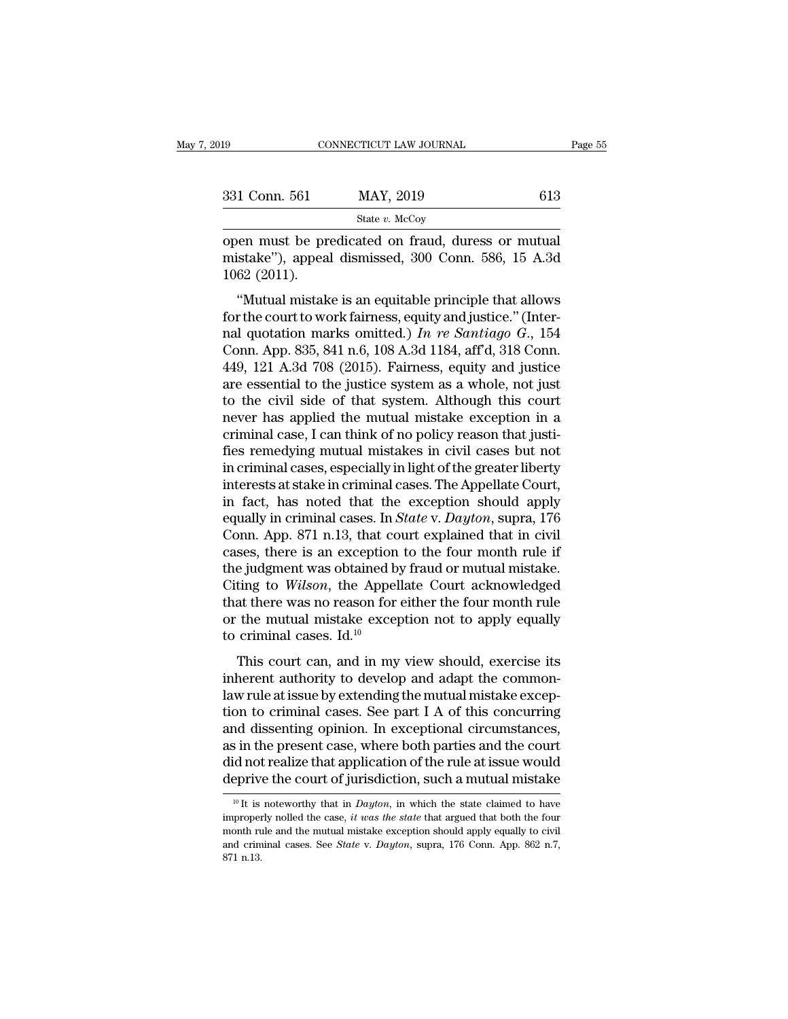| 019           | CONNECTICUT LAW JOURNAL                                                                                   | Page 55 |
|---------------|-----------------------------------------------------------------------------------------------------------|---------|
|               |                                                                                                           |         |
| 331 Conn. 561 | MAY, 2019                                                                                                 | 613     |
|               | State $v$ . McCoy                                                                                         |         |
| 1062(2011).   | open must be predicated on fraud, duress or mutual<br>mistake"), appeal dismissed, 300 Conn. 586, 15 A.3d |         |
|               | "Mutual mistake is an equitable principle that allows                                                     |         |

331 Conn. 561 MAY, 2019 613<br>
State v. McCoy<br>
open must be predicated on fraud, duress or mutual<br>
mistake''), appeal dismissed, 300 Conn. 586, 15 A.3d<br>
1062 (2011). <sup>1</sup> Conn. 561 MAY, 2019 613<br>
<sup>State v. McCoy</sup><br>
en must be predicated on fraud, duress or mutual<br>
istake"), appeal dismissed, 300 Conn. 586, 15 A.3d<br>
62 (2011).<br>
"Mutual mistake is an equitable principle that allows<br>
r the

State v. McCoy<br>
open must be predicated on fraud, duress or mutual<br>
mistake"), appeal dismissed, 300 Conn. 586, 15 A.3d<br>
1062 (2011).<br>
"Mutual mistake is an equitable principle that allows<br>
for the court to work fairness, open must be predicated on fraud, duress or mutual<br>mistake"), appeal dismissed, 300 Conn. 586, 15 A.3d<br>1062 (2011).<br>"Mutual mistake is an equitable principle that allows<br>for the court to work fairness, equity and justice." mistake"), appeal dismissed, 300 Conn. 586, 15 A.3d<br>1062 (2011).<br>"Mutual mistake is an equitable principle that allows<br>for the court to work fairness, equity and justice." (Inter-<br>nal quotation marks omitted.) In re Santi 1062 (2011).<br>
"Mutual mistake is an equitable principle that allows<br>
for the court to work fairness, equity and justice." (Inter-<br>
nal quotation marks omitted.) In re Santiago G., 154<br>
Conn. App. 835, 841 n.6, 108 A.3d 11 "Mutual mistake is an equitable principle that allows<br>for the court to work fairness, equity and justice." (Inter-<br>nal quotation marks omitted.) In re Santiago G., 154<br>Conn. App. 835, 841 n.6, 108 A.3d 1184, aff'd, 318 Co "Mutual mistake is an equitable principle that allows<br>for the court to work fairness, equity and justice." (Inter-<br>nal quotation marks omitted.) In re Santiago G., 154<br>Conn. App. 835, 841 n.6, 108 A.3d 1184, aff'd, 318 Co for the court to work fairness, equity and justice." (Internal quotation marks omitted.) In re Santiago G., 154<br>Conn. App. 835, 841 n.6, 108 A.3d 1184, aff'd, 318 Conn.<br>449, 121 A.3d 708 (2015). Fairness, equity and justi nal quotation marks omitted.) In re Santiago G., 154<br>Conn. App. 835, 841 n.6, 108 A.3d 1184, aff'd, 318 Conn.<br>449, 121 A.3d 708 (2015). Fairness, equity and justice<br>are essential to the justice system as a whole, not just Conn. App. 835, 841 n.6, 108 A.3d 1184, aff'd, 318 Conn.<br>449, 121 A.3d 708 (2015). Fairness, equity and justice<br>are essential to the justice system as a whole, not just<br>to the civil side of that system. Although this court 449, 121 A.3d 708 (2015). Fairness, equity and justice<br>are essential to the justice system as a whole, not just<br>to the civil side of that system. Although this court<br>never has applied the mutual mistake exception in a<br>crim are essential to the justice system as a whole, not just<br>to the civil side of that system. Although this court<br>never has applied the mutual mistake exception in a<br>criminal case, I can think of no policy reason that justi-<br> to the civil side of that system. Although this court<br>never has applied the mutual mistake exception in a<br>criminal case, I can think of no policy reason that justi-<br>fies remedying mutual mistakes in civil cases but not<br>in never has applied the mutual mistake exception in a<br>criminal case, I can think of no policy reason that justi-<br>fies remedying mutual mistakes in civil cases but not<br>in criminal cases, especially in light of the greater lib criminal case, I can think of no policy reason that justi-<br>fies remedying mutual mistakes in civil cases but not<br>in criminal cases, especially in light of the greater liberty<br>interests at stake in criminal cases. The Appel fies remedying mutual mistakes in civil cases but not<br>in criminal cases, especially in light of the greater liberty<br>interests at stake in criminal cases. The Appellate Court,<br>in fact, has noted that the exception should a in criminal cases, especially in light of the greater liberty<br>interests at stake in criminal cases. The Appellate Court,<br>in fact, has noted that the exception should apply<br>equally in criminal cases. In *State* v. Dayton, interests at stake in criminal cases. The Appellate Court,<br>in fact, has noted that the exception should apply<br>equally in criminal cases. In *State* v. Dayton, supra, 176<br>Conn. App. 871 n.13, that court explained that in ci in fact, has noted that the exception should apply<br>equally in criminal cases. In *State* v. *Dayton*, supra, 176<br>Conn. App. 871 n.13, that court explained that in civil<br>cases, there is an exception to the four month rule equally in criminal cases. In *State* v. *Dayton*, supra, 176<br>Conn. App. 871 n.13, that court explained that in civil<br>cases, there is an exception to the four month rule if<br>the judgment was obtained by fraud or mutual mis Conn. App. 871 n.13, that co<br>cases, there is an exception<br>the judgment was obtained b<br>Citing to *Wilson*, the Appel<br>that there was no reason for<br>or the mutual mistake excep<br>to criminal cases. Id.<sup>10</sup><br>This court can, and i be judgment was obtained by fraud or mutual mistake.<br>
ting to *Wilson*, the Appellate Court acknowledged<br>
at there was no reason for either the four month rule<br>
the mutual mistake exception not to apply equally<br>
criminal The gradient was obtained by riade of madal mistake.<br>Citing to *Wilson*, the Appellate Court acknowledged<br>that there was no reason for either the four month rule<br>or the mutual mistake exception not to apply equally<br>to cri

that there was no reason for either the four month rule<br>or the mutual mistake exception not to apply equally<br>to criminal cases. Id.<sup>10</sup><br>This court can, and in my view should, exercise its<br>inherent authority to develop and or the mutual mistake exception not to apply equally<br>to criminal cases. Id.<sup>10</sup><br>This court can, and in my view should, exercise its<br>inherent authority to develop and adapt the common-<br>law rule at issue by extending the mu and dissenting opinion. In exception for the apply equally to criminal cases. Id.<sup>10</sup><br>This court can, and in my view should, exercise its<br>inherent authority to develop and adapt the common-<br>law rule at issue by extending This court can, and in my view should, exercise its<br>inherent authority to develop and adapt the common-<br>law rule at issue by extending the mutual mistake excep-<br>tion to criminal cases. See part I A of this concurring<br>and d This court can, and in my view should, exercise its<br>inherent authority to develop and adapt the common-<br>law rule at issue by extending the mutual mistake excep-<br>tion to criminal cases. See part I A of this concurring<br>and d inherent authority to develop and adapt the common-<br>law rule at issue by extending the mutual mistake excep-<br>tion to criminal cases. See part I A of this concurring<br>and dissenting opinion. In exceptional circumstances,<br>as 10 It is noteworthy that in *Dayton*, in which the state claimed to have properly nolled the case, it *was the state* that argued that both the state claimed to have properly nolled the case, *it was the state* that argue as in the present case, where both parties and the court<br>did not realize that application of the rule at issue would<br>deprive the court of jurisdiction, such a mutual mistake<br> $\frac{10 \text{ ft}}{10 \text{ ft}}$  is noteworthy that in *Day* 

did not realize that application of the rule at issue would<br>deprive the court of jurisdiction, such a mutual mistake<br> $\frac{10 \text{ ft}}{10 \text{ ft}}$  is noteworthy that in *Dayton*, in which the state claimed to have<br>improperly nolle deprive the court of jurisdiction, such a mutual mistake<br>deprive the court of jurisdiction, such a mutual mistake<br>improperly nolled the case, *it was the state* that argued that both the four<br>month rule and the mutual mist  $\frac{10}{10}$  It is<br>improper<br>month ru<br>and crim<br>871 n.13.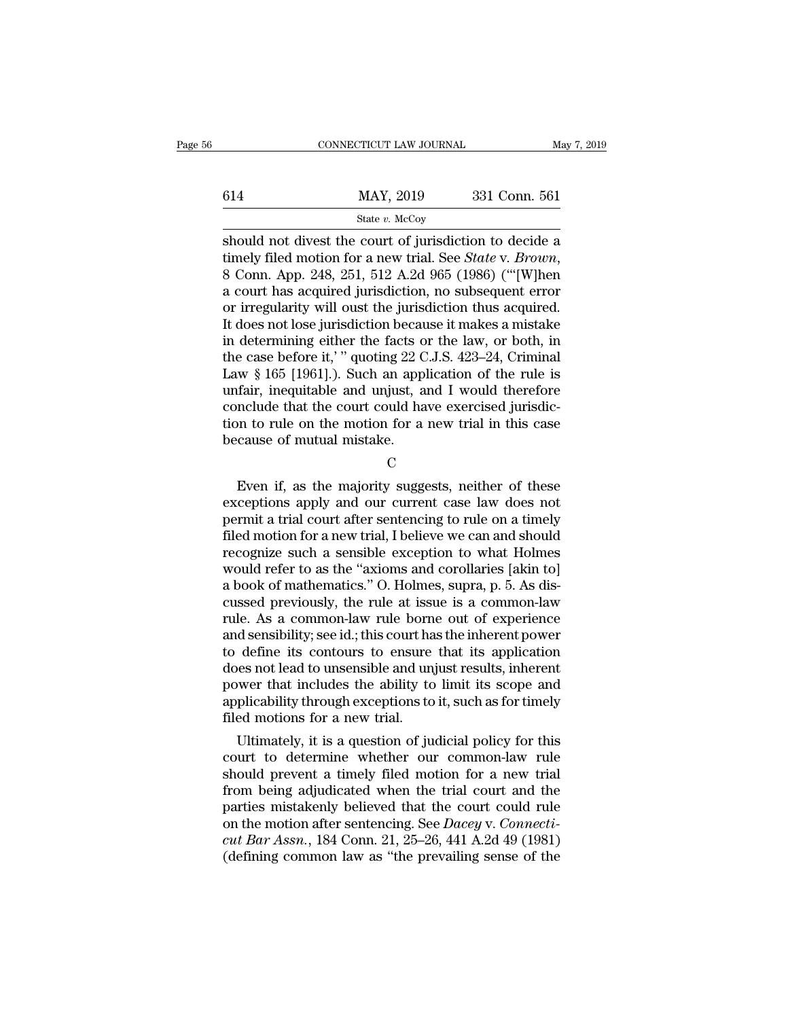|     | CONNECTICUT LAW JOURNAL                                                                                                                                                               | May 7, 2019   |
|-----|---------------------------------------------------------------------------------------------------------------------------------------------------------------------------------------|---------------|
| 614 | MAY, 2019                                                                                                                                                                             | 331 Conn. 561 |
|     | State $v$ . McCoy                                                                                                                                                                     |               |
|     | should not divest the court of jurisdiction to decide a<br>timely filed motion for a new trial. See <i>State</i> v. <i>Brown</i> ,<br>8 Cann Ann 948 951 519 A 9d 065 (1086) ("[W]hon |               |

the motion for a new trial. See *State* v*. Brown*, a court has acquired jurisdiction to decide a a court has acquired jurisdiction, no subsequent error or irrogularity will oust the invisdiction thus acquired  $\frac{\text{MAX}}{\text{State } v. \text{ MeCoy}}$ <br>
should not divest the court of jurisdiction to decide a<br>
timely filed motion for a new trial. See *State* v. *Brown*,<br>
8 Conn. App. 248, 251, 512 A.2d 965 (1986) ("[W]hen<br>
a court has acquired jur State v. McCoy<br>
Should not divest the court of jurisdiction to decide a<br>
timely filed motion for a new trial. See *State* v. *Brown*,<br>
8 Conn. App. 248, 251, 512 A.2d 965 (1986) ("[W]hen<br>
a court has acquired jurisdiction State v. McCoy<br>
Should not divest the court of jurisdiction to decide a<br>
timely filed motion for a new trial. See *State* v. *Brown*,<br>
8 Conn. App. 248, 251, 512 A.2d 965 (1986) ("[W]hen<br>
a court has acquired jurisdiction should not divest the court of jurisdiction to decide a<br>timely filed motion for a new trial. See *State* v. *Brown*,<br>8 Conn. App. 248, 251, 512 A.2d 965 (1986) ("[W]hen<br>a court has acquired jurisdiction, no subsequent err timely filed motion for a new trial. See *State* v. *Brown*,<br>8 Conn. App. 248, 251, 512 A.2d 965 (1986) ("[W]hen<br>a court has acquired jurisdiction, no subsequent error<br>or irregularity will oust the jurisdiction thus acqui 8 Conn. App. 248, 251, 512 A.2d 965 (1986) ("[W]hen<br>a court has acquired jurisdiction, no subsequent error<br>or irregularity will oust the jurisdiction thus acquired.<br>It does not lose jurisdiction because it makes a mistake<br> a court has acquired jurisdiction, no subsequent error<br>or irregularity will oust the jurisdiction thus acquired.<br>It does not lose jurisdiction because it makes a mistake<br>in determining either the facts or the law, or both, or irregularity will oust the jurisdiction thus acquired.<br>It does not lose jurisdiction because it makes a mistake<br>in determining either the facts or the law, or both, in<br>the case before it,' " quoting 22 C.J.S. 423–24, C It does not lose jurisdiction because it makes a mistake<br>in determining either the facts or the law, or both, in<br>the case before it,'" quoting 22 C.J.S. 423–24, Criminal<br>Law § 165 [1961].). Such an application of the rule in determining either the facts of<br>the case before it,' " quoting 22 C<br>Law  $\S$  165 [1961].). Such an app<br>unfair, inequitable and unjust, a<br>conclude that the court could ha<br>tion to rule on the motion for a<br>because of mutua fair, inequitable and unjust, and I would therefore<br>nclude that the court could have exercised jurisdic-<br>no to rule on the motion for a new trial in this case<br>cause of mutual mistake.<br> $C$ <br>Even if, as the majority suggests

C<sub>c</sub>

conclude that the court could have exercised jurisdiction to rule on the motion for a new trial in this case<br>because of mutual mistake.<br>C<br>Even if, as the majority suggests, neither of these<br>exceptions apply and our current tion to rule on the motion for a new trial in this case<br>because of mutual mistake.<br> $C$ <br>Even if, as the majority suggests, neither of these<br>exceptions apply and our current case law does not<br>permit a trial court after sent filed motion for a new trial, I believe we can and should recognize such a sensible exception for a new trial, I believe we can and should recognize such a sensible exception to what Holmes would refer to as the "axioms an C<br>
Even if, as the majority suggests, neither of these<br>
exceptions apply and our current case law does not<br>
permit a trial court after sentencing to rule on a timely<br>
filed motion for a new trial, I believe we can and sho Even if, as the majority suggests, neither of these<br>exceptions apply and our current case law does not<br>permit a trial court after sentencing to rule on a timely<br>filed motion for a new trial, I believe we can and should<br>rec Even if, as the majority suggests, neither of these exceptions apply and our current case law does not permit a trial court after sentencing to rule on a timely filed motion for a new trial, I believe we can and should re exceptions apply and our current case law does not<br>permit a trial court after sentencing to rule on a timely<br>filed motion for a new trial, I believe we can and should<br>recognize such a sensible exception to what Holmes<br>woul permit a trial court after sentencing to rule on a timely<br>filed motion for a new trial, I believe we can and should<br>recognize such a sensible exception to what Holmes<br>would refer to as the "axioms and corollaries [akin to] filed motion for a new trial, I believe we can and should<br>recognize such a sensible exception to what Holmes<br>would refer to as the "axioms and corollaries [akin to]<br>a book of mathematics." O. Holmes, supra, p. 5. As dis-<br>c recognize such a sensible exception to what Holmes<br>would refer to as the "axioms and corollaries [akin to]<br>a book of mathematics." O. Holmes, supra, p. 5. As dis-<br>cussed previously, the rule at issue is a common-law<br>rule. would refer to as the "axioms and corollaries [akin to]<br>a book of mathematics." O. Holmes, supra, p. 5. As dis-<br>cussed previously, the rule at issue is a common-law<br>rule. As a common-law rule borne out of experience<br>and se a book of mathematics." O. Holmes, supra, p. 5. As discussed previously, the rule at issue is a common-law<br>rule. As a common-law rule borne out of experience<br>and sensibility; see id.; this court has the inherent power<br>to d cussed previously, the rule at issue is a common-law<br>rule. As a common-law rule borne out of experience<br>and sensibility; see id.; this court has the inherent power<br>to define its contours to ensure that its application<br>does rule. As a common-law rule born<br>and sensibility; see id.; this court ha<br>to define its contours to ensure<br>does not lead to unsensible and un<br>power that includes the ability to<br>applicability through exceptions to<br>filed motio d sensionity; see id.; this court has the inherent power<br>define its contours to ensure that its application<br>less not lead to unsensible and unjust results, inherent<br>wer that includes the ability to limit its scope and<br>plic to define its contours to ensure that its application<br>does not lead to unsensible and unjust results, inherent<br>power that includes the ability to limit its scope and<br>applicability through exceptions to it, such as for time

does not lead to unsensible and unjust results, inherent<br>power that includes the ability to limit its scope and<br>applicability through exceptions to it, such as for timely<br>filed motions for a new trial.<br>Ultimately, it is a power that includes the ability to limit its scope and<br>applicability through exceptions to it, such as for timely<br>filed motions for a new trial.<br>Ultimately, it is a question of judicial policy for this<br>court to determine w applicability through exceptions to it, such as for timely<br>filed motions for a new trial.<br>Ultimately, it is a question of judicial policy for this<br>court to determine whether our common-law rule<br>should prevent a timely fil Illimately, it is a question of judicial policy for this<br>court to determine whether our common-law rule<br>should prevent a timely filed motion for a new trial<br>from being adjudicated when the trial court and the<br>parties mista Ultimately, it is a question of judicial policy for this<br>court to determine whether our common-law rule<br>should prevent a timely filed motion for a new trial<br>from being adjudicated when the trial court and the<br>parties mista court to determine whether our common-law rule<br>should prevent a timely filed motion for a new trial<br>from being adjudicated when the trial court and the<br>parties mistakenly believed that the court could rule<br>on the motion a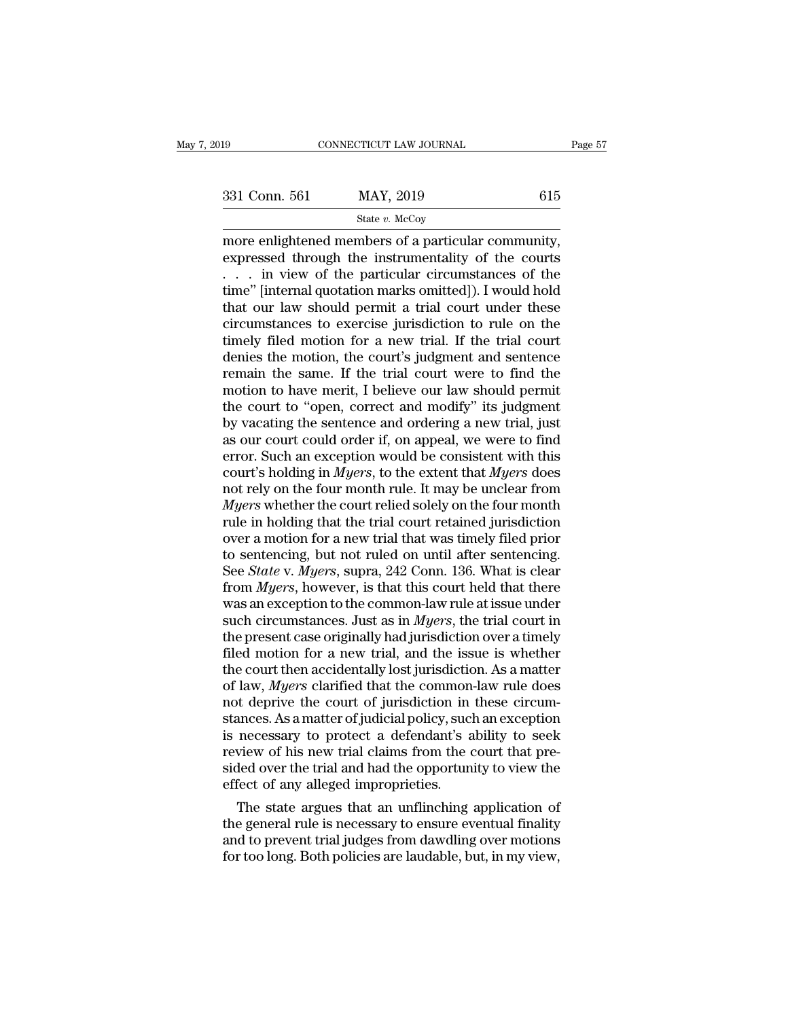### State *v.* McCoy

more enlightened members of a particular community,<br>  $\frac{1331 \text{ Conn. } 561}$  MAY, 2019 615<br>  $\frac{15}{2}$  State v. McCoy<br>
more enlightened members of a particular community,<br>
expressed through the instrumentality of the courts<br> 331 Conn. 561 MAY, 2019 615<br>
State v. McCoy<br>
more enlightened members of a particular community,<br>
expressed through the instrumentality of the courts<br>
. . . in view of the particular circumstances of the<br>
time" [internal 331 Conn. 561 MAY, 2019 615<br>
State v. McCoy<br>
more enlightened members of a particular community,<br>
expressed through the instrumentality of the courts<br>
. . . in view of the particular circumstances of the<br>
time" [internal 331 Conn. 561 MAY, 2019 615<br>
State v. McCoy<br>
more enlightened members of a particular community,<br>
expressed through the instrumentality of the courts<br>
. . . in view of the particular circumstances of the<br>
time'' [internal Solution of the  $v$ . McCoy<br>
more enlightened members of a particular community,<br>
expressed through the instrumentality of the courts<br>
... in view of the particular circumstances of the<br>
time" [internal quotation marks omi state v. McCoy<br>more enlightened members of a particular community,<br>expressed through the instrumentality of the courts<br>... in view of the particular circumstances of the<br>time" [internal quotation marks omitted]). I would more enlightened members of a particular community,<br>expressed through the instrumentality of the courts<br>... in view of the particular circumstances of the<br>time" [internal quotation marks omitted]). I would hold<br>that our l expressed through the instrumentality of the courts<br>  $\dots$  in view of the particular circumstances of the<br>
time" [internal quotation marks omitted]). I would hold<br>
that our law should permit a trial court under these<br>
circ ... in view of the particular circumstances of the<br>time" [internal quotation marks omitted]). I would hold<br>that our law should permit a trial court under these<br>circumstances to exercise jurisdiction to rule on the<br>timely f time" [internal quotation marks omitted]). I would hold<br>that our law should permit a trial court under these<br>circumstances to exercise jurisdiction to rule on the<br>timely filed motion for a new trial. If the trial court<br>den that our law should permit a trial court under these<br>circumstances to exercise jurisdiction to rule on the<br>timely filed motion for a new trial. If the trial court<br>denies the motion, the court's judgment and sentence<br>remain circumstances to exercise jurisdiction to rule on the<br>timely filed motion for a new trial. If the trial court<br>denies the motion, the court's judgment and sentence<br>remain the same. If the trial court were to find the<br>motion timely filed motion for a new trial. If the trial court<br>denies the motion, the court's judgment and sentence<br>remain the same. If the trial court were to find the<br>motion to have merit, I believe our law should permit<br>the co denies the motion, the court's judgment and sentence<br>remain the same. If the trial court were to find the<br>motion to have merit, I believe our law should permit<br>the court to "open, correct and modify" its judgment<br>by vacati remain the same. If the trial court were to find the<br>motion to have merit, I believe our law should permit<br>the court to "open, correct and modify" its judgment<br>by vacating the sentence and ordering a new trial, just<br>as our motion to have merit, I believe our law should permit<br>the court to "open, correct and modify" its judgment<br>by vacating the sentence and ordering a new trial, just<br>as our court could order if, on appeal, we were to find<br>err the court to "open, correct and modify" its judgment<br>by vacating the sentence and ordering a new trial, just<br>as our court could order if, on appeal, we were to find<br>error. Such an exception would be consistent with this<br>co by vacating the sentence and ordering a new trial, just<br>as our court could order if, on appeal, we were to find<br>error. Such an exception would be consistent with this<br>court's holding in *Myers*, to the extent that *Myers* as our court could order if, on appeal, we were to find<br>error. Such an exception would be consistent with this<br>court's holding in *Myers*, to the extent that *Myers* does<br>not rely on the four month rule. It may be unclear error. Such an exception would be consistent with this court's holding in *Myers*, to the extent that *Myers* does not rely on the four month rule. It may be unclear from *Myers* whether the court relied solely on the four court's holding in *Myers*, to the extent that *Myers* does<br>not rely on the four month rule. It may be unclear from<br>*Myers* whether the court relied solely on the four month<br>rule in holding that the trial court retained ju not rely on the four month rule. It may be unclear from *Myers* whether the court relied solely on the four month rule in holding that the trial court retained jurisdiction over a motion for a new trial that was timely fil Myers whether the court relied solely on the four month<br>rule in holding that the trial court retained jurisdiction<br>over a motion for a new trial that was timely filed prior<br>to sentencing, but not ruled on until after sent rule in holding that the trial court retained jurisdiction<br>over a motion for a new trial that was timely filed prior<br>to sentencing, but not ruled on until after sentencing.<br>See *State* v. *Myers*, supra, 242 Conn. 136. Wha over a motion for a new trial that was timely filed prior<br>to sentencing, but not ruled on until after sentencing.<br>See *State* v. *Myers*, supra, 242 Conn. 136. What is clear<br>from *Myers*, however, is that this court held to sentencing, but not ruled on until after sentencing.<br>See *State* v. *Myers*, supra, 242 Conn. 136. What is clear<br>from *Myers*, however, is that this court held that there<br>was an exception to the common-law rule at issu See *State* v. *Myers*, supra, 242 Conn. 136. What is clear<br>from *Myers*, however, is that this court held that there<br>was an exception to the common-law rule at issue under<br>such circumstances. Just as in *Myers*, the tria from *Myers*, however, is that this court held that there was an exception to the common-law rule at issue under such circumstances. Just as in *Myers*, the trial court in the present case originally had jurisdiction over was an exception to the common-law rule at issue under<br>such circumstances. Just as in *Myers*, the trial court in<br>the present case originally had jurisdiction over a timely<br>filed motion for a new trial, and the issue is w such circumstances. Just as in *Myers*, the trial court in<br>the present case originally had jurisdiction over a timely<br>filed motion for a new trial, and the issue is whether<br>the court then accidentally lost jurisdiction. A the present case originally had jurisdiction over a timely<br>filed motion for a new trial, and the issue is whether<br>the court then accidentally lost jurisdiction. As a matter<br>of law, *Myers* clarified that the common-law rul filed motion for a new trial, and the issue is whether<br>the court then accidentally lost jurisdiction. As a matter<br>of law, *Myers* clarified that the common-law rule does<br>not deprive the court of jurisdiction in these circu the court then accidentally lost jurisdiction. As a matter<br>of law, *Myers* clarified that the common-law rule does<br>not deprive the court of jurisdiction in these circum-<br>stances. As a matter of judicial policy, such an exc of law, *Myers* clarified that the common<br>not deprive the court of jurisdiction in<br>stances. As a matter of judicial policy, sucl<br>is necessary to protect a defendant's a<br>review of his new trial claims from the c<br>sided over It deprive the court of jurisdiction in these circum-<br>ances. As a matter of judicial policy, such an exception<br>necessary to protect a defendant's ability to seek<br>view of his new trial claims from the court that pre-<br>led ov stances. As a matter or judicial policy, such an exception<br>is necessary to protect a defendant's ability to seek<br>review of his new trial claims from the court that pre-<br>sided over the trial and had the opportunity to view

is necessary to protect a derendant's ability to seek<br>review of his new trial claims from the court that pre-<br>sided over the trial and had the opportunity to view the<br>effect of any alleged improprieties.<br>The state argues t freview of his new trial claims from the court that presided over the trial and had the opportunity to view the effect of any alleged improprieties.<br>The state argues that an unflinching application of the general rule is n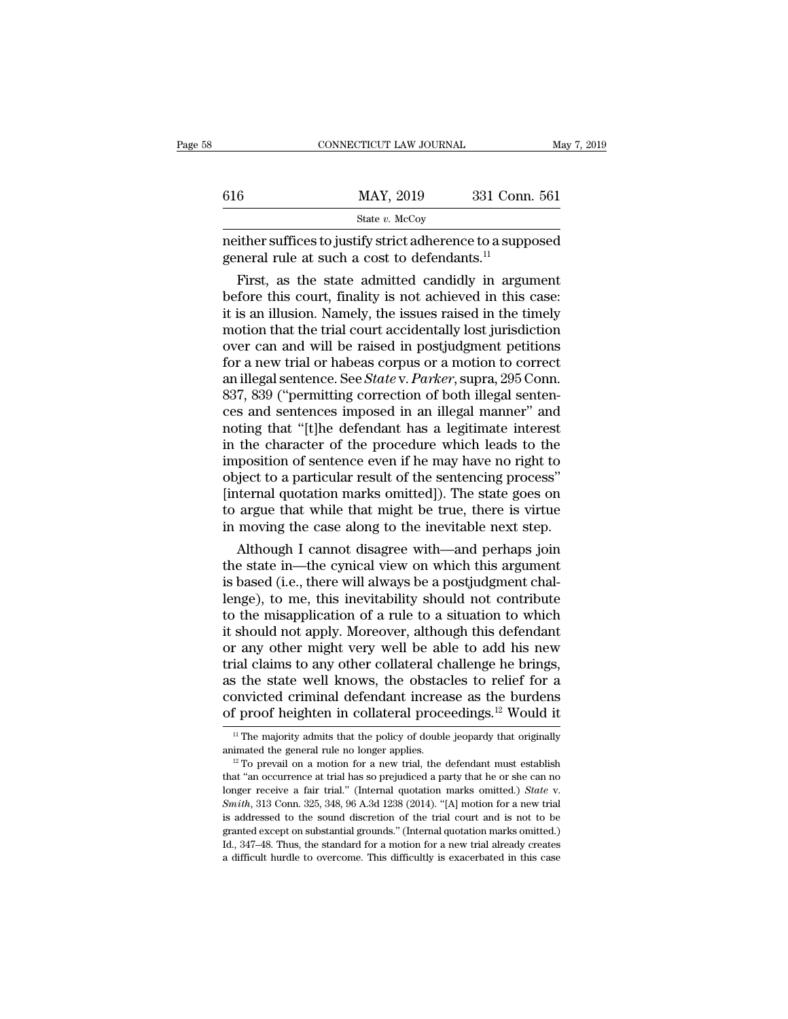|     | CONNECTICUT LAW JOURNAL                                                                                                                                                      | May 7, 2019   |
|-----|------------------------------------------------------------------------------------------------------------------------------------------------------------------------------|---------------|
| 616 | MAY, 2019                                                                                                                                                                    | 331 Conn. 561 |
|     | State $v$ . McCoy                                                                                                                                                            |               |
|     | neither suffices to justify strict adherence to a supposed<br>general rule at such a cost to defendants. <sup>11</sup>                                                       |               |
|     | First, as the state admitted candidly in argument<br>before this court, finality is not achieved in this case:<br>it is an illusion. Namely, the issues raised in the timely |               |

616 MAY, 2019 331 Conn. 561<br>
State *v.* McCoy<br>
neither suffices to justify strict adherence to a supposed<br>
general rule at such a cost to defendants.<sup>11</sup><br>
First, as the state admitted candidly in argument<br>
before this cou State v. McCoy<br>
meither suffices to justify strict adherence to a supposed<br>
general rule at such a cost to defendants.<sup>11</sup><br>
First, as the state admitted candidly in argument<br>
before this court, finality is not achieved in meither suffices to justify strict adherence to a supposed<br>general rule at such a cost to defendants.<sup>11</sup><br>First, as the state admitted candidly in argument<br>before this court, finality is not achieved in this case:<br>it is an mether suffices to justify strict adherence to a supposed<br>general rule at such a cost to defendants.<sup>11</sup><br>First, as the state admitted candidly in argument<br>before this court, finality is not achieved in this case:<br>it is an general rule at such a cost to detendants."<br>First, as the state admitted candidly in argument<br>before this court, finality is not achieved in this case:<br>it is an illusion. Namely, the issues raised in the timely<br>motion tha First, as the state admitted candidly in argument<br>before this court, finality is not achieved in this case:<br>it is an illusion. Namely, the issues raised in the timely<br>motion that the trial court accidentally lost jurisdict before this court, finality is not achieved in this case:<br>it is an illusion. Namely, the issues raised in the timely<br>motion that the trial court accidentally lost jurisdiction<br>over can and will be raised in postjudgment p it is an illusion. Namely, the issues raised in the timely<br>motion that the trial court accidentally lost jurisdiction<br>over can and will be raised in postjudgment petitions<br>for a new trial or habeas corpus or a motion to co motion that the trial court accidentally lost jurisdiction<br>over can and will be raised in postjudgment petitions<br>for a new trial or habeas corpus or a motion to correct<br>an illegal sentence. See *State* v. *Parker*, supra, over can and will be raised in postjudgment petitions<br>for a new trial or habeas corpus or a motion to correct<br>an illegal sentence. See *State* v. *Parker*, supra, 295 Conn.<br>837, 839 ("permitting correction of both illegal for a new trial or habeas corpus or a motion to correct<br>an illegal sentence. See *State* v. *Parker*, supra, 295 Conn.<br>837, 839 ("permitting correction of both illegal senten-<br>ces and sentences imposed in an illegal manner an illegal sentence. See *State* v. *Parker*, supra, 295 Conn.<br>837, 839 ("permitting correction of both illegal sentences and sentences imposed in an illegal manner" and<br>noting that "[t]he defendant has a legitimate intere 837, 839 ("permitting correction of both illegal sentences and sentences imposed in an illegal manner" and noting that "[t]he defendant has a legitimate interest in the character of the procedure which leads to the imposit ces and sentences imposed in an illegal manner" and<br>noting that "[t]he defendant has a legitimate interest<br>in the character of the procedure which leads to the<br>imposition of sentence even if he may have no right to<br>object noting that "[t]he defendant has a legitimate interest<br>in the character of the procedure which leads to the<br>imposition of sentence even if he may have no right to<br>object to a particular result of the sentencing process"<br>[i the character of the procedure which leads to the<br>position of sentence even if he may have no right to<br>ject to a particular result of the sentencing process"<br>iternal quotation marks omitted]). The state goes on<br>argue that mposition of sentence even if he may have no right to<br>object to a particular result of the sentencing process"<br>[internal quotation marks omitted]). The state goes on<br>to argue that while that might be true, there is virtue<br>

object to a particular result of the sentencing process"<br>[internal quotation marks omitted]). The state goes on<br>to argue that while that might be true, there is virtue<br>in moving the case along to the inevitable next step.<br> [internal quotation marks omitted]). The state goes on<br>to argue that while that might be true, there is virtue<br>in moving the case along to the inevitable next step.<br>Although I cannot disagree with—and perhaps join<br>the stat to argue that while that might be true, there is virtue<br>in moving the case along to the inevitable next step.<br>Although I cannot disagree with—and perhaps join<br>the state in—the cynical view on which this argument<br>is based ( in moving the case along to the inevitable next step.<br>Although I cannot disagree with—and perhaps join<br>the state in—the cynical view on which this argument<br>is based (i.e., there will always be a postjudgment chal-<br>lenge), Although I cannot disagree with—and perhaps join<br>the state in—the cynical view on which this argument<br>is based (i.e., there will always be a postjudgment chal-<br>lenge), to me, this inevitability should not contribute<br>to the the state in—the cynical view on which this argument<br>is based (i.e., there will always be a postjudgment chal-<br>lenge), to me, this inevitability should not contribute<br>to the misapplication of a rule to a situation to which is based (i.e., there will always be a postjudgment challenge), to me, this inevitability should not contribute<br>to the misapplication of a rule to a situation to which<br>it should not apply. Moreover, although this defendan lenge), to me, this inevitability should not contribute<br>to the misapplication of a rule to a situation to which<br>it should not apply. Moreover, although this defendant<br>or any other might very well be able to add his new<br>tr to the misapplication of a rule to a situation to which<br>it should not apply. Moreover, although this defendant<br>or any other might very well be able to add his new<br>trial claims to any other collateral challenge he brings,<br> trial claims to any other collateral challenge he brings,<br>as the state well knows, the obstacles to relief for a<br>convicted criminal defendant increase as the burdens<br>of proof heighten in collateral proceedings.<sup>12</sup> Would as the state well knows, the obstacles to relief for a<br>convicted criminal defendant increase as the burdens<br>of proof heighten in collateral proceedings.<sup>12</sup> Would it<br> $\frac{1}{1}$  The majority admits that the policy of double

of proof heighten in collateral proceedings.<sup>12</sup> Would it<br>
<sup>11</sup> The majority admits that the policy of double jeopardy that originally<br>
animated the general rule no longer applies.<br>
<sup>12</sup> To prevail on a motion for a new t If The majority admits that the policy of double jeopardy that originally animated the general rule no longer applies.<br><sup>12</sup> To prevail on a motion for a new trial, the defendant must establish that "an occurrence at trial animated the general rule no longer applies.<br>
<sup>12</sup> To prevail on a motion for a new trial, the defendant must establish that "an occurrence at trial has so prejudiced a party that he or she can no longer receive a fair tr <sup>12</sup> To prevail on a motion for a new trial, the defendant must establish that "an occurrence at trial has so prejudiced a party that he or she can no longer receive a fair trial." (Internal quotation marks omitted.) *Sta* In that "an occurrence at trial has so prejudiced a party that he or she can no longer receive a fair trial." (Internal quotation marks omitted.) *State* v. *Smith*, 313 Conn. 325, 348, 96 A.3d 1238 (2014). "[A] motion for longer receive a fair trial." (Internal quotation marks omitted.) *State* v. *Smith*, 313 Conn. 325, 348, 96 A.3d 1238 (2014). "[A] motion for a new trial is addressed to the sound discretion of the trial court and is not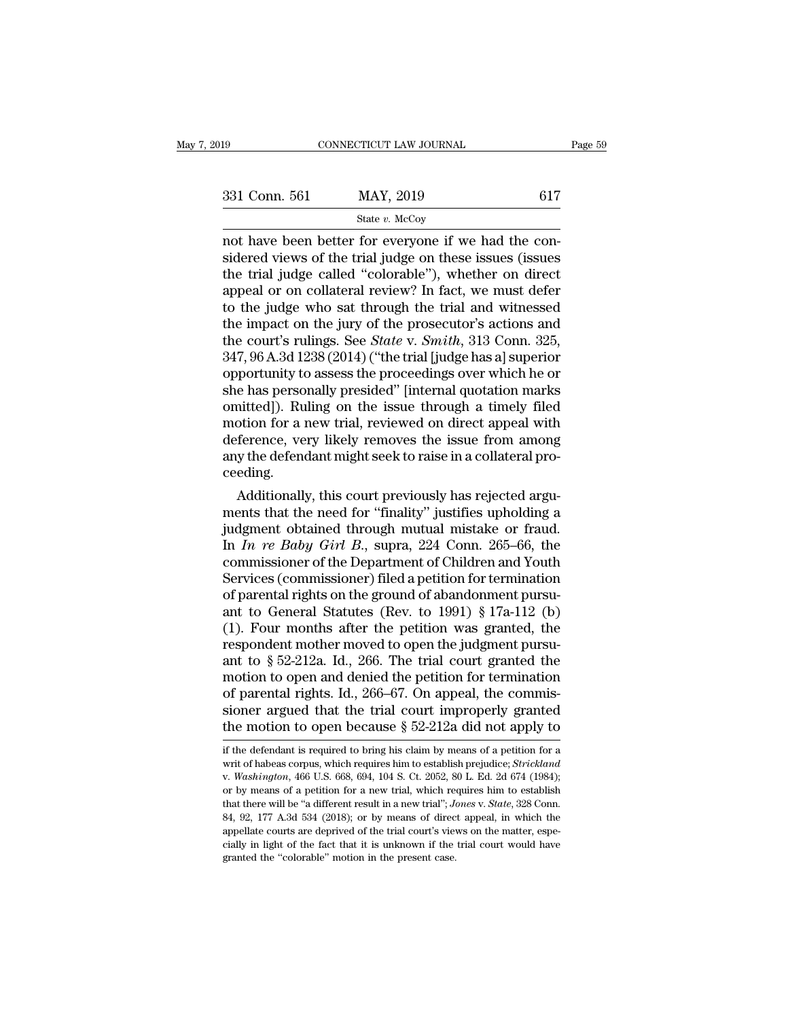| 019           | CONNECTICUT LAW JOURNAL                                                                                                                                                   | Page 59 |
|---------------|---------------------------------------------------------------------------------------------------------------------------------------------------------------------------|---------|
|               |                                                                                                                                                                           |         |
| 331 Conn. 561 | MAY, 2019                                                                                                                                                                 | 617     |
|               | State $v$ . McCoy                                                                                                                                                         |         |
|               | not have been better for everyone if we had the con-<br>sidered views of the trial judge on these issues (issues<br>the trial judge called "colorable") whether on direct |         |

331 Conn. 561 MAY, 2019 617<br>
State v. McCoy<br>
not have been better for everyone if we had the considered views of the trial judge on these issues (issues<br>
the trial judge called "colorable"), whether on direct<br>
anneal or o 331 Conn. 561 MAY, 2019 617<br>
State v. McCoy<br>
not have been better for everyone if we had the considered views of the trial judge on these issues (issues<br>
the trial judge called "colorable"), whether on direct<br>
appeal or o 331 Conn. 561 MAY, 2019 617<br>
State v. McCoy<br>
not have been better for everyone if we had the considered views of the trial judge on these issues (issues<br>
the trial judge called "colorable"), whether on direct<br>
appeal or o Solution of the value of the value who sate who sate who sidered views of the trial judge on these issues (issues<br>the trial judge called "colorable"), whether on direct<br>appeal or on collateral review? In fact, we must def state v. McCoy<br>
not have been better for everyone if we had the con-<br>
sidered views of the trial judge on these issues (issues<br>
the trial judge called "colorable"), whether on direct<br>
appeal or on collateral review? In fa not have been better for everyone if we had the considered views of the trial judge on these issues (issues the trial judge called "colorable"), whether on direct appeal or on collateral review? In fact, we must defer to t sidered views of the trial judge on these issues (issues<br>the trial judge called "colorable"), whether on direct<br>appeal or on collateral review? In fact, we must defer<br>to the judge who sat through the trial and witnessed<br>th the trial judge called "colorable"), whether on direct<br>appeal or on collateral review? In fact, we must defer<br>to the judge who sat through the trial and witnessed<br>the impact on the jury of the prosecutor's actions and<br>the appeal or on collateral review? In fact, we must defer<br>to the judge who sat through the trial and witnessed<br>the impact on the jury of the prosecutor's actions and<br>the court's rulings. See *State* v. *Smith*, 313 Conn. 325, to the judge who sat through the trial and witnessed<br>the impact on the jury of the prosecutor's actions and<br>the court's rulings. See *State* v. *Smith*, 313 Conn. 325,<br>347, 96 A.3d 1238 (2014) ("the trial [judge has a] sup the impact on the jury of the prosecutor's actions and<br>the court's rulings. See *State* v. *Smith*, 313 Conn. 325,<br>347, 96 A.3d 1238 (2014) ("the trial [judge has a] superior<br>opportunity to assess the proceedings over whic the court's rulings. See *State* v. *Smith*, 313 Conn. 325, 347, 96 A.3d 1238 (2014) ("the trial [judge has a] superior opportunity to assess the proceedings over which he or she has personally presided" [internal quotatio 347, 96 A.3d 1238 (2014) ("the trial [judge has a] superior opportunity to assess the proceedings over which he or she has personally presided" [internal quotation marks omitted]). Ruling on the issue through a timely file ceeding. e nas personally presided [Internal quotation marks<br>initted]). Ruling on the issue through a timely filed<br>otion for a new trial, reviewed on direct appeal with<br>ference, very likely removes the issue from among<br>y the defend omitted]). Ruling on the issue through a timely filed<br>motion for a new trial, reviewed on direct appeal with<br>deference, very likely removes the issue from among<br>any the defendant might seek to raise in a collateral pro-<br>c

motion for a new trial, reviewed on direct appeal with<br>deference, very likely removes the issue from among<br>any the defendant might seek to raise in a collateral pro-<br>ceeding.<br>Additionally, this court previously has reject deference, very likely removes the issue from among<br>any the defendant might seek to raise in a collateral pro-<br>ceeding.<br>Additionally, this court previously has rejected argu-<br>ments that the need for "finality" justifies up any the derendant might seek to raise in a conateral proceeding.<br>
Additionally, this court previously has rejected arguments that the need for "finality" justifies upholding a<br>
judgment obtained through mutual mistake or f ceeding.<br>
Additionally, this court previously has rejected arguments that the need for "finality" justifies upholding a<br>
judgment obtained through mutual mistake or fraud.<br>
In *In re Baby Girl B*., supra, 224 Conn. 265–66 Additionally, this court previously has rejected arguments that the need for "finality" justifies upholding a judgment obtained through mutual mistake or fraud.<br>In *In re Baby Girl B*., supra, 224 Conn. 265–66, the commis ments that the need for "finality" justifies upholding a<br>judgment obtained through mutual mistake or fraud.<br>In *In re Baby Girl B.*, supra, 224 Conn. 265–66, the<br>commissioner of the Department of Children and Youth<br>Servic judgment obtained through mutual mistake or fraud.<br>In *In re Baby Girl B*., supra, 224 Conn. 265–66, the<br>commissioner of the Department of Children and Youth<br>Services (commissioner) filed a petition for termination<br>of par In *In re Baby Girl B.*, supra, 224 Conn. 265–66, the<br>commissioner of the Department of Children and Youth<br>Services (commissioner) filed a petition for termination<br>of parental rights on the ground of abandonment pursu-<br>an commissioner of the Department of Children and Youth<br>Services (commissioner) filed a petition for termination<br>of parental rights on the ground of abandonment pursu-<br>ant to General Statutes (Rev. to 1991) § 17a-112 (b)<br>(1). Services (commissioner) filed a petition for termination<br>of parental rights on the ground of abandonment pursu-<br>ant to General Statutes (Rev. to 1991) § 17a-112 (b)<br>(1). Four months after the petition was granted, the<br>res of parental rights on the ground of abandonment pursu-<br>ant to General Statutes (Rev. to 1991) § 17a-112 (b)<br>(1). Four months after the petition was granted, the<br>respondent mother moved to open the judgment pursu-<br>ant to § ant to General Statutes (Rev. to 1991) § 17a-112 (b)<br>(1). Four months after the petition was granted, the<br>respondent mother moved to open the judgment pursu-<br>ant to § 52-212a. Id., 266. The trial court granted the<br>motion (1). Four months after the petition was granted, the respondent mother moved to open the judgment pursu-<br>ant to  $\S 52-212a$ . Id., 266. The trial court granted the motion to open and denied the petition for termination<br>of motion to open and denied the petition for termination<br>of parental rights. Id., 266–67. On appeal, the commis-<br>sioner argued that the trial court improperly granted<br>the motion to open because  $\S~52-212a$  did not apply to<br> of parental rights. Id., 266–67. On appeal, the commissioner argued that the trial court improperly granted<br>the motion to open because § 52-212a did not apply to<br>if the defendant is required to bring his claim by means of

sioner argued that the trial court improperly granted<br>the motion to open because  $\S$  52-212a did not apply to<br>if the defendant is required to bring his claim by means of a petition for a<br>writ of habeas corpus, which requi the motion to open because § 52-212a did not apply to<br>if the defendant is required to bring his claim by means of a petition for a<br>writ of habeas corpus, which requires him to establish prejudice; *Strickland*<br>v. *Washing* if the defendant is required to bring his claim by means of a petition for a writ of habeas corpus, which requires him to establish prejudice; *Strickland* v. *Washington*, 466 U.S. 668, 694, 104 S. Ct. 2052, 80 L. Ed. 2d if the defendant is required to bring his claim by means of a petition for a writ of habeas corpus, which requires him to establish prejudice; *Strickland* v. *Washington*, 466 U.S. 668, 694, 104 S. Ct. 2052, 80 L. Ed. 2d writ of habeas corpus, which requires him to establish prejudice; *Strickland* v. *Washington*, 466 U.S. 668, 694, 104 S. Ct. 2052, 80 L. Ed. 2d 674 (1984); or by means of a petition for a new trial, which requires him to w. *Washington*, 466 U.S. 668, 694, 104 S. Ct. 2052, 80 L. Ed. 2d 674 (1984); or by means of a petition for a new trial, which requires him to establish that there will be "a different result in a new trial"; *Jones v. St* or by means of a petition for a new trial, which requires him to establish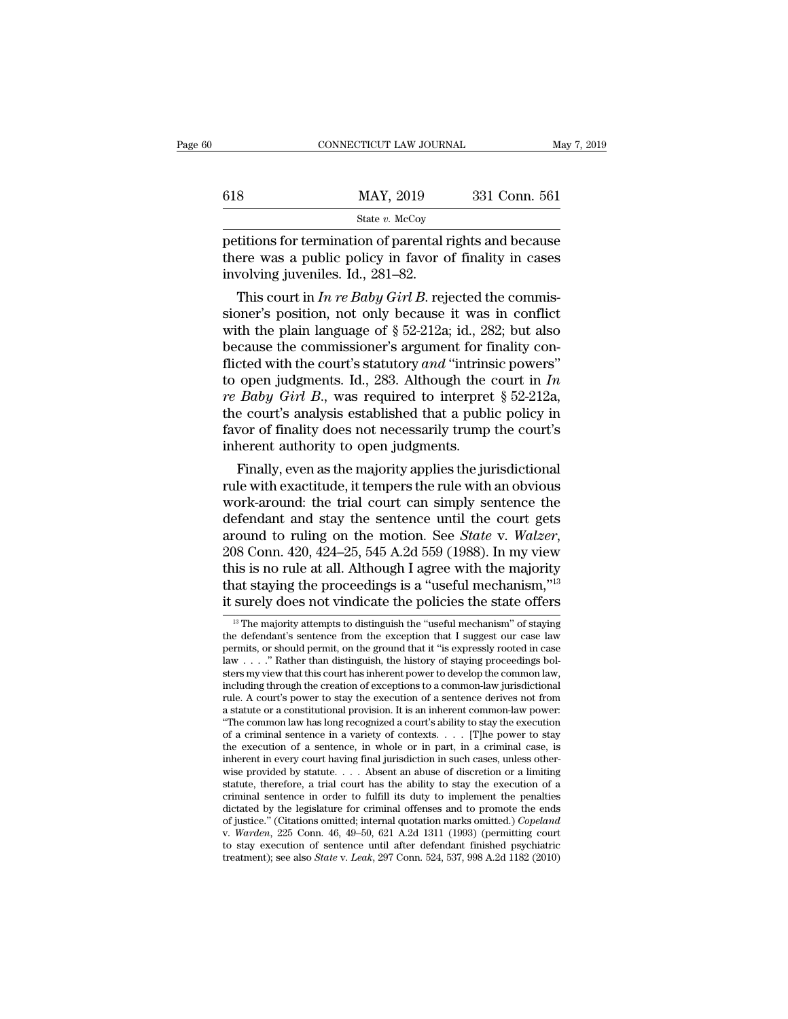|     | CONNECTICUT LAW JOURNAL | May 7, 2019   |  |
|-----|-------------------------|---------------|--|
|     |                         |               |  |
| 618 | MAY, 2019               | 331 Conn. 561 |  |
|     | State $v$ . McCoy       |               |  |

State *v.* McCoy

FREE CONNECTICUT LAW JOURNAL May 7, 2019<br> **PEREON MAY, 2019** 331 Conn. 561<br>
State v. McCoy<br>
petitions for termination of parental rights and because<br>
there was a public policy in favor of finality in cases<br>
involving invo 618 MAY, 2019 331 Conn. 561<br>
State v. McCoy<br>
petitions for termination of parental rights and because<br>
there was a public policy in favor of finality in cases<br>
involving juveniles. Id., 281–82. 618 MAY, 2019<br>
State v. McCoy<br>
petitions for termination of parental if<br>
there was a public policy in favor dinvolving juveniles. Id., 281–82.<br>
This court in In re Baby Girl B. rej MAY, 2019 331 Conn. 561<br>
State *v.* McCoy<br>
ditions for termination of parental rights and because<br>
ere was a public policy in favor of finality in cases<br>
volving juveniles. Id., 281–82.<br>
This court in *In re Baby Girl B*.

State v. McCoy<br>
petitions for termination of parental rights and because<br>
there was a public policy in favor of finality in cases<br>
involving juveniles. Id., 281–82.<br>
This court in *In re Baby Girl B*. rejected the commispetitions for termination of parental rights and because<br>there was a public policy in favor of finality in cases<br>involving juveniles. Id., 281–82.<br>This court in *In re Baby Girl B*. rejected the commis-<br>sioner's position, petitions for termination of parental rights and because<br>there was a public policy in favor of finality in cases<br>involving juveniles. Id., 281–82.<br>This court in *In re Baby Girl B*, rejected the commis-<br>sioner's position, there was a public policy in flavor of miality in cases<br>involving juveniles. Id., 281–82.<br>This court in *In re Baby Girl B*, rejected the commis-<br>sioner's position, not only because it was in conflict<br>with the plain langu the multimage in the *n* operator of the commissioner's position, not only because it was in conflict<br>with the plain language of § 52-212a; id., 282; but also<br>because the commissioner's argument for finality con-<br>flicted This court in *In re Baby Girl B*. rejected the commissioner's position, not only because it was in conflict with the plain language of  $\S 52-212a$ ; id., 282; but also because the commissioner's argument for finality conf sioner's position, not only because it was in conflict<br>with the plain language of  $\S$  52-212a; id., 282; but also<br>because the commissioner's argument for finality con-<br>flicted with the court's statutory and "intrinsic pow with the plain language of § 52-212a; id., 282; but also<br>because the commissioner's argument for finality con-<br>flicted with the court's statutory and "intrinsic powers"<br>to open judgments. Id., 283. Although the court in because the commissioner's argument for f<br>flicted with the court's statutory and "intrins<br>to open judgments. Id., 283. Although the<br>*re Baby Girl B*., was required to interpret<br>the court's analysis established that a publi cted with the court s statutory *and* intrinsic powers<br>open judgments. Id., 283. Although the court in *In*<br>*Baby Girl B.*, was required to interpret § 52-212a,<br>e court's analysis established that a public policy in<br>vor o to open judgments. Id., 283. Although the court in  $m$ <br>*re Baby Girl B.*, was required to interpret § 52-212a,<br>the court's analysis established that a public policy in<br>favor of finality does not necessarily trump the cour

*re Baoy Girt B.*, was required to interpret § 52-212a, the court's analysis established that a public policy in favor of finality does not necessarily trump the court's inherent authority to open judgments. Finally, even the court s analysis established that a public policy in favor of finality does not necessarily trump the court's inherent authority to open judgments.<br>Finally, even as the majority applies the jurisdictional rule with ex ravor or manty does not necessarily trump the court s<br>inherent authority to open judgments.<br>Finally, even as the majority applies the jurisdictional<br>rule with exactitude, it tempers the rule with an obvious<br>work-around: th Finally, even as the majority applies the jurisdictional<br>rule with exactitude, it tempers the rule with an obvious<br>work-around: the trial court can simply sentence the<br>defendant and stay the sentence until the court gets<br>a rule with exactitude, it tempers the rule with an obvious<br>work-around: the trial court can simply sentence the<br>defendant and stay the sentence until the court gets<br>around to ruling on the motion. See *State* v. *Walzer*,<br>2 work-around: the trial court can simply sentence the<br>defendant and stay the sentence until the court gets<br>around to ruling on the motion. See *State* v. *Walzer*,<br>208 Conn. 420, 424–25, 545 A.2d 559 (1988). In my view<br>thi 13 The majority attempts to distinguish the ''useful mechanism,'' or a staying the proceedings is a "useful mechanism,''  $^{13}$  surely does not vindicate the policies the state offers  $^{13}$  The majority attempts to disti this is no rule at all. Although I agree with the majority<br>that staying the proceedings is a "useful mechanism,"<sup>13</sup><br>it surely does not vindicate the policies the state offers<br><sup>13</sup> The majority attempts to distinguish the

that staying the proceedings is a "useful mechanism,"<sup>13</sup><br>that staying the proceedings is a "useful mechanism,"<sup>13</sup><br>it surely does not vindicate the policies the state offers<br> $\frac{1}{\sqrt{2}}$  The majority attempts to distingu that staying the proceedings is a "useful mechanism,"<sup>16</sup><br>it surely does not vindicate the policies the state offers<br> $\frac{13}{18}$  The majority attempts to distinguish the "useful mechanism" of staying<br>the defendant's sente it surely does not vindicate the policies the state offers  $\frac{1}{12}$  The majority attempts to distinguish the "useful mechanism" of staying the defendant's sentence from the exception that I suggest our case law permits, <sup>13</sup> The majority attempts to distinguish the "useful mechanism" of staying the defendant's sentence from the exception that I suggest our case law permits, or should permit, on the ground that it "is expressly rooted in <sup>13</sup> The majority attempts to distinguish the "useful mechanism" of staying the defendant's sentence from the exception that I suggest our case law permits, or should permit, on the ground that it "is expressly rooted in the defendant's sentence from the exception that I suggest our case law<br>permits, or should permit, on the ground that it "is expressly rooted in case<br>law . . . ." Rather than distinguish, the history of staying proceeding permits, or should permit, on the ground that it "is expressly rooted in case law . . . ." Rather than distinguish, the history of staying proceedings bolsters my view that this court has inherent power to develop the com law . . . . " Rather than distinguish, the history of staying proceedings bol-<br>sters my view that this court has inherent power to develop the common law,<br>including through the creation of exceptions to a common-law juris sters my view that this court has inherent power to develop the common law,<br>including through the creation of exceptions to a common-law jurisdictional<br>rule. A court's power to stay the execution of a sentence derives not rule. A court's power to stay the execution of a sentence derives not from a statute or a constitutional provision. It is an inherent common-law power: "The common law has long recognized a court's ability to stay the exe rule. A court's power to stay the execution of a sentence derives not from<br>a statute or a constitutional provision. It is an inherent common-law power:<br>"The common law has long recognized a court's ability to stay the exe a statute or a constitutional provision. It is an inherent common-law power:<br>"The common law has long recognized a court's ability to stay the execution<br>of a criminal sentence in a variety of contexts. . . . [T]he power t "The common law has long recognized a court's ability to stay the execution of a criminal sentence in a variety of contexts. . . . [T]he power to stay the execution of a sentence, in whole or in part, in a criminal case, of a criminal sentence in a variety of contexts. . . . [T]he power to stay<br>the execution of a sentence, in whole or in part, in a criminal case, is<br>inherent in every court having final jurisdiction in such cases, unless o the execution of a sentence, in whole or in part, in a criminal case, is<br>inherent in every court having final jurisdiction in such cases, unless other-<br>wise provided by statute. . . . Absent an abuse of discretion or a lim inherent in every court having final jurisdiction in such cases, unless otherwise provided by statute. . . . Absent an abuse of discretion or a limiting statute, therefore, a trial court has the ability to stay the executi wise provided by statute. . . . Absent an abuse of discretion or a limiting statute, therefore, a trial court has the ability to stay the execution of a criminal sentence in order to fulfill its duty to implement the pena statute, therefore, a trial court has the ability to stay the execution of a criminal sentence in order to fulfill its duty to implement the penalties dictated by the legislature for criminal offenses and to promote the en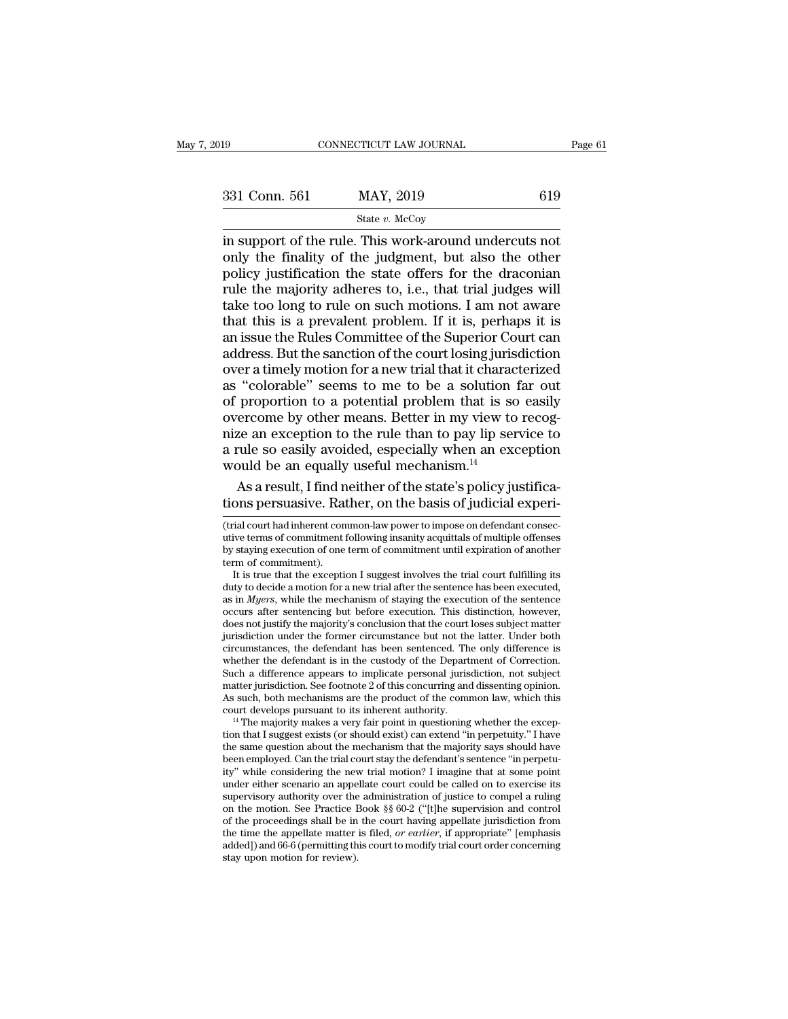| 919           | CONNECTICUT LAW JOURNAL                                                                                                                                                    | Page 61 |
|---------------|----------------------------------------------------------------------------------------------------------------------------------------------------------------------------|---------|
|               |                                                                                                                                                                            |         |
| 331 Conn. 561 | MAY, 2019                                                                                                                                                                  | 619     |
|               | State $v$ . McCoy                                                                                                                                                          |         |
|               | in support of the rule. This work-around undercuts not<br>only the finality of the judgment, but also the other<br>nolicy instification the state offers for the draconian |         |

331 Conn. 561 MAY, 2019 619<br>
State v. McCoy<br>
in support of the rule. This work-around undercuts not<br>
only the finality of the judgment, but also the other<br>
policy justification the state offers for the draconian<br>
rule the 331 Conn. 561 MAY, 2019 619<br>
State v. McCoy<br>
in support of the rule. This work-around undercuts not<br>
only the finality of the judgment, but also the other<br>
policy justification the state offers for the draconian<br>
rule the 331 Conn. 561 MAY, 2019 619<br>
State v. McCoy<br>
in support of the rule. This work-around undercuts not<br>
only the finality of the judgment, but also the other<br>
policy justification the state offers for the draconian<br>
rule the Solution of the rule. This work-around undercuts not<br>in support of the rule. This work-around undercuts not<br>only the finality of the judgment, but also the other<br>policy justification the state offers for the draconian<br>rul State  $v$ . McCoy<br>in support of the rule. This work-around undercuts not<br>only the finality of the judgment, but also the other<br>policy justification the state offers for the draconian<br>rule the majority adheres to, i.e., tha in support of the rule. This work-around undercuts not<br>only the finality of the judgment, but also the other<br>policy justification the state offers for the draconian<br>rule the majority adheres to, i.e., that trial judges wil only the finality of the judgment, but also the other<br>policy justification the state offers for the draconian<br>rule the majority adheres to, i.e., that trial judges will<br>take too long to rule on such motions. I am not aware policy justification the state offers for the draconian<br>rule the majority adheres to, i.e., that trial judges will<br>take too long to rule on such motions. I am not aware<br>that this is a prevalent problem. If it is, perhaps i rule the majority adheres to, i.e., that trial judges will<br>take too long to rule on such motions. I am not aware<br>that this is a prevalent problem. If it is, perhaps it is<br>an issue the Rules Committee of the Superior Court take too long to rule on such motions. I am not aware<br>that this is a prevalent problem. If it is, perhaps it is<br>an issue the Rules Committee of the Superior Court can<br>address. But the sanction of the court losing jurisdict that this is a prevalent problem. If it is, perhaps it is<br>an issue the Rules Committee of the Superior Court can<br>address. But the sanction of the court losing jurisdiction<br>over a timely motion for a new trial that it chara an issue the Rules Committee of the Superior Court can<br>address. But the sanction of the court losing jurisdiction<br>over a timely motion for a new trial that it characterized<br>as "colorable" seems to me to be a solution far address. But the sanction of the court losing jurisdiction<br>over a timely motion for a new trial that it characterized<br>as "colorable" seems to me to be a solution far out<br>of proportion to a potential problem that is so easi over a timely motion for a new trial that it character as "colorable" seems to me to be a solution of proportion to a potential problem that is so overcome by other means. Better in my view to nize an exception to the rule "colorable" seems to me to be a solution far out proportion to a potential problem that is so easily ercome by other means. Better in my view to recog-<br>ze an exception to the rule than to pay lip service to<br>rule so easily of proportion to a potential problem that is so easily<br>overcome by other means. Better in my view to recog-<br>nize an exception to the rule than to pay lip service to<br>a rule so easily avoided, especially when an exception<br>wo

<sup>(</sup>trial court had inherent common-law power to impose on defendant consections persuasive. Rather, on the basis of judicial experitions persuasive. Rather, on the basis of judicial experitions persuasive. Rather, on the ba would be an equally useful mechanism.<sup>14</sup><br>As a result, I find neither of the state's policy justifica-<br>tions persuasive. Rather, on the basis of judicial experi-<br>(trial court had inherent common-law power to impose on def As a result, I find neither of the state's policy justifications persuasive. Rather, on the basis of judicial experi-<br>
(trial court had inherent common-law power to impose on defendant consecutive terms of commitment follo As a result, I find r<br>tions persuasive. Ra<br>(trial court had inherent con<br>utive terms of commitment<br>by staying execution of one<br>term of commitment).<br>It is true that the excepti ons persuasive. Rather, on the basis of judicial experi-<br>ial court had inherent common-law power to impose on defendant consec-<br>ive terms of commitment following insanity acquittals of multiple offenses<br>staying execution o (trial court had inherent common-law power to impose on defendant consecutive terms of commitment following insanity acquittals of multiple offenses by staying execution of one term of commitment until expiration of anoth

<sup>(</sup>trial court had inherent common-law power to impose on defendant consecutive terms of commitment following insanity acquittals of multiple offenses<br>by staying execution of one term of commitment until expiration of anothe utive terms of commitment following insanity acquittals of multiple offenses<br>by staying execution of one term of commitment until expiration of another<br>term of commitment).<br>It is true that the exception I suggest involves by staying execution of one term of commitment until expiration of another term of commitment).<br>
It is true that the exception I suggest involves the trial court fulfilling its<br>
duty to decide a motion for a new trial aft term of commitment).<br>It is true that the exception I suggest involves the trial court fulfilling its<br>duty to decide a motion for a new trial after the sentence has been executed,<br>as in *Myers*, while the mechanism of stay It is true that the exception I suggest involves the trial court fulfilling its<br>duty to decide a motion for a new trial after the sentence has been executed,<br>as in *Myers*, while the mechanism of staying the execution of duty to decide a motion for a new trial after the sentence has been executed, as in *Myers*, while the mechanism of staying the execution of the sentence occurs after sentencing but before execution. This distinction, howe as in *Myers*, while the mechanism of staying the execution of the sentence occurs after sentencing but before execution. This distinction, however, does not justify the majority's conclusion that the court loses subject occurs after sentencing but before execution. This distinction, however, does not justify the majority's conclusion that the court loses subject matter jurisdiction under the former circumstance but not the latter. Under b does not justify the majority's conclusion that the court loses subject matter jurisdiction under the former circumstance but not the latter. Under both circumstances, the defendant has been sentenced. The only difference jurisdiction under the former circumstance but not the latter. Under both circumstances, the defendant has been sentenced. The only difference is whether the defendant is in the custody of the Department of Correction. Su whether the defendant is in the custody of the Department of Correction.<br>Such a difference appears to implicate personal jurisdiction, not subject<br>matter jurisdiction. See footnote 2 of this concurring and dissenting opini

Such a difference appears to implicate personal jurisdiction, not subject<br>matter jurisdiction. See footnote 2 of this concurring and dissenting opinion.<br>As such, both mechanisms are the product of the common law, which th matter jurisdiction. See footnote 2 of this concurring and dissenting opinion.<br>As such, both mechanisms are the product of the common law, which this<br>court develops pursuant to its inherent authority.<br><sup>14</sup> The majority mak As such, both mechanisms are the product of the common law, which this court develops pursuant to its inherent authority.<br>
<sup>14</sup> The majority makes a very fair point in questioning whether the exception that I suggest exist court develops pursuant to its inherent authority.<br><sup>14</sup> The majority makes a very fair point in questioning whether the exception that I suggest exists (or should exist) can extend "in perpetuity." I have the same question <sup>14</sup> The majority makes a very fair point in questioning whether the exception that I suggest exists (or should exist) can extend "in perpetuity." I have the same question about the mechanism that the majority says should tion that I suggest exists (or should exist) can extend "in perpetuity." I have the same question about the mechanism that the majority says should have been employed. Can the trial court stay the defendant's sentence "in the same question about the mechanism that the majority says should have been employed. Can the trial court stay the defendant's sentence "in perpetu-<br>ity" while considering the new trial motion? I imagine that at some po been employed. Can the trial court stay the defendant's sentence "in perpetu-<br>ity" while considering the new trial motion? I imagine that at some point<br>under either scenario an appellate court could be called on to exercis ity" while considering the new trial motion? I imagine that at some point<br>under either scenario an appellate court could be called on to exercise its<br>supervisory authority over the administration of justice to compel a rul supervisory authority over the administration of justice to compel a ruling<br>on the motion. See Practice Book §§ 60-2 ("[t]he supervision and control<br>of the proceedings shall be in the court having appellate jurisdiction f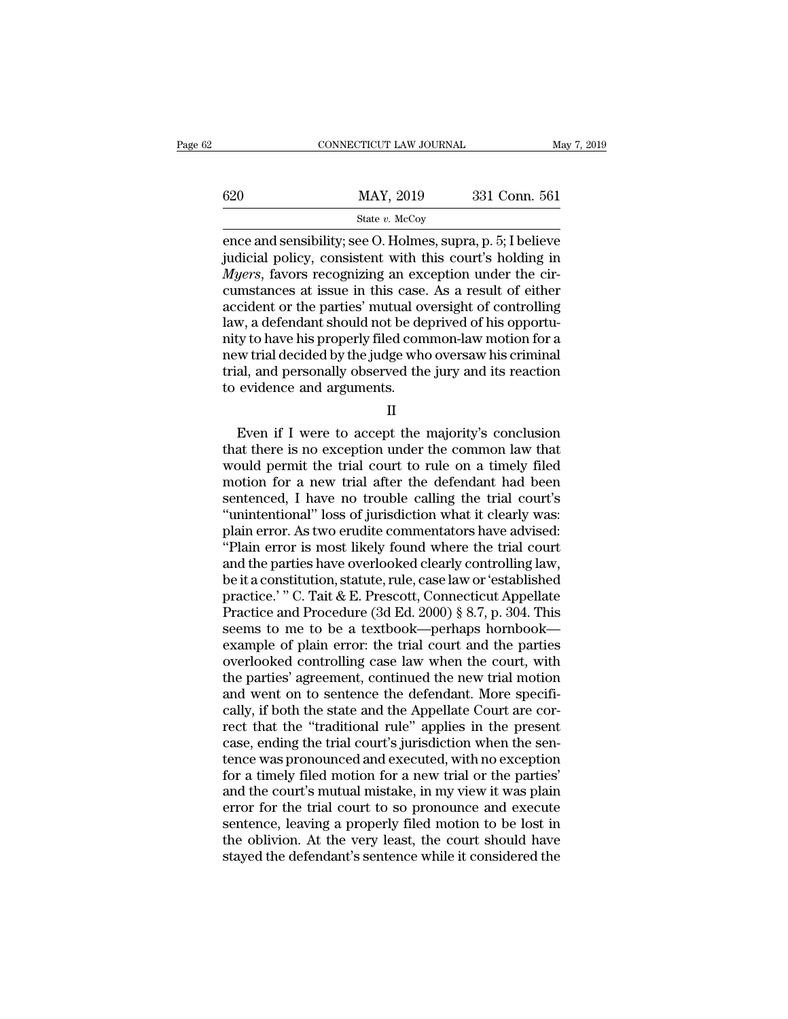|     | CONNECTICUT LAW JOURNAL                                                                                                                                                                | May 7, 2019   |
|-----|----------------------------------------------------------------------------------------------------------------------------------------------------------------------------------------|---------------|
| 620 | MAY, 2019                                                                                                                                                                              | 331 Conn. 561 |
|     | State $v$ . McCoy                                                                                                                                                                      |               |
|     | ence and sensibility; see O. Holmes, supra, p. 5; I believe<br>judicial policy, consistent with this court's holding in<br><i>Muere</i> favors recognizing an exception under the cir- |               |

 $\begin{array}{r} \text{max, 2019} \\ \text{501} \\ \text{512} \\ \text{620} \\ \text{631} \\ \text{641} \\ \text{651} \\ \text{661} \\ \text{67} \\ \text{681} \\ \text{681} \\ \text{691} \\ \text{691} \\ \text{601} \\ \text{601} \\ \text{601} \\ \text{601} \\ \text{61} \\ \text{62} \\ \text{61} \\ \text{62} \\ \text{63} \\ \text{64} \\ \text{65} \\ \text{66} \\ \text{67} \\ \text{68} \\ \text{6$  $\frac{\text{MAX, 2019}}{\text{State } v. \text{ McCoy}}$ <br> **MAY, 2019** 331 Conn. 561<br> **EXECUTE:** State *v.* McCoy<br> **EXECUTE:** State *v.* McCoy<br> **EXECUTE:** State in this count's holding in<br> *Myers*, favors recognizing an exception under the cir-<br>
cums 620 MAY, 2019 331 Conn. 561<br>
State v. McCoy<br>
ence and sensibility; see O. Holmes, supra, p. 5; I believe<br>
judicial policy, consistent with this court's holding in<br> *Myers*, favors recognizing an exception under the cir-<br> state v. McCoy<br>
and sensibility; see O. Holmes, supra, p. 5; I believe<br>
judicial policy, consistent with this court's holding in<br> *Myers*, favors recognizing an exception under the cir-<br>
cumstances at issue in this case. State v. McCoy<br>
ence and sensibility; see O. Holmes, supra, p. 5; I believe<br>
judicial policy, consistent with this court's holding in<br> *Myers*, favors recognizing an exception under the cir-<br>
cumstances at issue in this c ence and sensibility; see O. Holmes, supra, p. 5; I believe<br>judicial policy, consistent with this court's holding in<br>*Myers*, favors recognizing an exception under the cir-<br>cumstances at issue in this case. As a result of judicial policy, consistent with this court's holding in *Myers*, favors recognizing an exception under the circumstances at issue in this case. As a result of either accident or the parties' mutual oversight of controllin  $Myers$ , favors recognizing an exception under the circumstances at issue in this case. As a result of either accident or the parties' mutual oversight of controlling law, a defendant should not be deprived of his opportuni cumstances at issue in this case.<br>accident or the parties' mutual over<br>law, a defendant should not be de<br>nity to have his properly filed com<br>new trial decided by the judge who<br>trial, and personally observed the<br>to evidence Even if I were to accept the majority's conclusion<br>at the majority to have his properly filed common-law motion for a<br>w trial decided by the judge who oversaw his criminal<br>al, and personally observed the jury and its react

II

that the independent of the same increment is no except the state in the control of the control of the control of the control of the control of the common law that would permit the trial court to rule on a timely filed mot First and personally observed the jury and its reaction<br>to evidence and arguments.<br> $II$ <br>Even if I were to accept the majority's conclusion<br>that there is no exception under the common law that<br>would permit the trial court t matrix, and personally soscience and grapy and no readersh<br>to evidence and arguments.<br> $II$ <br>Even if I were to accept the majority's conclusion<br>that there is no exception under the common law that<br>would permit the trial cour II<br>
Even if I were to accept the majority's conclusion<br>
that there is no exception under the common law that<br>
would permit the trial court to rule on a timely filed<br>
motion for a new trial after the defendant had been<br>
sen II<br>
Even if I were to accept the majority's conclusion<br>
that there is no exception under the common law that<br>
would permit the trial court to rule on a timely filed<br>
motion for a new trial after the defendant had been<br>
sen Even if I were to accept the majority's conclusion<br>that there is no exception under the common law that<br>would permit the trial court to rule on a timely filed<br>motion for a new trial after the defendant had been<br>sentenced, that there is no exception under the common law that<br>
would permit the trial court to rule on a timely filed<br>
motion for a new trial after the defendant had been<br>
sentenced, I have no trouble calling the trial court's<br>
"un would permit the trial court to rule on a timely filed<br>motion for a new trial after the defendant had been<br>sentenced, I have no trouble calling the trial court's<br>"unintentional" loss of jurisdiction what it clearly was:<br>pl motion for a new trial after the defendant had been<br>sentenced, I have no trouble calling the trial court's<br>"unintentional" loss of jurisdiction what it clearly was:<br>plain error. As two erudite commentators have advised:<br>"P sentenced, I have no trouble calling the trial court's<br>
"unintentional" loss of jurisdiction what it clearly was:<br>
plain error. As two erudite commentators have advised:<br>
"Plain error is most likely found where the trial c "unintentional" loss of jurisdiction what it clearly was:<br>plain error. As two erudite commentators have advised:<br>"Plain error is most likely found where the trial court<br>and the parties have overlooked clearly controlling l plain error. As two erudite commentators have advised:<br>"Plain error is most likely found where the trial court<br>and the parties have overlooked clearly controlling law,<br>be it a constitution, statute, rule, case law or 'esta Figure 1.1 The parties have overlooked clearly controlling law,<br>be it a constitution, statute, rule, case law or 'established<br>practice.' " C. Tait & E. Prescott, Connecticut Appellate<br>Practice and Procedure (3d Ed. 2000) and the parties have overlooked clearly controlling law,<br>be it a constitution, statute, rule, case law or 'established<br>practice.' " C. Tait & E. Prescott, Connecticut Appellate<br>Practice and Procedure (3d Ed. 2000) § 8.7, p be it a constitution, statute, rule, case law or 'established<br>practice.' " C. Tait & E. Prescott, Connecticut Appellate<br>Practice and Procedure (3d Ed. 2000) § 8.7, p. 304. This<br>seems to me to be a textbook—perhaps hornbook practice.' " C. Tait & E. Prescott, Connecticut Appellate<br>Practice and Procedure (3d Ed. 2000) § 8.7, p. 304. This<br>seems to me to be a textbook—perhaps hornbook—<br>example of plain error: the trial court and the parties<br>ove Practice and Procedure  $(3d Ed. 2000)$  § 8.7, p. 304. This<br>seems to me to be a textbook—perhaps hornbook—<br>example of plain error: the trial court and the parties<br>overlooked controlling case law when the court, with<br>the part seems to me to be a textbook—perhaps hornbook—<br>example of plain error: the trial court and the parties<br>overlooked controlling case law when the court, with<br>the parties' agreement, continued the new trial motion<br>and went on example of plain error: the trial court and the parties<br>overlooked controlling case law when the court, with<br>the parties' agreement, continued the new trial motion<br>and went on to sentence the defendant. More specifi-<br>cally overlooked controlling case law when the court, with<br>the parties' agreement, continued the new trial motion<br>and went on to sentence the defendant. More specifi-<br>cally, if both the state and the Appellate Court are cor-<br>rec the parties' agreement, continued the new trial motion<br>and went on to sentence the defendant. More specifi-<br>cally, if both the state and the Appellate Court are cor-<br>rect that the "traditional rule" applies in the present<br> and went on to sentence the defendant. More specifically, if both the state and the Appellate Court are correct that the "traditional rule" applies in the present case, ending the trial court's jurisdiction when the senten cally, if both the state and the Appellate Court are correct that the "traditional rule" applies in the present case, ending the trial court's jurisdiction when the sentence was pronounced and executed, with no exception f rect that the "traditional rule" applies in the present<br>case, ending the trial court's jurisdiction when the sen-<br>tence was pronounced and executed, with no exception<br>for a timely filed motion for a new trial or the partie case, ending the trial court's jurisdiction when the sentence was pronounced and executed, with no exception for a timely filed motion for a new trial or the parties' and the court's mutual mistake, in my view it was plain tence was pronounced and executed, with no exception<br>for a timely filed motion for a new trial or the parties'<br>and the court's mutual mistake, in my view it was plain<br>error for the trial court to so pronounce and execute<br>s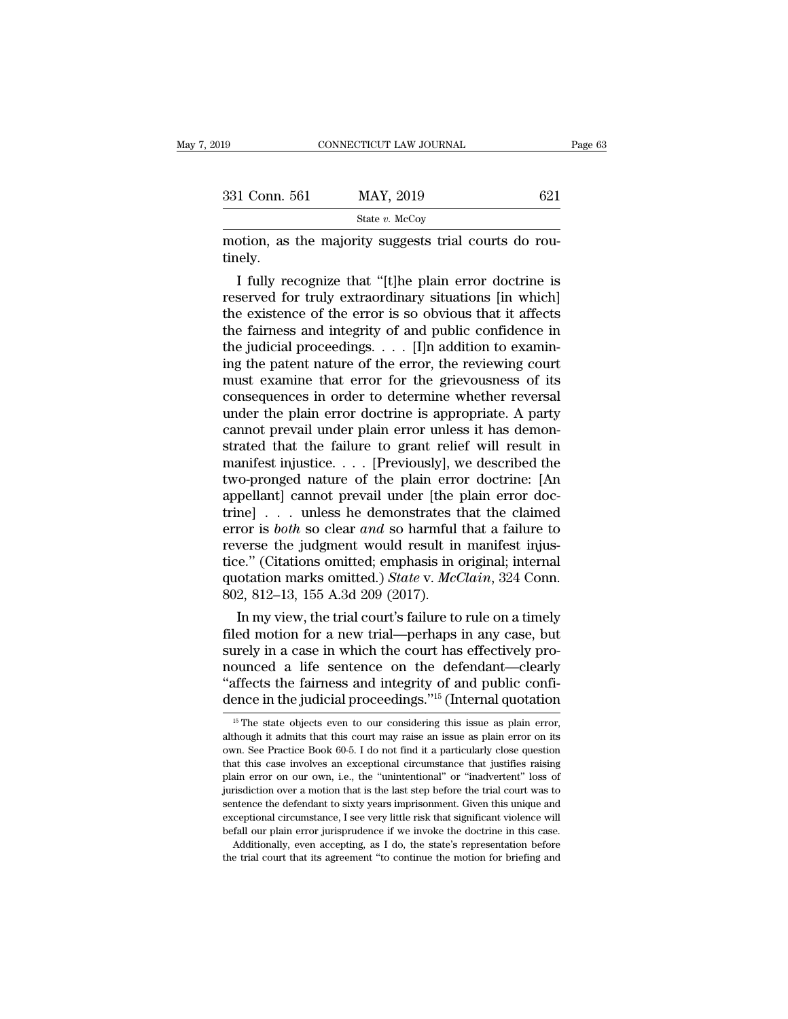| 019           | CONNECTICUT LAW JOURNAL                                                                                                                                                     | Page 63 |
|---------------|-----------------------------------------------------------------------------------------------------------------------------------------------------------------------------|---------|
|               |                                                                                                                                                                             |         |
| 331 Conn. 561 | MAY, 2019                                                                                                                                                                   | 621     |
|               | State $v$ . McCoy                                                                                                                                                           |         |
| tinely.       | motion, as the majority suggests trial courts do rou-                                                                                                                       |         |
|               | I fully recognize that "[t]he plain error doctrine is<br>reserved for truly extraordinary situations [in which]<br>the ovictores of the error is so obvious that it affects |         |

331 Conn. 561 MAY, 2019 621<br>
State v. McCoy<br>
motion, as the majority suggests trial courts do rou-<br>
tinely.<br>
I fully recognize that "[t]he plain error doctrine is<br>
reserved for truly extraordinary situations [in which]<br>
t State v. McCoy<br>
motion, as the majority suggests trial courts do rou-<br>
tinely.<br>
I fully recognize that "[t]he plain error doctrine is<br>
reserved for truly extraordinary situations [in which]<br>
the existence of the error is motion, as the majority suggests trial courts do routinely.<br>
I fully recognize that "[t]he plain error doctrine is<br>
reserved for truly extraordinary situations [in which]<br>
the existence of the error is so obvious that it a motion, as the majority suggests trial courts do routinely.<br>
I fully recognize that "[t]he plain error doctrine is<br>
reserved for truly extraordinary situations [in which]<br>
the existence of the error is so obvious that it a I fully recognize that "[t]he plain error doctrine is<br>reserved for truly extraordinary situations [in which]<br>the existence of the error is so obvious that it affects<br>the fairness and integrity of and public confidence in<br> I fully recognize that "[t]he plain error doctrine is<br>reserved for truly extraordinary situations [in which]<br>the existence of the error is so obvious that it affects<br>the fairness and integrity of and public confidence in<br> reserved for truly extraordinary situations [in which]<br>the existence of the error is so obvious that it affects<br>the fairness and integrity of and public confidence in<br>the judicial proceedings.  $\dots$  [I]n addition to examin the existence of the error is so obvious that it affects<br>the fairness and integrity of and public confidence in<br>the judicial proceedings.  $\dots$  [I]n addition to examin-<br>ing the patent nature of the error, the reviewing cou the fairness and integrity of and public confidence in<br>the judicial proceedings.  $\dots$  [I]n addition to examin-<br>ing the patent nature of the error, the reviewing court<br>must examine that error for the grievousness of its<br>co the judicial proceedings.  $\ldots$  [I]n addition to examining the patent nature of the error, the reviewing court<br>must examine that error for the grievousness of its<br>consequences in order to determine whether reversal<br>under ing the patent nature of the error, the reviewing court<br>must examine that error for the grievousness of its<br>consequences in order to determine whether reversal<br>under the plain error doctrine is appropriate. A party<br>cannot must examine that error for the grievousness of its<br>consequences in order to determine whether reversal<br>under the plain error doctrine is appropriate. A party<br>cannot prevail under plain error unless it has demon-<br>strated t consequences in order to determine whether reversal under the plain error doctrine is appropriate. A party cannot prevail under plain error unless it has demonstrated that the failure to grant relief will result in manife under the plain error doctrine is appropriate. A party<br>cannot prevail under plain error unless it has demon-<br>strated that the failure to grant relief will result in<br>manifest injustice.... [Previously], we described the<br>tw cannot prevail under plain error unless it has demonstrated that the failure to grant relief will result in manifest injustice. . . . [Previously], we described the two-pronged nature of the plain error doctrine: [An appe strated that the failure to grant relief will result in<br>manifest injustice. . . . [Previously], we described the<br>two-pronged nature of the plain error doctrine: [An<br>appellant] cannot prevail under [the plain error doc-<br>tr manifest injustice.... [Previously], we described the<br>two-pronged nature of the plain error doctrine: [An<br>appellant] cannot prevail under [the plain error doc-<br>trine] ... unless he demonstrates that the claimed<br>error is two-pronged nature of the plain error doctrine: [An appellant] cannot prevail under [the plain error doctrine] . . . unless he demonstrates that the claimed error is *both* so clear *and* so harmful that a failure to rever appellant] cannot prevail under [the ]<br>trine] . . . unless he demonstrates t<br>error is *both* so clear *and* so harmful<br>reverse the judgment would result in<br>tice." (Citations omitted; emphasis in q<br>quotation marks omitted. ne] . . . unless he demonstrates that the claimed<br>ror is *both* so clear and so harmful that a failure to<br>verse the judgment would result in manifest injus-<br>e." (Citations omitted; emphasis in original; internal<br>otation m error is *both* so clear *and* so harmful that a failure to<br>reverse the judgment would result in manifest injus-<br>tice." (Citations omitted; emphasis in original; internal<br>quotation marks omitted.) *State* v. *McClain*, 32

reverse the judgment would result in manifest injustice." (Citations omitted; emphasis in original; internal quotation marks omitted.) State v. McClain, 324 Conn.<br>802, 812–13, 155 A.3d 209 (2017).<br>In my view, the trial cou tice." (Citations omitted; emphasis in original; internal<br>quotation marks omitted.) *State* v. *McClain*, 324 Conn.<br>802, 812–13, 155 A.3d 209 (2017).<br>In my view, the trial court's failure to rule on a timely<br>filed motion quotation marks omitted.) State v. McClain, 324 Conn.<br>
802, 812–13, 155 A.3d 209 (2017).<br>
In my view, the trial court's failure to rule on a timely<br>
filed motion for a new trial—perhaps in any case, but<br>
surely in a case 802, 812–13, 155 A.3d 209 (2017).<br>
In my view, the trial court's failure to rule on a timely<br>
filed motion for a new trial—perhaps in any case, but<br>
surely in a case in which the court has effectively pro-<br>
nounced a life urely in a case in which the court has effectively pro-<br>ounced a life sentence on the defendant—clearly<br>affects the fairness and integrity of and public confi-<br>ence in the judicial proceedings."<sup>15</sup> (Internal quotation<br><sup>15</sup> mounced a life sentence on the defendant—clearly "affects the fairness and integrity of and public confidence in the judicial proceedings."<sup>15</sup> (Internal quotation  $\frac{15 \text{ The state objects even to our considering this issue as plain error, although it admits that this court may raise an issue as plain error on its own. See Practice Book 60-5. I do not find it a particularly close question$ 

<sup>&</sup>quot;affects the fairness and integrity of and public confi-<br>dence in the judicial proceedings."<sup>15</sup> (Internal quotation<br> $\frac{15 \text{ T}}{16}$  The state objects even to our considering this issue as plain error,<br>although it admits dence in the judicial proceedings."<sup>15</sup> (Internal quotation<br>dence in the judicial proceedings."<sup>15</sup> (Internal quotation<br> $\frac{15 \text{ The state objects even to our considering this issue as plain error, although it admits that this court may raise an issue as plain error on its own. See Practice Book 60-5. I do not find it a particularly close question that this case involves an exceptional circumstance that justifies raising plain error on our own, i.e., the "unintentional" or "inadverter" loss of$ The state objects even to our considerings. The error of the state objects even to our considering this issue as plain error, although it admits that this court may raise an issue as plain error on its own. See Practice B <sup>15</sup> The state objects even to our considering this issue as plain error, although it admits that this court may raise an issue as plain error on its own. See Practice Book 60-5. I do not find it a particularly close ques although it admits that this court may raise an issue as plain error on its own. See Practice Book 60-5. I do not find it a particularly close question that this case involves an exceptional circumstance that justifies rai extractive Practice Book 60-5. I do not find it a particularly close question<br>that this case involves an exceptional circumstance that justifies raising<br>plain error on our own, i.e., the "unintentional" or "inadvertent" lo that this case involves an exceptional circumstance that justifies raising plain error on our own, i.e., the "unintentional" or "inadvertent" loss of jurisdiction over a motion that is the last step before the trial court as a me can even a mation and in error on our own, i.e., the "unintentional" or "inadvertent" loss of risdiction over a motion that is the last step before the trial court was to intence the defendant to sixty years impris jurisdiction over a motion that is the last step before the trial court was to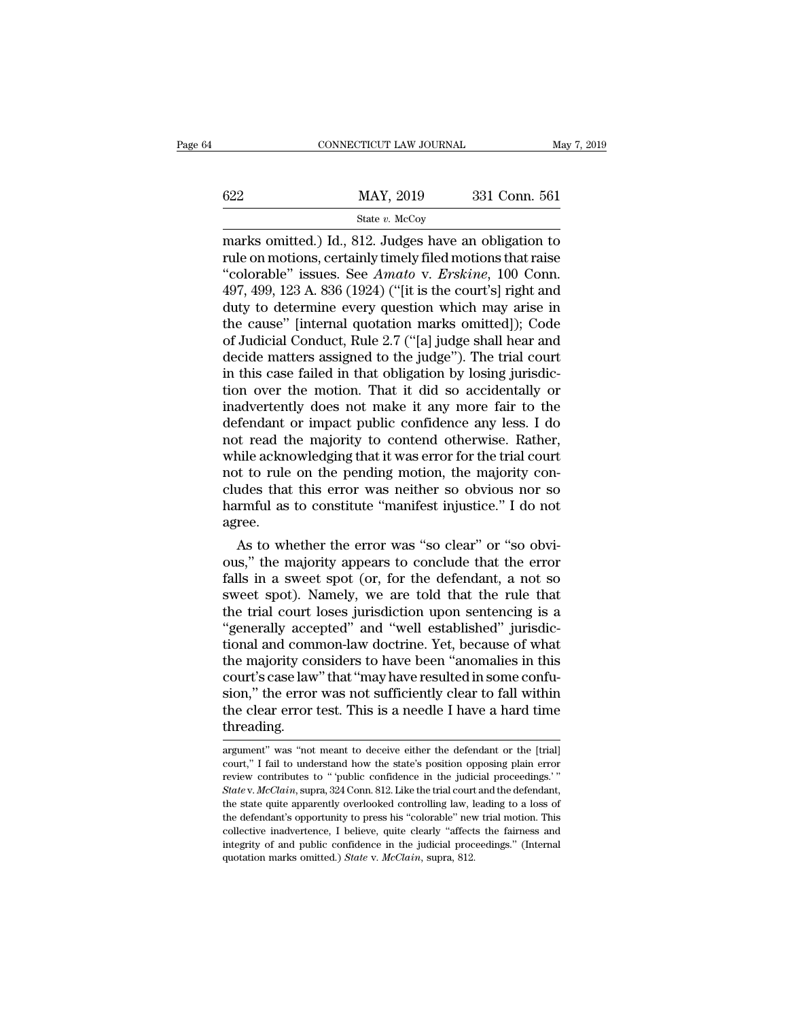|     | CONNECTICUT LAW JOURNAL | May 7, 2019   |
|-----|-------------------------|---------------|
|     |                         |               |
| 622 | MAY, 2019               | 331 Conn. 561 |
|     | State $v$ . McCoy       |               |

 $\begin{tabular}{ll} \multicolumn{1}{l}{{\text{COMRECTICUT LAW JOURNAL}}} & \multicolumn{1}{l}{May 7, 2019} \\ \hline & \multicolumn{1}{l}{State $v$}.& \multicolumn{1}{l}{MAY, 2019} & \multicolumn{1}{l}{331} & \multicolumn{1}{l}{Conn. 561} \\ & \multicolumn{1}{l}{State $v$}.& \multicolumn{1}{l}{Wacy} & \multicolumn{1}{l}{331} & \multicolumn{1}{l}{Conn. 561} \\ & \multicolumn{1}{l}{State $v$}.& \multicolumn{1}{l}{Wacy} & \multicolumn{1}{l}{$ 622 MAY, 2019 331 Conn. 561<br>
State v. McCoy<br>
marks omitted.) Id., 812. Judges have an obligation to<br>
rule on motions, certainly timely filed motions that raise<br>
"colorable" issues. See *Amato* v. *Erskine*, 100 Conn.<br>
407 MAY, 2019 331 Conn. 561<br>
State *v.* McCoy<br>
marks omitted.) Id., 812. Judges have an obligation to<br>
rule on motions, certainly timely filed motions that raise<br>
"colorable" issues. See *Amato* v. *Erskine*, 100 Conn.<br>
497, 4  $\frac{\text{MAX, 2019}}{\text{State } v. \text{ MeCoy}}$ <br>
marks omitted.) Id., 812. Judges have an obligation to<br>
rule on motions, certainly timely filed motions that raise<br>
"colorable" issues. See *Amato* v. *Erskine*, 100 Conn.<br>
497, 499, 123 A. State v. McCoy<br>
State v. McCoy<br>
marks omitted.) Id., 812. Judges have an obligation to<br>
rule on motions, certainly timely filed motions that raise<br>
"colorable" issues. See *Amato* v. *Erskine*, 100 Conn.<br>
497, 499, 123 A. state v. McCoy<br>
marks omitted.) Id., 812. Judges have an obligation to<br>
rule on motions, certainly timely filed motions that raise<br>
"colorable" issues. See *Amato* v. *Erskine*, 100 Conn.<br>
497, 499, 123 A. 836 (1924) ("[i marks omitted.) Id., 812. Judges have an obligation to<br>rule on motions, certainly timely filed motions that raise<br>"colorable" issues. See *Amato* v. *Erskine*, 100 Conn.<br>497, 499, 123 A. 836 (1924) ("[it is the court's] ri rule on motions, certainly timely filed motions that raise<br>
"colorable" issues. See Amato v. Erskine, 100 Conn.<br>
497, 499, 123 A. 836 (1924) ("[it is the court's] right and<br>
duty to determine every question which may arise "colorable" issues. See *Amato* v. *Erskine*, 100 Conn. 497, 499, 123 A. 836 (1924) ("[it is the court's] right and duty to determine every question which may arise in the cause" [internal quotation marks omitted]); Code 497, 499, 123 A. 836 (1924) ("[it is the court's] right and<br>duty to determine every question which may arise in<br>the cause" [internal quotation marks omitted]); Code<br>of Judicial Conduct, Rule 2.7 ("[a] judge shall hear and duty to determine every question which may arise in<br>the cause" [internal quotation marks omitted]); Code<br>of Judicial Conduct, Rule 2.7 ("[a] judge shall hear and<br>decide matters assigned to the judge"). The trial court<br>in t the cause" [internal quotation marks omitted]); Code<br>of Judicial Conduct, Rule 2.7 ("[a] judge shall hear and<br>decide matters assigned to the judge"). The trial court<br>in this case failed in that obligation by losing jurisdi of Judicial Conduct, Rule 2.7 ("[a] judge shall hear and<br>decide matters assigned to the judge"). The trial court<br>in this case failed in that obligation by losing jurisdic-<br>tion over the motion. That it did so accidentally decide matters assigned to the judge"). The trial court<br>in this case failed in that obligation by losing jurisdic-<br>tion over the motion. That it did so accidentally or<br>inadvertently does not make it any more fair to the<br>de in this case failed in that obligation by losing jurisdiction over the motion. That it did so accidentally or inadvertently does not make it any more fair to the defendant or impact public confidence any less. I do not rea tion over the motion. That it did so accidentally or<br>inadvertently does not make it any more fair to the<br>defendant or impact public confidence any less. I do<br>not read the majority to contend otherwise. Rather,<br>while acknow inadvertently does not make it any more fair to the<br>defendant or impact public confidence any less. I do<br>not read the majority to contend otherwise. Rather,<br>while acknowledging that it was error for the trial court<br>not to agree. It read the majority to contend otherwise. Kather,<br>hile acknowledging that it was error for the trial court<br>t to rule on the pending motion, the majority con-<br>ides that this error was neither so obvious nor so<br>rmful as to while acknowledging that it was error for the trial court<br>not to rule on the pending motion, the majority con-<br>cludes that this error was neither so obvious nor so<br>harmful as to constitute "manifest injustice." I do not<br>ag

not to rule on the penaling motion, the majority con-<br>cludes that this error was neither so obvious nor so<br>harmful as to constitute "manifest injustice." I do not<br>agree.<br>As to whether the error was "so clear" or "so obvi-<br> cludes that this error was helther so obvious nor so<br>harmful as to constitute "manifest injustice." I do not<br>agree.<br>As to whether the error was "so clear" or "so obvi-<br>ous," the majority appears to conclude that the error<br> narmiul as to constitute manifest injustice. I do not<br>agree.<br>As to whether the error was "so clear" or "so obvi-<br>ous," the majority appears to conclude that the error<br>falls in a sweet spot (or, for the defendant, a not so<br> agree.<br>
As to whether the error was "so clear" or "so obvious," the majority appears to conclude that the error<br>
falls in a sweet spot (or, for the defendant, a not so<br>
sweet spot). Namely, we are told that the rule that<br> As to whether the error was "so clear" or "so obvious," the majority appears to conclude that the error falls in a sweet spot (or, for the defendant, a not so sweet spot). Namely, we are told that the rule that the trial c ous," the majority appears to conclude that the error falls in a sweet spot (or, for the defendant, a not so sweet spot). Namely, we are told that the rule that the trial court loses jurisdiction upon sentencing is a "gene falls in a sweet spot (or, for the defendant, a not so<br>sweet spot). Namely, we are told that the rule that<br>the trial court loses jurisdiction upon sentencing is a<br>"generally accepted" and "well established" jurisdic-<br>tiona sweet spot). Namely, we are told that the rule that<br>the trial court loses jurisdiction upon sentencing is a<br>"generally accepted" and "well established" jurisdic-<br>tional and common-law doctrine. Yet, because of what<br>the maj the trial court loses jurisdiction upon sentencing is a "generally accepted" and "well established" jurisdictional and common-law doctrine. Yet, because of what the majority considers to have been "anomalies in this court' threading. court's case law" that "may have resulted in some confusion," the error was not sufficiently clear to fall within<br>the clear error test. This is a needle I have a hard time<br>threading.<br>argument" was "not meant to deceive eit sion," the error was not sufficiently clear to fall within<br>the clear error test. This is a needle I have a hard time<br>threading.<br>argument" was "not meant to deceive either the defendant or the [trial]<br>court," I fail to unde

the clear error test. This is a needle I have a hard time<br>threading.<br> $\frac{1}{\text{argument}}$  was "not meant to deceive either the defendant or the [trial]<br>court," I fail to understand how the state's position opposing plain error<br>re *State* v. *McClain*, supra, 324 Conn. 812. Like the defendant or the [trial] court," I fail to understand how the state's position opposing plain error review contributes to "public confidence in the judicial proceedings. Intreaturity was "not meant to deceive either the defendant or the [trial]<br>court," I fail to understand how the state's position opposing plain error<br>review contributes to "public confidence in the judicial proceedings."<br>S argument" was "not meant to deceive either the defendant or the [trial]<br>court," I fail to understand how the state's position opposing plain error<br>review contributes to "'public confidence in the judicial proceedings.'"<br>St court," I fail to understand how the state's position opposing plain error review contributes to "public confidence in the judicial proceedings." State v. McClain, supra, 324 Conn. 812. Like the trial court and the defenda review contributes to " public confidence in the judicial proceedings.'" State v. McClain, supra, 324 Conn. 812. Like the trial court and the defendant, the state quite apparently overlooked controlling law, leading to a State v. *McClain*, supra, 324 Conn. 812. Like the trial court and the defendant,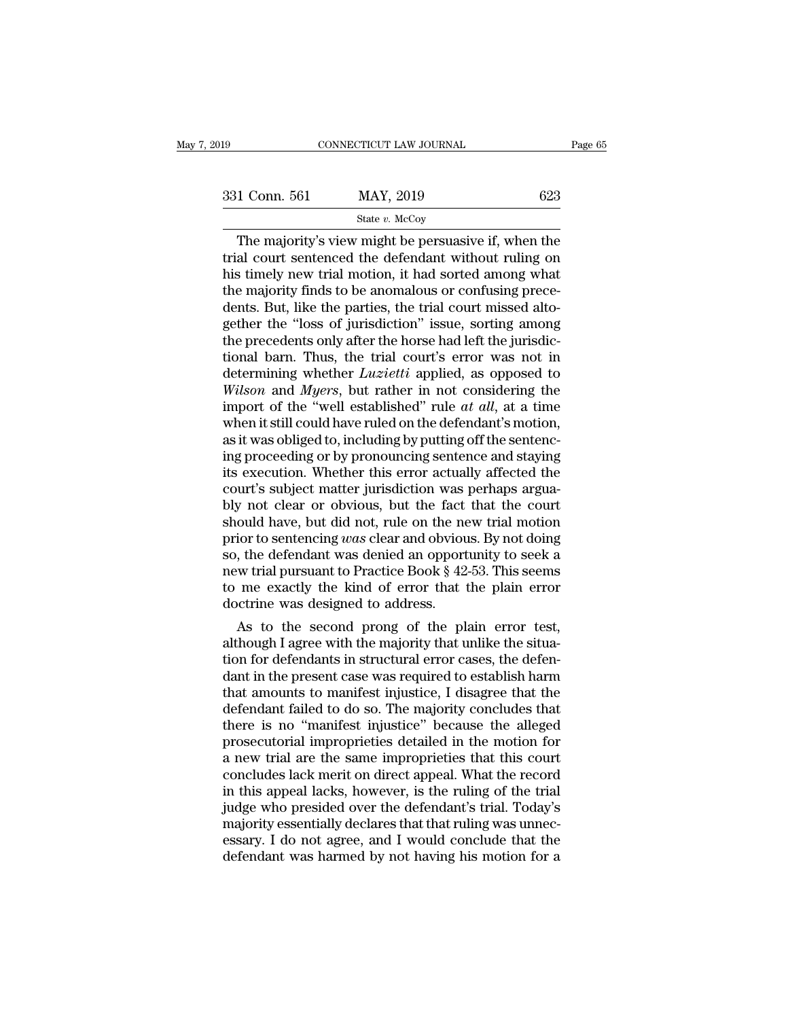| 019           | CONNECTICUT LAW JOURNAL                                                                                                                                               | Page 65 |
|---------------|-----------------------------------------------------------------------------------------------------------------------------------------------------------------------|---------|
| 331 Conn. 561 | MAY, 2019                                                                                                                                                             | 623     |
|               | State $v$ . McCoy                                                                                                                                                     |         |
|               | The majority's view might be persuasive if, when the<br>trial court sentenced the defendant without ruling on<br>his timoly now trial motion it had sorted among what |         |

331 Conn. 561 MAY, 2019 623<br>
State v. McCoy<br>
The majority's view might be persuasive if, when the<br>
trial court sentenced the defendant without ruling on<br>
his timely new trial motion, it had sorted among what<br>
the majority 331 Conn. 561 MAY, 2019 623<br>
State v. McCoy<br>
The majority's view might be persuasive if, when the<br>
trial court sentenced the defendant without ruling on<br>
his timely new trial motion, it had sorted among what<br>
the majority 331 Conn. 561 MAY, 2019 623<br>
State v. McCoy<br>
The majority's view might be persuasive if, when the<br>
trial court sentenced the defendant without ruling on<br>
his timely new trial motion, it had sorted among what<br>
the majority  $\frac{\text{state } v. \text{ MeCoy}}{\text{The majority's view might be pervasive if, when the trial court sentence the defendant without ruling on his timely new trial motion, it had sorted among what the majority finds to be anomalous or confusing precedures. But, like the parties, the trial court missed altogether the "loss of jurisdiction" issue, sorting among the precedures only after the horse had left the invisdic.$ state v. McCoy<br>
The majority's view might be persuasive if, when the<br>
trial court sentenced the defendant without ruling on<br>
his timely new trial motion, it had sorted among what<br>
the majority finds to be anomalous or con The majority's view might be persuasive if, when the trial court sentenced the defendant without ruling on his timely new trial motion, it had sorted among what the majority finds to be anomalous or confusing precedents. trial court sentenced the defendant without ruling on<br>his timely new trial motion, it had sorted among what<br>the majority finds to be anomalous or confusing prece-<br>dents. But, like the parties, the trial court missed alto-<br> his timely new trial motion, it had sorted among what<br>the majority finds to be anomalous or confusing prece-<br>dents. But, like the parties, the trial court missed alto-<br>gether the "loss of jurisdiction" issue, sorting among the majority finds to be anomalous or confusing precedents. But, like the parties, the trial court missed altogether the "loss of jurisdiction" issue, sorting among the precedents only after the horse had left the jurisdic dents. But, like the parties, the trial court missed altogether the "loss of jurisdiction" issue, sorting among<br>the precedents only after the horse had left the jurisdic-<br>tional barn. Thus, the trial court's error was not gether the "loss of jurisdiction" issue, sorting among<br>the precedents only after the horse had left the jurisdic-<br>tional barn. Thus, the trial court's error was not in<br>determining whether *Luzietti* applied, as opposed to the precedents only after the horse had left the jurisdictional barn. Thus, the trial court's error was not in determining whether *Luzietti* applied, as opposed to *Wilson* and *Myers*, but rather in not considering the tional barn. Thus, the trial court's error was not in<br>determining whether *Luzietti* applied, as opposed to<br>Wilson and *Myers*, but rather in not considering the<br>import of the "well established" rule *at all*, at a time<br>wh determining whether *Luzietti* applied, as opposed to *Wilson* and *Myers*, but rather in not considering the import of the "well established" rule *at all*, at a time when it still could have ruled on the defendant's moti Wilson and Myers, but rather in not considering the<br>import of the "well established" rule *at all*, at a time<br>when it still could have ruled on the defendant's motion,<br>as it was obliged to, including by putting off the sen import of the "well established" rule *at all*, at a time<br>when it still could have ruled on the defendant's motion,<br>as it was obliged to, including by putting off the sentenc-<br>ing proceeding or by pronouncing sentence and when it still could have ruled on the defendant's motion,<br>as it was obliged to, including by putting off the sentenc-<br>ing proceeding or by pronouncing sentence and staying<br>its execution. Whether this error actually affecte as it was obliged to, including by putting off the sentenc-<br>ing proceeding or by pronouncing sentence and staying<br>its execution. Whether this error actually affected the<br>court's subject matter jurisdiction was perhaps argu ing proceeding or by pronouncing sentence and staying<br>its execution. Whether this error actually affected the<br>court's subject matter jurisdiction was perhaps argua-<br>bly not clear or obvious, but the fact that the court<br>sho its execution. Whether this error actually affected the court's subject matter jurisdiction was perhaps argua-<br>bly not clear or obvious, but the fact that the court<br>should have, but did not, rule on the new trial motion<br>pr court's subject matter jurisdiction was perhaps arguably not clear or obvious, but the fact that the court should have, but did not, rule on the new trial motion prior to sentencing was clear and obvious. By not doing so, bly not clear or obvious, but the fact should have, but did not, rule on the neprior to sentencing *was* clear and obviouso, the defendant was denied an opport new trial pursuant to Practice Book  $\S 42$  to me exactly the ould have, but did not, rule on the new trial motion<br>ior to sentencing was clear and obvious. By not doing<br>, the defendant was denied an opportunity to seek a<br>w trial pursuant to Practice Book § 42-53. This seems<br>me exact prior to sentencing was clear and obvious. By not doing<br>so, the defendant was denied an opportunity to seek a<br>new trial pursuant to Practice Book § 42-53. This seems<br>to me exactly the kind of error that the plain error<br>do

so, the defendant was denied an opportunity to seek a<br>new trial pursuant to Practice Book § 42-53. This seems<br>to me exactly the kind of error that the plain error<br>doctrine was designed to address.<br>As to the second prong of new trial pursuant to Practice Book § 42-53. This seems<br>to me exactly the kind of error that the plain error<br>doctrine was designed to address.<br>As to the second prong of the plain error test,<br>although I agree with the major to me exactly the kind of error that the plain error<br>doctrine was designed to address.<br>As to the second prong of the plain error test,<br>although I agree with the majority that unlike the situa-<br>tion for defendants in struct doctrine was designed to address.<br>As to the second prong of the plain error test,<br>although I agree with the majority that unlike the situa-<br>tion for defendants in structural error cases, the defen-<br>dant in the present case As to the second prong of the plain error test,<br>although I agree with the majority that unlike the situa-<br>tion for defendants in structural error cases, the defen-<br>dant in the present case was required to establish harm<br>th although I agree with the majority that unlike the situation for defendants in structural error cases, the defendant in the present case was required to establish harm that amounts to manifest injustice, I disagree that th tion for defendants in structural error cases, the defendant in the present case was required to establish harm<br>that amounts to manifest injustice, I disagree that the<br>defendant failed to do so. The majority concludes that dant in the present case was required to establish harm<br>that amounts to manifest injustice, I disagree that the<br>defendant failed to do so. The majority concludes that<br>there is no "manifest injustice" because the alleged<br>pr that amounts to manifest injustice, I disagree that the defendant failed to do so. The majority concludes that there is no "manifest injustice" because the alleged prosecutorial improprieties detailed in the motion for a n defendant failed to do so. The majority concludes that<br>there is no "manifest injustice" because the alleged<br>prosecutorial improprieties detailed in the motion for<br>a new trial are the same improprieties that this court<br>conc there is no "manifest injustice" because the alleged<br>prosecutorial improprieties detailed in the motion for<br>a new trial are the same improprieties that this court<br>concludes lack merit on direct appeal. What the record<br>in t prosecutorial improprieties detailed in the motion for<br>a new trial are the same improprieties that this court<br>concludes lack merit on direct appeal. What the record<br>in this appeal lacks, however, is the ruling of the trial a new trial are the same improprieties that this court<br>concludes lack merit on direct appeal. What the record<br>in this appeal lacks, however, is the ruling of the trial<br>judge who presided over the defendant's trial. Today's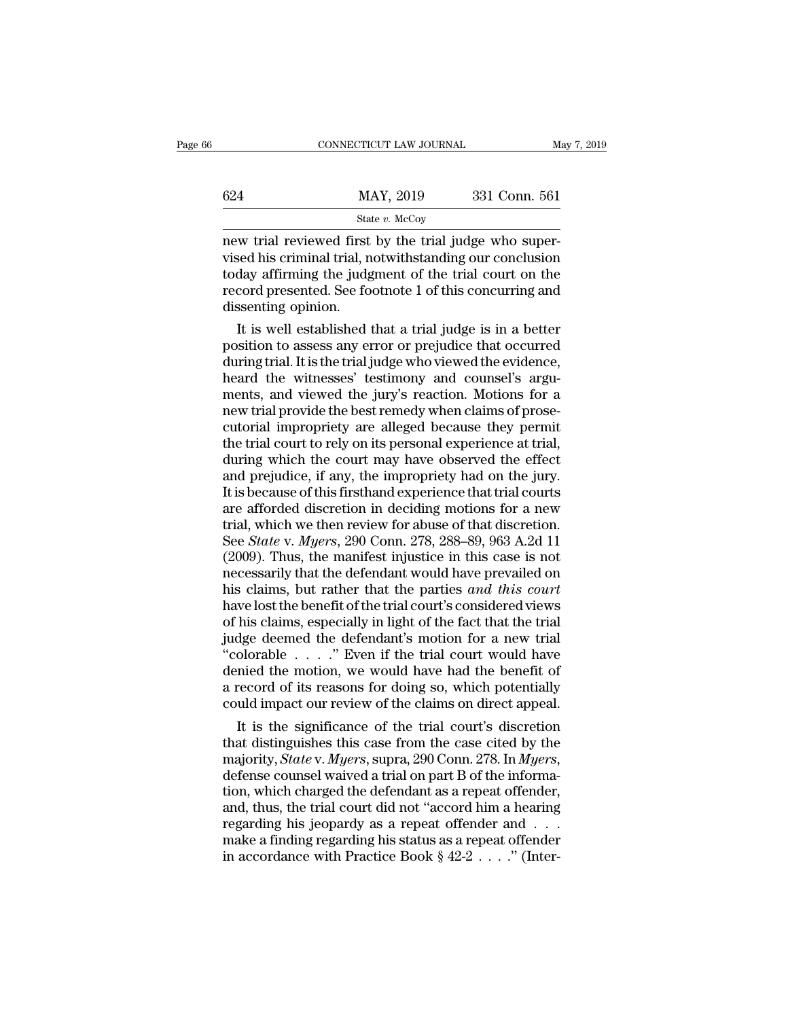|     | CONNECTICUT LAW JOURNAL                                                                                                                                                      | May 7, 2019   |
|-----|------------------------------------------------------------------------------------------------------------------------------------------------------------------------------|---------------|
| 624 | MAY, 2019                                                                                                                                                                    | 331 Conn. 561 |
|     | State $v$ . McCoy                                                                                                                                                            |               |
|     | new trial reviewed first by the trial judge who super-<br>vised his criminal trial, notwithstanding our conclusion<br>today affirming the judgment of the trial court on the |               |

 $\begin{array}{ll}\n 624 & \text{MAX, } 2019 & 331 \text{ Conn. } 561 \\
 \hline\n \text{State } v. \text{McCoy} \\
 \text{new trial reviewed first by the trial judge who supervised his criminal trial, notwithstanding our conclusion today affirming the judgment of the trial court on the record presented. See footnote 1 of this converging and\n\end{array}$  $\begin{array}{r} \text{624} & \text{MAX, } 2019 & 331 \text{ Conn. } 561 \\ \text{544} & \text{State } v. \text{ McGay} \\ \text{new trial reviewed first by the trial judge who supervised his criminal trial, not withstanding our conclusion today affirming the judgment of the trial court on the record presented. See footnote 1 of this concurrency and dissenting opinion \end{array}$  $\begin{array}{ll}\n & \text{MAX, } 2019 & 331 \text{ Conn. } 561 \\
 & \text{State } v. \text{ McCoy} \\
 \hline\n & \text{new trial reviewed first by the trial judge who supervised his criminal trial, not withstanding our conclusion today affirming the judgment of the trial court on the record presented. See footnote 1 of this concerning and dissenting opinion.\n$ Maximum<br>
Sta<br>
new trial reviewed first<br>
vised his criminal trial, n<br>
today affirming the judg<br>
record presented. See fo<br>
dissenting opinion.<br>
It is well established It is use a measure that in a superfield his criminal trial, notwithstanding our conclusion<br>day affirming the judgment of the trial court on the<br>cord presented. See footnote 1 of this concurring and<br>ssenting opinion.<br>It is new trial reviewed first by the trial judge who super-<br>vised his criminal trial, notwithstanding our conclusion<br>today affirming the judgment of the trial court on the<br>record presented. See footnote 1 of this concurring and

vised his criminal trial, notwithstanding our conclusion<br>today affirming the judgment of the trial court on the<br>record presented. See footnote 1 of this concurring and<br>dissenting opinion.<br>It is well established that a tria today attirming the judgment of the trial court on the<br>record presented. See footnote 1 of this concurring and<br>dissenting opinion.<br>It is well established that a trial judge is in a better<br>position to assess any error or pr record presented. See footnote I of this concurring and<br>dissenting opinion.<br>It is well established that a trial judge is in a better<br>position to assess any error or prejudice that occurred<br>during trial. It is the trial jud dissenting opinion.<br>It is well established that a trial judge is in a better<br>position to assess any error or prejudice that occurred<br>during trial. It is the trial judge who viewed the evidence,<br>heard the witnesses' testimo It is well established that a trial judge is in a better<br>position to assess any error or prejudice that occurred<br>during trial. It is the trial judge who viewed the evidence,<br>heard the witnesses' testimony and counsel's arg position to assess any error or prejudice that occurred<br>during trial. It is the trial judge who viewed the evidence,<br>heard the witnesses' testimony and counsel's argu-<br>ments, and viewed the jury's reaction. Motions for a<br>n during trial. It is the trial judge who viewed the evidence,<br>heard the witnesses' testimony and counsel's argu-<br>ments, and viewed the jury's reaction. Motions for a<br>new trial provide the best remedy when claims of prose-<br>c heard the witnesses' testimony and counsel's arguments, and viewed the jury's reaction. Motions for a<br>new trial provide the best remedy when claims of prose-<br>cutorial impropriety are alleged because they permit<br>the trial c ments, and viewed the jury's reaction. Motions for a<br>new trial provide the best remedy when claims of prose-<br>cutorial impropriety are alleged because they permit<br>the trial court to rely on its personal experience at trial, new trial provide the best remedy when claims of prose-<br>cutorial impropriety are alleged because they permit<br>the trial court to rely on its personal experience at trial,<br>during which the court may have observed the effect<br> cutorial impropriety are alleged because they permit<br>the trial court to rely on its personal experience at trial,<br>during which the court may have observed the effect<br>and prejudice, if any, the impropriety had on the jury.<br> the trial court to rely on its personal experience at trial,<br>during which the court may have observed the effect<br>and prejudice, if any, the impropriety had on the jury.<br>It is because of this firsthand experience that trial during which the court may have observed the effect<br>and prejudice, if any, the impropriety had on the jury.<br>It is because of this firsthand experience that trial courts<br>are afforded discretion in deciding motions for a new and prejudice, if any, the impropriety had on the jury.<br>It is because of this firsthand experience that trial courts<br>are afforded discretion in deciding motions for a new<br>trial, which we then review for abuse of that discr It is because of this firsthand experience that trial courts<br>are afforded discretion in deciding motions for a new<br>trial, which we then review for abuse of that discretion.<br>See *State* v. *Myers*, 290 Conn. 278, 288–89, 96 are afforded discretion in deciding motions for a new<br>trial, which we then review for abuse of that discretion.<br>See *State* v. *Myers*, 290 Conn. 278, 288–89, 963 A.2d 11<br>(2009). Thus, the manifest injustice in this case i trial, which we then review for abuse of that discretion.<br>See *State* v. *Myers*, 290 Conn. 278, 288–89, 963 A.2d 11<br>(2009). Thus, the manifest injustice in this case is not<br>necessarily that the defendant would have preva See *State* v. *Myers*, 290 Conn. 278, 288–89, 963 A.2d 11 (2009). Thus, the manifest injustice in this case is not necessarily that the defendant would have prevailed on his claims, but rather that the parties *and this* (2009). Thus, the manifest injustice in this case is not necessarily that the defendant would have prevailed on his claims, but rather that the parties *and this court* have lost the benefit of the trial court's considere necessarily that the defendant would have prevailed on<br>his claims, but rather that the parties *and this court*<br>have lost the benefit of the trial court's considered views<br>of his claims, especially in light of the fact th his claims, but rather that the parties *and this court*<br>have lost the benefit of the trial court's considered views<br>of his claims, especially in light of the fact that the trial<br>judge deemed the defendant's motion for a have lost the benefit of the trial court's considered views<br>of his claims, especially in light of the fact that the trial<br>judge deemed the defendant's motion for a new trial<br>"colorable  $\ldots$ ". Even if the trial court woul It is the significance of the trial court would have deemed the defendant's motion for a new trial colorable  $\ldots$ ." Even if the trial court would have mied the motion, we would have had the benefit of record of its reaso judge deemed the defendant's motion for a new trial<br>
"colorable  $\ldots$ ". Even if the trial court would have<br>
denied the motion, we would have had the benefit of<br>
a record of its reasons for doing so, which potentially<br>
cou

"colorable . . . . ." Even if the trial court would have<br>denied the motion, we would have had the benefit of<br>a record of its reasons for doing so, which potentially<br>could impact our review of the claims on direct appeal.<br>I a record of its reasons for doing so, which potentially<br>could impact our review of the claims on direct appeal.<br>It is the significance of the trial court's discretion<br>that distinguishes this case from the case cited by th could impact our review of the claims on direct appeal.<br>It is the significance of the trial court's discretion<br>that distinguishes this case from the case cited by the<br>majority, *State* v. *Myers*, supra, 290 Conn. 278. In It is the significance of the trial court's discretion<br>that distinguishes this case from the case cited by the<br>majority, *State* v. *Myers*, supra, 290 Conn. 278. In *Myers*,<br>defense counsel waived a trial on part B of th that distinguishes this case from the case cited by the majority, *State* v. *Myers*, supra, 290 Conn. 278. In *Myers*, defense counsel waived a trial on part B of the information, which charged the defendant as a repeat majority, *State* v. *Myers*, supra, 290 Conn. 278. In *Myers*, defense counsel waived a trial on part B of the information, which charged the defendant as a repeat offender, and, thus, the trial court did not "accord him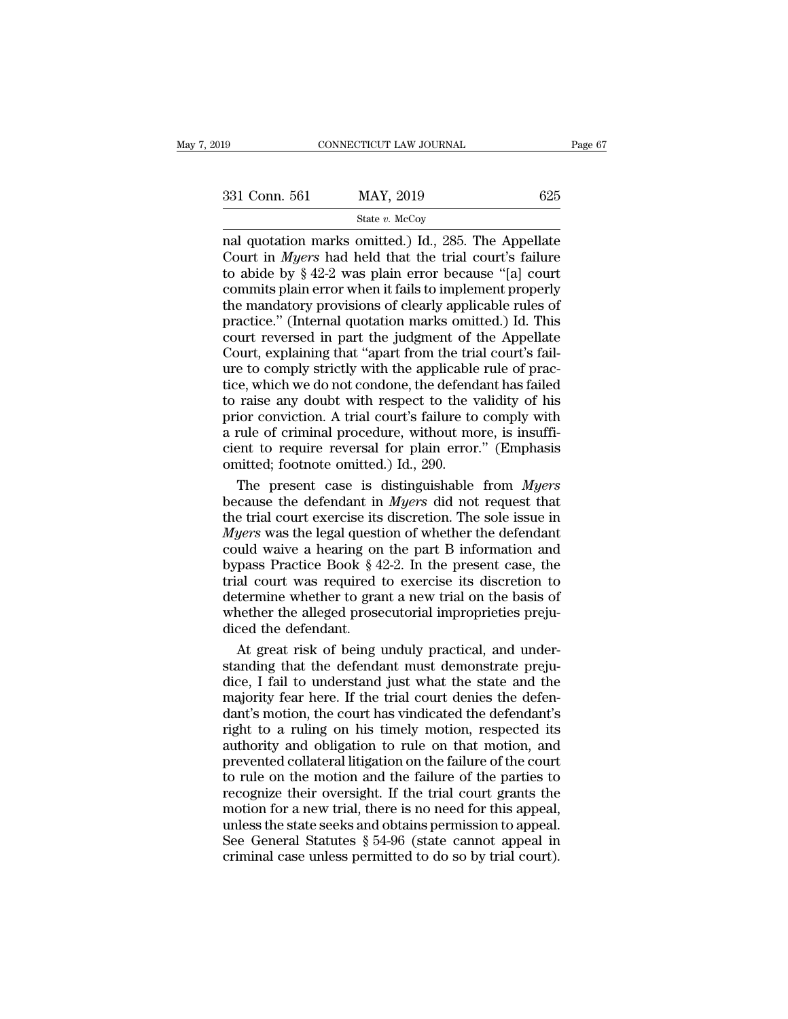| 2019          | CONNECTICUT LAW JOURNAL                                                                                                                                                         |     | Page 67 |
|---------------|---------------------------------------------------------------------------------------------------------------------------------------------------------------------------------|-----|---------|
|               |                                                                                                                                                                                 |     |         |
| 331 Conn. 561 | MAY, 2019                                                                                                                                                                       | 625 |         |
|               | State v. McCoy                                                                                                                                                                  |     |         |
|               | nal quotation marks omitted.) Id., 285. The Appellate<br>Court in <i>Myers</i> had held that the trial court's failure<br>to abide by 8.42-2 was plain error because "[a] court |     |         |

331 Conn. 561 MAY, 2019 625<br>
State v. McCoy<br>
The Appellate Court in *Myers* had held that the trial court's failure<br>
to abide by § 42-2 was plain error because "[a] court<br>
commits plain error when it fails to implement pro 331 Conn. 561 MAY, 2019 625<br>
State v. McCoy<br>
mal quotation marks omitted.) Id., 285. The Appellate<br>
Court in *Myers* had held that the trial court's failure<br>
to abide by § 42-2 was plain error because "[a] court<br>
commits 331 Conn. 561 MAY, 2019 625<br>
State v. McCoy<br>
mal quotation marks omitted.) Id., 285. The Appellate<br>
Court in *Myers* had held that the trial court's failure<br>
to abide by § 42-2 was plain error because "[a] court<br>
commits Solution marks omitted.) Id., 285. The Appellate<br>Court in *Myers* had held that the trial court's failure<br>to abide by § 42-2 was plain error because "[a] court<br>commits plain error when it fails to implement properly<br>the m State v. McCoy<br>
nal quotation marks omitted.) Id., 285. The Appellate<br>
Court in *Myers* had held that the trial court's failure<br>
to abide by § 42-2 was plain error because "[a] court<br>
commits plain error when it fails to nal quotation marks omitted.) Id., 285. The Appellate<br>Court in *Myers* had held that the trial court's failure<br>to abide by § 42-2 was plain error because "[a] court<br>commits plain error when it fails to implement properly<br>t Court in *Myers* had held that the trial court's failure<br>to abide by  $\S$  42-2 was plain error because "[a] court<br>commits plain error when it fails to implement properly<br>the mandatory provisions of clearly applicable rules to abide by  $\S$  42-2 was plain error because "[a] court<br>commits plain error when it fails to implement properly<br>the mandatory provisions of clearly applicable rules of<br>practice." (Internal quotation marks omitted.) Id. Th commits plain error when it fails to implement properly<br>the mandatory provisions of clearly applicable rules of<br>practice." (Internal quotation marks omitted.) Id. This<br>court reversed in part the judgment of the Appellate<br>C the mandatory provisions of clearly applicable rules of<br>practice." (Internal quotation marks omitted.) Id. This<br>court reversed in part the judgment of the Appellate<br>Court, explaining that "apart from the trial court's fail practice." (Internal quotation marks omitted.) Id. This<br>court reversed in part the judgment of the Appellate<br>Court, explaining that "apart from the trial court's fail-<br>ure to comply strictly with the applicable rule of pra Fracture reversed in part the judgment of the Appellate<br>Court, explaining that "apart from the trial court's fail-<br>ure to comply strictly with the applicable rule of prac-<br>tice, which we do not condone, the defendant has f Court, explaining that "apart from the trial court's fail-<br>ure to comply strictly with the applicable rule of prac-<br>tice, which we do not condone, the defendant has failed<br>to raise any doubt with respect to the validity o For the applicable<br>ure to comply strictly with the applicable<br>tice, which we do not condone, the defend<br>to raise any doubt with respect to the v<br>prior conviction. A trial court's failure to<br>a rule of criminal procedure, wi E. which we do not condone, the defendant has failed<br>raise any doubt with respect to the validity of his<br>ior conviction. A trial court's failure to comply with<br>rule of criminal procedure, without more, is insuffi-<br>ent to r to raise any doubt with respect to the validity of his<br>prior conviction. A trial court's failure to comply with<br>a rule of criminal procedure, without more, is insuffi-<br>cient to require reversal for plain error." (Emphasis<br>

prior conviction. A trial court's failure to comply with<br>a rule of criminal procedure, without more, is insuffi-<br>cient to require reversal for plain error." (Emphasis<br>omitted; footnote omitted.) Id., 290.<br>The present case *A* rule of criminal procedure, without more, is insufficient to require reversal for plain error." (Emphasis omitted; footnote omitted.) Id., 290.<br>The present case is distinguishable from *Myers* because the defendant in cient to require reversal for plain error." (Emphasis<br>omitted; footnote omitted.) Id., 290.<br>The present case is distinguishable from *Myers*<br>because the defendant in *Myers* did not request that<br>the trial court exercise i omitted; footnote omitted.) Id., 290.<br>The present case is distinguishable from *Myers*<br>because the defendant in *Myers* did not request that<br>the trial court exercise its discretion. The sole issue in<br>*Myers* was the legal The present case is distinguishable from *Myers*<br>because the defendant in *Myers* did not request that<br>the trial court exercise its discretion. The sole issue in<br>*Myers* was the legal question of whether the defendant<br>cou because the defendant in *Myers* did not request that<br>the trial court exercise its discretion. The sole issue in<br>*Myers* was the legal question of whether the defendant<br>could waive a hearing on the part B information and<br> whe trial court exercise its discretion. The sole issue in *Myers* was the legal question of whether the defendant could waive a hearing on the part B information and bypass Practice Book  $\S 42-2$ . In the present case, th Myers was the legal quest<br>could waive a hearing on<br>bypass Practice Book § 4<br>trial court was required<br>determine whether to gra<br>whether the alleged prose<br>diced the defendant.<br>At great risk of being uld waive a hearing on the part B information and<br>pass Practice Book § 42-2. In the present case, the<br>al court was required to exercise its discretion to<br>termine whether to grant a new trial on the basis of<br>nether the alle bypass Practice Book  $\S$  42-2. In the present case, the<br>trial court was required to exercise its discretion to<br>determine whether to grant a new trial on the basis of<br>whether the alleged prosecutorial improprieties preju-<br>

trial court was required to exercise its discretion to<br>determine whether to grant a new trial on the basis of<br>whether the alleged prosecutorial improprieties preju-<br>diced the defendant.<br>At great risk of being unduly practi determine whether to grant a new trial on the basis of<br>whether the alleged prosecutorial improprieties preju-<br>diced the defendant.<br>At great risk of being unduly practical, and under-<br>standing that the defendant must demons whether the alleged prosecutorial improprieties prejudiced the defendant.<br>At great risk of being unduly practical, and understanding that the defendant must demonstrate prejudice, I fail to understand just what the state a diced the defendant.<br>At great risk of being unduly practical, and under-<br>standing that the defendant must demonstrate preju-<br>dice, I fail to understand just what the state and the<br>majority fear here. If the trial court den At great risk of being unduly practical, and under-<br>standing that the defendant must demonstrate preju-<br>dice, I fail to understand just what the state and the<br>majority fear here. If the trial court denies the defen-<br>dant's prevented that the defendant must demonstrate prejudice, I fail to understand just what the state and the majority fear here. If the trial court denies the defendant's motion, the court has vindicated the defendant's right back, I fail to understand just what the state and the majority fear here. If the trial court denies the defendant's motion, the court has vindicated the defendant's right to a ruling on his timely motion, respected its au recognize their contributions in the state of the defendant's motion, the court has vindicated the defendant's right to a ruling on his timely motion, respected its authority and obligation to rule on that motion, and prev may only four field in the that beat defined the defendant's<br>dant's motion, the court has vindicated the defendant's<br>right to a ruling on his timely motion, respected its<br>authority and obligation to rule on that motion, an right to a ruling on his timely motion, respected its<br>authority and obligation to rule on that motion, and<br>prevented collateral litigation on the failure of the court<br>to rule on the motion and the failure of the parties t Experience of a random to rule on that motion, and prevented collateral litigation on the failure of the court to rule on the motion and the failure of the parties to recognize their oversight. If the trial court grants t mervented collateral litigation on the failure of the court<br>to rule on the motion and the failure of the parties to<br>recognize their oversight. If the trial court grants the<br>motion for a new trial, there is no need for this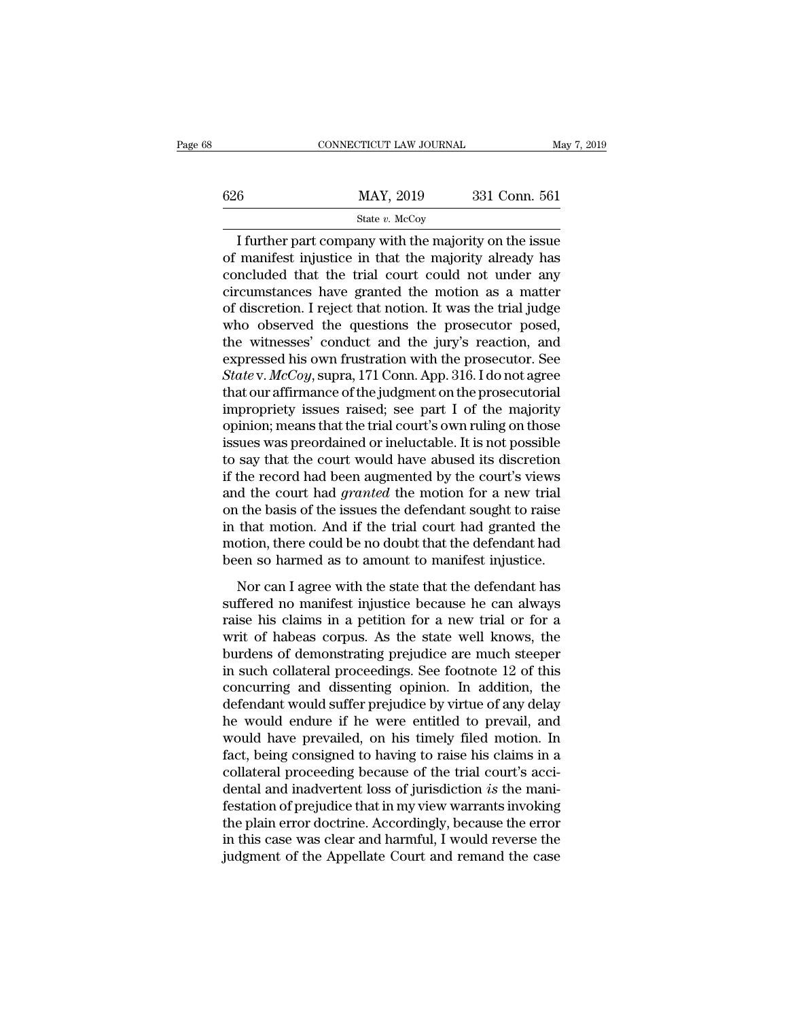|     | CONNECTICUT LAW JOURNAL | May 7, 2019   |  |
|-----|-------------------------|---------------|--|
|     |                         |               |  |
| 626 | MAY, 2019               | 331 Conn. 561 |  |
|     | State $v$ . McCoy       |               |  |

### State *v.* McCoy

CONNECTICUT LAW JOURNAL May 7, 2019<br> **I further part company with the majority on the issue<br>
I further part company with the majority on the issue<br>
manifest injustice in that the majority already has<br>
reluded that the tria**  $\begin{array}{r} \n 626 \quad \text{MAX, } 2019 \quad \text{331 Conn. } 561 \n \hline \n \text{State } v. \text{McCoy} \n \hline \n \end{array}$ <br>
I further part company with the majority on the issue<br>
of manifest injustice in that the majority already has<br>
concluded that the trial court co 626 MAY, 2019 331 Conn. 561<br>
State v. McCoy<br>
I further part company with the majority on the issue<br>
of manifest injustice in that the majority already has<br>
concluded that the trial court could not under any<br>
circumstances 626 MAY, 2019 331 Conn. 561<br>
State v. McCoy<br>
I further part company with the majority on the issue<br>
of manifest injustice in that the majority already has<br>
concluded that the trial court could not under any<br>
circumstances State v. McCoy<br>
I further part company with the majority on the issue<br>
of manifest injustice in that the majority already has<br>
concluded that the trial court could not under any<br>
circumstances have granted the motion as a State v. McCoy<br>
I further part company with the majority on the issue<br>
of manifest injustice in that the majority already has<br>
concluded that the trial court could not under any<br>
circumstances have granted the motion as a I further part company with the majority on the issue<br>of manifest injustice in that the majority already has<br>concluded that the trial court could not under any<br>circumstances have granted the motion as a matter<br>of discreti of manifest injustice in that the majority already has<br>concluded that the trial court could not under any<br>circumstances have granted the motion as a matter<br>of discretion. I reject that notion. It was the trial judge<br>who o concluded that the trial court could not under any<br>circumstances have granted the motion as a matter<br>of discretion. I reject that notion. It was the trial judge<br>who observed the questions the prosecutor posed,<br>the witnesse circumstances have granted the motion as a matter<br>of discretion. I reject that notion. It was the trial judge<br>who observed the questions the prosecutor posed,<br>the witnesses' conduct and the jury's reaction, and<br>expressed of discretion. I reject that notion. It was the trial judge<br>who observed the questions the prosecutor posed,<br>the witnesses' conduct and the jury's reaction, and<br>expressed his own frustration with the prosecutor. See<br>*State* who observed the questions the prosecutor posed,<br>the witnesses' conduct and the jury's reaction, and<br>expressed his own frustration with the prosecutor. See<br>*State* v.  $McCoy$ , supra, 171 Conn. App. 316. I do not agree<br>that the witnesses' conduct and the jury's reaction, and<br>expressed his own frustration with the prosecutor. See<br>*State* v.  $McCoy$ , supra, 171 Conn. App. 316. I do not agree<br>that our affirmance of the judgment on the prosecutori expressed his own frustration with the prosecutor. See<br>  $State$  v.  $McCoy$ , supra, 171 Conn. App. 316. I do not agree<br>
that our affirmance of the judgment on the prosecutorial<br>
impropriety issues raised; see part I of the major State v.  $McCoy$ , supra, 171 Conn. App. 316. I do not agree<br>that our affirmance of the judgment on the prosecutorial<br>impropriety issues raised; see part I of the majority<br>opinion; means that the trial court's own ruling on t that our affirmance of the judgment on the prosecutorial<br>impropriety issues raised; see part I of the majority<br>opinion; means that the trial court's own ruling on those<br>issues was preordained or ineluctable. It is not poss impropriety issues raised; see part I of the majority<br>opinion; means that the trial court's own ruling on those<br>issues was preordained or ineluctable. It is not possible<br>to say that the court would have abused its discreti opinion; means that the trial court's own ruling on those<br>issues was preordained or ineluctable. It is not possible<br>to say that the court would have abused its discretion<br>if the record had been augmented by the court's vie issues was preordained or ineluctable. It is not possible<br>to say that the court would have abused its discretion<br>if the record had been augmented by the court's views<br>and the court had *granted* the motion for a new trial<br> to say that the court would have abused its discretion<br>if the record had been augmented by the court's views<br>and the court had *granted* the motion for a new trial<br>on the basis of the issues the defendant sought to raise<br>i d the court had *granted* by the courts views<br>d the court had *granted* the motion for a new trial<br>that motion. And if the trial court had granted the<br>otion, there could be no doubt that the defendant had<br>en so harmed as on the basis of the issues the defendant sought to raise<br>in that motion. And if the trial court had granted the<br>motion, there could be no doubt that the defendant had<br>been so harmed as to amount to manifest injustice.<br>Nor

of the basis of the issues the defendant sought to flase<br>in that motion, And if the trial court had granted the<br>motion, there could be no doubt that the defendant had<br>been so harmed as to amount to manifest injustice.<br>Nor motion, there could be no doubt that the defendant had<br>been so harmed as to amount to manifest injustice.<br>Nor can I agree with the state that the defendant has<br>suffered no manifest injustice because he can always<br>raise his been so harmed as to about that the defendant had<br>been so harmed as to amount to manifest injustice.<br>Nor can I agree with the state that the defendant has<br>suffered no manifest injustice because he can always<br>raise his clai Nor can I agree with the state that the defendant has<br>suffered no manifest injustice because he can always<br>raise his claims in a petition for a new trial or for a<br>writ of habeas corpus. As the state well knows, the<br>burdens Nor can I agree with the state that the defendant has<br>suffered no manifest injustice because he can always<br>raise his claims in a petition for a new trial or for a<br>writ of habeas corpus. As the state well knows, the<br>burdens suffered no manifest injustice because he can always<br>raise his claims in a petition for a new trial or for a<br>writ of habeas corpus. As the state well knows, the<br>burdens of demonstrating prejudice are much steeper<br>in such c raise his claims in a petition for a new trial or for a<br>writ of habeas corpus. As the state well knows, the<br>burdens of demonstrating prejudice are much steeper<br>in such collateral proceedings. See footnote 12 of this<br>concur writ of habeas corpus. As the state well knows, the<br>burdens of demonstrating prejudice are much steeper<br>in such collateral proceedings. See footnote 12 of this<br>concurring and dissenting opinion. In addition, the<br>defendant burdens of demonstrating prejudice are much steeper<br>in such collateral proceedings. See footnote 12 of this<br>concurring and dissenting opinion. In addition, the<br>defendant would suffer prejudice by virtue of any delay<br>he wou in such collateral proceedings. See footnote 12 of this concurring and dissenting opinion. In addition, the defendant would suffer prejudice by virtue of any delay he would endure if he were entitled to prevail, and would concurring and dissenting opinion. In addition, the<br>defendant would suffer prejudice by virtue of any delay<br>he would endure if he were entitled to prevail, and<br>would have prevailed, on his timely filed motion. In<br>fact, bei defendant would suffer prejudice by virtue of any delay<br>he would endure if he were entitled to prevail, and<br>would have prevailed, on his timely filed motion. In<br>fact, being consigned to having to raise his claims in a<br>coll he would endure if he were entitled to prevail, and<br>would have prevailed, on his timely filed motion. In<br>fact, being consigned to having to raise his claims in a<br>collateral proceeding because of the trial court's acci-<br>den would have prevailed, on his timely filed motion. In fact, being consigned to having to raise his claims in a collateral proceeding because of the trial court's accidental and inadvertent loss of jurisdiction *is* the mani fact, being consigned to having to raise his claims in a collateral proceeding because of the trial court's accidental and inadvertent loss of jurisdiction *is* the manifestation of prejudice that in my view warrants invok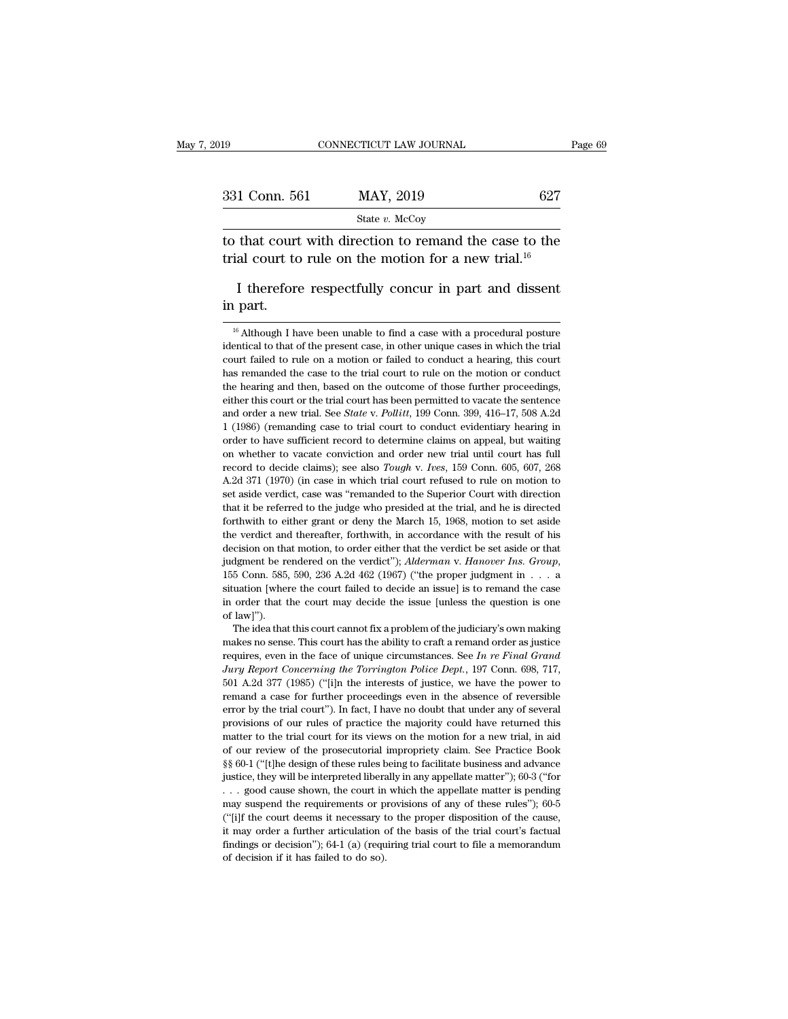| 019           | CONNECTICUT LAW JOURNAL                                                                                                    |     | Page 69 |
|---------------|----------------------------------------------------------------------------------------------------------------------------|-----|---------|
| 331 Conn. 561 | MAY, 2019                                                                                                                  | 627 |         |
|               | State $v$ . McCoy                                                                                                          |     |         |
|               | to that court with direction to remand the case to the<br>trial court to rule on the motion for a new trial. <sup>16</sup> |     |         |
|               | I therefore respectfully concur in part and dissent                                                                        |     |         |

ial court to rule on the motion for a new trial.<sup>10</sup><br>
I therefore respectfully concur in part and dissent<br>
part.<br>
<sup>16</sup> Although I have been unable to find a case with a procedural posture<br>
entical to that of the present c

I therefore respectfully concur in part and dissent<br>in part.<br> $\frac{16}{6}$  Although I have been unable to find a case with a procedural posture<br>identical to that of the present case, in other unique cases in which the trial<br> I therefore respectfully concur in part and dissent<br>in part.<br> $\frac{16}{16}$  Although I have been unable to find a case with a procedural posture<br>identical to that of the present case, in other unique cases in which the trial in part.<br>  $\frac{16}{16}$  Although I have been unable to find a case with a procedural posture<br>
identical to that of the present case, in other unique cases in which the trial<br>
court failed to rule on a motion or failed to co  $\frac{16}{16}$  Although I have been unable to find a case with a procedural posture identical to that of the present case, in other unique cases in which the trial court failed to rule on a motion or failed to conduct a hear <sup>16</sup> Although I have been unable to find a case with a procedural posture identical to that of the present case, in other unique cases in which the trial court failed to rule on a motion or failed to conduct a hearing, th identical to that of the present case, in other unique cases in which the trial<br>court failed to rule on a motion or failed to conduct a hearing, this court<br>has remanded the case to the trial court to rule on the motion or court failed to rule on a motion or failed to conduct a hearing, this court<br>has remanded the case to the trial court to rule on the motion or conduct<br>the hearing and then, based on the outcome of those further proceedings, based remained the case to the trial court to rule on the motion or conduct<br>the hearing and then, based on the outcome of those further proceedings,<br>either this court or the trial court has been permitted to vacate the sen the hearing and then, based on the outcome of those further proceedings, either this court or the trial court has been permitted to vacate the sentence and order a new trial. See *State v. Pollitt*, 199 Conn. 399, 416–17, either this court or the trial court has been permitted to vacate the sentence and order a new trial. See *State* v. *Pollitt*, 199 Conn. 399, 416–17, 508 A.2d 1 (1986) (remanding case to trial court to conduct evidentiary and order a new trial. See *State* v. *Pollitt*, 199 Conn. 399, 416–17, 508 A.2d 1 (1986) (remanding case to trial court to conduct evidentiary hearing in order to have sufficient record to determine claims on appeal, but 1 (1986) (remanding case to trial court to conduct evidentiary hearing in order to have sufficient record to determine claims on appeal, but waiting on whether to vacate conviction and order new trial until court has full The to have sufficient record to determine claims on appeal, but waiting on whether to vacate conviction and order new trial until court has full record to decide claims); see also *Tough* v. *Ives*, 159 Conn. 605, 607, 26 on whether to vacate conviction and order new trial until court has full record to decide claims); see also *Tough v. Ives*, 159 Conn. 605, 607, 268 A.2d 371 (1970) (in case in which trial court refused to rule on motion t record to decide claims); see also *Tough* v. *Ives*, 159 Conn. 605, 607, 268 A.2d 371 (1970) (in case in which trial court refused to rule on motion to set aside verdict, case was "remanded to the Superior Court with dir A.2d 371 (1970) (in case in which trial court refused to rule on motion to set aside verdict, case was "remanded to the Superior Court with direction that it be referred to the judge who presided at the trial, and he is d is a state verdict, case was "remanded to the Superior Court with direction that it be referred to the judge who presided at the trial, and he is directed forthwith to either grant or deny the March 15, 1968, motion to set forthwith to either grant or deny the March 15, 1968, motion to set aside the verdict and thereafter, forthwith, in accordance with the result of his decision on that motion, to order either that the verdict be set aside the verdict and thereafter, forthwith, in accordance with the result of his decision on that motion, to order either that the verdict be set aside or that judgment be rendered on the verdict"); *Alderman v. Hanover Ins. G* decision on that<br>decision on that<br> $j$ udgment be red<br> $155$  Conn. 585,<br>situation [wheil<br>in order that t<br>of law]").<br>The idea that dgment be rendered on the verdict"); *Alderman v. Hanover Ins. Group*, 5 Conn. 585, 590, 236 A.2d 462 (1967) ("the proper judgment in . . . a uation [where the court failed to decide an issue] is to remand the case order 155 Conn. 585, 590, 236 A.2d 462 (1967) ("the proper judgment in  $\dots$  a situation [where the court failed to decide an issue] is to remand the case in order that the court may decide the issue [unless the question is one

requires, even in the court failed to decide an issue] is to remand the case<br>in order that the court failed to decide an issue] is to remand the case<br>of law]").<br>The idea that this court cannot fix a problem of the judiciar *Jury Report Concerning the Torrington Police Dept.*, 197 Conn. 698, 717, 501 A.2d 377 (1985) ("ji) the interests of justice, we have the power to the *Jury Report Concerning the Torrington Police Dept.*, 197 Conn. 698, 71 of law]").<br>The idea that this court cannot fix a problem of the judiciary's own making<br>makes no sense. This court has the ability to craft a remand order as justice<br>requires, even in the face of unique circumstances. See The idea that this court cannot fix a problem of the judiciary's own making makes no sense. This court has the ability to craft a remand order as justice requires, even in the face of unique circumstances. See *In re Fina* makes no sense. This court has the ability to craft a remand order as justice<br>requires, even in the face of unique circumstances. See In re Final Grand<br>Jury Report Concerning the Torrington Police Dept., 197 Conn. 698, 71 requires, even in the face of unique circumstances. See *In re Final Grand* Jury Report Concerning the Torrington Police Dept., 197 Conn. 698, 717, 501 A.2d 377 (1985) ("[i]n the interests of justice, we have the power to Fury Report Concerning the Torrington Police Dept., 197 Conn. 698, 717, Jury Report Concerning the Torrington Police Dept., 197 Conn. 698, 717, 501 A.2d 377 (1985) ("[i]n the interests of justice, we have the power to rema <sup>501</sup> A.2d 377 (1985) ("ij)n the interests of justice, we have the power to remand a case for further proceedings even in the absence of reversible error by the trial court"). In fact, I have no doubt that under any of se remand a case for further proceedings even in the absence of reversible error by the trial court"). In fact, I have no doubt that under any of several provisions of our rules of practice the majority could have returned th error by the trial court"). In fact, I have no doubt that under any of several provisions of our rules of practice the majority could have returned this matter to the trial court for its views on the motion for a new tria provisions of our rules of practice the majority could have returned this matter to the trial court for its views on the motion for a new trial, in aid of our review of the prosecutorial impropriety claim. See Practice Bo matter to the trial court for its views on the motion for a new trial, in aid of our review of the prosecutorial impropriety claim. See Practice Book  $\S$  60-1 ("[t]he design of these rules being to facilitate business and matter to the trial court for its views on the motion for a new trial, in aid<br>of our review of the prosecutorial impropriety claim. See Practice Book<br>§§ 60-1 ("[t]he design of these rules being to facilitate business and §§ 60-1 ("[t]he design of these rules being to facilitate business and advance justice, they will be interpreted liberally in any appellate matter"); 60-3 ("for . . . good cause shown, the court in which the appellate mat figure to the interpreted liberally in any appellate matter"); 60-3 ("for ... good cause shown, the court in which the appellate matter is pending may suspend the requirements or provisions of any of these rules"); 60-5 ( ... good cause shown, the court in which the appellate matter is pending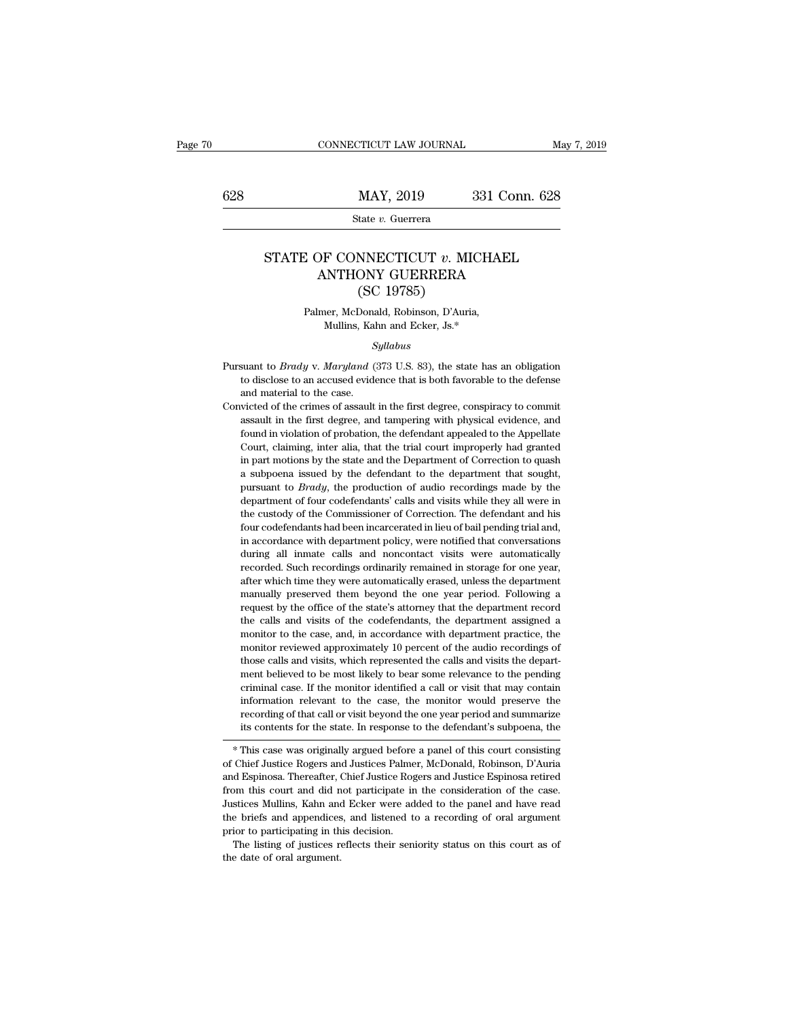# $\underbrace{\text{CONNECTICUT LAW JOURNAL}}_{\text{May 7, 2019}} \underbrace{\text{May 7, 2019}}_{\text{State } v. \text{ Guerrera}}$

State *v.* Guerrera

## MAY, 2019 331 Conn. 628<br>State *v*. Guerrera<br>STATE OF CONNECTICUT *v*. MICHAEL<br>ANTHONY GUERRERA MAY, 2019 331 Conn. 62<br>
State v. Guerrera<br>
DF CONNECTICUT v. MICHAEL<br>
ANTHONY GUERRERA<br>
(SC 19785) MAY, 2019<br>
tate v. Guerrera<br>
NNECTICUT v. MI<br>
ONY GUERRERA<br>
(SC 19785)<br>
Donald, Robinson, D'Auria E OF CONNECTICUT  $v$ . MICHA<br>ANTHONY GUERRERA<br>(SC 19785)<br>Palmer, McDonald, Robinson, D'Auria,<br>Mullins, Kahn and Ecker, Js.\* F CONNECTICUT  $v$ . MICHA<br>
NTHONY GUERRERA<br>
(SC 19785)<br>
19785)<br>
1978 Mullins, Kahn and Ecker, Js.\*<br>
Syllabus

### *Syllabus*

(SC 19785)<br>
Palmer, McDonald, Robinson, D'Auria,<br>
Mullins, Kahn and Ecker, Js.\*<br> *Syllabus*<br>
Pursuant to *Brady* v. *Maryland* (373 U.S. 83), the state has an obligation<br>
to disclose to an accused evidence that is both fav Palmer, McDonald, Robinson, D'Auria,<br>Mullins, Kahn and Ecker, Js.\*<br>Syllabus<br>suant to *Brady* v. *Maryland* (373 U.S. 83), the state has an obligation<br>to disclose to an accused evidence that is both favorable to the defense Famer, also shall<br>and material to Brady v. Maryland (<br>to disclose to an accused evident<br>and material to the case.<br>victed of the crimes of assault Syllabus<br>
Syllabus<br>
Convicted of the crimes of assault in the first degree, conspiracy to commit<br>
assault in the first degree, and tampering with physical evidence, and<br>
Convicted of the crimes of assault in the first degr

*Syllabus*<br>suant to *Brady* v. *Maryland* (373 U.S. 83), the state has an obligation<br>to disclose to an accused evidence that is both favorable to the defense<br>and material to the case.<br>victed of the crimes of assault in the suant to *Brady* v. *Maryland* (373 U.S. 83), the state has an obligation to disclose to an accused evidence that is both favorable to the defense and material to the case. victed of the crimes of assault in the first degr to disclose to an accused evidence that is both favorable to the defense and material to the case.<br>
wicted of the crimes of assault in the first degree, conspiracy to commit<br>
assault in the first degree, and tampering with and material to the case.<br>
and material to the case.<br>
victed of the crimes of assault in the first degree, conspiracy to commit<br>
assault in the first degree, and tampering with physical evidence, and<br>
found in violation of wicted of the crimes of assault in the first degree, conspiracy to commit assault in the first degree, and tampering with physical evidence, and found in violation of probation, the defendant appealed to the Appellate Cou assault in the first degree, and tampering with physical evidence, and found in violation of probation, the defendant appealed to the Appellate Court, claiming, inter alia, that the trial court improperly had granted in pa found in violation of probation, the defendant appealed to the Appellate Court, claiming, inter alia, that the trial court improperly had granted in part motions by the state and the Department of Correction to quash a su Court, claiming, inter alia, that the trial court improperly had granted in part motions by the state and the Department of Correction to quash a subpoena issued by the defendant to the department that sought, pursuant to four, channing, met and, and the that code improperty had guined in part motions by the state and the Department of Correction to quash a subpoena issued by the defendant to the department that sought, pursuant to *Brady*, in parameterized with department of correction to quasinear a subpoena issued by the department that sought, pursuant to  $Brady$ , the production of audio recordings made by the department of four codefendants' calls and vis dependent associally and determinate of the department that sought, pursuant to *Brady*, the production of audio recordings made by the department of four codefendants' calls and visits while they all were in the custody o pursuant of *Suchage*, are producted of a data recordings made by all department of four codefendants' calls and visits while they all were in the custody of the Commissioner of Correction. The defendant and his four codef aryanicant of four codecretations can also with the custody of the Commissioner of Correction. The defendant and his four codefendants had been incarcerated in lieu of bail pending trial and, in accordance with department manually of the commissioner of correction. The decination and its<br>four codefendants had been incarcerated in lieu of bail pending trial and,<br>in accordance with department policy, were notified that conversations<br>during al request by the office of the state's attorney that the department and state of the state of the state of the state of the state attorney recorded. Such recordings ordinarily remained in storage for one year, after which ti In accordance with department policy, were noticed and conversations<br>during all inmate calls and noncontact visits were automatically<br>recorded. Such recordings ordinarily remained in storage for one year,<br>after which time many an initiate cans and indicontact visits were attonuatediry<br>recorded. Such recordings ordinarily remained in storage for one year,<br>after which time they were automatically erased, unless the department<br>manually preserv recorded been recordings ordinary remained in soonge for one year, after which time they were automatically erased, unless the department manually preserved them beyond the one year period. Following a request by the offic manually preserved them beyond the one year period. Following a request by the office of the state's attorney that the department record the calls and visits of the codefendants, the department assigned a monitor to the ca manuary preserved them beyond the one year period. Tolowing a<br>request by the office of the state's attorney that the department record<br>the calls and visits of the codefendants, the department practice, the<br>monitor reviewed ceduces by and sints of the codefendants, the department assigned a<br>the calls and visits of the codefendants, the department practice, the<br>monitor reviewed approximately 10 percent of the audio recordings of<br>those calls an information relevant of the case, and, in accordance with department practice, the monitor reviewed approximately 10 percent of the audio recordings of those calls and visits, which represented the calls and visits the dep recording of the case, and, in according of the audio recordings of those calls and visits, which represented the calls and visits the department believed to be most likely to bear some relevance to the pending criminal ca it those calls and visits, which represented the calls and visits the department believed to be most likely to bear some relevance to the pending criminal case. If the monitor identified a call or visit that may contain in ment believed to be most likely to bear some relevance to the pending<br>criminal case. If the monitor identified a call or visit that may contain<br>information relevant to the case, the monitor would preserve the<br>recording of of Chief Justice Rogers and Justices Palmer, McDonald, Robinson, D'Auria<br>and Espinosa. There are a paralytic and summarize<br>its contents for the state. In response to the defendant's subpoena, the<br>\* This case was originally

mormation relevant to the case, the monitor would preserve the<br>recording of that call or visit beyond the one year period and summarize<br>its contents for the state. In response to the defendant's subpoena, the<br>\* This case w from this contents for the state. In response to the defendant's subpoena, the  $*$  This case was originally argued before a panel of this court consisting of Chief Justice Rogers and Justices Palmer, McDonald, Robinson, D' Its contents for the state. In response to the detendant's subpoena, the<br>
\* This case was originally argued before a panel of this court consisting<br>
of Chief Justice Rogers and Justices Palmer, McDonald, Robinson, D'Auria<br>  $*$  This case was originally argued before a panel of this court consisting of Chief Justice Rogers and Justices Palmer, McDonald, Robinson, D'Auria and Espinosa. Thereafter, Chief Justice Rogers and Justice Espinosa reti of Chief Justice Rogers and Justices Palme<br>and Espinosa. Thereafter, Chief Justice Rogers<br>and Espinosa. Thereafter, Chief Justice Roger<br>from this court and did not participate in<br>Justices Mullins, Kahn and Ecker were ad<br>th and Espinosa. Thereafter, Chief Justice Rogers and Justice Espinosa retired<br>from this court and did not participate in the consideration of the case.<br>Justices Mullins, Kahn and Ecker were added to the panel and have read<br>t from this court and did not participate in the consideration of the case.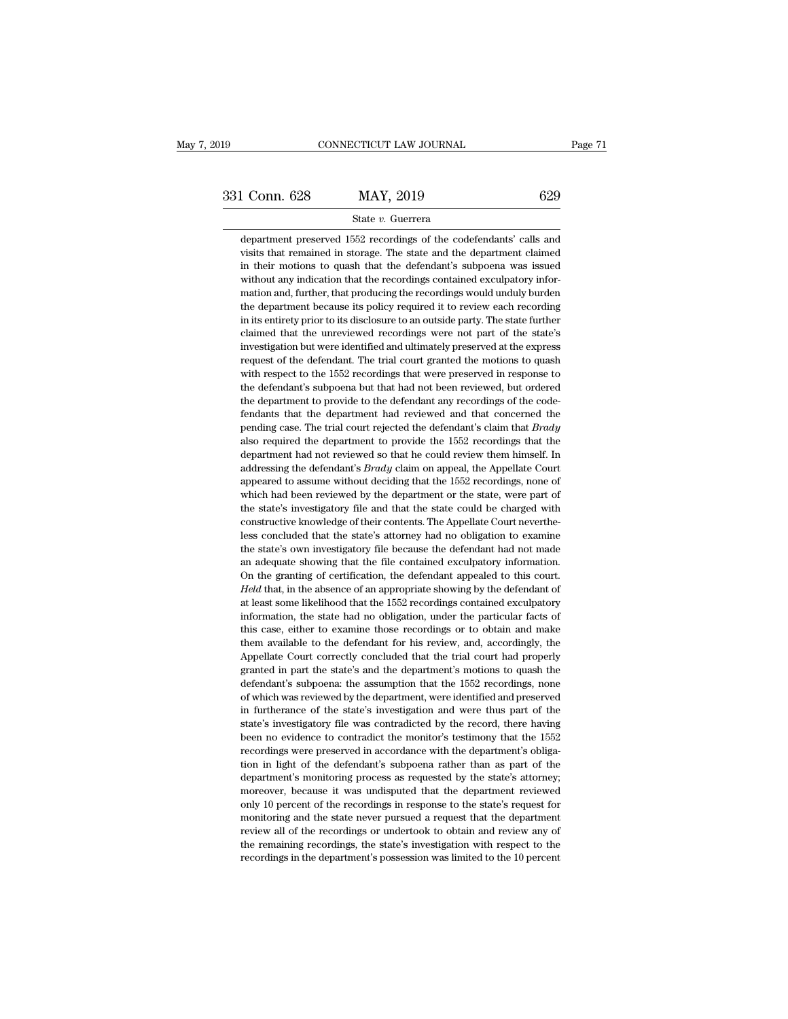### State *v.* Guerrera

department preserved 1552 recordings of the codefendants' calls and<br>department preserved 1552 recordings of the codefendants' calls and<br>visits that remained in storage. The state and the department claimed visits that remained in storage. The state and the department preserved  $1552$  recordings of the codefendants' calls and visits that remained in storage. The state and the department claimed in their motions to quash that **in the increase of the defendants** of the defendants' calls and department preserved 1552 recordings of the codefendants' calls and visits that remained in storage. The state and the department claimed in their motions t 331 Conn. 628 MAY, 2019 629<br>
State v. Guerrera<br>
department preserved 1552 recordings of the codefendants' calls and<br>
visits that remained in storage. The state and the department claimed<br>
in their motions to quash that th State  $v$ . Guerrera<br>department preserved 1552 recordings of the codefendants' calls and<br>visits that remained in storage. The state and the department claimed<br>in their motions to quash that the defendant's subpoena was iss department preserved 1552 recordings of the codefendants' calls and<br>visits that remained in storage. The state and the department claimed<br>in their motions to quash that the defendant's subpoena was issued<br>without any indic in its that remained in storage. The state and the department claimed<br>in their motions to quash that the defendant's subpoena was issued<br>without any indication that the recordings contained exculpatory infor-<br>mation and, f in their motions to quash that the defendant's subpoena was issued without any indication that the recordings contained exculpatory information and, further, that producing the recordings would unduly burden the department in thout any indication that the recordings contained exculpatory information and, further, that producing the recordings would unduly burden the department because its policy required it to review each recording in its en mation and, further, that producing the recordings would unduly burden<br>the department because its policy required it to review each recording<br>in its entirety prior to its disclosure to an outside party. The state further<br> the department because its policy required it to review each recording<br>in its entirety prior to its disclosure to an outside party. The state further<br>claimed that the unreviewed recordings were not part of the state's<br>inve in its entirety prior to its disclosure to an outside party. The state further claimed that the unreviewed recordings were not part of the state's investigation but were identified and ultimately preserved at the express r in its entirety prior to its disclosure to an outside party. The state further claimed that the unreviewed recordings were not part of the state's investigation but were identified and ultimately preserved at the express investigation but were identified and ultimately preserved at the express request of the defendant. The trial court granted the motions to quash with respect to the 1552 recordings that were preserved in response to the d prequest of the defendant. The trial court granted the motions to quash with respect to the 1552 recordings that were preserved in response to the defendant's subpoena but that had not been reviewed, but ordered the depart required to the 1552 recordings that were preserved in response to the defendant's subpoena but that had not been reviewed, but ordered the department to provide to the defendant any recordings of the code-<br>fendants that the defendant's subpoena but that had not been reviewed, but ordered the department to provide to the defendant any recordings of the codefendants that the department had reviewed and that concerned the pending case. The the department to provide to the defendant any recordings of the code-<br>fendants that the department had reviewed and that concerned the<br>pending case. The trial court rejected the defendant's claim that *Brady*<br>also require are well fendants that the department had reviewed and that concerned the pending case. The trial court rejected the defendant's claim that *Brady* also required the department to provide the 1552 recordings that the depar pending case. The trial court rejected the defendant's claim that *Brady* also required the department to provide the 1552 recordings that the department had not reviewed so that he could review them himself. In addressing also required the department to provide the 1552 recordings that the department had not reviewed so that he could review them himself. In addressing the defendant's *Brady* claim on appeal, the Appellate Court appeared to department had not reviewed so that he could review them himself. In addressing the defendant's *Brady* claim on appeal, the Appellate Court appeared to assume without deciding that the 1552 recordings, none of which had b addressing the defendant's *Brady* claim on appeal, the Appellate Court appeared to assume without deciding that the 1552 recordings, none of which had been reviewed by the department or the state, were part of the state's appeared to assume without deciding that the 1552 recordings, none of which had been reviewed by the department or the state, were part of the state's investigatory file and that the state could be charged with constructiv appeared to assume without deciding that the 1552 recordings, none of which had been reviewed by the department or the state, were part of the state's investigatory file and that the state could be charged with constructiv The state's investigatory file and that the state could be charged with constructive knowledge of their contents. The Appellate Court nevertheless concluded that the state's attorney had no obligation to examine the state' constructive knowledge of their contents. The Appellate Court nevertheless concluded that the state's attorney had no obligation to examine the state's own investigatory file because the defendant had not made an adequate less concluded that the state's attorney had no obligation to examine<br>the state's own investigatory file because the defendant had not made<br>an adequate showing that the file contained exculpatory information.<br>On the granti the state's own investigatory file because the defendant had not made<br>an adequate showing that the file contained exculpatory information.<br>On the granting of certification, the defendant appealed to this court.<br>Held that, an adequate showing that the file contained exculpatory information.<br>On the granting of certification, the defendant appealed to this court.<br>Held that, in the absence of an appropriate showing by the defendant of<br>at least available to the granting of certification, the defendant appealed to this court.<br>Held that, in the absence of an appropriate showing by the defendant of<br>at least some likelihood that the 1552 recordings contained exculpat *Held* that, in the absence of an appropriate showing by the defendant of at least some likelihood that the 1552 recordings contained exculpatory information, the state had no obligation, under the particular facts of this at least some likelihood that the 1552 recordings contained exculpatory information, the state had no obligation, under the particular facts of this case, either to examine those recordings or to obtain and make them avail information, the state had no obligation, under the particular facts of this case, either to examine those recordings or to obtain and make them available to the defendant for his review, and, accordingly, the Appellate Co this case, either to examine those recordings or to obtain and make<br>them available to the defendant for his review, and, accordingly, the<br>Appellate Court correctly concluded that the trial court had properly<br>granted in par them available to the defendant for his review, and, accordingly, the Appellate Court correctly concluded that the trial court had properly granted in part the state's and the department's motions to quash the defendant's Appellate Court correctly concluded that the trial court had properly granted in part the state's and the department's motions to quash the defendant's subpoena: the assumption that the 1552 recordings, none of which was r represented in part the state's and the department's motions to quash the defendant's subpoena: the assumption that the 1552 recordings, none of which was reviewed by the department, were identified and preserved in furthe granted in part the state's and the department's motions to quash the defendant's subpoena: the assumption that the  $1552$  recordings, none of which was reviewed by the department, were identified and preserved in further of which was reviewed by the department, were identified and preserved in furtherance of the state's investigation and were thus part of the state's investigatory file was contradicted by the record, there having been no e in furtherance of the state's investigation and were thus part of the state's investigatory file was contradicted by the record, there having been no evidence to contradict the monitor's testimony that the 1552 recordings moreover, because it was undisputed that the department reviewed only a precordings were preserved in accordance with the department's obligareordings were preserved in accordance with the department's obligation in light been no evidence to contradict the monitor's testimony that the 1552 recordings were preserved in accordance with the department's obligation in light of the defendant's subpoena rather than as part of the department's mon recordings were preserved in accordance with the department's obligation in light of the defendant's subpoena rather than as part of the department's monitoring process as requested by the state's attorney; moreover, becau review all of the defendant's subpoena rather than as part of the department's monitoring process as requested by the state's attorney; moreover, because it was undisputed that the department reviewed only 10 percent of th department's monitoring process as requested by the state's attorney;<br>department's monitoring process as requested by the state's attorney;<br>moreover, because it was undisputed that the department reviewed<br>only 10 percent o moreover, because it was undisputed that the department reviewed<br>only 10 percent of the recordings in response to the state's request for<br>monitoring and the state never pursued a request that the department<br>review all of t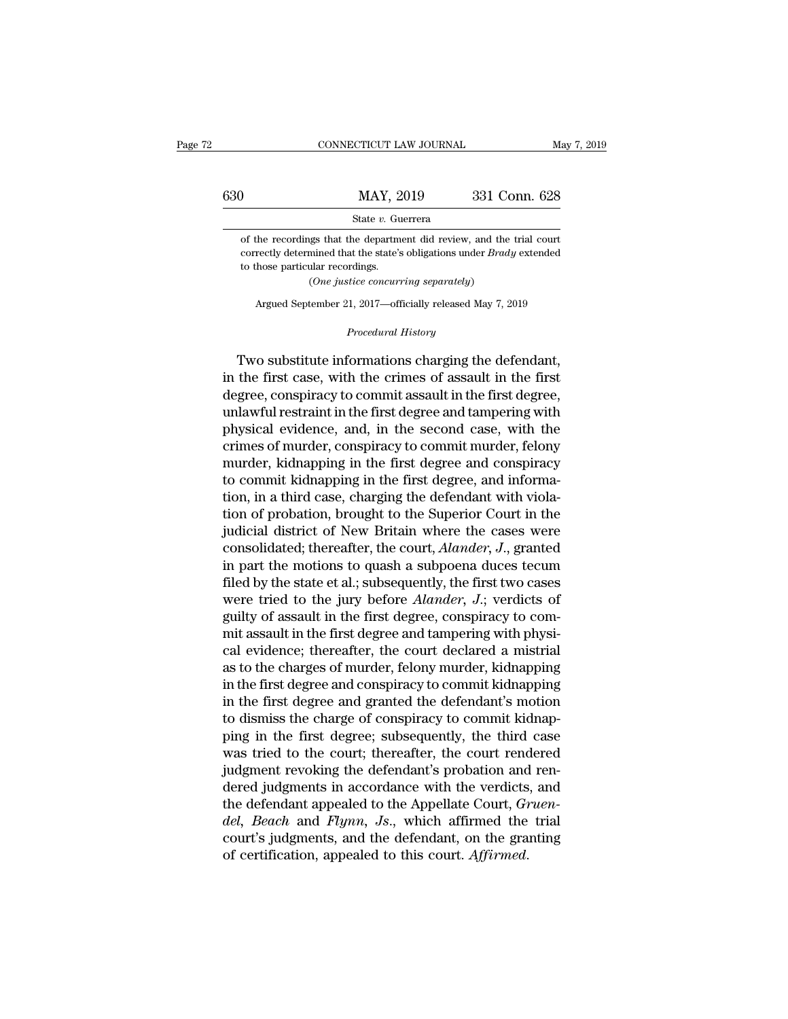|     | CONNECTICUT LAW JOURNAL                                                                                                                                | May 7, 2019   |
|-----|--------------------------------------------------------------------------------------------------------------------------------------------------------|---------------|
| 630 | MAY, 2019                                                                                                                                              | 331 Conn. 628 |
|     | State v. Guerrera                                                                                                                                      |               |
|     | of the recordings that the department did review, and the trial court<br>correctly determined that the state's obligations under <i>Brady</i> extended |               |

Correctly determined that the department did review, and the trial court correctly determined that the state's obligations under *Brady* extended to those particular recordings.  $\begin{array}{r} \text{MAX, 2} \\ \text{State } v. \text{ Gu} \\ \text{of the recordings that the department correctly determined that the state's to those particular recordings. } (One justice concurrent) \\ \end{array}$ State *v*. Guerrera<br>
sigs that the department did review, and the<br>
mined that the state's obligations under *Brad*<br>
ular recordings.<br>
(*One justice concurring separately*)<br>
tember 21–2017—officially released May 7–2 the recordings that the department did review, and the trial court<br>rectly determined that the state's obligations under *Brady* extended<br>hose particular recordings.<br>(One justice concurring separately)<br>Argued September 21, to those particular recordings.<br>
(One justice concurring separately)<br>
Argued September 21, 2017—officially released May 7, 2019<br> *Procedural History*<br> **Two substitute informations charging the defendant,** 

to those particular recordings.<br>
(One justice concurring separately)<br>
Argued September 21, 2017—officially released May 7, 2019<br>
Procedural History<br>
Two substitute informations charging the defendant,<br>
the first case, with  $(One\ justice\ concurrently)$ <br>
Argued September 21, 2017—officially released May 7, 2019<br>  $Proceedural History$ <br>
Two substitute informations charging the defendant,<br>
in the first case, with the crimes of assault in the first<br>
degree, conspiracy to commit as Argued September 21, 2017—officially released May 7, 2019<br> *Procedural History*<br> **Two substitute informations charging the defendant,**<br>
in the first case, with the crimes of assault in the first<br>
degree, conspiracy to comm Frocedural History<br>
Procedural History<br>
Two substitute informations charging the defendant,<br>
in the first case, with the crimes of assault in the first<br>
degree, conspiracy to commit assault in the first degree,<br>
unlawful r *Procedural History*<br>Two substitute informations charging the defendant,<br>in the first case, with the crimes of assault in the first<br>degree, conspiracy to commit assault in the first degree,<br>unlawful restraint in the first Two substitute informations charging the defendant,<br>in the first case, with the crimes of assault in the first<br>degree, conspiracy to commit assault in the first degree,<br>unlawful restraint in the first degree and tampering Two substitute informations charging the defendant,<br>in the first case, with the crimes of assault in the first<br>degree, conspiracy to commit assault in the first degree,<br>unlawful restraint in the first degree and tampering in the first case, with the crimes of assault in the first degree, conspiracy to commit assault in the first degree, unlawful restraint in the first degree and tampering with physical evidence, and, in the second case, wit degree, conspiracy to commit assault in the first degree, unlawful restraint in the first degree and tampering with<br>physical evidence, and, in the second case, with the<br>crimes of murder, conspiracy to commit murder, felony unlawful restraint in the first degree and tampering with<br>physical evidence, and, in the second case, with the<br>crimes of murder, conspiracy to commit murder, felony<br>murder, kidnapping in the first degree and conspiracy<br>to physical evidence, and, in the second case, with the<br>crimes of murder, conspiracy to commit murder, felony<br>murder, kidnapping in the first degree and conspiracy<br>to commit kidnapping in the first degree, and informa-<br>tion, crimes of murder, conspiracy to commit murder, felony<br>murder, kidnapping in the first degree and conspiracy<br>to commit kidnapping in the first degree, and informa-<br>tion, in a third case, charging the defendant with viola-<br>t murder, kidnapping in the first degree and conspiracy<br>to commit kidnapping in the first degree, and informa-<br>tion, in a third case, charging the defendant with viola-<br>tion of probation, brought to the Superior Court in th to commit kidnapping in the first degree, and information, in a third case, charging the defendant with violation of probation, brought to the Superior Court in the judicial district of New Britain where the cases were co tion, in a third case, charging the defendant with violation of probation, brought to the Superior Court in the judicial district of New Britain where the cases were consolidated; thereafter, the court, *Alander*, *J*., gr tion of probation, brought to the Superior Court in the judicial district of New Britain where the cases were consolidated; thereafter, the court, *Alander*, *J*., granted in part the motions to quash a subpoena duces tec judicial district of New Britain where the cases were<br>consolidated; thereafter, the court, *Alander*, *J*., granted<br>in part the motions to quash a subpoena duces tecum<br>filed by the state et al.; subsequently, the first two consolidated; thereafter, the court, *Alander*, *J*., granted<br>in part the motions to quash a subpoena duces tecum<br>filed by the state et al.; subsequently, the first two cases<br>were tried to the jury before *Alander*, *J*.; in part the motions to quash a subpoena duces tecum<br>filed by the state et al.; subsequently, the first two cases<br>were tried to the jury before *Alander*, J.; verdicts of<br>guilty of assault in the first degree, conspiracy to filed by the state et al.; subsequently, the first two cases<br>were tried to the jury before *Alander*, J.; verdicts of<br>guilty of assault in the first degree, conspiracy to com-<br>mit assault in the first degree and tampering were tried to the jury before *Alander*, J.; verdicts of<br>guilty of assault in the first degree, conspiracy to com-<br>mit assault in the first degree and tampering with physi-<br>cal evidence; thereafter, the court declared a mi guilty of assault in the first degree, conspiracy to commit assault in the first degree and tampering with physical evidence; thereafter, the court declared a mistrial as to the charges of murder, felony murder, kidnapping mit assault in the first degree and tampering with physical evidence; thereafter, the court declared a mistrial<br>as to the charges of murder, felony murder, kidnapping<br>in the first degree and conspiracy to commit kidnapping cal evidence; thereafter, the court declared a mistrial<br>as to the charges of murder, felony murder, kidnapping<br>in the first degree and conspiracy to commit kidnapping<br>in the first degree and granted the defendant's motion<br> as to the charges of murder, felony murder, kidnapping<br>in the first degree and conspiracy to commit kidnapping<br>in the first degree and granted the defendant's motion<br>to dismiss the charge of conspiracy to commit kidnap-<br>pi in the first degree and conspiracy to commit kidnapping<br>in the first degree and granted the defendant's motion<br>to dismiss the charge of conspiracy to commit kidnap-<br>ping in the first degree; subsequently, the third case<br>w in the first degree and granted the defendant's motion<br>to dismiss the charge of conspiracy to commit kidnap-<br>ping in the first degree; subsequently, the third case<br>was tried to the court; thereafter, the court rendered<br>jud to dismiss the charge of conspiracy to commit kidnapping in the first degree; subsequently, the third case was tried to the court; thereafter, the court rendered judgment revoking the defendant's probation and rendered jud ping in the first degree; subsequently, the third case<br>was tried to the court; thereafter, the court rendered<br>judgment revoking the defendant's probation and ren-<br>dered judgments in accordance with the verdicts, and<br>the d was tried to the court; thereafter, the court reno<br>judgment revoking the defendant's probation and<br>dered judgments in accordance with the verdicts<br>the defendant appealed to the Appellate Court, *Gr*<br>*del*, *Beach* and *Fly*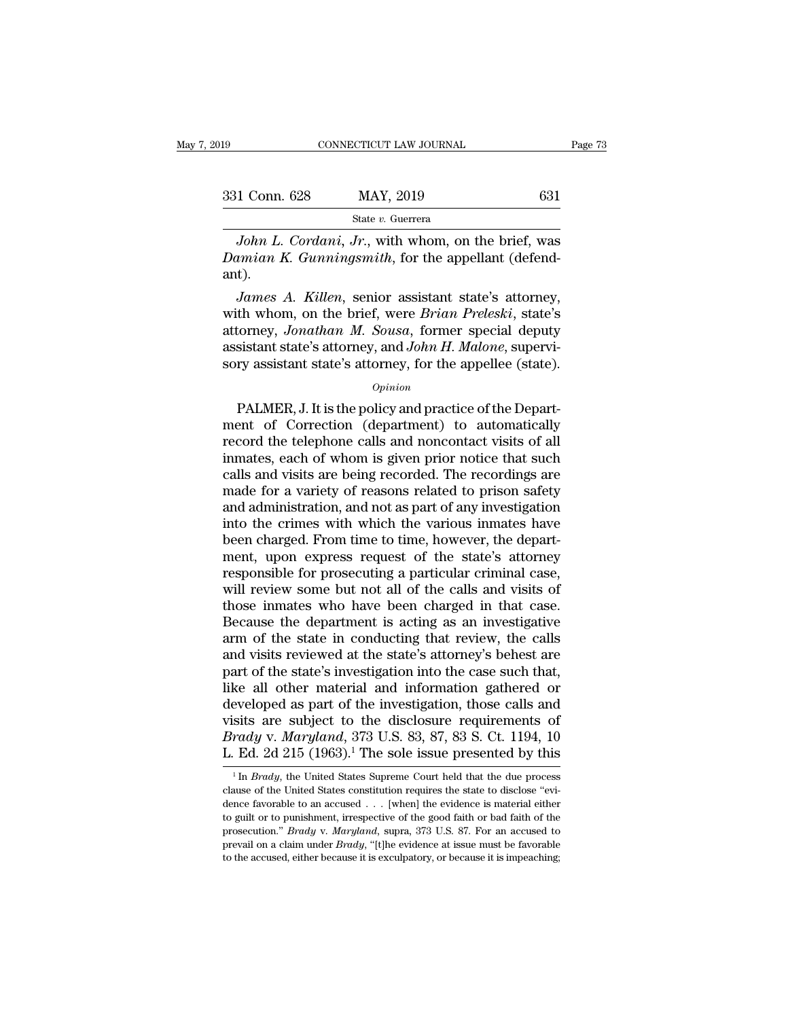| 19            | CONNECTICUT LAW JOURNAL | Page 73 |  |
|---------------|-------------------------|---------|--|
| 331 Conn. 628 | MAY, 2019               | 631     |  |
|               | State v. Guerrera       |         |  |

*CONNECTICUT LAW JOURNAL* Page 73<br> *J* Conn. 628 MAY, 2019 631<br> *State v. Guerrera*<br> *John L. Cordani, Jr.*, with whom, on the brief, was<br> *L. Gunningsmith*, for the appellant (defend-<sup>231</sup> Conn. 628 MAY, 2019 631<br>
<sup>231</sup> State *v*. Guerrera<br> *Damian L. Cordani, Jr.*, with whom, on the brief, was<br> *Damian K. Gunningsmith*, for the appellant (defend-<br>
2011). ant). *James A. Killen, senior assistant state's attorney, John L. Cordani, Jr., with whom, on the brief, was amian K. Gunningsmith, for the appellant (defend-<br><i>James A. Killen, senior assistant state's attorney,* th whom, on th

State *v.* Guerrera<br>
John L. Cordani, Jr., with whom, on the brief, was<br>
Damian K. Gunningsmith, for the appellant (defend-<br>
ant).<br>
James A. Killen, senior assistant state's attorney,<br>
with whom, on the brief, were *Brian* John L. Cordani, Jr., with whom, on the brief, was<br>Damian K. Gunningsmith, for the appellant (defend-<br>ant).<br>James A. Killen, senior assistant state's attorney,<br>with whom, on the brief, were *Brian Preleski*, state's<br>attorn John L. Cordani, Jr., with whom, on the brief, was<br>Damian K. Gunningsmith, for the appellant (defend-<br>ant).<br>James A. Killen, senior assistant state's attorney,<br>with whom, on the brief, were *Brian Preleski*, state's<br>attorn Damian K. Gunningsmiin, for the appellant (defend-<br>ant).<br>James A. Killen, senior assistant state's attorney,<br>with whom, on the brief, were *Brian Preleski*, state's<br>attorney, Jonathan M. Sousa, former special deputy<br>assist France, School and Preleski, state's<br>torney, *Jonathan M. Sousa*, former special deputy<br>sistant state's attorney, and *John H. Malone*, supervi-<br>ry assistant state's attorney, for the appellee (state).<br> $opinion$ <br>PALMER, J. It i

### *Opinion*

ment of Correction (department) to automatically substituted assistant state's attorney, and *John H. Malone*, supervisory assistant state's attorney, for the appellee (state).<br>  $op<sub>pinion</sub>$ <br>
PALMER, J. It is the policy an assistant state's attorney, and *John H. Malone*, supervisory assistant state's attorney, for the appellee (state).<br>  $o_{pinion}$ <br>
PALMER, J. It is the policy and practice of the Department of Correction (department) to automa sory assistant state's attorney, farles such a hadden, superint sorry assistant state's attorney, for the appellee (state).<br>
Opinion<br>
PALMER, J. It is the policy and practice of the Depart-<br>
ment of Correction (department) opinion<br>
opinion<br>
PALMER, J. It is the policy and practice of the Depart-<br>
ment of Correction (department) to automatically<br>
record the telephone calls and noncontact visits of all<br>
inmates, each of whom is given prior not  $o$ <sub>pinion</sub><br>
PALMER, J. It is the policy and practice of the Depart-<br>
ment of Correction (department) to automatically<br>
record the telephone calls and noncontact visits of all<br>
inmates, each of whom is given prior notice PALMER, J. It is the policy and practice of the Department of Correction (department) to automatically record the telephone calls and noncontact visits of all inmates, each of whom is given prior notice that such calls and ment of Correction (department) to automatically<br>record the telephone calls and noncontact visits of all<br>inmates, each of whom is given prior notice that such<br>calls and visits are being recorded. The recordings are<br>made fo record the telephone calls and noncontact visits of all<br>inmates, each of whom is given prior notice that such<br>calls and visits are being recorded. The recordings are<br>made for a variety of reasons related to prison safety<br>a inmates, each of whom is given prior notice that such<br>calls and visits are being recorded. The recordings are<br>made for a variety of reasons related to prison safety<br>and administration, and not as part of any investigation<br> calls and visits are being recorded. The recordings are<br>made for a variety of reasons related to prison safety<br>and administration, and not as part of any investigation<br>into the crimes with which the various inmates have<br>be made for a variety of reasons related to prison safety<br>and administration, and not as part of any investigation<br>into the crimes with which the various inmates have<br>been charged. From time to time, however, the depart-<br>ment and administration, and not as part of any investigation<br>into the crimes with which the various inmates have<br>been charged. From time to time, however, the depart-<br>ment, upon express request of the state's attorney<br>responsi into the crimes with which the various inmates have<br>been charged. From time to time, however, the depart-<br>ment, upon express request of the state's attorney<br>responsible for prosecuting a particular criminal case,<br>will revi been charged. From time to time, however, the department, upon express request of the state's attorney responsible for prosecuting a particular criminal case, will review some but not all of the calls and visits of those i ment, upon express request of the state's attorney<br>responsible for prosecuting a particular criminal case,<br>will review some but not all of the calls and visits of<br>those inmates who have been charged in that case.<br>Because t responsible for prosecuting a particular criminal case,<br>will review some but not all of the calls and visits of<br>those inmates who have been charged in that case.<br>Because the department is acting as an investigative<br>arm of will review some but not all of the calls and visits of<br>those inmates who have been charged in that case.<br>Because the department is acting as an investigative<br>arm of the state in conducting that review, the calls<br>and visit those inmates who have been charged in that case.<br>Because the department is acting as an investigative<br>arm of the state in conducting that review, the calls<br>and visits reviewed at the state's attorney's behest are<br>part of Because the department is acting as an investigative<br>arm of the state in conducting that review, the calls<br>and visits reviewed at the state's attorney's behest are<br>part of the state's investigation into the case such that arm of the state in conducting that review, the calls<br>and visits reviewed at the state's attorney's behest are<br>part of the state's investigation into the case such that,<br>like all other material and information gathered or<br> and visits reviewed at the state's attorney's behest are part of the state's investigation into the case such that, like all other material and information gathered or developed as part of the investigation, those calls a eveloped as part of the investigation, those calls and<br>sits are subject to the disclosure requirements of<br>*rady* v. *Maryland*, 373 U.S. 83, 87, 83 S. Ct. 1194, 10<br>Ed. 2d 215 (1963).<sup>1</sup> The sole issue presented by this<br><sup>1</sup> visits are subject to the disclosure requirements of *Brady* v. *Maryland*, 373 U.S. 83, 87, 83 S. Ct. 1194, 10 L. Ed. 2d 215 (1963).<sup>1</sup> The sole issue presented by this  $\frac{1}{\ln$  *Brady*, the United States Supreme Court

*Brady* v. *Maryland*, 373 U.S. 83, 87, 83 S. Ct. 1194, 10 L. Ed. 2d 215 (1963).<sup>1</sup> The sole issue presented by this  $\frac{1}{10}$  hardly, the United States Supreme Court held that the due process clause of the United States L. Ed. 2d 215 (1963).<sup>1</sup> The sole issue presented by this  $\frac{1}{10}$  in *Brady*, the United States Supreme Court held that the due process clause of the United States constitution requires the state to disclose "evidence **Provident EXECUTE: Providence** ISSUE **DESERVICED** Brady, the United States Supreme Court held that the due process clause of the United States constitution requires the state to disclose "evidence favorable to an accus <sup>1</sup> In *Brady*, the United States Supreme Court held that the due process clause of the United States constitution requires the state to disclose "evidence favorable to an accused . . . [when] the evidence is material eit clause of the United States constitution requires the state to disclose "evidence favorable to an accused... [when] the evidence is material either to guilt or to punishment, irrespective of the good faith or bad faith of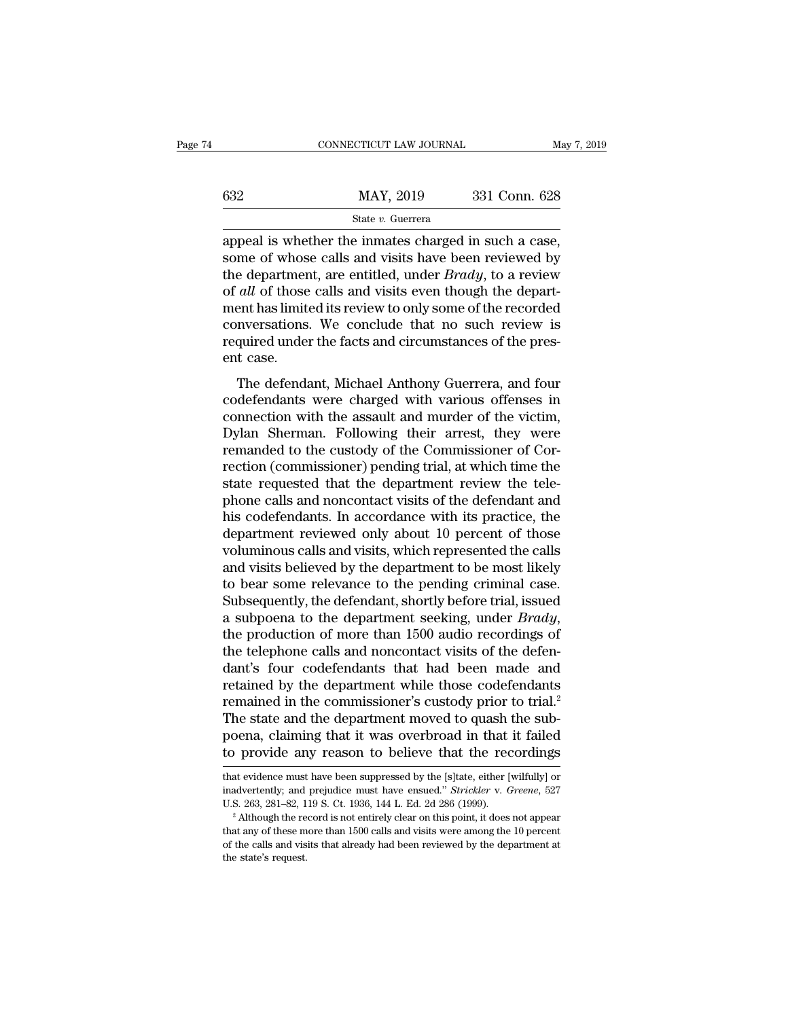|     | CONNECTICUT LAW JOURNAL                                                                                                                                                     | May 7, 2019   |
|-----|-----------------------------------------------------------------------------------------------------------------------------------------------------------------------------|---------------|
| 632 | MAY, 2019                                                                                                                                                                   | 331 Conn. 628 |
|     | State v. Guerrera                                                                                                                                                           |               |
|     | appeal is whether the inmates charged in such a case,<br>some of whose calls and visits have been reviewed by<br>the department are entitled under <i>Produ</i> to a review |               |

 $\begin{array}{r} \n 632 \quad \text{MAX, } 2019 \quad \text{331 Conn. } 628 \n \end{array}$ <br>  $\begin{array}{r} \n 831 \quad \text{Conn. } 628 \quad \text{State } v. \text{ Guerrera} \n \end{array}$ <br>
appeal is whether the inmates charged in such a case, some of whose calls and visits have been reviewed by the depart the department, are entitled, under *Brady*, to a review of *all* of those calls and visits have been reviewed by the department, are entitled, under *Brady*, to a review of *all* of those calls and visits even though the **EXECUTE:** MAY, 2019 331 Conn. 628<br> **EXECUTE:** State *v.* Guerrera<br>
appeal is whether the inmates charged in such a case,<br>
some of whose calls and visits have been reviewed by<br>
the department, are entitled, under *Brady*, State v. Guerrera<br>
State v. Guerrera<br>
appeal is whether the inmates charged in such a case,<br>
some of whose calls and visits have been reviewed by<br>
the department, are entitled, under *Brady*, to a review<br>
of *all* of thos state v. Guerrera<br>appeal is whether the inmates charged in such a case,<br>some of whose calls and visits have been reviewed by<br>the department, are entitled, under *Brady*, to a review<br>of *all* of those calls and visits even appeal is whether the inmates charged in such a case, some of whose calls and visits have been reviewed by the department, are entitled, under  $Brady$ , to a review of *all* of those calls and visits even though the departme some of whos<br>the departmer<br>of *all* of those<br>ment has limit<br>conversations<br>required under<br>ent case.<br>The defend: *all* of those calls and visits even though the depart-<br>ent has limited its review to only some of the recorded<br>nversations. We conclude that no such review is<br>quired under the facts and circumstances of the pres-<br>t case.<br> of *at* of those cans and visits even though the department has limited its review to only some of the recorded conversations. We conclude that no such review is required under the facts and circumstances of the present ca

ment has inhited its review to only some of the recorded<br>conversations. We conclude that no such review is<br>required under the facts and circumstances of the pres-<br>ent case.<br>The defendant, Michael Anthony Guerrera, and four Exercise of the present case.<br>
The defendant, Michael Anthony Guerrera, and four<br>
codefendants were charged with various offenses in<br>
connection with the assault and murder of the victim,<br>
Dylan Sherman. Following their ar required under the facts and encumstances of the present case.<br>The defendant, Michael Anthony Guerrera, and four codefendants were charged with various offenses in connection with the assault and murder of the victim, Dyla rective case.<br>The defendant, Michael Anthony Guerrera, and four<br>codefendants were charged with various offenses in<br>connection with the assault and murder of the victim,<br>Dylan Sherman. Following their arrest, they were<br>rema The defendant, Michael Anthony Guerrera, and four codefendants were charged with various offenses in connection with the assault and murder of the victim, Dylan Sherman. Following their arrest, they were remanded to the cu codefendants were charged with various offenses in<br>connection with the assault and murder of the victim,<br>Dylan Sherman. Following their arrest, they were<br>remanded to the custody of the Commissioner of Cor-<br>rection (commiss connection with the assault and murder of the victim,<br>Dylan Sherman. Following their arrest, they were<br>remanded to the custody of the Commissioner of Cor-<br>rection (commissioner) pending trial, at which time the<br>state reque Dylan Sherman. Following their arrest, they were<br>remanded to the custody of the Commissioner of Cor-<br>rection (commissioner) pending trial, at which time the<br>state requested that the department review the tele-<br>phone calls remanded to the custody of the Commissioner of Correction (commissioner) pending trial, at which time the state requested that the department review the telephone calls and noncontact visits of the defendant and his codefe rection (commissioner) pending trial, at which time the<br>state requested that the department review the tele-<br>phone calls and noncontact visits of the defendant and<br>his codefendants. In accordance with its practice, the<br>dep state requested that the department review the tele-<br>phone calls and noncontact visits of the defendant and<br>his codefendants. In accordance with its practice, the<br>department reviewed only about 10 percent of those<br>volumin phone calls and noncontact visits of the defendant and<br>his codefendants. In accordance with its practice, the<br>department reviewed only about 10 percent of those<br>voluminous calls and visits, which represented the calls<br>and his codefendants. In accordance with its practice, the<br>department reviewed only about 10 percent of those<br>voluminous calls and visits, which represented the calls<br>and visits believed by the department to be most likely<br>to voluminous calls and visits, which represented the calls<br>and visits believed by the department to be most likely<br>to bear some relevance to the pending criminal case.<br>Subsequently, the defendant, shortly before trial, issue and visits believed by the department to be most likely<br>to bear some relevance to the pending criminal case.<br>Subsequently, the defendant, shortly before trial, issued<br>a subpoena to the department seeking, under *Brady*,<br>th to bear some relevance to the pending criminal case.<br>Subsequently, the defendant, shortly before trial, issued<br>a subpoena to the department seeking, under *Brady*,<br>the production of more than 1500 audio recordings of<br>the t Subsequently, the defendant, shortly before trial, issued<br>a subpoena to the department seeking, under *Brady*,<br>the production of more than 1500 audio recordings of<br>the telephone calls and noncontact visits of the defen-<br>da a subpoena to the department seeking, under *Brady*, the production of more than 1500 audio recordings of the telephone calls and noncontact visits of the defendant's four codefendants that had been made and retained by th the production of more than 1500 audio recordings of<br>the telephone calls and noncontact visits of the defen-<br>dant's four codefendants that had been made and<br>retained by the department while those codefendants<br>remained in t the telephone calls and noncontact visits of the defen-<br>dant's four codefendants that had been made and<br>retained by the department while those codefendants<br>remained in the commissioner's custody prior to trial.<sup>2</sup><br>The stat remained in the commissioner's custody prior to trial.<sup>2</sup><br>The state and the department moved to quash the sub-<br>poena, claiming that it was overbroad in that it failed<br>to provide any reason to believe that the recordings<br>th The state and the department moved to quash the sub-<br>poena, claiming that it was overbroad in that it failed<br>to provide any reason to believe that the recordings<br>that evidence must have been suppressed by the [s]tate, eith

poena, claiming that it was overbroad in that it failed<br>to provide any reason to believe that the recordings<br>that evidence must have been suppressed by the [s]tate, either [wilfully] or<br>inadvertently; and prejudice must ha

that evidence must have been suppressed by the [s]tate, either [wilfully] or inadvertently; and prejudice must have ensued." *Strickler v. Greene*, 527 U.S. 263, 281–82, 119 S. Ct. 1936, 144 L. Ed. 2d 286 (1999).<br><sup>2</sup> Altho that evidence must have been suppressed by the [s]tate, either [wilfully] or inadvertently; and prejudice must have ensued." *Strickler* v. *Greene*, 527 U.S. 263, 281–82, 119 S. Ct. 1936, 144 L. Ed. 2d 286 (1999).<br><sup>2</sup> Al inadvertently; and prejudice must have ensued." Strickler v. Greene, 527 U.S. 263, 281–82, 119 S. Ct. 1936, 144 L. Ed. 2d 286 (1999).<br>
<sup>2</sup> Although the record is not entirely clear on this point, it does not appear that a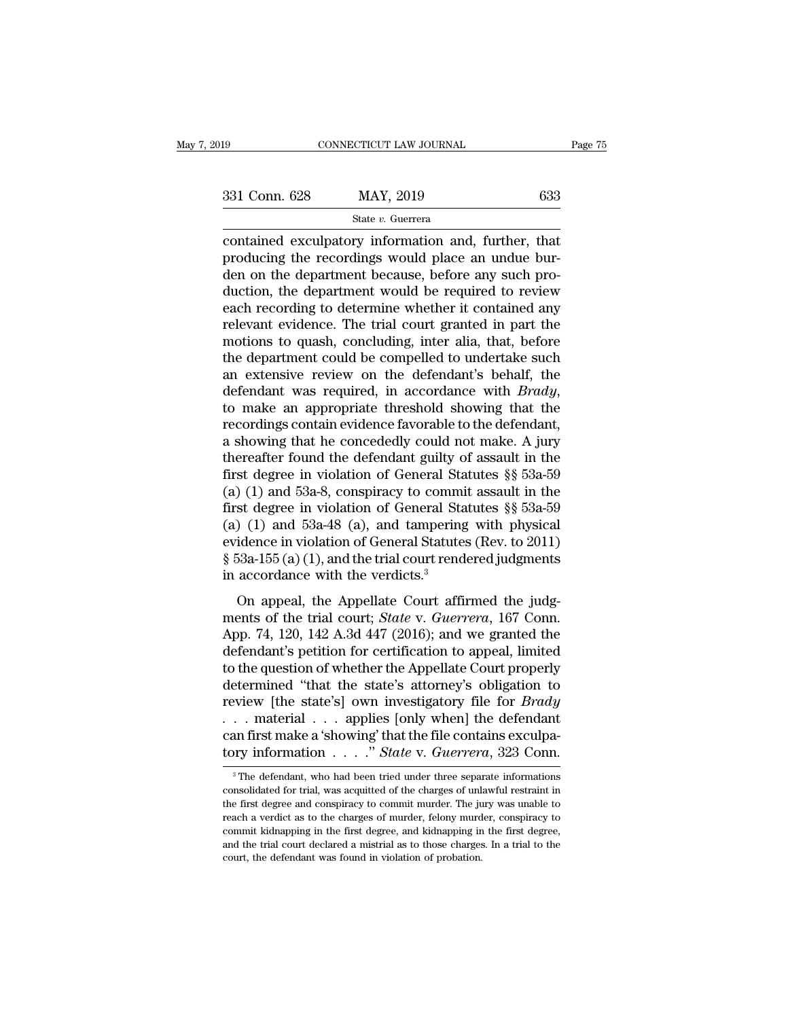connectricut LAW JOURNAL Page 7:<br>  $\begin{array}{r}\n 331 \text{ Conn. } 628 \hspace{1cm} \text{MAY, } 2019 \hspace{1cm} \text{633} \\
 \text{State } v. \text{ Guerrera} \\
 \text{contained exclusively information and, further, that producing the recordings would place an undue burden on the department because before any such pro-} \end{array}$  $\begin{array}{ll} \text{331} \text{ Conn. } 628 & \text{MAX, } 2019 & \text{633} \\ \text{State } v. \text{ Guerrera} \end{array}$  contained exculpatory information and, further, that producing the recordings would place an undue bur-<br>den on the department because, before any such pro  $\begin{array}{r} \text{331 Conn. 628} \text{MAX, } 2019 \text{ 633} \end{array}$ <br>  $\begin{array}{r} \text{State } v. \text{ Guer (a)} \text{Gug (b)} \end{array}$  (633)<br>
contained exculpatory information and, further, that<br>
producting the recordings would place an undue bur-<br>
duction, the departme  $\frac{\text{331} \text{ Conn. } 628}{\text{State } v. \text{ Guerrera}}$ <br>
contained exculpatory information and, further, that<br>
producing the recordings would place an undue bur-<br>
den on the department because, before any such pro-<br>
duction, the department State v. Guerrera<br>
contained exculpatory information and, further, that<br>
producing the recordings would place an undue bur-<br>
due on the department because, before any such pro-<br>
duction, the department would be required t state  $v$ . Guerrera<br>
contained exculpatory information and, further, that<br>
producing the recordings would place an undue bur-<br>
den on the department because, before any such pro-<br>
duction, the department would be required contained exculpatory information and, further, that<br>producing the recordings would place an undue bur-<br>den on the department because, before any such pro-<br>duction, the department would be required to review<br>each recording producing the recordings would place an undue bur-<br>den on the department because, before any such pro-<br>duction, the department would be required to review<br>each recording to determine whether it contained any<br>relevant evide den on the department because, before any such production, the department would be required to review<br>each recording to determine whether it contained any<br>relevant evidence. The trial court granted in part the<br>motions to q duction, the department would be required to review<br>each recording to determine whether it contained any<br>relevant evidence. The trial court granted in part the<br>motions to quash, concluding, inter alia, that, before<br>the dep relevant evidence. The trial court granted in part the<br>motions to quash, concluding, inter alia, that, before<br>the department could be compelled to undertake such<br>an extensive review on the defendant's behalf, the<br>defendant motions to quash, concluding, inter alia, that, before<br>the department could be compelled to undertake such<br>an extensive review on the defendant's behalf, the<br>defendant was required, in accordance with *Brady*,<br>to make an the department could be compelled to undertake such<br>an extensive review on the defendant's behalf, the<br>defendant was required, in accordance with *Brady*,<br>to make an appropriate threshold showing that the<br>recordings conta an extensive review on the defendant's behalf, the<br>defendant was required, in accordance with *Brady*,<br>to make an appropriate threshold showing that the<br>recordings contain evidence favorable to the defendant,<br>a showing th defendant was required, in accordance with *Brady*,<br>to make an appropriate threshold showing that the<br>recordings contain evidence favorable to the defendant,<br>a showing that he concededly could not make. A jury<br>thereafter to make an appropriate threshold showing that the<br>recordings contain evidence favorable to the defendant,<br>a showing that he concededly could not make. A jury<br>thereafter found the defendant guilty of assault in the<br>first d recordings contain evidence favorable to the defendant,<br>a showing that he concededly could not make. A jury<br>thereafter found the defendant guilty of assault in the<br>first degree in violation of General Statutes §§ 53a-59<br>( a showing that he concededly could not make. A jury<br>thereafter found the defendant guilty of assault in the<br>first degree in violation of General Statutes §§ 53a-59<br>(a) (1) and 53a-8, conspiracy to commit assault in the<br>fi thereafter found the defendant guilty of assault in the<br>first degree in violation of General Statutes §§ 53a-59<br>(a) (1) and 53a-8, conspiracy to commit assault in the<br>first degree in violation of General Statutes §§ 53a-5 first degree in violation of General Sta<br>(a) (1) and 53a-8, conspiracy to commi<br>first degree in violation of General Sta<br>(a) (1) and 53a-48 (a), and tampering<br>evidence in violation of General Statute:<br> $\S$  53a-155 (a) (1) or CD and solid by Conseption of General Statutes  $\S$  53a-59<br>st degree in violation of General Statutes  $\S$  53a-59<br>idence in violation of General Statutes (Rev. to 2011)<br>53a-155 (a) (1), and the trial court rendered judgm (a) (1) and 53a-48 (a), and tampering with physical<br>evidence in violation of General Statutes (Rev. to 2011)<br> $\$ 53a-155 (a) (1), and the trial court rendered judgments<br>in accordance with the verdicts.<sup>3</sup><br>On appeal, the Ap

(a) (1) and 35a 40 (a), and dangering with physical<br>evidence in violation of General Statutes (Rev. to 2011)<br>§ 53a-155 (a) (1), and the trial court rendered judgments<br>in accordance with the verdicts.<sup>3</sup><br>On appeal, the App  $\S$  53a-155 (a) (1), and the trial court rendered judgments<br>in accordance with the verdicts.<sup>3</sup><br>On appeal, the Appellate Court affirmed the judg-<br>ments of the trial court; *State* v. *Guerrera*, 167 Conn.<br>App. 74, 120, 14 in accordance with the verdicts.<sup>3</sup><br>in accordance with the verdicts.<sup>3</sup><br>On appeal, the Appellate Court affirmed the judg-<br>ments of the trial court; *State v. Guerrera*, 167 Conn.<br>App. 74, 120, 142 A.3d 447 (2016); and we on appeal, the Appellate Court affirmed the judg-<br>ments of the trial court; *State* v. *Guerrera*, 167 Conn.<br>App. 74, 120, 142 A.3d 447 (2016); and we granted the<br>defendant's petition for certification to appeal, limited<br> On appeal, the Appellate Court affirmed the judg-<br>ments of the trial court; *State* v. *Guerrera*, 167 Conn.<br>App. 74, 120, 142 A.3d 447 (2016); and we granted the<br>defendant's petition for certification to appeal, limited<br>t ments of the trial court; *State* v. *Guerrera*, 167 Conn.<br>App. 74, 120, 142 A.3d 447 (2016); and we granted the<br>defendant's petition for certification to appeal, limited<br>to the question of whether the Appellate Court prop App. 74, 120, 142 A.3d 447 (2016); and we granted the defendant's petition for certification to appeal, limited to the question of whether the Appellate Court properly determined "that the state's attorney's obligation to defendant's petition for certification to appeal, limited<br>to the question of whether the Appellate Court properly<br>determined "that the state's attorney's obligation to<br>review [the state's] own investigatory file for *Brady* 3 The defendant, who had been tried under three separate informations<br>and first make a 'showing' that the file contains exculpation is example. The defendant, who had been tried under three separate informations<br>a<sup>3</sup>The d ... material ... applies [only when] the defendant<br>can first make a 'showing' that the file contains exculpa-<br>tory information ....." *State* v. *Guerrera*, 323 Conn.<br><sup>3</sup> The defendant, who had been tried under three sepa

can first make a 'showing' that the file contains exculpatory information  $\ldots$  " State v. Guerrera, 323 Conn.<br>
<sup>3</sup> The defendant, who had been tried under three separate informations consolidated for trial, was acquited tory information  $\ldots$  " State v. Guerrera, 323 Conn.<br>
The defendant, who had been tried under three separate informations<br>
consolidated for trial, was acquitted of the charges of unlawful restraint in<br>
the first degree a The defendant, who had been tried under three separate informations<br>
<sup>3</sup> The defendant, who had been tried under three separate informations<br>
consolidated for trial, was acquitted of the charges of unlawful restraint in<br> <sup>3</sup> The defendant, who had been tried under three separate informations consolidated for trial, was acquitted of the charges of unlawful restraint in the first degree and conspiracy to commit murder. The jury was unable t consolidated for trial, was acquitted of the charges of unlawful restraint in the first degree and conspiracy to commit murder. The jury was unable to reach a verdict as to the charges of murder, felony murder, conspiracy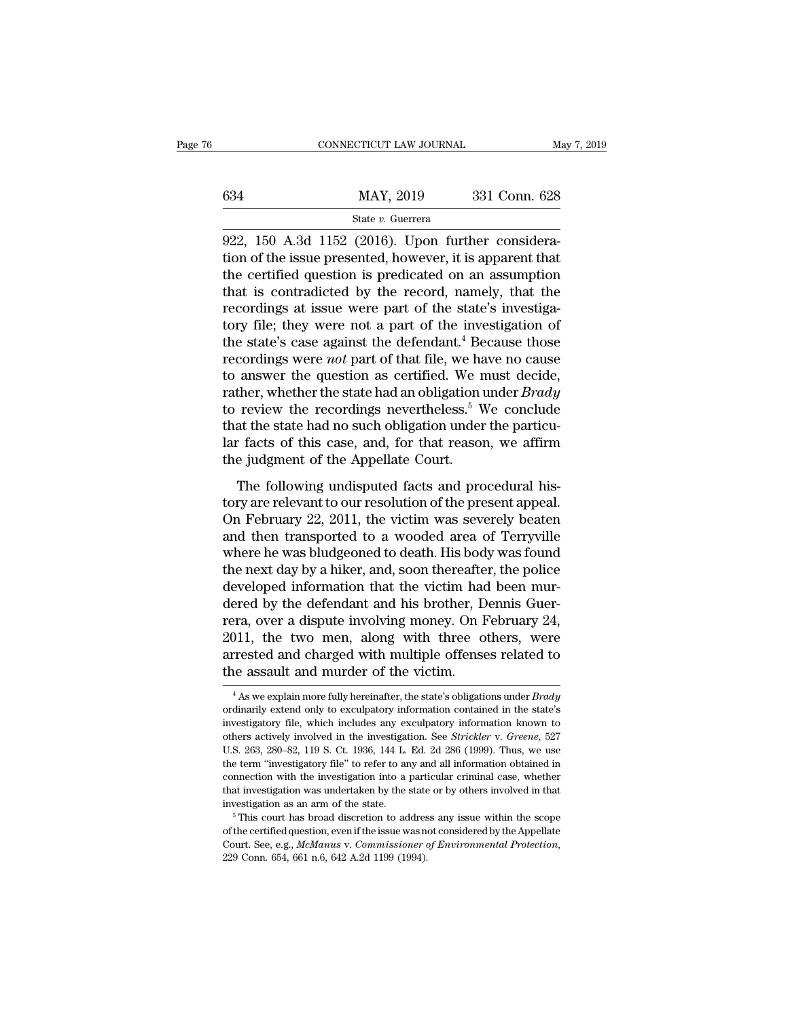|     | CONNECTICUT LAW JOURNAL | May 7, 2019   |  |
|-----|-------------------------|---------------|--|
|     |                         |               |  |
| 634 | MAY, 2019               | 331 Conn. 628 |  |
|     | State v. Guerrera       |               |  |

CONNECTICUT LAW JOURNAL<br>
922, 150 A.3d 1152 (2016). Upon further considera-<br>
922, 150 A.3d 1152 (2016). Upon further considera-<br>
tion of the issue presented, however, it is apparent that<br>
the cortified question is prodicat the issue presented, however, it is apparent that is controlled by the record namely that is controlled by the record namely that the  $\frac{1}{\sqrt{2}}$  and  $\frac{1}{2}$  and  $\frac{1}{2}$  and  $\frac{1}{2}$  and  $\frac{1}{2}$  and  $\frac{1}{2}$  and 634 MAY, 2019 331 Conn. 628<br>
State v. Guerrera<br>
922, 150 A.3d 1152 (2016). Upon further considera-<br>
tion of the issue presented, however, it is apparent that<br>
the certified question is predicated on an assumption<br>
that is 634 MAY, 2019 331 Conn. 628<br>
State v. Guerrera<br>
922, 150 A.3d 1152 (2016). Upon further considera-<br>
tion of the issue presented, however, it is apparent that<br>
the certified question is predicated on an assumption<br>
that is State v. Guerrera<br>
State v. Guerrera<br>
922, 150 A.3d 1152 (2016). Upon further considera-<br>
tion of the issue presented, however, it is apparent that<br>
the certified question is predicated on an assumption<br>
that is contradic state v. Guerrera<br>
922, 150 A.3d 1152 (2016). Upon further considera-<br>
tion of the issue presented, however, it is apparent that<br>
the certified question is predicated on an assumption<br>
that is contradicted by the record, 922, 150 A.3d 1152 (2016). Upon further consideration of the issue presented, however, it is apparent that the certified question is predicated on an assumption that is contradicted by the record, namely, that the recordi tion of the issue presented, however, it is apparent that<br>the certified question is predicated on an assumption<br>that is contradicted by the record, namely, that the<br>recordings at issue were part of the state's investiga-<br>t the certified question is predicated on an assumption<br>that is contradicted by the record, namely, that the<br>recordings at issue were part of the state's investiga-<br>tory file; they were not a part of the investigation of<br>th that is contradicted by the record, namely, that the recordings at issue were part of the state's investigatory file; they were not a part of the investigation of the state's case against the defendant.<sup>4</sup> Because those re recordings at issue were part of the state's investigatory file; they were not a part of the investigation of the state's case against the defendant.<sup>4</sup> Because those recordings were *not* part of that file, we have no ca tory file; they were not a part of the investigation of<br>the state's case against the defendant.<sup>4</sup> Because those<br>recordings were *not* part of that file, we have no cause<br>to answer the question as certified. We must decid the state's case against the defendant.<sup>4</sup> Because those recordings were *not* part of that file, we have no cause to answer the question as certified. We must decide, rather, whether the state had an obligation under *Br* recordings were *not* part of that file, we have to answer the question as certified. We r rather, whether the state had an obligation to review the recordings nevertheless.<sup>5</sup> V that the state had no such obligation unde The following undisputed facts and procedural his-<br>ther, whether the state had an obligation under *Brady*<br>review the recordings nevertheless.<sup>5</sup> We conclude<br>at the state had no such obligation under the particu-<br>facts of take, wheater are state had an osiglator and *Drawy*<br>to review the recordings nevertheless.<sup>5</sup> We conclude<br>that the state had no such obligation under the particu-<br>lar facts of this case, and, for that reason, we affirm<br>th

that the state had no such obligation under the particu-<br>lar facts of this case, and, for that reason, we affirm<br>the judgment of the Appellate Court.<br>The following undisputed facts and procedural his-<br>tory are relevant to dar facts of this case, and, for that reason, we affirm<br>the judgment of the Appellate Court.<br>The following undisputed facts and procedural his-<br>tory are relevant to our resolution of the present appeal.<br>On February 22, 201 Fraction of the Appellate Court.<br>The following undisputed facts and procedural his-<br>tory are relevant to our resolution of the present appeal.<br>On February 22, 2011, the victim was severely beaten<br>and then transported to a The following undisputed facts and procedural his-<br>tory are relevant to our resolution of the present appeal.<br>On February 22, 2011, the victim was severely beaten<br>and then transported to a wooded area of Terryville<br>where h The following undisputed facts and procedural history are relevant to our resolution of the present appeal.<br>On February 22, 2011, the victim was severely beaten and then transported to a wooded area of Terryville where he tory are relevant to our resolution of the present appeal.<br>On February 22, 2011, the victim was severely beaten<br>and then transported to a wooded area of Terryville<br>where he was bludgeoned to death. His body was found<br>the n On February 22, 2011, the victim was severely beaten<br>and then transported to a wooded area of Terryville<br>where he was bludgeoned to death. His body was found<br>the next day by a hiker, and, soon thereafter, the police<br>develo and then transported to a wooded area of Terryville<br>where he was bludgeoned to death. His body was found<br>the next day by a hiker, and, soon thereafter, the police<br>developed information that the victim had been mur-<br>dered b where he was bludgeoned to death. His body was found<br>the next day by a hiker, and, soon thereafter, the police<br>developed information that the victim had been mur-<br>dered by the defendant and his brother, Dennis Guer-<br>rera, the next day by a hiker, and, soon thereaftedeveloped information that the victim had dered by the defendant and his brother, D rera, over a dispute involving money. On F 2011, the two men, along with three of arrested and 11, the two men, along with three others, were<br>
11, the two men, along with three others, were<br>
rrested and charged with multiple offenses related to<br>
14 As we explain more fully hereinafter, the state's obligations under 2011, the two men, along with three others, were<br>arrested and charged with multiple offenses related to<br>the assault and murder of the victim.<br> $\frac{4}{1}$ As we explain more fully hereinafter, the state's obligations under *B* 

arrested and charged with multiple offenses related to<br>the assault and murder of the victim.<br> $\frac{1}{100}$ <br> $\frac{1}{100}$ <br> $\frac{1}{100}$   $\frac{1}{100}$   $\frac{1}{100}$  are fully hereinafter, the state's obligations under *Brady*<br>ordinar The assault and murder of the victim.<br>
<sup>4</sup> As we explain more fully hereinafter, the state's obligations under *Brady*<br>
ordinarily extend only to exculpatory information contained in the state's<br>
investigatory file, which <sup>1</sup> As we explain more fully hereinafter, the state's obligations under *Brady* ordinarily extend only to exculpatory information contained in the state's investigatory file, which includes any exculpatory information kno <sup>4</sup> As we explain more fully hereinafter, the state's obligations under *Brady* ordinarily extend only to exculpatory information contained in the state's investigatory file, which includes any exculpatory information kno ordinarily extend only to exculpatory information contained in the state's<br>investigatory file, which includes any exculpatory information known to<br>others actively involved in the investigation. See *Strickler* v. *Greene*, investigatory file, which includes any exculpatory information known to others actively involved in the investigation. See *Strickler* v. *Greene*, 527 U.S. 263, 280–82, 119 S. Ct. 1936, 144 L. Ed. 2d 286 (1999). Thus, we investigation as an arm of the state. 5 This court has broad discretion of the state. 5 This court has broad all information obtained in connection with the investigation into a particular criminal case, whether that inves The term "investigatory file" to refer to any and all information obtained in connection with the investigation into a particular criminal case, whether that investigation was undertaken by the state or by others involved

connection with the investigation into a particular criminal case, whether that investigation was undertaken by the state or by others involved in that investigation as an arm of the state.<br><sup>5</sup> This court has broad discret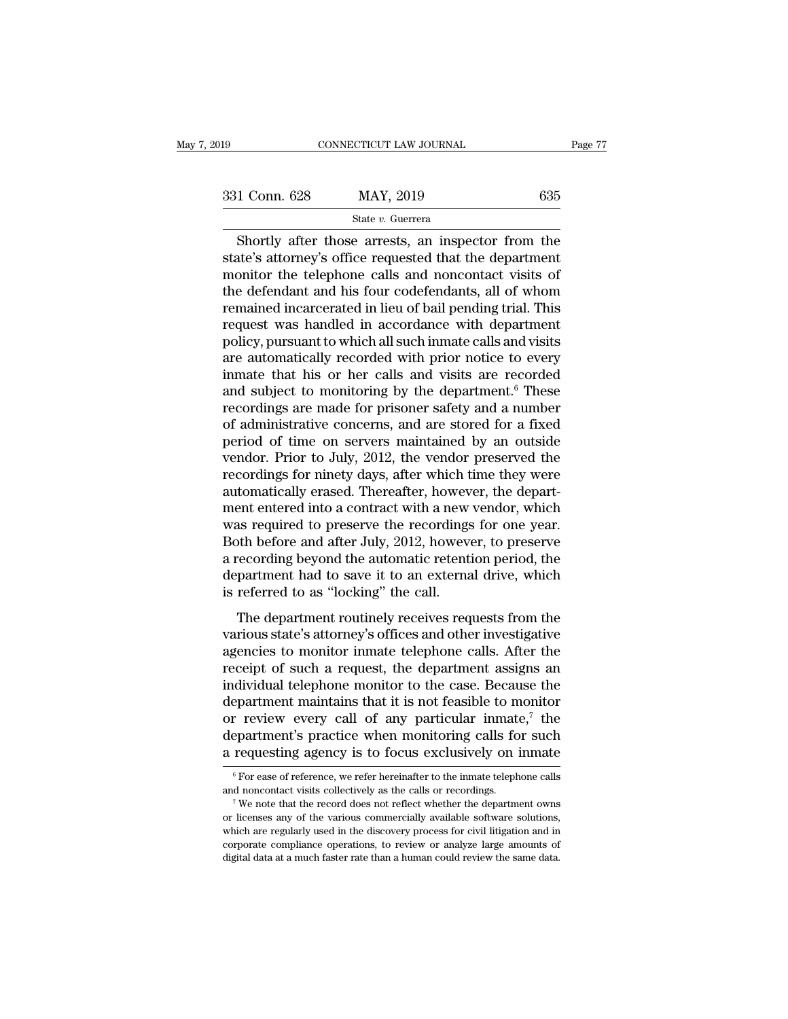CONNECTICUT LAW JOURNAL Page 77<br>
1 Conn. 628 MAY, 2019 635<br>
State v. Guerrera<br>
Shortly after those arrests, an inspector from the<br>
tate's attorney's office requested that the department<br>
paritor the telephone calls and pop  $\begin{array}{r} \text{331 Conn. } 628 \text{ \textcolor{red}{MAY, 2019}} \text{ \textcolor{red}{S35}} \\\text{State $v$.} \text{ Guerrera} \end{array}$  Shortly after those arrests, an inspector from the state's attorney's office requested that the department monitor the telephone calls and noncont 331 Conn. 628 MAY, 2019 635<br>
State v. Guerrera<br>
Shortly after those arrests, an inspector from the state's attorney's office requested that the department<br>
monitor the telephone calls and noncontact visits of<br>
the defenda 331 Conn. 628 MAY, 2019 635<br>
State v. Guerrera<br>
Shortly after those arrests, an inspector from the<br>
state's attorney's office requested that the department<br>
monitor the telephone calls and noncontact visits of<br>
the defend State v. Guerrera<br>Shortly after those arrests, an inspector from the<br>state's attorney's office requested that the department<br>monitor the telephone calls and noncontact visits of<br>the defendant and his four codefendants, al Shortly after those arrests, an inspector from the state's attorney's office requested that the department monitor the telephone calls and noncontact visits of the defendant and his four codefendants, all of whom remained Shortly after those arrests, an inspector from the state's attorney's office requested that the department monitor the telephone calls and noncontact visits of the defendant and his four codefendants, all of whom remained state's attorney's office requested that the department<br>monitor the telephone calls and noncontact visits of<br>the defendant and his four codefendants, all of whom<br>remained incarcerated in lieu of bail pending trial. This<br>re monitor the telephone calls and noncontact visits of<br>the defendant and his four codefendants, all of whom<br>remained incarcerated in lieu of bail pending trial. This<br>request was handled in accordance with department<br>policy, the defendant and his four codefendants, all of whom<br>remained incarcerated in lieu of bail pending trial. This<br>request was handled in accordance with department<br>policy, pursuant to which all such inmate calls and visits<br>ar remained incarcerated in lieu of bail pending trial. This<br>request was handled in accordance with department<br>policy, pursuant to which all such inmate calls and visits<br>are automatically recorded with prior notice to every<br>i request was handled in accordance with department<br>policy, pursuant to which all such inmate calls and visits<br>are automatically recorded with prior notice to every<br>inmate that his or her calls and visits are recorded<br>and su policy, pursuant to which all such inmate calls and visits<br>are automatically recorded with prior notice to every<br>inmate that his or her calls and visits are recorded<br>and subject to monitoring by the department.<sup>6</sup> These<br>re are automatically recorded with prior notice to every<br>inmate that his or her calls and visits are recorded<br>and subject to monitoring by the department.<sup>6</sup> These<br>recordings are made for prisoner safety and a number<br>of admin inmate that his or her calls and visits are recorded<br>and subject to monitoring by the department.<sup>6</sup> These<br>recordings are made for prisoner safety and a number<br>of administrative concerns, and are stored for a fixed<br>period and subject to monitoring by the department.<sup>6</sup> These<br>recordings are made for prisoner safety and a number<br>of administrative concerns, and are stored for a fixed<br>period of time on servers maintained by an outside<br>vendor. P recordings are made for prisoner safety and a number<br>of administrative concerns, and are stored for a fixed<br>period of time on servers maintained by an outside<br>vendor. Prior to July, 2012, the vendor preserved the<br>recording of administrative concerns, and are stored for a fixed<br>period of time on servers maintained by an outside<br>vendor. Prior to July, 2012, the vendor preserved the<br>recordings for ninety days, after which time they were<br>automat period of time on servers maintained by an outside<br>vendor. Prior to July, 2012, the vendor preserved the<br>recordings for ninety days, after which time they were<br>automatically erased. Thereafter, however, the depart-<br>ment en vendor. Prior to July, 2012, the vendor preserved the<br>recordings for ninety days, after which time they were<br>automatically erased. Thereafter, however, the depart-<br>ment entered into a contract with a new vendor, which<br>was recordings for ninety days, after which time they were<br>automatically erased. Thereafter, however, the depart-<br>ment entered into a contract with a new vendor, which<br>was required to preserve the recordings for one year.<br>Both automatically erased. Thereafter, howev<br>ment entered into a contract with a new<br>was required to preserve the recordings<br>Both before and after July, 2012, howev<br>a recording beyond the automatic retent<br>department had to save In chieffed mis a contract with a new ventor, which<br>as required to preserve the recordings for one year.<br>the before and after July, 2012, however, to preserve<br>recording beyond the automatic retention period, the<br>partment h was required to preserve the recordings for one year.<br>Both before and after July, 2012, however, to preserve<br>a recording beyond the automatic retention period, the<br>department had to save it to an external drive, which<br>is r

Bour before and after buy, 2012, nowever, to preserve<br>a recording beyond the automatic retention period, the<br>department had to save it to an external drive, which<br>is referred to as "locking" the call.<br>The department routin recording beyond are addonate retended period, are<br>department had to save it to an external drive, which<br>is referred to as "locking" the call.<br>The department routinely receives requests from the<br>various state's attorney's is referred to as "locking" the call.<br>
The department routinely receives requests from the<br>
various state's attorney's offices and other investigative<br>
agencies to monitor inmate telephone calls. After the<br>
receipt of suc The department routinely receives requests from the<br>various state's attorney's offices and other investigative<br>agencies to monitor inmate telephone calls. After the<br>receipt of such a request, the department assigns an<br>ind The department routinely receives requests from the various state's attorney's offices and other investigative agencies to monitor inmate telephone calls. After the receipt of such a request, the department assigns an ind various state's attorney's offices and other investigative<br>agencies to monitor inmate telephone calls. After the<br>receipt of such a request, the department assigns an<br>individual telephone monitor to the case. Because the<br>d agencies to monitor inmate telephone calls. After the receipt of such a request, the department assigns an individual telephone monitor to the case. Because the department maintains that it is not feasible to monitor or r department maintains that it is not feasible to monitor<br>or review every call of any particular inmate,<sup>7</sup> the<br>department's practice when monitoring calls for such<br>a requesting agency is to focus exclusively on inmate<br> $\frac{$ or review every call of any particular inmate,<sup>7</sup> the department's practice when monitoring calls for such a requesting agency is to focus exclusively on inmate  $\frac{1}{\pi}$  for ease of reference, we refer hereinafter to th

**a** requesting agency is to focus exclusively on inmate  $\frac{1}{\sqrt{6}}$  for ease of reference, we refer hereinafter to the inmate telephone calls and noncontact visits collectively as the calls or recordings.<br><sup>7</sup> We note tha  $\alpha$  requesting agency is to focus exclusively off infinate<br>  $\alpha$  for ease of reference, we refer hereinafter to the inmate telephone calls<br>
and noncontact visits collectively as the calls or recordings.<br>
<sup>7</sup> We note that For ease of reference, we refer hereinafter to the inmate telephone calls and noncontact visits collectively as the calls or recordings.<br>
<sup>7</sup> We note that the record does not reflect whether the department owns or license  $\frac{7}{100}$  We note that the record does not reflect whether the department owns or licenses any of the various commercially available software solutions, which are regularly used in the discovery process for civil litiga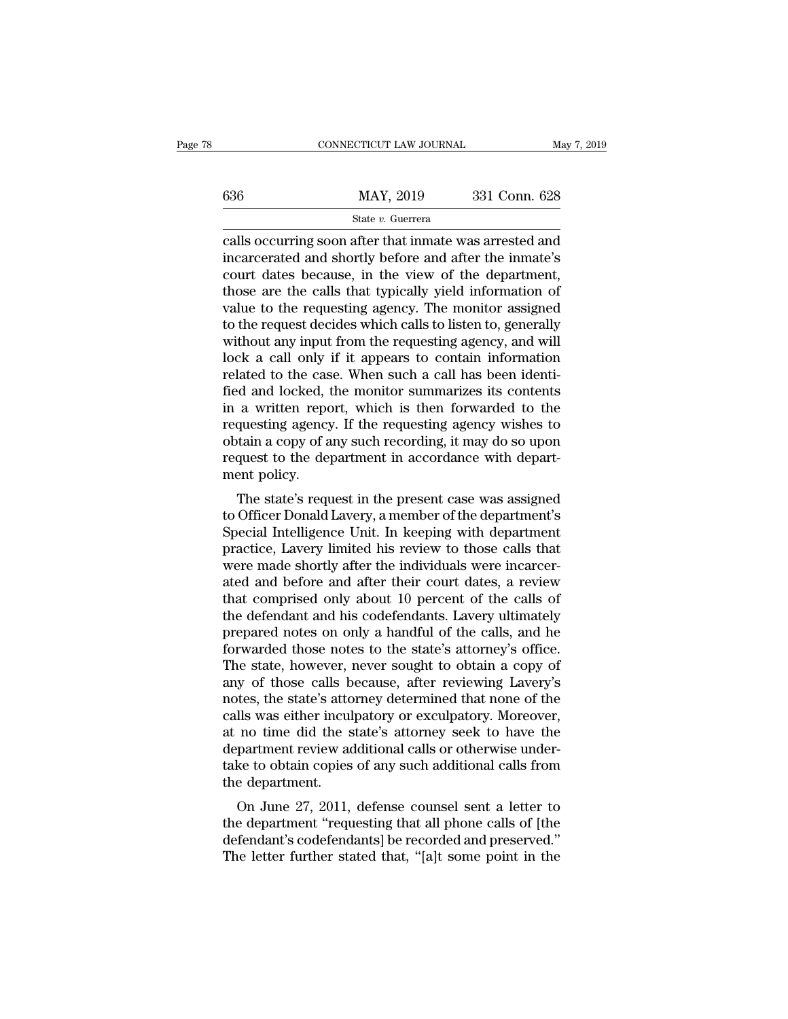|     | CONNECTICUT LAW JOURNAL | May 7, 2019   |  |
|-----|-------------------------|---------------|--|
|     |                         |               |  |
| 636 | MAY, 2019               | 331 Conn. 628 |  |
|     | State v. Guerrera       |               |  |

CONNECTICUT LAW JOURNAL May 7, 2019<br>  $\begin{array}{r}\n 636 \text{ } \text{MAP}$ , 2019  $\text{331} \text{ Conn. } 628 \\
 \text{State } v. \text{ Guerrera} \\
 \text{cells occurring soon after that innate was arrested and \text{incorrected} and shortly before and after the innate's \text{gourt dates because, in the view of the department.\n$ 636 MAY, 2019 331 Conn. 628<br>
State v. Guerrera<br>
calls occurring soon after that inmate was arrested and<br>
incarcerated and shortly before and after the inmate's<br>
court dates because, in the view of the department,<br>
those ar 636 MAY, 2019 331 Conn. 628<br>
State v. Guerrera<br>
calls occurring soon after that inmate was arrested and<br>
incarcerated and shortly before and after the inmate's<br>
court dates because, in the view of the department,<br>
those a  $\frac{\text{MAX}}{\text{State } v. \text{ Guerrera}}$ <br>  $\frac{\text{State } v. \text{ Guerrera}}{\text{calls occurring soon after that innate was arrested and  
\nincarcerated and shortly before and after the innate's  
\ncourt dates because, in the view of the department,  
\nthose are the calls that typically yield information of  
\nvalue to the requesting agency. The monitor assigned  
\nto the request decides which calls to listen to generally$ State v. Guerrera<br>
calls occurring soon after that inmate was arrested and<br>
incarcerated and shortly before and after the inmate's<br>
court dates because, in the view of the department,<br>
those are the calls that typically y State v. Guerrera<br>
calls occurring soon after that inmate was arrested and<br>
incarcerated and shortly before and after the inmate's<br>
court dates because, in the view of the department,<br>
those are the calls that typically y calls occurring soon after that inmate was arrested and<br>incarcerated and shortly before and after the inmate's<br>court dates because, in the view of the department,<br>those are the calls that typically yield information of<br>val incarcerated and shortly before and after the inmate's<br>court dates because, in the view of the department,<br>those are the calls that typically yield information of<br>value to the requesting agency. The monitor assigned<br>to the court dates because, in the view of the department,<br>those are the calls that typically yield information of<br>value to the requesting agency. The monitor assigned<br>to the request decides which calls to listen to, generally<br>wi those are the calls that typically yield information of<br>value to the requesting agency. The monitor assigned<br>to the request decides which calls to listen to, generally<br>without any input from the requesting agency, and will value to the requesting agency. The monitor assigned<br>to the request decides which calls to listen to, generally<br>without any input from the requesting agency, and will<br>lock a call only if it appears to contain information<br>r to the request decides which calls to listen to, generally<br>without any input from the requesting agency, and will<br>lock a call only if it appears to contain information<br>related to the case. When such a call has been identiwithout any input from the requesting agency, and will<br>lock a call only if it appears to contain information<br>related to the case. When such a call has been identi-<br>fied and locked, the monitor summarizes its contents<br>in a lock a call only if it appears to contain information<br>related to the case. When such a call has been identi-<br>fied and locked, the monitor summarizes its contents<br>in a written report, which is then forwarded to the<br>requesti related to the case<br>fied and locked, t<br>in a written repo<br>requesting agency<br>obtain a copy of a<br>request to the de<sub>l</sub><br>ment policy.<br>The state's requ a and locked, the momitor summarizes its contents<br>a written report, which is then forwarded to the<br>questing agency. If the requesting agency wishes to<br>tain a copy of any such recording, it may do so upon<br>quest to the depar In a written report, which is then forwarded to the<br>requesting agency. If the requesting agency wishes to<br>obtain a copy of any such recording, it may do so upon<br>request to the department in accordance with depart-<br>ment pol

requesting agency. If the requesting agency wishes to<br>obtain a copy of any such recording, it may do so upon<br>request to the department in accordance with depart-<br>ment policy.<br>The state's request in the present case was ass problem a copy of any such recording, it may do so upon<br>request to the department in accordance with depart-<br>ment policy.<br>The state's request in the present case was assigned<br>to Officer Donald Lavery, a member of the depar request to the department in accordance with department policy.<br>The state's request in the present case was assigned<br>to Officer Donald Lavery, a member of the department's<br>Special Intelligence Unit. In keeping with departm The state's request in the present case was assigned<br>to Officer Donald Lavery, a member of the department's<br>Special Intelligence Unit. In keeping with department<br>practice, Lavery limited his review to those calls that<br>were The state's request in the present case was assigned<br>to Officer Donald Lavery, a member of the department's<br>Special Intelligence Unit. In keeping with department<br>practice, Lavery limited his review to those calls that<br>were to Officer Donald Lavery, a member of the department's<br>Special Intelligence Unit. In keeping with department<br>practice, Lavery limited his review to those calls that<br>were made shortly after the individuals were incarcer-<br>at Special Intelligence Unit. In keeping with department<br>practice, Lavery limited his review to those calls that<br>were made shortly after the individuals were incarcer-<br>ated and before and after their court dates, a review<br>tha practice, Lavery limited his review to those calls that<br>were made shortly after the individuals were incarcer-<br>ated and before and after their court dates, a review<br>that comprised only about 10 percent of the calls of<br>the were made shortly after the individuals were incarcer-<br>ated and before and after their court dates, a review<br>that comprised only about 10 percent of the calls of<br>the defendant and his codefendants. Lavery ultimately<br>prepar ated and before and after their court dates, a review<br>that comprised only about 10 percent of the calls of<br>the defendant and his codefendants. Lavery ultimately<br>prepared notes on only a handful of the calls, and he<br>forward that comprised only about 10 percent of the calls of<br>the defendant and his codefendants. Lavery ultimately<br>prepared notes on only a handful of the calls, and he<br>forwarded those notes to the state's attorney's office.<br>The s the defendant and his codefendants. Lavery ultimately<br>prepared notes on only a handful of the calls, and he<br>forwarded those notes to the state's attorney's office.<br>The state, however, never sought to obtain a copy of<br>any o prepared notes on only a handful of the calls, and he<br>forwarded those notes to the state's attorney's office.<br>The state, however, never sought to obtain a copy of<br>any of those calls because, after reviewing Lavery's<br>notes, forwarded those notes to the state's attorney's office.<br>The state, however, never sought to obtain a copy of<br>any of those calls because, after reviewing Lavery's<br>notes, the state's attorney determined that none of the<br>call The state, however, never sought to obtain a copy of<br>any of those calls because, after reviewing Lavery's<br>notes, the state's attorney determined that none of the<br>calls was either inculpatory or exculpatory. Moreover,<br>at no any of those calls b<br>notes, the state's atto<br>calls was either incul<br>at no time did the s<br>department review ac<br>take to obtain copies<br>the department.<br>On June 27, 2011, rest, the state's attorney determined that hone of the<br>Ils was either inculpatory or exculpatory. Moreover,<br>no time did the state's attorney seek to have the<br>partment review additional calls or otherwise under-<br>ke to obtai the department review additional calls or otherwise under-<br>take to obtain copies of any such additional calls from<br>the department.<br>On June 27, 2011, defense counsel sent a letter to<br>the department "requesting that all phon

at no time that the state's attorney seek to have the<br>department review additional calls or otherwise under-<br>take to obtain copies of any such additional calls from<br>the department.<br>On June 27, 2011, defense counsel sent a department review additional cans of other wise under-<br>take to obtain copies of any such additional calls from<br>the department.<br>On June 27, 2011, defense counsel sent a letter to<br>the department "requesting that all phone ca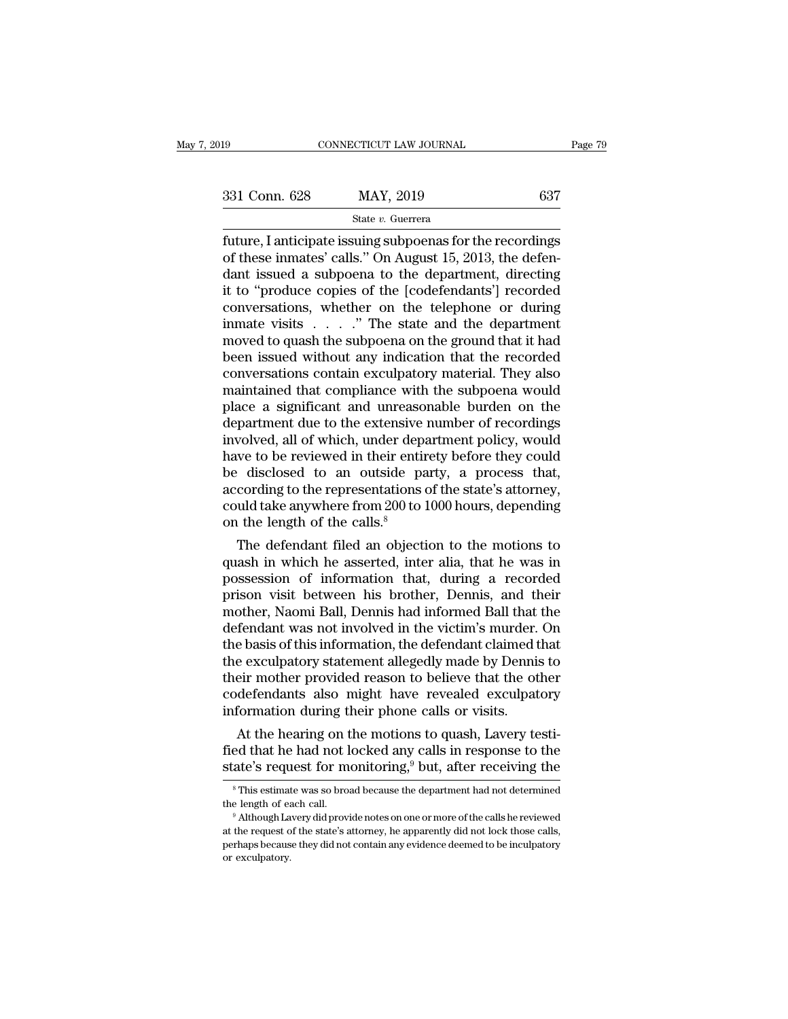Fage 79<br>
Fage 79<br>
S31 Conn. 628 MAY, 2019 637<br>
State v. Guerrera<br>
future, I anticipate issuing subpoenas for the recordings<br>
of these inmates' calls." On August 15, 2013, the defen-<br>
dant issued a subpoena to the departme 331 Conn. 628 MAY, 2019 637<br>
State v. Guerrera<br>
future, I anticipate issuing subpoenas for the recordings<br>
of these inmates' calls." On August 15, 2013, the defen-<br>
dant issued a subpoena to the department, directing<br>
it 331 Conn. 628 MAY, 2019 637<br>
State v. Guerrera<br>
future, I anticipate issuing subpoenas for the recordings<br>
of these inmates' calls." On August 15, 2013, the defen-<br>
dant issued a subpoena to the department, directing<br>
it 331 Conn. 628 MAY, 2019 637<br>
State v. Guerrera<br>
future, I anticipate issuing subpoenas for the recordings<br>
of these inmates' calls." On August 15, 2013, the defen-<br>
dant issued a subpoena to the department, directing<br>
it State v. Guerrera<br>
future, I anticipate issuing subpoenas for the recordings<br>
of these inmates' calls." On August 15, 2013, the defen-<br>
dant issued a subpoena to the department, directing<br>
it to "produce copies of the [co State v. Guerrera<br>
future, I anticipate issuing subpoenas for the recordings<br>
of these inmates' calls." On August 15, 2013, the defen-<br>
dant issued a subpoena to the department, directing<br>
it to "produce copies of the [co future, I anticipate issuing subpoenas for the recordings<br>of these inmates' calls." On August 15, 2013, the defen-<br>dant issued a subpoena to the department, directing<br>it to "produce copies of the [codefendants'] recorded<br>c of these inmates' calls." On August 15, 2013, the defen-<br>dant issued a subpoena to the department, directing<br>it to "produce copies of the [codefendants'] recorded<br>conversations, whether on the telephone or during<br>inmate vi dant issued a subpoena to the department, directing<br>it to "produce copies of the [codefendants'] recorded<br>conversations, whether on the telephone or during<br>inmate visits . . . . " The state and the department<br>moved to quas it to "produce copies of the [codefendants'] recorded<br>conversations, whether on the telephone or during<br>inmate visits  $\ldots$ ." The state and the department<br>moved to quash the subpoena on the ground that it had<br>been issued conversations, whether on the telephone or during<br>inmate visits  $\ldots$  ." The state and the department<br>moved to quash the subpoena on the ground that it had<br>been issued without any indication that the recorded<br>conversation inmate visits  $\ldots$  ." The state and the department<br>moved to quash the subpoena on the ground that it had<br>been issued without any indication that the recorded<br>conversations contain exculpatory material. They also<br>maintain moved to quash the subpoena on the ground that it had<br>been issued without any indication that the recorded<br>conversations contain exculpatory material. They also<br>maintained that compliance with the subpoena would<br>place a si been issued without any indication that the recorded<br>conversations contain exculpatory material. They also<br>maintained that compliance with the subpoena would<br>place a significant and unreasonable burden on the<br>department du conversations contain exculpatory material. They also<br>maintained that compliance with the subpoena would<br>place a significant and unreasonable burden on the<br>department due to the extensive number of recordings<br>involved, all maintained that compliance with the subpoena would<br>place a significant and unreasonable burden on the<br>department due to the extensive number of recordings<br>involved, all of which, under department policy, would<br>have to be r place a significant and unreasonable burden on the<br>department due to the extensive number of recordings<br>involved, all of which, under department policy, would<br>have to be reviewed in their entirety before they could<br>be disc department due to the extensive<br>involved, all of which, under depart<br>have to be reviewed in their entir<br>be disclosed to an outside pa<br>according to the representations<br>could take anywhere from 200 to<br>on the length of the ca volved, all of which, under department policy, would<br>we to be reviewed in their entirety before they could<br>disclosed to an outside party, a process that,<br>cording to the representations of the state's attorney,<br>uld take an mave to be reviewed in their entirety before they could<br>be disclosed to an outside party, a process that,<br>according to the representations of the state's attorney,<br>could take anywhere from 200 to 1000 hours, depending<br>on t

be disclosed to an outside party, a process that,<br>according to the representations of the state's attorney,<br>could take anywhere from 200 to 1000 hours, depending<br>on the length of the calls.<sup>8</sup><br>The defendant filed an object accoraing to the representations of the state s attorney,<br>could take anywhere from 200 to 1000 hours, depending<br>on the length of the calls.<sup>8</sup><br>The defendant filed an objection to the motions to<br>quash in which he asserted, could take anywhere from 200 to 1000 hours, depending<br>on the length of the calls.<sup>8</sup><br>The defendant filed an objection to the motions to<br>quash in which he asserted, inter alia, that he was in<br>possession of information that, on the length of the calls.<sup>9</sup><br>The defendant filed an objection to the motions to<br>quash in which he asserted, inter alia, that he was in<br>possession of information that, during a recorded<br>prison visit between his brother, D The defendant filed an objection to the motions to<br>quash in which he asserted, inter alia, that he was in<br>possession of information that, during a recorded<br>prison visit between his brother, Dennis, and their<br>mother, Naomi quash in which he asserted, inter alia, that he was in<br>possession of information that, during a recorded<br>prison visit between his brother, Dennis, and their<br>mother, Naomi Ball, Dennis had informed Ball that the<br>defendant w possession of information that, during a recorded<br>prison visit between his brother, Dennis, and their<br>mother, Naomi Ball, Dennis had informed Ball that the<br>defendant was not involved in the victim's murder. On<br>the basis of prison visit between his brother, Dennis, and their<br>mother, Naomi Ball, Dennis had informed Ball that the<br>defendant was not involved in the victim's murder. On<br>the basis of this information, the defendant claimed that<br>the mother, Naomi Ball, Dennis had informed Ball that<br>defendant was not involved in the victim's murder.<br>the basis of this information, the defendant claimed t<br>the exculpatory statement allegedly made by Dennis<br>their mother pr Fendant was not involved in the victim's murder. On<br>e basis of this information, the defendant claimed that<br>e exculpatory statement allegedly made by Dennis to<br>eir mother provided reason to believe that the other<br>defendan the basis of this information, the defendant claimed that<br>the exculpatory statement allegedly made by Dennis to<br>their mother provided reason to believe that the other<br>codefendants also might have revealed exculpatory<br>infor their mother provided reason to believe that the other<br>codefendants also might have revealed exculpatory<br>information during their phone calls or visits.<br>At the hearing on the motions to quash, Lavery testi-<br>fied that he ha

At the hearing on the motions to quash, Lavery testi-<br>ed that he had not locked any calls in response to the<br>ate's request for monitoring,<sup>9</sup> but, after receiving the<br><sup>8</sup> This estimate was so broad because the department At the hearing on the motions to quash, Lavery testi-<br>fied that he had not locked any calls in response to the<br>state's request for monitoring,<sup>9</sup> but, after receiving the<br><sup>8</sup> This estimate was so broad because the departm

atte's request for monitoring,<sup>9</sup> but, after receiving the state's request for monitoring,<sup>9</sup> but, after receiving the <sup>8</sup> This estimate was so broad because the department had not determined the length of each call.<br><sup>9</sup> A state S request for monitoring, but, after receiving the<br>
<sup>8</sup> This estimate was so broad because the department had not determined<br>
the length of each call.<br>
<sup>9</sup> Although Lavery did provide notes on one or more of the call <sup>8</sup> This estimat<br>the length of each<br><sup>9</sup> Although La<br>at the request of<br>perhaps becaus<br>or exculpatory.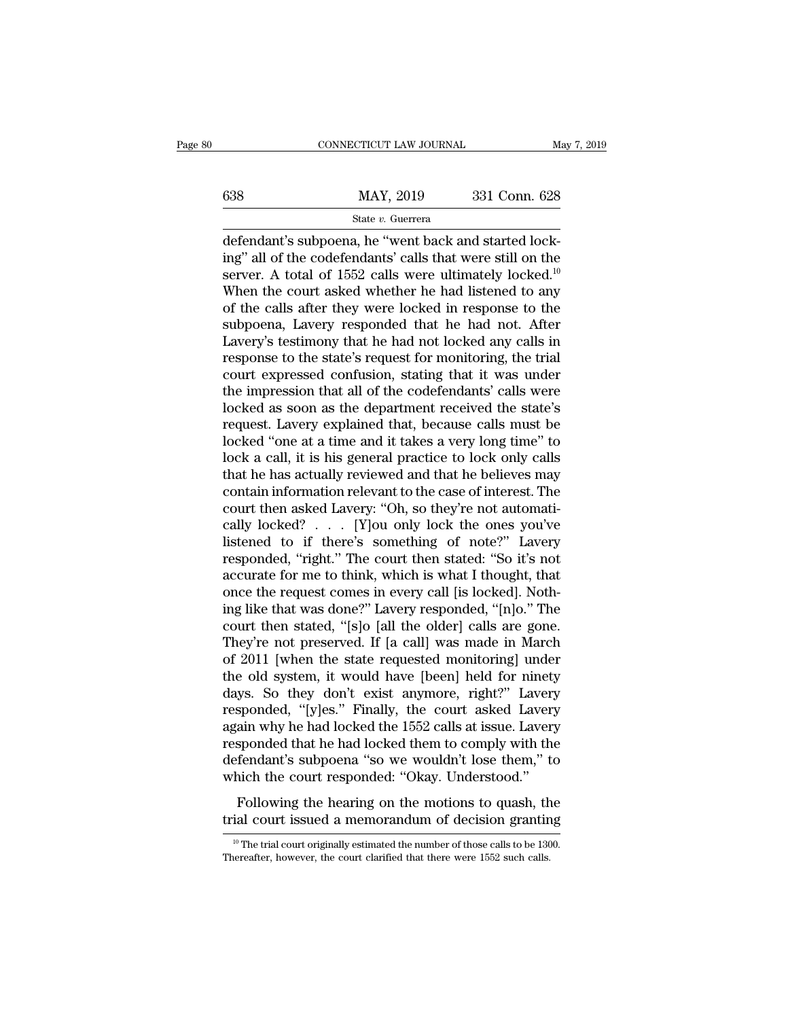|     | CONNECTICUT LAW JOURNAL | May 7, 2019   |  |
|-----|-------------------------|---------------|--|
|     |                         |               |  |
| 638 | MAY, 2019               | 331 Conn. 628 |  |
|     | State v. Guerrera       |               |  |

CONNECTICUT LAW JOURNAL<br>
MAY, 2019 331 Conn. 628<br>
State v. Guerrera<br>
defendant's subpoena, he "went back and started lock-<br>
ing" all of the codefendants' calls that were still on the<br>
server. A total of 1552 galls were ult  $\begin{array}{r} \text{max} \ 638 \text{ \hspace{1cm}} \text{MAX, } 2019 \text{ \hspace{1cm}} \text{331 Conn. } 628 \text{ \hspace{1cm}} \text{State } v. \text{ Guerrera} \end{array}$ <br>
defendant's subpoena, he "went back and started locking" all of the codefendants' calls that were still on the server. A total  $\begin{array}{ll}\n & \text{MAX, } 2019 \quad \text{331 Conn. } 628 \\
 \hline\n & \text{State } v. \text{ Guer, } 331 \text{ Conn. } 628 \\
 \hline\n \text{defendant's subpoena, he "went back and started locking" all of the codefendants' calls that were still on the server. A total of 1552 calls were ultimately locked.<sup>10</sup>\n\text{When the court asked whether he had listened to any of the cells after they were locked in response to the end.} \n\end{array}$ MAY, 2019 331 Conn. 628<br>
State v. Guerrera<br>
defendant's subpoena, he "went back and started lock-<br>
ing" all of the codefendants' calls that were still on the<br>
server. A total of 1552 calls were ultimately locked.<sup>10</sup><br>
Whe State v. Guerrera<br>
defendant's subpoena, he "went back and started lock-<br>
ing" all of the codefendants' calls that were still on the<br>
server. A total of 1552 calls were ultimately locked.<sup>10</sup><br>
When the court asked whether state v. Guerrera<br>defendant's subpoena, he "went back and started lock-<br>ing" all of the codefendants' calls that were still on the<br>server. A total of 1552 calls were ultimately locked.<sup>10</sup><br>When the court asked whether he defendant's subpoena, he "went back and started lock-<br>ing" all of the codefendants' calls that were still on the<br>server. A total of 1552 calls were ultimately locked.<sup>10</sup><br>When the court asked whether he had listened to any ing" all of the codefendants' calls that were still on the<br>server. A total of 1552 calls were ultimately locked.<sup>10</sup><br>When the court asked whether he had listened to any<br>of the calls after they were locked in response to th server. A total of 1552 calls were ultimately locked.<sup>10</sup><br>When the court asked whether he had listened to any<br>of the calls after they were locked in response to the<br>subpoena, Lavery responded that he had not. After<br>Lavery' When the court asked whether he had listened to any<br>of the calls after they were locked in response to the<br>subpoena, Lavery responded that he had not. After<br>Lavery's testimony that he had not locked any calls in<br>response t of the calls after they were locked in response to the<br>subpoena, Lavery responded that he had not. After<br>Lavery's testimony that he had not locked any calls in<br>response to the state's request for monitoring, the trial<br>cour subpoena, Lavery responded that he had not. After<br>Lavery's testimony that he had not locked any calls in<br>response to the state's request for monitoring, the trial<br>court expressed confusion, stating that it was under<br>the im Lavery's testimony that he had not locked any calls in<br>response to the state's request for monitoring, the trial<br>court expressed confusion, stating that it was under<br>the impression that all of the codefendants' calls were<br> response to the state's request for monitoring, the trial<br>court expressed confusion, stating that it was under<br>the impression that all of the codefendants' calls were<br>locked as soon as the department received the state's<br>r court expressed confusion, stating that it was under<br>the impression that all of the codefendants' calls were<br>locked as soon as the department received the state's<br>request. Lavery explained that, because calls must be<br>locke the impression that all of the codefendants' calls were<br>locked as soon as the department received the state's<br>request. Lavery explained that, because calls must be<br>locked "one at a time and it takes a very long time" to<br>lo locked as soon as the department received the state's<br>request. Lavery explained that, because calls must be<br>locked "one at a time and it takes a very long time" to<br>lock a call, it is his general practice to lock only calls request. Lavery explained that, because calls must be locked "one at a time and it takes a very long time" to lock a call, it is his general practice to lock only calls that he has actually reviewed and that he believes ma locked "one at a time and it takes a very long time" to<br>lock a call, it is his general practice to lock only calls<br>that he has actually reviewed and that he believes may<br>contain information relevant to the case of interest lock a call, it is his general practice to lock only calls<br>that he has actually reviewed and that he believes may<br>contain information relevant to the case of interest. The<br>court then asked Lavery: "Oh, so they're not autom that he has actually reviewed and that he believes may<br>contain information relevant to the case of interest. The<br>court then asked Lavery: "Oh, so they're not automati-<br>cally locked? . . . [Y]ou only lock the ones you've<br>li contain information relevant to the case of interest. The court then asked Lavery: "Oh, so they're not automatically locked?... [Y]ou only lock the ones you've listened to if there's something of note?" Lavery responded, court then asked Lavery: "Oh, so they're not automatically locked? . . . [Y]ou only lock the ones you've listened to if there's something of note?" Lavery responded, "right." The court then stated: "So it's not accurate fo cally locked? . . . [Y]ou only lock the ones you've<br>listened to if there's something of note?" Lavery<br>responded, "right." The court then stated: "So it's not<br>accurate for me to think, which is what I thought, that<br>once the listened to if there's something of note?" Lavery<br>responded, "right." The court then stated: "So it's not<br>accurate for me to think, which is what I thought, that<br>once the request comes in every call [is locked]. Noth-<br>ing responded, "right." The court then stated: "So it's not<br>accurate for me to think, which is what I thought, that<br>once the request comes in every call [is locked]. Noth-<br>ing like that was done?" Lavery responded, "[n]o." The accurate for me to think, which is what I thought, that<br>once the request comes in every call [is locked]. Noth-<br>ing like that was done?" Lavery responded, "[n]o." The<br>court then stated, "[s]o [all the older] calls are gone once the request comes in every call [is locked]. Nothing like that was done?" Lavery responded, "[n]o." The<br>court then stated, "[s]o [all the older] calls are gone.<br>They're not preserved. If [a call] was made in March<br>of ing like that was done?" Lavery responded, "[n]o." The<br>court then stated, "[s]o [all the older] calls are gone.<br>They're not preserved. If [a call] was made in March<br>of 2011 [when the state requested monitoring] under<br>the o court then stated, "[s]o [all the older] calls are gone.<br>They're not preserved. If [a call] was made in March<br>of 2011 [when the state requested monitoring] under<br>the old system, it would have [been] held for ninety<br>days. S They're not preserved. If [a call] was made in March<br>of 2011 [when the state requested monitoring] under<br>the old system, it would have [been] held for ninety<br>days. So they don't exist anymore, right?" Lavery<br>responded, "[y of 2011 [when the state requested monitoring] under<br>the old system, it would have [been] held for ninety<br>days. So they don't exist anymore, right?" Lavery<br>responded, "[y]es." Finally, the court asked Lavery<br>again why he ha the old system, it would have [been] held for ninety days. So they don't exist anymore, right?" Lavery responded, "[y]es." Finally, the court asked Lavery again why he had locked the 1552 calls at issue. Lavery responded t sponded, "[y]es." Finally, the court asked Lavery<br>sponded, "[y]es." Finally, the court asked Lavery<br>ain why he had locked them to comply with the<br>fendant's subpoena "so we wouldn't lose them," to<br>nich the court responded: responded, [*y*]es. Thany, are court issued Eavery<br>again why he had locked the 1552 calls at issue. Lavery<br>responded that he had locked them to comply with the<br>defendant's subpoena "so we wouldn't lose them," to<br>which the

The trial court originally estimated the number of those calls to be 1300.<br>
The trial court originally estimated the number of those calls to be 1300.<br>
The trial court originally estimated the number of those calls to be Following the hearing on the motions to quash, the trial court issued a memorandum of decision grantine  $\frac{10}{10}$  The trial court originally estimated the number of those calls to be 130. Thereafter, however, the court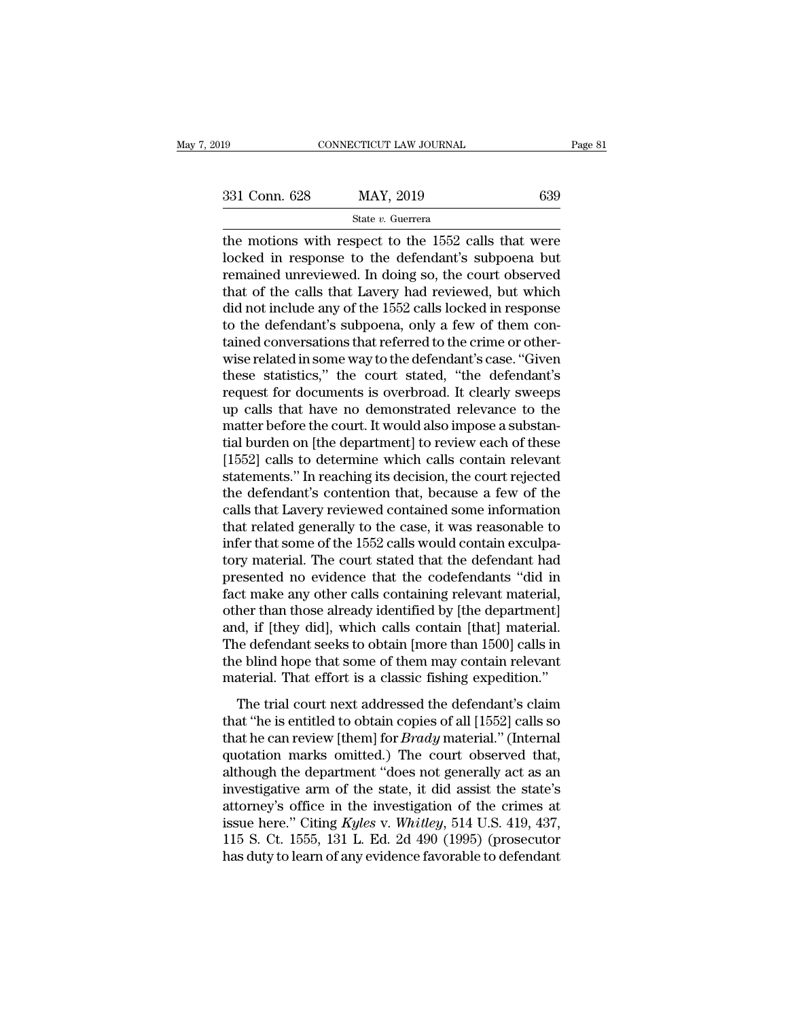the motions with respect to the 1552 calls that were<br>  $\frac{1}{331}$  Conn. 628 MAY, 2019 639<br>  $\frac{1}{331}$  Conn. 628 MAY, 2019 639<br>  $\frac{1}{331}$  Conn. 628 MAY, 2019 639<br>  $\frac{1}{331}$  Conn. 628 MAY, 2019 639<br>  $\frac{1}{331}$  Conn. 6  $\begin{array}{ccc}\n 331 \text{ Conn. } 628 & \text{MAX, } 2019 & \text{639} \\
 \text{State } v. \text{ Guerrera} & \text{the motions with respect to the } 1552 \text{ calls that were locked in response to the defendant's subpoena but remained unreviewed. In doing so, the court observed that of the cells that I query had reviewed but which\n\end{array}$ 331 Conn. 628 MAY, 2019 639<br>
State v. Guerrera<br>
the motions with respect to the 1552 calls that were<br>
locked in response to the defendant's subpoena but<br>
remained unreviewed. In doing so, the court observed<br>
that of the c 331 Conn. 628 MAY, 2019 639<br>
State v. Guerrera<br>
the motions with respect to the 1552 calls that were<br>
locked in response to the defendant's subpoena but<br>
remained unreviewed. In doing so, the court observed<br>
that of the c State v. Guerrera<br>
the motions with respect to the 1552 calls that were<br>
locked in response to the defendant's subpoena but<br>
remained unreviewed. In doing so, the court observed<br>
that of the calls that Lavery had reviewed state v. Guerrera<br>the motions with respect to the 1552 calls that were<br>locked in response to the defendant's subpoena but<br>remained unreviewed. In doing so, the court observed<br>that of the calls that Lavery had reviewed, bu the motions with respect to the 1552 calls that were<br>locked in response to the defendant's subpoena but<br>remained unreviewed. In doing so, the court observed<br>that of the calls that Lavery had reviewed, but which<br>did not inc locked in response to the defendant's subpoena but<br>remained unreviewed. In doing so, the court observed<br>that of the calls that Lavery had reviewed, but which<br>did not include any of the 1552 calls locked in response<br>to the remained unreviewed. In doing so, the court observed<br>that of the calls that Lavery had reviewed, but which<br>did not include any of the 1552 calls locked in response<br>to the defendant's subpoena, only a few of them con-<br>taine that of the calls that Lavery had reviewed, but which<br>did not include any of the 1552 calls locked in response<br>to the defendant's subpoena, only a few of them con-<br>tained conversations that referred to the crime or other-<br> did not include any of the 1552 calls locked in response<br>to the defendant's subpoena, only a few of them con-<br>tained conversations that referred to the crime or other-<br>wise related in some way to the defendant's case. "Giv to the defendant's subpoena, only a few of them contained conversations that referred to the crime or otherwise related in some way to the defendant's case. "Given these statistics," the court stated, "the defendant's requ tained conversations that referred to the crime or other-<br>wise related in some way to the defendant's case. "Given<br>these statistics," the court stated, "the defendant's<br>request for documents is overbroad. It clearly sweeps wise related in some way to the defendant's case. "Given<br>these statistics," the court stated, "the defendant's<br>request for documents is overbroad. It clearly sweeps<br>up calls that have no demonstrated relevance to the<br>matte these statistics," the court stated, "the defendant's<br>request for documents is overbroad. It clearly sweeps<br>up calls that have no demonstrated relevance to the<br>matter before the court. It would also impose a substan-<br>tial request for documents is overbroad. It clearly sweeps<br>up calls that have no demonstrated relevance to the<br>matter before the court. It would also impose a substan-<br>tial burden on [the department] to review each of these<br>[15 up calls that have no demonstrated relevance to the<br>matter before the court. It would also impose a substan-<br>tial burden on [the department] to review each of these<br>[1552] calls to determine which calls contain relevant<br>st matter before the court. It would also impose a substantial burden on [the department] to review each of these<br>[1552] calls to determine which calls contain relevant<br>statements." In reaching its decision, the court rejecte tial burden on [the department] to review each of these [1552] calls to determine which calls contain relevant statements." In reaching its decision, the court rejected the defendant's contention that, because a few of the [1552] calls to determine which calls contain relevant<br>statements." In reaching its decision, the court rejected<br>the defendant's contention that, because a few of the<br>calls that Lavery reviewed contained some information<br>t statements." In reaching its decision, the court rejected<br>the defendant's contention that, because a few of the<br>calls that Lavery reviewed contained some information<br>that related generally to the case, it was reasonable to the defendant's contention that, because a few of the calls that Lavery reviewed contained some information that related generally to the case, it was reasonable to infer that some of the 1552 calls would contain exculpato calls that Lavery reviewed contained some information<br>that related generally to the case, it was reasonable to<br>infer that some of the 1552 calls would contain exculpa-<br>tory material. The court stated that the defendant had that related generally to the case, it was reasonable to<br>infer that some of the 1552 calls would contain exculpa-<br>tory material. The court stated that the defendant had<br>presented no evidence that the codefendants "did in<br>f infer that some of the 1552 calls would contain exculpatory material. The court stated that the defendant had<br>presented no evidence that the codefendants "did in<br>fact make any other calls containing relevant material,<br>othe tory material. The court stated that the defendant had<br>presented no evidence that the codefendants "did in<br>fact make any other calls containing relevant material,<br>other than those already identified by [the department]<br>and presented no evidence that the codefendants "did in fact make any other calls containing relevant material, other than those already identified by [the department] and, if [they did], which calls contain [that] material. T ther than those already identified by [the department]<br>d, if [they did], which calls contain [that] material.<br>ne defendant seeks to obtain [more than 1500] calls in<br>e blind hope that some of them may contain relevant<br>ateri and, if [they did], which calls contain [that] material.<br>The defendant seeks to obtain [more than 1500] calls in<br>the blind hope that some of them may contain relevant<br>material. That effort is a classic fishing expedition.

that he can review [them] for *Brady* material.<br>The defendant seeks to obtain [more than 1500] calls in<br>the blind hope that some of them may contain relevant<br>material. That effort is a classic fishing expedition."<br>The tria The determinant sector of stating priority duality contain relevant<br>the blind hope that some of them may contain relevant<br>material. That effort is a classic fishing expedition."<br>The trial court next addressed the defendant material. That effort is a classic fishing expedition."<br>The trial court next addressed the defendant's claim<br>that "he is entitled to obtain copies of all [1552] calls so<br>that he can review [them] for *Brady* material." (In The trial court next addressed the defendant's claim<br>that "he is entitled to obtain copies of all [1552] calls so<br>that he can review [them] for *Brady* material." (Internal<br>quotation marks omitted.) The court observed tha The trial court next addressed the defendant's claim<br>that "he is entitled to obtain copies of all [1552] calls so<br>that he can review [them] for *Brady* material." (Internal<br>quotation marks omitted.) The court observed tha that "he is entitled to obtain copies of all [1552] calls so<br>that he can review [them] for *Brady* material." (Internal<br>quotation marks omitted.) The court observed that,<br>although the department "does not generally act as that he can review [them] for *Brady* material." (Internal quotation marks omitted.) The court observed that, although the department "does not generally act as an investigative arm of the state, it did assist the state's quotation marks omitted.) The court observed that, although the department "does not generally act as an investigative arm of the state, it did assist the state's attorney's office in the investigation of the crimes at iss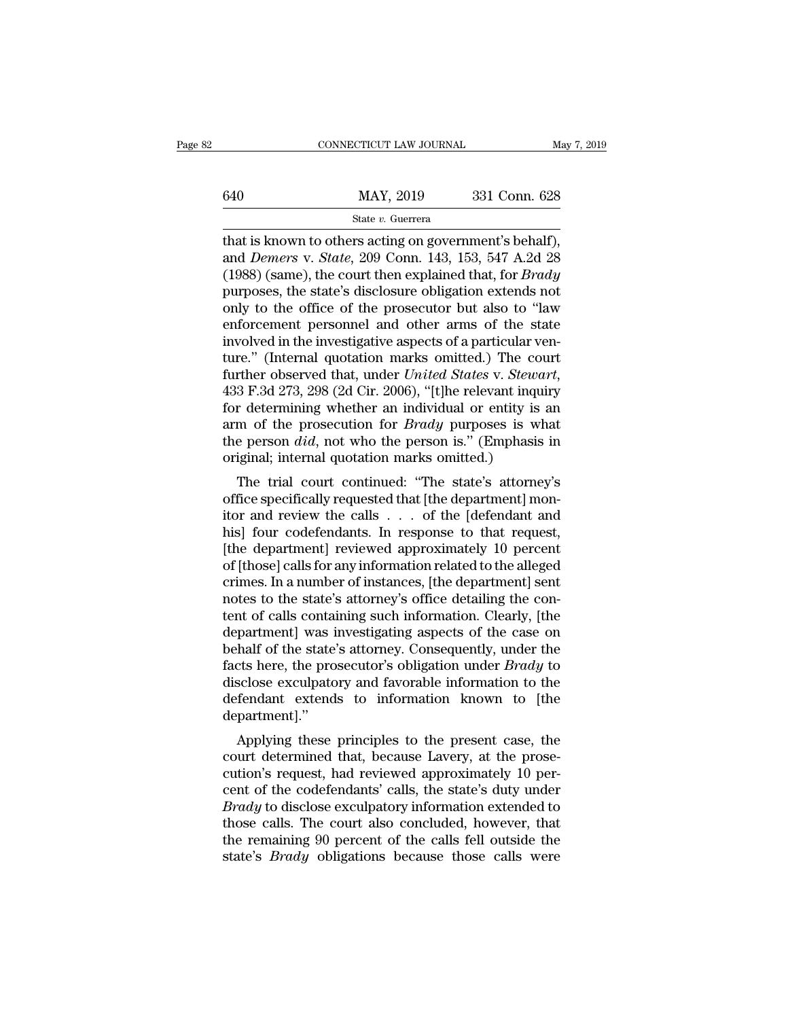# EXECUTE CONNECTICUT LAW JOURNAL May 7, 2019<br>
MAY, 2019 331 Conn. 628<br>
State v. Guerrera

# State *v.* Guerrera

CONNECTICUT LAW JOURNAL May 7, 2<br>  $\frac{640}{\text{Mat is known to others acting on government's behalf}}$ , and *Demers* v. *State*, 209 Conn. 143, 153, 547 A.2d 28 and *Demers* v. *State* v. *Guerrera*<br>
and *Demers* v. *State*, 209 Conn. 143, 153, 547 A.2d 28<br>
(1988) (same), the court then explained that, for *Brady*<br>
purposes the state's disclosure obligation extends not (40 MAY, 2019 331 Conn. 628<br>
State v. Guerrera<br>
that is known to others acting on government's behalf),<br>
and *Demers* v. *State*, 209 Conn. 143, 153, 547 A.2d 28<br>
(1988) (same), the court then explained that, for *Brady*<br>  $\frac{\text{MAX}}{\text{State } v. \text{ Guerrera}}$ <br>  $\frac{\text{State } v. \text{ Guerrera}}{\text{that is known to others acting on government's behalf}},$ <br>
and *Demers* v. *State*, 209 Conn. 143, 153, 547 A.2d 28<br>
(1988) (same), the court then explained that, for *Brady*<br>
purposes, the state's disclosure obligation e State v. Guerrera<br>
State v. Guerrera<br>
that is known to others acting on government's behalf),<br>
and *Demers* v. *State*, 209 Conn. 143, 153, 547 A.2d 28<br>
(1988) (same), the court then explained that, for *Brady*<br>
purposes, state v. Guerrera<br>that is known to others acting on government's behalf),<br>and *Demers* v. *State*, 209 Conn. 143, 153, 547 A.2d 28<br>(1988) (same), the court then explained that, for *Brady*<br>purposes, the state's disclosure that is known to others acting on government's behalf), and *Demers* v. *State*, 209 Conn. 143, 153, 547 A.2d 28 (1988) (same), the court then explained that, for *Brady* purposes, the state's disclosure obligation extends and *Demers* v. *State*, 209 Conn. 143, 153, 547 A.2d 28 (1988) (same), the court then explained that, for *Brady* purposes, the state's disclosure obligation extends not only to the office of the prosecutor but also to " (1988) (same), the court then explained that, for *Brady*<br>purposes, the state's disclosure obligation extends not<br>only to the office of the prosecutor but also to "law<br>enforcement personnel and other arms of the state<br>invo only to the office of the prosecutor but also to "law<br>enforcement personnel and other arms of the state<br>involved in the investigative aspects of a particular ven-<br>ture." (Internal quotation marks omitted.) The court<br>furthe enforcement personnel and other arms of the state<br>involved in the investigative aspects of a particular ven-<br>ture." (Internal quotation marks omitted.) The court<br>further observed that, under *United States v. Stewart*,<br>433 involved in the investigative aspects of a particular venture." (Internal quotation marks omitted.) The court<br>further observed that, under *United States v. Stewart*,<br>433 F.3d 273, 298 (2d Cir. 2006), "[t]he relevant inqui ture." (Internal quotation marks omitted.) The co<br>further observed that, under *United States v. Stewo*<br>433 F.3d 273, 298 (2d Cir. 2006), "[t]he relevant inqu<br>for determining whether an individual or entity is<br>arm of the p The trial court continued: "The relevant inquiry<br>
The state's v. Stewart,<br>
The state person is a more than the prosecution for *Brady* purposes is what<br>
e person *did*, not who the person is." (Emphasis in<br>
iginal; intern For determining whether an individual or entity is an arm of the prosecution for *Brady* purposes is what the person *did*, not who the person is." (Emphasis in original; internal quotation marks omitted.) The trial court

for determining whether an individual of entity is an<br>arm of the prosecution for *Brady* purposes is what<br>the person *did*, not who the person is." (Emphasis in<br>original; internal quotation marks omitted.)<br>The trial court and of the prosecution for *Braay* purposes is what<br>the person *did*, not who the person is." (Emphasis in<br>original; internal quotation marks omitted.)<br>The trial court continued: "The state's attorney's<br>office specificall the person *dtd*, not who die person is. (Emphasis in<br>original; internal quotation marks omitted.)<br>The trial court continued: "The state's attorney's<br>office specifically requested that [the department] mon-<br>itor and review original, internal quotation marks onlitted.)<br>The trial court continued: "The state's attorney's<br>office specifically requested that [the department] mon-<br>itor and review the calls . . . of the [defendant and<br>his] four code The trial court continued: "The state's attorney's<br>office specifically requested that [the department] mon-<br>itor and review the calls  $\ldots$  of the [defendant and<br>his] four codefendants. In response to that request,<br>[the d % office specifically requested that [the department] monitor and review the calls  $\dots$  of the [defendant and his] four codefendants. In response to that request, [the department] reviewed approximately 10 percent of [tho itor and review the calls . . . . of the [defendant and<br>his] four codefendants. In response to that request,<br>[the department] reviewed approximately 10 percent<br>of [those] calls for any information related to the alleged<br>cr his] four codefendants. In response to that request,<br>[the department] reviewed approximately 10 percent<br>of [those] calls for any information related to the alleged<br>crimes. In a number of instances, [the department] sent<br>no [the department] reviewed approximately 10 percent<br>of [those] calls for any information related to the alleged<br>crimes. In a number of instances, [the department] sent<br>notes to the state's attorney's office detailing the c of [those] calls for any information related to the alleged<br>crimes. In a number of instances, [the department] sent<br>notes to the state's attorney's office detailing the con-<br>tent of calls containing such information. Clear crimes. In a number of instances, [the department] sent<br>notes to the state's attorney's office detailing the con-<br>tent of calls containing such information. Clearly, [the<br>department] was investigating aspects of the case o notes to the state's attorney's office detailing the content of calls containing such information. Clearly, [the department] was investigating aspects of the case on behalf of the state's attorney. Consequently, under the department].'' partment<sub>l</sub> was investigating aspects of the case on<br>half of the state's attorney. Consequently, under the<br>cts here, the prosecutor's obligation under *Brady* to<br>sclose exculpatory and favorable information to the<br>fendant behalf of the state's attorney. Consequently, under the<br>facts here, the prosecutor's obligation under *Brady* to<br>disclose exculpatory and favorable information to the<br>defendant extends to information known to [the<br>departme

racts nere, the prosectuor's obigation under *Braty* to<br>disclose exculpatory and favorable information to the<br>defendant extends to information known to [the<br>department]."<br>Applying these principles to the present case, the<br> defendant extends to information known to [the<br>department]."<br>Applying these principles to the present case, the<br>court determined that, because Lavery, at the prose-<br>cution's request, had reviewed approximately 10 per-<br>cent department]."<br> *Applying these principles to the present case, the*<br>
court determined that, because Lavery, at the prose-<br>
cution's request, had reviewed approximately 10 per-<br>
cent of the codefendants' calls, the state's Applying these principles to the present case, the<br>court determined that, because Lavery, at the prose-<br>cution's request, had reviewed approximately 10 per-<br>cent of the codefendants' calls, the state's duty under<br>*Brady* t Applying these principles to the present case, the court determined that, because Lavery, at the prosecution's request, had reviewed approximately 10 percent of the codefendants' calls, the state's duty under  $Brady$  to dis court determined that, because Lavery, at the prosecution's request, had reviewed approximately 10 percent of the codefendants' calls, the state's duty under *Brady* to disclose exculpatory information extended to those ca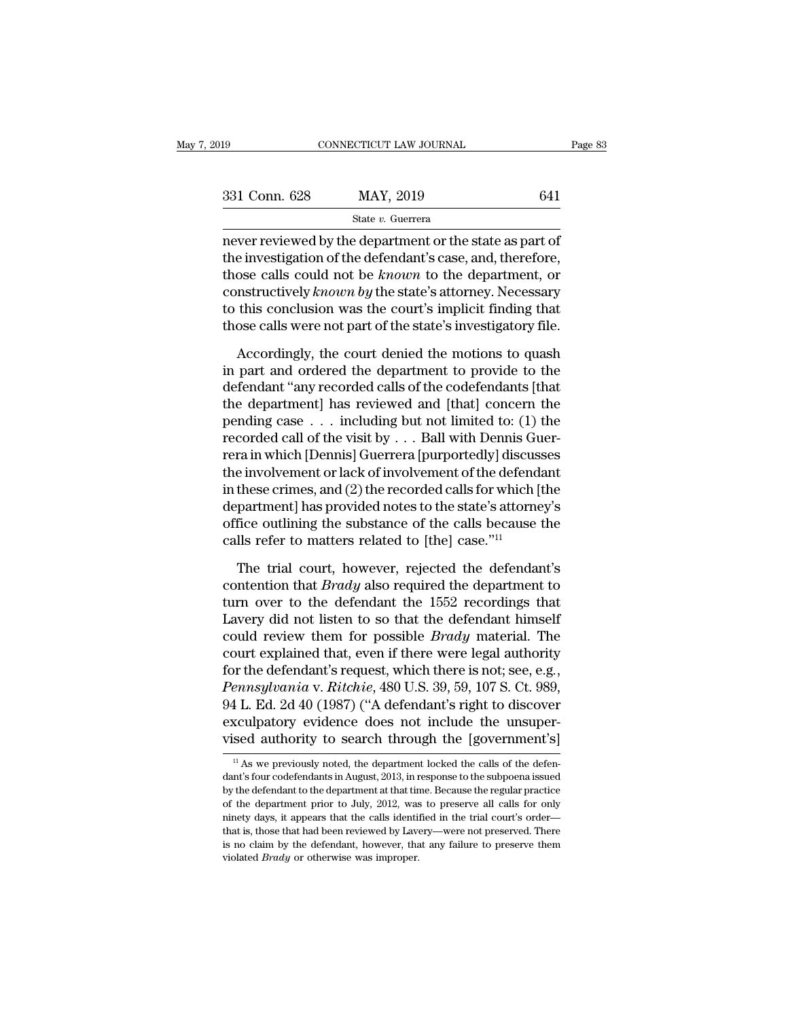| 2019          | CONNECTICUT LAW JOURNAL                                                                                                | Page 83 |
|---------------|------------------------------------------------------------------------------------------------------------------------|---------|
|               |                                                                                                                        |         |
| 331 Conn. 628 | MAY, 2019                                                                                                              | 641     |
|               | State v. Guerrera                                                                                                      |         |
|               | never reviewed by the department or the state as part of<br>the investigation of the defendant's case, and, therefore, |         |

331 Conn. 628 MAY, 2019 641<br>
State v. Guerrera<br>
never reviewed by the department or the state as part of<br>
the investigation of the defendant's case, and, therefore,<br>
those calls could not be *known* to the department, or<br> 331 Conn. 628 MAY, 2019 641<br>
State *v*. Guerrera<br>
never reviewed by the department or the state as part of<br>
the investigation of the defendant's case, and, therefore,<br>
those calls could not be *known* to the department, o 331 Conn. 628 MAY, 2019 641<br>
state v. Guerrera<br>
never reviewed by the department or the state as part of<br>
the investigation of the defendant's case, and, therefore,<br>
those calls could not be *known* to the department, or<br> State v. Guerrera<br>
never reviewed by the department or the state as part of<br>
the investigation of the defendant's case, and, therefore,<br>
those calls could not be *known* to the department, or<br>
constructively *known by* th state v. Guerrera<br>
never reviewed by the department or the state as part of<br>
the investigation of the defendant's case, and, therefore,<br>
those calls could not be *known* to the department, or<br>
constructively *known by* th e investigation of the defendant's case, and, therefore,<br>ose calls could not be *known* to the department, or<br>mstructively *known by* the state's attorney. Necessary<br>this conclusion was the court's implicit finding that<br>os those calls could not be *known* to the department, or constructively *known by* the state's attorney. Necessary to this conclusion was the court's implicit finding that those calls were not part of the state's investigat

constructively *known by* the state's attorney. Necessary<br>to this conclusion was the court's implicit finding that<br>those calls were not part of the state's investigatory file.<br>Accordingly, the court denied the motions to to this conclusion was the court's implicit finding that<br>those calls were not part of the state's investigatory file.<br>Accordingly, the court denied the motions to quash<br>in part and ordered the department to provide to the those calls were not part of the state's investigatory file.<br>
Accordingly, the court denied the motions to quash<br>
in part and ordered the department to provide to the<br>
defendant "any recorded calls of the codefendants [th Accordingly, the court denied the motions to quash<br>in part and ordered the department to provide to the<br>defendant "any recorded calls of the codefendants [that<br>the department] has reviewed and [that] concern the<br>pending c Accordingly, the court denied the motions to quash<br>in part and ordered the department to provide to the<br>defendant "any recorded calls of the codefendants [that<br>the department] has reviewed and [that] concern the<br>pending c in part and ordered the department to provide to the<br>defendant "any recorded calls of the codefendants [that<br>the department] has reviewed and [that] concern the<br>pending case  $\ldots$  including but not limited to: (1) the<br>rec defendant "any recorded calls of the codefendants [that<br>the department] has reviewed and [that] concern the<br>pending case . . . including but not limited to: (1) the<br>recorded call of the visit by . . . Ball with Dennis Guer the department] has reviewed and [that] concern the<br>pending case  $\dots$  including but not limited to: (1) the<br>recorded call of the visit by  $\dots$  Ball with Dennis Guer-<br>rera in which [Dennis] Guerrera [purportedly] discusses pending case  $\ldots$  including but not limited to: (1) the<br>recorded call of the visit by  $\ldots$  Ball with Dennis Guer-<br>rera in which [Dennis] Guerrera [purportedly] discusses<br>the involvement or lack of involvement of the def recorded call of the visit by  $\ldots$  Ball with Dennis Guerrera in which [Dennis] Guerrera [purportedly] discus<br>the involvement or lack of involvement of the defend<br>in these crimes, and (2) the recorded calls for which [<br>de e involvement or lack of involvement of the defendant<br>these crimes, and (2) the recorded calls for which [the<br>partment] has provided notes to the state's attorney's<br>fice outlining the substance of the calls because the<br>ll in these crimes, and (2) the recorded calls for which [the<br>department] has provided notes to the state's attorney's<br>office outlining the substance of the calls because the<br>calls refer to matters related to [the] case."<sup>11</sup>

department] has provided notes to the state's attorney's<br>office outlining the substance of the calls because the<br>calls refer to matters related to [the] case."<sup>11</sup><br>The trial court, however, rejected the defendant's<br>conten office outlining the substance of the calls because the calls refer to matters related to [the] case."<sup>11</sup><br>The trial court, however, rejected the defendant's contention that *Brady* also required the department to turn ov calls refer to matters related to [the] case."<sup>11</sup><br>The trial court, however, rejected the defendant's<br>contention that *Brady* also required the department to<br>turn over to the defendant the 1552 recordings that<br>Lavery did n The trial court, however, rejected the defendant's<br>contention that *Brady* also required the department to<br>turn over to the defendant the 1552 recordings that<br>Lavery did not listen to so that the defendant himself<br>could r The trial court, however, rejected the defendant's contention that *Brady* also required the department to turn over to the defendant the 1552 recordings that Lavery did not listen to so that the defendant himself could re turn over to the defendant the 1552 recordings that<br>Lavery did not listen to so that the defendant himself<br>could review them for possible *Brady* material. The<br>court explained that, even if there were legal authority<br>for t Lavery did not listen to so that the defendant himself<br>could review them for possible *Brady* material. The<br>court explained that, even if there were legal authority<br>for the defendant's request, which there is not; see, e.g could review them for possible *Brady* material. The<br>court explained that, even if there were legal authority<br>for the defendant's request, which there is not; see, e.g.,<br>*Pennsylvania* v. *Ritchie*, 480 U.S. 39, 59, 107 S *Pennsylvania* v. *Ritchie,* 480 U.S. 39, 59, 107 S. Ct. 989, 94 L. Ed. 2d 40 (1987) ("A defendant's right to discover exculpatory evidence does not include the unsupervised authority to search through the [government's]<br> 94 L. Ed. 2d 40 (1987) ("A defendant's right to discover<br>exculpatory evidence does not include the unsuper-<br>vised authority to search through the [government's]<br> $\frac{11}{11}$  As we previously noted, the department locked th

exculpatory evidence does not include the unsuper-<br>vised authority to search through the [government's]<br> $\frac{1}{11}$  As we previously noted, the department locked the calls of the defen-<br>dant's four codefendants in August, vised authority to search through the [government's]<br>
<sup>11</sup> As we previously noted, the department locked the calls of the defendant's four codefendants in August, 2013, in response to the subpoena issued by the defendant The method of the department of the department of the calls of the defendant's four codefendants in August, 2013, in response to the subpoena issued by the defendant to the department at that time. Because the regular pra  $\,^{\rm II}$  As we previously noted, the department locked the calls of the defendant's four codefendants in August, 2013, in response to the subpoena issued by the defendant to the department at that time. Because the regul dant's four codefendants in August, 2013, in response to the subpoena issued<br>by the defendant to the department at that time. Because the regular practice<br>of the department prior to July, 2012, was to preserve all calls fo by the defendant to the department at that time. Because the regular practice of the department prior to July, 2012, was to preserve all calls for only ninety days, it appears that the calls identified in the trial court's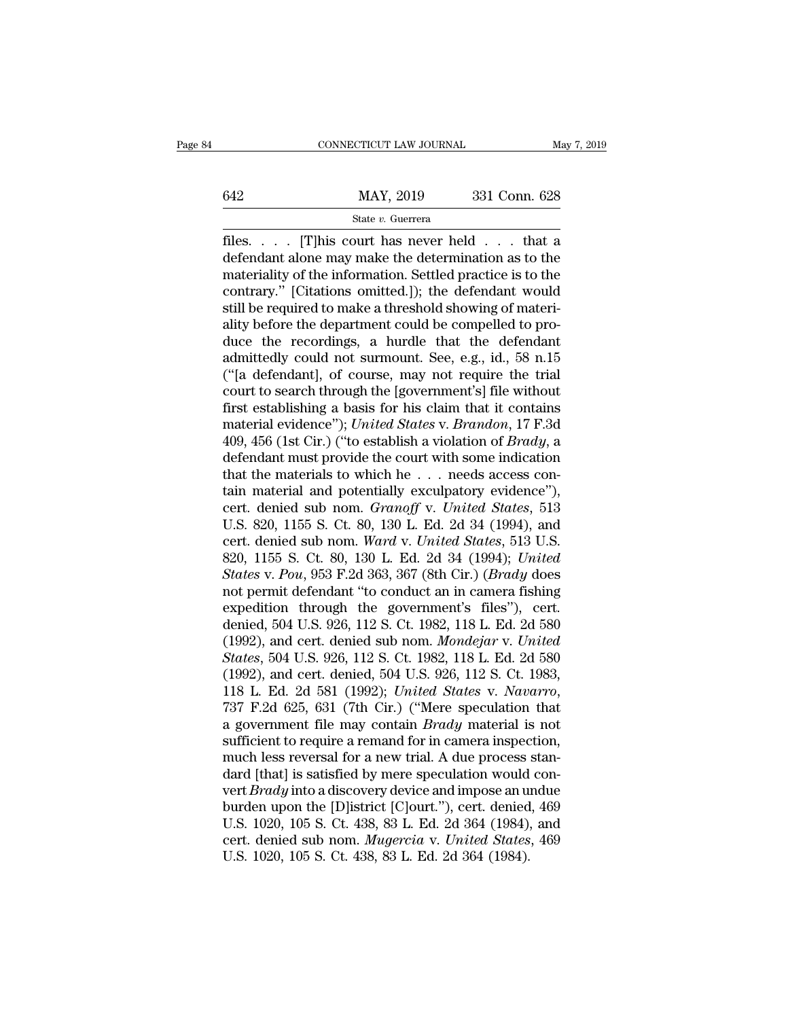# EXERCITE CONNECTICUT LAW JOURNAL May 7, 2019<br>
MAY, 2019 331 Conn. 628<br>
State v. Guerrera

# State *v.* Guerrera

files. . . . [T]his court has never held . . . that a 642 MAY, 2019 331 Conn. 628<br>
State v. Guerrera<br>
files. . . . . [T]his court has never held . . . that a<br>
defendant alone may make the determination as to the<br>
materiality of the information. Settled practice is to the<br>
co materiality of the information. Settled practice is to the 642 MAY, 2019 331 Conn. 628<br>
State v. Guerrera<br>
files. . . . [T] his court has never held . . . that a<br>
defendant alone may make the determination as to the<br>
materiality of the information. Settled practice is to the<br>
con State *v*. Guerrera<br>
State *v*. Guerrera<br>
files. . . . . [T] his court has never held . . . that a<br>
defendant alone may make the determination as to the<br>
materiality of the information. Settled practice is to the<br>
contrar state *v*. Guerrera<br>files. . . . . [T]his court has never held . . . that a<br>defendant alone may make the determination as to the<br>materiality of the information. Settled practice is to the<br>contrary." [Citations omitted.]); files. . . . . [T]his court has never held . . . that a<br>defendant alone may make the determination as to the<br>materiality of the information. Settled practice is to the<br>contrary." [Citations omitted.]); the defendant would<br> defendant alone may make the determination as to the<br>materiality of the information. Settled practice is to the<br>contrary." [Citations omitted.]); the defendant would<br>still be required to make a threshold showing of materimateriality of the information. Settled practice is to the contrary." [Citations omitted.]); the defendant would still be required to make a threshold showing of materiality before the department could be compelled to prod contrary." [Citations omitted.]); the defendant would<br>still be required to make a threshold showing of materi-<br>ality before the department could be compelled to pro-<br>duce the recordings, a hurdle that the defendant<br>admitte still be required to make a threshold showing of materiality before the department could be compelled to produce the recordings, a hurdle that the defendant admittedly could not surmount. See, e.g., id., 58 n.15 ("[a defen ality before the department could be compelled to pro-<br>duce the recordings, a hurdle that the defendant<br>admittedly could not surmount. See, e.g., id., 58 n.15<br>("[a defendant], of course, may not require the trial<br>court to duce the recordings, a hurdle that the defendant<br>admittedly could not surmount. See, e.g., id., 58 n.15<br>("[a defendant], of course, may not require the trial<br>court to search through the [government's] file without<br>first es admittedly could not surmount. See, e.g., id., 58 n.15<br>("[a defendant], of course, may not require the trial<br>court to search through the [government's] file without<br>first establishing a basis for his claim that it contain ("[a defendant], of course, may not require the trial<br>court to search through the [government's] file without<br>first establishing a basis for his claim that it contains<br>material evidence"); *United States* v. *Brandon*, 17 court to search through the [government's] file without<br>first establishing a basis for his claim that it contains<br>material evidence''); *United States v. Brandon*, 17 F.3d<br>409, 456 (1st Cir.) ("to establish a violation of first establishing a basis for his claim that it contains<br>material evidence"); *United States* v. *Brandon*, 17 F.3d<br>409, 456 (1st Cir.) ("to establish a violation of *Brady*, a<br>defendant must provide the court with some i material evidence"); *United States v. Brandon*, 17 F.3d<br>409, 456 (1st Cir.) ("to establish a violation of *Brady*, a<br>defendant must provide the court with some indication<br>that the materials to which he . . . needs access 409, 456 (1st Cir.) ("to establish a violation of *Brady*, a<br>defendant must provide the court with some indication<br>that the materials to which he . . . needs access con-<br>tain material and potentially exculpatory evidence") defendant must provide the court with some indication<br>that the materials to which he . . . needs access con-<br>tain material and potentially exculpatory evidence"),<br>cert. denied sub nom. *Granoff* v. *United States*, 513<br>U.S *States* which he . . . needs access contain material and potentially exculpatory evidence"), cert. denied sub nom. *Granoff* v. *United States*, 513 U.S. 820, 1155 S. Ct. 80, 130 L. Ed. 2d 34 (1994), and cert. denied sub tain material and potentially exculpatory evidence"),<br>cert. denied sub nom. *Granoff* v. *United States*, 513<br>U.S. 820, 1155 S. Ct. 80, 130 L. Ed. 2d 34 (1994), and<br>cert. denied sub nom. *Ward* v. *United States*, 513 U.S cert. denied sub nom. *Granoff* v. *United States*, 513<br>U.S. 820, 1155 S. Ct. 80, 130 L. Ed. 2d 34 (1994), and<br>cert. denied sub nom. *Ward* v. *United States*, 513 U.S.<br>820, 1155 S. Ct. 80, 130 L. Ed. 2d 34 (1994); *Unite* U.S. 820, 1155 S. Ct. 80, 130 L. Ed. 2d 34 (1994), and<br>cert. denied sub nom. *Ward v. United States*, 513 U.S.<br>820, 1155 S. Ct. 80, 130 L. Ed. 2d 34 (1994); *United<br>States v. Pou*, 953 F.2d 363, 367 (8th Cir.) (*Brady* doe cert. denied sub nom. *Ward v. United States*, 513 U.S.<br>820, 1155 S. Ct. 80, 130 L. Ed. 2d 34 (1994); *United*<br>*States v. Pou*, 953 F.2d 363, 367 (8th Cir.) (*Brady* does<br>not permit defendant "to conduct an in camera fishi 820, 1155 S. Ct. 80, 130 L. Ed. 2d 34 (1994); United<br> *States* v. Pou, 953 F.2d 363, 367 (8th Cir.) (*Brady* does<br>
not permit defendant "to conduct an in camera fishing<br>
expedition through the government's files"), cert.<br> States v. Pou, 953 F.2d 363, 367 (8th Cir.) (*Brady* does<br>not permit defendant "to conduct an in camera fishing<br>expedition through the government's files"), cert.<br>denied, 504 U.S. 926, 112 S. Ct. 1982, 118 L. Ed. 2d 580<br>(1 not permit defendant "to conduct an in camera fishing<br>expedition through the government's files"), cert.<br>denied, 504 U.S. 926, 112 S. Ct. 1982, 118 L. Ed. 2d 580<br>(1992), and cert. denied, 504 U.S. 926, 112 S. Ct. 1983,<br>(19 denied, 504 U.S. 926, 112 S. Ct. 1982, 118 L. Ed. 2d 580 (1992), and cert. denied sub nom. *Mondejar v. United States*, 504 U.S. 926, 112 S. Ct. 1982, 118 L. Ed. 2d 580 (1992), and cert. denied, 504 U.S. 926, 112 S. Ct. 19 (1992), and cert. denied sub nom. *Mondejar* v. *United*<br>*States*, 504 U.S. 926, 112 S. Ct. 1982, 118 L. Ed. 2d 580<br>(1992), and cert. denied, 504 U.S. 926, 112 S. Ct. 1983,<br>118 L. Ed. 2d 581 (1992); *United States* v. *Na* States, 504 U.S. 926, 112 S. Ct. 1982, 118 L. Ed. 2d 580 (1992), and cert. denied, 504 U.S. 926, 112 S. Ct. 1983, 118 L. Ed. 2d 581 (1992); *United States v. Navarro*, 737 F.2d 625, 631 (7th Cir.) ("Mere speculation that a (1992), and cert. denied, 504 U.S. 926, 112 S. Ct. 1983, 118 L. Ed. 2d 581 (1992); *United States v. Navarro*, 737 F.2d 625, 631 (7th Cir.) ("Mere speculation that a government file may contain *Brady* material is not suf 118 L. Ed. 2d 581 (1992); *United States v. Navarro*,<br>737 F.2d 625, 631 (7th Cir.) ("Mere speculation that<br>a government file may contain *Brady* material is not<br>sufficient to require a remand for in camera inspection,<br>much 737 F.2d 625, 631 (7th Cir.) ("Mere speculation that<br>a government file may contain *Brady* material is not<br>sufficient to require a remand for in camera inspection,<br>much less reversal for a new trial. A due process stan-<br>d a government file may contain *Brady* material is not sufficient to require a remand for in camera inspection, much less reversal for a new trial. A due process standard [that] is satisfied by mere speculation would conve sufficient to require a remand for in camera inspection,<br>much less reversal for a new trial. A due process stan-<br>dard [that] is satisfied by mere speculation would con-<br>vert *Brady* into a discovery device and impose an un much less reversal for a new trial. A due process<br>dard [that] is satisfied by mere speculation would<br>vert *Brady* into a discovery device and impose an u<br>burden upon the [D]istrict [C]ourt."), cert. denied<br>U.S. 1020, 105 S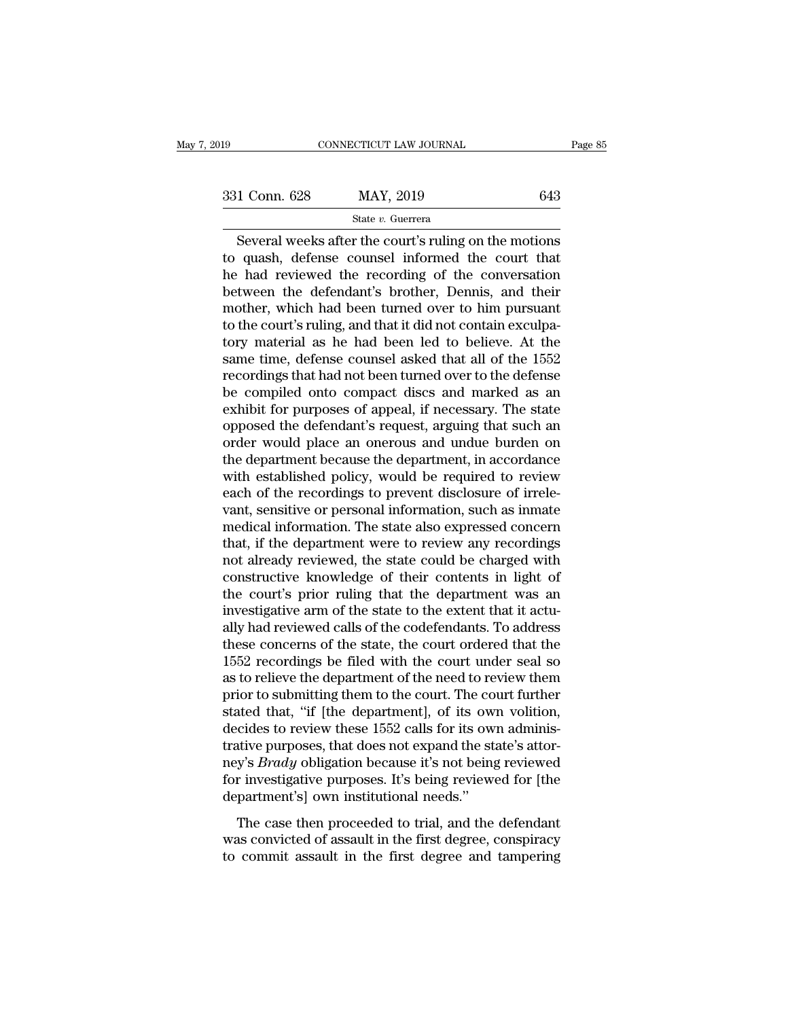$\begin{array}{l|l} \hline \text{COMRECTICUT LAW JOURNAL} & \text{Page 85} \\\\ 1\ \text{Conn. } 628 & \text{MAY, } 2019 & 643 \\\\ \hline \text{State } v. \text{ Guerrera} \\\\ \hline \text{Several weeks after the court's ruling on the motions quash, defense counds introduced the court that had reviewed the reacording of the conversation.} \end{array}$ 331 Conn. 628 MAY, 2019 643<br>
State v. Guerrera<br>
Several weeks after the court's ruling on the motions<br>
to quash, defense counsel informed the court that<br>
the had reviewed the recording of the conversation<br>
between the def  $\frac{\text{331 Conn. 628}}{\text{State } v. \text{ Guerrera}}$ <br>
Several weeks after the court's ruling on the motions<br>
to quash, defense counsel informed the court that<br>
the had reviewed the recording of the conversation<br>
between the defendant's broth  $\begin{array}{ccc}\n 331 \text{ Conn. } 628 & \text{MAX, } 2019 & 643 \\
 \hline\n \text{State } v. \text{ Guerrera} & \text{Several weeks after the court's ruling on the motions} \\
 \text{to quash, defense counds informed the court that} \\
 \text{he had reviewed the recording of the conversation} \text{between the defendant's brother, Dennis, and their mother, which had been turned over to him pursuit} \\
 \text{to the court's ruling and that it did not contain available.} \end{array}$ State v. Guerrera<br>Several weeks after the court's ruling on the motions<br>to quash, defense counsel informed the court that<br>he had reviewed the recording of the conversation<br>between the defendant's brother, Dennis, and thei State v. Guerrera<br>Several weeks after the court's ruling on the motions<br>to quash, defense counsel informed the court that<br>he had reviewed the recording of the conversation<br>between the defendant's brother, Dennis, and thei Several weeks after the court's ruling on the motions<br>to quash, defense counsel informed the court that<br>he had reviewed the recording of the conversation<br>between the defendant's brother, Dennis, and their<br>mother, which had to quash, defense counsel informed the court that<br>he had reviewed the recording of the conversation<br>between the defendant's brother, Dennis, and their<br>mother, which had been turned over to him pursuant<br>to the court's rulin he had reviewed the recording of the conversation<br>between the defendant's brother, Dennis, and their<br>mother, which had been turned over to him pursuant<br>to the court's ruling, and that it did not contain exculpa-<br>tory mater between the defendant's brother, Dennis, and their<br>mother, which had been turned over to him pursuant<br>to the court's ruling, and that it did not contain exculpa-<br>tory material as he had been led to believe. At the<br>same tim mother, which had been turned over to him pursuant<br>to the court's ruling, and that it did not contain exculpa-<br>tory material as he had been led to believe. At the<br>same time, defense counsel asked that all of the 1552<br>recor to the court's ruling, and that it did not contain exculpatory material as he had been led to believe. At the same time, defense counsel asked that all of the 1552 recordings that had not been turned over to the defense be tory material as he had been led to believe. At the<br>same time, defense counsel asked that all of the 1552<br>recordings that had not been turned over to the defense<br>be compiled onto compact discs and marked as an<br>exhibit for same time, defense counsel asked that all of the 1552<br>recordings that had not been turned over to the defense<br>be compiled onto compact discs and marked as an<br>exhibit for purposes of appeal, if necessary. The state<br>opposed recordings that had not been turned over to the defense<br>be compiled onto compact discs and marked as an<br>exhibit for purposes of appeal, if necessary. The state<br>opposed the defendant's request, arguing that such an<br>order wo be compiled onto compact discs and marked as an exhibit for purposes of appeal, if necessary. The state opposed the defendant's request, arguing that such an order would place an onerous and undue burden on the department exhibit for purposes of appeal, if necessary. The state<br>opposed the defendant's request, arguing that such an<br>order would place an onerous and undue burden on<br>the department because the department, in accordance<br>with estab opposed the defendant's request, arguing that such an order would place an onerous and undue burden on the department because the department, in accordance with established policy, would be required to review each of the r order would place an onerous and undue burden on<br>the department because the department, in accordance<br>with established policy, would be required to review<br>each of the recordings to prevent disclosure of irrele-<br>vant, sensi the department because the department, in accordance<br>with established policy, would be required to review<br>each of the recordings to prevent disclosure of irrele-<br>vant, sensitive or personal information, such as inmate<br>medi with established policy, would be required to review<br>each of the recordings to prevent disclosure of irrele-<br>vant, sensitive or personal information, such as inmate<br>medical information. The state also expressed concern<br>tha each of the recordings to prevent disclosure of irrelevant, sensitive or personal information, such as inmate<br>medical information. The state also expressed concern<br>that, if the department were to review any recordings<br>not vant, sensitive or personal information, such as inmate<br>medical information. The state also expressed concern<br>that, if the department were to review any recordings<br>not already reviewed, the state could be charged with<br>cons medical information. The state also expressed concern<br>that, if the department were to review any recordings<br>not already reviewed, the state could be charged with<br>constructive knowledge of their contents in light of<br>the cou that, if the department were to review any recordings<br>not already reviewed, the state could be charged with<br>constructive knowledge of their contents in light of<br>the court's prior ruling that the department was an<br>investiga not already reviewed, the state could be charged with<br>constructive knowledge of their contents in light of<br>the court's prior ruling that the department was an<br>investigative arm of the state to the extent that it actu-<br>ally constructive knowledge of their contents in light of<br>the court's prior ruling that the department was an<br>investigative arm of the state to the extent that it actu-<br>ally had reviewed calls of the codefendants. To address<br>th the court's prior ruling that the department was an investigative arm of the state to the extent that it actually had reviewed calls of the codefendants. To address these concerns of the state, the court ordered that the 1 investigative arm of the state to the extent that it actually had reviewed calls of the codefendants. To address<br>these concerns of the state, the court ordered that the<br>1552 recordings be filed with the court under seal so ally had reviewed calls of the codefendants. To address<br>these concerns of the state, the court ordered that the<br>1552 recordings be filed with the court under seal so<br>as to relieve the department of the need to review them<br> these concerns of the state, the court ordered that the 1552 recordings be filed with the court under seal so as to relieve the department of the need to review them prior to submitting them to the court. The court further 1552 recordings be filed with the court under seal so<br>as to relieve the department of the need to review them<br>prior to submitting them to the court. The court further<br>stated that, "if [the department], of its own volition, as to relieve the department of the need to review them<br>prior to submitting them to the court. The court further<br>stated that, "if [the department], of its own volition,<br>decides to review these 1552 calls for its own admini prior to submitting them to the court. The co<br>stated that, "if [the department], of its own<br>decides to review these 1552 calls for its own<br>trative purposes, that does not expand the star<br>ney's *Brady* obligation because it The case that is a since the separator of the separator of the selection of the state's attor-<br>y's *Brady* obligation because it's not being reviewed<br>r investigative purposes. It's being reviewed for [the<br>partment's] own i rative purposes, that does not expand the state's attor-<br>ney's *Brady* obligation because it's not being reviewed<br>for investigative purposes. It's being reviewed for [the<br>department's] own institutional needs."<br>The case th that the state of the first degree and tampering the department's and because it's not being reviewed for investigative purposes. It's being reviewed for [the department's] own institutional needs."<br>The case then proceeded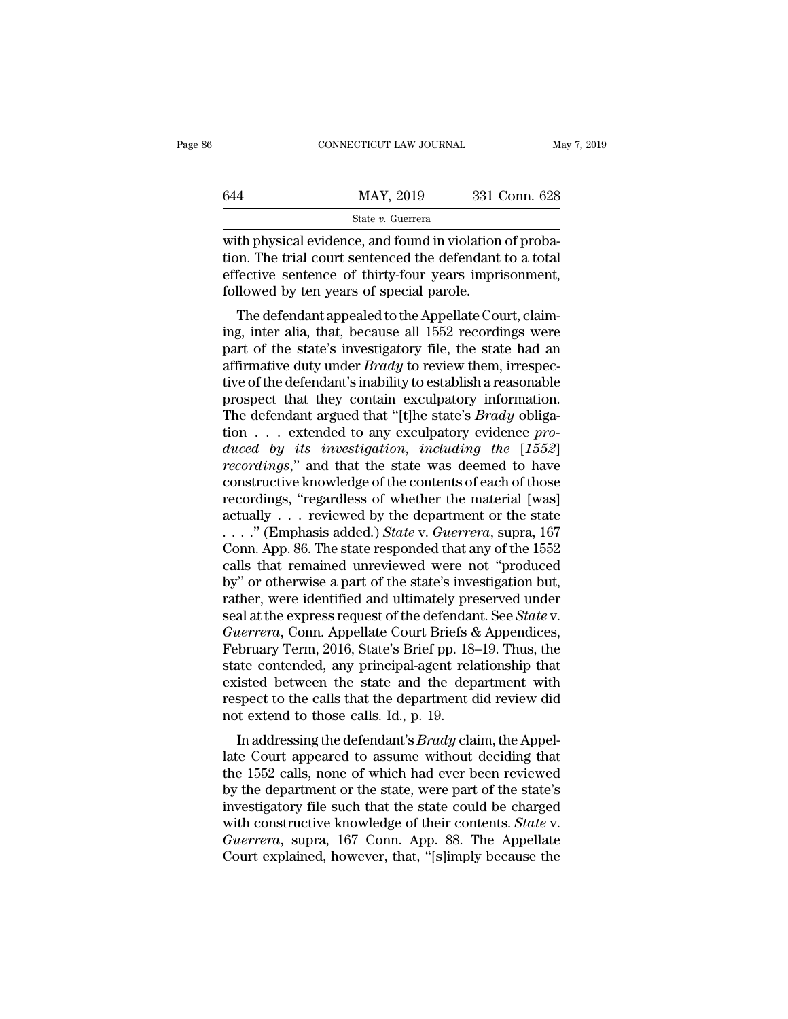|     | CONNECTICUT LAW JOURNAL | May 7, 2019   |
|-----|-------------------------|---------------|
| 644 | MAY, 2019               | 331 Conn. 628 |
|     | State v. Guerrera       |               |

CONNECTICUT LAW JOURNAL<br>
MAY, 2019 331 Conn. 628<br>
State v. Guerrera<br>
with physical evidence, and found in violation of proba-<br>
tion. The trial court sentenced the defendant to a total<br>
offective sentence of thirty four yea  $\begin{array}{r} \text{MAX, } 2019 \\ \text{State } v. \text{ Guer (1)} \\ \text{W)} \\ \text{W} \\ \text{with physical evidence, and found in violation of probabilistic properties} \\ \text{H} \\ \text{effective sentence of thirty-four years} \\ \text{in the previous context, followed by the years of special parolo.} \end{array}$ effective sentence of thirty-four years imprisonment,<br>followed by ten years of special parole.<br> $\frac{1}{2}$  and found in violation of probation. The trial court sentenced the defendant to a total effective sentence of thirty  $\begin{array}{r} \text{MAX, 2019} \quad \text{331}\; \text{G} \ \hline \text{State } v. \; \text{Guerrera} \ \hline \text{with physical evidence, and found in violation} \ \hline \text{tion. The trial court sentence the defendant effective sentence of thirty-four years inprif followed by ten years of special parole.} \ \hline \text{The defendant appeared to the Appellate Cou} \end{array}$ State v. Guerrera<br>
th physical evidence, and found in violation of proba-<br>
on. The trial court sentenced the defendant to a total<br>
fective sentence of thirty-four years imprisonment,<br>
llowed by ten years of special parole with physical evidence, and found in violation of probation. The trial court sentenced the defendant to a total<br>effective sentence of thirty-four years imprisonment,<br>followed by ten years of special parole.<br>The defendant a

with physical evidence, and found in violation of probation. The trial court sentenced the defendant to a total<br>effective sentence of thirty-four years imprisonment,<br>followed by ten years of special parole.<br>The defendant a France of thirty-four years imprisonment,<br>followed by ten years of special parole.<br>The defendant appealed to the Appellate Court, claim-<br>ing, inter alia, that, because all 1552 recordings were<br>part of the state's investiga FileCive sentence of thirty-four years imprisonment,<br>followed by ten years of special parole.<br>The defendant appealed to the Appellate Court, claim-<br>ing, inter alia, that, because all 1552 recordings were<br>part of the state' The defendant appealed to the Appellate Court, claim-<br>ing, inter alia, that, because all 1552 recordings were<br>part of the state's investigatory file, the state had an<br>affirmative duty under *Brady* to review them, irrespe The defendant appealed to the Appellate Court, claim-<br>ing, inter alia, that, because all 1552 recordings were<br>part of the state's investigatory file, the state had an<br>affirmative duty under *Brady* to review them, irrespec ing, inter alia, that, because all 1552 recordings were<br>part of the state's investigatory file, the state had an<br>affirmative duty under *Brady* to review them, irrespec-<br>tive of the defendant's inability to establish a rea part of the state's investigatory file, the state had an affirmative duty under *Brady* to review them, irrespective of the defendant's inability to establish a reasonable prospect that they contain exculpatory information affirmative duty under *Brady* to review them, irrespective of the defendant's inability to establish a reasonable prospect that they contain exculpatory information.<br>The defendant argued that "[t]he state's *Brady* obliga tive of the defendant's inability to establish a reasonable<br>prospect that they contain exculpatory information.<br>The defendant argued that "[t]he state's *Brady* obliga-<br>tion . . . extended to any exculpatory evidence *pro*prospect that they contain exculpatory information.<br>The defendant argued that "[t]he state's *Brady* obligation . . . extended to any exculpatory evidence *produced by its investigation, including the* [1552] *recordings* The defendant argued that "[t]he state's *Brady* obligation . . . extended to any exculpatory evidence *produced by its investigation, including the* [1552] *recordings*," and that the state was deemed to have constructiv tion . . . extended to any exculpatory evidence *pro-*<br>duced by its investigation, including the [1552]<br>recordings," and that the state was deemed to have<br>constructive knowledge of the contents of each of those<br>recordings, duced by its investigation, including the [1552]<br>recordings," and that the state was deemed to have<br>constructive knowledge of the contents of each of those<br>recordings, "regardless of whether the material [was]<br>actually . recordings," and that the state was deemed to have<br>constructive knowledge of the contents of each of those<br>recordings, "regardless of whether the material [was]<br>actually . . . reviewed by the department or the state<br> $\ldots$ constructive knowledge of the contents of each of those<br>recordings, "regardless of whether the material [was]<br>actually . . . reviewed by the department or the state<br> $\ldots$ ." (Emphasis added.) *State* v. *Guerrera*, supra, recordings, "regardless of whether the material [was]<br>actually . . . reviewed by the department or the state<br>. . . . . " (Emphasis added.) *State* v. *Guerrera*, supra, 167<br>Conn. App. 86. The state responded that any of t actually . . . reviewed by the department or the state<br>
. . . . . " (Emphasis added.) *State* v. *Guerrera*, supra, 167<br>
Conn. App. 86. The state responded that any of the 1552<br>
calls that remained unreviewed were not "pro *Cuerrera*, supra, 167<br> *Guerrera*, supra, 167<br> *Gonn. App.* 86. The state responded that any of the 1552<br>
calls that remained unreviewed were not "produced<br>
by" or otherwise a part of the state's investigation but,<br>
rathe Conn. App. 86. The state responded that any of the 1552<br>calls that remained unreviewed were not "produced<br>by" or otherwise a part of the state's investigation but,<br>rather, were identified and ultimately preserved under<br>sea calls that remained unreviewed were not "produced<br>by" or otherwise a part of the state's investigation but,<br>rather, were identified and ultimately preserved under<br>seal at the express request of the defendant. See *State* v by" or otherwise a part of the state's investigation but,<br>rather, were identified and ultimately preserved under<br>seal at the express request of the defendant. See *State* v.<br>*Guerrera*, Conn. Appellate Court Briefs & Appen rather, were identified and ultimately preserved under<br>seal at the express request of the defendant. See *State* v.<br>*Guerrera*, Conn. Appellate Court Briefs & Appendices,<br>February Term, 2016, State's Brief pp. 18–19. Thus, seal at the express request of the defendar<br>Guerrera, Conn. Appellate Court Briefs &<br>February Term, 2016, State's Brief pp. 18-<br>state contended, any principal-agent rela<br>existed between the state and the dep<br>respect to the In addressing the defendant's *Brady* claim, the Appel-<br>In a state's Brief pp. 18–19. Thus, the<br>state contended, any principal-agent relationship that<br>isted between the state and the department with<br>spect to the calls that rebruary Term, 2010, state s Brief pp. 18–19. Thus, the<br>state contended, any principal-agent relationship that<br>existed between the state and the department with<br>respect to the calls that the department did review did<br>not

state contentied, any principar-agent relationship that<br>existed between the state and the department with<br>respect to the calls that the department did review did<br>not extend to those calls. Id., p. 19.<br>In addressing the de existed between the state and the department with<br>respect to the calls that the department did review did<br>not extend to those calls. Id., p. 19.<br>In addressing the defendant's *Brady* claim, the Appel-<br>late Court appeared t respect to the cans that the department did review did<br>not extend to those calls. Id., p. 19.<br>In addressing the defendant's *Brady* claim, the Appel-<br>late Court appeared to assume without deciding that<br>the 1552 calls, non In addressing the defendant's *Brady* claim, the Appellate Court appeared to assume without deciding that the 1552 calls, none of which had ever been reviewed by the department or the state, were part of the state's invest In addressing the defendant's *Brady* claim, the Appellate Court appeared to assume without deciding that the 1552 calls, none of which had ever been reviewed by the department or the state, were part of the state's invest late Court appeared to assume without deciding that<br>the 1552 calls, none of which had ever been reviewed<br>by the department or the state, were part of the state's<br>investigatory file such that the state could be charged<br>with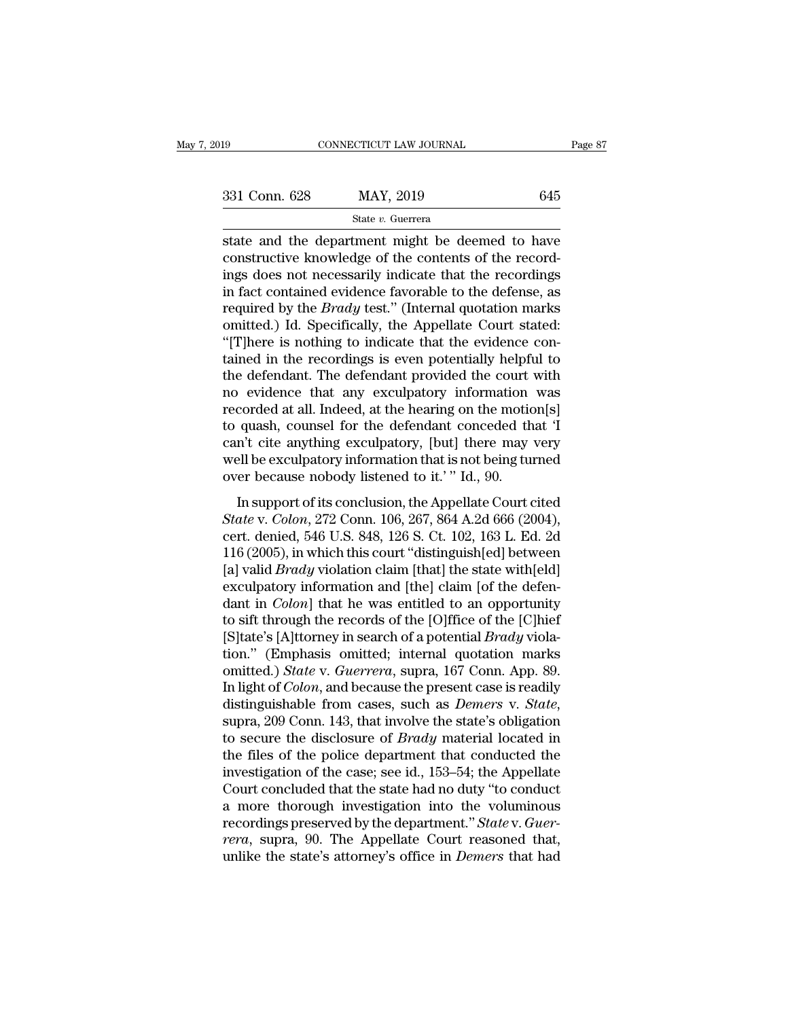state and the department might be deemed to have<br>
state and the department might be deemed to have<br>
constructive knowledge of the contents of the record-<br>
ing does not necessarily indicate that the record- $\begin{array}{ll}\n 331 \text{ Conn. } 628 \\
 \text{State } v. \text{ Guerrera} \\
 \text{state and the department might be deemed to have  
constructive knowledge of the contents of the record-  
ings does not necessarily indicate that the recordings  
in fact contained evidence favorable to the defense, as$ 331 Conn. 628 MAY, 2019 645<br>
State v. Guerrera<br>
State and the department might be deemed to have<br>
constructive knowledge of the contents of the record-<br>
ings does not necessarily indicate that the recordings<br>
in fact cont 331 Conn. 628 MAY, 2019 645<br>
State v. Guerrera<br>
state and the department might be deemed to have<br>
constructive knowledge of the contents of the record-<br>
ings does not necessarily indicate that the recordings<br>
in fact cont state and the department might be deemed to have<br>constructive knowledge of the contents of the record-<br>ings does not necessarily indicate that the recordings<br>in fact contained evidence favorable to the defense, as<br>required state *v*. Guerrera<br>state and the department might be deemed to have<br>constructive knowledge of the contents of the record-<br>ings does not necessarily indicate that the recordings<br>in fact contained evidence favorable to the state and the department might be deemed to have<br>constructive knowledge of the contents of the record-<br>ings does not necessarily indicate that the recordings<br>in fact contained evidence favorable to the defense, as<br>required constructive knowledge of the contents of the record-<br>ings does not necessarily indicate that the recordings<br>in fact contained evidence favorable to the defense, as<br>required by the *Brady* test." (Internal quotation marks<br> ings does not necessarily indicate that the recordings<br>in fact contained evidence favorable to the defense, as<br>required by the *Brady* test." (Internal quotation marks<br>omitted.) Id. Specifically, the Appellate Court stated in fact contained evidence favorable to the defense, as<br>required by the *Brady* test." (Internal quotation marks<br>omitted.) Id. Specifically, the Appellate Court stated:<br>"[T]here is nothing to indicate that the evidence co required by the *Brady* test." (Internal quotation marks<br>omitted.) Id. Specifically, the Appellate Court stated:<br>"[T]here is nothing to indicate that the evidence con-<br>tained in the recordings is even potentially helpful t omitted.) Id. Specifically, the Appellate Court stated:<br>"[T]here is nothing to indicate that the evidence contained in the recordings is even potentially helpful to<br>the defendant. The defendant provided the court with<br>no e "[T]here is nothing to indicate that the evidence con-<br>tained in the recordings is even potentially helpful to<br>the defendant. The defendant provided the court with<br>no evidence that any exculpatory information was<br>recorded tained in the recordings is even potentially helpful to<br>the defendant. The defendant provided the court with<br>no evidence that any exculpatory information was<br>recorded at all. Indeed, at the hearing on the motion[s]<br>to quas the defendant. The defendant provided the court<br>no evidence that any exculpatory information<br>recorded at all. Indeed, at the hearing on the motic<br>to quash, counsel for the defendant conceded th<br>can't cite anything exculpat For the defendant conceded that 'I<br>corded at all. Indeed, at the hearing on the motion[s]<br>quash, counsel for the defendant conceded that 'I<br>n't cite anything exculpatory, [but] there may very<br>ell be exculpatory informatio *State Counced at an. Indeed, at the hedring of the instant* provided that 'I can't cite anything exculpatory, [but] there may very well be exculpatory information that is not being turned over because nobody listened to

can't cite anything exculpatory, [but] there may very<br>well be exculpatory information that is not being turned<br>over because nobody listened to it.' " Id., 90.<br>In support of its conclusion, the Appellate Court cited<br>State v well be exculpatory information that is not being turned<br>over because nobody listened to it.' " Id., 90.<br>In support of its conclusion, the Appellate Court cited<br> $State$  v.  $Colon$ , 272 Conn. 106, 267, 864 A.2d 666 (2004),<br>cert. wen be exemplately information and is not being tanted<br>over because nobody listened to it.' " Id., 90.<br>In support of its conclusion, the Appellate Court cited<br>*State* v. *Colon*, 272 Conn. 106, 267, 864 A.2d 666 (2004),<br>ce In support of its conclusion, the Appellate Court cited<br>State v. Colon, 272 Conn. 106, 267, 864 A.2d 666 (2004),<br>cert. denied, 546 U.S. 848, 126 S. Ct. 102, 163 L. Ed. 2d<br>116 (2005), in which this court "distinguish[ed] b In support of its conclusion, the Appellate Court cited<br> *State* v. *Colon*, 272 Conn. 106, 267, 864 A.2d 666 (2004),<br>
cert. denied, 546 U.S. 848, 126 S. Ct. 102, 163 L. Ed. 2d<br>
116 (2005), in which this court "distinguish State v. Colon, 272 Conn. 106, 267, 864 A.2d 666 (2004),<br>cert. denied, 546 U.S. 848, 126 S. Ct. 102, 163 L. Ed. 2d<br>116 (2005), in which this court "distinguish[ed] between<br>[a] valid *Brady* violation claim [that] the stat cert. denied, 546 U.S. 848, 126 S. Ct. 102, 163 L. Ed. 2d<br>116 (2005), in which this court "distinguish[ed] between<br>[a] valid *Brady* violation claim [that] the state with[eld]<br>exculpatory information and [the] claim [of th 116 (2005), in which this court "distinguish[ed] between<br>[a] valid *Brady* violation claim [that] the state with[eld]<br>exculpatory information and [the] claim [of the defen-<br>dant in *Colon*] that he was entitled to an oppo [a] valid *Brady* violation claim [that] the state with[eld] exculpatory information and [the] claim [of the defendant in *Colon*] that he was entitled to an opportunity to sift through the records of the [O]ffice of the [ exculpatory information and [the] claim [of the defen-<br>dant in *Colon*] that he was entitled to an opportunity<br>to sift through the records of the [O]ffice of the [C]hief<br>[S]tate's [A]ttorney in search of a potential *Brady* dant in *Colon*] that he was entitled to an opportunity<br>to sift through the records of the [O]ffice of the [C]hief<br>[S]tate's [A]ttorney in search of a potential *Brady* viola-<br>tion." (Emphasis omitted; internal quotation m [S]tate's [A]ttorney in search of a potential *Brady* violation." (Emphasis omitted; internal quotation marks omitted.) *State* v. *Guerrera*, supra, 167 Conn. App. 89. In light of *Colon*, and because the present case is tion." (Emphasis omitted; internal quotation marks<br>omitted.) *State* v. *Guerrera*, supra, 167 Conn. App. 89.<br>In light of *Colon*, and because the present case is readily<br>distinguishable from cases, such as *Demers* v. *St* omitted.) *State v. Guerrera*, supra, 167 Conn. App. 89.<br>In light of *Colon*, and because the present case is readily<br>distinguishable from cases, such as *Demers v. State*,<br>supra, 209 Conn. 143, that involve the state's ob In light of *Colon*, and because the present case is readily distinguishable from cases, such as *Demers* v. *State*, supra, 209 Conn. 143, that involve the state's obligation to secure the disclosure of *Brady* material distinguishable from cases, such as *Demers* v. *State*,<br>supra, 209 Conn. 143, that involve the state's obligation<br>to secure the disclosure of *Brady* material located in<br>the files of the police department that conducted supra, 209 Conn. 143, that involve the state's obligation<br>to secure the disclosure of *Brady* material located in<br>the files of the police department that conducted the<br>investigation of the case; see id., 153–54; the Appell to secure the disclosure of *Brady* material located in the files of the police department that conducted the investigation of the case; see id., 153–54; the Appellate Court concluded that the state had no duty "to conduct the files of the police department that conducted the<br>investigation of the case; see id., 153–54; the Appellate<br>Court concluded that the state had no duty "to conduct<br>a more thorough investigation into the voluminous<br>recor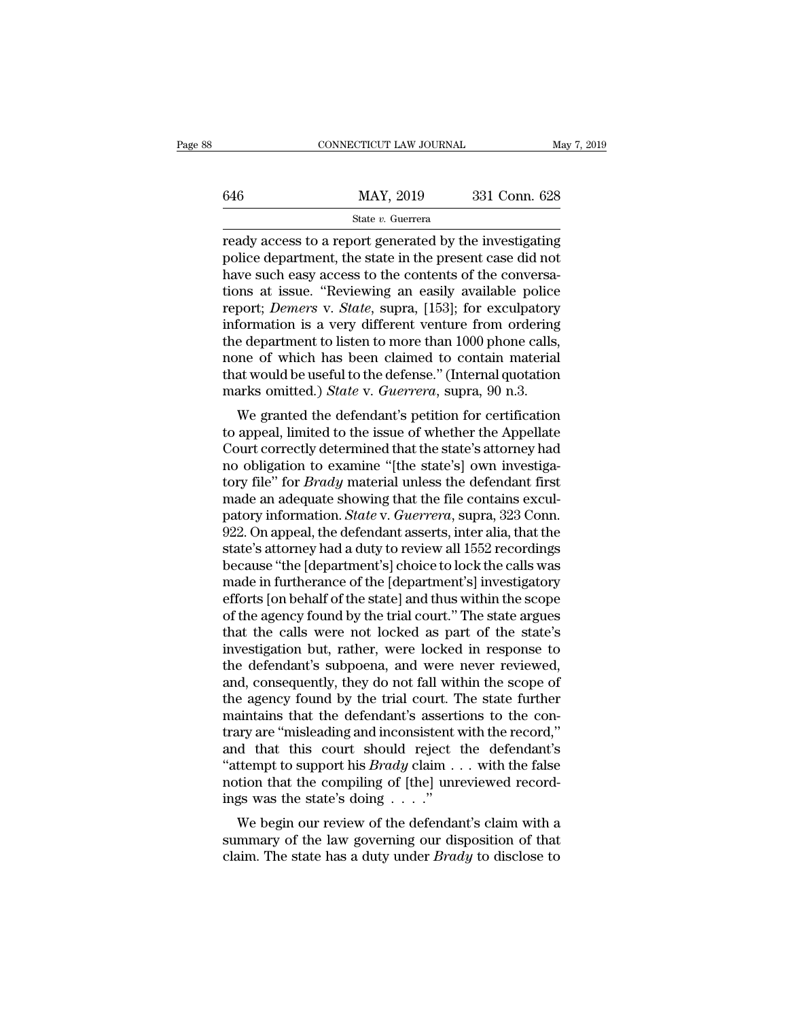|     | CONNECTICUT LAW JOURNAL | May 7, 2019   |  |
|-----|-------------------------|---------------|--|
|     |                         |               |  |
| 646 | MAY, 2019               | 331 Conn. 628 |  |
|     | State v. Guerrera       |               |  |

 $\begin{tabular}{ll} \multicolumn{1}{l}{{\footnotesize \textbf{COMNETICUT LAW JOURNAL}}}&\text{May 7, 2019} \multicolumn{1}{l}{\footnotesize \textbf{846}}\\ \hline & \text{MAX, 2019}& \text{331 Conn. 628}\\ & \text{State $v$. Guerrerra} \multicolumn{1}{l}{\footnotesize \textbf{ready access to a report generated by the investigating} } \end{tabular}$ manuscept of the content of the content of the discussed of the present case did not that the state in the present case did not that the state in the present case did not have such easy access to the contents of the conver  $\frac{\text{MAX, 2019}}{\text{State } v. \text{ Guerrera}}$ <br>
Figure such a report generated by the investigating<br>
police department, the state in the present case did not<br>
have such easy access to the contents of the conversa-<br>
tions at issue. "Review  $\frac{\text{MAX}}{\text{State } v. \text{ Guerrera}}$ <br>  $\frac{\text{State } v. \text{ Guerrera}}{\text{Teady access to a report generated by the investigating}}$ <br>
police department, the state in the present case did not<br>
have such easy access to the contents of the conversa-<br>
tions at issue. "Reviewing an easily available p State *v.* Guerrera<br>
ready access to a report generated by the investigating<br>
police department, the state in the present case did not<br>
have such easy access to the contents of the conversa-<br>
tions at issue. "Reviewing an state v. Guerrera<br>
ready access to a report generated by the investigating<br>
police department, the state in the present case did not<br>
have such easy access to the contents of the conversa-<br>
tions at issue. "Reviewing an e ready access to a report generated by the investigating<br>police department, the state in the present case did not<br>have such easy access to the contents of the conversa-<br>tions at issue. "Reviewing an easily available police<br> police department, the state in the present case did not<br>have such easy access to the contents of the conversa-<br>tions at issue. "Reviewing an easily available police<br>report; *Demers* v. *State*, supra, [153]; for exculpat have such easy access to the contents of the conversa-<br>tions at issue. "Reviewing an easily available police<br>report; *Demers* v. *State*, supra, [153]; for exculpatory<br>information is a very different venture from ordering<br> tions at issue. "Reviewing an easily available police<br>report; *Demers* v. *State*, supra, [153]; for exculpatory<br>information is a very different venture from ordering<br>the department to listen to more than 1000 phone calls, Formation is a very different venture from ordering<br>formation is a very different venture from ordering<br>e department to listen to more than 1000 phone calls,<br>me of which has been claimed to contain material<br>at would be use muorination is a very unferent venture from ordering<br>the department to listen to more than 1000 phone calls,<br>none of which has been claimed to contain material<br>that would be useful to the defense." (Internal quotation<br>mark

the department to instert to more than 1000 phone cans,<br>none of which has been claimed to contain material<br>that would be useful to the defense." (Internal quotation<br>marks omitted.) *State* v. *Guerrera*, supra, 90 n.3.<br>We none or which has been claimed to contain material<br>that would be useful to the defense." (Internal quotation<br>marks omitted.) *State* v. *Guerrera*, supra, 90 n.3.<br>We granted the defendant's petition for certification<br>to ap that would be useful to the defense. (Internal quotation<br>marks omitted.) *State* v. *Guerrera*, supra, 90 n.3.<br>We granted the defendant's petition for certification<br>to appeal, limited to the issue of whether the Appellate<br> marks onlined.) *State v. Guerrera*, supra, so it.5.<br>We granted the defendant's petition for certification<br>to appeal, limited to the issue of whether the Appellate<br>Court correctly determined that the state's attorney had<br>n We granted the defendant's petition for certification<br>to appeal, limited to the issue of whether the Appellate<br>Court correctly determined that the state's attorney had<br>no obligation to examine "[the state's] own investigato appeal, limited to the issue of whether the Appellate<br>Court correctly determined that the state's attorney had<br>no obligation to examine "[the state's] own investiga-<br>tory file" for *Brady* material unless the defendant Court correctly determined that the state's attorney had<br>no obligation to examine "[the state's] own investiga-<br>tory file" for *Brady* material unless the defendant first<br>made an adequate showing that the file contains exc no obligation to examine "[the state's] own investiga-<br>tory file" for *Brady* material unless the defendant first<br>made an adequate showing that the file contains excul-<br>patory information. *State* v. *Guerrera*, supra, 323 tory file" for *Brady* material unless the defendant first<br>made an adequate showing that the file contains excul-<br>patory information. *State* v. *Guerrera*, supra, 323 Conn.<br>922. On appeal, the defendant asserts, inter ali made an adequate showing that the file contains excul-<br>patory information. *State* v. *Guerrera*, supra, 323 Conn.<br>922. On appeal, the defendant asserts, inter alia, that the<br>state's attorney had a duty to review all 1552 patory information. *State* v. *Guerrera*, supra, 323 Conn.<br>922. On appeal, the defendant asserts, inter alia, that the state's attorney had a duty to review all 1552 recordings<br>because "the [department's] choice to lock t 922. On appeal, the defendant asserts, inter alia, that the state's attorney had a duty to review all 1552 recordings because "the [department's] choice to lock the calls was made in furtherance of the [department's] inves state's attorney had a duty to review all 1552 recordings<br>because "the [department's] choice to lock the calls was<br>made in furtherance of the [department's] investigatory<br>efforts [on behalf of the state] and thus within th because "the [department's] choice to lock the calls was<br>made in furtherance of the [department's] investigatory<br>efforts [on behalf of the state] and thus within the scope<br>of the agency found by the trial court." The state made in furtherance of the [department's] investigatory<br>efforts [on behalf of the state] and thus within the scope<br>of the agency found by the trial court." The state argues<br>that the calls were not locked as part of the sta efforts [on behalf of the state] and thus within the scope<br>of the agency found by the trial court." The state argues<br>that the calls were not locked as part of the state's<br>investigation but, rather, were locked in response of the agency found by the trial court." The state argues<br>that the calls were not locked as part of the state's<br>investigation but, rather, were locked in response to<br>the defendant's subpoena, and were never reviewed,<br>and, that the calls were not locked as part of the state's<br>investigation but, rather, were locked in response to<br>the defendant's subpoena, and were never reviewed,<br>and, consequently, they do not fall within the scope of<br>the age investigation but, rather, were locked in response to<br>the defendant's subpoena, and were never reviewed,<br>and, consequently, they do not fall within the scope of<br>the agency found by the trial court. The state further<br>maint the defendant's subpoena, and were never reviewed,<br>and, consequently, they do not fall within the scope of<br>the agency found by the trial court. The state further<br>maintains that the defendant's assertions to the con-<br>trary and, consequently, they do not fall within the scope of<br>the agency found by the trial court. The state further<br>maintains that the defendant's assertions to the con-<br>trary are "misleading and inconsistent with the record," the agency found by the trial court. T<br>maintains that the defendant's asserti<br>trary are "misleading and inconsistent v<br>and that this court should reject<br>"attempt to support his *Brady* claim .<br>notion that the compiling of annual strate defendant state is assertions to the con-<br>try are "misleading and inconsistent with the record,"<br>d that this court should reject the defendant's<br>ttempt to support his *Brady* claim . . . with the false<br>tion and that this court should reject the defendant's<br>
"attempt to support his *Brady* claim . . . with the false<br>
notion that the compiling of [the] unreviewed record-<br>
ings was the state's doing . . . ."<br>
We begin our revie "attempt to support his *Brady* claim  $\ldots$  with the false notion that the compiling of [the] unreviewed recordings was the state's doing  $\ldots$ ."<br>We begin our review of the defendant's claim with a summary of the law gove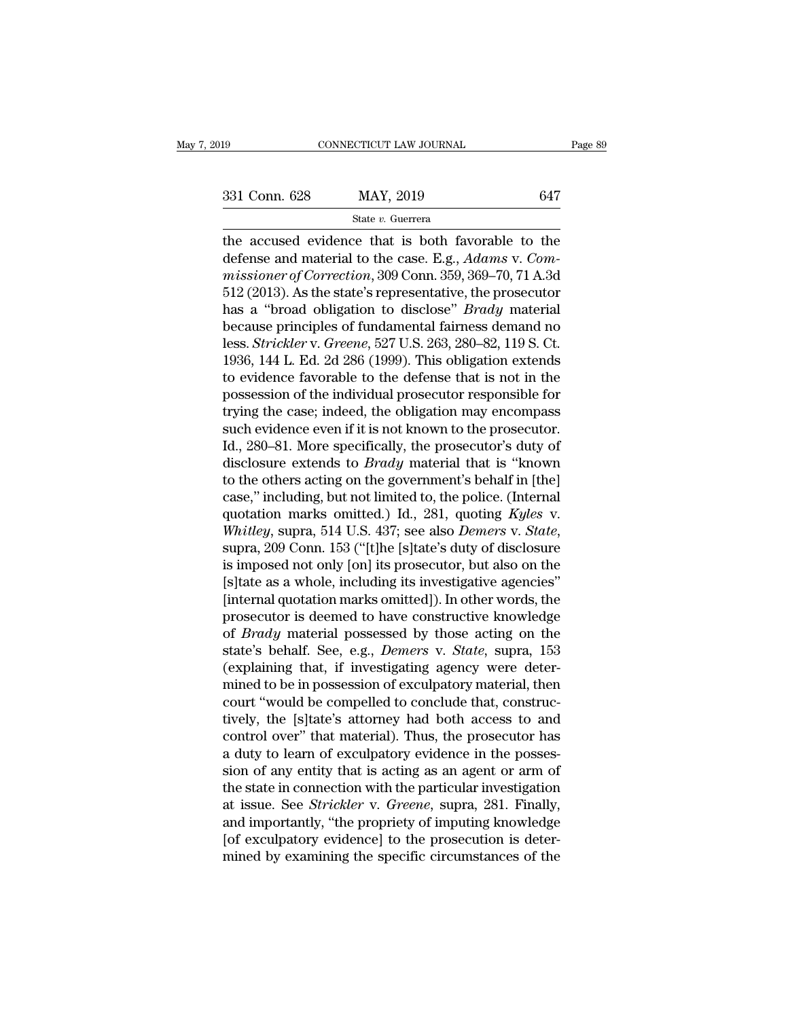the accused evidence that is both favorable to the<br>defense and material to the case. E.g., *Adams* v. *Commissioners* of *Commetion* 200 Com 250, 260, 70, 71, 4, 2d 331 Conn. 628 MAY, 2019 647<br>
State v. Guerrera<br>
the accused evidence that is both favorable to the<br>
defense and material to the case. E.g., *Adams* v. *Com-*<br>
missioner of Correction, 309 Conn. 359, 369–70, 71 A.3d<br>
513 (2 331 Conn. 628 MAY, 2019 647<br> **Example 8** Consider that is both favorable to the<br>
defense and material to the case. E.g., *Adams* v. *Commissioner of Correction*, 309 Conn. 359, 369–70, 71 A.3d<br>
512 (2013). As the state's 331 Conn. 628 MAY, 2019 647<br>
State v. Guerrera<br>
the accused evidence that is both favorable to the<br>
defense and material to the case. E.g., Adams v. Com-<br>
missioner of Correction, 309 Conn. 359, 369–70, 71 A.3d<br>
512 (2013 State *v*. Guerrera<br>
the accused evidence that is both favorable to the<br>
defense and material to the case. E.g., *Adams* v. *Com-*<br>
missioner of Correction, 309 Conn. 359, 369–70, 71 A.3d<br>
512 (2013). As the state's repres state *i*. Guerrera<br>the accused evidence that is both favorable to the<br>defense and material to the case. E.g., *Adams* v. *Com-*<br>missioner of Correction, 309 Conn. 359, 369–70, 71 A.3d<br>512 (2013). As the state's represent the accused evidence that is both favorable to the<br>defense and material to the case. E.g., *Adams v. Com-*<br>missioner of Correction, 309 Conn. 359, 369–70, 71 A.3d<br>512 (2013). As the state's representative, the prosecutor<br>h defense and material to the case. E.g., *Adams v. Commissioner of Correction*, 309 Conn. 359, 369–70, 71 A.3d<br>512 (2013). As the state's representative, the prosecutor<br>has a "broad obligation to disclose" *Brady* material<br> missioner of Correction, 309 Conn. 359, 369–70, 71 A.3d<br>512 (2013). As the state's representative, the prosecutor<br>has a "broad obligation to disclose" *Brady* material<br>because principles of fundamental fairness demand no<br>l 512 (2013). As the state's representative, the prosecutor<br>has a "broad obligation to disclose" *Brady* material<br>because principles of fundamental fairness demand no<br>less. *Strickler* v. *Greene*, 527 U.S. 263, 280–82, 119 has a "broad obligation to disclose" *Brady* material<br>because principles of fundamental fairness demand no<br>less. *Strickler* v. *Greene*, 527 U.S. 263, 280–82, 119 S. Ct.<br>1936, 144 L. Ed. 2d 286 (1999). This obligation ext because principles of fundamental fairness demand no<br>less. *Strickler* v. *Greene*, 527 U.S. 263, 280–82, 119 S. Ct.<br>1936, 144 L. Ed. 2d 286 (1999). This obligation extends<br>to evidence favorable to the defense that is not less. *Strickler* v. *Greene*, 527 U.S. 263, 280–82, 119 S. Ct.<br>1936, 144 L. Ed. 2d 286 (1999). This obligation extends<br>to evidence favorable to the defense that is not in the<br>possession of the individual prosecutor respon 1936, 144 L. Ed. 2d 286 (1999). This obligation extends<br>to evidence favorable to the defense that is not in the<br>possession of the individual prosecutor responsible for<br>trying the case; indeed, the obligation may encompass<br> to evidence favorable to the defense that is not in the possession of the individual prosecutor responsible for trying the case; indeed, the obligation may encompass such evidence even if it is not known to the prosecutor possession of the individual prosecutor responsible for<br>trying the case; indeed, the obligation may encompass<br>such evidence even if it is not known to the prosecutor.<br>Id., 280–81. More specifically, the prosecutor's duty trying the case; indeed, the obligation may encompass<br>such evidence even if it is not known to the prosecutor.<br>Id., 280–81. More specifically, the prosecutor's duty of<br>disclosure extends to *Brady* material that is "known<br> such evidence even if it is not known to the prosecutor.<br>*Id., 280–81.* More specifically, the prosecutor's duty of<br>disclosure extends to *Brady* material that is "known<br>to the others acting on the government's behalf in [ disclosure extends to *Brady* material that is "known<br>to the others acting on the government's behalf in [the]<br>case," including, but not limited to, the police. (Internal<br>quotation marks omitted.) Id., 281, quoting *Kyles* to the others acting on the government's behalf in [the]<br>case," including, but not limited to, the police. (Internal<br>quotation marks omitted.) Id., 281, quoting Kyles v.<br>Whitley, supra, 514 U.S. 437; see also *Demers* v. case," including, but not limited to, the police. (Internal<br>quotation marks omitted.) Id., 281, quoting Kyles v.<br>Whitley, supra, 514 U.S. 437; see also *Demers* v. *State*,<br>supra, 209 Conn. 153 ("[t]he [s]tate's duty of di quotation marks omitted.) Id., 281, quoting Kyles v.<br>
Whitley, supra, 514 U.S. 437; see also *Demers* v. *State*,<br>
supra, 209 Conn. 153 ("[t]he [s]tate's duty of disclosure<br>
is imposed not only [on] its prosecutor, but al Whitley, supra, 514 U.S. 437; see also *Demers* v. *State*, supra, 209 Conn. 153 ("[t]he [s]tate's duty of disclosure is imposed not only [on] its prosecutor, but also on the [s]tate as a whole, including its investigative supra, 209 Conn. 153 ("[t]he [s]tate's duty of disclosure<br>is imposed not only [on] its prosecutor, but also on the<br>[s]tate as a whole, including its investigative agencies"<br>[internal quotation marks omitted]). In other wor is imposed not only [on] its prosecutor, but also on the [s]tate as a whole, including its investigative agencies" [internal quotation marks omitted]). In other words, the prosecutor is deemed to have constructive knowled [s]tate as a whole, including its investigative agencies"<br>[internal quotation marks omitted]). In other words, the<br>prosecutor is deemed to have constructive knowledge<br>of *Brady* material possessed by those acting on the<br>st [internal quotation marks omitted]). In other words, the<br>prosecutor is deemed to have constructive knowledge<br>of *Brady* material possessed by those acting on the<br>state's behalf. See, e.g., *Demers* v. *State*, supra, 153<br>( prosecutor is deemed to have constructive knowledge<br>of *Brady* material possessed by those acting on the<br>state's behalf. See, e.g., *Demers* v. *State*, supra, 153<br>(explaining that, if investigating agency were deter-<br>mine of *Brady* material possessed by those acting on the<br>state's behalf. See, e.g., *Demers* v. *State*, supra, 153<br>(explaining that, if investigating agency were deter-<br>mined to be in possession of exculpatory material, then<br> state's behalf. See, e.g., *Demers v. State*, supra, 153 (explaining that, if investigating agency were determined to be in possession of exculpatory material, then court "would be compelled to conclude that, constructivel (explaining that, if investigating agency were deter-<br>mined to be in possession of exculpatory material, then<br>court "would be compelled to conclude that, construc-<br>tively, the [s]tate's attorney had both access to and<br>con mined to be in possession of exculpatory material, then<br>court "would be compelled to conclude that, construc-<br>tively, the [s]tate's attorney had both access to and<br>control over" that material). Thus, the prosecutor has<br>a d court "would be compelled to conclude that, constructively, the [s]tate's attorney had both access to and control over" that material). Thus, the prosecutor has a duty to learn of exculpatory evidence in the possession of tively, the [s]tate's attorney had both access to and<br>control over" that material). Thus, the prosecutor has<br>a duty to learn of exculpatory evidence in the posses-<br>sion of any entity that is acting as an agent or arm of<br>th control over" that material). Thus, the prosecutor has<br>a duty to learn of exculpatory evidence in the posses-<br>sion of any entity that is acting as an agent or arm of<br>the state in connection with the particular investigatio a duty to learn of exculpatory evidence in the possession of any entity that is acting as an agent or arm of the state in connection with the particular investigation at issue. See *Strickler* v. *Greene*, supra, 281. Fina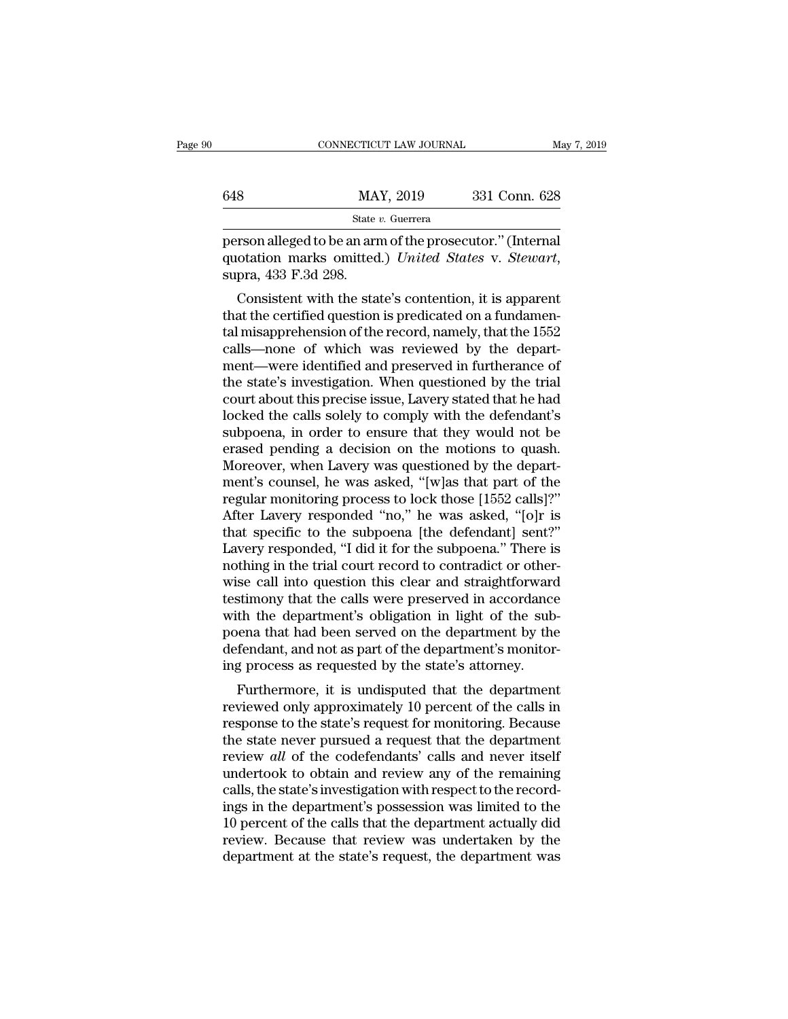State *v.* Guerrera CONNECTICUT LAW JOURNAL May 7, 20<br>
648 MAY, 2019 331 Conn. 628<br>
5tate v. Guerrera<br>
person alleged to be an arm of the prosecutor.'' (Internal<br>
quotation marks omitted.) United States v. Stewart,<br>
super 433 F 3d 308 MAY, 2019 331 Conn. 628<br>
State v. Guerrera<br>
person alleged to be an arm of the prosecutor." (Internal<br>
quotation marks omitted.) *United States* v. *Stewart*,<br>
supra, 433 F.3d 298.<br>
Consistent with the state's contention,

8 MAY, 2019 331 Conn. 628<br>
State v. Guerrera<br>
Trson alleged to be an arm of the prosecutor." (Internal<br>
otation marks omitted.) United States v. Stewart,<br>
pra, 433 F.3d 298.<br>
Consistent with the state's contention, it is State v. Guerrera<br>
person alleged to be an arm of the prosecutor." (Internal<br>
quotation marks omitted.) *United States v. Stewart*,<br>
supra, 433 F.3d 298.<br>
Consistent with the state's contention, it is apparent<br>
that the c person alleged to be an arm of the prosecutor." (Internal<br>quotation marks omitted.) *United States v. Stewart*,<br>supra, 433 F.3d 298.<br>Consistent with the state's contention, it is apparent<br>that the certified question is pre person aneged to be an arm of the prosecutor. (Internation marks omitted.) United States v. Stewart, supra, 433 F.3d 298.<br>Consistent with the state's contention, it is apparent that the certified question is predicated on quotation marks onlited.) Ontied states v. Stewart,<br>supra, 433 F.3d 298.<br>Consistent with the state's contention, it is apparent<br>that the certified question is predicated on a fundamen-<br>tal misapprehension of the record, n supra, 455 F.50 236.<br>Consistent with the state's contention, it is apparent<br>that the certified question is predicated on a fundamen-<br>tal misapprehension of the record, namely, that the 1552<br>calls—none of which was reviewed Consistent with the state's contention, it is apparent<br>that the certified question is predicated on a fundamen-<br>tal misapprehension of the record, namely, that the 1552<br>calls—none of which was reviewed by the depart-<br>ment that the certified question is predicated on a fundamental misapprehension of the record, namely, that the 1552 calls—none of which was reviewed by the department—were identified and preserved in furtherance of the state's tal misapprehension of the record, namely, that the 1552<br>calls—none of which was reviewed by the depart-<br>ment—were identified and preserved in furtherance of<br>the state's investigation. When questioned by the trial<br>court ab calls—none of which was reviewed by the depart-<br>ment—were identified and preserved in furtherance of<br>the state's investigation. When questioned by the trial<br>court about this precise issue, Lavery stated that he had<br>locked ment—were identified and preserved in furtherance of<br>the state's investigation. When questioned by the trial<br>court about this precise issue, Lavery stated that he had<br>locked the calls solely to comply with the defendant's<br> the state's investigation. When questioned by the trial<br>court about this precise issue, Lavery stated that he had<br>locked the calls solely to comply with the defendant's<br>subpoena, in order to ensure that they would not be<br>e court about this precise issue, Lavery stated that he had<br>locked the calls solely to comply with the defendant's<br>subpoena, in order to ensure that they would not be<br>erased pending a decision on the motions to quash.<br>Moreov locked the calls solely to comply with the defendant's<br>subpoena, in order to ensure that they would not be<br>erased pending a decision on the motions to quash.<br>Moreover, when Lavery was questioned by the depart-<br>ment's couns subpoena, in order to ensure that they would not be erased pending a decision on the motions to quash.<br>Moreover, when Lavery was questioned by the department's counsel, he was asked, "[w]as that part of the regular monitor erased pending a decision on the motions to quash.<br>Moreover, when Lavery was questioned by the depart-<br>ment's counsel, he was asked, "[w]as that part of the<br>regular monitoring process to lock those [1552 calls]?"<br>After Lav Moreover, when Lavery was questioned by the department's counsel, he was asked, "[w]as that part of the regular monitoring process to lock those [1552 calls]?"<br>After Lavery responded "no," he was asked, "[o]r is that speci ment's counsel, he was asked, "[w]as that part of the<br>regular monitoring process to lock those [1552 calls]?"<br>After Lavery responded "no," he was asked, "[o]r is<br>that specific to the subpoena [the defendant] sent?"<br>Lavery regular monitoring process to lock those [1552 calls]?"<br>After Lavery responded "no," he was asked, "[o]r is<br>that specific to the subpoena [the defendant] sent?"<br>Lavery responded, "I did it for the subpoena." There is<br>nothi After Lavery responded "no," he was asked, "[o]r is<br>that specific to the subpoena [the defendant] sent?"<br>Lavery responded, "I did it for the subpoena." There is<br>nothing in the trial court record to contradict or other-<br>wis that specific to the subpoena [the defendant] sent?"<br>Lavery responded, "I did it for the subpoena." There is<br>nothing in the trial court record to contradict or other-<br>wise call into question this clear and straightforward<br> Lavery responded, "I did it for the subpoena." There is<br>nothing in the trial court record to contradict or other-<br>wise call into question this clear and straightforward<br>testimony that the calls were preserved in accordance nothing in the trial court record to contradict or other<br>wise call into question this clear and straightforward<br>testimony that the calls were preserved in accordance<br>with the department's obligation in light of the sub<br>poe se can mio question this clear and straightforward<br>stimony that the calls were preserved in accordance<br>th the department's obligation in light of the sub-<br>ena that had been served on the department by the<br>fendant, and not resumony that the cans were preserved in accordance<br>with the department's obligation in light of the sub-<br>poena that had been served on the department by the<br>defendant, and not as part of the department's monitor-<br>ing proc

with the department's obigation in fight of the sub-<br>poena that had been served on the department's monitor-<br>ing process as requested by the state's attorney.<br>Furthermore, it is undisputed that the department<br>reviewed onl poena that had been served on the department by the<br>defendant, and not as part of the department's monitor-<br>ing process as requested by the state's attorney.<br>Furthermore, it is undisputed that the department<br>reviewed only defendant, and not as part of the department s monitor-<br>ing process as requested by the state's attorney.<br>Furthermore, it is undisputed that the department<br>reviewed only approximately 10 percent of the calls in<br>response to Ing process as requested by the state's attorney.<br>
Furthermore, it is undisputed that the department<br>
reviewed only approximately 10 percent of the calls in<br>
response to the state's request for monitoring. Because<br>
the sta Furthermore, it is undisputed that the department<br>reviewed only approximately 10 percent of the calls in<br>response to the state's request for monitoring. Because<br>the state never pursued a request that the department<br>review reviewed only approximately 10 percent of the calls in<br>response to the state's request for monitoring. Because<br>the state never pursued a request that the department<br>review *all* of the codefendants' calls and never itself<br> response to the state's request for monitoring. Because<br>the state never pursued a request that the department<br>review *all* of the codefendants' calls and never itself<br>undertook to obtain and review any of the remaining<br>cal the state never pursued a request that the department<br>review *all* of the codefendants' calls and never itself<br>undertook to obtain and review any of the remaining<br>calls, the state's investigation with respect to the record review *all* of the codefendants' calls and never itself undertook to obtain and review any of the remaining calls, the state's investigation with respect to the recordings in the department's possession was limited to the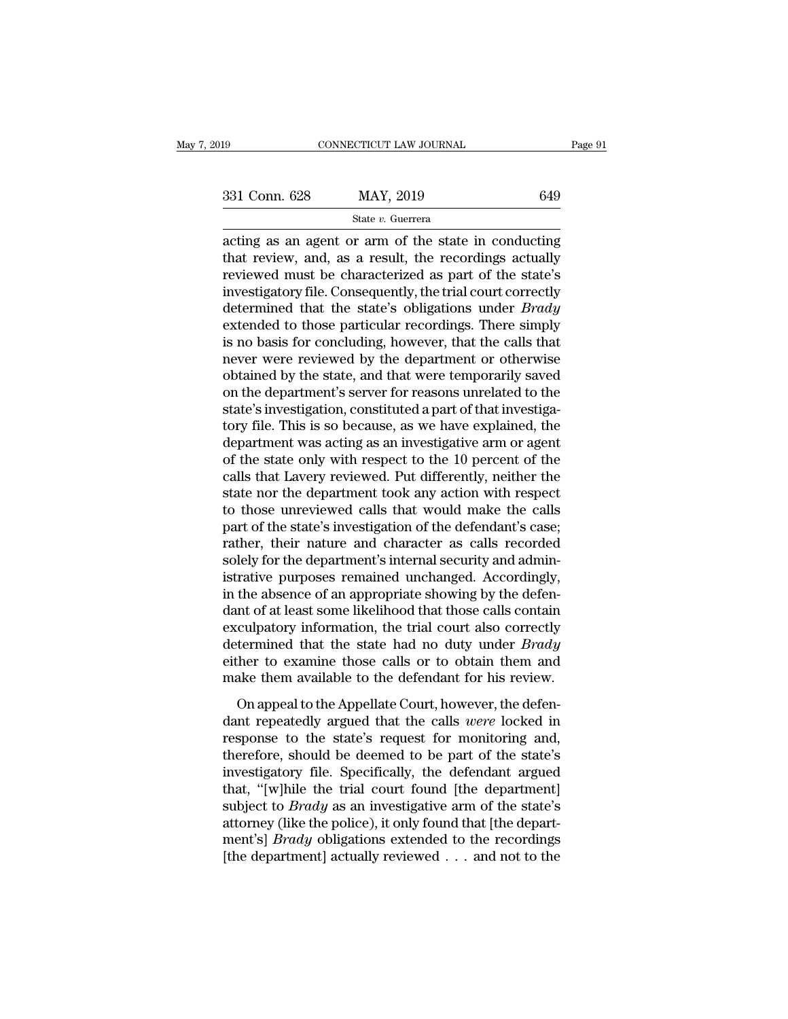Eq. 331 Conn. 628 MAY, 2019 649<br>
State v. Guerrera<br>
acting as an agent or arm of the state in conducting<br>
that review, and, as a result, the recordings actually<br>
reviewed must be characterized as part of the state's 331 Conn. 628 MAY, 2019 649<br>
State v. Guerrera<br>
acting as an agent or arm of the state in conducting<br>
that review, and, as a result, the recordings actually<br>
reviewed must be characterized as part of the state's<br>
investig 331 Conn. 628 MAY, 2019 649<br>
State v. Guerrera<br>
acting as an agent or arm of the state in conducting<br>
that review, and, as a result, the recordings actually<br>
reviewed must be characterized as part of the state's<br>
investig 331 Conn. 628 MAY, 2019 649<br>
State v. Guerrera<br>
acting as an agent or arm of the state in conducting<br>
that review, and, as a result, the recordings actually<br>
reviewed must be characterized as part of the state's<br>
investig State v. Guerrera<br>
acting as an agent or arm of the state in conducting<br>
that review, and, as a result, the recordings actually<br>
reviewed must be characterized as part of the state's<br>
investigatory file. Consequently, the state v. Guerrera<br>acting as an agent or arm of the state in conducting<br>that review, and, as a result, the recordings actually<br>reviewed must be characterized as part of the state's<br>investigatory file. Consequently, the tri acting as an agent or arm of the state in conducting<br>that review, and, as a result, the recordings actually<br>reviewed must be characterized as part of the state's<br>investigatory file. Consequently, the trial court correctly<br> that review, and, as a result, the recordings actually<br>reviewed must be characterized as part of the state's<br>investigatory file. Consequently, the trial court correctly<br>determined that the state's obligations under *Brady* reviewed must be characterized as part of the state's<br>investigatory file. Consequently, the trial court correctly<br>determined that the state's obligations under *Brady*<br>extended to those particular recordings. There simply<br> investigatory file. Consequently, the trial court correctly<br>determined that the state's obligations under *Brady*<br>extended to those particular recordings. There simply<br>is no basis for concluding, however, that the calls th determined that the state's obligations under *Brady* extended to those particular recordings. There simply is no basis for concluding, however, that the calls that never were reviewed by the department or otherwise obtain extended to those particular recordings. There simply<br>is no basis for concluding, however, that the calls that<br>never were reviewed by the department or otherwise<br>obtained by the state, and that were temporarily saved<br>on th is no basis for concluding, however, that the calls that<br>never were reviewed by the department or otherwise<br>obtained by the state, and that were temporarily saved<br>on the department's server for reasons unrelated to the<br>sta never were reviewed by the department or otherwise<br>obtained by the state, and that were temporarily saved<br>on the department's server for reasons unrelated to the<br>state's investigation, constituted a part of that investigaobtained by the state, and that were temporarily saved<br>on the department's server for reasons unrelated to the<br>state's investigation, constituted a part of that investiga-<br>tory file. This is so because, as we have explaine on the department's server for reasons unrelated to the state's investigation, constituted a part of that investigatory file. This is so because, as we have explained, the department was acting as an investigative arm or a state's investigation, constituted a part of that investiga-<br>tory file. This is so because, as we have explained, the<br>department was acting as an investigative arm or agent<br>of the state only with respect to the 10 percent tory file. This is so because, as we have explained, the department was acting as an investigative arm or agent of the state only with respect to the 10 percent of the calls that Lavery reviewed. Put differently, neither t department was acting as an investigative arm or agent<br>of the state only with respect to the 10 percent of the<br>calls that Lavery reviewed. Put differently, neither the<br>state nor the department took any action with respect<br> of the state only with respect to the 10 percent of the calls that Lavery reviewed. Put differently, neither the state nor the department took any action with respect to those unreviewed calls that would make the calls par calls that Lavery reviewed. Put differently, neither the state nor the department took any action with respect to those unreviewed calls that would make the calls part of the state's investigation of the defendant's case; state nor the department took any action with respect<br>to those unreviewed calls that would make the calls<br>part of the state's investigation of the defendant's case;<br>rather, their nature and character as calls recorded<br>sole to those unreviewed calls that would make the calls<br>part of the state's investigation of the defendant's case;<br>rather, their nature and character as calls recorded<br>solely for the department's internal security and admin-<br>i part of the state's investigation of the defendant's case;<br>rather, their nature and character as calls recorded<br>solely for the department's internal security and admin-<br>istrative purposes remained unchanged. Accordingly,<br>i rather, their nature and character as calls recorded<br>solely for the department's internal security and administrative purposes remained unchanged. Accordingly,<br>in the absence of an appropriate showing by the defen-<br>dant of solely for the department's internal security and administrative purposes remained unchanged. Accordingly, in the absence of an appropriate showing by the defendant of at least some likelihood that those calls contain excu istrative purposes remained unchanged. Accordingly,<br>in the absence of an appropriate showing by the defen-<br>dant of at least some likelihood that those calls contain<br>exculpatory information, the trial court also correctly<br>d In the absence of an appropriate showing by are determined that the state likelihood that those calls contain culpatory information, the trial court also correctly termined that the state had no duty under *Brady* her to e exculpatory information, the trial court also correctly<br>determined that the state had no duty under *Brady*<br>either to examine those calls or to obtain them and<br>make them available to the defendant for his review.<br>On appeal

response to that the state had no duty under *Brady*<br>determined that the state had no duty under *Brady*<br>either to examine those calls or to obtain them and<br>make them available to the defendant for his review.<br>On appeal to either to examine those calls or to obtain them and<br>make them available to the defendant for his review.<br>On appeal to the Appellate Court, however, the defen-<br>dant repeatedly argued that the calls *were* locked in<br>response make them available to the defendant for his review.<br>
On appeal to the Appellate Court, however, the defendant repeatedly argued that the calls *were* locked in response to the state's request for monitoring and, therefor On appeal to the Appellate Court, however, the defendant repeatedly argued that the calls *were* locked in response to the state's request for monitoring and, therefore, should be deemed to be part of the state's investig On appeal to the Appellate Court, however, the defen-<br>dant repeatedly argued that the calls *were* locked in<br>response to the state's request for monitoring and,<br>therefore, should be deemed to be part of the state's<br>investi dant repeatedly argued that the calls *were* locked in<br>response to the state's request for monitoring and,<br>therefore, should be deemed to be part of the state's<br>investigatory file. Specifically, the defendant argued<br>that, response to the state's request for monitoring and,<br>therefore, should be deemed to be part of the state's<br>investigatory file. Specifically, the defendant argued<br>that, "[w]hile the trial court found [the department]<br>subject therefore, should be deemed to be part of the state's<br>investigatory file. Specifically, the defendant argued<br>that, "[w]hile the trial court found [the department]<br>subject to *Brady* as an investigative arm of the state's<br>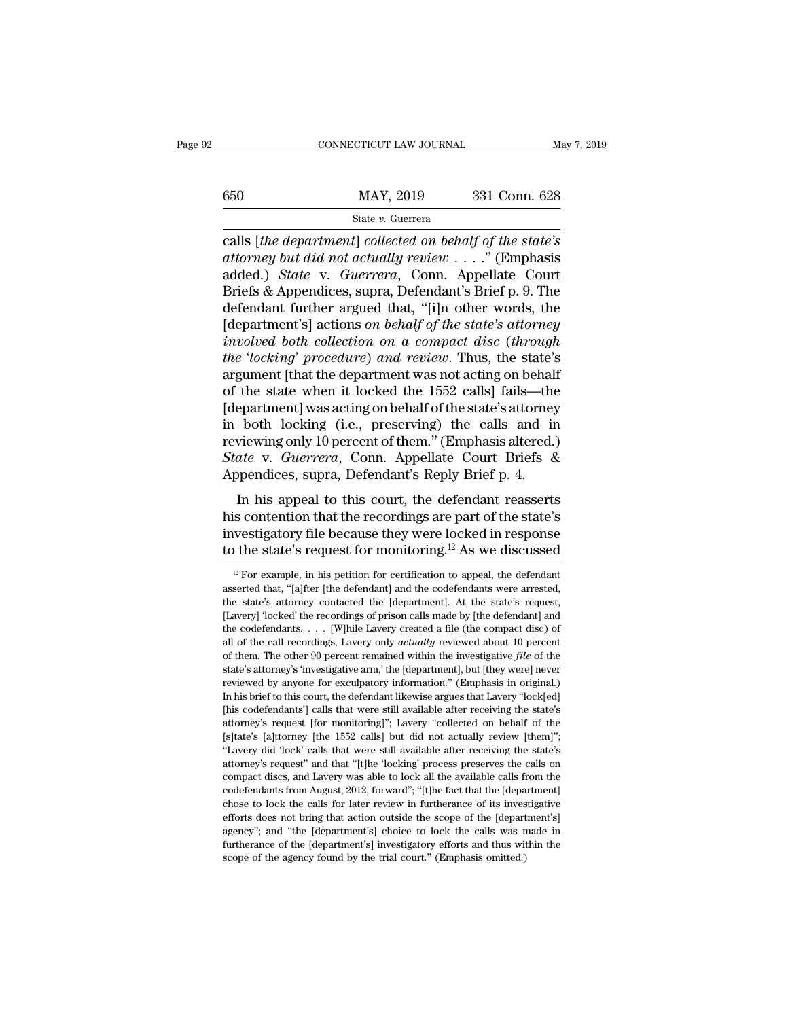# $\underbrace{\text{CONNECTICUT LAW JOURNAL}}_{\text{May 7, 2019}} \underbrace{\text{May 7, 2019}}_{\text{State } v. \text{ Guerrera}}$

# State *v.* Guerrera

CONNECTICUT LAW JOURNAL<br> **EXECUTE ANOTE AND MAY, 2019**<br> **Calls [***the department***]** *collected on behalf of the state's***<br>** *calls [the department] collected on behalf of the state's***<br>** *attorney but did not actually review* **.** *attorney but did not actually review* . . . .'' (Emphasis  $\begin{array}{lll} \text{650} & \text{MAX, } 2019 & 331 \text{ Conn. } 628 \\ & & \\ \text{State $v$. Guerrera} \\ \text{cells }[the \textit{department}] \textit{collected on behalf of the state's} \\ \textit{attorney but did not actually review . . . .".} \textbf{(Emphasis added.)} \textit{State v. Guerrera, Conn. Appellate Court} \\ \text{Briefs & Appendix, supra, Defendant's Brief p. 9. The$  $\begin{array}{ll} \text{MAX, 2019} & \text{331 Conn. 628} \ \hline \text{State } v. \text{ Guerrera} \\ \text{cells }[the \textit{department}] \textit{collected on \textit{behalf of the state's} } \\ \text{attorney but did not actually review . . . .}.' \text{ (Emphasis added.)} \textit{State v. Guerrera, Conn. Appellate Court} \\ \text{Briefs & Appendices, supra, Defendant's Brief p. 9. The defendant further argued that, "[i]n other words, the [donartmort's] actions on \textit{behalf of the state's attormau} \\ \end{array}$ State v. Guerrera<br>
calls [the department] collected on behalf of the state's<br>
attorney but did not actually review . . . . " (Emphasis<br>
added.) State v. Guerrera, Conn. Appellate Court<br>
Briefs & Appendices, supra, Defenda State *v.* Guerrera<br>
calls [the department] collected on behalf of the state's<br>
attorney but did not actually review . . . ." (Emphasis<br>
added.) State v. Guerrera, Conn. Appellate Court<br>
Briefs & Appendices, supra, Defenda *calls [the department] collected on behalf of the state's*<br>*attorney but did not actually review* . . . ." (Emphasis<br>added.) *State* v. *Guerrera*, Conn. Appellate Court<br>Briefs & Appendices, supra, Defendant's Brief p. 9. *attorney but did not actually review*....." (Emphasis<br>added.) *State* v. *Guerrera*, Conn. Appellate Court<br>Briefs & Appendices, supra, Defendant's Brief p. 9. The<br>defendant further argued that, "[i]n other words, the<br>[dep added.) *State* v. *Guerrera*, Conn. Appellate Court<br>Briefs & Appendices, supra, Defendant's Brief p. 9. The<br>defendant further argued that, "[i]n other words, the<br>[department's] actions *on behalf of the state's attorney*<br> Briefs & Appendices, supra, Defendant's Brief p. 9. The<br>defendant further argued that, "[i]n other words, the<br>[department's] actions *on behalf of the state's attorney*<br>involved both collection on a compact disc (through<br>t defendant further argued that, "[i]n other words, the<br>[department's] actions *on behalf of the state's attorney*<br>*involved both collection on a compact disc (through<br>the 'locking' procedure) and review.* Thus, the state's<br> [department's] actions *on behalf of the state's attorney*<br>involved *both collection on a compact disc (through*<br>the 'locking' procedure) and review. Thus, the state's<br>argument [that the department was not acting on behal involved both collection on a compact disc (through<br>the 'locking' procedure) and review. Thus, the state's<br>argument [that the department was not acting on behalf<br>of the state when it locked the 1552 calls] fails—the<br>[depar *the 'locking' procedure) and review*. Thus, the state's argument [that the department was not acting on behalf of the state when it locked the 1552 calls] fails—the [department] was acting on behalf of the state's attorne argument [that the department was not acting on behalt<br>of the state when it locked the 1552 calls] fails—the<br>[department] was acting on behalf of the state's attorney<br>in both locking (i.e., preserving) the calls and ir<br>rev epartment] was acting on behalf of the state's attorney<br>both locking (i.e., preserving) the calls and in<br>viewing only 10 percent of them." (Emphasis altered.)<br>ate v. Guerrera, Conn. Appellate Court Briefs &<br>ppendices, supr in both locking (i.e., preserving) the calls and in<br>reviewing only 10 percent of them." (Emphasis altered.)<br>*State* v. *Guerrera*, Conn. Appellate Court Briefs &<br>Appendices, supra, Defendant's Reply Brief p. 4.<br>In his app

in both locking (i.e., preserving) the cans and in<br>reviewing only 10 percent of them." (Emphasis altered.)<br>State v. Guerrera, Conn. Appellate Court Briefs &<br>Appendices, supra, Defendant's Reply Brief p. 4.<br>In his appeal t State v. Guerrera, Conn. Appellate Court Briefs &<br>Appendices, supra, Defendant's Reply Brief p. 4.<br>In his appeal to this court, the defendant reasserts<br>his contention that the recordings are part of the state's<br>investigat In his appeal to this court, the defendant reasserts<br>is contention that the recordings are part of the state's<br>westigatory file because they were locked in response<br>the state's request for monitoring.<sup>12</sup> As we discussed<br> his contention that the recordings are part of the state's<br>investigatory file because they were locked in response<br>to the state's request for monitoring.<sup>12</sup> As we discussed<br> $\frac{12}{12}$  For example, in his petition for ce

investigatory file because they were locked in response<br>to the state's request for monitoring.<sup>12</sup> As we discussed<br> $\frac{12}{12}$  For example, in his petition for certification to appeal, the defendant<br>asserted that, "[a]fte The state's request for monitoring.<sup>12</sup> As we discussed<br><sup>12</sup> For example, in his petition for certification to appeal, the defendant<br>asserted that, "[a]fter [the defendant] and the codefendants were arrested,<br>the state's The codefendants is a request for information in a swe discussed<br>
<sup>12</sup> For example, in his petition for certification to appeal, the defendant<br>
asserted that, "[a]fter [the defendant] and the codefendants were arrested,<br> <sup>12</sup> For example, in his petition for certification to appeal, the defendant asserted that, "[a]fter [the defendant] and the codefendants were arrested, the state's attorney contacted the [department]. At the state's requ asserted that, "[a]fter [the defendant] and the codefendants were arrested, the state's attorney contacted the [department]. At the state's request, [Lavery] 'locked' the recordings of prison calls made by [the defendant] the state's attorney's contacted the [department]. At the state's request, [Lavery] 'locked' the recordings of prison calls made by [the defendant] and the codefendants. . . . [W]hile Lavery created a file (the compact di [Lavery] 'locked' the recordings of prison calls made by [the defendant] and the codefendants. . . . [W]hile Lavery created a file (the compact disc) of all of the call recordings, Lavery only *actually* reviewed about 10 Example is a set of the codefendants.  $\ldots$  [W]hile Lavery created a file (the compact disc) of all of the call recordings, Lavery only *actually* reviewed about 10 percent of them. The other 90 percent remained within th and of the call recordings, Lavery only *actually* reviewed about 10 percent of them. The other 90 percent remained within the investigative *file* of the state's attorney's 'investigative arm,' the [department], but [they at the multimetry of them. The other 90 percent remained within the investigative *file* of the state's attorney's 'investigative arm,' the [department], but [they were] never reviewed by anyone for exculpatory informatio state's attorney's 'investigative arm,' the [department], but [they were] never<br>reviewed by anyone for exculpatory information." (Emphasis in original.)<br>In his brief to this court, the defendant likewise argues that Lavery between by anyone for exculpatory information." (Emphasis in original.)<br>In his brief to this court, the defendant likewise argues that Lavery "lock[ed]<br>[his codefendants'] calls that were still available after receiving th In his brief to this court, the defendant likewise argues that Lavery "lock[ed] [his codefendants'] calls that were still available after receiving the state's attorney's request [for monitoring]"; Lavery "collected on beh [his codefendants'] calls that were still available after receiving the state's attorney's request [for monitoring]"; Lavery "collected on behalf of the [s]tate's [a]ttorney [the 1552 calls] but did not actually review [th attorney's request [for monitoring]"; Lavery "collected on behalf of the [s]tate's [a]ttorney [the 1552 calls] but did not actually review [them]"; "Lavery did 'lock' calls that were still available after receiving the sta acchose to lock the calls for later review in the codefendants for lateration of actually review [them]"; "Lavery did 'lock' calls that were still available after receiving the state's attorney's request" and that "[t]he ' [s]tate's [a]torney [the 1552 calls] but did not actually review [them]"; "Lavery did 'lock' calls that were still available after receiving the state's attorney's request" and that "[t]he 'locking' process preserves the c attorney's request" and that "[t]he 'locking' process preserves the calls on compact discs, and Lavery was able to lock all the available calls from the codefendants from August, 2012, forward"; "[t]he fact that the [depar compact discs, and Lavery was able to lock all the available calls from the codefendants from August, 2012, forward"; "[t]he fact that the [department] chose to lock the calls for later review in furtherance of its investi codefendants from August, 2012, forward"; "[t]he fact that the [department] chose to lock the calls for later review in furtherance of its investigative efforts does not bring that action outside the scope of the [departme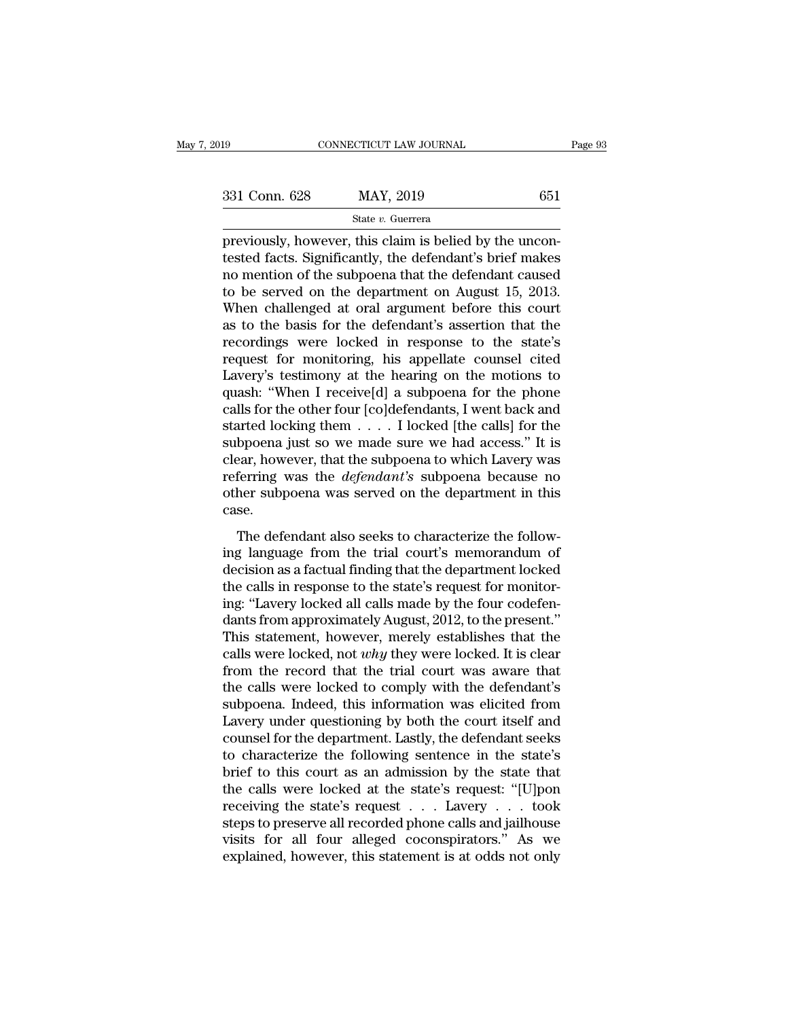FERREY CONNECTICUT LAW JOURNAL<br>
SIME SERREY AND STATE OF STATE STATE STATE STATE STATE STATE STATE STATE STATE STATE STATE STATE STATE STATE STATE STATE STATE STATE STATE STATE STATE STATE STATE STATE STATE STATE STATE STA 331 Conn. 628 MAY, 2019 651<br>
State v. Guerrera<br>
previously, however, this claim is belied by the uncontested facts. Significantly, the defendant's brief makes<br>
no mention of the subpoena that the defendant caused<br>
to be s 331 Conn. 628 MAY, 2019 651<br>
State v. Guerrera<br>
previously, however, this claim is belied by the uncon-<br>
tested facts. Significantly, the defendant's brief makes<br>
no mention of the subpoena that the defendant caused<br>
to b 331 Conn. 628 MAY, 2019 651<br>
State v. Guerrera<br>
previously, however, this claim is belied by the uncon-<br>
tested facts. Significantly, the defendant's brief makes<br>
no mention of the subpoena that the defendant caused<br>
to b State v. Guerrera<br>previously, however, this claim is belied by the uncon-<br>tested facts. Significantly, the defendant's brief makes<br>no mention of the subpoena that the defendant caused<br>to be served on the department on Aug state v. Guerrera<br>previously, however, this claim is belied by the uncon-<br>tested facts. Significantly, the defendant's brief makes<br>no mention of the subpoena that the defendant caused<br>to be served on the department on Aug previously, however, this claim is belied by the uncontested facts. Significantly, the defendant's brief makes<br>no mention of the subpoena that the defendant caused<br>to be served on the department on August 15, 2013.<br>When ch tested facts. Significantly, the defendant's brief makes<br>no mention of the subpoena that the defendant caused<br>to be served on the department on August 15, 2013.<br>When challenged at oral argument before this court<br>as to the no mention of the subpoena that the defendant caused<br>to be served on the department on August 15, 2013.<br>When challenged at oral argument before this court<br>as to the basis for the defendant's assertion that the<br>recordings w to be served on the department on August 15, 2013.<br>When challenged at oral argument before this court<br>as to the basis for the defendant's assertion that the<br>recordings were locked in response to the state's<br>request for mon When challenged at oral argument before this court<br>as to the basis for the defendant's assertion that the<br>recordings were locked in response to the state's<br>request for monitoring, his appellate counsel cited<br>Lavery's test as to the basis for the defendant's assertion that the<br>recordings were locked in response to the state's<br>request for monitoring, his appellate counsel cited<br>Lavery's testimony at the hearing on the motions to<br>quash: "When recordings were locked in response to the state's<br>request for monitoring, his appellate counsel cited<br>Lavery's testimony at the hearing on the motions to<br>quash: "When I receive[d] a subpoena for the phone<br>calls for the ot request for monitoring, his appellate counsel cited<br>Lavery's testimony at the hearing on the motions to<br>quash: "When I receive[d] a subpoena for the phone<br>calls for the other four [co]defendants, I went back and<br>started l Lavery's testimony at the hearing on the motions to<br>quash: "When I receive[d] a subpoena for the phone<br>calls for the other four [co]defendants, I went back and<br>started locking them . . . . I locked [the calls] for the<br>subp quash: "When I receive[d] a subpoena for the phone<br>calls for the other four [co]defendants, I went back and<br>started locking them  $\dots$  I locked [the calls] for the<br>subpoena just so we made sure we had access." It is<br>clear, case.  $\alpha$  is defined also seeks to characterize the follow-<br>bpoena just so we made sure we had access." It is<br>ear, however, that the subpoena to which Lavery was<br>ferring was the *defendant's* subpoena because no<br>her subpoena w Example and state from the trial access. The set of the court of the subpoena to which Lavery was referring was the *defendant's* subpoena because no other subpoena was served on the department in this case.<br>The defendant

decision as the *defendant's* subpoena because no<br>other subpoena was served on the department in this<br>case.<br>The defendant also seeks to characterize the follow-<br>ing language from the trial court's memorandum of<br>decision as other subpoena was served on the department in this<br>case.<br>The defendant also seeks to characterize the follow-<br>ing language from the trial court's memorandum of<br>decision as a factual finding that the department locked<br>the Fig. 3.1 The defendant also seeks to characterize the following language from the trial court's memorandum of decision as a factual finding that the department locked the calls in response to the state's request for monito The defendant also seeks to characterize the following language from the trial court's memorandum of decision as a factual finding that the department locked the calls in response to the state's request for monitoring: "La The defendant also seeks to characterize the following language from the trial court's memorandum of decision as a factual finding that the department locked the calls in response to the state's request for monitoring: "La ing language from the trial court's memorandum of<br>decision as a factual finding that the department locked<br>the calls in response to the state's request for monitor-<br>ing: "Lavery locked all calls made by the four codefen-<br>d decision as a factual finding that the department locked<br>the calls in response to the state's request for monitor-<br>ing: "Lavery locked all calls made by the four codefen-<br>dants from approximately August, 2012, to the prese the calls in response to the state's request for monitoring: "Lavery locked all calls made by the four codefendants from approximately August, 2012, to the present."<br>This statement, however, merely establishes that the cal ing: "Lavery locked all calls made by the four codefen-<br>dants from approximately August, 2012, to the present."<br>This statement, however, merely establishes that the<br>calls were locked, not *why* they were locked. It is clea dants from approximately August, 2012, to the present."<br>This statement, however, merely establishes that the<br>calls were locked, not *why* they were locked. It is clear<br>from the record that the trial court was aware that<br>th This statement, however, merely establishes that the calls were locked, not *why* they were locked. It is clear from the record that the trial court was aware that the calls were locked to comply with the defendant's subpo calls were locked, not *why* they were locked. It is clear<br>from the record that the trial court was aware that<br>the calls were locked to comply with the defendant's<br>subpoena. Indeed, this information was elicited from<br>Laver from the record that the trial court was aware that<br>the calls were locked to comply with the defendant's<br>subpoena. Indeed, this information was elicited from<br>Lavery under questioning by both the court itself and<br>counsel fo the calls were locked to comply with the defendant's<br>subpoena. Indeed, this information was elicited from<br>Lavery under questioning by both the court itself and<br>counsel for the department. Lastly, the defendant seeks<br>to cha subpoena. Indeed, this information was elicited from<br>Lavery under questioning by both the court itself and<br>counsel for the department. Lastly, the defendant seeks<br>to characterize the following sentence in the state's<br>brief Lavery under questioning by both the court itself and<br>counsel for the department. Lastly, the defendant seeks<br>to characterize the following sentence in the state's<br>brief to this court as an admission by the state that<br>the counsel for the department. Lastly, the defendant seeks<br>to characterize the following sentence in the state's<br>brief to this court as an admission by the state that<br>the calls were locked at the state's request: "[U]pon<br>rece to characterize the following sentence in the state's<br>brief to this court as an admission by the state that<br>the calls were locked at the state's request: "[U]pon<br>receiving the state's request . . . Lavery . . . took<br>steps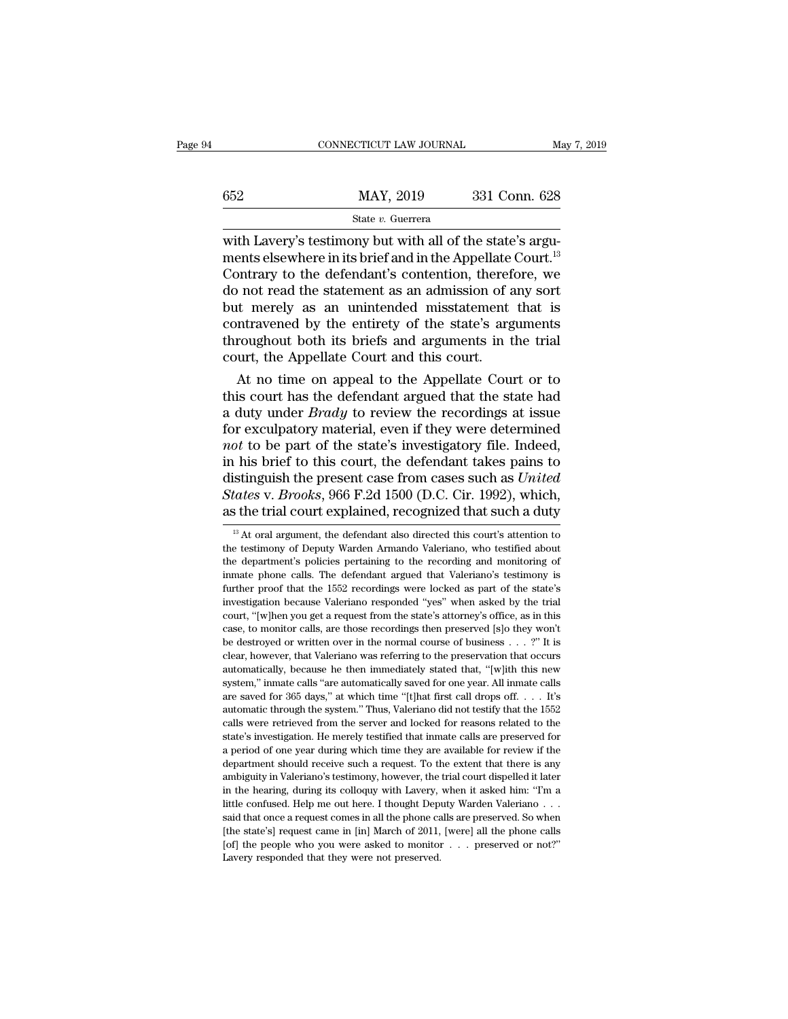|     | CONNECTICUT LAW JOURNAL                                                                                                                                                                      | May 7, 2019   |
|-----|----------------------------------------------------------------------------------------------------------------------------------------------------------------------------------------------|---------------|
| 652 | MAY, 2019                                                                                                                                                                                    | 331 Conn. 628 |
|     | State v. Guerrera                                                                                                                                                                            |               |
|     | with Lavery's testimony but with all of the state's argu-<br>ments elsewhere in its brief and in the Appellate Court. <sup>13</sup><br>Contrary to the defendant's contention, therefore, we |               |

 $\begin{array}{r} \n 652 \quad \text{MAX, } 2019 \quad \text{331 Conn. } 628 \n \end{array}$ <br>  $\begin{array}{r} \n 831 \quad \text{Conn. } 628 \quad \text{State } v. \text{ Guerera} \n \end{array}$ <br>
with Lavery's testimony but with all of the state's arguments elsewhere in its brief and in the Appellate Court.<sup>13</sup><br>  $MAY, 2019$  331 Conn. 628<br>
State v. Guerrera<br>
with Lavery's testimony but with all of the state's arguments elsewhere in its brief and in the Appellate Court.<sup>13</sup><br>
Contrary to the defendant's contention, therefore, we<br>
do  $\frac{\text{MAX}}{\text{State } v. \text{ Guerrera}}$ <br>  $\frac{\text{State } v. \text{ Guerrera}}{\text{with} \text{ Lavery's} \text{ testimony but with all of the state's arguments elsewhere in its brief and in the Appellate Court.<sup>13</sup> \nContrary to the defendant's contention, therefore, we \ndo not read the statement as an admission of any sort \nbut merely as an unintended misstatement that is \ncontravoned by the entity of the state's arguments.$  $\frac{1}{2000}$  state v. Guerrera<br>with Lavery's testimony but with all of the state's argu-<br>ments elsewhere in its brief and in the Appellate Court.<sup>13</sup><br>Contrary to the defendant's contention, therefore, we<br>do not read the s State v. Guerrera<br>with Lavery's testimony but with all of the state's argu-<br>ments elsewhere in its brief and in the Appellate Court.<sup>13</sup><br>Contrary to the defendant's contention, therefore, we<br>do not read the statement as a with Lavery's testimony but with all of the state's arguments elsewhere in its brief and in the Appellate Court.<sup>13</sup><br>Contrary to the defendant's contention, therefore, we<br>do not read the statement as an admission of any so ments elsewhere in its brief and in the Appellate<br>Contrary to the defendant's contention, theref<br>do not read the statement as an admission of a<br>but merely as an unintended misstatement<br>contravened by the entirety of the st not rary to the detendant s contention, therefore, we<br>
i not read the statement as an admission of any sort<br>
it merely as an unintended misstatement that is<br>
intravened by the entirety of the state's arguments<br>
roughout bo do not read the statement as an admission of any sort<br>but merely as an unintended misstatement that is<br>contravened by the entirety of the state's arguments<br>throughout both its briefs and arguments in the trial<br>court, the A

but merely as an unintended misstatement that is<br>contravened by the entirety of the state's arguments<br>throughout both its briefs and arguments in the trial<br>court, the Appellate Court and this court.<br>At no time on appeal to contravened by the entirety of the state's arguments<br>throughout both its briefs and arguments in the trial<br>court, the Appellate Court and this court.<br>At no time on appeal to the Appellate Court or to<br>this court has the def throughout both its briefs and arguments in the trial<br>court, the Appellate Court and this court.<br>At no time on appeal to the Appellate Court or to<br>this court has the defendant argued that the state had<br>a duty under *Brady* court, the Appellate Court and this court.<br>
At no time on appeal to the Appellate Court or to<br>
this court has the defendant argued that the state had<br>
a duty under *Brady* to review the recordings at issue<br>
for exculpator At no time on appeal to the Appellate Court or to<br>this court has the defendant argued that the state had<br>a duty under *Brady* to review the recordings at issue<br>for exculpatory material, even if they were determined<br>*not* t this court has the defendant argued that the state had<br>a duty under *Brady* to review the recordings at issue<br>for exculpatory material, even if they were determined<br>*not* to be part of the state's investigatory file. Indee a duty under *Brady* to review the recordings at issue<br>for exculpatory material, even if they were determined<br>*not* to be part of the state's investigatory file. Indeed,<br>in his brief to this court, the defendant takes pai 1 his brief to this court, the defendant takes pains to istinguish the present case from cases such as *United* tates v. *Brooks*, 966 F.2d 1500 (D.C. Cir. 1992), which, s the trial court explained, recognized that such a distinguish the present case from cases such as *United*<br>States v. Brooks, 966 F.2d 1500 (D.C. Cir. 1992), which,<br>as the trial court explained, recognized that such a duty<br><sup>13</sup> At oral argument, the defendant also directed

States v. Brooks, 966 F.2d 1500 (D.C. Cir. 1992), which, as the trial court explained, recognized that such a duty  $\frac{18}{12}$  At oral argument, the defendant also directed this court's attention to the testimony of Deput as the trial court explained, recognized that such a duty<br>
<sup>13</sup> At oral argument, the defendant also directed this court's attention to<br>
the testimony of Deputy Warden Armando Valeriano, who testified about<br>
the departmen  $\frac{13}{13}$  At oral argument, the defendant also directed this court's attention to the testimony of Deputy Warden Armando Valeriano, who testified about the department's policies pertaining to the recording and monitorin <sup>13</sup> At oral argument, the defendant also directed this court's attention to the testimony of Deputy Warden Armando Valeriano, who testified about the department's policies pertaining to the recording and monitoring of in the testimony of Deputy Warden Armando Valeriano, who testified about<br>the department's policies pertaining to the recording and monitoring of<br>immate phone calls. The defendant argued that Valeriano's testimony is<br>further the department's policies pertaining to the recording and monitoring of inmate phone calls. The defendant argued that Valeriano's testimony is further proof that the 1552 recordings were locked as part of the state's inves in mate phone calls. The defendant argued that Valeriano's testimony is further proof that the 1552 recordings were locked as part of the state's investigation because Valeriano responded "yes" when asked by the trial cou further proof that the 1552 recordings were locked as part of the state's investigation because Valeriano responded "yes" when asked by the trial court, "[w]hen you get a request from the state's attorney's office, as in investigation because Valeriano responded "yes" when asked by the trial court, "[w]hen you get a request from the state's attorney's office, as in this case, to monitor calls, are those recordings then preserved [s]o they system,'' invariant and the state's attorney's office, as in this case, to monitor calls, are those recordings then preserved [s]o they won't be destroyed or written over in the normal course of business . . . ?" It is cle case, to monitor calls, are those recordings then preserved [s]o they won't be destroyed or written over in the normal course of business . . . ?" It is clear, however, that Valeriano was referring to the preservation tha be destroyed or written over in the normal course of business . . . ?" It is clear, however, that Valeriano was referring to the preservation that occurs automatically, because he then immediately stated that, "[w]ith thi clear, however, that Valeriano was referring to the preservation that ocurs<br>automatically, because he then immediately stated that, "[w]ith this new<br>system," immate calls "are automatically saved for one year. All immate c action. He merely testified that inmate calls are preserved for a period of one year. All inmate calls are saved for 365 days," at which time "[t]hat first call drops off. . . . It's automatic through the system." Thus, Va a period of one year during which time they are available for  $\frac{1}{100}$ . It's automatic through the system." Thus, Valeriano did not testify that the 1552 calls were retrieved from the server and locked for reasons rela are saved for 365 days," at which time "(t]hat first call drops off. . . . It's automatic through the system." Thus, Valeriano did not testify that the 1552 calls were retrieved from the server and locked for reasons rela automatic through the system." Thus, Valeriano did not testify that the 1552 calls were retrieved from the server and locked for reasons related to the state's investigation. He merely testified that inmate calls are prese calls were retrieved from the server and locked for reasons related to the state's investigation. He merely testified that inmate calls are preserved for a period of one year during which time they are available for review state's investigation. He merely testified that inmate calls are preserved for a period of one year during which time they are available for review if the department should receive such a request. To the extent that there said that once a request comes in all the phone calls are provided in a period of one year during which time they are available for review if the department should receive such a request. To the extent that there is any am department should receive such a request. To the extent that there is any ambiguity in Valeriano's testimony, however, the trial court dispelled it later in the hearing, during its colloquy with Lavery, when it asked him: ambiguity in Valeriano's testimony, however, the trial court dispelled it later in the hearing, during its colloquy with Lavery, when it asked him: "I'm a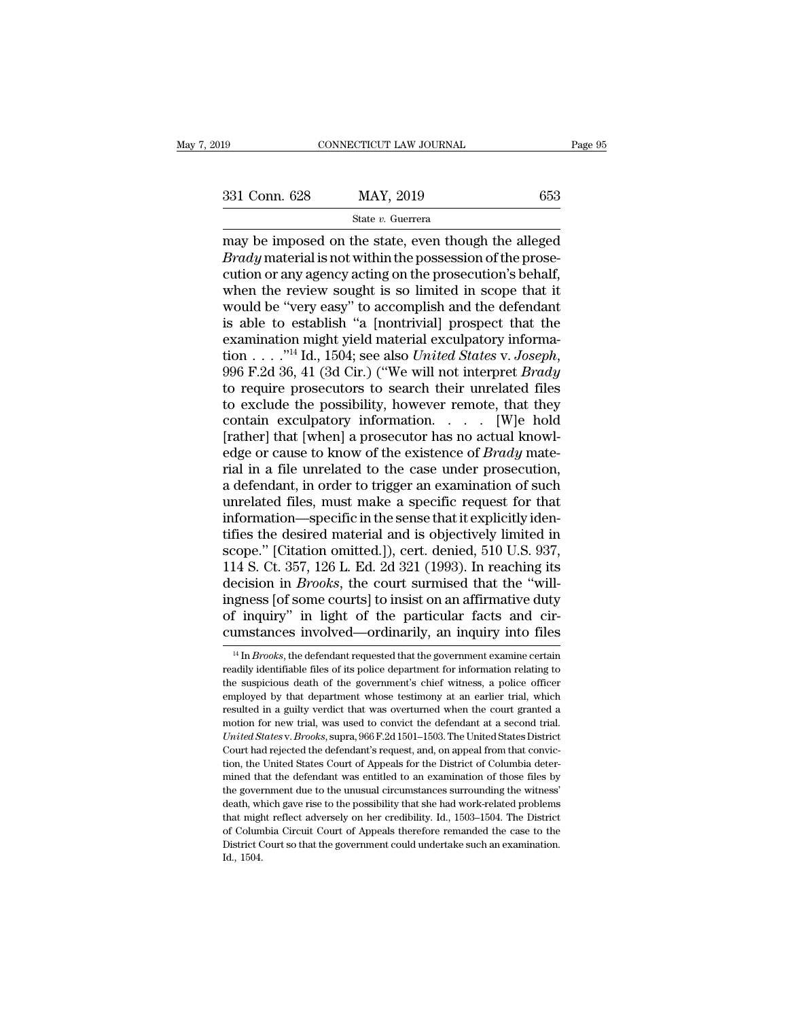may be imposed on the state, even though the prosecution or any adopted on the prosecution or any adopted on the prosecution's behalf <sup>331</sup> Conn. 628 MAY, 2019 653<br> *State v. Guerrera*<br> *Brady* material is not within the possession of the prose-<br>
cution or any agency acting on the prosecution's behalf,<br>
when the review sought is so limited in scope that 331 Conn. 628 MAY, 2019 653<br>
State v. Guerrera<br>
may be imposed on the state, even though the alleged<br> *Brady* material is not within the possession of the prosecution or any agency acting on the prosecution's behalf,<br>
whe 331 Conn. 628 MAY, 2019 653<br>
State v. Guerrera<br>
may be imposed on the state, even though the alleged<br> *Brady* material is not within the possession of the prose-<br>
cution or any agency acting on the prosecution's behalf,<br> Since the  $\frac{1}{2}$  state v. Guerrera<br>
may be imposed on the state, even though the alleged<br> *Brady* material is not within the possession of the prose-<br>
cution or any agency acting on the prosecution's behalf,<br>
when the State v. Guerrera<br>
may be imposed on the state, even though the alleged<br> *Brady* material is not within the possession of the prose-<br>
cution or any agency acting on the prosecution's behalf,<br>
when the review sought is so may be imposed on the state, even though the alleged *Brady* material is not within the possession of the prosecution or any agency acting on the prosecution's behalf, when the review sought is so limited in scope that it *Brady* material is not within the possession of the prosecution or any agency acting on the prosecution's behalf, when the review sought is so limited in scope that it would be "very easy" to accomplish and the defendant when the review sought is so limited in scope that it<br>would be "very easy" to accomplish and the defendant<br>is able to establish "a [nontrivial] prospect that the<br>examination might yield material exculpatory informa-<br>tion to exclude the possibility, however remote, that they contain exculpatory information. . . . [W]e hold examination might yield material exculpatory informa-<br>tion . . . . ."<sup>14</sup> Id., 1504; see also *United States v. Joseph*,<br>996 F.2d 36, 41 (3d Cir.) ("We will not interpret *Brady*<br>to require prosecutors to search their unr edge or cause to know of the existence of *Brady* mate-996 F.2d 36, 41 (3d Cir.) ("We will not interpret *Brady*<br>to require prosecutors to search their unrelated files<br>to exclude the possibility, however remote, that they<br>contain exculpatory information. . . . [W]e hold<br>[rath to require prosecutors to search their unrelated files<br>to exclude the possibility, however remote, that they<br>contain exculpatory information.  $\ldots$  [W]e hold<br>[rather] that [when] a prosecutor has no actual knowl-<br>edge or to exclude the possibility, however remote, that they<br>contain exculpatory information. . . . . [W]e hold<br>[rather] that [when] a prosecutor has no actual knowl-<br>edge or cause to know of the existence of *Brady* mate-<br>rial contain exculpatory information.  $\ldots$  [W]e hold [rather] that [when] a prosecutor has no actual knowledge or cause to know of the existence of *Brady* material in a file unrelated to the case under prosecution, a defenda [rather] that [when] a prosecutor has no actual knowledge or cause to know of the existence of *Brady* material in a file unrelated to the case under prosecution, a defendant, in order to trigger an examination of such un edge or cause to know of the existence of *Brady* mate-<br>rial in a file unrelated to the case under prosecution,<br>a defendant, in order to trigger an examination of such<br>unrelated files, must make a specific request for that rial in a file unrelated to the case under prosecution,<br>a defendant, in order to trigger an examination of such<br>unrelated files, must make a specific request for that<br>information—specific in the sense that it explicitly id a defendant, in order to trigger an examination of such unrelated files, must make a specific request for that information—specific in the sense that it explicitly identifies the desired material and is objectively limited unrelated files, must make a specific request for that<br>information—specific in the sense that it explicitly iden-<br>tifies the desired material and is objectively limited in<br>scope." [Citation omitted.]), cert. denied, 510 U. information—specific in the sense that it explicitly identifies the desired material and is objectively limited in scope." [Citation omitted.]), cert. denied, 510 U.S. 937, 114 S. Ct. 357, 126 L. Ed. 2d 321 (1993). In reac tifies the desired material and is objectively limited in scope." [Citation omitted.]), cert. denied, 510 U.S. 937, 114 S. Ct. 357, 126 L. Ed. 2d 321 (1993). In reaching its decision in *Brooks*, the court surmised that t ecision in *Brooks*, the court surmised that the "will-<br>gness [of some courts] to insist on an affirmative duty<br>f inquiry" in light of the particular facts and cir-<br>mstances involved—ordinarily, an inquiry into files<br><sup>14</sup> ingness [of some courts] to insist on an affirmative duty<br>of inquiry" in light of the particular facts and cir-<br>cumstances involved—ordinarily, an inquiry into files<br> $\frac{14 \text{ In } Brooks}$ , the defendant requested that the govern

of inquiry" in light of the particular facts and circumstances involved—ordinarily, an inquiry into files  $\frac{14 \text{ In } Brooks}$ , the defendant requested that the government examine certain readily identifiable files of its polic cumstances involved—ordinarily, an inquiry into files<br> $\frac{14 \text{ In } Brooks}{}$ , the defendant requested that the government examine certain<br>readily identifiable files of its police department for information relating to<br>the suspic  $\frac{14 \text{ In } \text{Brooks}}{14 \text{ In } \text{Brooks}}$ , the defendant requested that the government examine certain readily identifiable files of its police department for information relating to the suspicious death of the government's chief <sup>14</sup> In *Brooks*, the defendant requested that the government examine certain readily identifiable files of its police department for information relating to the suspicious death of the government's chief witness, a polic *United States* v. *Brooks*, superally identifiable files of its police department for information relating to the suspicious death of the government's chief witness, a police officer employed by that department whose test the suspicious death of the government's chief witness, a police officer<br>employed by that department whose testimony at an earlier trial, which<br>resulted in a guilty verdict that was overturned when the court granted a<br>moti employed by that department whose testimony at an earlier trial, which resulted in a guilty verdict that was overturned when the court granted a motion for new trial, was used to convict the defendant at a second trial. Un resulted in a guilty verdict that was overturned when the court granted a motion for new trial, was used to convict the defendant at a second trial. United States v. Brooks, supra, 966 F.2d 1501–1503. The United States Dis rootion for new trial, was used to convict the defendant at a second trial.<br>
United States v. Brooks, supra, 966 F.2d 1501–1503. The United States District<br>
Court had rejected the defendant's request, and, on appeal from t United States v. Brooks, supra, 966 F.2d 1501–1503. The United States District Court had rejected the defendant's request, and, on appeal from that conviction, the United States Court of Appeals for the District of Columbi Court had rejected the defendant's request, and, on appeal from that conviction, the United States Court of Appeals for the District of Columbia determined that the defendant was entitled to an examination of those files b From the United States Court of Appeals for the District of Columbia determined that the defendant was entitled to an examination of those files by the government due to the unusual circumstances surrounding the witness' d mined that the defendant was entitled to an examination of those files by the government due to the unusual circumstances surrounding the witness' death, which gave rise to the possibility that she had work-related proble death, which gave rise to the possibility that she had work-related problems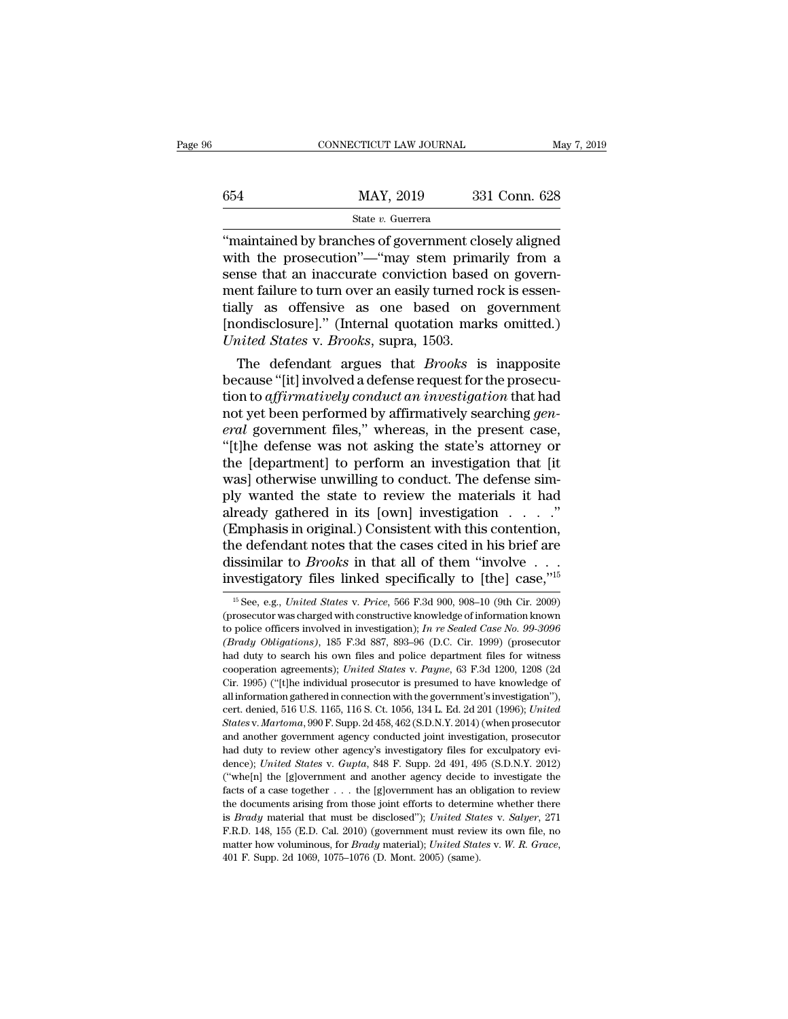|     | CONNECTICUT LAW JOURNAL | May 7, 2019   |  |
|-----|-------------------------|---------------|--|
|     |                         |               |  |
| 654 | MAY, 2019               | 331 Conn. 628 |  |
|     | State v. Guerrera       |               |  |

 $\begin{array}{r} \text{COMRECTICUT LAW JOURNAL} \qquad \text{May 7, 2019} \ \end{array}$ <br>  $\begin{array}{r} \text{G54} \qquad \text{MAX, 2019} \qquad \text{331 Conn. } 628 \ \end{array}$ <br>  $\begin{array}{r} \text{State } v. \text{ Guerrera} \ \text{win that the prosecution} \text{``-``may stem primarily from a} \ \text{some that an inaccurate convection based on govern.} \end{array}$  $\begin{array}{r} \text{max} \ 654 \text{ \textcolor{red}{max1} \ \textcolor{red}{max1} \ 2019 \text{ \textcolor{red}{331} \ Com. } 628 \ \textcolor{red}{max} \ \text{max} \ v \ \text{in}_{1} \ \text{min, } \ v \ \text{branch} \ v \ \text{branch} \ v \ \text{function} \ v \ \text{sum} \ v \ \text{sum} \ v \ \text{sum} \ v \ \text{sum} \ v \ \text{sum} \ v \ \text{sum} \ v \ \text{sum} \ v \ \text{sum} \ v \ \text{sum} \ v \ \text{sum} \ v \ \text{sum} \ v \ \text{sum} \ v$  $\begin{array}{lll}\n & \text{MAX, } 2019 & 331 \text{ Conn. } 628 \\
 & \text{State } v. \text{ Guer, } 331 \text{ Conn. } 628 \\
 \hline\n \text{``maintained by branches of government closely aligned with the prosecution''—``may stem primarily from a sense that an inaccurate conviction based on government failure to turn over an easily turned rock is essentially, as, of fonsivo, as, one, based on government.} \n\end{array}$  $\frac{\text{MAX, 2019}}{\text{State } v. \text{ Guerrera}}$ <br>
"maintained by branches of government closely aligned<br>
with the prosecution"—"may stem primarily from a<br>
sense that an inaccurate conviction based on government<br>
failure to turn over an easi State v. Guerrera<br>
"maintained by branches of government closely aligned<br>
with the prosecution"—"may stem primarily from a<br>
sense that an inaccurate conviction based on government<br>
failure to turn over an easily turned ro State v. Guerrera<br>
"maintained by branches of government closely aligned<br>
with the prosecution"—"may stem primarily from a<br>
sense that an inaccurate conviction based on govern-<br>
ment failure to turn over an easily turned "maintained by branches of government clowith the prosecution"—"may stem prima<br>sense that an inaccurate conviction based<br>ment failure to turn over an easily turned re<br>tially as offensive as one based on<br>[nondisclosure]." ( In the prosecution — may stem primarily from a<br>mse that an inaccurate conviction based on govern-<br>ent failure to turn over an easily turned rock is essen-<br>lly as offensive as one based on government<br>ondisclosure]." (Intern sense that an maccurate conviction based on government failure to turn over an easily turned rock is essentially as offensive as one based on government [nondisclosure]." (Internal quotation marks omitted.) United States

ment railure to turn over an easily turned rock is essentially as offensive as one based on government<br>[nondisclosure]." (Internal quotation marks omitted.)<br>*United States* v. *Brooks*, supra, 1503.<br>The defendant argues th tially as offensive as one based on government<br>
[nondisclosure]." (Internal quotation marks omitted.)<br>
United States v. Brooks, supra, 1503.<br>
The defendant argues that Brooks is inapposite<br>
because "[it] involved a defense *Example 1* (Internal quotation marks omitted.)<br> *United States v. Brooks*, supra, 1503.<br>
The defendant argues that *Brooks* is inapposite<br>
because "[it] involved a defense request for the prosecu-<br>
tion to *affirmatively* United States v. Brooks, supra, 1503.<br>
The defendant argues that *Brooks* is inapposite<br>
because "[it] involved a defense request for the prosecu-<br>
tion to affirmatively conduct an investigation that had<br>
not yet been perf The defendant argues that *Brooks* is inapposite<br>because "[it] involved a defense request for the prosecu-<br>tion to *affirmatively conduct an investigation* that had<br>not yet been performed by affirmatively searching *gen-*<br> because "[it] involved a defense request for the prosecution to *affirmatively conduct an investigation* that had not yet been performed by affirmatively searching *general* government files," whereas, in the present case, tion to *affirmatively conduct an investigation* that had<br>not yet been performed by affirmatively searching *gen-*<br>eral government files," whereas, in the present case,<br>"[t]he defense was not asking the state's attorney o not yet been performed by affirmatively searching *general* government files," whereas, in the present case, "[t]he defense was not asking the state's attorney or the [department] to perform an investigation that [it was] eral government files," whereas, in the present case,<br>"[t]he defense was not asking the state's attorney or<br>the [department] to perform an investigation that [it<br>was] otherwise unwilling to conduct. The defense sim-<br>ply w "[t]he defense was not asking the state's attorney or<br>the [department] to perform an investigation that [it<br>was] otherwise unwilling to conduct. The defense sim-<br>ply wanted the state to review the materials it had<br>already the [department] to perform an investigation that [it was] otherwise unwilling to conduct. The defense simply wanted the state to review the materials it had already gathered in its [own] investigation . . . ." (Emphasis was] otherwise unwilling to conduct. The defense sim-<br>ply wanted the state to review the materials it had<br>already gathered in its [own] investigation . . . . "<br>(Emphasis in original.) Consistent with this contention,<br>the Emphasis in original.) Consistent with this contention,<br>ne defendant notes that the cases cited in his brief are<br>issimilar to *Brooks* in that all of them "involve . . .<br>westigatory files linked specifically to [the] case, the defendant notes that the cases cited in his brief are<br>dissimilar to *Brooks* in that all of them "involve . . .<br>investigatory files linked specifically to [the] case,"<sup>15</sup><br><sup>15</sup> See, e.g., *United States* v. *Price*, 5

dissimilar to *Brooks* in that all of them "involve....<br>investigatory files linked specifically to [the] case,"<sup>15</sup><br><sup>15</sup> See, e.g., *United States* v. *Price*, 566 F.3d 900, 908-10 (9th Cir. 2009)<br>(prosecutor was charged w *(Brady Obligations)*, 185 F.3d 887, 893–96 (D.C. Cir. 1999) (prosecutor had duty to search his own files and police department files for witness that duty to search his own files and police department files for witness Investigatory lifes linked spectrically to [the] case,  $\frac{1}{15}$  See, e.g., *United States v. Price*, 566 F.3d 900, 908–10 (9th Cir. 2009) (prosecutor was charged with constructive knowledge of information known to polic <sup>15</sup> See, e.g., *United States* v. *Price*, 566 F.3d 900, 908-10 (9th Cir. 2009) (prosecutor was charged with constructive knowledge of information known to police officers involved in investigation); *In re Sealed Case No* (prosecutor was charged with constructive knowledge of information known<br>to police officers involved in investigation); *In re Sealed Case No. 99-3096*<br>(*Brady Obligations*), 185 F.3d 887, 893–96 (D.C. Cir. 1999) (prosecu all police officers involved in investigation);  $In re Scaled Case No. 99-3096$  (Brady Obligations), 185 F.3d 887, 893-96 (D.C. Cir. 1999) (prosecutor had duty to search his own files and police department files for witness cooperation (*Brady Obligations*), 185 F.3d 887, 893–96 (D.C. Cir. 1999) (prosecutor had duty to search his own files and police department files for witness cooperation agreements); *United States v. Payne*, 63 F.3d 1200, 1208 (2d Ci *States* v. *Martoma, 990 F. Supp. 2d 458, 462 (S.D.N.Y. 2014) (when prosecutor aprements); United States v. Payne, 63 F.3d 1200, 1208 (2d Cir. 1995) ("[t]he individual prosecutor is presumed to have knowledge of all infor* cooperation agreements); *United States v. Payne*, 63 F.3d 1200, 1208 (2d Cir. 1995) ("[t]he individual prosecutor is presumed to have knowledge of all information gathered in connection with the government's investigation Cir. 1995) ("[t]he individual prosecutor is presumed to have knowledge of Cir. 1995) ("[t]he individual prosecutor is presumed to have knowledge of all information gathered in connection with the government's investigation and information gathered in connection with the government's investigation"), cert. denied, 516 U.S. 1165, 116 S. Ct. 1056, 134 L. Ed. 2d 201 (1996); *United States v. Martoma*, 990 F. Supp. 2d 458, 462 (S.D.N.Y. 2014) (wh cert. denied, 516 U.S. 1165, 116 S. Ct. 1056, 134 L. Ed. 2d 201 (1996); United<br>States v. Martoma, 990 F. Supp. 2d 458, 462 (S.D.N.Y. 2014) (when prosecutor<br>and another government agency conducted joint investigation, prose *States v. Martoma*, 990 F. Supp. 2d 458, 462 (S.D.N.Y. 2014) (when prosecutor and another government agency conducted joint investigation, prosecutor had duty to review other agency's investigatory files for exculpatory e and another government agency conducted joint investigation, prosecutor had duty to review other agency's investigatory files for exculpatory evidence); *United States v. Gupta*, 848 F. Supp. 2d 491, 495 (S.D.N.Y. 2012) ( ind duty to review other agency's investigatory files for exculpatory evidence); *United States* v. *Gupta*, 848 F. Supp. 2d 491, 495 (S.D.N.Y. 2012) ("whe[n] the [g]overnment and another agency decide to investigate the f dence); *United States v. Gupta*, 848 F. Supp. 2d 491, 495 (S.D.N.Y. 2012)<br>dence); *United States v. Gupta*, 848 F. Supp. 2d 491, 495 (S.D.N.Y. 2012)<br>("whe[n] the [g]overnment and another agency decide to investigate the<br>f definited in a state of *B Brady Chernical* matcher agency decide to investigate the facts of a case together . . . the [g]overnment has an obligation to review the documents arising from those joint efforts to determi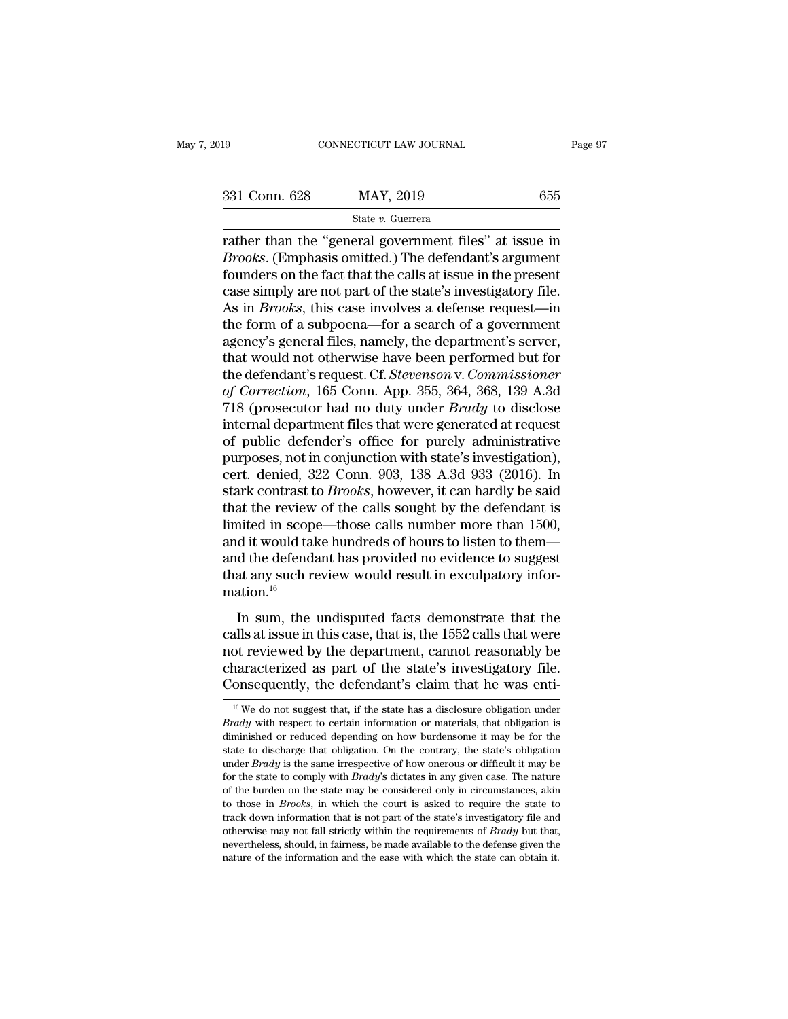rather than the "general government files" at issue in  $Brooks$ . (Emphasis omitted.) The defendant's argument<br>foundors on the fact that the calls at issue in  $Brooks$ . (Emphasis omitted.) The defendant's argument <sup>331</sup> Conn. 628 MAY, 2019 655<br>
<sup>State v. Guerrera<br> **Frooks. (Emphasis omitted.)** The defendant's argument<br>
founders on the fact that the calls at issue in the present<br>
case simply are not part of the state's investigatory </sup> 331 Conn. 628 MAY, 2019 655<br>
State v. Guerrera<br>
Trather than the "general government files" at issue in *Brooks*. (Emphasis omitted.) The defendant's argument<br>
founders on the fact that the calls at issue in the present<br> 331 Conn. 628 MAY, 2019 655<br>
State v. Guerrera<br>
Trather than the "general government files" at issue in<br> *Brooks*. (Emphasis omitted.) The defendant's argument<br>
founders on the fact that the calls at issue in the present<br> State v. Guerrera<br>
Trackbooks. (Emphasis omitted.) The defendant's argument<br>
founders on the fact that the calls at issue in the present<br>
case simply are not part of the state's investigatory file.<br>
As in *Brooks*, this ca state v. Guerrera<br>
rather than the "general government files" at issue in<br> *Brooks*. (Emphasis omitted.) The defendant's argument<br>
founders on the fact that the calls at issue in the present<br>
case simply are not part of th rather than the "general government files" at issue in *Brooks*. (Emphasis omitted.) The defendant's argument founders on the fact that the calls at issue in the present case simply are not part of the state's investigator *Brooks.* (Emphasis omitted.) The defendant's argument<br>founders on the fact that the calls at issue in the present<br>case simply are not part of the state's investigatory file.<br>As in *Brooks*, this case involves a defense re founders on the fact that the calls at issue in the present<br>case simply are not part of the state's investigatory file.<br>As in *Brooks*, this case involves a defense request—in<br>the form of a subpoena—for a search of a gover case simply are not part of the state's investigatory file.<br>As in *Brooks*, this case involves a defense request—in<br>the form of a subpoena—for a search of a government<br>agency's general files, namely, the department's serve As in *Brooks*, this case involves a defense request—in<br>the form of a subpoena—for a search of a government<br>agency's general files, namely, the department's server,<br>that would not otherwise have been performed but for<br>the the form of a subpoena—for a search of a government<br>agency's general files, namely, the department's server,<br>that would not otherwise have been performed but for<br>the defendant's request. Cf. *Stevenson* v. *Commissioner*<br>o agency's general files, namely, the department's server,<br>that would not otherwise have been performed but for<br>the defendant's request. Cf. *Stevenson* v. *Commissioner*<br>of *Correction*, 165 Conn. App. 355, 364, 368, 139 A that would not otherwise have been performed but for<br>the defendant's request. Cf. *Stevenson* v. *Commissioner*<br>of *Correction*, 165 Conn. App. 355, 364, 368, 139 A.3d<br>718 (prosecutor had no duty under *Brady* to disclose<br> the defendant's request. Cf. *Stevenson* v. *Commissioner*<br>of *Correction*, 165 Conn. App. 355, 364, 368, 139 A.3d<br>718 (prosecutor had no duty under *Brady* to disclose<br>internal department files that were generated at requ of Correction, 165 Conn. App. 355, 364, 368, 139 A.3d<br>718 (prosecutor had no duty under *Brady* to disclose<br>internal department files that were generated at request<br>of public defender's office for purely administrative<br>pur 718 (prosecutor had no duty under *Brady* to disclose<br>internal department files that were generated at request<br>of public defender's office for purely administrative<br>purposes, not in conjunction with state's investigation) internal department files that were generated at request<br>of public defender's office for purely administrative<br>purposes, not in conjunction with state's investigation),<br>cert. denied, 322 Conn. 903, 138 A.3d 933 (2016). In<br> of public defender's office for purely administrative<br>purposes, not in conjunction with state's investigation),<br>cert. denied, 322 Conn. 903, 138 A.3d 933 (2016). In<br>stark contrast to *Brooks*, however, it can hardly be sai purposes, not in conjunction with state's investigation),<br>cert. denied, 322 Conn. 903, 138 A.3d 933 (2016). In<br>stark contrast to *Brooks*, however, it can hardly be said<br>that the review of the calls sought by the defendant cert. denied, 322 Conn. 903, 138 A.3d 933 (2016). In<br>stark contrast to *Brooks*, however, it can hardly be said<br>that the review of the calls sought by the defendant is<br>limited in scope—those calls number more than 1500,<br>a mation.<sup>16</sup> In sum, the undisputed facts demonstrate that the disputed by the defendant is inited in scope—those calls number more than 1500, d it would take hundreds of hours to listen to them—d the defendant has provided no evidenc and it would take hundreds of hours to listen to them—<br>and the defendant has provided no evidence to suggest<br>that any such review would result in exculpatory infor-<br>mation.<sup>16</sup><br>In sum, the undisputed facts demonstrate tha

and it would take nandreds of notifs to instert to them<br>and the defendant has provided no evidence to suggest<br>that any such review would result in exculpatory infor-<br>mation.<sup>16</sup><br>In sum, the undisputed facts demonstrate th that any such review would result in exculpatory information.<sup>16</sup><br>In sum, the undisputed facts demonstrate that the<br>calls at issue in this case, that is, the 1552 calls that were<br>not reviewed by the department, cannot rea mation.<sup>16</sup><br>In sum, the undisputed facts demonstrate that the<br>calls at issue in this case, that is, the 1552 calls that were<br>not reviewed by the department, cannot reasonably be<br>characterized as part of the state's invest calls at issue in this case, that is, the 1552 calls that were<br>not reviewed by the department, cannot reasonably be<br>characterized as part of the state's investigatory file.<br>Consequently, the defendant's claim that he was not reviewed by the department, cannot reasonably be characterized as part of the state's investigatory file. Consequently, the defendant's claim that he was enti-<br><sup>16</sup> We do not suggest that, if the state has a disclosure

characterized as part of the state's investigatory file.<br>Consequently, the defendant's claim that he was enti-<br><sup>16</sup>We do not suggest that, if the state has a disclosure obligation under<br>*Brady* with respect to certain inf Consequently, the defendant's claim that he was enti-<br>
<sup>16</sup> We do not suggest that, if the state has a disclosure obligation under<br> *Brady* with respect to certain information or materials, that obligation is<br>
diminished <sup>16</sup> We do not suggest that, if the state has a disclosure obligation under *Brady* with respect to certain information or materials, that obligation is diminished or reduced depending on how burdensome it may be for the <sup>16</sup> We do not suggest that, if the state has a disclosure obligation under *Brady* with respect to certain information or materials, that obligation is diminished or reduced depending on how burdensome it may be for the *Brady* with respect to certain information or materials, that obligation is diminished or reduced depending on how burdensome it may be for the state to discharge that obligation. On the contrary, the state's obligation Example 1. Those in *Brooks*, in which the court is asked to require the state to discharge that obligation. On the contrary, the state's obligation under *Brady* is the same irrespective of how onerous or difficult it may state to discharge that obligation. On the contrary, the state's obligation under *Brady* is the same irrespective of how onerous or difficult it may be for the state to comply with *Brady*'s dictates in any given case. T state to discharge that obligation. On the contrary, the state's obligation under *Brady* is the same irrespective of how onerous or difficult it may be for the state to comply with *Brady*'s dictates in any given case. T for the state to comply with *Brady's* dictates in any given case. The nature of the burden on the state may be considered only in circumstances, akin to those in *Brooks*, in which the court is asked to require the state of the burden on the state may be considered only in circumstances, akin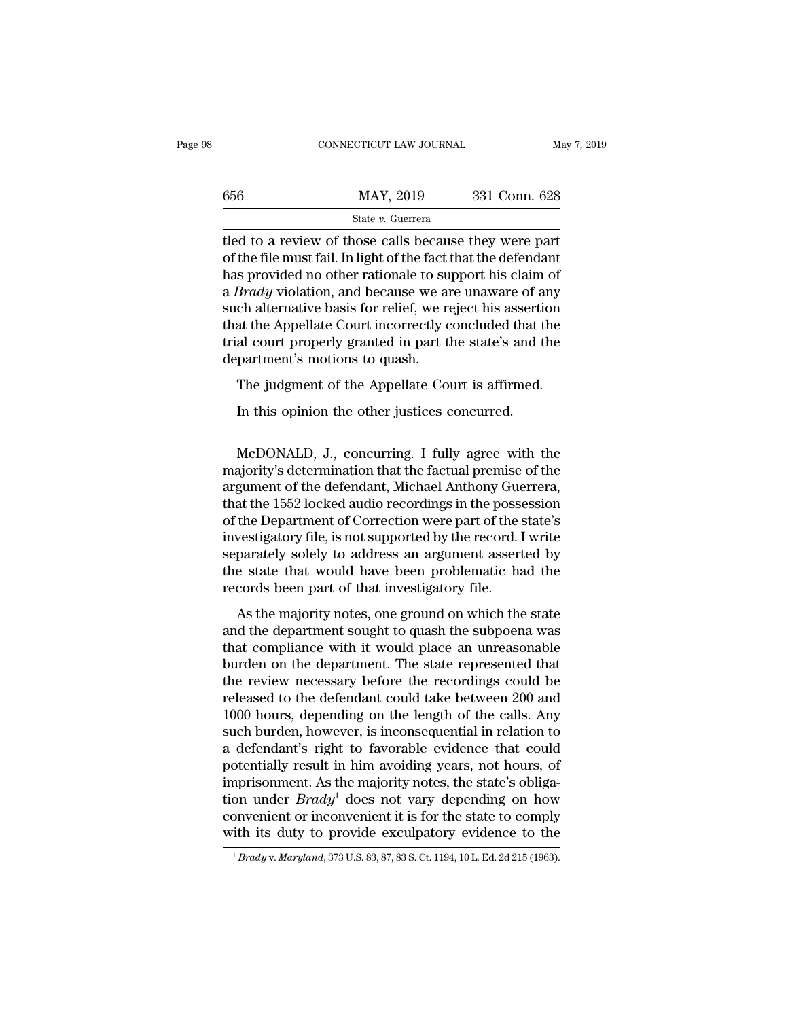|     | CONNECTICUT LAW JOURNAL                                                                                                                                                             | May 7, 2019   |
|-----|-------------------------------------------------------------------------------------------------------------------------------------------------------------------------------------|---------------|
| 656 | MAY, 2019                                                                                                                                                                           | 331 Conn. 628 |
|     | State v. Guerrera                                                                                                                                                                   |               |
|     | tled to a review of those calls because they were part<br>of the file must fail. In light of the fact that the defendant<br>has provided no other rationale to support his claim of |               |

 $\begin{array}{r} \text{max, 2019} \\ \text{State } v. \text{ Guerrera} \end{array}$ <br>
tled to a review of those calls because they were part<br>
of the file must fail. In light of the fact that the defendant<br>
has provided no other rationale to support his claim of<br>
a  $\frac{\text{MAX, 2019}}{\text{State } v. \text{ Guer (10019)}$  and the state v. Guerrera<br>
tled to a review of those calls because they were part<br>
of the file must fail. In light of the fact that the defendant<br>
has provided no other rationale to supp  $\frac{\text{MAX}}{\text{State } v. \text{ Guerrera}}$ <br>  $\frac{\text{State } v. \text{ Guerrera}}{\text{the file must fail. In light of the fact that the defendant has provided no other rationale to support his claim of a *Brady* violation, and because we are unaware of any such alternative basis for relief, we reject his assertion that the *Amollato* Court incorrectly concluded that the$ State v. Guerrera<br>State v. Guerrera<br>Itled to a review of those calls because they were part<br>of the file must fail. In light of the fact that the defendant<br>has provided no other rationale to support his claim of<br>a *Brady* v state  $v$ . Guerrera<br>the Appellate Court incorrection of the file must fail. In light of the fact that the defendant<br>has provided no other rationale to support his claim of<br>a *Brady* violation, and because we are unaware o tled to a review of those calls because they were part<br>of the file must fail. In light of the fact that the defendant<br>has provided no other rationale to support his claim of<br>a *Brady* violation, and because we are unaware of the file must fail. In light of the fact is<br>has provided no other rationale to su<br>a *Brady* violation, and because we at<br>such alternative basis for relief, we re<br>that the Appellate Court incorrectly c<br>trial court proper Brady violation, and because we are unaware of any<br>chalternative basis for relief, we reject his assertion<br>at the Appellate Court incorrectly concluded that the<br>al court properly granted in part the state's and the<br>partmen ch alternative basis for relief, we reject his assertived that the Appellate Court incorrectly concluded that the state's and the other justices concurred.<br>The judgment of the Appellate Court is affirmed.<br>In this opinion t

McDONALD, J., concurring. I fully agree with the<br>matter is affirmed.<br>McDONALD, J., concurring. I fully agree with the<br>ajority's determination that the factual premise of the<br>munnt of the defendant Michael Arthony Guerrera The judgment of the Appellate Court is affirmed.<br>
In this opinion the other justices concurred.<br>
McDONALD, J., concurring. I fully agree with the<br>
majority's determination that the factual premise of the<br>
argument of the d The judgment of the Appellate Court is affirmed.<br>In this opinion the other justices concurred.<br>McDONALD, J., concurring. I fully agree with the<br>majority's determination that the factual premise of the<br>argument of the defen In this opinion the other justices concurred.<br>McDONALD, J., concurring. I fully agree with the<br>majority's determination that the factual premise of the<br>argument of the defendant, Michael Anthony Guerrera,<br>that the 1552 loc McDONALD, J., concurring. I fully agree with the<br>majority's determination that the factual premise of the<br>argument of the defendant, Michael Anthony Guerrera,<br>that the 1552 locked audio recordings in the possession<br>of the McDONALD, J., concurring. I fully agree with the<br>majority's determination that the factual premise of the<br>argument of the defendant, Michael Anthony Guerrera,<br>that the 1552 locked audio recordings in the possession<br>of the McDONALD, J., concurring. I fully agree with the<br>majority's determination that the factual premise of the<br>argument of the defendant, Michael Anthony Guerrera,<br>that the 1552 locked audio recordings in the possession<br>of the majority's determination that the factual premise of the<br>argument of the defendant, Michael Anthony Guerrera,<br>that the 1552 locked audio recordings in the possession<br>of the Department of Correction were part of the state's argument of the defendant, Michael Anthony Gue<br>that the 1552 locked audio recordings in the posse<br>of the Department of Correction were part of the s<br>investigatory file, is not supported by the record. I<br>separately solely t The Department of Correction were part of the state's<br>vestigatory file, is not supported by the record. I write<br>parately solely to address an argument asserted by<br>e state that would have been problematic had the<br>cords been and the department of correction were part of all state is<br>investigatory file, is not supported by the record. I write<br>separately solely to address an argument asserted by<br>the state that would have been problematic had the

threstigately solely to address an argument asserted by<br>separately solely to address an argument asserted by<br>the state that would have been problematic had the<br>records been part of that investigatory file.<br>As the majority burden on the state that would have been problematic had the records been part of that investigatory file.<br>As the majority notes, one ground on which the state and the department sought to quash the subpoena was that comp the state and would have seen prostendate had are<br>records been part of that investigatory file.<br>As the majority notes, one ground on which the state<br>and the department sought to quash the subpoena was<br>that compliance with records been part of that investigately file.<br>As the majority notes, one ground on which the state<br>and the department sought to quash the subpoena was<br>that compliance with it would place an unreasonable<br>burden on the depar As the majority notes, one ground on which the state<br>and the department sought to quash the subpoena was<br>that compliance with it would place an unreasonable<br>burden on the department. The state represented that<br>the review n and the department sought to quash the subpoena was<br>that compliance with it would place an unreasonable<br>burden on the department. The state represented that<br>the review necessary before the recordings could be<br>released to t that compliance with it would place an unreasonable<br>burden on the department. The state represented that<br>the review necessary before the recordings could be<br>released to the defendant could take between 200 and<br>1000 hours, burden on the department. The state represented that<br>the review necessary before the recordings could be<br>released to the defendant could take between 200 and<br>1000 hours, depending on the length of the calls. Any<br>such burde the review necessary before the recordings could be<br>released to the defendant could take between 200 and<br>1000 hours, depending on the length of the calls. Any<br>such burden, however, is inconsequential in relation to<br>a defe released to the defendant could take between 200 and<br>1000 hours, depending on the length of the calls. Any<br>such burden, however, is inconsequential in relation to<br>a defendant's right to favorable evidence that could<br>potent 1000 hours, depending on the length of the calls. Any<br>such burden, however, is inconsequential in relation to<br>a defendant's right to favorable evidence that could<br>potentially result in him avoiding years, not hours, of<br>im such burden, however, is inconsequential in relation to<br>a defendant's right to favorable evidence that could<br>potentially result in him avoiding years, not hours, of<br>imprisonment. As the majority notes, the state's obligaimprisonment. As the majority notes, the state's obligation under  $Brady^1$  does not vary depending on how convenient or inconvenient it is for the state to comply with its duty to provide exculpatory evidence to the  $\frac{1_{$